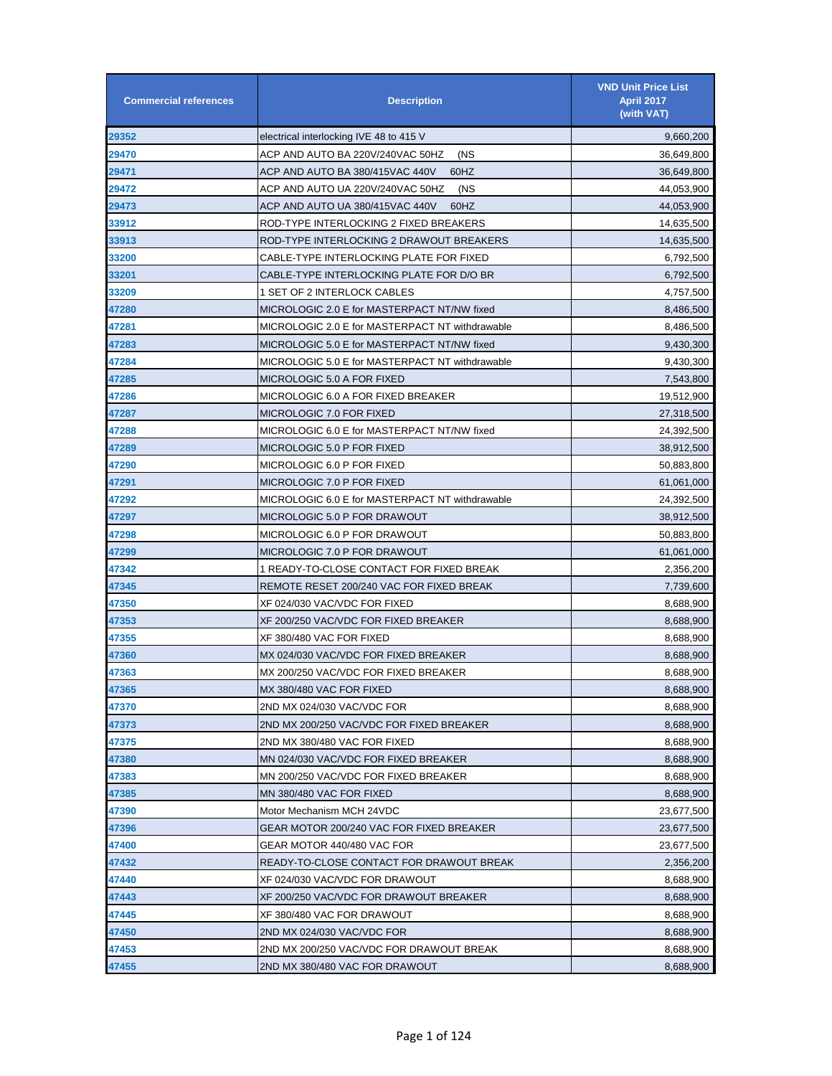| <b>Commercial references</b> | <b>Description</b>                              | <b>VND Unit Price List</b><br><b>April 2017</b><br>(with VAT) |
|------------------------------|-------------------------------------------------|---------------------------------------------------------------|
| 29352                        | electrical interlocking IVE 48 to 415 V         | 9,660,200                                                     |
| 29470                        | ACP AND AUTO BA 220V/240VAC 50HZ<br>(NS         | 36,649,800                                                    |
| 29471                        | ACP AND AUTO BA 380/415VAC 440V<br>60HZ         | 36,649,800                                                    |
| 29472                        | ACP AND AUTO UA 220V/240VAC 50HZ<br>(NS         | 44,053,900                                                    |
| 29473                        | ACP AND AUTO UA 380/415VAC 440V<br>60HZ         | 44,053,900                                                    |
| 33912                        | ROD-TYPE INTERLOCKING 2 FIXED BREAKERS          | 14,635,500                                                    |
| 33913                        | ROD-TYPE INTERLOCKING 2 DRAWOUT BREAKERS        | 14,635,500                                                    |
| 33200                        | CABLE-TYPE INTERLOCKING PLATE FOR FIXED         | 6,792,500                                                     |
| 33201                        | CABLE-TYPE INTERLOCKING PLATE FOR D/O BR        | 6,792,500                                                     |
| 33209                        | 1 SET OF 2 INTERLOCK CABLES                     | 4,757,500                                                     |
| 47280                        | MICROLOGIC 2.0 E for MASTERPACT NT/NW fixed     | 8,486,500                                                     |
| 47281                        | MICROLOGIC 2.0 E for MASTERPACT NT withdrawable | 8,486,500                                                     |
| 47283                        | MICROLOGIC 5.0 E for MASTERPACT NT/NW fixed     | 9,430,300                                                     |
| 47284                        | MICROLOGIC 5.0 E for MASTERPACT NT withdrawable | 9,430,300                                                     |
| 47285                        | MICROLOGIC 5.0 A FOR FIXED                      | 7,543,800                                                     |
| 47286                        | MICROLOGIC 6.0 A FOR FIXED BREAKER              | 19,512,900                                                    |
| 47287                        | MICROLOGIC 7.0 FOR FIXED                        | 27,318,500                                                    |
| 47288                        | MICROLOGIC 6.0 E for MASTERPACT NT/NW fixed     | 24,392,500                                                    |
| 47289                        | MICROLOGIC 5.0 P FOR FIXED                      | 38,912,500                                                    |
| 47290                        | MICROLOGIC 6.0 P FOR FIXED                      | 50,883,800                                                    |
| 47291                        | MICROLOGIC 7.0 P FOR FIXED                      | 61,061,000                                                    |
| 47292                        | MICROLOGIC 6.0 E for MASTERPACT NT withdrawable | 24,392,500                                                    |
| 47297                        | MICROLOGIC 5.0 P FOR DRAWOUT                    | 38,912,500                                                    |
| 47298                        | MICROLOGIC 6.0 P FOR DRAWOUT                    | 50,883,800                                                    |
| 47299                        | MICROLOGIC 7.0 P FOR DRAWOUT                    | 61,061,000                                                    |
| 47342                        | 1 READY-TO-CLOSE CONTACT FOR FIXED BREAK        | 2,356,200                                                     |
| 47345                        | REMOTE RESET 200/240 VAC FOR FIXED BREAK        | 7,739,600                                                     |
| 47350                        | XF 024/030 VAC/VDC FOR FIXED                    | 8,688,900                                                     |
| 47353                        | XF 200/250 VAC/VDC FOR FIXED BREAKER            | 8,688,900                                                     |
| 47355                        | XF 380/480 VAC FOR FIXED                        | 8,688,900                                                     |
| 47360                        | MX 024/030 VAC/VDC FOR FIXED BREAKER            | 8,688,900                                                     |
| 47363                        | MX 200/250 VAC/VDC FOR FIXED BREAKER            | 8,688,900                                                     |
| 47365                        | MX 380/480 VAC FOR FIXED                        | 8,688,900                                                     |
| 47370                        | 2ND MX 024/030 VAC/VDC FOR                      | 8,688,900                                                     |
| 47373                        | 2ND MX 200/250 VAC/VDC FOR FIXED BREAKER        | 8,688,900                                                     |
| 47375                        | 2ND MX 380/480 VAC FOR FIXED                    | 8,688,900                                                     |
| 47380                        | MN 024/030 VAC/VDC FOR FIXED BREAKER            | 8,688,900                                                     |
| 47383                        | MN 200/250 VAC/VDC FOR FIXED BREAKER            | 8,688,900                                                     |
| 47385                        | MN 380/480 VAC FOR FIXED                        | 8,688,900                                                     |
| 47390                        | Motor Mechanism MCH 24VDC                       | 23,677,500                                                    |
| 47396                        | GEAR MOTOR 200/240 VAC FOR FIXED BREAKER        | 23,677,500                                                    |
| 47400                        | GEAR MOTOR 440/480 VAC FOR                      | 23,677,500                                                    |
| 47432                        | READY-TO-CLOSE CONTACT FOR DRAWOUT BREAK        | 2,356,200                                                     |
| 47440                        | XF 024/030 VAC/VDC FOR DRAWOUT                  | 8,688,900                                                     |
| 47443                        | XF 200/250 VAC/VDC FOR DRAWOUT BREAKER          | 8,688,900                                                     |
| 47445                        | XF 380/480 VAC FOR DRAWOUT                      | 8,688,900                                                     |
| 47450                        | 2ND MX 024/030 VAC/VDC FOR                      | 8,688,900                                                     |
| 47453                        | 2ND MX 200/250 VAC/VDC FOR DRAWOUT BREAK        | 8,688,900                                                     |
| 47455                        | 2ND MX 380/480 VAC FOR DRAWOUT                  | 8,688,900                                                     |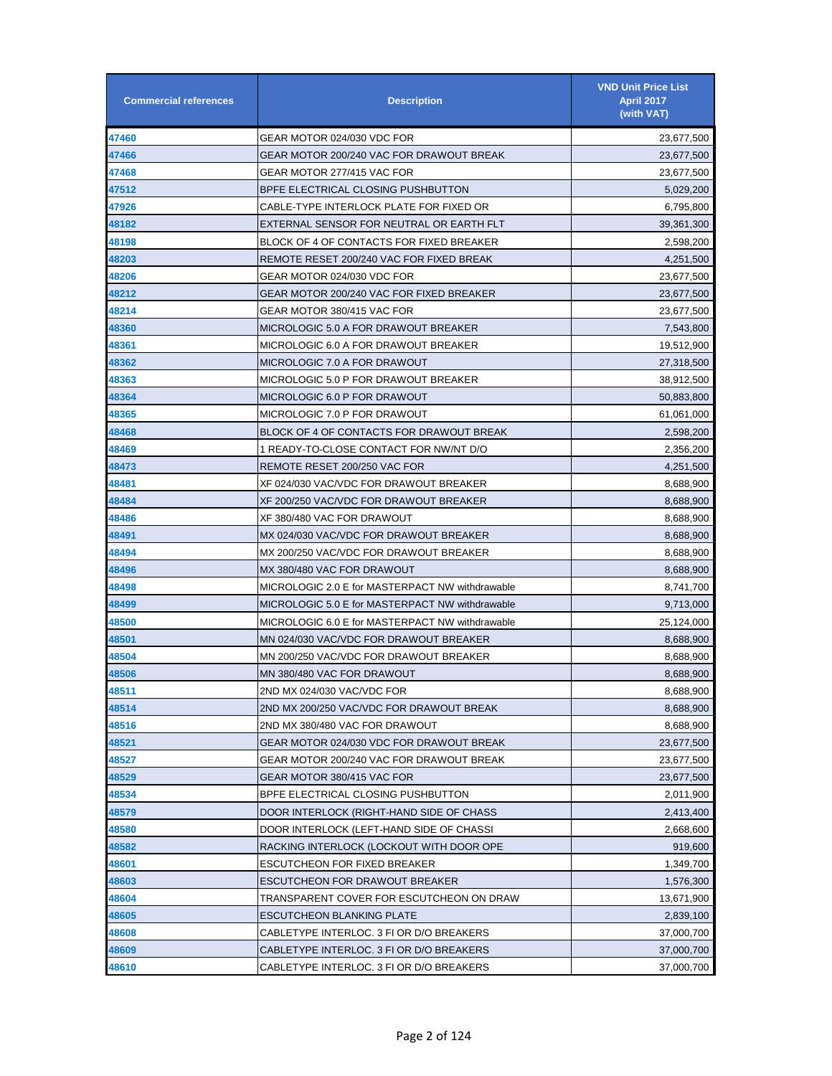| <b>Commercial references</b> | <b>Description</b>                              | <b>VND Unit Price List</b><br><b>April 2017</b><br>(with VAT) |
|------------------------------|-------------------------------------------------|---------------------------------------------------------------|
| 47460                        | GEAR MOTOR 024/030 VDC FOR                      | 23,677,500                                                    |
| 47466                        | GEAR MOTOR 200/240 VAC FOR DRAWOUT BREAK        | 23,677,500                                                    |
| 47468                        | GEAR MOTOR 277/415 VAC FOR                      | 23,677,500                                                    |
| 47512                        | BPFE ELECTRICAL CLOSING PUSHBUTTON              | 5,029,200                                                     |
| 47926                        | CABLE-TYPE INTERLOCK PLATE FOR FIXED OR         | 6,795,800                                                     |
| 48182                        | EXTERNAL SENSOR FOR NEUTRAL OR EARTH FLT        | 39,361,300                                                    |
| 48198                        | BLOCK OF 4 OF CONTACTS FOR FIXED BREAKER        | 2,598,200                                                     |
| 48203                        | REMOTE RESET 200/240 VAC FOR FIXED BREAK        | 4,251,500                                                     |
| 48206                        | GEAR MOTOR 024/030 VDC FOR                      | 23,677,500                                                    |
| 48212                        | GEAR MOTOR 200/240 VAC FOR FIXED BREAKER        | 23,677,500                                                    |
| 48214                        | GEAR MOTOR 380/415 VAC FOR                      | 23,677,500                                                    |
| 48360                        | MICROLOGIC 5.0 A FOR DRAWOUT BREAKER            | 7,543,800                                                     |
| 48361                        | MICROLOGIC 6.0 A FOR DRAWOUT BREAKER            | 19,512,900                                                    |
| 48362                        | MICROLOGIC 7.0 A FOR DRAWOUT                    | 27,318,500                                                    |
| 48363                        | MICROLOGIC 5.0 P FOR DRAWOUT BREAKER            | 38,912,500                                                    |
| 48364                        | MICROLOGIC 6.0 P FOR DRAWOUT                    | 50,883,800                                                    |
| 48365                        | MICROLOGIC 7.0 P FOR DRAWOUT                    | 61,061,000                                                    |
| 48468                        | BLOCK OF 4 OF CONTACTS FOR DRAWOUT BREAK        | 2,598,200                                                     |
| 48469                        | 1 READY-TO-CLOSE CONTACT FOR NW/NT D/O          | 2,356,200                                                     |
| 48473                        | REMOTE RESET 200/250 VAC FOR                    | 4,251,500                                                     |
| 48481                        | XF 024/030 VAC/VDC FOR DRAWOUT BREAKER          | 8,688,900                                                     |
| 48484                        | XF 200/250 VAC/VDC FOR DRAWOUT BREAKER          | 8,688,900                                                     |
| 48486                        | XF 380/480 VAC FOR DRAWOUT                      | 8,688,900                                                     |
| 48491                        | MX 024/030 VAC/VDC FOR DRAWOUT BREAKER          | 8,688,900                                                     |
| 48494                        | MX 200/250 VAC/VDC FOR DRAWOUT BREAKER          | 8,688,900                                                     |
| 48496                        | MX 380/480 VAC FOR DRAWOUT                      | 8,688,900                                                     |
| 48498                        | MICROLOGIC 2.0 E for MASTERPACT NW withdrawable | 8,741,700                                                     |
| 48499                        | MICROLOGIC 5.0 E for MASTERPACT NW withdrawable | 9,713,000                                                     |
| 48500                        | MICROLOGIC 6.0 E for MASTERPACT NW withdrawable | 25,124,000                                                    |
| 48501                        | MN 024/030 VAC/VDC FOR DRAWOUT BREAKER          | 8,688,900                                                     |
| 48504                        | MN 200/250 VAC/VDC FOR DRAWOUT BREAKER          | 8,688,900                                                     |
| 48506                        | MN 380/480 VAC FOR DRAWOUT                      | 8,688,900                                                     |
| 48511                        | 2ND MX 024/030 VAC/VDC FOR                      | 8,688,900                                                     |
| 48514                        | 2ND MX 200/250 VAC/VDC FOR DRAWOUT BREAK        | 8,688,900                                                     |
| 48516                        | 2ND MX 380/480 VAC FOR DRAWOUT                  | 8,688,900                                                     |
| 48521                        | GEAR MOTOR 024/030 VDC FOR DRAWOUT BREAK        | 23,677,500                                                    |
| 48527                        | GEAR MOTOR 200/240 VAC FOR DRAWOUT BREAK        | 23,677,500                                                    |
| 48529                        | GEAR MOTOR 380/415 VAC FOR                      | 23,677,500                                                    |
| 48534                        | BPFE ELECTRICAL CLOSING PUSHBUTTON              | 2,011,900                                                     |
| 48579                        | DOOR INTERLOCK (RIGHT-HAND SIDE OF CHASS        | 2,413,400                                                     |
| 48580                        | DOOR INTERLOCK (LEFT-HAND SIDE OF CHASSI        | 2,668,600                                                     |
| 48582                        | RACKING INTERLOCK (LOCKOUT WITH DOOR OPE        | 919,600                                                       |
| 48601                        | <b>ESCUTCHEON FOR FIXED BREAKER</b>             | 1,349,700                                                     |
| 48603                        | ESCUTCHEON FOR DRAWOUT BREAKER                  | 1,576,300                                                     |
| 48604                        | TRANSPARENT COVER FOR ESCUTCHEON ON DRAW        | 13,671,900                                                    |
| 48605                        | ESCUTCHEON BLANKING PLATE                       | 2,839,100                                                     |
| 48608                        | CABLETYPE INTERLOC. 3 FI OR D/O BREAKERS        | 37,000,700                                                    |
| 48609                        | CABLETYPE INTERLOC. 3 FI OR D/O BREAKERS        | 37,000,700                                                    |
| 48610                        | CABLETYPE INTERLOC. 3 FI OR D/O BREAKERS        | 37,000,700                                                    |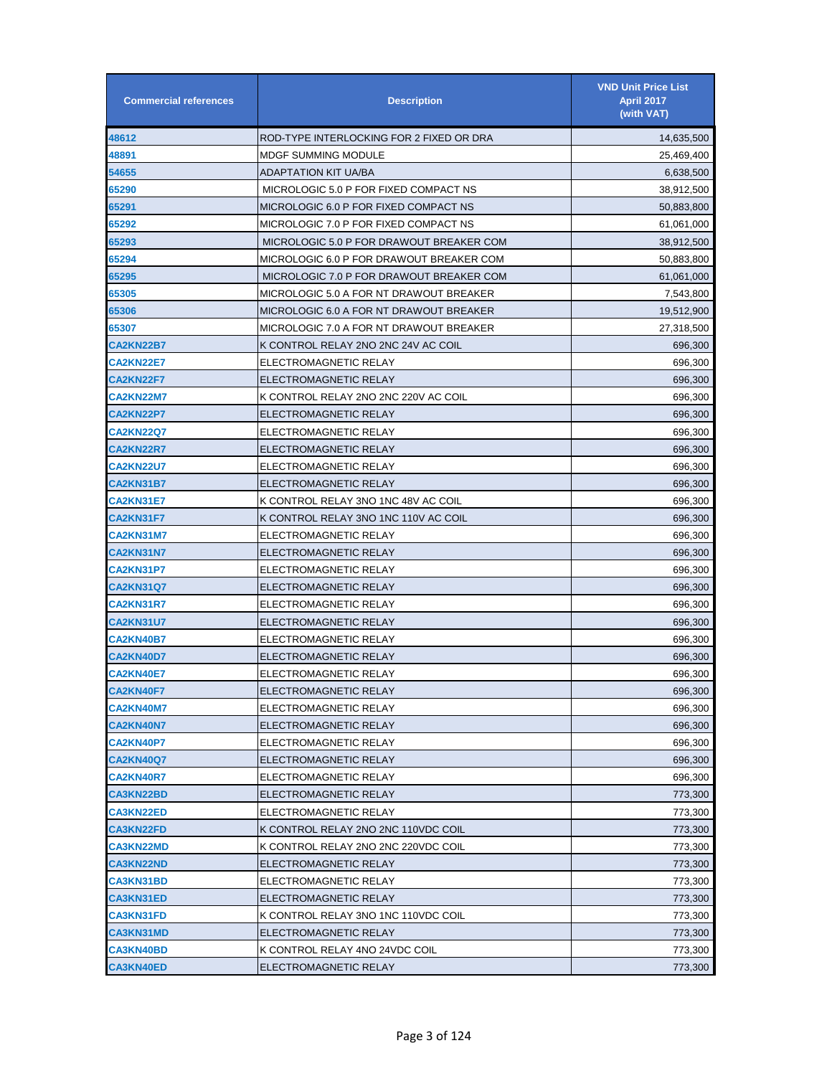| <b>Commercial references</b> | <b>Description</b>                       | <b>VND Unit Price List</b><br><b>April 2017</b><br>(with VAT) |
|------------------------------|------------------------------------------|---------------------------------------------------------------|
| 48612                        | ROD-TYPE INTERLOCKING FOR 2 FIXED OR DRA | 14,635,500                                                    |
| 48891                        | <b>MDGF SUMMING MODULE</b>               | 25,469,400                                                    |
| 54655                        | ADAPTATION KIT UA/BA                     | 6,638,500                                                     |
| 65290                        | MICROLOGIC 5.0 P FOR FIXED COMPACT NS    | 38,912,500                                                    |
| 65291                        | MICROLOGIC 6.0 P FOR FIXED COMPACT NS    | 50,883,800                                                    |
| 65292                        | MICROLOGIC 7.0 P FOR FIXED COMPACT NS    | 61,061,000                                                    |
| 65293                        | MICROLOGIC 5.0 P FOR DRAWOUT BREAKER COM | 38,912,500                                                    |
| 65294                        | MICROLOGIC 6.0 P FOR DRAWOUT BREAKER COM | 50,883,800                                                    |
| 65295                        | MICROLOGIC 7.0 P FOR DRAWOUT BREAKER COM | 61,061,000                                                    |
| 65305                        | MICROLOGIC 5.0 A FOR NT DRAWOUT BREAKER  | 7,543,800                                                     |
| 65306                        | MICROLOGIC 6.0 A FOR NT DRAWOUT BREAKER  | 19,512,900                                                    |
| 65307                        | MICROLOGIC 7.0 A FOR NT DRAWOUT BREAKER  | 27,318,500                                                    |
| <b>CA2KN22B7</b>             | K CONTROL RELAY 2NO 2NC 24V AC COIL      | 696,300                                                       |
| <b>CA2KN22E7</b>             | ELECTROMAGNETIC RELAY                    | 696,300                                                       |
| <b>CA2KN22F7</b>             | ELECTROMAGNETIC RELAY                    | 696,300                                                       |
| <b>CA2KN22M7</b>             | K CONTROL RELAY 2NO 2NC 220V AC COIL     | 696,300                                                       |
| CA2KN22P7                    | ELECTROMAGNETIC RELAY                    | 696,300                                                       |
| CA2KN22Q7                    | ELECTROMAGNETIC RELAY                    | 696,300                                                       |
| <b>CA2KN22R7</b>             | ELECTROMAGNETIC RELAY                    | 696,300                                                       |
| <b>CA2KN22U7</b>             | ELECTROMAGNETIC RELAY                    | 696,300                                                       |
| CA2KN31B7                    | ELECTROMAGNETIC RELAY                    | 696,300                                                       |
| <b>CA2KN31E7</b>             | K CONTROL RELAY 3NO 1NC 48V AC COIL      | 696,300                                                       |
| <b>CA2KN31F7</b>             | K CONTROL RELAY 3NO 1NC 110V AC COIL     | 696,300                                                       |
| <b>CA2KN31M7</b>             | ELECTROMAGNETIC RELAY                    | 696,300                                                       |
| CA2KN31N7                    | ELECTROMAGNETIC RELAY                    | 696,300                                                       |
| CA2KN31P7                    | ELECTROMAGNETIC RELAY                    | 696,300                                                       |
| CA2KN31Q7                    | ELECTROMAGNETIC RELAY                    | 696,300                                                       |
| <b>CA2KN31R7</b>             | ELECTROMAGNETIC RELAY                    | 696,300                                                       |
| CA2KN31U7                    | ELECTROMAGNETIC RELAY                    | 696,300                                                       |
| <b>CA2KN40B7</b>             | ELECTROMAGNETIC RELAY                    | 696,300                                                       |
| <b>CA2KN40D7</b>             | ELECTROMAGNETIC RELAY                    | 696,300                                                       |
| <b>CA2KN40E7</b>             | ELECTROMAGNETIC RELAY                    | 696,300                                                       |
| <b>CA2KN40F7</b>             | ELECTROMAGNETIC RELAY                    | 696,300                                                       |
| <b>CA2KN40M7</b>             | ELECTROMAGNETIC RELAY                    | 696,300                                                       |
| CA2KN40N7                    | ELECTROMAGNETIC RELAY                    | 696,300                                                       |
| CA2KN40P7                    | ELECTROMAGNETIC RELAY                    | 696,300                                                       |
| <b>CA2KN40Q7</b>             | ELECTROMAGNETIC RELAY                    | 696,300                                                       |
| <b>CA2KN40R7</b>             | ELECTROMAGNETIC RELAY                    | 696,300                                                       |
| CA3KN22BD                    | ELECTROMAGNETIC RELAY                    | 773,300                                                       |
| <b>CA3KN22ED</b>             | ELECTROMAGNETIC RELAY                    | 773,300                                                       |
| <b>CA3KN22FD</b>             | K CONTROL RELAY 2NO 2NC 110VDC COIL      | 773,300                                                       |
| CA3KN22MD                    | K CONTROL RELAY 2NO 2NC 220VDC COIL      | 773,300                                                       |
| CA3KN22ND                    | ELECTROMAGNETIC RELAY                    | 773,300                                                       |
| CA3KN31BD                    | ELECTROMAGNETIC RELAY                    | 773,300                                                       |
| CA3KN31ED                    | ELECTROMAGNETIC RELAY                    | 773,300                                                       |
| <b>CA3KN31FD</b>             | K CONTROL RELAY 3NO 1NC 110VDC COIL      | 773,300                                                       |
| CA3KN31MD                    | ELECTROMAGNETIC RELAY                    | 773,300                                                       |
| <b>CA3KN40BD</b>             | K CONTROL RELAY 4NO 24VDC COIL           | 773,300                                                       |
| <b>CA3KN40ED</b>             | ELECTROMAGNETIC RELAY                    | 773,300                                                       |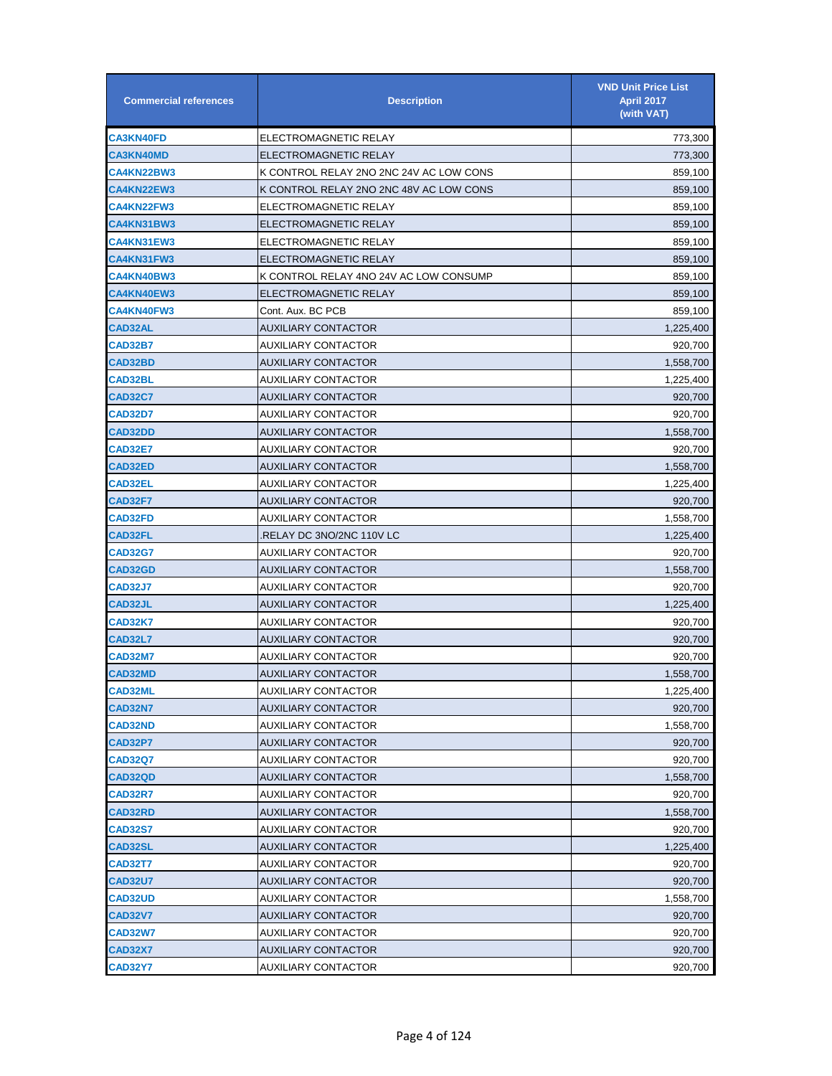| <b>Commercial references</b> | <b>Description</b>                      | <b>VND Unit Price List</b><br><b>April 2017</b><br>(with VAT) |
|------------------------------|-----------------------------------------|---------------------------------------------------------------|
| CA3KN40FD                    | ELECTROMAGNETIC RELAY                   | 773,300                                                       |
| <b>CA3KN40MD</b>             | ELECTROMAGNETIC RELAY                   | 773,300                                                       |
| CA4KN22BW3                   | K CONTROL RELAY 2NO 2NC 24V AC LOW CONS | 859,100                                                       |
| <b>CA4KN22EW3</b>            | K CONTROL RELAY 2NO 2NC 48V AC LOW CONS | 859,100                                                       |
| <b>CA4KN22FW3</b>            | ELECTROMAGNETIC RELAY                   | 859,100                                                       |
| CA4KN31BW3                   | ELECTROMAGNETIC RELAY                   | 859,100                                                       |
| <b>CA4KN31EW3</b>            | ELECTROMAGNETIC RELAY                   | 859,100                                                       |
| CA4KN31FW3                   | ELECTROMAGNETIC RELAY                   | 859,100                                                       |
| CA4KN40BW3                   | K CONTROL RELAY 4NO 24V AC LOW CONSUMP  | 859,100                                                       |
| <b>CA4KN40EW3</b>            | ELECTROMAGNETIC RELAY                   | 859,100                                                       |
| <b>CA4KN40FW3</b>            | Cont. Aux. BC PCB                       | 859,100                                                       |
| <b>CAD32AL</b>               | AUXILIARY CONTACTOR                     | 1,225,400                                                     |
| <b>CAD32B7</b>               | AUXILIARY CONTACTOR                     | 920,700                                                       |
| CAD32BD                      | <b>AUXILIARY CONTACTOR</b>              | 1,558,700                                                     |
| <b>CAD32BL</b>               | AUXILIARY CONTACTOR                     | 1,225,400                                                     |
| <b>CAD32C7</b>               | <b>AUXILIARY CONTACTOR</b>              | 920,700                                                       |
| <b>CAD32D7</b>               | <b>AUXILIARY CONTACTOR</b>              | 920,700                                                       |
| <b>CAD32DD</b>               | <b>AUXILIARY CONTACTOR</b>              | 1,558,700                                                     |
| <b>CAD32E7</b>               | AUXILIARY CONTACTOR                     | 920,700                                                       |
| <b>CAD32ED</b>               | AUXILIARY CONTACTOR                     | 1,558,700                                                     |
| <b>CAD32EL</b>               | AUXILIARY CONTACTOR                     | 1,225,400                                                     |
| <b>CAD32F7</b>               | <b>AUXILIARY CONTACTOR</b>              | 920,700                                                       |
| <b>CAD32FD</b>               | AUXILIARY CONTACTOR                     | 1,558,700                                                     |
| <b>CAD32FL</b>               | RELAY DC 3NO/2NC 110V LC.               | 1,225,400                                                     |
| <b>CAD32G7</b>               | AUXILIARY CONTACTOR                     | 920,700                                                       |
| <b>CAD32GD</b>               | AUXILIARY CONTACTOR                     | 1,558,700                                                     |
| <b>CAD32J7</b>               | AUXILIARY CONTACTOR                     | 920,700                                                       |
| <b>CAD32JL</b>               | AUXILIARY CONTACTOR                     | 1,225,400                                                     |
| <b>CAD32K7</b>               | AUXILIARY CONTACTOR                     | 920,700                                                       |
| <b>CAD32L7</b>               | <b>AUXILIARY CONTACTOR</b>              | 920,700                                                       |
| <b>CAD32M7</b>               | AUXILIARY CONTACTOR                     | 920,700                                                       |
| <b>CAD32MD</b>               | <b>AUXILIARY CONTACTOR</b>              | 1,558,700                                                     |
| <b>CAD32ML</b>               | <b>AUXILIARY CONTACTOR</b>              | 1,225,400                                                     |
| <b>CAD32N7</b>               | <b>AUXILIARY CONTACTOR</b>              | 920,700                                                       |
| <b>CAD32ND</b>               | AUXILIARY CONTACTOR                     | 1,558,700                                                     |
| CAD32P7                      | AUXILIARY CONTACTOR                     | 920,700                                                       |
| <b>CAD32Q7</b>               | AUXILIARY CONTACTOR                     | 920,700                                                       |
| <b>CAD32QD</b>               | AUXILIARY CONTACTOR                     | 1,558,700                                                     |
| CAD32R7                      | AUXILIARY CONTACTOR                     | 920,700                                                       |
| <b>CAD32RD</b>               | <b>AUXILIARY CONTACTOR</b>              | 1,558,700                                                     |
| <b>CAD32S7</b>               | AUXILIARY CONTACTOR                     | 920,700                                                       |
| <b>CAD32SL</b>               | <b>AUXILIARY CONTACTOR</b>              | 1,225,400                                                     |
| CAD32T7                      | AUXILIARY CONTACTOR                     | 920,700                                                       |
| <b>CAD32U7</b>               | AUXILIARY CONTACTOR                     | 920,700                                                       |
| <b>CAD32UD</b>               | AUXILIARY CONTACTOR                     | 1,558,700                                                     |
| <b>CAD32V7</b>               | AUXILIARY CONTACTOR                     | 920,700                                                       |
| CAD32W7                      | AUXILIARY CONTACTOR                     | 920,700                                                       |
| <b>CAD32X7</b>               | <b>AUXILIARY CONTACTOR</b>              | 920,700                                                       |
| <b>CAD32Y7</b>               | <b>AUXILIARY CONTACTOR</b>              | 920,700                                                       |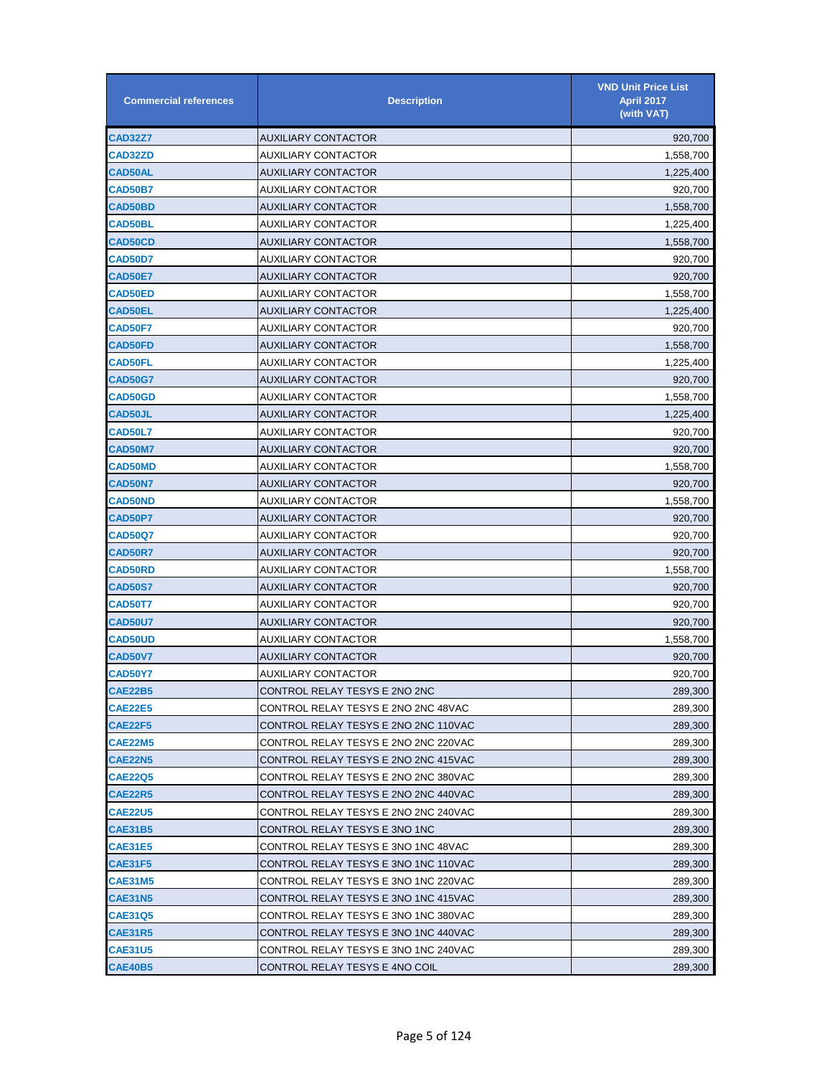| <b>Commercial references</b> | <b>Description</b>                   | <b>VND Unit Price List</b><br><b>April 2017</b><br>(with VAT) |
|------------------------------|--------------------------------------|---------------------------------------------------------------|
| CAD32Z7                      | AUXILIARY CONTACTOR                  | 920,700                                                       |
| <b>CAD32ZD</b>               | AUXILIARY CONTACTOR                  | 1,558,700                                                     |
| CAD50AL                      | AUXILIARY CONTACTOR                  | 1,225,400                                                     |
| <b>CAD50B7</b>               | AUXILIARY CONTACTOR                  | 920,700                                                       |
| <b>CAD50BD</b>               | AUXILIARY CONTACTOR                  | 1,558,700                                                     |
| <b>CAD50BL</b>               | <b>AUXILIARY CONTACTOR</b>           | 1,225,400                                                     |
| <b>CAD50CD</b>               | <b>AUXILIARY CONTACTOR</b>           | 1,558,700                                                     |
| <b>CAD50D7</b>               | AUXILIARY CONTACTOR                  | 920,700                                                       |
| CAD50E7                      | <b>AUXILIARY CONTACTOR</b>           | 920,700                                                       |
| <b>CAD50ED</b>               | AUXILIARY CONTACTOR                  | 1,558,700                                                     |
| <b>CAD50EL</b>               | AUXILIARY CONTACTOR                  | 1,225,400                                                     |
| <b>CAD50F7</b>               | AUXILIARY CONTACTOR                  | 920,700                                                       |
| <b>CAD50FD</b>               | AUXILIARY CONTACTOR                  | 1,558,700                                                     |
| <b>CAD50FL</b>               | AUXILIARY CONTACTOR                  | 1,225,400                                                     |
| <b>CAD50G7</b>               | <b>AUXILIARY CONTACTOR</b>           | 920,700                                                       |
| <b>CAD50GD</b>               | AUXILIARY CONTACTOR                  | 1,558,700                                                     |
| <b>CAD50JL</b>               | <b>AUXILIARY CONTACTOR</b>           | 1,225,400                                                     |
| <b>CAD50L7</b>               | AUXILIARY CONTACTOR                  | 920,700                                                       |
| <b>CAD50M7</b>               | AUXILIARY CONTACTOR                  | 920,700                                                       |
| <b>CAD50MD</b>               | AUXILIARY CONTACTOR                  | 1,558,700                                                     |
| <b>CAD50N7</b>               | AUXILIARY CONTACTOR                  | 920,700                                                       |
| <b>CAD50ND</b>               | AUXILIARY CONTACTOR                  | 1,558,700                                                     |
| <b>CAD50P7</b>               | <b>AUXILIARY CONTACTOR</b>           | 920,700                                                       |
| CAD50Q7                      | <b>AUXILIARY CONTACTOR</b>           | 920,700                                                       |
| <b>CAD50R7</b>               | <b>AUXILIARY CONTACTOR</b>           | 920,700                                                       |
| <b>CAD50RD</b>               | AUXILIARY CONTACTOR                  | 1,558,700                                                     |
| <b>CAD50S7</b>               | AUXILIARY CONTACTOR                  | 920,700                                                       |
| <b>CAD50T7</b>               | <b>AUXILIARY CONTACTOR</b>           | 920,700                                                       |
| <b>CAD50U7</b>               | AUXILIARY CONTACTOR                  | 920,700                                                       |
| <b>CAD50UD</b>               | AUXILIARY CONTACTOR                  | 1,558,700                                                     |
| <b>CAD50V7</b>               | <b>AUXILIARY CONTACTOR</b>           | 920.700                                                       |
| <b>CAD50Y7</b>               | AUXILIARY CONTACTOR                  | 920,700                                                       |
| <b>CAE22B5</b>               | CONTROL RELAY TESYS E 2NO 2NC        | 289,300                                                       |
| CAE22E5                      | CONTROL RELAY TESYS E 2NO 2NC 48VAC  | 289,300                                                       |
| CAE22F5                      | CONTROL RELAY TESYS E 2NO 2NC 110VAC | 289,300                                                       |
| CAE22M5                      | CONTROL RELAY TESYS E 2NO 2NC 220VAC | 289,300                                                       |
| CAE22N5                      | CONTROL RELAY TESYS E 2NO 2NC 415VAC | 289,300                                                       |
| <b>CAE22Q5</b>               | CONTROL RELAY TESYS E 2NO 2NC 380VAC | 289,300                                                       |
| <b>CAE22R5</b>               | CONTROL RELAY TESYS E 2NO 2NC 440VAC | 289,300                                                       |
| <b>CAE22U5</b>               | CONTROL RELAY TESYS E 2NO 2NC 240VAC | 289,300                                                       |
| CAE31B5                      | CONTROL RELAY TESYS E 3NO 1NC        | 289,300                                                       |
| CAE31E5                      | CONTROL RELAY TESYS E 3NO 1NC 48VAC  | 289,300                                                       |
| CAE31F5                      | CONTROL RELAY TESYS E 3NO 1NC 110VAC | 289,300                                                       |
| CAE31M5                      | CONTROL RELAY TESYS E 3NO 1NC 220VAC | 289,300                                                       |
| CAE31N5                      | CONTROL RELAY TESYS E 3NO 1NC 415VAC | 289,300                                                       |
| <b>CAE31Q5</b>               | CONTROL RELAY TESYS E 3NO 1NC 380VAC | 289,300                                                       |
| CAE31R5                      | CONTROL RELAY TESYS E 3NO 1NC 440VAC | 289,300                                                       |
| <b>CAE31U5</b>               | CONTROL RELAY TESYS E 3NO 1NC 240VAC | 289,300                                                       |
| CAE40B5                      | CONTROL RELAY TESYS E 4NO COIL       | 289,300                                                       |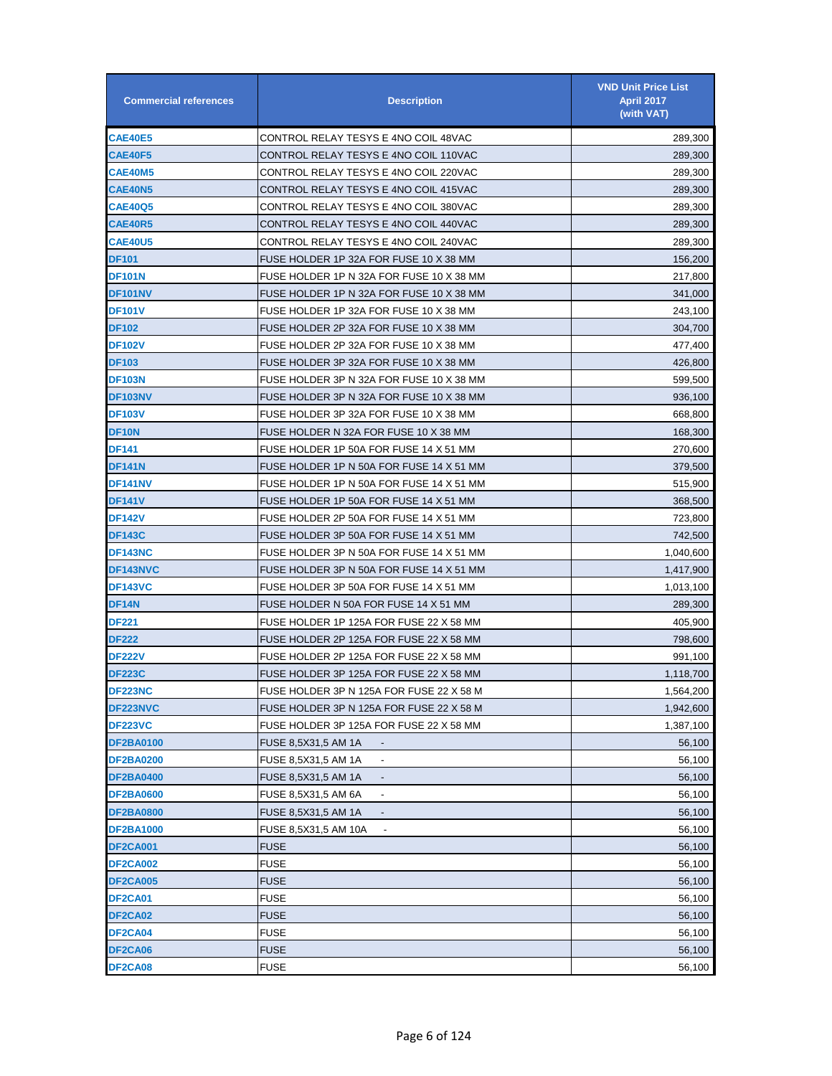| <b>Commercial references</b> | <b>Description</b>                              | <b>VND Unit Price List</b><br><b>April 2017</b><br>(with VAT) |
|------------------------------|-------------------------------------------------|---------------------------------------------------------------|
| <b>CAE40E5</b>               | CONTROL RELAY TESYS E 4NO COIL 48VAC            | 289,300                                                       |
| CAE40F5                      | CONTROL RELAY TESYS E 4NO COIL 110VAC           | 289,300                                                       |
| <b>CAE40M5</b>               | CONTROL RELAY TESYS E 4NO COIL 220VAC           | 289,300                                                       |
| <b>CAE40N5</b>               | CONTROL RELAY TESYS E 4NO COIL 415VAC           | 289,300                                                       |
| <b>CAE40Q5</b>               | CONTROL RELAY TESYS E 4NO COIL 380VAC           | 289,300                                                       |
| <b>CAE40R5</b>               | CONTROL RELAY TESYS E 4NO COIL 440VAC           | 289,300                                                       |
| <b>CAE40U5</b>               | CONTROL RELAY TESYS E 4NO COIL 240VAC           | 289,300                                                       |
| <b>DF101</b>                 | FUSE HOLDER 1P 32A FOR FUSE 10 X 38 MM          | 156,200                                                       |
| <b>DF101N</b>                | FUSE HOLDER 1P N 32A FOR FUSE 10 X 38 MM        | 217,800                                                       |
| DF101NV                      | FUSE HOLDER 1P N 32A FOR FUSE 10 X 38 MM        | 341,000                                                       |
| <b>DF101V</b>                | FUSE HOLDER 1P 32A FOR FUSE 10 X 38 MM          | 243,100                                                       |
| <b>DF102</b>                 | FUSE HOLDER 2P 32A FOR FUSE 10 X 38 MM          | 304,700                                                       |
| <b>DF102V</b>                | FUSE HOLDER 2P 32A FOR FUSE 10 X 38 MM          | 477,400                                                       |
| <b>DF103</b>                 | FUSE HOLDER 3P 32A FOR FUSE 10 X 38 MM          | 426,800                                                       |
| <b>DF103N</b>                | FUSE HOLDER 3P N 32A FOR FUSE 10 X 38 MM        | 599,500                                                       |
| DF103NV                      | FUSE HOLDER 3P N 32A FOR FUSE 10 X 38 MM        | 936,100                                                       |
| <b>DF103V</b>                | FUSE HOLDER 3P 32A FOR FUSE 10 X 38 MM          | 668,800                                                       |
| <b>DF10N</b>                 | FUSE HOLDER N 32A FOR FUSE 10 X 38 MM           | 168,300                                                       |
| DF141                        | FUSE HOLDER 1P 50A FOR FUSE 14 X 51 MM          | 270,600                                                       |
| <b>DF141N</b>                | FUSE HOLDER 1P N 50A FOR FUSE 14 X 51 MM        | 379,500                                                       |
| DF141NV                      | FUSE HOLDER 1P N 50A FOR FUSE 14 X 51 MM        | 515,900                                                       |
| <b>DF141V</b>                | FUSE HOLDER 1P 50A FOR FUSE 14 X 51 MM          | 368,500                                                       |
| <b>DF142V</b>                | FUSE HOLDER 2P 50A FOR FUSE 14 X 51 MM          | 723,800                                                       |
| <b>DF143C</b>                | FUSE HOLDER 3P 50A FOR FUSE 14 X 51 MM          | 742,500                                                       |
| <b>DF143NC</b>               | FUSE HOLDER 3P N 50A FOR FUSE 14 X 51 MM        | 1,040,600                                                     |
| <b>DF143NVC</b>              | FUSE HOLDER 3P N 50A FOR FUSE 14 X 51 MM        | 1,417,900                                                     |
| <b>DF143VC</b>               | FUSE HOLDER 3P 50A FOR FUSE 14 X 51 MM          | 1,013,100                                                     |
| DF14N                        | FUSE HOLDER N 50A FOR FUSE 14 X 51 MM           | 289,300                                                       |
| <b>DF221</b>                 | FUSE HOLDER 1P 125A FOR FUSE 22 X 58 MM         | 405,900                                                       |
| <b>DF222</b>                 | FUSE HOLDER 2P 125A FOR FUSE 22 X 58 MM         | 798,600                                                       |
| <b>DF222V</b>                | FUSE HOLDER 2P 125A FOR FUSE 22 X 58 MM         | 991,100                                                       |
| <b>DF223C</b>                | FUSE HOLDER 3P 125A FOR FUSE 22 X 58 MM         | 1,118,700                                                     |
| <b>DF223NC</b>               | FUSE HOLDER 3P N 125A FOR FUSE 22 X 58 M        | 1,564,200                                                     |
| <b>DF223NVC</b>              | FUSE HOLDER 3P N 125A FOR FUSE 22 X 58 M        | 1,942,600                                                     |
| <b>DF223VC</b>               | FUSE HOLDER 3P 125A FOR FUSE 22 X 58 MM         | 1,387,100                                                     |
| <b>DF2BA0100</b>             | FUSE 8,5X31,5 AM 1A                             | 56,100                                                        |
| <b>DF2BA0200</b>             | FUSE 8,5X31,5 AM 1A                             | 56,100                                                        |
| <b>DF2BA0400</b>             | FUSE 8,5X31,5 AM 1A<br>$\overline{\phantom{a}}$ | 56,100                                                        |
| <b>DF2BA0600</b>             | FUSE 8,5X31,5 AM 6A<br>$\overline{\phantom{a}}$ | 56,100                                                        |
| <b>DF2BA0800</b>             | FUSE 8,5X31,5 AM 1A<br>$\overline{\phantom{a}}$ | 56,100                                                        |
| <b>DF2BA1000</b>             | FUSE 8,5X31,5 AM 10A                            | 56,100                                                        |
| <b>DF2CA001</b>              | <b>FUSE</b>                                     | 56,100                                                        |
| <b>DF2CA002</b>              | <b>FUSE</b>                                     | 56,100                                                        |
| <b>DF2CA005</b>              | <b>FUSE</b>                                     | 56,100                                                        |
| DF2CA01                      | <b>FUSE</b>                                     | 56,100                                                        |
| DF2CA02                      | <b>FUSE</b>                                     | 56,100                                                        |
| DF2CA04                      | <b>FUSE</b>                                     | 56,100                                                        |
| <b>DF2CA06</b>               | <b>FUSE</b>                                     | 56,100                                                        |
| <b>DF2CA08</b>               | <b>FUSE</b>                                     | 56,100                                                        |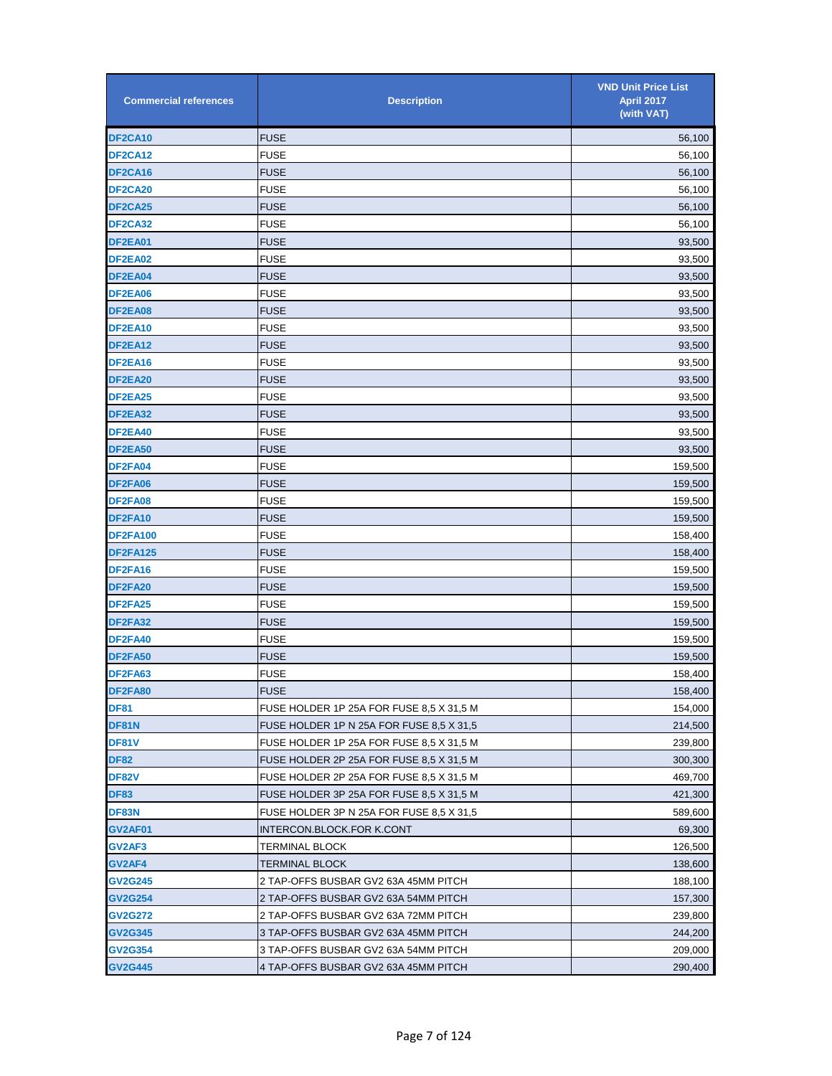| <b>Commercial references</b> | <b>Description</b>                       | <b>VND Unit Price List</b><br><b>April 2017</b><br>(with VAT) |
|------------------------------|------------------------------------------|---------------------------------------------------------------|
| DF2CA10                      | <b>FUSE</b>                              | 56,100                                                        |
| <b>DF2CA12</b>               | <b>FUSE</b>                              | 56,100                                                        |
| DF2CA16                      | <b>FUSE</b>                              | 56,100                                                        |
| <b>DF2CA20</b>               | <b>FUSE</b>                              | 56,100                                                        |
| DF2CA25                      | <b>FUSE</b>                              | 56,100                                                        |
| <b>DF2CA32</b>               | <b>FUSE</b>                              | 56,100                                                        |
| DF2EA01                      | <b>FUSE</b>                              | 93,500                                                        |
| DF2EA02                      | <b>FUSE</b>                              | 93,500                                                        |
| DF2EA04                      | <b>FUSE</b>                              | 93,500                                                        |
| DF2EA06                      | <b>FUSE</b>                              | 93,500                                                        |
| DF2EA08                      | <b>FUSE</b>                              | 93,500                                                        |
| DF2EA10                      | <b>FUSE</b>                              | 93,500                                                        |
| DF2EA12                      | <b>FUSE</b>                              | 93,500                                                        |
| DF2EA16                      | <b>FUSE</b>                              | 93,500                                                        |
| DF2EA20                      | <b>FUSE</b>                              | 93,500                                                        |
| DF2EA25                      | <b>FUSE</b>                              | 93,500                                                        |
| DF2EA32                      | <b>FUSE</b>                              | 93,500                                                        |
| DF2EA40                      | <b>FUSE</b>                              | 93,500                                                        |
| DF2EA50                      | <b>FUSE</b>                              | 93,500                                                        |
| DF2FA04                      | <b>FUSE</b>                              | 159,500                                                       |
| DF2FA06                      | <b>FUSE</b>                              | 159,500                                                       |
| DF2FA08                      | <b>FUSE</b>                              | 159,500                                                       |
| DF2FA10                      | <b>FUSE</b>                              | 159,500                                                       |
| <b>DF2FA100</b>              | <b>FUSE</b>                              | 158,400                                                       |
| <b>DF2FA125</b>              | <b>FUSE</b>                              | 158,400                                                       |
| DF2FA16                      | <b>FUSE</b>                              | 159,500                                                       |
| DF2FA20                      | <b>FUSE</b>                              | 159,500                                                       |
| DF2FA25                      | <b>FUSE</b>                              | 159,500                                                       |
| DF2FA32                      | <b>FUSE</b>                              | 159,500                                                       |
| DF2FA40                      | <b>FUSE</b>                              | 159,500                                                       |
| <b>DF2FA50</b>               | <b>FUSE</b>                              | 159,500                                                       |
| DF2FA63                      | <b>FUSE</b>                              | 158,400                                                       |
| DF2FA80                      | <b>FUSE</b>                              | 158,400                                                       |
| DF81                         | FUSE HOLDER 1P 25A FOR FUSE 8,5 X 31,5 M | 154,000                                                       |
| DF81N                        | FUSE HOLDER 1P N 25A FOR FUSE 8,5 X 31,5 | 214,500                                                       |
| DF81V                        | FUSE HOLDER 1P 25A FOR FUSE 8,5 X 31,5 M | 239,800                                                       |
| <b>DF82</b>                  | FUSE HOLDER 2P 25A FOR FUSE 8.5 X 31.5 M | 300,300                                                       |
| DF82V                        | FUSE HOLDER 2P 25A FOR FUSE 8,5 X 31,5 M | 469,700                                                       |
| <b>DF83</b>                  | FUSE HOLDER 3P 25A FOR FUSE 8,5 X 31,5 M | 421,300                                                       |
| DF83N                        | FUSE HOLDER 3P N 25A FOR FUSE 8,5 X 31,5 | 589,600                                                       |
| GV2AF01                      | INTERCON.BLOCK.FOR K.CONT                | 69,300                                                        |
| GV2AF3                       | <b>TERMINAL BLOCK</b>                    | 126,500                                                       |
| GV2AF4                       | TERMINAL BLOCK                           | 138,600                                                       |
| <b>GV2G245</b>               | 2 TAP-OFFS BUSBAR GV2 63A 45MM PITCH     | 188,100                                                       |
| <b>GV2G254</b>               | 2 TAP-OFFS BUSBAR GV2 63A 54MM PITCH     | 157,300                                                       |
| GV2G272                      | 2 TAP-OFFS BUSBAR GV2 63A 72MM PITCH     | 239,800                                                       |
| GV2G345                      | 3 TAP-OFFS BUSBAR GV2 63A 45MM PITCH     | 244,200                                                       |
| GV2G354                      | 3 TAP-OFFS BUSBAR GV2 63A 54MM PITCH     | 209,000                                                       |
| <b>GV2G445</b>               | 4 TAP-OFFS BUSBAR GV2 63A 45MM PITCH     | 290,400                                                       |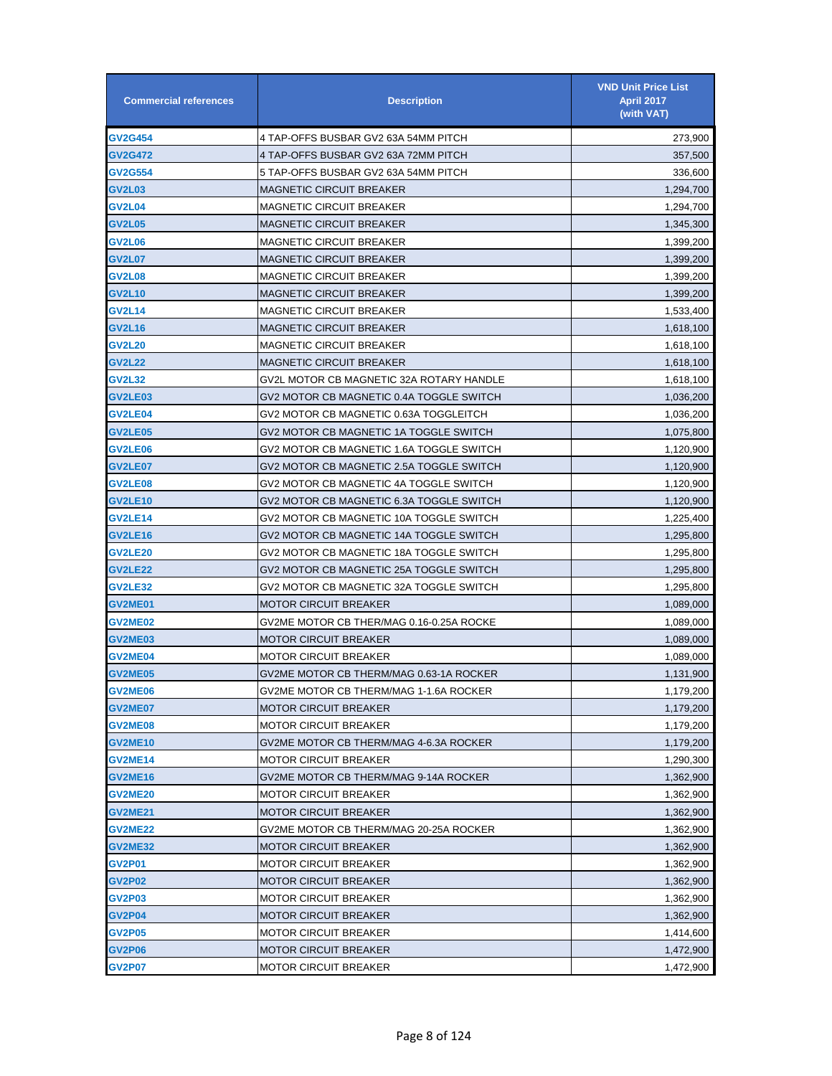| <b>Commercial references</b> | <b>Description</b>                       | <b>VND Unit Price List</b><br><b>April 2017</b><br>(with VAT) |
|------------------------------|------------------------------------------|---------------------------------------------------------------|
| <b>GV2G454</b>               | 4 TAP-OFFS BUSBAR GV2 63A 54MM PITCH     | 273,900                                                       |
| <b>GV2G472</b>               | 4 TAP-OFFS BUSBAR GV2 63A 72MM PITCH     | 357,500                                                       |
| <b>GV2G554</b>               | 5 TAP-OFFS BUSBAR GV2 63A 54MM PITCH     | 336,600                                                       |
| <b>GV2L03</b>                | MAGNETIC CIRCUIT BREAKER                 | 1,294,700                                                     |
| <b>GV2L04</b>                | MAGNETIC CIRCUIT BREAKER                 | 1,294,700                                                     |
| <b>GV2L05</b>                | MAGNETIC CIRCUIT BREAKER                 | 1,345,300                                                     |
| <b>GV2L06</b>                | MAGNETIC CIRCUIT BREAKER                 | 1,399,200                                                     |
| <b>GV2L07</b>                | <b>MAGNETIC CIRCUIT BREAKER</b>          | 1,399,200                                                     |
| <b>GV2L08</b>                | MAGNETIC CIRCUIT BREAKER                 | 1,399,200                                                     |
| <b>GV2L10</b>                | MAGNETIC CIRCUIT BREAKER                 | 1,399,200                                                     |
| <b>GV2L14</b>                | MAGNETIC CIRCUIT BREAKER                 | 1,533,400                                                     |
| <b>GV2L16</b>                | MAGNETIC CIRCUIT BREAKER                 | 1,618,100                                                     |
| <b>GV2L20</b>                | MAGNETIC CIRCUIT BREAKER                 | 1,618,100                                                     |
| <b>GV2L22</b>                | MAGNETIC CIRCUIT BREAKER                 | 1,618,100                                                     |
| <b>GV2L32</b>                | GV2L MOTOR CB MAGNETIC 32A ROTARY HANDLE | 1,618,100                                                     |
| <b>GV2LE03</b>               | GV2 MOTOR CB MAGNETIC 0.4A TOGGLE SWITCH | 1,036,200                                                     |
| <b>GV2LE04</b>               | GV2 MOTOR CB MAGNETIC 0.63A TOGGLEITCH   | 1,036,200                                                     |
| <b>GV2LE05</b>               | GV2 MOTOR CB MAGNETIC 1A TOGGLE SWITCH   | 1,075,800                                                     |
| <b>GV2LE06</b>               | GV2 MOTOR CB MAGNETIC 1.6A TOGGLE SWITCH | 1,120,900                                                     |
| <b>GV2LE07</b>               | GV2 MOTOR CB MAGNETIC 2.5A TOGGLE SWITCH | 1,120,900                                                     |
| <b>GV2LE08</b>               | GV2 MOTOR CB MAGNETIC 4A TOGGLE SWITCH   | 1,120,900                                                     |
| <b>GV2LE10</b>               | GV2 MOTOR CB MAGNETIC 6.3A TOGGLE SWITCH | 1,120,900                                                     |
| <b>GV2LE14</b>               | GV2 MOTOR CB MAGNETIC 10A TOGGLE SWITCH  | 1,225,400                                                     |
| <b>GV2LE16</b>               | GV2 MOTOR CB MAGNETIC 14A TOGGLE SWITCH  | 1,295,800                                                     |
| <b>GV2LE20</b>               | GV2 MOTOR CB MAGNETIC 18A TOGGLE SWITCH  | 1,295,800                                                     |
| <b>GV2LE22</b>               | GV2 MOTOR CB MAGNETIC 25A TOGGLE SWITCH  | 1,295,800                                                     |
| <b>GV2LE32</b>               | GV2 MOTOR CB MAGNETIC 32A TOGGLE SWITCH  | 1,295,800                                                     |
| <b>GV2ME01</b>               | MOTOR CIRCUIT BREAKER                    | 1,089,000                                                     |
| <b>GV2ME02</b>               | GV2ME MOTOR CB THER/MAG 0.16-0.25A ROCKE | 1,089,000                                                     |
| GV2ME03                      | MOTOR CIRCUIT BREAKER                    | 1,089,000                                                     |
| <b>GV2ME04</b>               | MOTOR CIRCUIT BREAKER                    | 1,089,000                                                     |
| <b>GV2ME05</b>               | GV2ME MOTOR CB THERM/MAG 0.63-1A ROCKER  | 1,131,900                                                     |
| GV2ME06                      | GV2ME MOTOR CB THERM/MAG 1-1.6A ROCKER   | 1,179,200                                                     |
| <b>GV2ME07</b>               | <b>MOTOR CIRCUIT BREAKER</b>             | 1,179,200                                                     |
| <b>GV2ME08</b>               | MOTOR CIRCUIT BREAKER                    | 1,179,200                                                     |
| <b>GV2ME10</b>               | GV2ME MOTOR CB THERM/MAG 4-6.3A ROCKER   | 1,179,200                                                     |
| <b>GV2ME14</b>               | MOTOR CIRCUIT BREAKER                    | 1,290,300                                                     |
| <b>GV2ME16</b>               | GV2ME MOTOR CB THERM/MAG 9-14A ROCKER    | 1,362,900                                                     |
| <b>GV2ME20</b>               | MOTOR CIRCUIT BREAKER                    | 1,362,900                                                     |
| <b>GV2ME21</b>               | <b>MOTOR CIRCUIT BREAKER</b>             | 1,362,900                                                     |
| <b>GV2ME22</b>               | GV2ME MOTOR CB THERM/MAG 20-25A ROCKER   | 1,362,900                                                     |
| GV2ME32                      | <b>MOTOR CIRCUIT BREAKER</b>             | 1,362,900                                                     |
| GV2P01                       | MOTOR CIRCUIT BREAKER                    | 1,362,900                                                     |
| <b>GV2P02</b>                | MOTOR CIRCUIT BREAKER                    | 1,362,900                                                     |
| <b>GV2P03</b>                | MOTOR CIRCUIT BREAKER                    | 1,362,900                                                     |
| GV2P04                       | MOTOR CIRCUIT BREAKER                    | 1,362,900                                                     |
| <b>GV2P05</b>                | MOTOR CIRCUIT BREAKER                    | 1,414,600                                                     |
| <b>GV2P06</b>                | <b>MOTOR CIRCUIT BREAKER</b>             | 1,472,900                                                     |
| <b>GV2P07</b>                | <b>MOTOR CIRCUIT BREAKER</b>             | 1,472,900                                                     |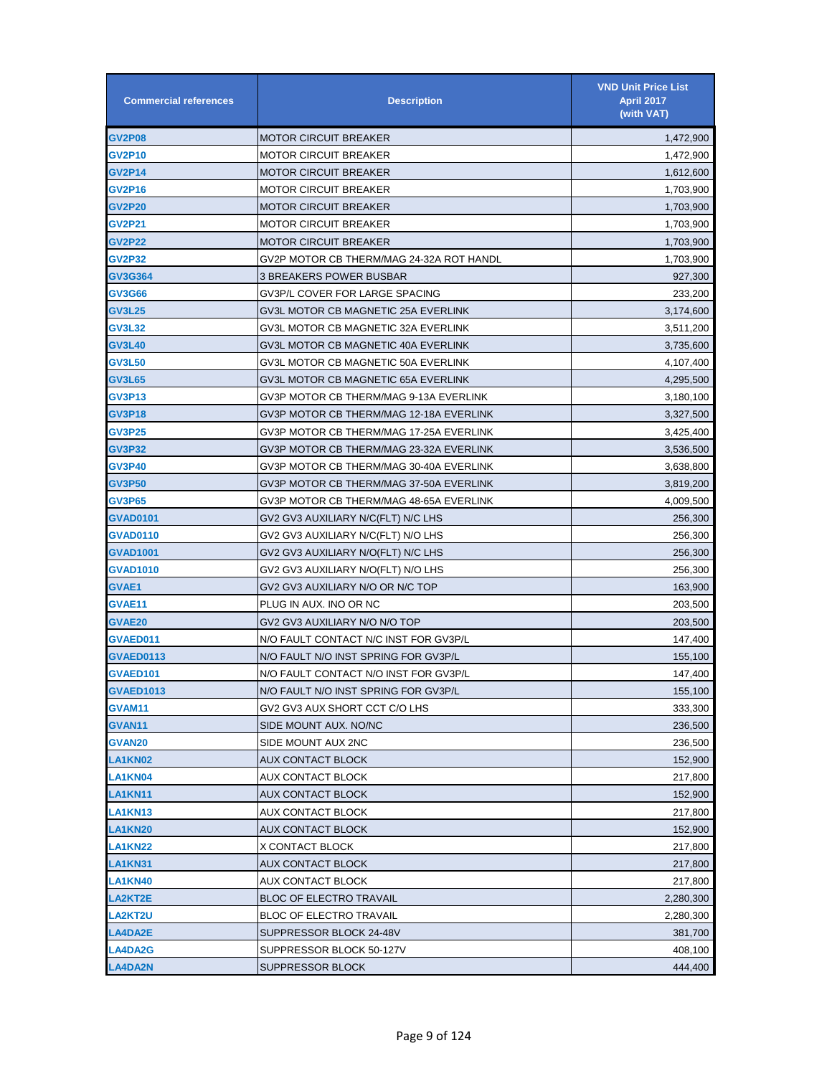| <b>Commercial references</b> | <b>Description</b>                       | <b>VND Unit Price List</b><br><b>April 2017</b><br>(with VAT) |
|------------------------------|------------------------------------------|---------------------------------------------------------------|
| <b>GV2P08</b>                | <b>MOTOR CIRCUIT BREAKER</b>             | 1,472,900                                                     |
| GV2P10                       | <b>MOTOR CIRCUIT BREAKER</b>             | 1,472,900                                                     |
| <b>GV2P14</b>                | <b>MOTOR CIRCUIT BREAKER</b>             | 1,612,600                                                     |
| GV2P16                       | <b>MOTOR CIRCUIT BREAKER</b>             | 1,703,900                                                     |
| <b>GV2P20</b>                | <b>MOTOR CIRCUIT BREAKER</b>             | 1,703,900                                                     |
| <b>GV2P21</b>                | <b>MOTOR CIRCUIT BREAKER</b>             | 1,703,900                                                     |
| <b>GV2P22</b>                | <b>MOTOR CIRCUIT BREAKER</b>             | 1,703,900                                                     |
| <b>GV2P32</b>                | GV2P MOTOR CB THERM/MAG 24-32A ROT HANDL | 1,703,900                                                     |
| GV3G364                      | 3 BREAKERS POWER BUSBAR                  | 927,300                                                       |
| GV3G66                       | GV3P/L COVER FOR LARGE SPACING           | 233,200                                                       |
| <b>GV3L25</b>                | GV3L MOTOR CB MAGNETIC 25A EVERLINK      | 3,174,600                                                     |
| GV3L32                       | GV3L MOTOR CB MAGNETIC 32A EVERLINK      | 3,511,200                                                     |
| <b>GV3L40</b>                | GV3L MOTOR CB MAGNETIC 40A EVERLINK      | 3,735,600                                                     |
| <b>GV3L50</b>                | GV3L MOTOR CB MAGNETIC 50A EVERLINK      | 4,107,400                                                     |
| <b>GV3L65</b>                | GV3L MOTOR CB MAGNETIC 65A EVERLINK      | 4,295,500                                                     |
| <b>GV3P13</b>                | GV3P MOTOR CB THERM/MAG 9-13A EVERLINK   | 3,180,100                                                     |
| GV3P18                       | GV3P MOTOR CB THERM/MAG 12-18A EVERLINK  | 3,327,500                                                     |
| GV3P25                       | GV3P MOTOR CB THERM/MAG 17-25A EVERLINK  | 3,425,400                                                     |
| GV3P32                       | GV3P MOTOR CB THERM/MAG 23-32A EVERLINK  | 3,536,500                                                     |
| GV3P40                       | GV3P MOTOR CB THERM/MAG 30-40A EVERLINK  | 3,638,800                                                     |
| <b>GV3P50</b>                | GV3P MOTOR CB THERM/MAG 37-50A EVERLINK  | 3,819,200                                                     |
| <b>GV3P65</b>                | GV3P MOTOR CB THERM/MAG 48-65A EVERLINK  | 4,009,500                                                     |
| GVAD0101                     | GV2 GV3 AUXILIARY N/C(FLT) N/C LHS       | 256,300                                                       |
| <b>GVAD0110</b>              | GV2 GV3 AUXILIARY N/C(FLT) N/O LHS       | 256,300                                                       |
| <b>GVAD1001</b>              | GV2 GV3 AUXILIARY N/O(FLT) N/C LHS       | 256,300                                                       |
| GVAD1010                     | GV2 GV3 AUXILIARY N/O(FLT) N/O LHS       | 256,300                                                       |
| <b>GVAE1</b>                 | GV2 GV3 AUXILIARY N/O OR N/C TOP         | 163,900                                                       |
| GVAE11                       | PLUG IN AUX. INO OR NC                   | 203,500                                                       |
| <b>GVAE20</b>                | GV2 GV3 AUXILIARY N/O N/O TOP            | 203,500                                                       |
| <b>GVAED011</b>              | N/O FAULT CONTACT N/C INST FOR GV3P/L    | 147,400                                                       |
| GVAED0113                    | N/O FAULT N/O INST SPRING FOR GV3P/L     | 155,100                                                       |
| GVAED101                     | N/O FAULT CONTACT N/O INST FOR GV3P/L    | 147,400                                                       |
| <b>GVAED1013</b>             | N/O FAULT N/O INST SPRING FOR GV3P/L     | 155,100                                                       |
| GVAM11                       | GV2 GV3 AUX SHORT CCT C/O LHS            | 333,300                                                       |
| GVAN11                       | SIDE MOUNT AUX. NO/NC                    | 236,500                                                       |
| GVAN20                       | SIDE MOUNT AUX 2NC                       | 236,500                                                       |
| LA1KN02                      | AUX CONTACT BLOCK                        | 152,900                                                       |
| LA1KN04                      | AUX CONTACT BLOCK                        | 217,800                                                       |
| LA1KN11                      | <b>AUX CONTACT BLOCK</b>                 | 152,900                                                       |
| LA1KN13                      | AUX CONTACT BLOCK                        | 217,800                                                       |
| <b>LA1KN20</b>               | AUX CONTACT BLOCK                        | 152,900                                                       |
| LA1KN22                      | X CONTACT BLOCK                          | 217,800                                                       |
| LA1KN31                      | AUX CONTACT BLOCK                        | 217,800                                                       |
| LA1KN40                      | AUX CONTACT BLOCK                        | 217,800                                                       |
| <b>LA2KT2E</b>               | <b>BLOC OF ELECTRO TRAVAIL</b>           | 2,280,300                                                     |
| <b>LA2KT2U</b>               | <b>BLOC OF ELECTRO TRAVAIL</b>           | 2,280,300                                                     |
| <b>LA4DA2E</b>               | SUPPRESSOR BLOCK 24-48V                  | 381,700                                                       |
| <b>LA4DA2G</b>               | SUPPRESSOR BLOCK 50-127V                 | 408,100                                                       |
| <b>LA4DA2N</b>               | <b>SUPPRESSOR BLOCK</b>                  | 444,400                                                       |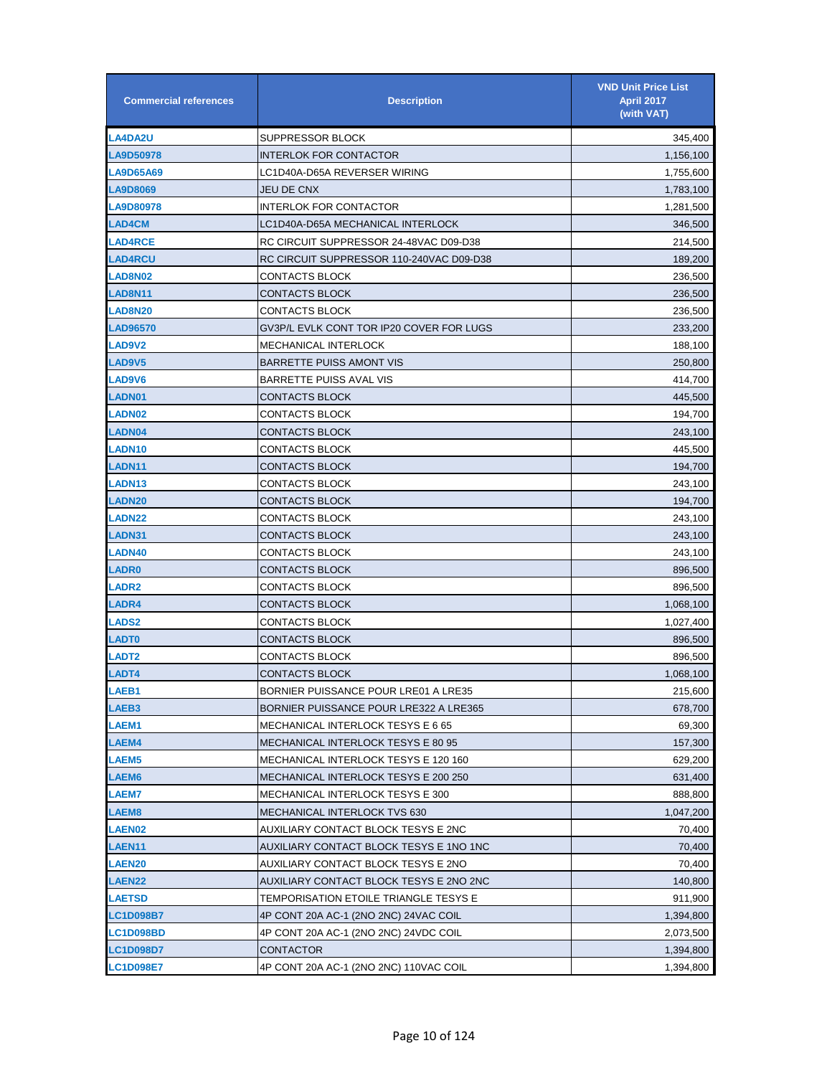| <b>Commercial references</b> | <b>Description</b>                        | <b>VND Unit Price List</b><br><b>April 2017</b><br>(with VAT) |
|------------------------------|-------------------------------------------|---------------------------------------------------------------|
| <b>LA4DA2U</b>               | SUPPRESSOR BLOCK                          | 345,400                                                       |
| LA9D50978                    | <b>INTERLOK FOR CONTACTOR</b>             | 1,156,100                                                     |
| <b>LA9D65A69</b>             | LC1D40A-D65A REVERSER WIRING              | 1,755,600                                                     |
| <b>LA9D8069</b>              | JEU DE CNX                                | 1,783,100                                                     |
| LA9D80978                    | <b>INTERLOK FOR CONTACTOR</b>             | 1,281,500                                                     |
| <b>LAD4CM</b>                | LC1D40A-D65A MECHANICAL INTERLOCK         | 346,500                                                       |
| <b>LAD4RCE</b>               | RC CIRCUIT SUPPRESSOR 24-48VAC D09-D38    | 214,500                                                       |
| <b>LAD4RCU</b>               | RC CIRCUIT SUPPRESSOR 110-240VAC D09-D38  | 189,200                                                       |
| <b>LAD8N02</b>               | CONTACTS BLOCK                            | 236,500                                                       |
| <b>LAD8N11</b>               | CONTACTS BLOCK                            | 236,500                                                       |
| <b>LAD8N20</b>               | CONTACTS BLOCK                            | 236,500                                                       |
| <b>LAD96570</b>              | GV3P/L EVLK CONT TOR IP20 COVER FOR LUGS  | 233,200                                                       |
| <b>LAD9V2</b>                | <b>MECHANICAL INTERLOCK</b>               | 188,100                                                       |
| LAD9V5                       | <b>BARRETTE PUISS AMONT VIS</b>           | 250,800                                                       |
| <b>LAD9V6</b>                | <b>BARRETTE PUISS AVAL VIS</b>            | 414,700                                                       |
| LADN01                       | <b>CONTACTS BLOCK</b>                     | 445,500                                                       |
| <b>LADN02</b>                | CONTACTS BLOCK                            | 194,700                                                       |
| <b>LADN04</b>                | CONTACTS BLOCK                            | 243,100                                                       |
| <b>LADN10</b>                | CONTACTS BLOCK                            | 445.500                                                       |
| <b>LADN11</b>                | CONTACTS BLOCK                            | 194,700                                                       |
| <b>LADN13</b>                | CONTACTS BLOCK                            | 243,100                                                       |
| <b>LADN20</b>                | <b>CONTACTS BLOCK</b>                     | 194,700                                                       |
| <b>LADN22</b>                | CONTACTS BLOCK                            | 243,100                                                       |
| LADN31                       | <b>CONTACTS BLOCK</b>                     | 243,100                                                       |
| <b>LADN40</b>                | CONTACTS BLOCK                            | 243,100                                                       |
| <b>LADR0</b>                 | CONTACTS BLOCK                            | 896,500                                                       |
| <b>LADR2</b>                 | CONTACTS BLOCK                            | 896,500                                                       |
| <b>LADR4</b>                 | CONTACTS BLOCK                            | 1,068,100                                                     |
| <b>LADS2</b>                 | CONTACTS BLOCK                            | 1,027,400                                                     |
| <b>LADT0</b>                 | CONTACTS BLOCK                            | 896,500                                                       |
| <b>LADT2</b>                 | CONTACTS BLOCK                            | 896,500                                                       |
| LADT4                        | CONTACTS BLOCK                            | 1,068,100                                                     |
| LAEB1                        | BORNIER PUISSANCE POUR LRE01 A LRE35      | 215,600                                                       |
| <b>LAEB3</b>                 | BORNIER PUISSANCE POUR LRE322 A LRE365    | 678,700                                                       |
| <b>LAEM1</b>                 | MECHANICAL INTERLOCK TESYS E 6 65         | 69,300                                                        |
| <b>LAEM4</b>                 | <b>MECHANICAL INTERLOCK TESYS E 80 95</b> | 157,300                                                       |
| <b>LAEM5</b>                 | MECHANICAL INTERLOCK TESYS E 120 160      | 629,200                                                       |
| <b>LAEM6</b>                 | MECHANICAL INTERLOCK TESYS E 200 250      | 631,400                                                       |
| <b>LAEM7</b>                 | MECHANICAL INTERLOCK TESYS E 300          | 888,800                                                       |
| LAEM8                        | MECHANICAL INTERLOCK TVS 630              | 1,047,200                                                     |
| <b>LAEN02</b>                | AUXILIARY CONTACT BLOCK TESYS E 2NC       | 70,400                                                        |
| LAEN11                       | AUXILIARY CONTACT BLOCK TESYS E 1NO 1NC   | 70,400                                                        |
| <b>LAEN20</b>                | AUXILIARY CONTACT BLOCK TESYS E 2NO       | 70,400                                                        |
| <b>LAEN22</b>                | AUXILIARY CONTACT BLOCK TESYS E 2NO 2NC   | 140,800                                                       |
| LAETSD                       | TEMPORISATION ETOILE TRIANGLE TESYS E     | 911,900                                                       |
| <b>LC1D098B7</b>             | 4P CONT 20A AC-1 (2NO 2NC) 24VAC COIL     | 1,394,800                                                     |
| <b>LC1D098BD</b>             | 4P CONT 20A AC-1 (2NO 2NC) 24VDC COIL     | 2,073,500                                                     |
| <b>LC1D098D7</b>             | <b>CONTACTOR</b>                          | 1,394,800                                                     |
| <b>LC1D098E7</b>             | 4P CONT 20A AC-1 (2NO 2NC) 110VAC COIL    | 1,394,800                                                     |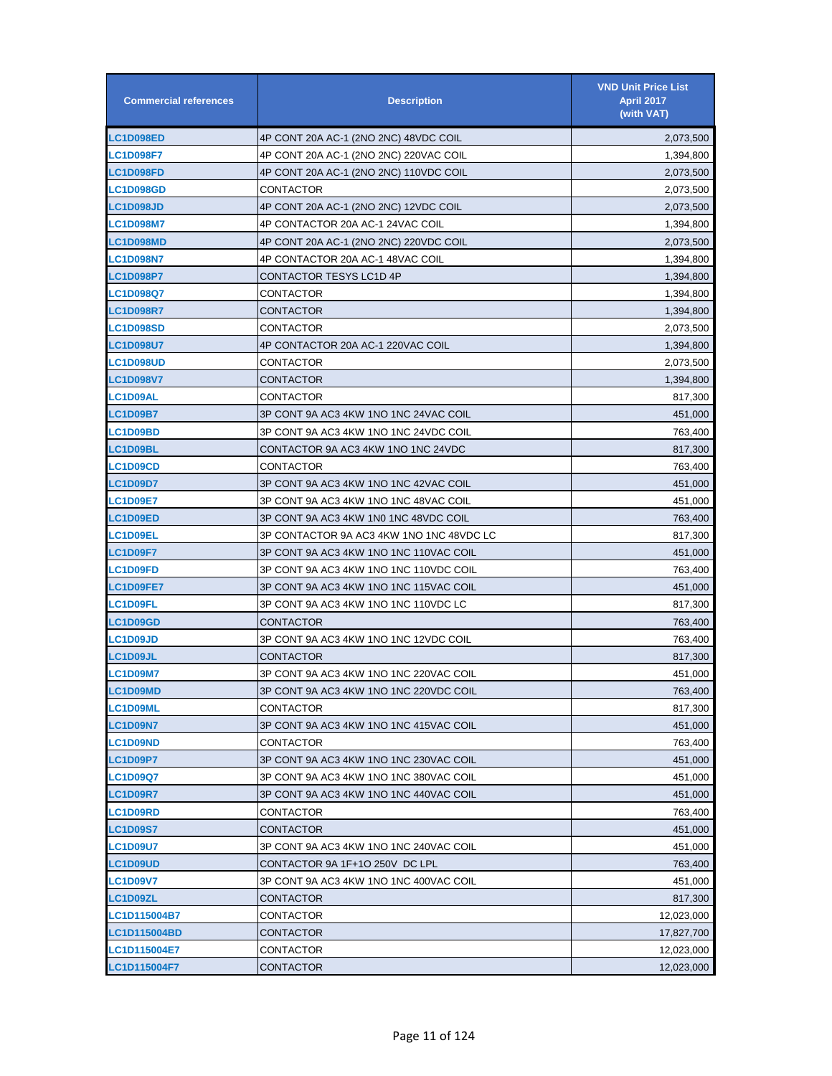| <b>Commercial references</b> | <b>Description</b>                       | <b>VND Unit Price List</b><br><b>April 2017</b><br>(with VAT) |
|------------------------------|------------------------------------------|---------------------------------------------------------------|
| <b>LC1D098ED</b>             | 4P CONT 20A AC-1 (2NO 2NC) 48VDC COIL    | 2,073,500                                                     |
| <b>LC1D098F7</b>             | 4P CONT 20A AC-1 (2NO 2NC) 220VAC COIL   | 1,394,800                                                     |
| <b>LC1D098FD</b>             | 4P CONT 20A AC-1 (2NO 2NC) 110VDC COIL   | 2,073,500                                                     |
| <b>LC1D098GD</b>             | CONTACTOR                                | 2,073,500                                                     |
| <b>LC1D098JD</b>             | 4P CONT 20A AC-1 (2NO 2NC) 12VDC COIL    | 2,073,500                                                     |
| <b>LC1D098M7</b>             | 4P CONTACTOR 20A AC-1 24VAC COIL         | 1,394,800                                                     |
| <b>LC1D098MD</b>             | 4P CONT 20A AC-1 (2NO 2NC) 220VDC COIL   | 2,073,500                                                     |
| <b>LC1D098N7</b>             | 4P CONTACTOR 20A AC-1 48VAC COIL         | 1,394,800                                                     |
| <b>LC1D098P7</b>             | CONTACTOR TESYS LC1D 4P                  | 1,394,800                                                     |
| <b>LC1D098Q7</b>             | CONTACTOR                                | 1,394,800                                                     |
| <b>LC1D098R7</b>             | CONTACTOR                                | 1,394,800                                                     |
| <b>LC1D098SD</b>             | CONTACTOR                                | 2,073,500                                                     |
| <b>LC1D098U7</b>             | 4P CONTACTOR 20A AC-1 220VAC COIL        | 1,394,800                                                     |
| <b>LC1D098UD</b>             | CONTACTOR                                | 2,073,500                                                     |
| <b>LC1D098V7</b>             | <b>CONTACTOR</b>                         | 1,394,800                                                     |
| <b>LC1D09AL</b>              | CONTACTOR                                | 817,300                                                       |
| <b>LC1D09B7</b>              | 3P CONT 9A AC3 4KW 1NO 1NC 24VAC COIL    | 451,000                                                       |
| <b>LC1D09BD</b>              | 3P CONT 9A AC3 4KW 1NO 1NC 24VDC COIL    | 763,400                                                       |
| <b>LC1D09BL</b>              | CONTACTOR 9A AC3 4KW 1NO 1NC 24VDC       | 817,300                                                       |
| <b>LC1D09CD</b>              | CONTACTOR                                | 763,400                                                       |
| <b>LC1D09D7</b>              | 3P CONT 9A AC3 4KW 1NO 1NC 42VAC COIL    | 451,000                                                       |
| <b>LC1D09E7</b>              | 3P CONT 9A AC3 4KW 1NO 1NC 48VAC COIL    | 451,000                                                       |
| <b>LC1D09ED</b>              | 3P CONT 9A AC3 4KW 1N0 1NC 48VDC COIL    | 763,400                                                       |
| <b>LC1D09EL</b>              | 3P CONTACTOR 9A AC3 4KW 1NO 1NC 48VDC LC | 817,300                                                       |
| <b>LC1D09F7</b>              | 3P CONT 9A AC3 4KW 1NO 1NC 110VAC COIL   | 451,000                                                       |
| <b>LC1D09FD</b>              | 3P CONT 9A AC3 4KW 1NO 1NC 110VDC COIL   | 763,400                                                       |
| <b>LC1D09FE7</b>             | 3P CONT 9A AC3 4KW 1NO 1NC 115VAC COIL   | 451,000                                                       |
| <b>LC1D09FL</b>              | 3P CONT 9A AC3 4KW 1NO 1NC 110VDC LC     | 817,300                                                       |
| <b>LC1D09GD</b>              | CONTACTOR                                | 763,400                                                       |
| <b>LC1D09JD</b>              | 3P CONT 9A AC3 4KW 1NO 1NC 12VDC COIL    | 763,400                                                       |
| <b>LC1D09JL</b>              | CONTACTOR                                | 817,300                                                       |
| <b>LC1D09M7</b>              | 3P CONT 9A AC3 4KW 1NO 1NC 220VAC COIL   | 451,000                                                       |
| <b>LC1D09MD</b>              | 3P CONT 9A AC3 4KW 1NO 1NC 220VDC COIL   | 763,400                                                       |
| <b>LC1D09ML</b>              | CONTACTOR                                | 817,300                                                       |
| <b>LC1D09N7</b>              | 3P CONT 9A AC3 4KW 1NO 1NC 415VAC COIL   | 451,000                                                       |
| <b>LC1D09ND</b>              | CONTACTOR                                | 763,400                                                       |
| <b>LC1D09P7</b>              | 3P CONT 9A AC3 4KW 1NO 1NC 230VAC COIL   | 451,000                                                       |
| <b>LC1D09Q7</b>              | 3P CONT 9A AC3 4KW 1NO 1NC 380VAC COIL   | 451,000                                                       |
| <b>LC1D09R7</b>              | 3P CONT 9A AC3 4KW 1NO 1NC 440VAC COIL   | 451,000                                                       |
| LC1D09RD                     | CONTACTOR                                | 763,400                                                       |
| <b>LC1D09S7</b>              | CONTACTOR                                | 451,000                                                       |
| <b>LC1D09U7</b>              | 3P CONT 9A AC3 4KW 1NO 1NC 240VAC COIL   | 451,000                                                       |
| <b>LC1D09UD</b>              | CONTACTOR 9A 1F+1O 250V DC LPL           | 763,400                                                       |
| <b>LC1D09V7</b>              | 3P CONT 9A AC3 4KW 1NO 1NC 400VAC COIL   | 451,000                                                       |
| <b>LC1D09ZL</b>              | CONTACTOR                                | 817,300                                                       |
| <b>LC1D115004B7</b>          | CONTACTOR                                | 12,023,000                                                    |
| <b>LC1D115004BD</b>          | CONTACTOR                                | 17,827,700                                                    |
| <b>LC1D115004E7</b>          | CONTACTOR                                | 12,023,000                                                    |
| LC1D115004F7                 | <b>CONTACTOR</b>                         | 12,023,000                                                    |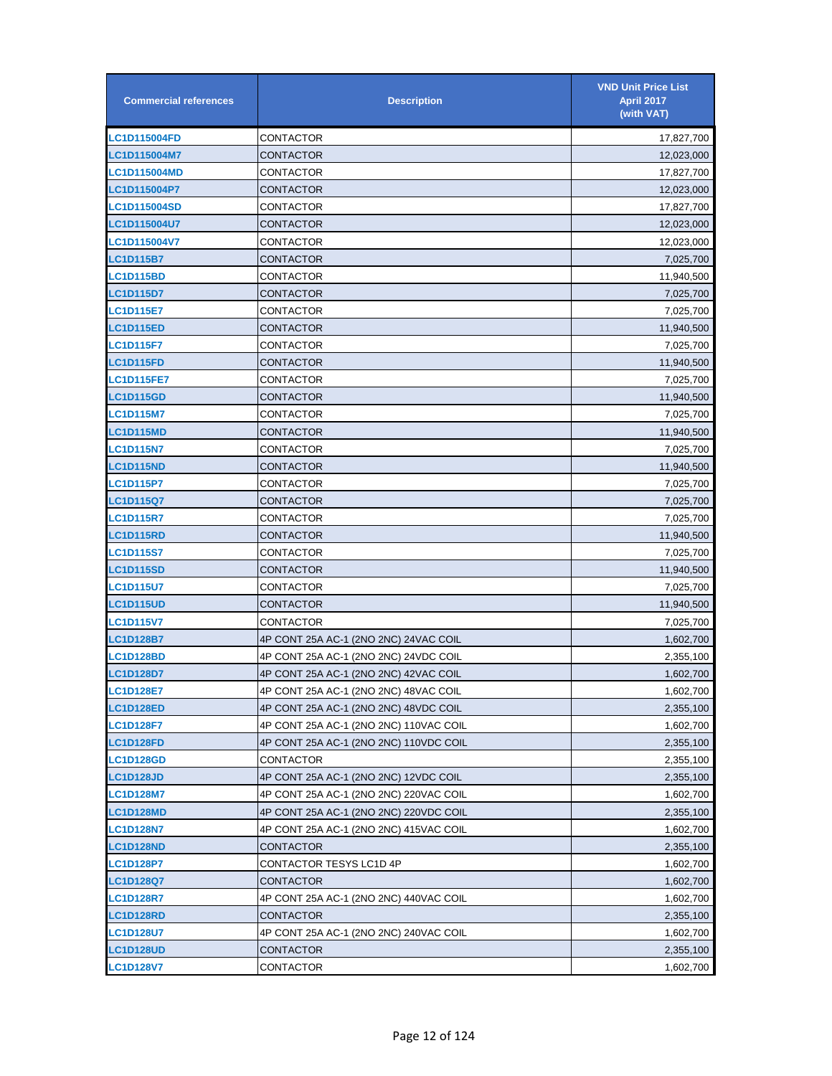| <b>Commercial references</b> | <b>Description</b>                     | <b>VND Unit Price List</b><br><b>April 2017</b><br>(with VAT) |
|------------------------------|----------------------------------------|---------------------------------------------------------------|
| <b>LC1D115004FD</b>          | CONTACTOR                              | 17,827,700                                                    |
| LC1D115004M7                 | CONTACTOR                              | 12,023,000                                                    |
| <b>LC1D115004MD</b>          | CONTACTOR                              | 17,827,700                                                    |
| LC1D115004P7                 | CONTACTOR                              | 12,023,000                                                    |
| <b>LC1D115004SD</b>          | CONTACTOR                              | 17,827,700                                                    |
| <b>LC1D115004U7</b>          | CONTACTOR                              | 12,023,000                                                    |
| LC1D115004V7                 | CONTACTOR                              | 12,023,000                                                    |
| <b>LC1D115B7</b>             | CONTACTOR                              | 7,025,700                                                     |
| <b>LC1D115BD</b>             | CONTACTOR                              | 11,940,500                                                    |
| <b>LC1D115D7</b>             | CONTACTOR                              | 7,025,700                                                     |
| <b>LC1D115E7</b>             | CONTACTOR                              | 7,025,700                                                     |
| <b>LC1D115ED</b>             | CONTACTOR                              | 11,940,500                                                    |
| <b>LC1D115F7</b>             | CONTACTOR                              | 7,025,700                                                     |
| <b>LC1D115FD</b>             | CONTACTOR                              | 11,940,500                                                    |
| <b>LC1D115FE7</b>            | CONTACTOR                              | 7,025,700                                                     |
| <b>LC1D115GD</b>             | CONTACTOR                              | 11,940,500                                                    |
| <b>LC1D115M7</b>             | CONTACTOR                              | 7,025,700                                                     |
| <b>LC1D115MD</b>             | CONTACTOR                              | 11,940,500                                                    |
| <b>LC1D115N7</b>             | CONTACTOR                              | 7,025,700                                                     |
| <b>LC1D115ND</b>             | CONTACTOR                              | 11,940,500                                                    |
| <b>LC1D115P7</b>             | CONTACTOR                              | 7,025,700                                                     |
| <b>LC1D115Q7</b>             | CONTACTOR                              | 7,025,700                                                     |
| <b>LC1D115R7</b>             | CONTACTOR                              | 7,025,700                                                     |
| <b>LC1D115RD</b>             | CONTACTOR                              | 11,940,500                                                    |
| <b>LC1D115S7</b>             | CONTACTOR                              | 7,025,700                                                     |
| <b>LC1D115SD</b>             | CONTACTOR                              | 11,940,500                                                    |
| <b>LC1D115U7</b>             | CONTACTOR                              | 7,025,700                                                     |
| <b>LC1D115UD</b>             | CONTACTOR                              | 11,940,500                                                    |
| <b>LC1D115V7</b>             | CONTACTOR                              | 7,025,700                                                     |
| LC1D128B7                    | 4P CONT 25A AC-1 (2NO 2NC) 24VAC COIL  | 1,602,700                                                     |
| LC1D128BD                    | 4P CONT 25A AC-1 (2NO 2NC) 24VDC COIL  | 2,355,100                                                     |
| <b>LC1D128D7</b>             | 4P CONT 25A AC-1 (2NO 2NC) 42VAC COIL  | 1,602,700                                                     |
| <b>LC1D128E7</b>             | 4P CONT 25A AC-1 (2NO 2NC) 48VAC COIL  | 1,602,700                                                     |
| <b>LC1D128ED</b>             | 4P CONT 25A AC-1 (2NO 2NC) 48VDC COIL  | 2,355,100                                                     |
| <b>LC1D128F7</b>             | 4P CONT 25A AC-1 (2NO 2NC) 110VAC COIL | 1,602,700                                                     |
| <b>LC1D128FD</b>             | 4P CONT 25A AC-1 (2NO 2NC) 110VDC COIL | 2,355,100                                                     |
| <b>LC1D128GD</b>             | CONTACTOR                              | 2,355,100                                                     |
| <b>LC1D128JD</b>             | 4P CONT 25A AC-1 (2NO 2NC) 12VDC COIL  | 2,355,100                                                     |
| <b>LC1D128M7</b>             | 4P CONT 25A AC-1 (2NO 2NC) 220VAC COIL | 1,602,700                                                     |
| <b>LC1D128MD</b>             | 4P CONT 25A AC-1 (2NO 2NC) 220VDC COIL | 2,355,100                                                     |
| <b>LC1D128N7</b>             | 4P CONT 25A AC-1 (2NO 2NC) 415VAC COIL | 1,602,700                                                     |
| <b>LC1D128ND</b>             | CONTACTOR                              | 2,355,100                                                     |
| LC1D128P7                    | CONTACTOR TESYS LC1D 4P                | 1,602,700                                                     |
| <b>LC1D128Q7</b>             | CONTACTOR                              | 1,602,700                                                     |
| <b>LC1D128R7</b>             | 4P CONT 25A AC-1 (2NO 2NC) 440VAC COIL | 1,602,700                                                     |
| <b>LC1D128RD</b>             | CONTACTOR                              | 2,355,100                                                     |
| <b>LC1D128U7</b>             | 4P CONT 25A AC-1 (2NO 2NC) 240VAC COIL | 1,602,700                                                     |
| <b>LC1D128UD</b>             | CONTACTOR                              | 2,355,100                                                     |
| <b>LC1D128V7</b>             | CONTACTOR                              | 1,602,700                                                     |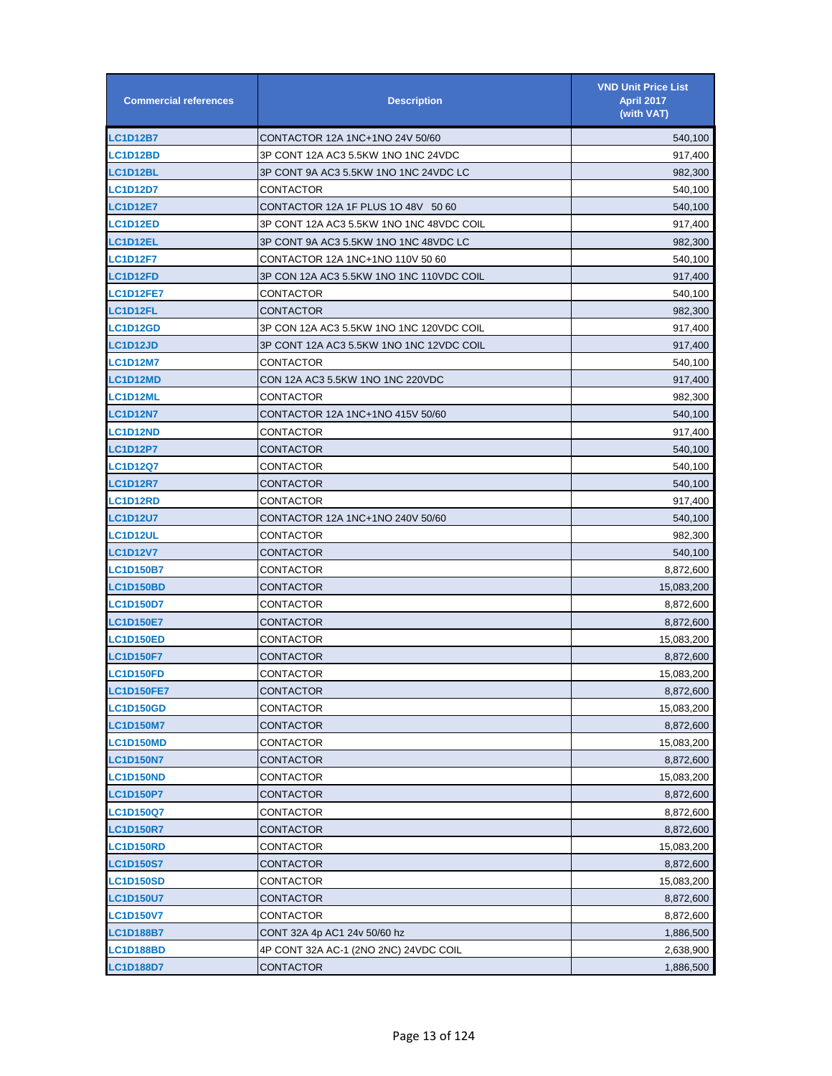| <b>Commercial references</b> | <b>Description</b>                       | <b>VND Unit Price List</b><br><b>April 2017</b><br>(with VAT) |
|------------------------------|------------------------------------------|---------------------------------------------------------------|
| <b>LC1D12B7</b>              | CONTACTOR 12A 1NC+1NO 24V 50/60          | 540,100                                                       |
| <b>LC1D12BD</b>              | 3P CONT 12A AC3 5.5KW 1NO 1NC 24VDC      | 917,400                                                       |
| <b>LC1D12BL</b>              | 3P CONT 9A AC3 5.5KW 1NO 1NC 24VDC LC    | 982,300                                                       |
| <b>LC1D12D7</b>              | CONTACTOR                                | 540,100                                                       |
| <b>LC1D12E7</b>              | CONTACTOR 12A 1F PLUS 1O 48V 50 60       | 540,100                                                       |
| <b>LC1D12ED</b>              | 3P CONT 12A AC3 5.5KW 1NO 1NC 48VDC COIL | 917,400                                                       |
| <b>LC1D12EL</b>              | 3P CONT 9A AC3 5.5KW 1NO 1NC 48VDC LC    | 982,300                                                       |
| <b>LC1D12F7</b>              | CONTACTOR 12A 1NC+1NO 110V 50 60         | 540,100                                                       |
| <b>LC1D12FD</b>              | 3P CON 12A AC3 5.5KW 1NO 1NC 110VDC COIL | 917,400                                                       |
| <b>LC1D12FE7</b>             | CONTACTOR                                | 540,100                                                       |
| <b>LC1D12FL</b>              | CONTACTOR                                | 982,300                                                       |
| <b>LC1D12GD</b>              | 3P CON 12A AC3 5.5KW 1NO 1NC 120VDC COIL | 917,400                                                       |
| <b>LC1D12JD</b>              | 3P CONT 12A AC3 5.5KW 1NO 1NC 12VDC COIL | 917,400                                                       |
| <b>LC1D12M7</b>              | CONTACTOR                                | 540,100                                                       |
| LC1D12MD                     | CON 12A AC3 5.5KW 1NO 1NC 220VDC         | 917,400                                                       |
| LC1D12ML                     | CONTACTOR                                | 982,300                                                       |
| <b>LC1D12N7</b>              | CONTACTOR 12A 1NC+1NO 415V 50/60         | 540,100                                                       |
| <b>LC1D12ND</b>              | CONTACTOR                                | 917,400                                                       |
| <b>LC1D12P7</b>              | CONTACTOR                                | 540,100                                                       |
| <b>LC1D12Q7</b>              | CONTACTOR                                | 540,100                                                       |
| <b>LC1D12R7</b>              | CONTACTOR                                | 540,100                                                       |
| <b>LC1D12RD</b>              | CONTACTOR                                | 917,400                                                       |
| <b>LC1D12U7</b>              | CONTACTOR 12A 1NC+1NO 240V 50/60         | 540,100                                                       |
| <b>LC1D12UL</b>              | CONTACTOR                                | 982,300                                                       |
| <b>LC1D12V7</b>              | CONTACTOR                                | 540,100                                                       |
| <b>LC1D150B7</b>             | CONTACTOR                                | 8,872,600                                                     |
| <b>LC1D150BD</b>             | CONTACTOR                                | 15,083,200                                                    |
| <b>LC1D150D7</b>             | CONTACTOR                                | 8,872,600                                                     |
| <b>LC1D150E7</b>             | CONTACTOR                                | 8,872,600                                                     |
| <b>LC1D150ED</b>             | CONTACTOR                                | 15,083,200                                                    |
| <b>LC1D150F7</b>             | CONTACTOR                                | 8,872,600                                                     |
| <b>LC1D150FD</b>             | CONTACTOR                                | 15,083,200                                                    |
| <b>LC1D150FE7</b>            | CONTACTOR                                | 8,872,600                                                     |
| <b>LC1D150GD</b>             | CONTACTOR                                | 15,083,200                                                    |
| <b>LC1D150M7</b>             | CONTACTOR                                | 8,872,600                                                     |
| <b>LC1D150MD</b>             | CONTACTOR                                | 15,083,200                                                    |
| <b>LC1D150N7</b>             | CONTACTOR                                | 8,872,600                                                     |
| <b>LC1D150ND</b>             | CONTACTOR                                | 15,083,200                                                    |
| <b>LC1D150P7</b>             | CONTACTOR                                | 8,872,600                                                     |
| LC1D150Q7                    | CONTACTOR                                | 8,872,600                                                     |
| <b>LC1D150R7</b>             | CONTACTOR                                | 8,872,600                                                     |
| <b>LC1D150RD</b>             | CONTACTOR                                | 15,083,200                                                    |
| <b>LC1D150S7</b>             | CONTACTOR                                | 8,872,600                                                     |
| <b>LC1D150SD</b>             | CONTACTOR                                | 15,083,200                                                    |
| <b>LC1D150U7</b>             | CONTACTOR                                | 8,872,600                                                     |
| <b>LC1D150V7</b>             | CONTACTOR                                | 8,872,600                                                     |
| <b>LC1D188B7</b>             | CONT 32A 4p AC1 24v 50/60 hz             | 1,886,500                                                     |
| <b>LC1D188BD</b>             | 4P CONT 32A AC-1 (2NO 2NC) 24VDC COIL    | 2,638,900                                                     |
| <b>LC1D188D7</b>             | <b>CONTACTOR</b>                         | 1,886,500                                                     |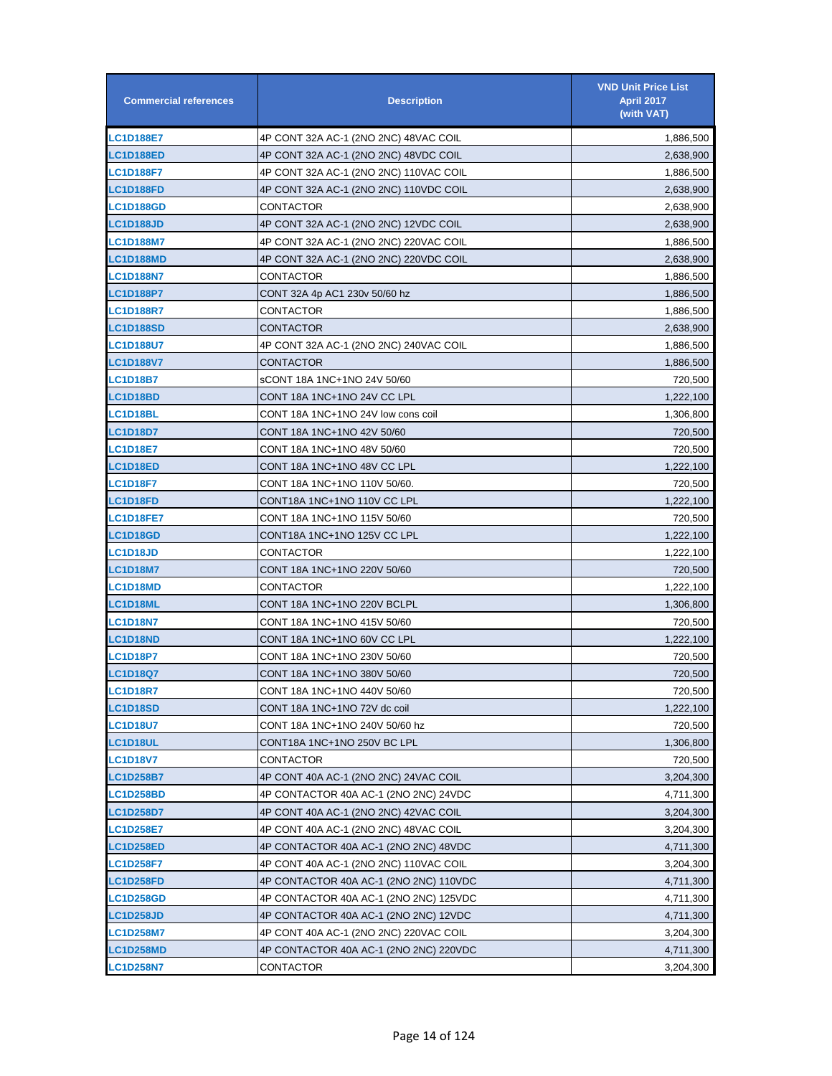| <b>Commercial references</b> | <b>Description</b>                     | <b>VND Unit Price List</b><br><b>April 2017</b><br>(with VAT) |
|------------------------------|----------------------------------------|---------------------------------------------------------------|
| <b>LC1D188E7</b>             | 4P CONT 32A AC-1 (2NO 2NC) 48VAC COIL  | 1,886,500                                                     |
| <b>LC1D188ED</b>             | 4P CONT 32A AC-1 (2NO 2NC) 48VDC COIL  | 2,638,900                                                     |
| <b>LC1D188F7</b>             | 4P CONT 32A AC-1 (2NO 2NC) 110VAC COIL | 1,886,500                                                     |
| <b>LC1D188FD</b>             | 4P CONT 32A AC-1 (2NO 2NC) 110VDC COIL | 2,638,900                                                     |
| LC1D188GD                    | CONTACTOR                              | 2,638,900                                                     |
| <b>LC1D188JD</b>             | 4P CONT 32A AC-1 (2NO 2NC) 12VDC COIL  | 2,638,900                                                     |
| <b>LC1D188M7</b>             | 4P CONT 32A AC-1 (2NO 2NC) 220VAC COIL | 1,886,500                                                     |
| <b>LC1D188MD</b>             | 4P CONT 32A AC-1 (2NO 2NC) 220VDC COIL | 2,638,900                                                     |
| <b>LC1D188N7</b>             | CONTACTOR                              | 1,886,500                                                     |
| <b>LC1D188P7</b>             | CONT 32A 4p AC1 230v 50/60 hz          | 1,886,500                                                     |
| <b>LC1D188R7</b>             | CONTACTOR                              | 1,886,500                                                     |
| <b>LC1D188SD</b>             | CONTACTOR                              | 2,638,900                                                     |
| <b>LC1D188U7</b>             | 4P CONT 32A AC-1 (2NO 2NC) 240VAC COIL | 1,886,500                                                     |
| <b>LC1D188V7</b>             | CONTACTOR                              | 1,886,500                                                     |
| LC1D18B7                     | sCONT 18A 1NC+1NO 24V 50/60            | 720,500                                                       |
| LC1D18BD                     | CONT 18A 1NC+1NO 24V CC LPL            | 1,222,100                                                     |
| LC1D18BL                     | CONT 18A 1NC+1NO 24V low cons coil     | 1,306,800                                                     |
| <b>LC1D18D7</b>              | CONT 18A 1NC+1NO 42V 50/60             | 720,500                                                       |
| <b>LC1D18E7</b>              | CONT 18A 1NC+1NO 48V 50/60             | 720,500                                                       |
| <b>LC1D18ED</b>              | CONT 18A 1NC+1NO 48V CC LPL            | 1,222,100                                                     |
| <b>LC1D18F7</b>              | CONT 18A 1NC+1NO 110V 50/60.           | 720,500                                                       |
| <b>LC1D18FD</b>              | CONT18A 1NC+1NO 110V CC LPL            | 1,222,100                                                     |
| <b>LC1D18FE7</b>             | CONT 18A 1NC+1NO 115V 50/60            | 720,500                                                       |
| <b>LC1D18GD</b>              | CONT18A 1NC+1NO 125V CC LPL            | 1,222,100                                                     |
| <b>LC1D18JD</b>              | CONTACTOR                              | 1,222,100                                                     |
| LC1D18M7                     | CONT 18A 1NC+1NO 220V 50/60            | 720,500                                                       |
| <b>LC1D18MD</b>              | CONTACTOR                              | 1,222,100                                                     |
| LC1D18ML                     | CONT 18A 1NC+1NO 220V BCLPL            | 1,306,800                                                     |
| <b>LC1D18N7</b>              | CONT 18A 1NC+1NO 415V 50/60            | 720,500                                                       |
| LC1D18ND                     | CONT 18A 1NC+1NO 60V CC LPL            | 1,222,100                                                     |
| LC1D18P7                     | CONT 18A 1NC+1NO 230V 50/60            | 720,500                                                       |
| LC1D18Q7                     | CONT 18A 1NC+1NO 380V 50/60            | 720,500                                                       |
| <b>LC1D18R7</b>              | CONT 18A 1NC+1NO 440V 50/60            | 720,500                                                       |
| <b>LC1D18SD</b>              | CONT 18A 1NC+1NO 72V dc coil           | 1,222,100                                                     |
| <b>LC1D18U7</b>              | CONT 18A 1NC+1NO 240V 50/60 hz         | 720,500                                                       |
| LC1D18UL                     | CONT18A 1NC+1NO 250V BC LPL            | 1,306,800                                                     |
| <b>LC1D18V7</b>              | CONTACTOR                              | 720,500                                                       |
| <b>LC1D258B7</b>             | 4P CONT 40A AC-1 (2NO 2NC) 24VAC COIL  | 3,204,300                                                     |
| <b>LC1D258BD</b>             | 4P CONTACTOR 40A AC-1 (2NO 2NC) 24VDC  | 4,711,300                                                     |
| <b>LC1D258D7</b>             | 4P CONT 40A AC-1 (2NO 2NC) 42VAC COIL  | 3,204,300                                                     |
| <b>LC1D258E7</b>             | 4P CONT 40A AC-1 (2NO 2NC) 48VAC COIL  | 3,204,300                                                     |
| <b>LC1D258ED</b>             | 4P CONTACTOR 40A AC-1 (2NO 2NC) 48VDC  | 4,711,300                                                     |
| <b>LC1D258F7</b>             | 4P CONT 40A AC-1 (2NO 2NC) 110VAC COIL | 3,204,300                                                     |
| <b>LC1D258FD</b>             | 4P CONTACTOR 40A AC-1 (2NO 2NC) 110VDC | 4,711,300                                                     |
| <b>LC1D258GD</b>             | 4P CONTACTOR 40A AC-1 (2NO 2NC) 125VDC | 4,711,300                                                     |
| <b>LC1D258JD</b>             | 4P CONTACTOR 40A AC-1 (2NO 2NC) 12VDC  | 4,711,300                                                     |
| <b>LC1D258M7</b>             | 4P CONT 40A AC-1 (2NO 2NC) 220VAC COIL | 3,204,300                                                     |
| <b>LC1D258MD</b>             | 4P CONTACTOR 40A AC-1 (2NO 2NC) 220VDC | 4,711,300                                                     |
| <b>LC1D258N7</b>             | CONTACTOR                              | 3,204,300                                                     |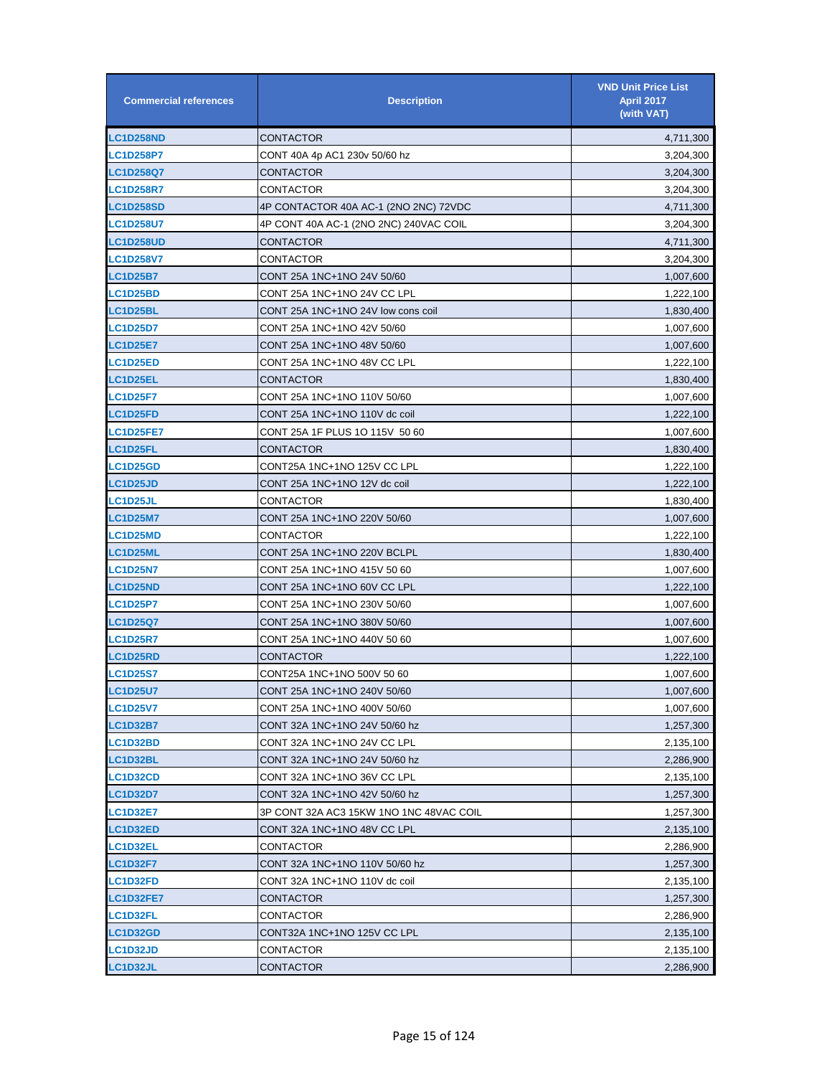| <b>Commercial references</b> | <b>Description</b>                      | <b>VND Unit Price List</b><br><b>April 2017</b><br>(with VAT) |
|------------------------------|-----------------------------------------|---------------------------------------------------------------|
| <b>LC1D258ND</b>             | CONTACTOR                               | 4,711,300                                                     |
| <b>LC1D258P7</b>             | CONT 40A 4p AC1 230v 50/60 hz           | 3,204,300                                                     |
| <b>LC1D258Q7</b>             | CONTACTOR                               | 3,204,300                                                     |
| <b>LC1D258R7</b>             | CONTACTOR                               | 3,204,300                                                     |
| <b>LC1D258SD</b>             | 4P CONTACTOR 40A AC-1 (2NO 2NC) 72VDC   | 4,711,300                                                     |
| <b>LC1D258U7</b>             | 4P CONT 40A AC-1 (2NO 2NC) 240VAC COIL  | 3,204,300                                                     |
| <b>LC1D258UD</b>             | CONTACTOR                               | 4,711,300                                                     |
| <b>LC1D258V7</b>             | CONTACTOR                               | 3,204,300                                                     |
| <b>LC1D25B7</b>              | CONT 25A 1NC+1NO 24V 50/60              | 1,007,600                                                     |
| <b>LC1D25BD</b>              | CONT 25A 1NC+1NO 24V CC LPL             | 1,222,100                                                     |
| <b>LC1D25BL</b>              | CONT 25A 1NC+1NO 24V low cons coil      | 1,830,400                                                     |
| <b>LC1D25D7</b>              | CONT 25A 1NC+1NO 42V 50/60              | 1,007,600                                                     |
| <b>LC1D25E7</b>              | CONT 25A 1NC+1NO 48V 50/60              | 1,007,600                                                     |
| <b>LC1D25ED</b>              | CONT 25A 1NC+1NO 48V CC LPL             | 1,222,100                                                     |
| <b>LC1D25EL</b>              | CONTACTOR                               | 1,830,400                                                     |
| <b>LC1D25F7</b>              | CONT 25A 1NC+1NO 110V 50/60             | 1,007,600                                                     |
| <b>LC1D25FD</b>              | CONT 25A 1NC+1NO 110V dc coil           | 1,222,100                                                     |
| <b>LC1D25FE7</b>             | CONT 25A 1F PLUS 1O 115V 50 60          | 1,007,600                                                     |
| <b>LC1D25FL</b>              | CONTACTOR                               | 1,830,400                                                     |
| <b>LC1D25GD</b>              | CONT25A 1NC+1NO 125V CC LPL             | 1,222,100                                                     |
| <b>LC1D25JD</b>              | CONT 25A 1NC+1NO 12V dc coil            | 1,222,100                                                     |
| <b>LC1D25JL</b>              | CONTACTOR                               | 1,830,400                                                     |
| <b>LC1D25M7</b>              | CONT 25A 1NC+1NO 220V 50/60             | 1,007,600                                                     |
| <b>LC1D25MD</b>              | CONTACTOR                               | 1,222,100                                                     |
| <b>LC1D25ML</b>              | CONT 25A 1NC+1NO 220V BCLPL             | 1,830,400                                                     |
| <b>LC1D25N7</b>              | CONT 25A 1NC+1NO 415V 50 60             | 1,007,600                                                     |
| <b>LC1D25ND</b>              | CONT 25A 1NC+1NO 60V CC LPL             | 1,222,100                                                     |
| <b>LC1D25P7</b>              | CONT 25A 1NC+1NO 230V 50/60             | 1,007,600                                                     |
| <b>LC1D25Q7</b>              | CONT 25A 1NC+1NO 380V 50/60             | 1,007,600                                                     |
| <b>LC1D25R7</b>              | CONT 25A 1NC+1NO 440V 50 60             | 1,007,600                                                     |
| <b>LC1D25RD</b>              | CONTACTOR                               | 1,222,100                                                     |
| <b>LC1D25S7</b>              | CONT25A 1NC+1NO 500V 50 60              | 1,007,600                                                     |
| <b>LC1D25U7</b>              | CONT 25A 1NC+1NO 240V 50/60             | 1,007,600                                                     |
| <b>LC1D25V7</b>              | CONT 25A 1NC+1NO 400V 50/60             | 1,007,600                                                     |
| <b>LC1D32B7</b>              | CONT 32A 1NC+1NO 24V 50/60 hz           | 1,257,300                                                     |
| <b>LC1D32BD</b>              | CONT 32A 1NC+1NO 24V CC LPL             | 2,135,100                                                     |
| <b>LC1D32BL</b>              | CONT 32A 1NC+1NO 24V 50/60 hz           | 2,286,900                                                     |
| <b>LC1D32CD</b>              | CONT 32A 1NC+1NO 36V CC LPL             | 2,135,100                                                     |
| <b>LC1D32D7</b>              | CONT 32A 1NC+1NO 42V 50/60 hz           | 1,257,300                                                     |
| <b>LC1D32E7</b>              | 3P CONT 32A AC3 15KW 1NO 1NC 48VAC COIL | 1,257,300                                                     |
| <b>LC1D32ED</b>              | CONT 32A 1NC+1NO 48V CC LPL             | 2,135,100                                                     |
| <b>LC1D32EL</b>              | CONTACTOR                               | 2,286,900                                                     |
| LC1D32F7                     | CONT 32A 1NC+1NO 110V 50/60 hz          | 1,257,300                                                     |
| <b>LC1D32FD</b>              | CONT 32A 1NC+1NO 110V dc coil           | 2,135,100                                                     |
| <b>LC1D32FE7</b>             | CONTACTOR                               | 1,257,300                                                     |
| <b>LC1D32FL</b>              | CONTACTOR                               | 2,286,900                                                     |
| <b>LC1D32GD</b>              | CONT32A 1NC+1NO 125V CC LPL             | 2,135,100                                                     |
| <b>LC1D32JD</b>              | CONTACTOR                               | 2,135,100                                                     |
| LC1D32JL                     | CONTACTOR                               | 2,286,900                                                     |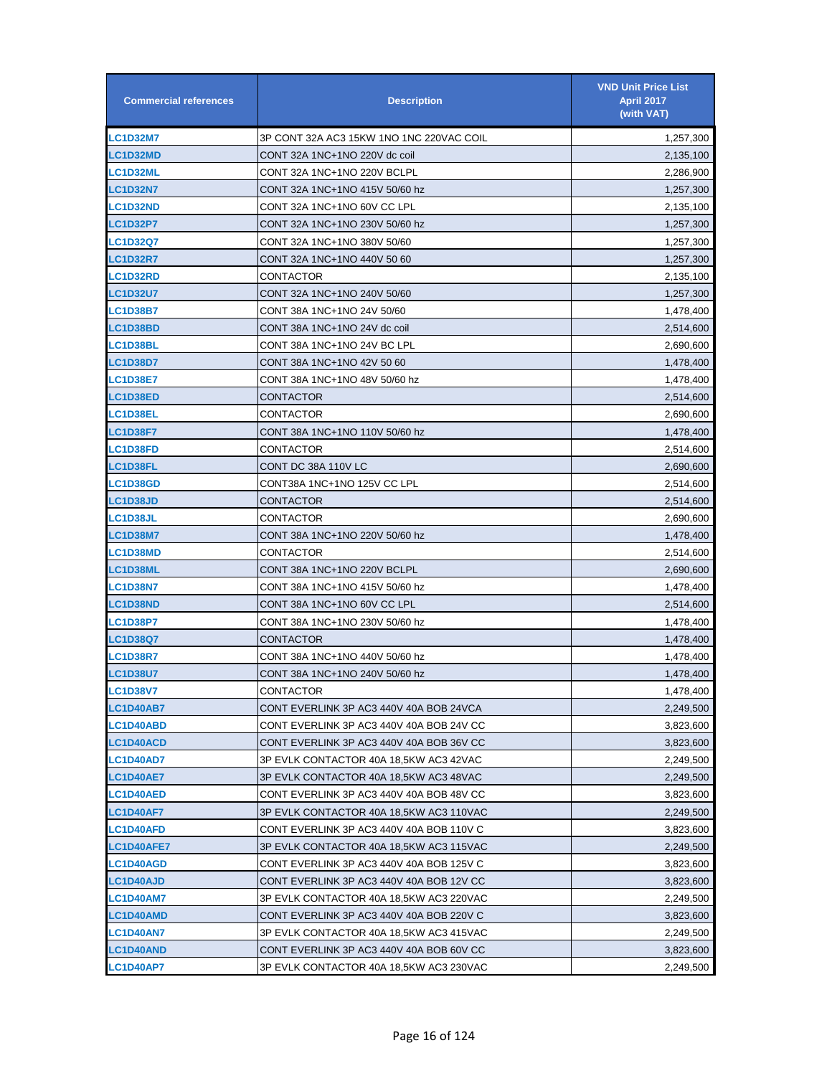| <b>Commercial references</b> | <b>Description</b>                       | <b>VND Unit Price List</b><br><b>April 2017</b><br>(with VAT) |
|------------------------------|------------------------------------------|---------------------------------------------------------------|
| <b>LC1D32M7</b>              | 3P CONT 32A AC3 15KW 1NO 1NC 220VAC COIL | 1,257,300                                                     |
| <b>LC1D32MD</b>              | CONT 32A 1NC+1NO 220V dc coil            | 2,135,100                                                     |
| <b>LC1D32ML</b>              | CONT 32A 1NC+1NO 220V BCLPL              | 2,286,900                                                     |
| <b>LC1D32N7</b>              | CONT 32A 1NC+1NO 415V 50/60 hz           | 1,257,300                                                     |
| <b>LC1D32ND</b>              | CONT 32A 1NC+1NO 60V CC LPL              | 2,135,100                                                     |
| <b>LC1D32P7</b>              | CONT 32A 1NC+1NO 230V 50/60 hz           | 1,257,300                                                     |
| <b>LC1D32Q7</b>              | CONT 32A 1NC+1NO 380V 50/60              | 1,257,300                                                     |
| <b>LC1D32R7</b>              | CONT 32A 1NC+1NO 440V 50 60              | 1,257,300                                                     |
| <b>LC1D32RD</b>              | CONTACTOR                                | 2,135,100                                                     |
| <b>LC1D32U7</b>              | CONT 32A 1NC+1NO 240V 50/60              | 1,257,300                                                     |
| <b>LC1D38B7</b>              | CONT 38A 1NC+1NO 24V 50/60               | 1,478,400                                                     |
| <b>LC1D38BD</b>              | CONT 38A 1NC+1NO 24V dc coil             | 2,514,600                                                     |
| <b>LC1D38BL</b>              | CONT 38A 1NC+1NO 24V BC LPL              | 2,690,600                                                     |
| <b>LC1D38D7</b>              | CONT 38A 1NC+1NO 42V 50 60               | 1,478,400                                                     |
| <b>LC1D38E7</b>              | CONT 38A 1NC+1NO 48V 50/60 hz            | 1,478,400                                                     |
| <b>LC1D38ED</b>              | CONTACTOR                                | 2,514,600                                                     |
| <b>LC1D38EL</b>              | CONTACTOR                                | 2,690,600                                                     |
| <b>LC1D38F7</b>              | CONT 38A 1NC+1NO 110V 50/60 hz           | 1,478,400                                                     |
| <b>LC1D38FD</b>              | CONTACTOR                                | 2,514,600                                                     |
| <b>LC1D38FL</b>              | CONT DC 38A 110V LC                      | 2,690,600                                                     |
| <b>LC1D38GD</b>              | CONT38A 1NC+1NO 125V CC LPL              | 2,514,600                                                     |
| <b>LC1D38JD</b>              | CONTACTOR                                | 2,514,600                                                     |
| <b>LC1D38JL</b>              | CONTACTOR                                | 2,690,600                                                     |
| <b>LC1D38M7</b>              | CONT 38A 1NC+1NO 220V 50/60 hz           | 1,478,400                                                     |
| <b>LC1D38MD</b>              | CONTACTOR                                | 2,514,600                                                     |
| <b>LC1D38ML</b>              | CONT 38A 1NC+1NO 220V BCLPL              | 2,690,600                                                     |
| <b>LC1D38N7</b>              | CONT 38A 1NC+1NO 415V 50/60 hz           | 1,478,400                                                     |
| <b>LC1D38ND</b>              | CONT 38A 1NC+1NO 60V CC LPL              | 2,514,600                                                     |
| LC1D38P7                     | CONT 38A 1NC+1NO 230V 50/60 hz           | 1,478,400                                                     |
| <b>LC1D38Q7</b>              | CONTACTOR                                | 1,478,400                                                     |
| <b>LC1D38R7</b>              | CONT 38A 1NC+1NO 440V 50/60 hz           | 1,478,400                                                     |
| <b>LC1D38U7</b>              | CONT 38A 1NC+1NO 240V 50/60 hz           | 1,478,400                                                     |
| <b>LC1D38V7</b>              | CONTACTOR                                | 1,478,400                                                     |
| <b>LC1D40AB7</b>             | CONT EVERLINK 3P AC3 440V 40A BOB 24VCA  | 2,249,500                                                     |
| LC1D40ABD                    | CONT EVERLINK 3P AC3 440V 40A BOB 24V CC | 3,823,600                                                     |
| <b>LC1D40ACD</b>             | CONT EVERLINK 3P AC3 440V 40A BOB 36V CC | 3,823,600                                                     |
| LC1D40AD7                    | 3P EVLK CONTACTOR 40A 18,5KW AC3 42VAC   | 2,249,500                                                     |
| <b>LC1D40AE7</b>             | 3P EVLK CONTACTOR 40A 18,5KW AC3 48VAC   | 2,249,500                                                     |
| <b>LC1D40AED</b>             | CONT EVERLINK 3P AC3 440V 40A BOB 48V CC | 3,823,600                                                     |
| <b>LC1D40AF7</b>             | 3P EVLK CONTACTOR 40A 18,5KW AC3 110VAC  | 2,249,500                                                     |
| <b>LC1D40AFD</b>             | CONT EVERLINK 3P AC3 440V 40A BOB 110V C | 3,823,600                                                     |
| LC1D40AFE7                   | 3P EVLK CONTACTOR 40A 18,5KW AC3 115VAC  | 2,249,500                                                     |
| <b>LC1D40AGD</b>             | CONT EVERLINK 3P AC3 440V 40A BOB 125V C | 3,823,600                                                     |
| <b>LC1D40AJD</b>             | CONT EVERLINK 3P AC3 440V 40A BOB 12V CC | 3,823,600                                                     |
| <b>LC1D40AM7</b>             | 3P EVLK CONTACTOR 40A 18.5KW AC3 220VAC  | 2,249,500                                                     |
| LC1D40AMD                    | CONT EVERLINK 3P AC3 440V 40A BOB 220V C | 3,823,600                                                     |
| <b>LC1D40AN7</b>             | 3P EVLK CONTACTOR 40A 18,5KW AC3 415VAC  | 2,249,500                                                     |
| LC1D40AND                    | CONT EVERLINK 3P AC3 440V 40A BOB 60V CC | 3,823,600                                                     |
| <b>LC1D40AP7</b>             | 3P EVLK CONTACTOR 40A 18,5KW AC3 230VAC  | 2,249,500                                                     |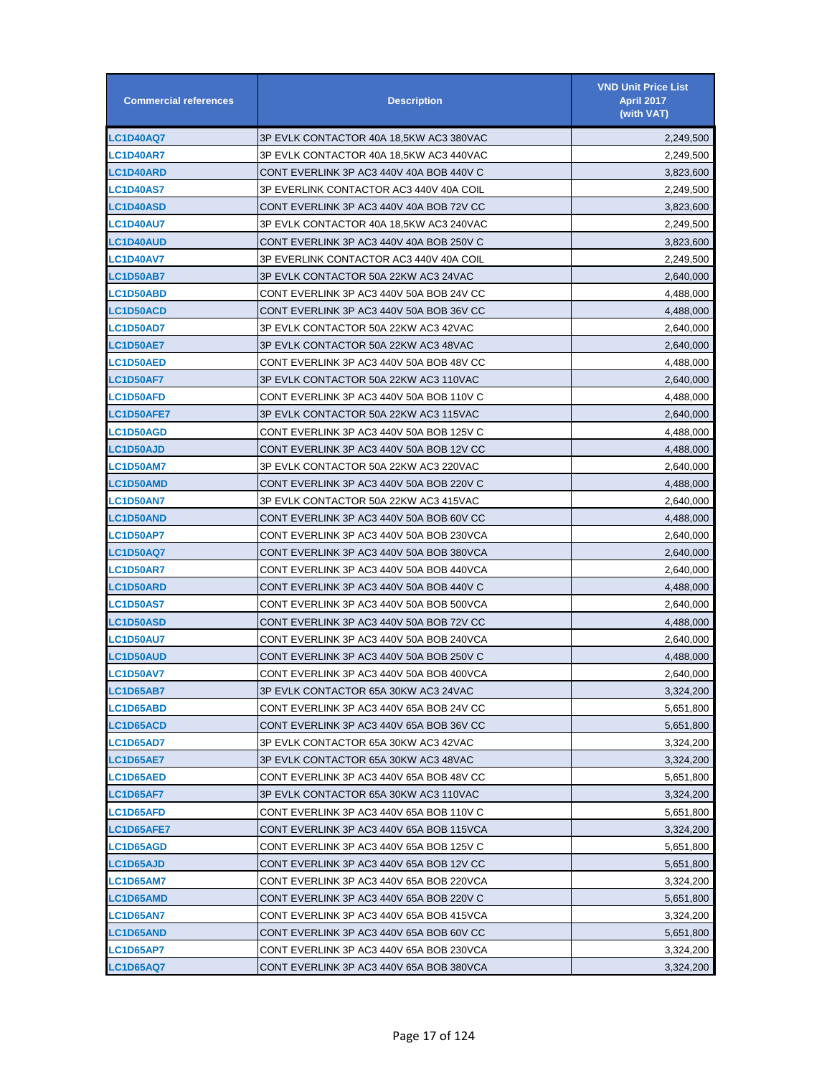| <b>Commercial references</b> | <b>Description</b>                       | <b>VND Unit Price List</b><br><b>April 2017</b><br>(with VAT) |
|------------------------------|------------------------------------------|---------------------------------------------------------------|
| LC1D40AQ7                    | 3P EVLK CONTACTOR 40A 18,5KW AC3 380VAC  | 2,249,500                                                     |
| LC1D40AR7                    | 3P EVLK CONTACTOR 40A 18,5KW AC3 440VAC  | 2,249,500                                                     |
| LC1D40ARD                    | CONT EVERLINK 3P AC3 440V 40A BOB 440V C | 3,823,600                                                     |
| <b>LC1D40AS7</b>             | 3P EVERLINK CONTACTOR AC3 440V 40A COIL  | 2,249,500                                                     |
| <b>LC1D40ASD</b>             | CONT EVERLINK 3P AC3 440V 40A BOB 72V CC | 3,823,600                                                     |
| <b>LC1D40AU7</b>             | 3P EVLK CONTACTOR 40A 18,5KW AC3 240VAC  | 2,249,500                                                     |
| <b>LC1D40AUD</b>             | CONT EVERLINK 3P AC3 440V 40A BOB 250V C | 3,823,600                                                     |
| <b>LC1D40AV7</b>             | 3P EVERLINK CONTACTOR AC3 440V 40A COIL  | 2,249,500                                                     |
| <b>LC1D50AB7</b>             | 3P EVLK CONTACTOR 50A 22KW AC3 24VAC     | 2,640,000                                                     |
| <b>LC1D50ABD</b>             | CONT EVERLINK 3P AC3 440V 50A BOB 24V CC | 4,488,000                                                     |
| <b>LC1D50ACD</b>             | CONT EVERLINK 3P AC3 440V 50A BOB 36V CC | 4,488,000                                                     |
| <b>LC1D50AD7</b>             | 3P EVLK CONTACTOR 50A 22KW AC3 42VAC     | 2,640,000                                                     |
| <b>LC1D50AE7</b>             | 3P EVLK CONTACTOR 50A 22KW AC3 48VAC     | 2,640,000                                                     |
| <b>LC1D50AED</b>             | CONT EVERLINK 3P AC3 440V 50A BOB 48V CC | 4,488,000                                                     |
| <b>LC1D50AF7</b>             | 3P EVLK CONTACTOR 50A 22KW AC3 110VAC    | 2,640,000                                                     |
| <b>LC1D50AFD</b>             | CONT EVERLINK 3P AC3 440V 50A BOB 110V C | 4,488,000                                                     |
| <b>LC1D50AFE7</b>            | 3P EVLK CONTACTOR 50A 22KW AC3 115VAC    | 2,640,000                                                     |
| <b>LC1D50AGD</b>             | CONT EVERLINK 3P AC3 440V 50A BOB 125V C | 4,488,000                                                     |
| <b>LC1D50AJD</b>             | CONT EVERLINK 3P AC3 440V 50A BOB 12V CC | 4,488,000                                                     |
| <b>LC1D50AM7</b>             | 3P EVLK CONTACTOR 50A 22KW AC3 220VAC    | 2,640,000                                                     |
| <b>LC1D50AMD</b>             | CONT EVERLINK 3P AC3 440V 50A BOB 220V C | 4,488,000                                                     |
| <b>LC1D50AN7</b>             | 3P EVLK CONTACTOR 50A 22KW AC3 415VAC    | 2,640,000                                                     |
| <b>LC1D50AND</b>             | CONT EVERLINK 3P AC3 440V 50A BOB 60V CC | 4,488,000                                                     |
| <b>LC1D50AP7</b>             | CONT EVERLINK 3P AC3 440V 50A BOB 230VCA | 2,640,000                                                     |
| <b>LC1D50AQ7</b>             | CONT EVERLINK 3P AC3 440V 50A BOB 380VCA | 2,640,000                                                     |
| <b>LC1D50AR7</b>             | CONT EVERLINK 3P AC3 440V 50A BOB 440VCA | 2,640,000                                                     |
| <b>LC1D50ARD</b>             | CONT EVERLINK 3P AC3 440V 50A BOB 440V C | 4,488,000                                                     |
| <b>LC1D50AS7</b>             | CONT EVERLINK 3P AC3 440V 50A BOB 500VCA | 2,640,000                                                     |
| <b>LC1D50ASD</b>             | CONT EVERLINK 3P AC3 440V 50A BOB 72V CC | 4,488,000                                                     |
| <b>LC1D50AU7</b>             | CONT EVERLINK 3P AC3 440V 50A BOB 240VCA | 2,640,000                                                     |
| <b>LC1D50AUD</b>             | CONT EVERLINK 3P AC3 440V 50A BOB 250V C | 4,488,000                                                     |
| <b>LC1D50AV7</b>             | CONT EVERLINK 3P AC3 440V 50A BOB 400VCA | 2,640,000                                                     |
| LC1D65AB7                    | 3P EVLK CONTACTOR 65A 30KW AC3 24VAC     | 3,324,200                                                     |
| <b>LC1D65ABD</b>             | CONT EVERLINK 3P AC3 440V 65A BOB 24V CC | 5,651,800                                                     |
| <b>LC1D65ACD</b>             | CONT EVERLINK 3P AC3 440V 65A BOB 36V CC | 5,651,800                                                     |
| <b>LC1D65AD7</b>             | 3P EVLK CONTACTOR 65A 30KW AC3 42VAC     | 3,324,200                                                     |
| <b>LC1D65AE7</b>             | 3P EVLK CONTACTOR 65A 30KW AC3 48VAC     | 3,324,200                                                     |
| <b>LC1D65AED</b>             | CONT EVERLINK 3P AC3 440V 65A BOB 48V CC | 5,651,800                                                     |
| <b>LC1D65AF7</b>             | 3P EVLK CONTACTOR 65A 30KW AC3 110VAC    | 3,324,200                                                     |
| <b>LC1D65AFD</b>             | CONT EVERLINK 3P AC3 440V 65A BOB 110V C | 5,651,800                                                     |
| LC1D65AFE7                   | CONT EVERLINK 3P AC3 440V 65A BOB 115VCA | 3,324,200                                                     |
| <b>LC1D65AGD</b>             | CONT EVERLINK 3P AC3 440V 65A BOB 125V C | 5,651,800                                                     |
| <b>LC1D65AJD</b>             | CONT EVERLINK 3P AC3 440V 65A BOB 12V CC | 5,651,800                                                     |
| <b>LC1D65AM7</b>             | CONT EVERLINK 3P AC3 440V 65A BOB 220VCA | 3,324,200                                                     |
| <b>LC1D65AMD</b>             | CONT EVERLINK 3P AC3 440V 65A BOB 220V C | 5,651,800                                                     |
| <b>LC1D65AN7</b>             | CONT EVERLINK 3P AC3 440V 65A BOB 415VCA | 3,324,200                                                     |
| <b>LC1D65AND</b>             | CONT EVERLINK 3P AC3 440V 65A BOB 60V CC | 5,651,800                                                     |
| <b>LC1D65AP7</b>             | CONT EVERLINK 3P AC3 440V 65A BOB 230VCA | 3,324,200                                                     |
| <b>LC1D65AQ7</b>             | CONT EVERLINK 3P AC3 440V 65A BOB 380VCA | 3,324,200                                                     |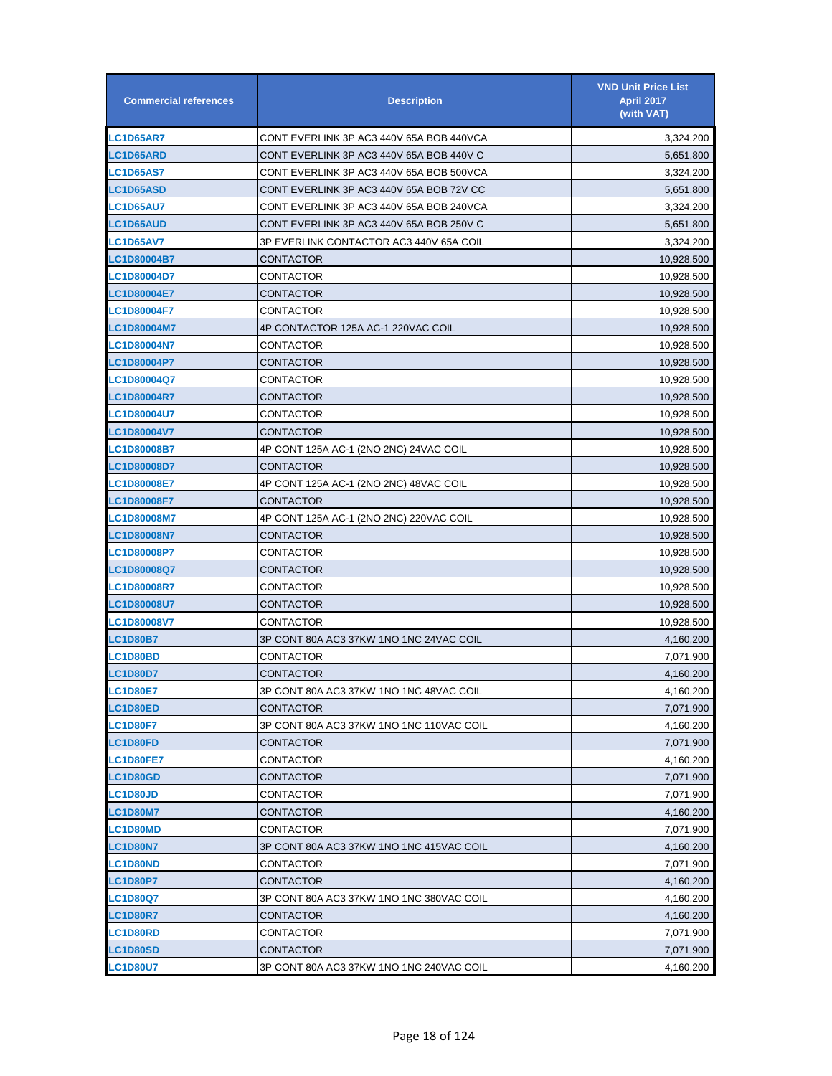| <b>Commercial references</b> | <b>Description</b>                       | <b>VND Unit Price List</b><br><b>April 2017</b><br>(with VAT) |
|------------------------------|------------------------------------------|---------------------------------------------------------------|
| <b>LC1D65AR7</b>             | CONT EVERLINK 3P AC3 440V 65A BOB 440VCA | 3,324,200                                                     |
| <b>LC1D65ARD</b>             | CONT EVERLINK 3P AC3 440V 65A BOB 440V C | 5,651,800                                                     |
| <b>LC1D65AS7</b>             | CONT EVERLINK 3P AC3 440V 65A BOB 500VCA | 3,324,200                                                     |
| <b>LC1D65ASD</b>             | CONT EVERLINK 3P AC3 440V 65A BOB 72V CC | 5,651,800                                                     |
| <b>LC1D65AU7</b>             | CONT EVERLINK 3P AC3 440V 65A BOB 240VCA | 3,324,200                                                     |
| <b>LC1D65AUD</b>             | CONT EVERLINK 3P AC3 440V 65A BOB 250V C | 5,651,800                                                     |
| <b>LC1D65AV7</b>             | 3P EVERLINK CONTACTOR AC3 440V 65A COIL  | 3,324,200                                                     |
| LC1D80004B7                  | CONTACTOR                                | 10,928,500                                                    |
| <b>LC1D80004D7</b>           | CONTACTOR                                | 10,928,500                                                    |
| LC1D80004E7                  | CONTACTOR                                | 10,928,500                                                    |
| <b>LC1D80004F7</b>           | CONTACTOR                                | 10,928,500                                                    |
| <b>LC1D80004M7</b>           | 4P CONTACTOR 125A AC-1 220VAC COIL       | 10,928,500                                                    |
| <b>LC1D80004N7</b>           | CONTACTOR                                | 10,928,500                                                    |
| LC1D80004P7                  | CONTACTOR                                | 10,928,500                                                    |
| LC1D80004Q7                  | CONTACTOR                                | 10,928,500                                                    |
| <b>LC1D80004R7</b>           | CONTACTOR                                | 10,928,500                                                    |
| LC1D80004U7                  | CONTACTOR                                | 10,928,500                                                    |
| LC1D80004V7                  | CONTACTOR                                | 10,928,500                                                    |
| LC1D80008B7                  | 4P CONT 125A AC-1 (2NO 2NC) 24VAC COIL   | 10,928,500                                                    |
| LC1D80008D7                  | CONTACTOR                                | 10,928,500                                                    |
| <b>LC1D80008E7</b>           | 4P CONT 125A AC-1 (2NO 2NC) 48VAC COIL   | 10,928,500                                                    |
| <b>LC1D80008F7</b>           | CONTACTOR                                | 10,928,500                                                    |
| <b>LC1D80008M7</b>           | 4P CONT 125A AC-1 (2NO 2NC) 220VAC COIL  | 10,928,500                                                    |
| <b>LC1D80008N7</b>           | <b>CONTACTOR</b>                         | 10,928,500                                                    |
| <b>LC1D80008P7</b>           | CONTACTOR                                | 10,928,500                                                    |
| <b>LC1D80008Q7</b>           | CONTACTOR                                | 10,928,500                                                    |
| <b>LC1D80008R7</b>           | CONTACTOR                                | 10,928,500                                                    |
| <b>LC1D80008U7</b>           | CONTACTOR                                | 10,928,500                                                    |
| <b>LC1D80008V7</b>           | CONTACTOR                                | 10,928,500                                                    |
| <b>LC1D80B7</b>              | 3P CONT 80A AC3 37KW 1NO 1NC 24VAC COIL  | 4,160,200                                                     |
| <b>LC1D80BD</b>              | CONTACTOR                                | 7,071,900                                                     |
| <b>LC1D80D7</b>              | CONTACTOR                                | 4,160,200                                                     |
| <b>LC1D80E7</b>              | 3P CONT 80A AC3 37KW 1NO 1NC 48VAC COIL  | 4,160,200                                                     |
| <b>LC1D80ED</b>              | CONTACTOR                                | 7,071,900                                                     |
| <b>LC1D80F7</b>              | 3P CONT 80A AC3 37KW 1NO 1NC 110VAC COIL | 4,160,200                                                     |
| <b>LC1D80FD</b>              | CONTACTOR                                | 7,071,900                                                     |
| <b>LC1D80FE7</b>             | CONTACTOR                                | 4,160,200                                                     |
| <b>LC1D80GD</b>              | CONTACTOR                                | 7,071,900                                                     |
| <b>LC1D80JD</b>              | CONTACTOR                                | 7,071,900                                                     |
| <b>LC1D80M7</b>              | CONTACTOR                                | 4,160,200                                                     |
| LC1D80MD                     | CONTACTOR                                | 7,071,900                                                     |
| <b>LC1D80N7</b>              | 3P CONT 80A AC3 37KW 1NO 1NC 415VAC COIL | 4,160,200                                                     |
| <b>LC1D80ND</b>              | CONTACTOR                                | 7,071,900                                                     |
| <b>LC1D80P7</b>              | CONTACTOR                                | 4,160,200                                                     |
| <b>LC1D80Q7</b>              | 3P CONT 80A AC3 37KW 1NO 1NC 380VAC COIL | 4,160,200                                                     |
| <b>LC1D80R7</b>              | CONTACTOR                                | 4,160,200                                                     |
| LC1D80RD                     | CONTACTOR                                | 7,071,900                                                     |
| LC1D80SD                     | CONTACTOR                                | 7,071,900                                                     |
| <b>LC1D80U7</b>              | 3P CONT 80A AC3 37KW 1NO 1NC 240VAC COIL | 4,160,200                                                     |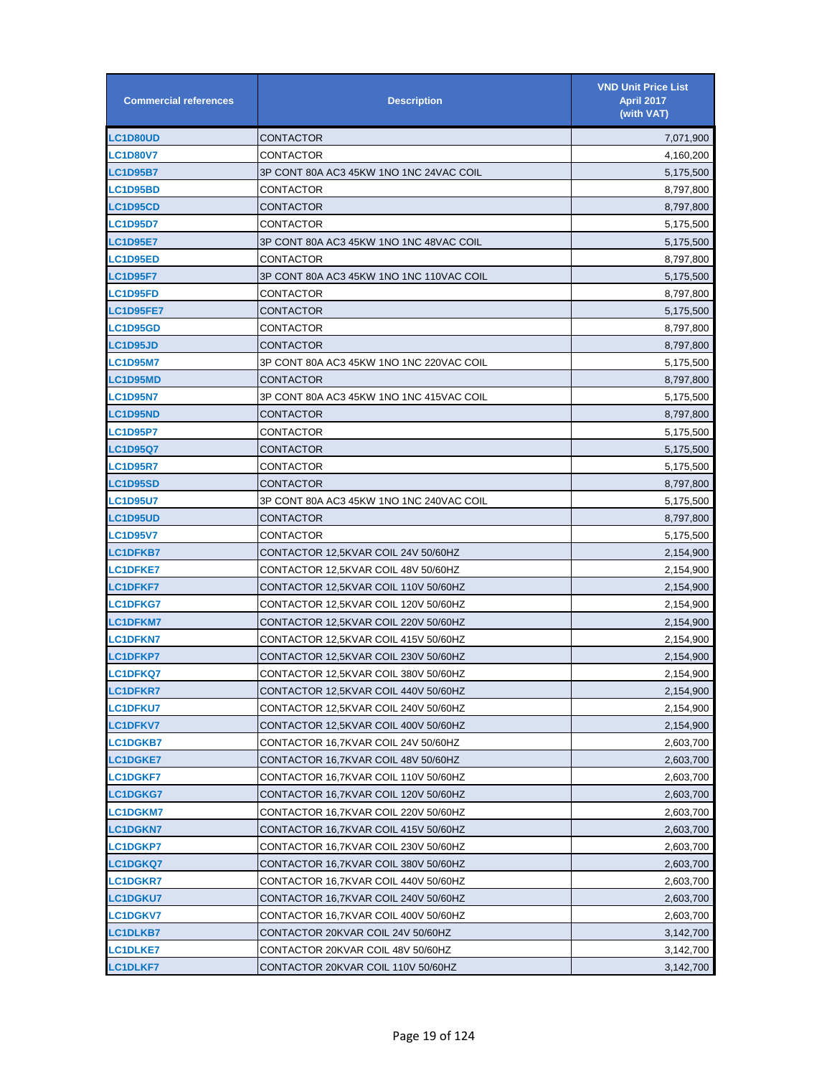| <b>Commercial references</b> | <b>Description</b>                       | <b>VND Unit Price List</b><br><b>April 2017</b><br>(with VAT) |
|------------------------------|------------------------------------------|---------------------------------------------------------------|
| <b>LC1D80UD</b>              | CONTACTOR                                | 7,071,900                                                     |
| <b>LC1D80V7</b>              | CONTACTOR                                | 4,160,200                                                     |
| <b>LC1D95B7</b>              | 3P CONT 80A AC3 45KW 1NO 1NC 24VAC COIL  | 5,175,500                                                     |
| <b>LC1D95BD</b>              | CONTACTOR                                | 8,797,800                                                     |
| <b>LC1D95CD</b>              | CONTACTOR                                | 8,797,800                                                     |
| <b>LC1D95D7</b>              | CONTACTOR                                | 5,175,500                                                     |
| <b>LC1D95E7</b>              | 3P CONT 80A AC3 45KW 1NO 1NC 48VAC COIL  | 5,175,500                                                     |
| <b>LC1D95ED</b>              | CONTACTOR                                | 8,797,800                                                     |
| <b>LC1D95F7</b>              | 3P CONT 80A AC3 45KW 1NO 1NC 110VAC COIL | 5,175,500                                                     |
| <b>LC1D95FD</b>              | CONTACTOR                                | 8,797,800                                                     |
| <b>LC1D95FE7</b>             | CONTACTOR                                | 5,175,500                                                     |
| <b>LC1D95GD</b>              | CONTACTOR                                | 8,797,800                                                     |
| <b>LC1D95JD</b>              | CONTACTOR                                | 8,797,800                                                     |
| <b>LC1D95M7</b>              | 3P CONT 80A AC3 45KW 1NO 1NC 220VAC COIL | 5,175,500                                                     |
| <b>LC1D95MD</b>              | CONTACTOR                                | 8,797,800                                                     |
| <b>LC1D95N7</b>              | 3P CONT 80A AC3 45KW 1NO 1NC 415VAC COIL | 5,175,500                                                     |
| <b>LC1D95ND</b>              | CONTACTOR                                | 8,797,800                                                     |
| <b>LC1D95P7</b>              | CONTACTOR                                | 5,175,500                                                     |
| <b>LC1D95Q7</b>              | CONTACTOR                                | 5,175,500                                                     |
| <b>LC1D95R7</b>              | CONTACTOR                                | 5,175,500                                                     |
| <b>LC1D95SD</b>              | CONTACTOR                                | 8,797,800                                                     |
| <b>LC1D95U7</b>              | 3P CONT 80A AC3 45KW 1NO 1NC 240VAC COIL | 5,175,500                                                     |
| <b>LC1D95UD</b>              | CONTACTOR                                | 8,797,800                                                     |
| <b>LC1D95V7</b>              | CONTACTOR                                | 5,175,500                                                     |
| <b>LC1DFKB7</b>              | CONTACTOR 12.5KVAR COIL 24V 50/60HZ      | 2,154,900                                                     |
| <b>LC1DFKE7</b>              | CONTACTOR 12,5KVAR COIL 48V 50/60HZ      | 2,154,900                                                     |
| <b>LC1DFKF7</b>              | CONTACTOR 12,5KVAR COIL 110V 50/60HZ     | 2,154,900                                                     |
| <b>LC1DFKG7</b>              | CONTACTOR 12,5KVAR COIL 120V 50/60HZ     | 2,154,900                                                     |
| <b>LC1DFKM7</b>              | CONTACTOR 12,5KVAR COIL 220V 50/60HZ     | 2,154,900                                                     |
| <b>LC1DFKN7</b>              | CONTACTOR 12,5KVAR COIL 415V 50/60HZ     | 2,154,900                                                     |
| <b>LC1DFKP7</b>              | CONTACTOR 12,5KVAR COIL 230V 50/60HZ     | 2,154,900                                                     |
| <b>LC1DFKQ7</b>              | CONTACTOR 12,5KVAR COIL 380V 50/60HZ     | 2,154,900                                                     |
| <b>LC1DFKR7</b>              | CONTACTOR 12,5KVAR COIL 440V 50/60HZ     | 2,154,900                                                     |
| <b>LC1DFKU7</b>              | CONTACTOR 12,5KVAR COIL 240V 50/60HZ     | 2,154,900                                                     |
| <b>LC1DFKV7</b>              | CONTACTOR 12,5KVAR COIL 400V 50/60HZ     | 2,154,900                                                     |
| <b>LC1DGKB7</b>              | CONTACTOR 16,7KVAR COIL 24V 50/60HZ      | 2,603,700                                                     |
| <b>LC1DGKE7</b>              | CONTACTOR 16,7KVAR COIL 48V 50/60HZ      | 2,603,700                                                     |
| <b>LC1DGKF7</b>              | CONTACTOR 16,7KVAR COIL 110V 50/60HZ     | 2,603,700                                                     |
| <b>LC1DGKG7</b>              | CONTACTOR 16,7KVAR COIL 120V 50/60HZ     | 2,603,700                                                     |
| <b>LC1DGKM7</b>              | CONTACTOR 16,7KVAR COIL 220V 50/60HZ     | 2,603,700                                                     |
| <b>LC1DGKN7</b>              | CONTACTOR 16,7KVAR COIL 415V 50/60HZ     | 2,603,700                                                     |
| <b>LC1DGKP7</b>              | CONTACTOR 16,7KVAR COIL 230V 50/60HZ     | 2,603,700                                                     |
| <b>LC1DGKQ7</b>              | CONTACTOR 16,7KVAR COIL 380V 50/60HZ     | 2,603,700                                                     |
| <b>LC1DGKR7</b>              | CONTACTOR 16,7KVAR COIL 440V 50/60HZ     | 2,603,700                                                     |
| <b>LC1DGKU7</b>              | CONTACTOR 16,7KVAR COIL 240V 50/60HZ     | 2,603,700                                                     |
| <b>LC1DGKV7</b>              | CONTACTOR 16,7KVAR COIL 400V 50/60HZ     | 2,603,700                                                     |
| <b>LC1DLKB7</b>              | CONTACTOR 20KVAR COIL 24V 50/60HZ        | 3,142,700                                                     |
| <b>LC1DLKE7</b>              | CONTACTOR 20KVAR COIL 48V 50/60HZ        | 3,142,700                                                     |
| <b>LC1DLKF7</b>              | CONTACTOR 20KVAR COIL 110V 50/60HZ       | 3,142,700                                                     |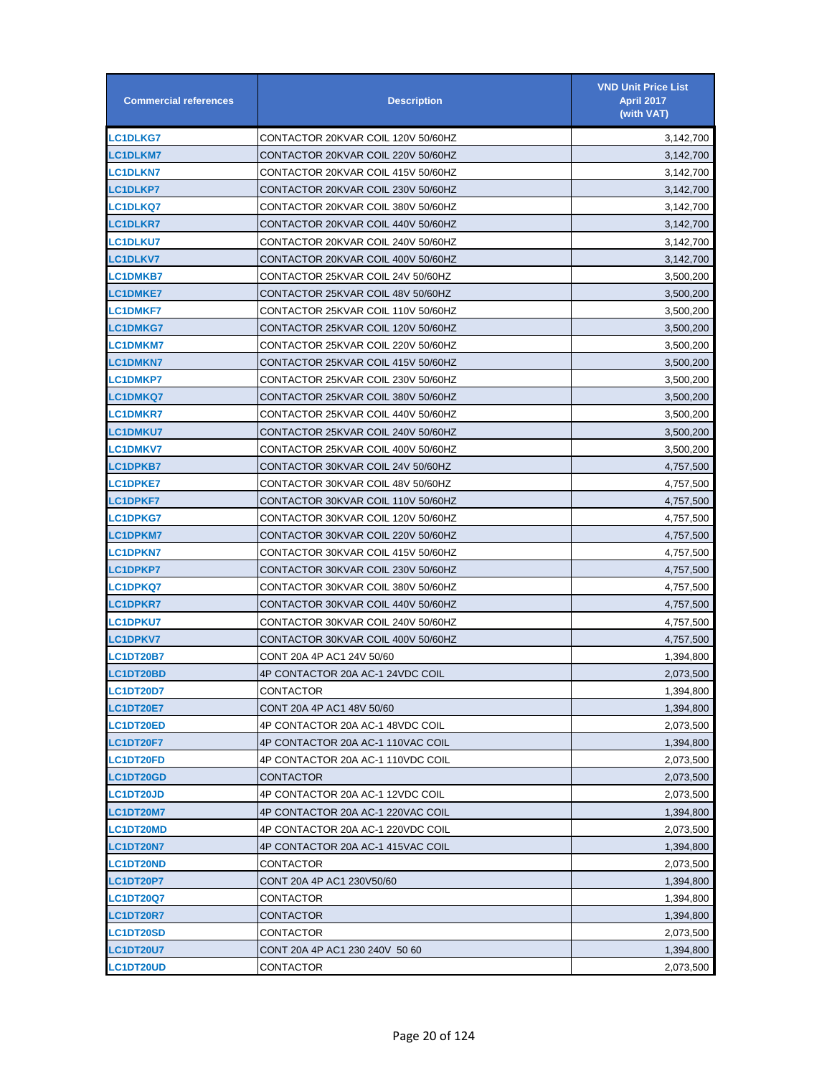| <b>Commercial references</b> | <b>Description</b>                 | <b>VND Unit Price List</b><br><b>April 2017</b><br>(with VAT) |
|------------------------------|------------------------------------|---------------------------------------------------------------|
| LC1DLKG7                     | CONTACTOR 20KVAR COIL 120V 50/60HZ | 3,142,700                                                     |
| <b>LC1DLKM7</b>              | CONTACTOR 20KVAR COIL 220V 50/60HZ | 3,142,700                                                     |
| <b>LC1DLKN7</b>              | CONTACTOR 20KVAR COIL 415V 50/60HZ | 3,142,700                                                     |
| <b>LC1DLKP7</b>              | CONTACTOR 20KVAR COIL 230V 50/60HZ | 3,142,700                                                     |
| <b>LC1DLKQ7</b>              | CONTACTOR 20KVAR COIL 380V 50/60HZ | 3,142,700                                                     |
| <b>LC1DLKR7</b>              | CONTACTOR 20KVAR COIL 440V 50/60HZ | 3,142,700                                                     |
| <b>LC1DLKU7</b>              | CONTACTOR 20KVAR COIL 240V 50/60HZ | 3,142,700                                                     |
| <b>LC1DLKV7</b>              | CONTACTOR 20KVAR COIL 400V 50/60HZ | 3,142,700                                                     |
| C1DMKB7.                     | CONTACTOR 25KVAR COIL 24V 50/60HZ  | 3,500,200                                                     |
| <b>LC1DMKE7</b>              | CONTACTOR 25KVAR COIL 48V 50/60HZ  | 3,500,200                                                     |
| <b>LC1DMKF7</b>              | CONTACTOR 25KVAR COIL 110V 50/60HZ | 3,500,200                                                     |
| <b>LC1DMKG7</b>              | CONTACTOR 25KVAR COIL 120V 50/60HZ | 3,500,200                                                     |
| <b>LC1DMKM7</b>              | CONTACTOR 25KVAR COIL 220V 50/60HZ | 3,500,200                                                     |
| <b>LC1DMKN7</b>              | CONTACTOR 25KVAR COIL 415V 50/60HZ | 3,500,200                                                     |
| <b>LC1DMKP7</b>              | CONTACTOR 25KVAR COIL 230V 50/60HZ | 3,500,200                                                     |
| <b>LC1DMKQ7</b>              | CONTACTOR 25KVAR COIL 380V 50/60HZ | 3,500,200                                                     |
| <b>LC1DMKR7</b>              | CONTACTOR 25KVAR COIL 440V 50/60HZ | 3,500,200                                                     |
| <b>LC1DMKU7</b>              | CONTACTOR 25KVAR COIL 240V 50/60HZ | 3,500,200                                                     |
| <b>LC1DMKV7</b>              | CONTACTOR 25KVAR COIL 400V 50/60HZ | 3,500,200                                                     |
| <b>LC1DPKB7</b>              | CONTACTOR 30KVAR COIL 24V 50/60HZ  | 4,757,500                                                     |
| <b>LC1DPKE7</b>              | CONTACTOR 30KVAR COIL 48V 50/60HZ  | 4,757,500                                                     |
| <b>LC1DPKF7</b>              | CONTACTOR 30KVAR COIL 110V 50/60HZ | 4,757,500                                                     |
| <b>LC1DPKG7</b>              | CONTACTOR 30KVAR COIL 120V 50/60HZ | 4,757,500                                                     |
| <b>LC1DPKM7</b>              | CONTACTOR 30KVAR COIL 220V 50/60HZ | 4,757,500                                                     |
| <b>LC1DPKN7</b>              | CONTACTOR 30KVAR COIL 415V 50/60HZ | 4,757,500                                                     |
| <b>LC1DPKP7</b>              | CONTACTOR 30KVAR COIL 230V 50/60HZ | 4,757,500                                                     |
| <b>LC1DPKQ7</b>              | CONTACTOR 30KVAR COIL 380V 50/60HZ | 4,757,500                                                     |
| <b>LC1DPKR7</b>              | CONTACTOR 30KVAR COIL 440V 50/60HZ | 4,757,500                                                     |
| <b>LC1DPKU7</b>              | CONTACTOR 30KVAR COIL 240V 50/60HZ | 4,757,500                                                     |
| <b>LC1DPKV7</b>              | CONTACTOR 30KVAR COIL 400V 50/60HZ | 4,757,500                                                     |
| <b>LC1DT20B7</b>             | CONT 20A 4P AC1 24V 50/60          | 1,394,800                                                     |
| <b>LC1DT20BD</b>             | 4P CONTACTOR 20A AC-1 24VDC COIL   | 2,073,500                                                     |
| <b>LC1DT20D7</b>             | CONTACTOR                          | 1,394,800                                                     |
| <b>LC1DT20E7</b>             | CONT 20A 4P AC1 48V 50/60          | 1,394,800                                                     |
| <b>LC1DT20ED</b>             | 4P CONTACTOR 20A AC-1 48VDC COIL   | 2,073,500                                                     |
| LC1DT20F7                    | 4P CONTACTOR 20A AC-1 110VAC COIL  | 1,394,800                                                     |
| <b>LC1DT20FD</b>             | 4P CONTACTOR 20A AC-1 110VDC COIL  | 2,073,500                                                     |
| <b>LC1DT20GD</b>             | CONTACTOR                          | 2,073,500                                                     |
| <b>LC1DT20JD</b>             | 4P CONTACTOR 20A AC-1 12VDC COIL   | 2,073,500                                                     |
| <b>LC1DT20M7</b>             | 4P CONTACTOR 20A AC-1 220VAC COIL  | 1,394,800                                                     |
| LC1DT20MD                    | 4P CONTACTOR 20A AC-1 220VDC COIL  | 2,073,500                                                     |
| LC1DT20N7                    | 4P CONTACTOR 20A AC-1 415VAC COIL  | 1,394,800                                                     |
| <b>LC1DT20ND</b>             | CONTACTOR                          | 2,073,500                                                     |
| LC1DT20P7                    | CONT 20A 4P AC1 230V50/60          | 1,394,800                                                     |
| <b>LC1DT20Q7</b>             | CONTACTOR                          | 1,394,800                                                     |
| <b>LC1DT20R7</b>             | CONTACTOR                          | 1,394,800                                                     |
| <b>LC1DT20SD</b>             | CONTACTOR                          | 2,073,500                                                     |
| <b>LC1DT20U7</b>             | CONT 20A 4P AC1 230 240V 50 60     | 1,394,800                                                     |
| LC1DT20UD                    | CONTACTOR                          | 2,073,500                                                     |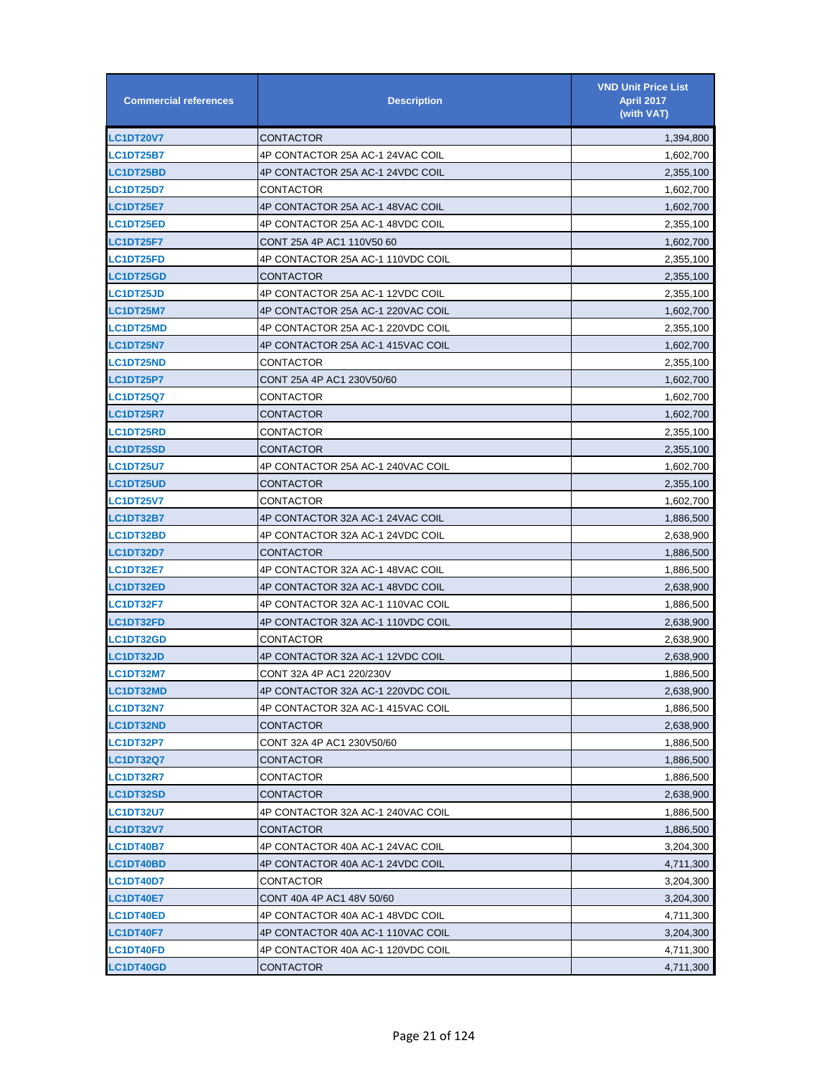| <b>Commercial references</b> | <b>Description</b>                | <b>VND Unit Price List</b><br><b>April 2017</b><br>(with VAT) |
|------------------------------|-----------------------------------|---------------------------------------------------------------|
| <b>LC1DT20V7</b>             | CONTACTOR                         | 1,394,800                                                     |
| <b>LC1DT25B7</b>             | 4P CONTACTOR 25A AC-1 24VAC COIL  | 1,602,700                                                     |
| <b>LC1DT25BD</b>             | 4P CONTACTOR 25A AC-1 24VDC COIL  | 2,355,100                                                     |
| <b>LC1DT25D7</b>             | CONTACTOR                         | 1,602,700                                                     |
| <b>LC1DT25E7</b>             | 4P CONTACTOR 25A AC-1 48VAC COIL  | 1,602,700                                                     |
| <b>LC1DT25ED</b>             | 4P CONTACTOR 25A AC-1 48VDC COIL  | 2,355,100                                                     |
| <b>LC1DT25F7</b>             | CONT 25A 4P AC1 110V50 60         | 1,602,700                                                     |
| <b>LC1DT25FD</b>             | 4P CONTACTOR 25A AC-1 110VDC COIL | 2,355,100                                                     |
| <b>LC1DT25GD</b>             | CONTACTOR                         | 2,355,100                                                     |
| <b>LC1DT25JD</b>             | 4P CONTACTOR 25A AC-1 12VDC COIL  | 2,355,100                                                     |
| <b>LC1DT25M7</b>             | 4P CONTACTOR 25A AC-1 220VAC COIL | 1,602,700                                                     |
| <b>LC1DT25MD</b>             | 4P CONTACTOR 25A AC-1 220VDC COIL | 2,355,100                                                     |
| <b>LC1DT25N7</b>             | 4P CONTACTOR 25A AC-1 415VAC COIL | 1,602,700                                                     |
| <b>LC1DT25ND</b>             | CONTACTOR                         | 2,355,100                                                     |
| <b>LC1DT25P7</b>             | CONT 25A 4P AC1 230V50/60         | 1,602,700                                                     |
| <b>LC1DT25Q7</b>             | CONTACTOR                         | 1,602,700                                                     |
| <b>LC1DT25R7</b>             | CONTACTOR                         | 1,602,700                                                     |
| <b>LC1DT25RD</b>             | CONTACTOR                         | 2,355,100                                                     |
| <b>LC1DT25SD</b>             | CONTACTOR                         | 2,355,100                                                     |
| <b>LC1DT25U7</b>             | 4P CONTACTOR 25A AC-1 240VAC COIL | 1,602,700                                                     |
| <b>LC1DT25UD</b>             | CONTACTOR                         | 2,355,100                                                     |
| <b>LC1DT25V7</b>             | CONTACTOR                         | 1,602,700                                                     |
| <b>LC1DT32B7</b>             | 4P CONTACTOR 32A AC-1 24VAC COIL  | 1,886,500                                                     |
| <b>LC1DT32BD</b>             | 4P CONTACTOR 32A AC-1 24VDC COIL  | 2,638,900                                                     |
| <b>LC1DT32D7</b>             | CONTACTOR                         | 1,886,500                                                     |
| <b>LC1DT32E7</b>             | 4P CONTACTOR 32A AC-1 48VAC COIL  | 1,886,500                                                     |
| <b>LC1DT32ED</b>             | 4P CONTACTOR 32A AC-1 48VDC COIL  | 2,638,900                                                     |
| <b>LC1DT32F7</b>             | 4P CONTACTOR 32A AC-1 110VAC COIL | 1,886,500                                                     |
| <b>LC1DT32FD</b>             | 4P CONTACTOR 32A AC-1 110VDC COIL | 2,638,900                                                     |
| <b>LC1DT32GD</b>             | CONTACTOR                         | 2,638,900                                                     |
| <b>LC1DT32JD</b>             | 4P CONTACTOR 32A AC-1 12VDC COIL  | 2,638,900                                                     |
| LC1DT32M7                    | CONT 32A 4P AC1 220/230V          | 1,886,500                                                     |
| <b>LC1DT32MD</b>             | 4P CONTACTOR 32A AC-1 220VDC COIL | 2,638,900                                                     |
| <b>LC1DT32N7</b>             | 4P CONTACTOR 32A AC-1 415VAC COIL | 1,886,500                                                     |
| LC1DT32ND                    | CONTACTOR                         | 2,638,900                                                     |
| <b>LC1DT32P7</b>             | CONT 32A 4P AC1 230V50/60         | 1,886,500                                                     |
| <b>LC1DT32Q7</b>             | CONTACTOR                         | 1,886,500                                                     |
| <b>LC1DT32R7</b>             | CONTACTOR                         | 1,886,500                                                     |
| <b>LC1DT32SD</b>             | CONTACTOR                         | 2,638,900                                                     |
| <b>LC1DT32U7</b>             | 4P CONTACTOR 32A AC-1 240VAC COIL | 1,886,500                                                     |
| <b>LC1DT32V7</b>             | CONTACTOR                         | 1,886,500                                                     |
| <b>LC1DT40B7</b>             | 4P CONTACTOR 40A AC-1 24VAC COIL  | 3,204,300                                                     |
| <b>LC1DT40BD</b>             | 4P CONTACTOR 40A AC-1 24VDC COIL  | 4,711,300                                                     |
| <b>LC1DT40D7</b>             | CONTACTOR                         | 3,204,300                                                     |
| <b>LC1DT40E7</b>             | CONT 40A 4P AC1 48V 50/60         | 3,204,300                                                     |
| <b>LC1DT40ED</b>             | 4P CONTACTOR 40A AC-1 48VDC COIL  | 4,711,300                                                     |
| <b>LC1DT40F7</b>             | 4P CONTACTOR 40A AC-1 110VAC COIL | 3,204,300                                                     |
| LC1DT40FD                    | 4P CONTACTOR 40A AC-1 120VDC COIL | 4,711,300                                                     |
| LC1DT40GD                    | <b>CONTACTOR</b>                  | 4,711,300                                                     |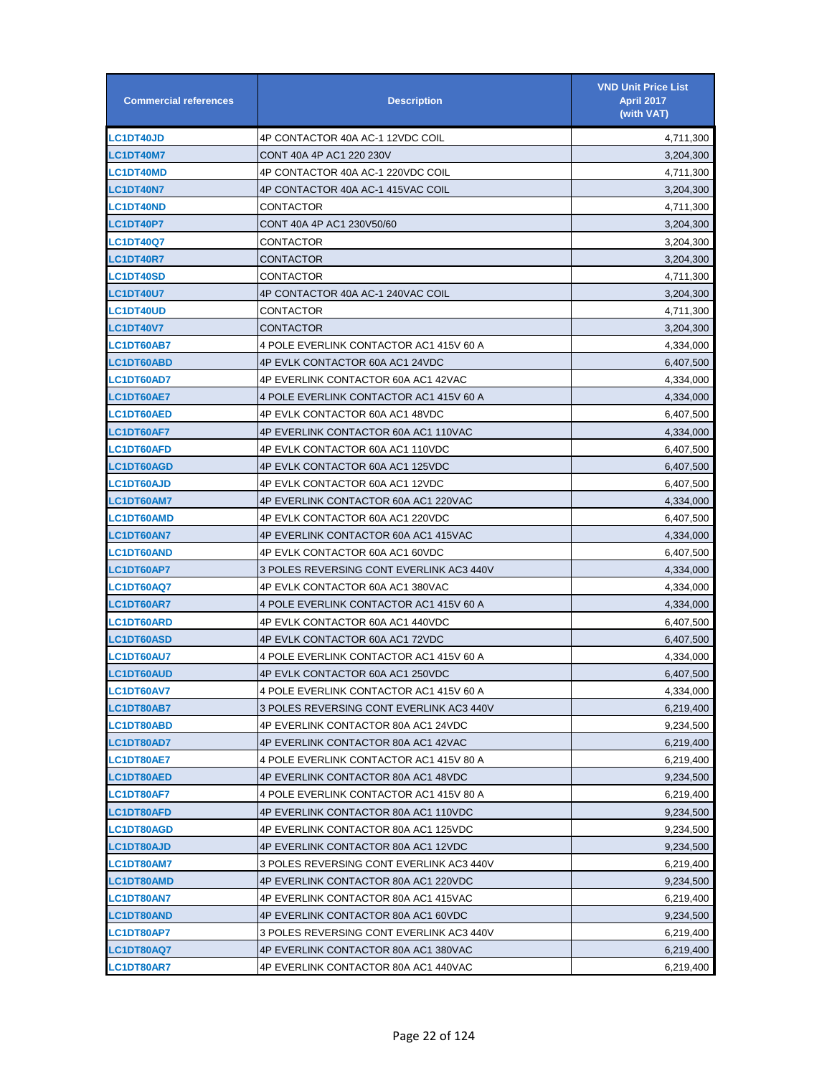| <b>Commercial references</b> | <b>Description</b>                       | <b>VND Unit Price List</b><br><b>April 2017</b><br>(with VAT) |
|------------------------------|------------------------------------------|---------------------------------------------------------------|
| <b>LC1DT40JD</b>             | 4P CONTACTOR 40A AC-1 12VDC COIL         | 4,711,300                                                     |
| <b>LC1DT40M7</b>             | CONT 40A 4P AC1 220 230V                 | 3,204,300                                                     |
| <b>LC1DT40MD</b>             | 4P CONTACTOR 40A AC-1 220VDC COIL        | 4,711,300                                                     |
| <b>LC1DT40N7</b>             | 4P CONTACTOR 40A AC-1 415VAC COIL        | 3,204,300                                                     |
| <b>LC1DT40ND</b>             | CONTACTOR                                | 4,711,300                                                     |
| <b>LC1DT40P7</b>             | CONT 40A 4P AC1 230V50/60                | 3,204,300                                                     |
| <b>LC1DT40Q7</b>             | CONTACTOR                                | 3,204,300                                                     |
| LC1DT40R7                    | CONTACTOR                                | 3,204,300                                                     |
| <b>LC1DT40SD</b>             | CONTACTOR                                | 4,711,300                                                     |
| <b>LC1DT40U7</b>             | 4P CONTACTOR 40A AC-1 240VAC COIL        | 3,204,300                                                     |
| <b>LC1DT40UD</b>             | CONTACTOR                                | 4,711,300                                                     |
| <b>LC1DT40V7</b>             | CONTACTOR                                | 3,204,300                                                     |
| <b>LC1DT60AB7</b>            | 4 POLE EVERLINK CONTACTOR AC1 415V 60 A  | 4,334,000                                                     |
| <b>LC1DT60ABD</b>            | 4P EVLK CONTACTOR 60A AC1 24VDC          | 6,407,500                                                     |
| <b>LC1DT60AD7</b>            | 4P EVERLINK CONTACTOR 60A AC1 42VAC      | 4,334,000                                                     |
| <b>LC1DT60AE7</b>            | 4 POLE EVERLINK CONTACTOR AC1 415V 60 A  | 4,334,000                                                     |
| LC1DT60AED                   | 4P EVLK CONTACTOR 60A AC1 48VDC          | 6,407,500                                                     |
| <b>LC1DT60AF7</b>            | 4P EVERLINK CONTACTOR 60A AC1 110VAC     | 4,334,000                                                     |
| <b>LC1DT60AFD</b>            | 4P EVLK CONTACTOR 60A AC1 110VDC         | 6,407,500                                                     |
| LC1DT60AGD                   | 4P EVLK CONTACTOR 60A AC1 125VDC         | 6,407,500                                                     |
| <b>LC1DT60AJD</b>            | 4P EVLK CONTACTOR 60A AC1 12VDC          | 6,407,500                                                     |
| <b>LC1DT60AM7</b>            | 4P EVERLINK CONTACTOR 60A AC1 220VAC     | 4,334,000                                                     |
| <b>LC1DT60AMD</b>            | 4P EVLK CONTACTOR 60A AC1 220VDC         | 6,407,500                                                     |
| <b>LC1DT60AN7</b>            | 4P EVERLINK CONTACTOR 60A AC1 415VAC     | 4,334,000                                                     |
| <b>LC1DT60AND</b>            | 4P EVLK CONTACTOR 60A AC1 60VDC          | 6,407,500                                                     |
| LC1DT60AP7                   | 3 POLES REVERSING CONT EVERLINK AC3 440V | 4,334,000                                                     |
| <b>LC1DT60AQ7</b>            | 4P EVLK CONTACTOR 60A AC1 380VAC         | 4,334,000                                                     |
| <b>LC1DT60AR7</b>            | 4 POLE EVERLINK CONTACTOR AC1 415V 60 A  | 4,334,000                                                     |
| <b>LC1DT60ARD</b>            | 4P EVLK CONTACTOR 60A AC1 440VDC         | 6,407,500                                                     |
| <b>LC1DT60ASD</b>            | 4P EVLK CONTACTOR 60A AC1 72VDC          | 6,407,500                                                     |
| <b>LC1DT60AU7</b>            | 4 POLE EVERLINK CONTACTOR AC1 415V 60 A  | 4,334,000                                                     |
| <b>LC1DT60AUD</b>            | 4P EVLK CONTACTOR 60A AC1 250VDC         | 6,407,500                                                     |
| LC1DT60AV7                   | 4 POLE EVERLINK CONTACTOR AC1 415V 60 A  | 4,334,000                                                     |
| LC1DT80AB7                   | 3 POLES REVERSING CONT EVERLINK AC3 440V | 6,219,400                                                     |
| <b>LC1DT80ABD</b>            | 4P EVERLINK CONTACTOR 80A AC1 24VDC      | 9,234,500                                                     |
| <b>LC1DT80AD7</b>            | 4P EVERLINK CONTACTOR 80A AC1 42VAC      | 6,219,400                                                     |
| <b>LC1DT80AE7</b>            | 4 POLE EVERLINK CONTACTOR AC1 415V 80 A  | 6,219,400                                                     |
| <b>LC1DT80AED</b>            | 4P EVERLINK CONTACTOR 80A AC1 48VDC      | 9,234,500                                                     |
| LC1DT80AF7                   | 4 POLE EVERLINK CONTACTOR AC1 415V 80 A  | 6,219,400                                                     |
| <b>LC1DT80AFD</b>            | 4P EVERLINK CONTACTOR 80A AC1 110VDC     | 9,234,500                                                     |
| LC1DT80AGD                   | 4P EVERLINK CONTACTOR 80A AC1 125VDC     | 9,234,500                                                     |
| <b>LC1DT80AJD</b>            | 4P EVERLINK CONTACTOR 80A AC1 12VDC      | 9,234,500                                                     |
| <b>LC1DT80AM7</b>            | 3 POLES REVERSING CONT EVERLINK AC3 440V | 6,219,400                                                     |
| LC1DT80AMD                   | 4P EVERLINK CONTACTOR 80A AC1 220VDC     | 9,234,500                                                     |
| <b>LC1DT80AN7</b>            | 4P EVERLINK CONTACTOR 80A AC1 415VAC     | 6,219,400                                                     |
| <b>LC1DT80AND</b>            | 4P EVERLINK CONTACTOR 80A AC1 60VDC      | 9,234,500                                                     |
| LC1DT80AP7                   | 3 POLES REVERSING CONT EVERLINK AC3 440V | 6,219,400                                                     |
| LC1DT80AQ7                   | 4P EVERLINK CONTACTOR 80A AC1 380VAC     | 6,219,400                                                     |
| LC1DT80AR7                   | 4P EVERLINK CONTACTOR 80A AC1 440VAC     | 6,219,400                                                     |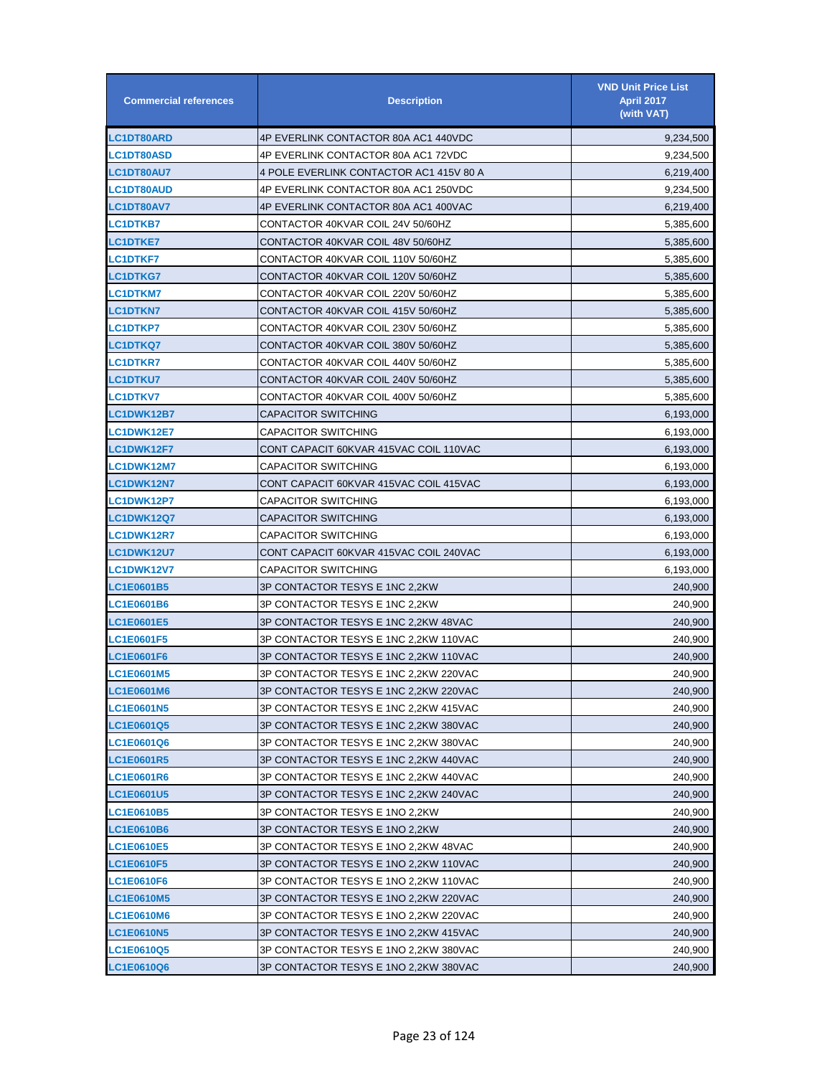| <b>Commercial references</b> | <b>Description</b>                      | <b>VND Unit Price List</b><br><b>April 2017</b><br>(with VAT) |
|------------------------------|-----------------------------------------|---------------------------------------------------------------|
| <b>LC1DT80ARD</b>            | 4P EVERLINK CONTACTOR 80A AC1 440VDC    | 9,234,500                                                     |
| <b>LC1DT80ASD</b>            | 4P EVERLINK CONTACTOR 80A AC1 72VDC     | 9,234,500                                                     |
| <b>LC1DT80AU7</b>            | 4 POLE EVERLINK CONTACTOR AC1 415V 80 A | 6,219,400                                                     |
| <b>LC1DT80AUD</b>            | 4P EVERLINK CONTACTOR 80A AC1 250VDC    | 9,234,500                                                     |
| <b>LC1DT80AV7</b>            | 4P EVERLINK CONTACTOR 80A AC1 400VAC    | 6,219,400                                                     |
| <b>LC1DTKB7</b>              | CONTACTOR 40KVAR COIL 24V 50/60HZ       | 5,385,600                                                     |
| <b>LC1DTKE7</b>              | CONTACTOR 40KVAR COIL 48V 50/60HZ       | 5,385,600                                                     |
| <b>LC1DTKF7</b>              | CONTACTOR 40KVAR COIL 110V 50/60HZ      | 5,385,600                                                     |
| <b>LC1DTKG7</b>              | CONTACTOR 40KVAR COIL 120V 50/60HZ      | 5,385,600                                                     |
| <b>LC1DTKM7</b>              | CONTACTOR 40KVAR COIL 220V 50/60HZ      | 5,385,600                                                     |
| <b>LC1DTKN7</b>              | CONTACTOR 40KVAR COIL 415V 50/60HZ      | 5,385,600                                                     |
| <b>LC1DTKP7</b>              | CONTACTOR 40KVAR COIL 230V 50/60HZ      | 5,385,600                                                     |
| <b>LC1DTKQ7</b>              | CONTACTOR 40KVAR COIL 380V 50/60HZ      | 5,385,600                                                     |
| <b>LC1DTKR7</b>              | CONTACTOR 40KVAR COIL 440V 50/60HZ      | 5,385,600                                                     |
| <b>LC1DTKU7</b>              | CONTACTOR 40KVAR COIL 240V 50/60HZ      | 5,385,600                                                     |
| <b>LC1DTKV7</b>              | CONTACTOR 40KVAR COIL 400V 50/60HZ      | 5,385,600                                                     |
| <b>LC1DWK12B7</b>            | CAPACITOR SWITCHING                     | 6,193,000                                                     |
| <b>LC1DWK12E7</b>            | CAPACITOR SWITCHING                     | 6,193,000                                                     |
| <b>LC1DWK12F7</b>            | CONT CAPACIT 60KVAR 415VAC COIL 110VAC  | 6,193,000                                                     |
| <b>LC1DWK12M7</b>            | CAPACITOR SWITCHING                     | 6,193,000                                                     |
| <b>LC1DWK12N7</b>            | CONT CAPACIT 60KVAR 415VAC COIL 415VAC  | 6,193,000                                                     |
| <b>LC1DWK12P7</b>            | CAPACITOR SWITCHING                     | 6,193,000                                                     |
| <b>LC1DWK12Q7</b>            | CAPACITOR SWITCHING                     | 6,193,000                                                     |
| <b>LC1DWK12R7</b>            | <b>CAPACITOR SWITCHING</b>              | 6,193,000                                                     |
| <b>LC1DWK12U7</b>            | CONT CAPACIT 60KVAR 415VAC COIL 240VAC  | 6,193,000                                                     |
| <b>LC1DWK12V7</b>            | CAPACITOR SWITCHING                     | 6,193,000                                                     |
| <b>LC1E0601B5</b>            | 3P CONTACTOR TESYS E 1NC 2,2KW          | 240,900                                                       |
| <b>LC1E0601B6</b>            | 3P CONTACTOR TESYS E 1NC 2,2KW          | 240.900                                                       |
| <b>LC1E0601E5</b>            | 3P CONTACTOR TESYS E 1NC 2,2KW 48VAC    | 240,900                                                       |
| <b>LC1E0601F5</b>            | 3P CONTACTOR TESYS E 1NC 2.2KW 110VAC   | 240,900                                                       |
| <b>LC1E0601F6</b>            | 3P CONTACTOR TESYS E 1NC 2,2KW 110VAC   | 240.900                                                       |
| <b>LC1E0601M5</b>            | 3P CONTACTOR TESYS E 1NC 2,2KW 220VAC   | 240,900                                                       |
| LC1E0601M6                   | 3P CONTACTOR TESYS E 1NC 2,2KW 220VAC   | 240,900                                                       |
| <b>LC1E0601N5</b>            | 3P CONTACTOR TESYS E 1NC 2,2KW 415VAC   | 240,900                                                       |
| LC1E0601Q5                   | 3P CONTACTOR TESYS E 1NC 2,2KW 380VAC   | 240,900                                                       |
| LC1E0601Q6                   | 3P CONTACTOR TESYS E 1NC 2,2KW 380VAC   | 240.900                                                       |
| <b>LC1E0601R5</b>            | 3P CONTACTOR TESYS E 1NC 2,2KW 440VAC   | 240,900                                                       |
| LC1E0601R6                   | 3P CONTACTOR TESYS E 1NC 2,2KW 440VAC   | 240,900                                                       |
| LC1E0601U5                   | 3P CONTACTOR TESYS E 1NC 2,2KW 240VAC   | 240,900                                                       |
| LC1E0610B5                   | 3P CONTACTOR TESYS E 1NO 2,2KW          | 240,900                                                       |
| LC1E0610B6                   | 3P CONTACTOR TESYS E 1NO 2,2KW          | 240,900                                                       |
| <b>LC1E0610E5</b>            | 3P CONTACTOR TESYS E 1NO 2,2KW 48VAC    | 240,900                                                       |
| <b>LC1E0610F5</b>            | 3P CONTACTOR TESYS E 1NO 2,2KW 110VAC   | 240,900                                                       |
| LC1E0610F6                   | 3P CONTACTOR TESYS E 1NO 2,2KW 110VAC   | 240,900                                                       |
| <b>LC1E0610M5</b>            | 3P CONTACTOR TESYS E 1NO 2,2KW 220VAC   | 240,900                                                       |
| <b>LC1E0610M6</b>            | 3P CONTACTOR TESYS E 1NO 2,2KW 220VAC   | 240,900                                                       |
| <b>LC1E0610N5</b>            | 3P CONTACTOR TESYS E 1NO 2,2KW 415VAC   | 240,900                                                       |
| LC1E0610Q5                   | 3P CONTACTOR TESYS E 1NO 2,2KW 380VAC   | 240,900                                                       |
| LC1E0610Q6                   | 3P CONTACTOR TESYS E 1NO 2,2KW 380VAC   | 240,900                                                       |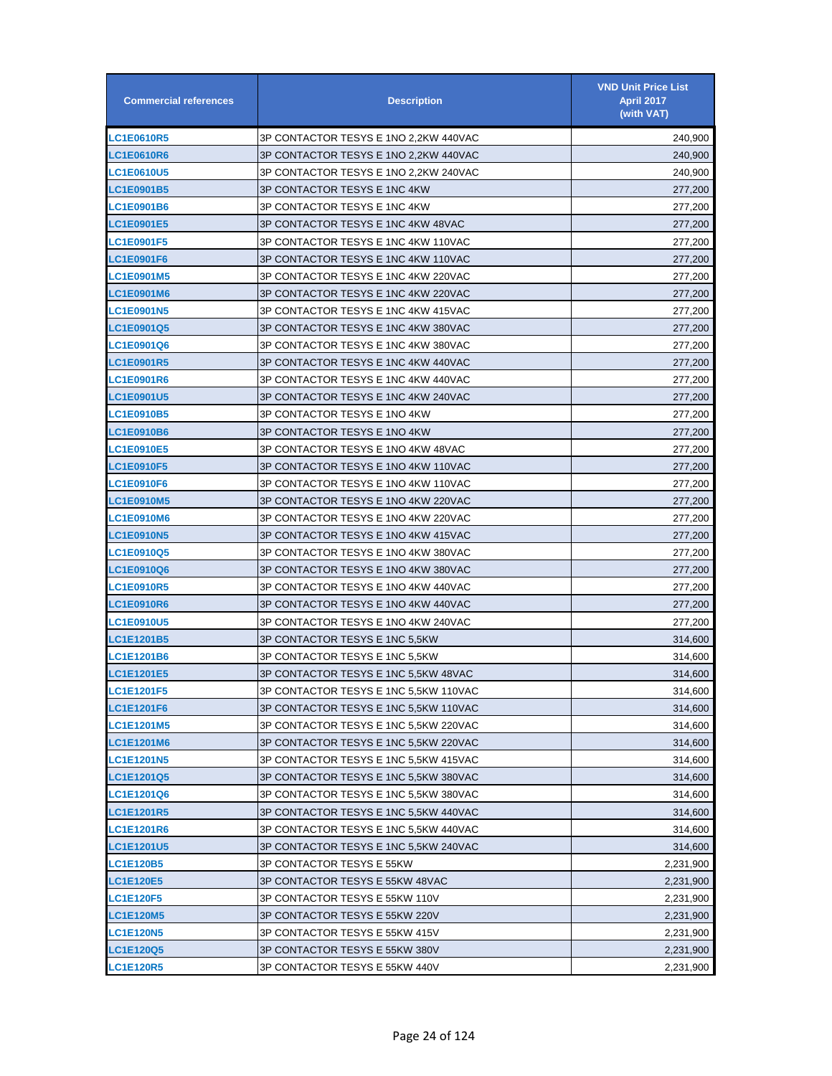| <b>Commercial references</b> | <b>Description</b>                    | <b>VND Unit Price List</b><br><b>April 2017</b><br>(with VAT) |
|------------------------------|---------------------------------------|---------------------------------------------------------------|
| <b>LC1E0610R5</b>            | 3P CONTACTOR TESYS E 1NO 2,2KW 440VAC | 240,900                                                       |
| <b>LC1E0610R6</b>            | 3P CONTACTOR TESYS E 1NO 2,2KW 440VAC | 240,900                                                       |
| <b>LC1E0610U5</b>            | 3P CONTACTOR TESYS E 1NO 2,2KW 240VAC | 240,900                                                       |
| <b>LC1E0901B5</b>            | 3P CONTACTOR TESYS E 1NC 4KW          | 277,200                                                       |
| LC1E0901B6                   | 3P CONTACTOR TESYS E 1NC 4KW          | 277,200                                                       |
| <b>LC1E0901E5</b>            | 3P CONTACTOR TESYS E 1NC 4KW 48VAC    | 277,200                                                       |
| <b>LC1E0901F5</b>            | 3P CONTACTOR TESYS E 1NC 4KW 110VAC   | 277,200                                                       |
| <b>LC1E0901F6</b>            | 3P CONTACTOR TESYS E 1NC 4KW 110VAC   | 277,200                                                       |
| <b>LC1E0901M5</b>            | 3P CONTACTOR TESYS E 1NC 4KW 220VAC   | 277,200                                                       |
| <b>LC1E0901M6</b>            | 3P CONTACTOR TESYS E 1NC 4KW 220VAC   | 277,200                                                       |
| <b>LC1E0901N5</b>            | 3P CONTACTOR TESYS E 1NC 4KW 415VAC   | 277,200                                                       |
| <b>LC1E0901Q5</b>            | 3P CONTACTOR TESYS E 1NC 4KW 380VAC   | 277,200                                                       |
| LC1E0901Q6                   | 3P CONTACTOR TESYS E 1NC 4KW 380VAC   | 277,200                                                       |
| <b>LC1E0901R5</b>            | 3P CONTACTOR TESYS E 1NC 4KW 440VAC   | 277,200                                                       |
| <b>LC1E0901R6</b>            | 3P CONTACTOR TESYS E 1NC 4KW 440VAC   | 277,200                                                       |
| <b>LC1E0901U5</b>            | 3P CONTACTOR TESYS E 1NC 4KW 240VAC   | 277,200                                                       |
| <b>LC1E0910B5</b>            | 3P CONTACTOR TESYS E 1NO 4KW          | 277,200                                                       |
| LC1E0910B6                   | 3P CONTACTOR TESYS E 1NO 4KW          | 277,200                                                       |
| <b>LC1E0910E5</b>            | 3P CONTACTOR TESYS E 1NO 4KW 48VAC    | 277,200                                                       |
| <b>LC1E0910F5</b>            | 3P CONTACTOR TESYS E 1NO 4KW 110VAC   | 277,200                                                       |
| <b>LC1E0910F6</b>            | 3P CONTACTOR TESYS E 1NO 4KW 110VAC   | 277,200                                                       |
| <b>LC1E0910M5</b>            | 3P CONTACTOR TESYS E 1NO 4KW 220VAC   | 277,200                                                       |
| <b>LC1E0910M6</b>            | 3P CONTACTOR TESYS E 1NO 4KW 220VAC   | 277,200                                                       |
| <b>LC1E0910N5</b>            | 3P CONTACTOR TESYS E 1NO 4KW 415VAC   | 277,200                                                       |
| <b>LC1E0910Q5</b>            | 3P CONTACTOR TESYS E 1NO 4KW 380VAC   | 277,200                                                       |
| <b>LC1E0910Q6</b>            | 3P CONTACTOR TESYS E 1NO 4KW 380VAC   | 277,200                                                       |
| <b>LC1E0910R5</b>            | 3P CONTACTOR TESYS E 1NO 4KW 440VAC   | 277,200                                                       |
| <b>LC1E0910R6</b>            | 3P CONTACTOR TESYS E 1NO 4KW 440VAC   | 277,200                                                       |
| <b>LC1E0910U5</b>            | 3P CONTACTOR TESYS E 1NO 4KW 240VAC   | 277,200                                                       |
| <b>LC1E1201B5</b>            | 3P CONTACTOR TESYS E 1NC 5,5KW        | 314,600                                                       |
| <b>LC1E1201B6</b>            | 3P CONTACTOR TESYS E 1NC 5.5KW        | 314,600                                                       |
| <b>LC1E1201E5</b>            | 3P CONTACTOR TESYS E 1NC 5,5KW 48VAC  | 314,600                                                       |
| <b>LC1E1201F5</b>            | 3P CONTACTOR TESYS E 1NC 5,5KW 110VAC | 314,600                                                       |
| <b>LC1E1201F6</b>            | 3P CONTACTOR TESYS E 1NC 5,5KW 110VAC | 314,600                                                       |
| <b>LC1E1201M5</b>            | 3P CONTACTOR TESYS E 1NC 5,5KW 220VAC | 314,600                                                       |
| LC1E1201M6                   | 3P CONTACTOR TESYS E 1NC 5,5KW 220VAC | 314,600                                                       |
| <b>LC1E1201N5</b>            | 3P CONTACTOR TESYS E 1NC 5.5KW 415VAC | 314,600                                                       |
| <b>LC1E1201Q5</b>            | 3P CONTACTOR TESYS E 1NC 5,5KW 380VAC | 314,600                                                       |
| LC1E1201Q6                   | 3P CONTACTOR TESYS E 1NC 5,5KW 380VAC | 314,600                                                       |
| <b>LC1E1201R5</b>            | 3P CONTACTOR TESYS E 1NC 5,5KW 440VAC | 314,600                                                       |
| <b>LC1E1201R6</b>            | 3P CONTACTOR TESYS E 1NC 5,5KW 440VAC | 314,600                                                       |
| <b>LC1E1201U5</b>            | 3P CONTACTOR TESYS E 1NC 5,5KW 240VAC | 314,600                                                       |
| <b>LC1E120B5</b>             | 3P CONTACTOR TESYS E 55KW             | 2,231,900                                                     |
| <b>LC1E120E5</b>             | 3P CONTACTOR TESYS E 55KW 48VAC       | 2,231,900                                                     |
| <b>LC1E120F5</b>             | 3P CONTACTOR TESYS E 55KW 110V        | 2,231,900                                                     |
| <b>LC1E120M5</b>             | 3P CONTACTOR TESYS E 55KW 220V        | 2,231,900                                                     |
| <b>LC1E120N5</b>             | 3P CONTACTOR TESYS E 55KW 415V        | 2,231,900                                                     |
| <b>LC1E120Q5</b>             | 3P CONTACTOR TESYS E 55KW 380V        | 2,231,900                                                     |
| <b>LC1E120R5</b>             | 3P CONTACTOR TESYS E 55KW 440V        | 2,231,900                                                     |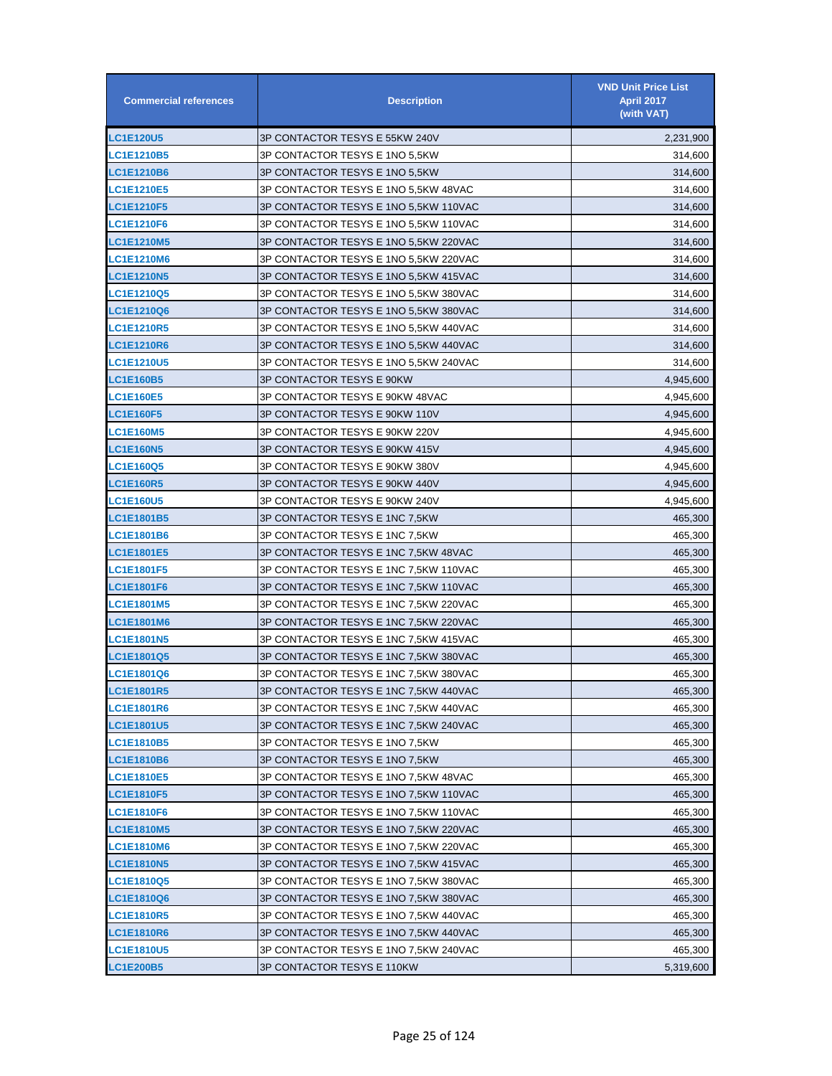| <b>Commercial references</b> | <b>Description</b>                    | <b>VND Unit Price List</b><br><b>April 2017</b><br>(with VAT) |
|------------------------------|---------------------------------------|---------------------------------------------------------------|
| <b>LC1E120U5</b>             | 3P CONTACTOR TESYS E 55KW 240V        | 2,231,900                                                     |
| <b>LC1E1210B5</b>            | 3P CONTACTOR TESYS E 1NO 5,5KW        | 314,600                                                       |
| <b>LC1E1210B6</b>            | 3P CONTACTOR TESYS E 1NO 5,5KW        | 314,600                                                       |
| <b>LC1E1210E5</b>            | 3P CONTACTOR TESYS E 1NO 5,5KW 48VAC  | 314,600                                                       |
| LC1E1210F5                   | 3P CONTACTOR TESYS E 1NO 5,5KW 110VAC | 314,600                                                       |
| <b>LC1E1210F6</b>            | 3P CONTACTOR TESYS E 1NO 5,5KW 110VAC | 314,600                                                       |
| <b>LC1E1210M5</b>            | 3P CONTACTOR TESYS E 1NO 5,5KW 220VAC | 314,600                                                       |
| <b>LC1E1210M6</b>            | 3P CONTACTOR TESYS E 1NO 5,5KW 220VAC | 314,600                                                       |
| <b>LC1E1210N5</b>            | 3P CONTACTOR TESYS E 1NO 5,5KW 415VAC | 314,600                                                       |
| <b>LC1E1210Q5</b>            | 3P CONTACTOR TESYS E 1NO 5,5KW 380VAC | 314,600                                                       |
| <b>LC1E1210Q6</b>            | 3P CONTACTOR TESYS E 1NO 5,5KW 380VAC | 314,600                                                       |
| <b>LC1E1210R5</b>            | 3P CONTACTOR TESYS E 1NO 5,5KW 440VAC | 314,600                                                       |
| <b>LC1E1210R6</b>            | 3P CONTACTOR TESYS E 1NO 5,5KW 440VAC | 314,600                                                       |
| <b>LC1E1210U5</b>            | 3P CONTACTOR TESYS E 1NO 5,5KW 240VAC | 314,600                                                       |
| <b>LC1E160B5</b>             | 3P CONTACTOR TESYS E 90KW             | 4,945,600                                                     |
| <b>LC1E160E5</b>             | 3P CONTACTOR TESYS E 90KW 48VAC       | 4,945,600                                                     |
| <b>LC1E160F5</b>             | 3P CONTACTOR TESYS E 90KW 110V        | 4,945,600                                                     |
| <b>LC1E160M5</b>             | 3P CONTACTOR TESYS E 90KW 220V        | 4,945,600                                                     |
| <b>LC1E160N5</b>             | 3P CONTACTOR TESYS E 90KW 415V        | 4,945,600                                                     |
| <b>LC1E160Q5</b>             | 3P CONTACTOR TESYS E 90KW 380V        | 4,945,600                                                     |
| <b>LC1E160R5</b>             | 3P CONTACTOR TESYS E 90KW 440V        | 4,945,600                                                     |
| <b>LC1E160U5</b>             | 3P CONTACTOR TESYS E 90KW 240V        | 4,945,600                                                     |
| <b>LC1E1801B5</b>            | 3P CONTACTOR TESYS E 1NC 7,5KW        | 465,300                                                       |
| <b>LC1E1801B6</b>            | 3P CONTACTOR TESYS E 1NC 7,5KW        | 465,300                                                       |
| <b>LC1E1801E5</b>            | 3P CONTACTOR TESYS E 1NC 7,5KW 48VAC  | 465,300                                                       |
| <b>LC1E1801F5</b>            | 3P CONTACTOR TESYS E 1NC 7,5KW 110VAC | 465,300                                                       |
| <b>LC1E1801F6</b>            | 3P CONTACTOR TESYS E 1NC 7,5KW 110VAC | 465,300                                                       |
| <b>LC1E1801M5</b>            | 3P CONTACTOR TESYS E 1NC 7,5KW 220VAC | 465,300                                                       |
| <b>LC1E1801M6</b>            | 3P CONTACTOR TESYS E 1NC 7,5KW 220VAC | 465,300                                                       |
| <b>LC1E1801N5</b>            | 3P CONTACTOR TESYS E 1NC 7,5KW 415VAC | 465,300                                                       |
| LC1E1801Q5                   | 3P CONTACTOR TESYS E 1NC 7,5KW 380VAC | 465,300                                                       |
| <b>LC1E1801Q6</b>            | 3P CONTACTOR TESYS E 1NC 7,5KW 380VAC | 465,300                                                       |
| <b>LC1E1801R5</b>            | 3P CONTACTOR TESYS E 1NC 7,5KW 440VAC | 465,300                                                       |
| <b>LC1E1801R6</b>            | 3P CONTACTOR TESYS E 1NC 7,5KW 440VAC | 465,300                                                       |
| <b>LC1E1801U5</b>            | 3P CONTACTOR TESYS E 1NC 7,5KW 240VAC | 465,300                                                       |
| <b>LC1E1810B5</b>            | 3P CONTACTOR TESYS E 1NO 7,5KW        | 465,300                                                       |
| <b>LC1E1810B6</b>            | 3P CONTACTOR TESYS E 1NO 7,5KW        | 465,300                                                       |
| <b>LC1E1810E5</b>            | 3P CONTACTOR TESYS E 1NO 7,5KW 48VAC  | 465,300                                                       |
| <b>LC1E1810F5</b>            | 3P CONTACTOR TESYS E 1NO 7,5KW 110VAC | 465,300                                                       |
| LC1E1810F6                   | 3P CONTACTOR TESYS E 1NO 7,5KW 110VAC | 465,300                                                       |
| <b>LC1E1810M5</b>            | 3P CONTACTOR TESYS E 1NO 7,5KW 220VAC | 465,300                                                       |
| LC1E1810M6                   | 3P CONTACTOR TESYS E 1NO 7,5KW 220VAC | 465,300                                                       |
| <b>LC1E1810N5</b>            | 3P CONTACTOR TESYS E 1NO 7,5KW 415VAC | 465,300                                                       |
| <b>LC1E1810Q5</b>            | 3P CONTACTOR TESYS E 1NO 7,5KW 380VAC | 465,300                                                       |
| <b>LC1E1810Q6</b>            | 3P CONTACTOR TESYS E 1NO 7,5KW 380VAC | 465,300                                                       |
| <b>LC1E1810R5</b>            | 3P CONTACTOR TESYS E 1NO 7,5KW 440VAC | 465,300                                                       |
| <b>LC1E1810R6</b>            | 3P CONTACTOR TESYS E 1NO 7,5KW 440VAC | 465,300                                                       |
| <b>LC1E1810U5</b>            | 3P CONTACTOR TESYS E 1NO 7,5KW 240VAC | 465,300                                                       |
| <b>LC1E200B5</b>             | 3P CONTACTOR TESYS E 110KW            | 5,319,600                                                     |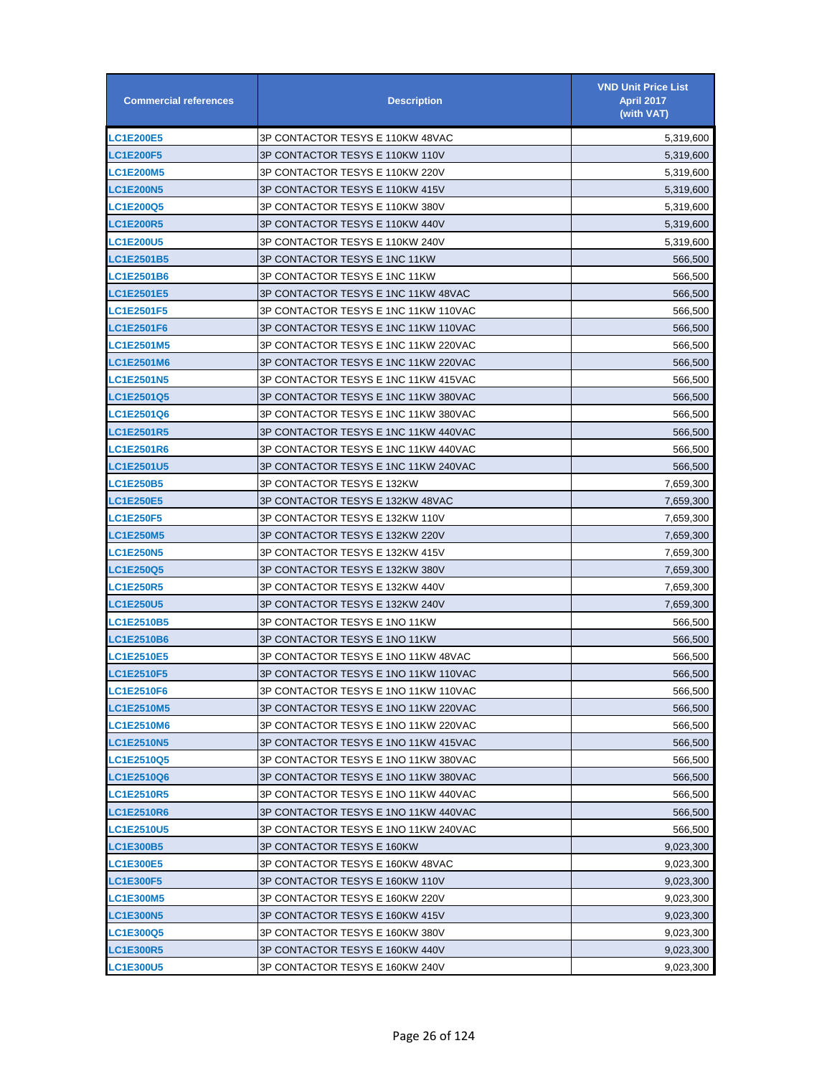| <b>Commercial references</b> | <b>Description</b>                   | <b>VND Unit Price List</b><br><b>April 2017</b><br>(with VAT) |
|------------------------------|--------------------------------------|---------------------------------------------------------------|
| <b>LC1E200E5</b>             | 3P CONTACTOR TESYS E 110KW 48VAC     | 5,319,600                                                     |
| <b>LC1E200F5</b>             | 3P CONTACTOR TESYS E 110KW 110V      | 5,319,600                                                     |
| <b>LC1E200M5</b>             | 3P CONTACTOR TESYS E 110KW 220V      | 5,319,600                                                     |
| <b>LC1E200N5</b>             | 3P CONTACTOR TESYS E 110KW 415V      | 5,319,600                                                     |
| <b>LC1E200Q5</b>             | 3P CONTACTOR TESYS E 110KW 380V      | 5,319,600                                                     |
| <b>LC1E200R5</b>             | 3P CONTACTOR TESYS E 110KW 440V      | 5,319,600                                                     |
| <b>LC1E200U5</b>             | 3P CONTACTOR TESYS E 110KW 240V      | 5,319,600                                                     |
| <b>LC1E2501B5</b>            | 3P CONTACTOR TESYS E 1NC 11KW        | 566,500                                                       |
| <b>LC1E2501B6</b>            | 3P CONTACTOR TESYS E 1NC 11KW        | 566,500                                                       |
| <b>LC1E2501E5</b>            | 3P CONTACTOR TESYS E 1NC 11KW 48VAC  | 566,500                                                       |
| <b>LC1E2501F5</b>            | 3P CONTACTOR TESYS E 1NC 11KW 110VAC | 566,500                                                       |
| <b>LC1E2501F6</b>            | 3P CONTACTOR TESYS E 1NC 11KW 110VAC | 566,500                                                       |
| <b>LC1E2501M5</b>            | 3P CONTACTOR TESYS E 1NC 11KW 220VAC | 566,500                                                       |
| <b>LC1E2501M6</b>            | 3P CONTACTOR TESYS E 1NC 11KW 220VAC | 566,500                                                       |
| <b>LC1E2501N5</b>            | 3P CONTACTOR TESYS E 1NC 11KW 415VAC | 566,500                                                       |
| <b>LC1E2501Q5</b>            | 3P CONTACTOR TESYS E 1NC 11KW 380VAC | 566,500                                                       |
| <b>LC1E2501Q6</b>            | 3P CONTACTOR TESYS E 1NC 11KW 380VAC | 566,500                                                       |
| <b>LC1E2501R5</b>            | 3P CONTACTOR TESYS E 1NC 11KW 440VAC | 566,500                                                       |
| <b>LC1E2501R6</b>            | 3P CONTACTOR TESYS E 1NC 11KW 440VAC | 566,500                                                       |
| <b>LC1E2501U5</b>            | 3P CONTACTOR TESYS E 1NC 11KW 240VAC | 566,500                                                       |
| <b>LC1E250B5</b>             | 3P CONTACTOR TESYS E 132KW           | 7,659,300                                                     |
| <b>LC1E250E5</b>             | 3P CONTACTOR TESYS E 132KW 48VAC     | 7,659,300                                                     |
| <b>LC1E250F5</b>             | 3P CONTACTOR TESYS E 132KW 110V      | 7,659,300                                                     |
| <b>LC1E250M5</b>             | 3P CONTACTOR TESYS E 132KW 220V      | 7,659,300                                                     |
| <b>LC1E250N5</b>             | 3P CONTACTOR TESYS E 132KW 415V      | 7,659,300                                                     |
| <b>LC1E250Q5</b>             | 3P CONTACTOR TESYS E 132KW 380V      | 7,659,300                                                     |
| <b>LC1E250R5</b>             | 3P CONTACTOR TESYS E 132KW 440V      | 7,659,300                                                     |
| <b>LC1E250U5</b>             | 3P CONTACTOR TESYS E 132KW 240V      | 7,659,300                                                     |
| <b>LC1E2510B5</b>            | 3P CONTACTOR TESYS E 1NO 11KW        | 566,500                                                       |
| <b>LC1E2510B6</b>            | 3P CONTACTOR TESYS E 1NO 11KW        | 566,500                                                       |
| <b>LC1E2510E5</b>            | 3P CONTACTOR TESYS E 1NO 11KW 48VAC  | 566,500                                                       |
| LC1E2510F5                   | 3P CONTACTOR TESYS E 1NO 11KW 110VAC | 566,500                                                       |
| LC1E2510F6                   | 3P CONTACTOR TESYS E 1NO 11KW 110VAC | 566,500                                                       |
| <b>LC1E2510M5</b>            | 3P CONTACTOR TESYS E 1NO 11KW 220VAC | 566,500                                                       |
| <b>LC1E2510M6</b>            | 3P CONTACTOR TESYS E 1NO 11KW 220VAC | 566,500                                                       |
| <b>LC1E2510N5</b>            | 3P CONTACTOR TESYS E 1NO 11KW 415VAC | 566,500                                                       |
| <b>LC1E2510Q5</b>            | 3P CONTACTOR TESYS E 1NO 11KW 380VAC | 566,500                                                       |
| <b>LC1E2510Q6</b>            | 3P CONTACTOR TESYS E 1NO 11KW 380VAC | 566,500                                                       |
| <b>LC1E2510R5</b>            | 3P CONTACTOR TESYS E 1NO 11KW 440VAC | 566,500                                                       |
| <b>LC1E2510R6</b>            | 3P CONTACTOR TESYS E 1NO 11KW 440VAC | 566,500                                                       |
| LC1E2510U5                   | 3P CONTACTOR TESYS E 1NO 11KW 240VAC | 566,500                                                       |
| <b>LC1E300B5</b>             | 3P CONTACTOR TESYS E 160KW           | 9,023,300                                                     |
| <b>LC1E300E5</b>             | 3P CONTACTOR TESYS E 160KW 48VAC     | 9,023,300                                                     |
| <b>LC1E300F5</b>             | 3P CONTACTOR TESYS E 160KW 110V      | 9,023,300                                                     |
| <b>LC1E300M5</b>             | 3P CONTACTOR TESYS E 160KW 220V      | 9,023,300                                                     |
| <b>LC1E300N5</b>             | 3P CONTACTOR TESYS E 160KW 415V      | 9,023,300                                                     |
| <b>LC1E300Q5</b>             | 3P CONTACTOR TESYS E 160KW 380V      | 9,023,300                                                     |
| <b>LC1E300R5</b>             | 3P CONTACTOR TESYS E 160KW 440V      | 9,023,300                                                     |
| <b>LC1E300U5</b>             | 3P CONTACTOR TESYS E 160KW 240V      | 9,023,300                                                     |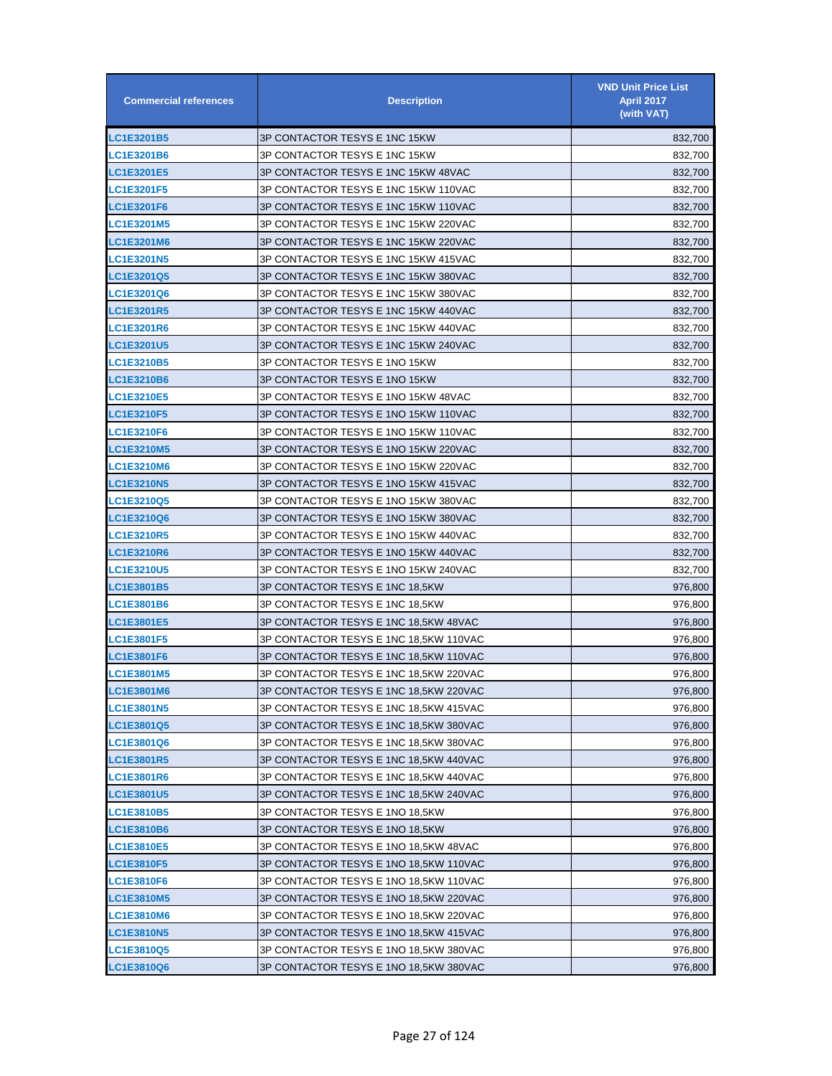| <b>Commercial references</b> | <b>Description</b>                     | <b>VND Unit Price List</b><br><b>April 2017</b><br>(with VAT) |
|------------------------------|----------------------------------------|---------------------------------------------------------------|
| <b>LC1E3201B5</b>            | 3P CONTACTOR TESYS E 1NC 15KW          | 832,700                                                       |
| <b>LC1E3201B6</b>            | 3P CONTACTOR TESYS E 1NC 15KW          | 832,700                                                       |
| <b>LC1E3201E5</b>            | 3P CONTACTOR TESYS E 1NC 15KW 48VAC    | 832,700                                                       |
| <b>LC1E3201F5</b>            | 3P CONTACTOR TESYS E 1NC 15KW 110VAC   | 832,700                                                       |
| <b>LC1E3201F6</b>            | 3P CONTACTOR TESYS E 1NC 15KW 110VAC   | 832,700                                                       |
| <b>LC1E3201M5</b>            | 3P CONTACTOR TESYS E 1NC 15KW 220VAC   | 832,700                                                       |
| <b>LC1E3201M6</b>            | 3P CONTACTOR TESYS E 1NC 15KW 220VAC   | 832,700                                                       |
| <b>LC1E3201N5</b>            | 3P CONTACTOR TESYS E 1NC 15KW 415VAC   | 832,700                                                       |
| <b>LC1E3201Q5</b>            | 3P CONTACTOR TESYS E 1NC 15KW 380VAC   | 832,700                                                       |
| <b>LC1E3201Q6</b>            | 3P CONTACTOR TESYS E 1NC 15KW 380VAC   | 832,700                                                       |
| <b>LC1E3201R5</b>            | 3P CONTACTOR TESYS E 1NC 15KW 440VAC   | 832,700                                                       |
| <b>LC1E3201R6</b>            | 3P CONTACTOR TESYS E 1NC 15KW 440VAC   | 832,700                                                       |
| <b>LC1E3201U5</b>            | 3P CONTACTOR TESYS E 1NC 15KW 240VAC   | 832,700                                                       |
| <b>LC1E3210B5</b>            | 3P CONTACTOR TESYS E 1NO 15KW          | 832,700                                                       |
| <b>LC1E3210B6</b>            | 3P CONTACTOR TESYS E 1NO 15KW          | 832,700                                                       |
| <b>LC1E3210E5</b>            | 3P CONTACTOR TESYS E 1NO 15KW 48VAC    | 832,700                                                       |
| <b>LC1E3210F5</b>            | 3P CONTACTOR TESYS E 1NO 15KW 110VAC   | 832,700                                                       |
| LC1E3210F6                   | 3P CONTACTOR TESYS E 1NO 15KW 110VAC   | 832,700                                                       |
| <b>LC1E3210M5</b>            | 3P CONTACTOR TESYS E 1NO 15KW 220VAC   | 832,700                                                       |
| <b>LC1E3210M6</b>            | 3P CONTACTOR TESYS E 1NO 15KW 220VAC   | 832,700                                                       |
| <b>LC1E3210N5</b>            | 3P CONTACTOR TESYS E 1NO 15KW 415VAC   | 832,700                                                       |
| <b>LC1E3210Q5</b>            | 3P CONTACTOR TESYS E 1NO 15KW 380VAC   | 832,700                                                       |
| LC1E3210Q6                   | 3P CONTACTOR TESYS E 1NO 15KW 380VAC   | 832,700                                                       |
| <b>LC1E3210R5</b>            | 3P CONTACTOR TESYS E 1NO 15KW 440VAC   | 832,700                                                       |
| <b>LC1E3210R6</b>            | 3P CONTACTOR TESYS E 1NO 15KW 440VAC   | 832,700                                                       |
| <b>LC1E3210U5</b>            | 3P CONTACTOR TESYS E 1NO 15KW 240VAC   | 832,700                                                       |
| <b>LC1E3801B5</b>            | 3P CONTACTOR TESYS E 1NC 18,5KW        | 976,800                                                       |
| <b>LC1E3801B6</b>            | 3P CONTACTOR TESYS E 1NC 18,5KW        | 976,800                                                       |
| <b>LC1E3801E5</b>            | 3P CONTACTOR TESYS E 1NC 18,5KW 48VAC  | 976,800                                                       |
| <b>LC1E3801F5</b>            | 3P CONTACTOR TESYS E 1NC 18,5KW 110VAC | 976,800                                                       |
| <b>LC1E3801F6</b>            | 3P CONTACTOR TESYS E 1NC 18,5KW 110VAC | 976,800                                                       |
| <b>LC1E3801M5</b>            | 3P CONTACTOR TESYS E 1NC 18.5KW 220VAC | 976,800                                                       |
| LC1E3801M6                   | 3P CONTACTOR TESYS E 1NC 18,5KW 220VAC | 976,800                                                       |
| <b>LC1E3801N5</b>            | 3P CONTACTOR TESYS E 1NC 18,5KW 415VAC | 976,800                                                       |
| LC1E3801Q5                   | 3P CONTACTOR TESYS E 1NC 18,5KW 380VAC | 976,800                                                       |
| LC1E3801Q6                   | 3P CONTACTOR TESYS E 1NC 18,5KW 380VAC | 976,800                                                       |
| <b>LC1E3801R5</b>            | 3P CONTACTOR TESYS E 1NC 18,5KW 440VAC | 976,800                                                       |
| <b>LC1E3801R6</b>            | 3P CONTACTOR TESYS E 1NC 18,5KW 440VAC | 976,800                                                       |
| LC1E3801U5                   | 3P CONTACTOR TESYS E 1NC 18,5KW 240VAC | 976,800                                                       |
| LC1E3810B5                   | 3P CONTACTOR TESYS E 1NO 18,5KW        | 976,800                                                       |
| LC1E3810B6                   | 3P CONTACTOR TESYS E 1NO 18,5KW        | 976,800                                                       |
| LC1E3810E5                   | 3P CONTACTOR TESYS E 1NO 18,5KW 48VAC  | 976,800                                                       |
| <b>LC1E3810F5</b>            | 3P CONTACTOR TESYS E 1NO 18,5KW 110VAC | 976,800                                                       |
| <b>LC1E3810F6</b>            | 3P CONTACTOR TESYS E 1NO 18,5KW 110VAC | 976,800                                                       |
| <b>LC1E3810M5</b>            | 3P CONTACTOR TESYS E 1NO 18,5KW 220VAC | 976,800                                                       |
| <b>LC1E3810M6</b>            | 3P CONTACTOR TESYS E 1NO 18,5KW 220VAC | 976,800                                                       |
| <b>LC1E3810N5</b>            | 3P CONTACTOR TESYS E 1NO 18,5KW 415VAC | 976,800                                                       |
| <b>LC1E3810Q5</b>            | 3P CONTACTOR TESYS E 1NO 18,5KW 380VAC | 976,800                                                       |
| LC1E3810Q6                   | 3P CONTACTOR TESYS E 1NO 18,5KW 380VAC | 976,800                                                       |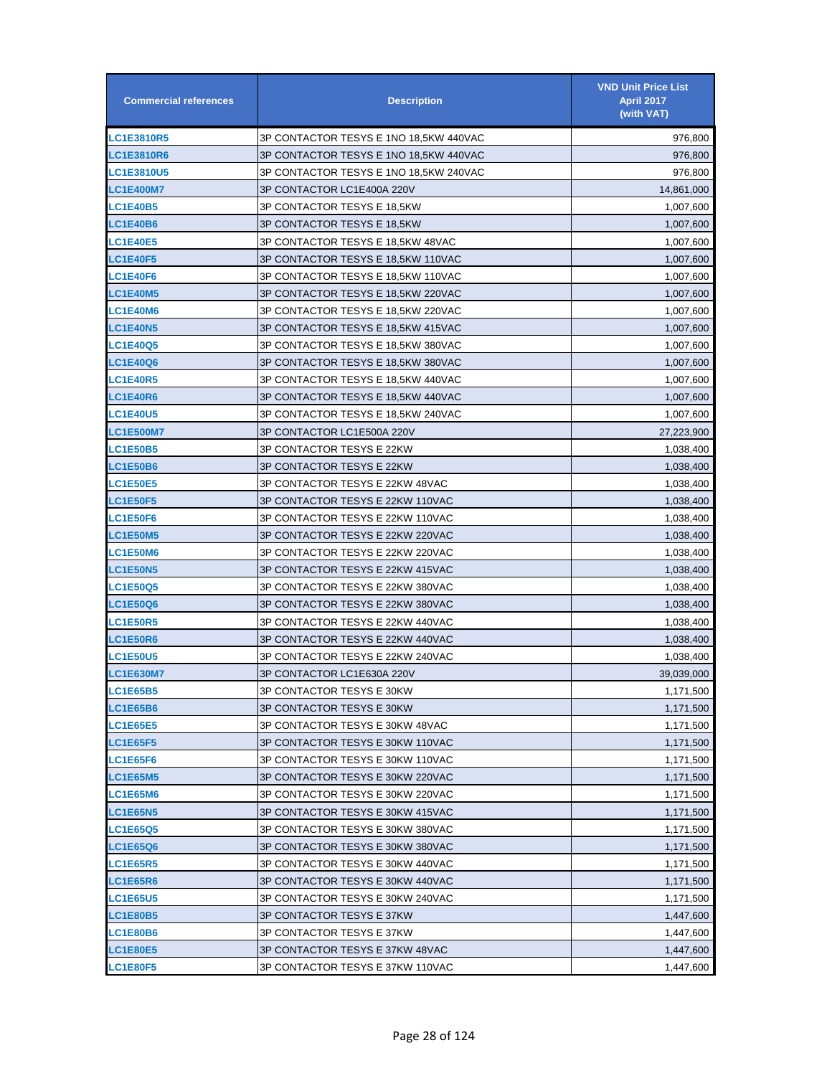| <b>Commercial references</b> | <b>Description</b>                     | <b>VND Unit Price List</b><br><b>April 2017</b><br>(with VAT) |
|------------------------------|----------------------------------------|---------------------------------------------------------------|
| <b>LC1E3810R5</b>            | 3P CONTACTOR TESYS E 1NO 18.5KW 440VAC | 976,800                                                       |
| <b>LC1E3810R6</b>            | 3P CONTACTOR TESYS E 1NO 18,5KW 440VAC | 976,800                                                       |
| <b>LC1E3810U5</b>            | 3P CONTACTOR TESYS E 1NO 18,5KW 240VAC | 976,800                                                       |
| <b>LC1E400M7</b>             | 3P CONTACTOR LC1E400A 220V             | 14,861,000                                                    |
| <b>LC1E40B5</b>              | 3P CONTACTOR TESYS E 18.5KW            | 1,007,600                                                     |
| LC1E40B6                     | 3P CONTACTOR TESYS E 18,5KW            | 1,007,600                                                     |
| <b>LC1E40E5</b>              | 3P CONTACTOR TESYS E 18,5KW 48VAC      | 1,007,600                                                     |
| <b>LC1E40F5</b>              | 3P CONTACTOR TESYS E 18,5KW 110VAC     | 1,007,600                                                     |
| <b>LC1E40F6</b>              | 3P CONTACTOR TESYS E 18,5KW 110VAC     | 1,007,600                                                     |
| <b>LC1E40M5</b>              | 3P CONTACTOR TESYS E 18,5KW 220VAC     | 1,007,600                                                     |
| <b>LC1E40M6</b>              | 3P CONTACTOR TESYS E 18,5KW 220VAC     | 1,007,600                                                     |
| <b>LC1E40N5</b>              | 3P CONTACTOR TESYS E 18,5KW 415VAC     | 1,007,600                                                     |
| <b>LC1E40Q5</b>              | 3P CONTACTOR TESYS E 18,5KW 380VAC     | 1,007,600                                                     |
| <b>LC1E40Q6</b>              | 3P CONTACTOR TESYS E 18,5KW 380VAC     | 1,007,600                                                     |
| <b>LC1E40R5</b>              | 3P CONTACTOR TESYS E 18,5KW 440VAC     | 1,007,600                                                     |
| <b>LC1E40R6</b>              | 3P CONTACTOR TESYS E 18,5KW 440VAC     | 1,007,600                                                     |
| <b>LC1E40U5</b>              | 3P CONTACTOR TESYS E 18,5KW 240VAC     | 1,007,600                                                     |
| <b>LC1E500M7</b>             | 3P CONTACTOR LC1E500A 220V             | 27,223,900                                                    |
| <b>LC1E50B5</b>              | 3P CONTACTOR TESYS E 22KW              | 1,038,400                                                     |
| <b>LC1E50B6</b>              | 3P CONTACTOR TESYS E 22KW              | 1,038,400                                                     |
| <b>LC1E50E5</b>              | 3P CONTACTOR TESYS E 22KW 48VAC        | 1,038,400                                                     |
| <b>LC1E50F5</b>              | 3P CONTACTOR TESYS E 22KW 110VAC       | 1,038,400                                                     |
| <b>LC1E50F6</b>              | 3P CONTACTOR TESYS E 22KW 110VAC       | 1,038,400                                                     |
| <b>LC1E50M5</b>              | 3P CONTACTOR TESYS E 22KW 220VAC       | 1,038,400                                                     |
| <b>LC1E50M6</b>              | 3P CONTACTOR TESYS E 22KW 220VAC       | 1,038,400                                                     |
| <b>LC1E50N5</b>              | 3P CONTACTOR TESYS E 22KW 415VAC       | 1,038,400                                                     |
| <b>LC1E50Q5</b>              | 3P CONTACTOR TESYS E 22KW 380VAC       | 1,038,400                                                     |
| <b>LC1E50Q6</b>              | 3P CONTACTOR TESYS E 22KW 380VAC       | 1,038,400                                                     |
| <b>LC1E50R5</b>              | 3P CONTACTOR TESYS E 22KW 440VAC       | 1,038,400                                                     |
| <b>LC1E50R6</b>              | 3P CONTACTOR TESYS E 22KW 440VAC       | 1,038,400                                                     |
| <b>LC1E50U5</b>              | 3P CONTACTOR TESYS E 22KW 240VAC       | 1,038,400                                                     |
| <b>LC1E630M7</b>             | 3P CONTACTOR LC1E630A 220V             | 39,039,000                                                    |
| <b>LC1E65B5</b>              | 3P CONTACTOR TESYS E 30KW              | 1,171,500                                                     |
| <b>LC1E65B6</b>              | 3P CONTACTOR TESYS E 30KW              | 1,171,500                                                     |
| <b>LC1E65E5</b>              | 3P CONTACTOR TESYS E 30KW 48VAC        | 1,171,500                                                     |
| <b>LC1E65F5</b>              | 3P CONTACTOR TESYS E 30KW 110VAC       | 1,171,500                                                     |
| <b>LC1E65F6</b>              | 3P CONTACTOR TESYS E 30KW 110VAC       | 1,171,500                                                     |
| <b>LC1E65M5</b>              | 3P CONTACTOR TESYS E 30KW 220VAC       | 1,171,500                                                     |
| <b>LC1E65M6</b>              | 3P CONTACTOR TESYS E 30KW 220VAC       | 1,171,500                                                     |
| <b>LC1E65N5</b>              | 3P CONTACTOR TESYS E 30KW 415VAC       | 1,171,500                                                     |
| <b>LC1E65Q5</b>              | 3P CONTACTOR TESYS E 30KW 380VAC       | 1,171,500                                                     |
| <b>LC1E65Q6</b>              | 3P CONTACTOR TESYS E 30KW 380VAC       | 1,171,500                                                     |
| <b>LC1E65R5</b>              | 3P CONTACTOR TESYS E 30KW 440VAC       | 1,171,500                                                     |
| LC1E65R6                     | 3P CONTACTOR TESYS E 30KW 440VAC       | 1,171,500                                                     |
| <b>LC1E65U5</b>              | 3P CONTACTOR TESYS E 30KW 240VAC       | 1,171,500                                                     |
| <b>LC1E80B5</b>              | 3P CONTACTOR TESYS E 37KW              | 1,447,600                                                     |
| LC1E80B6                     | 3P CONTACTOR TESYS E 37KW              | 1,447,600                                                     |
| <b>LC1E80E5</b>              | 3P CONTACTOR TESYS E 37KW 48VAC        | 1,447,600                                                     |
| <b>LC1E80F5</b>              | 3P CONTACTOR TESYS E 37KW 110VAC       | 1,447,600                                                     |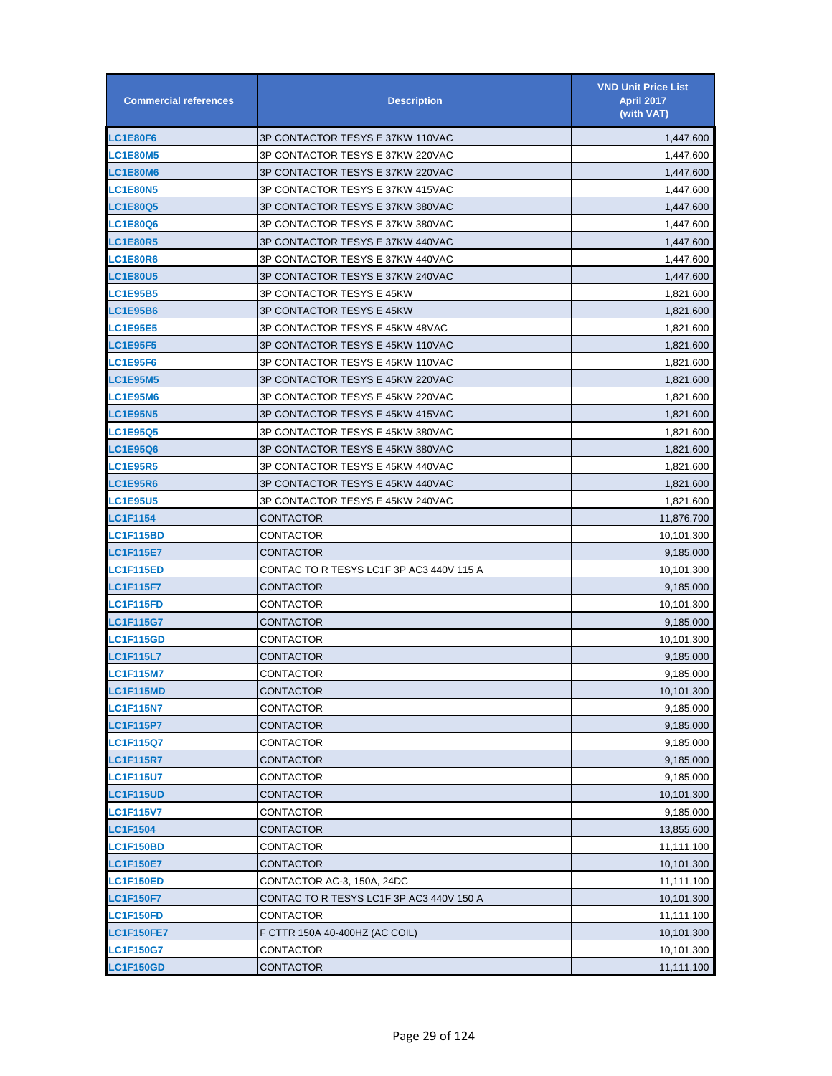| <b>Commercial references</b> | <b>Description</b>                       | <b>VND Unit Price List</b><br><b>April 2017</b><br>(with VAT) |
|------------------------------|------------------------------------------|---------------------------------------------------------------|
| LC1E80F6                     | 3P CONTACTOR TESYS E 37KW 110VAC         | 1,447,600                                                     |
| <b>LC1E80M5</b>              | 3P CONTACTOR TESYS E 37KW 220VAC         | 1,447,600                                                     |
| <b>LC1E80M6</b>              | 3P CONTACTOR TESYS E 37KW 220VAC         | 1,447,600                                                     |
| <b>LC1E80N5</b>              | 3P CONTACTOR TESYS E 37KW 415VAC         | 1,447,600                                                     |
| LC1E80Q5                     | 3P CONTACTOR TESYS E 37KW 380VAC         | 1,447,600                                                     |
| LC1E80Q6                     | 3P CONTACTOR TESYS E 37KW 380VAC         | 1,447,600                                                     |
| <b>LC1E80R5</b>              | 3P CONTACTOR TESYS E 37KW 440VAC         | 1,447,600                                                     |
| LC1E80R6                     | 3P CONTACTOR TESYS E 37KW 440VAC         | 1,447,600                                                     |
| <b>LC1E80U5</b>              | 3P CONTACTOR TESYS E 37KW 240VAC         | 1,447,600                                                     |
| <b>LC1E95B5</b>              | 3P CONTACTOR TESYS E 45KW                | 1,821,600                                                     |
| <b>LC1E95B6</b>              | 3P CONTACTOR TESYS E 45KW                | 1,821,600                                                     |
| <b>LC1E95E5</b>              | 3P CONTACTOR TESYS E 45KW 48VAC          | 1,821,600                                                     |
| <b>LC1E95F5</b>              | 3P CONTACTOR TESYS E 45KW 110VAC         | 1,821,600                                                     |
| <b>LC1E95F6</b>              | 3P CONTACTOR TESYS E 45KW 110VAC         | 1,821,600                                                     |
| <b>LC1E95M5</b>              | 3P CONTACTOR TESYS E 45KW 220VAC         | 1,821,600                                                     |
| <b>LC1E95M6</b>              | 3P CONTACTOR TESYS E 45KW 220VAC         | 1,821,600                                                     |
| LC1E95N5                     | 3P CONTACTOR TESYS E 45KW 415VAC         | 1,821,600                                                     |
| LC1E95Q5                     | 3P CONTACTOR TESYS E 45KW 380VAC         | 1,821,600                                                     |
| <b>LC1E95Q6</b>              | 3P CONTACTOR TESYS E 45KW 380VAC         | 1,821,600                                                     |
| <b>LC1E95R5</b>              | 3P CONTACTOR TESYS E 45KW 440VAC         | 1,821,600                                                     |
| LC1E95R6                     | 3P CONTACTOR TESYS E 45KW 440VAC         | 1,821,600                                                     |
| <b>LC1E95U5</b>              | 3P CONTACTOR TESYS E 45KW 240VAC         | 1,821,600                                                     |
| <b>LC1F1154</b>              | <b>CONTACTOR</b>                         | 11,876,700                                                    |
| <b>LC1F115BD</b>             | CONTACTOR                                | 10,101,300                                                    |
| <b>LC1F115E7</b>             | CONTACTOR                                | 9,185,000                                                     |
| <b>LC1F115ED</b>             | CONTAC TO R TESYS LC1F 3P AC3 440V 115 A | 10,101,300                                                    |
| <b>LC1F115F7</b>             | CONTACTOR                                | 9,185,000                                                     |
| <b>LC1F115FD</b>             | CONTACTOR                                | 10,101,300                                                    |
| <b>LC1F115G7</b>             | CONTACTOR                                | 9,185,000                                                     |
| <b>LC1F115GD</b>             | CONTACTOR                                | 10,101,300                                                    |
| <b>LC1F115L7</b>             | CONTACTOR                                | 9,185,000                                                     |
| <b>LC1F115M7</b>             | CONTACTOR                                | 9,185,000                                                     |
| <b>LC1F115MD</b>             | CONTACTOR                                | 10,101,300                                                    |
| <b>LC1F115N7</b>             | CONTACTOR                                | 9,185,000                                                     |
| <b>LC1F115P7</b>             | CONTACTOR                                | 9,185,000                                                     |
| <b>LC1F115Q7</b>             | CONTACTOR                                | 9,185,000                                                     |
| <b>LC1F115R7</b>             | CONTACTOR                                | 9,185,000                                                     |
| <b>LC1F115U7</b>             | CONTACTOR                                | 9,185,000                                                     |
| <b>LC1F115UD</b>             | CONTACTOR                                | 10,101,300                                                    |
| <b>LC1F115V7</b>             | CONTACTOR                                | 9,185,000                                                     |
| <b>LC1F1504</b>              | CONTACTOR                                | 13,855,600                                                    |
| <b>LC1F150BD</b>             | CONTACTOR                                | 11,111,100                                                    |
| <b>LC1F150E7</b>             | CONTACTOR                                | 10,101,300                                                    |
| <b>LC1F150ED</b>             | CONTACTOR AC-3, 150A, 24DC               | 11,111,100                                                    |
| <b>LC1F150F7</b>             | CONTAC TO R TESYS LC1F 3P AC3 440V 150 A | 10,101,300                                                    |
| LC1F150FD                    | CONTACTOR                                | 11,111,100                                                    |
| <b>LC1F150FE7</b>            | F CTTR 150A 40-400HZ (AC COIL)           | 10,101,300                                                    |
| <b>LC1F150G7</b>             | CONTACTOR                                | 10,101,300                                                    |
| <b>LC1F150GD</b>             | <b>CONTACTOR</b>                         | 11,111,100                                                    |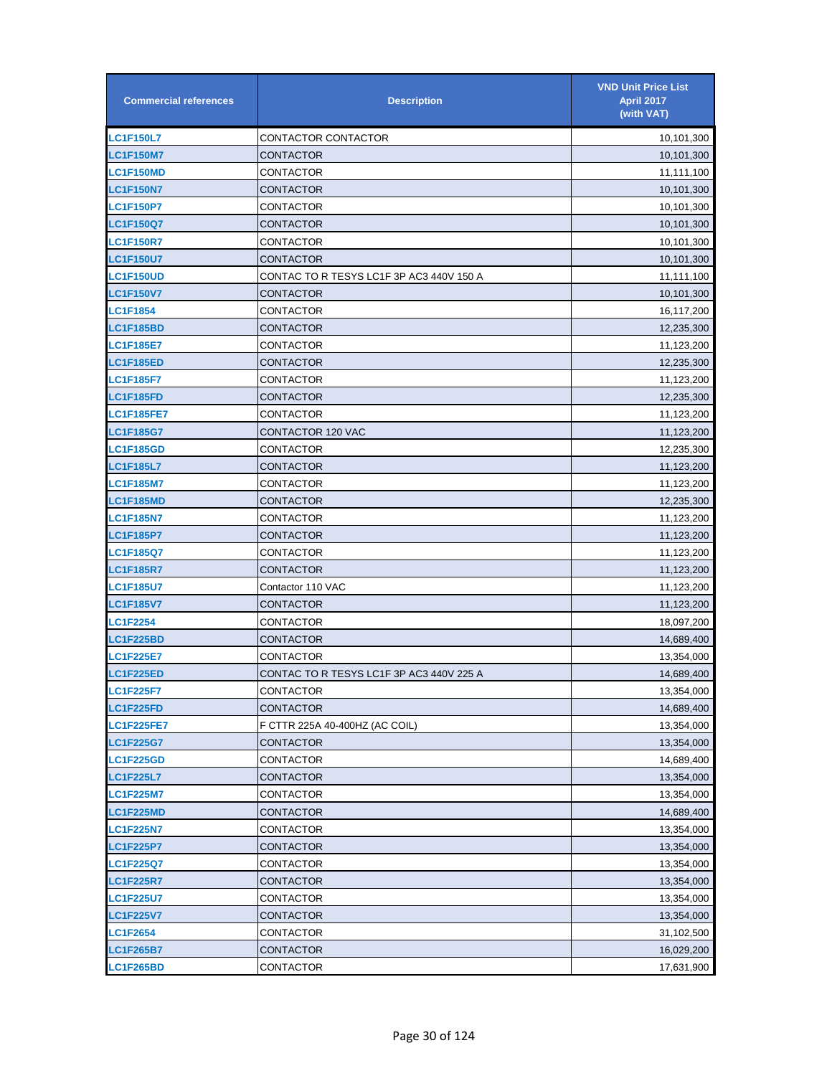| <b>Commercial references</b> | <b>Description</b>                       | <b>VND Unit Price List</b><br><b>April 2017</b><br>(with VAT) |
|------------------------------|------------------------------------------|---------------------------------------------------------------|
| <b>LC1F150L7</b>             | CONTACTOR CONTACTOR                      | 10,101,300                                                    |
| <b>LC1F150M7</b>             | CONTACTOR                                | 10,101,300                                                    |
| <b>LC1F150MD</b>             | CONTACTOR                                | 11,111,100                                                    |
| <b>LC1F150N7</b>             | CONTACTOR                                | 10,101,300                                                    |
| <b>LC1F150P7</b>             | CONTACTOR                                | 10,101,300                                                    |
| <b>LC1F150Q7</b>             | CONTACTOR                                | 10,101,300                                                    |
| <b>LC1F150R7</b>             | CONTACTOR                                | 10,101,300                                                    |
| <b>LC1F150U7</b>             | CONTACTOR                                | 10,101,300                                                    |
| <b>LC1F150UD</b>             | CONTAC TO R TESYS LC1F 3P AC3 440V 150 A | 11,111,100                                                    |
| <b>LC1F150V7</b>             | CONTACTOR                                | 10,101,300                                                    |
| <b>LC1F1854</b>              | CONTACTOR                                | 16,117,200                                                    |
| <b>LC1F185BD</b>             | CONTACTOR                                | 12,235,300                                                    |
| <b>LC1F185E7</b>             | CONTACTOR                                | 11,123,200                                                    |
| LC1F185ED                    | CONTACTOR                                | 12,235,300                                                    |
| <b>LC1F185F7</b>             | CONTACTOR                                | 11,123,200                                                    |
| <b>LC1F185FD</b>             | CONTACTOR                                | 12,235,300                                                    |
| <b>LC1F185FE7</b>            | CONTACTOR                                | 11,123,200                                                    |
| <b>LC1F185G7</b>             | CONTACTOR 120 VAC                        | 11,123,200                                                    |
| LC1F185GD                    | CONTACTOR                                | 12,235,300                                                    |
| <b>LC1F185L7</b>             | CONTACTOR                                | 11,123,200                                                    |
| <b>LC1F185M7</b>             | CONTACTOR                                | 11,123,200                                                    |
| <b>LC1F185MD</b>             | CONTACTOR                                | 12,235,300                                                    |
| <b>LC1F185N7</b>             | CONTACTOR                                | 11,123,200                                                    |
| <b>LC1F185P7</b>             | CONTACTOR                                | 11,123,200                                                    |
| <b>LC1F185Q7</b>             | CONTACTOR                                | 11,123,200                                                    |
| <b>LC1F185R7</b>             | CONTACTOR                                | 11,123,200                                                    |
| <b>LC1F185U7</b>             | Contactor 110 VAC                        | 11,123,200                                                    |
| <b>LC1F185V7</b>             | CONTACTOR                                | 11,123,200                                                    |
| <b>LC1F2254</b>              | CONTACTOR                                | 18,097,200                                                    |
| LC1F225BD                    | CONTACTOR                                | 14,689,400                                                    |
| <b>LC1F225E7</b>             | CONTACTOR                                | 13,354,000                                                    |
| <b>LC1F225ED</b>             | CONTAC TO R TESYS LC1F 3P AC3 440V 225 A | 14,689,400                                                    |
| <b>LC1F225F7</b>             | CONTACTOR                                | 13,354,000                                                    |
| <b>LC1F225FD</b>             | CONTACTOR                                | 14,689,400                                                    |
| <b>LC1F225FE7</b>            | F CTTR 225A 40-400HZ (AC COIL)           | 13,354,000                                                    |
| <b>LC1F225G7</b>             | CONTACTOR                                | 13,354,000                                                    |
| <b>LC1F225GD</b>             | CONTACTOR                                | 14,689,400                                                    |
| <b>LC1F225L7</b>             | CONTACTOR                                | 13,354,000                                                    |
| <b>LC1F225M7</b>             | CONTACTOR                                | 13,354,000                                                    |
| <b>LC1F225MD</b>             | CONTACTOR                                | 14,689,400                                                    |
| <b>LC1F225N7</b>             | CONTACTOR                                | 13,354,000                                                    |
| <b>LC1F225P7</b>             | CONTACTOR                                | 13,354,000                                                    |
| LC1F225Q7                    | CONTACTOR                                | 13,354,000                                                    |
| <b>LC1F225R7</b>             | CONTACTOR                                | 13,354,000                                                    |
| <b>LC1F225U7</b>             | CONTACTOR                                | 13,354,000                                                    |
| <b>LC1F225V7</b>             | CONTACTOR                                | 13,354,000                                                    |
| <b>LC1F2654</b>              | CONTACTOR                                | 31,102,500                                                    |
| LC1F265B7                    | CONTACTOR                                | 16,029,200                                                    |
| <b>LC1F265BD</b>             | CONTACTOR                                | 17,631,900                                                    |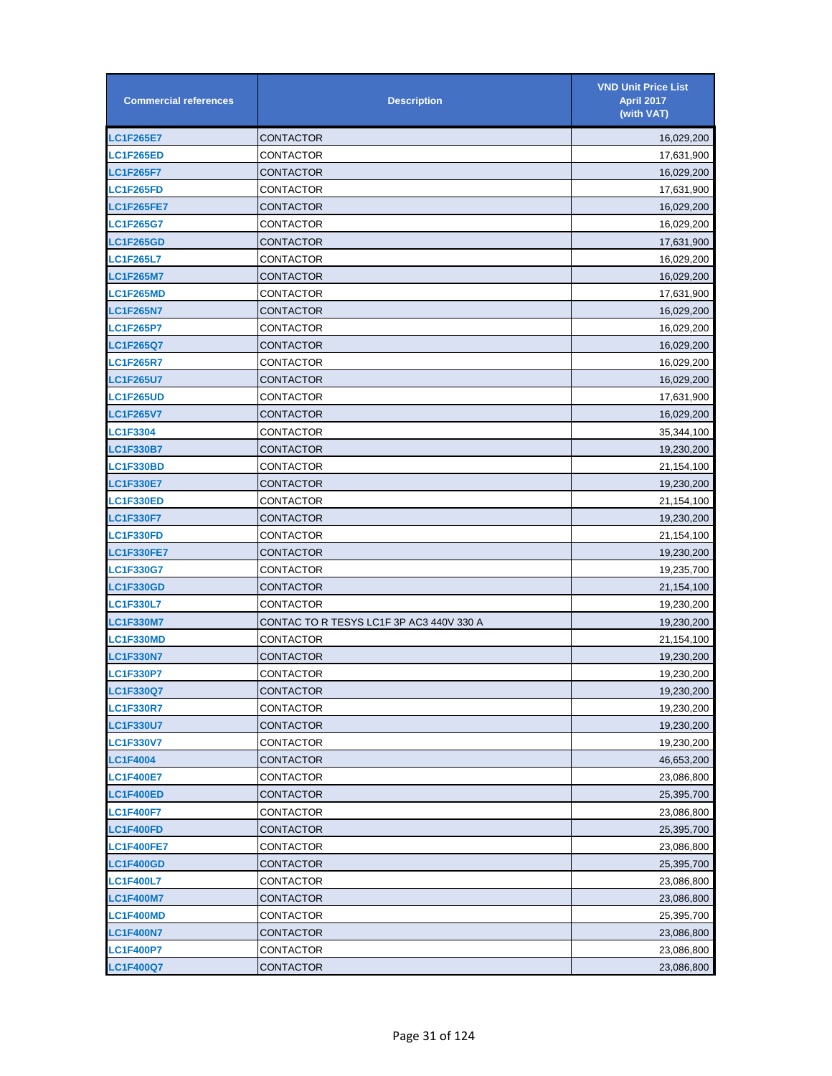| <b>Commercial references</b> | <b>Description</b>                       | <b>VND Unit Price List</b><br><b>April 2017</b><br>(with VAT) |
|------------------------------|------------------------------------------|---------------------------------------------------------------|
| <b>LC1F265E7</b>             | CONTACTOR                                | 16,029,200                                                    |
| <b>LC1F265ED</b>             | CONTACTOR                                | 17,631,900                                                    |
| <b>LC1F265F7</b>             | CONTACTOR                                | 16,029,200                                                    |
| <b>LC1F265FD</b>             | CONTACTOR                                | 17,631,900                                                    |
| <b>LC1F265FE7</b>            | CONTACTOR                                | 16,029,200                                                    |
| <b>LC1F265G7</b>             | CONTACTOR                                | 16,029,200                                                    |
| <b>LC1F265GD</b>             | <b>CONTACTOR</b>                         | 17,631,900                                                    |
| <b>LC1F265L7</b>             | CONTACTOR                                | 16,029,200                                                    |
| <b>LC1F265M7</b>             | CONTACTOR                                | 16,029,200                                                    |
| <b>LC1F265MD</b>             | CONTACTOR                                | 17,631,900                                                    |
| <b>LC1F265N7</b>             | CONTACTOR                                | 16,029,200                                                    |
| <b>LC1F265P7</b>             | CONTACTOR                                | 16,029,200                                                    |
| <b>LC1F265Q7</b>             | CONTACTOR                                | 16,029,200                                                    |
| <b>LC1F265R7</b>             | CONTACTOR                                | 16,029,200                                                    |
| <b>LC1F265U7</b>             | <b>CONTACTOR</b>                         | 16,029,200                                                    |
| <b>LC1F265UD</b>             | CONTACTOR                                | 17,631,900                                                    |
| <b>LC1F265V7</b>             | CONTACTOR                                | 16,029,200                                                    |
| LC1F3304                     | CONTACTOR                                | 35,344,100                                                    |
| <b>LC1F330B7</b>             | CONTACTOR                                | 19,230,200                                                    |
| <b>LC1F330BD</b>             | CONTACTOR                                | 21,154,100                                                    |
| <b>LC1F330E7</b>             | CONTACTOR                                | 19,230,200                                                    |
| <b>LC1F330ED</b>             | CONTACTOR                                | 21,154,100                                                    |
| <b>LC1F330F7</b>             | CONTACTOR                                | 19,230,200                                                    |
| <b>LC1F330FD</b>             | CONTACTOR                                | 21,154,100                                                    |
| <b>LC1F330FE7</b>            | CONTACTOR                                | 19,230,200                                                    |
| <b>LC1F330G7</b>             | CONTACTOR                                | 19,235,700                                                    |
| <b>LC1F330GD</b>             | CONTACTOR                                | 21,154,100                                                    |
| <b>LC1F330L7</b>             | CONTACTOR                                | 19,230,200                                                    |
| <b>LC1F330M7</b>             | CONTAC TO R TESYS LC1F 3P AC3 440V 330 A | 19,230,200                                                    |
| <b>LC1F330MD</b>             | CONTACTOR                                | 21,154,100                                                    |
| <b>LC1F330N7</b>             | CONTACTOR                                | 19,230,200                                                    |
| <b>LC1F330P7</b>             | CONTACTOR                                | 19,230,200                                                    |
| <b>LC1F330Q7</b>             | CONTACTOR                                | 19,230,200                                                    |
| <b>LC1F330R7</b>             | CONTACTOR                                | 19,230,200                                                    |
| <b>LC1F330U7</b>             | CONTACTOR                                | 19,230,200                                                    |
| <b>LC1F330V7</b>             | CONTACTOR                                | 19,230,200                                                    |
| <b>LC1F4004</b>              | CONTACTOR                                | 46,653,200                                                    |
| <b>LC1F400E7</b>             | CONTACTOR                                | 23,086,800                                                    |
| <b>LC1F400ED</b>             | CONTACTOR                                | 25,395,700                                                    |
| <b>LC1F400F7</b>             | CONTACTOR                                | 23,086,800                                                    |
| <b>LC1F400FD</b>             | CONTACTOR                                | 25,395,700                                                    |
| <b>LC1F400FE7</b>            | CONTACTOR                                | 23,086,800                                                    |
| <b>LC1F400GD</b>             | CONTACTOR                                | 25,395,700                                                    |
| <b>LC1F400L7</b>             | CONTACTOR                                | 23,086,800                                                    |
| <b>LC1F400M7</b>             | CONTACTOR                                | 23,086,800                                                    |
| <b>LC1F400MD</b>             | CONTACTOR                                | 25,395,700                                                    |
| <b>LC1F400N7</b>             | CONTACTOR                                | 23,086,800                                                    |
| <b>LC1F400P7</b>             | CONTACTOR                                | 23,086,800                                                    |
| <b>LC1F400Q7</b>             | CONTACTOR                                | 23,086,800                                                    |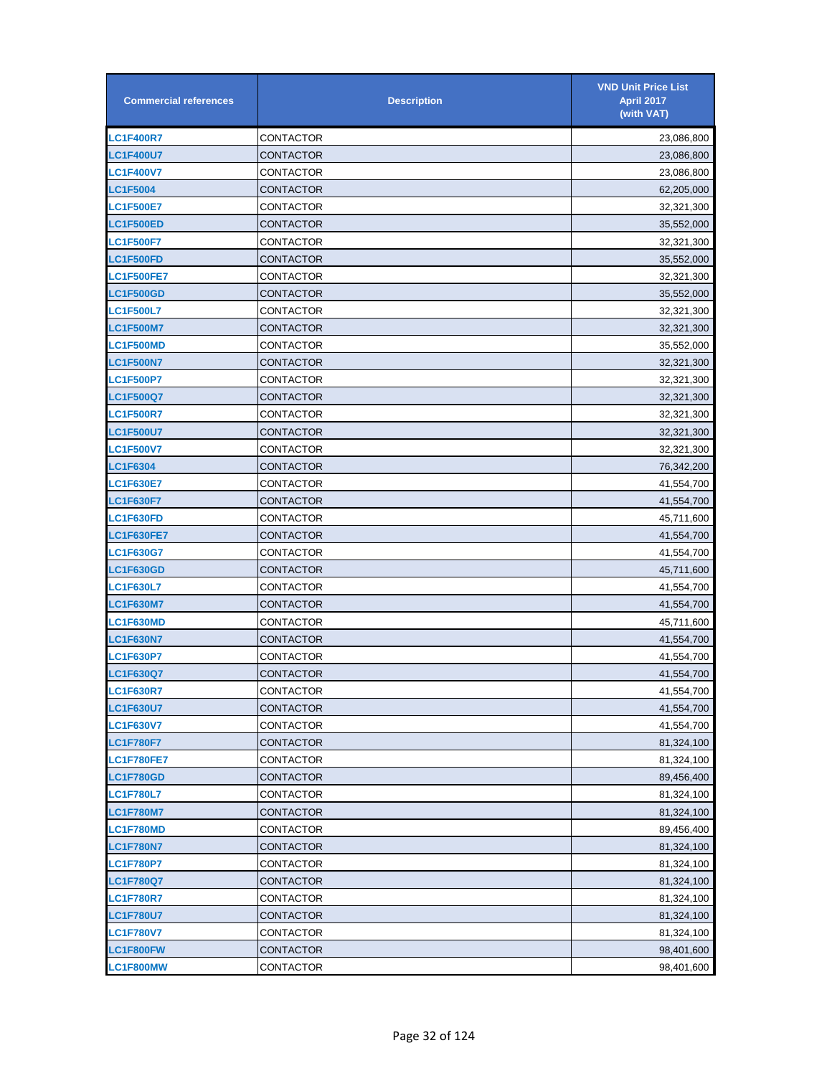| <b>Commercial references</b> | <b>Description</b> | <b>VND Unit Price List</b><br><b>April 2017</b><br>(with VAT) |
|------------------------------|--------------------|---------------------------------------------------------------|
| <b>LC1F400R7</b>             | CONTACTOR          | 23,086,800                                                    |
| <b>LC1F400U7</b>             | CONTACTOR          | 23,086,800                                                    |
| <b>LC1F400V7</b>             | CONTACTOR          | 23,086,800                                                    |
| <b>LC1F5004</b>              | CONTACTOR          | 62,205,000                                                    |
| <b>LC1F500E7</b>             | CONTACTOR          | 32,321,300                                                    |
| LC1F500ED                    | CONTACTOR          | 35,552,000                                                    |
| <b>LC1F500F7</b>             | CONTACTOR          | 32,321,300                                                    |
| <b>LC1F500FD</b>             | CONTACTOR          | 35,552,000                                                    |
| <b>LC1F500FE7</b>            | CONTACTOR          | 32,321,300                                                    |
| <b>LC1F500GD</b>             | CONTACTOR          | 35,552,000                                                    |
| <b>LC1F500L7</b>             | CONTACTOR          | 32,321,300                                                    |
| <b>LC1F500M7</b>             | CONTACTOR          | 32,321,300                                                    |
| <b>LC1F500MD</b>             | CONTACTOR          | 35,552,000                                                    |
| <b>LC1F500N7</b>             | CONTACTOR          | 32,321,300                                                    |
| <b>LC1F500P7</b>             | CONTACTOR          | 32,321,300                                                    |
| LC1F500Q7                    | CONTACTOR          | 32,321,300                                                    |
| <b>LC1F500R7</b>             | CONTACTOR          | 32,321,300                                                    |
| <b>LC1F500U7</b>             | CONTACTOR          | 32,321,300                                                    |
| <b>LC1F500V7</b>             | CONTACTOR          | 32,321,300                                                    |
| <b>LC1F6304</b>              | CONTACTOR          | 76,342,200                                                    |
| <b>LC1F630E7</b>             | CONTACTOR          | 41,554,700                                                    |
| <b>LC1F630F7</b>             | CONTACTOR          | 41,554,700                                                    |
| LC1F630FD                    | CONTACTOR          | 45,711,600                                                    |
| <b>LC1F630FE7</b>            | CONTACTOR          | 41,554,700                                                    |
| <b>LC1F630G7</b>             | CONTACTOR          | 41,554,700                                                    |
| <b>LC1F630GD</b>             | CONTACTOR          | 45,711,600                                                    |
| <b>LC1F630L7</b>             | CONTACTOR          | 41,554,700                                                    |
| <b>LC1F630M7</b>             | CONTACTOR          | 41,554,700                                                    |
| <b>LC1F630MD</b>             | CONTACTOR          | 45,711,600                                                    |
| <b>LC1F630N7</b>             | CONTACTOR          | 41,554,700                                                    |
| <b>LC1F630P7</b>             | CONTACTOR          | 41,554,700                                                    |
| <b>LC1F630Q7</b>             | CONTACTOR          | 41,554,700                                                    |
| <b>LC1F630R7</b>             | CONTACTOR          | 41,554,700                                                    |
| <b>LC1F630U7</b>             | CONTACTOR          | 41,554,700                                                    |
| <b>LC1F630V7</b>             | CONTACTOR          | 41,554,700                                                    |
| <b>LC1F780F7</b>             | CONTACTOR          | 81,324,100                                                    |
| <b>LC1F780FE7</b>            | CONTACTOR          | 81,324,100                                                    |
| <b>LC1F780GD</b>             | CONTACTOR          | 89,456,400                                                    |
| <b>LC1F780L7</b>             | CONTACTOR          | 81,324,100                                                    |
| <b>LC1F780M7</b>             | <b>CONTACTOR</b>   | 81,324,100                                                    |
| <b>LC1F780MD</b>             | CONTACTOR          | 89,456,400                                                    |
| <b>LC1F780N7</b>             | CONTACTOR          | 81,324,100                                                    |
| <b>LC1F780P7</b>             | CONTACTOR          | 81,324,100                                                    |
| <b>LC1F780Q7</b>             | CONTACTOR          | 81,324,100                                                    |
| <b>LC1F780R7</b>             | CONTACTOR          | 81,324,100                                                    |
| <b>LC1F780U7</b>             | CONTACTOR          | 81,324,100                                                    |
| <b>LC1F780V7</b>             | CONTACTOR          | 81,324,100                                                    |
| LC1F800FW                    | CONTACTOR          | 98,401,600                                                    |
| LC1F800MW                    | CONTACTOR          | 98,401,600                                                    |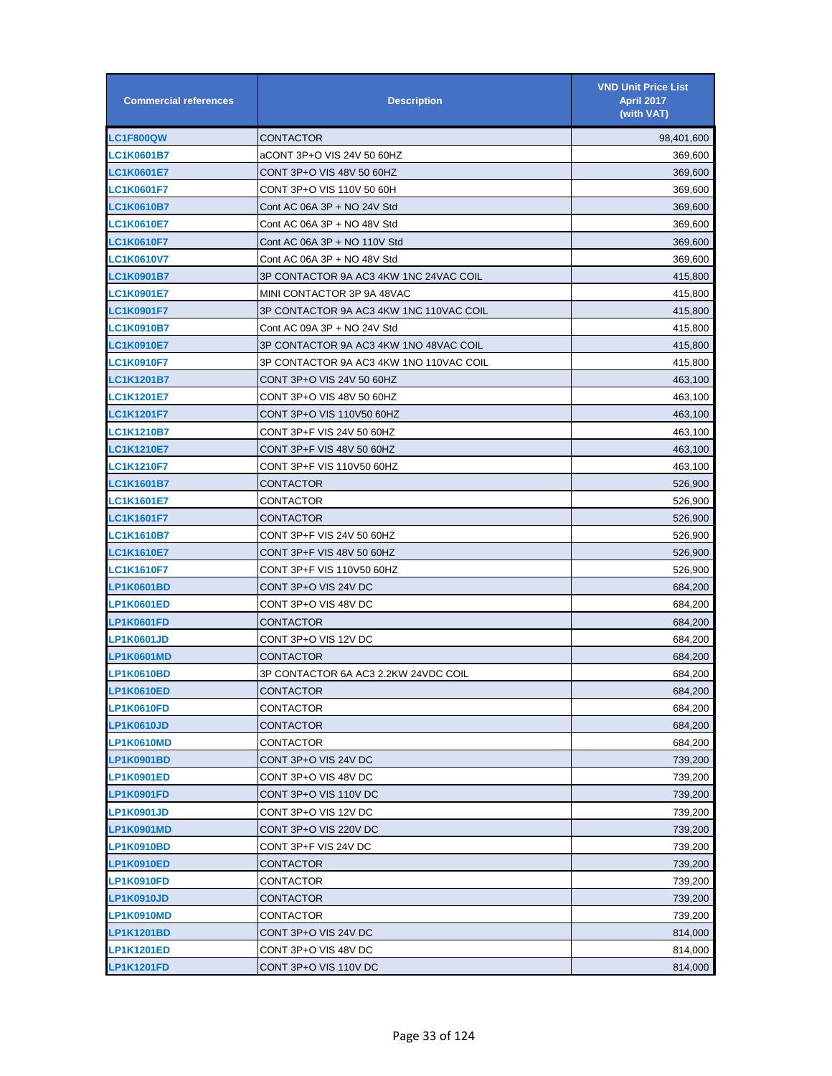| <b>Commercial references</b> | <b>Description</b>                      | <b>VND Unit Price List</b><br><b>April 2017</b><br>(with VAT) |
|------------------------------|-----------------------------------------|---------------------------------------------------------------|
| <b>LC1F800QW</b>             | CONTACTOR                               | 98,401,600                                                    |
| LC1K0601B7                   | aCONT 3P+O VIS 24V 50 60HZ              | 369,600                                                       |
| <b>LC1K0601E7</b>            | CONT 3P+O VIS 48V 50 60HZ               | 369,600                                                       |
| <b>LC1K0601F7</b>            | CONT 3P+O VIS 110V 50 60H               | 369,600                                                       |
| LC1K0610B7                   | Cont AC 06A 3P + NO 24V Std             | 369,600                                                       |
| LC1K0610E7                   | Cont AC 06A 3P + NO 48V Std             | 369,600                                                       |
| <b>LC1K0610F7</b>            | Cont AC 06A 3P + NO 110V Std            | 369,600                                                       |
| LC1K0610V7                   | Cont AC 06A 3P + NO 48V Std             | 369,600                                                       |
| <b>LC1K0901B7</b>            | 3P CONTACTOR 9A AC3 4KW 1NC 24VAC COIL  | 415,800                                                       |
| <b>LC1K0901E7</b>            | MINI CONTACTOR 3P 9A 48VAC              | 415,800                                                       |
| <b>LC1K0901F7</b>            | 3P CONTACTOR 9A AC3 4KW 1NC 110VAC COIL | 415,800                                                       |
| <b>LC1K0910B7</b>            | Cont AC 09A 3P + NO 24V Std             | 415,800                                                       |
| <b>LC1K0910E7</b>            | 3P CONTACTOR 9A AC3 4KW 1NO 48VAC COIL  | 415,800                                                       |
| <b>LC1K0910F7</b>            | 3P CONTACTOR 9A AC3 4KW 1NO 110VAC COIL | 415,800                                                       |
| <b>LC1K1201B7</b>            | CONT 3P+O VIS 24V 50 60HZ               | 463,100                                                       |
| <b>LC1K1201E7</b>            | CONT 3P+O VIS 48V 50 60HZ               | 463,100                                                       |
| <b>LC1K1201F7</b>            | CONT 3P+O VIS 110V50 60HZ               | 463,100                                                       |
| <b>LC1K1210B7</b>            | CONT 3P+F VIS 24V 50 60HZ               | 463,100                                                       |
| <b>LC1K1210E7</b>            | CONT 3P+F VIS 48V 50 60HZ               | 463,100                                                       |
| <b>LC1K1210F7</b>            | CONT 3P+F VIS 110V50 60HZ               | 463,100                                                       |
| <b>LC1K1601B7</b>            | CONTACTOR                               | 526,900                                                       |
| <b>LC1K1601E7</b>            | CONTACTOR                               | 526,900                                                       |
| <b>LC1K1601F7</b>            | CONTACTOR                               | 526,900                                                       |
| <b>LC1K1610B7</b>            | CONT 3P+F VIS 24V 50 60HZ               | 526,900                                                       |
| <b>LC1K1610E7</b>            | CONT 3P+F VIS 48V 50 60HZ               | 526,900                                                       |
| <b>LC1K1610F7</b>            | CONT 3P+F VIS 110V50 60HZ               | 526,900                                                       |
| <b>LP1K0601BD</b>            | CONT 3P+O VIS 24V DC                    | 684,200                                                       |
| <b>LP1K0601ED</b>            | CONT 3P+O VIS 48V DC                    | 684,200                                                       |
| <b>LP1K0601FD</b>            | CONTACTOR                               | 684,200                                                       |
| <b>LP1K0601JD</b>            | CONT 3P+O VIS 12V DC                    | 684,200                                                       |
| <b>LP1K0601MD</b>            | <b>CONTACTOR</b>                        | 684,200                                                       |
| <b>LP1K0610BD</b>            | 3P CONTACTOR 6A AC3 2.2KW 24VDC COIL    | 684,200                                                       |
| LP1K0610ED                   | <b>CONTACTOR</b>                        | 684,200                                                       |
| <b>LP1K0610FD</b>            | CONTACTOR                               | 684,200                                                       |
| <b>LP1K0610JD</b>            | CONTACTOR                               | 684,200                                                       |
| LP1K0610MD                   | CONTACTOR                               | 684,200                                                       |
| LP1K0901BD                   | CONT 3P+O VIS 24V DC                    | 739,200                                                       |
| <b>LP1K0901ED</b>            | CONT 3P+O VIS 48V DC                    | 739,200                                                       |
| LP1K0901FD                   | CONT 3P+O VIS 110V DC                   | 739,200                                                       |
| <b>LP1K0901JD</b>            | CONT 3P+O VIS 12V DC                    | 739,200                                                       |
| <b>LP1K0901MD</b>            | CONT 3P+O VIS 220V DC                   | 739,200                                                       |
| LP1K0910BD                   | CONT 3P+F VIS 24V DC                    | 739,200                                                       |
| <b>LP1K0910ED</b>            | CONTACTOR                               | 739,200                                                       |
| <b>LP1K0910FD</b>            | CONTACTOR                               | 739,200                                                       |
| LP1K0910JD                   | CONTACTOR                               | 739,200                                                       |
| LP1K0910MD                   | CONTACTOR                               | 739,200                                                       |
| <b>LP1K1201BD</b>            | CONT 3P+O VIS 24V DC                    | 814,000                                                       |
| <b>LP1K1201ED</b>            | CONT 3P+O VIS 48V DC                    | 814,000                                                       |
| <b>LP1K1201FD</b>            | CONT 3P+O VIS 110V DC                   | 814,000                                                       |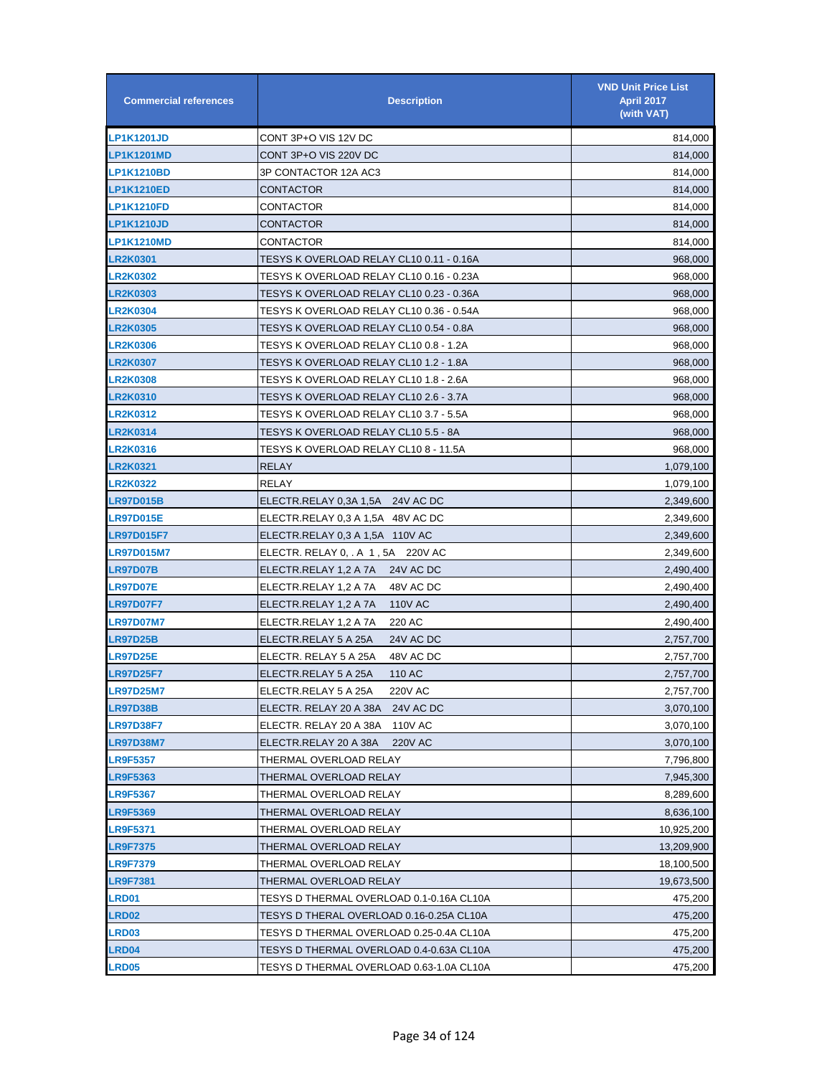| <b>Commercial references</b> | <b>Description</b>                       | <b>VND Unit Price List</b><br><b>April 2017</b><br>(with VAT) |
|------------------------------|------------------------------------------|---------------------------------------------------------------|
| <b>LP1K1201JD</b>            | CONT 3P+O VIS 12V DC                     | 814,000                                                       |
| <b>LP1K1201MD</b>            | CONT 3P+O VIS 220V DC                    | 814,000                                                       |
| <b>LP1K1210BD</b>            | 3P CONTACTOR 12A AC3                     | 814,000                                                       |
| <b>LP1K1210ED</b>            | CONTACTOR                                | 814,000                                                       |
| <b>LP1K1210FD</b>            | CONTACTOR                                | 814,000                                                       |
| <b>LP1K1210JD</b>            | CONTACTOR                                | 814,000                                                       |
| <b>LP1K1210MD</b>            | <b>CONTACTOR</b>                         | 814,000                                                       |
| <b>LR2K0301</b>              | TESYS K OVERLOAD RELAY CL10 0.11 - 0.16A | 968,000                                                       |
| <b>LR2K0302</b>              | TESYS K OVERLOAD RELAY CL10 0.16 - 0.23A | 968,000                                                       |
| <b>LR2K0303</b>              | TESYS K OVERLOAD RELAY CL10 0.23 - 0.36A | 968,000                                                       |
| <b>LR2K0304</b>              | TESYS K OVERLOAD RELAY CL10 0.36 - 0.54A | 968,000                                                       |
| <b>LR2K0305</b>              | TESYS K OVERLOAD RELAY CL10 0.54 - 0.8A  | 968,000                                                       |
| <b>LR2K0306</b>              | TESYS K OVERLOAD RELAY CL10 0.8 - 1.2A   | 968,000                                                       |
| <b>LR2K0307</b>              | TESYS K OVERLOAD RELAY CL10 1.2 - 1.8A   | 968,000                                                       |
| <b>LR2K0308</b>              | TESYS K OVERLOAD RELAY CL10 1.8 - 2.6A   | 968,000                                                       |
| <b>LR2K0310</b>              | TESYS K OVERLOAD RELAY CL10 2.6 - 3.7A   | 968,000                                                       |
| <b>LR2K0312</b>              | TESYS K OVERLOAD RELAY CL10 3.7 - 5.5A   | 968,000                                                       |
| <b>LR2K0314</b>              | TESYS K OVERLOAD RELAY CL10 5.5 - 8A     | 968,000                                                       |
| <b>LR2K0316</b>              | TESYS K OVERLOAD RELAY CL10 8 - 11.5A    | 968,000                                                       |
| <b>LR2K0321</b>              | <b>RELAY</b>                             | 1,079,100                                                     |
| <b>LR2K0322</b>              | RELAY                                    | 1,079,100                                                     |
| <b>LR97D015B</b>             | ELECTR.RELAY 0,3A 1,5A 24V AC DC         | 2,349,600                                                     |
| <b>LR97D015E</b>             | ELECTR.RELAY 0,3 A 1,5A 48V AC DC        | 2,349,600                                                     |
| <b>LR97D015F7</b>            | ELECTR.RELAY 0,3 A 1,5A 110V AC          | 2,349,600                                                     |
| <b>LR97D015M7</b>            | ELECTR. RELAY 0, . A 1, 5A 220V AC       | 2,349,600                                                     |
| <b>LR97D07B</b>              | ELECTR.RELAY 1,2 A 7A<br>24V AC DC       | 2,490,400                                                     |
| <b>LR97D07E</b>              | ELECTR.RELAY 1,2 A 7A<br>48V AC DC       | 2,490,400                                                     |
| <b>LR97D07F7</b>             | <b>110V AC</b><br>ELECTR.RELAY 1,2 A 7A  | 2,490,400                                                     |
| <b>LR97D07M7</b>             | ELECTR.RELAY 1,2 A 7A<br>220 AC          | 2,490,400                                                     |
| <b>LR97D25B</b>              | ELECTR.RELAY 5 A 25A<br>24V AC DC        | 2,757,700                                                     |
| <b>LR97D25E</b>              | 48V AC DC<br>ELECTR. RELAY 5 A 25A       | 2,757,700                                                     |
| <b>LR97D25F7</b>             | ELECTR.RELAY 5 A 25A<br>110 AC           | 2,757,700                                                     |
| <b>LR97D25M7</b>             | ELECTR.RELAY 5 A 25A<br>220V AC          | 2,757,700                                                     |
| <b>LR97D38B</b>              | ELECTR. RELAY 20 A 38A<br>24V AC DC      | 3,070,100                                                     |
| <b>LR97D38F7</b>             | ELECTR. RELAY 20 A 38A<br><b>110V AC</b> | 3,070,100                                                     |
| <b>LR97D38M7</b>             | ELECTR.RELAY 20 A 38A<br><b>220V AC</b>  | 3,070,100                                                     |
| <b>LR9F5357</b>              | THERMAL OVERLOAD RELAY                   | 7,796,800                                                     |
| <b>LR9F5363</b>              | THERMAL OVERLOAD RELAY                   | 7,945,300                                                     |
| <b>LR9F5367</b>              | THERMAL OVERLOAD RELAY                   | 8,289,600                                                     |
| <b>LR9F5369</b>              | THERMAL OVERLOAD RELAY                   | 8,636,100                                                     |
| <b>LR9F5371</b>              | THERMAL OVERLOAD RELAY                   | 10,925,200                                                    |
| <b>LR9F7375</b>              | THERMAL OVERLOAD RELAY                   | 13,209,900                                                    |
| <b>LR9F7379</b>              | THERMAL OVERLOAD RELAY                   | 18,100,500                                                    |
| <b>LR9F7381</b>              | THERMAL OVERLOAD RELAY                   | 19,673,500                                                    |
| <b>LRD01</b>                 | TESYS D THERMAL OVERLOAD 0.1-0.16A CL10A | 475,200                                                       |
| <b>LRD02</b>                 | TESYS D THERAL OVERLOAD 0.16-0.25A CL10A | 475,200                                                       |
| <b>LRD03</b>                 | TESYS D THERMAL OVERLOAD 0.25-0.4A CL10A | 475,200                                                       |
| LRD04                        | TESYS D THERMAL OVERLOAD 0.4-0.63A CL10A | 475,200                                                       |
| <b>LRD05</b>                 | TESYS D THERMAL OVERLOAD 0.63-1.0A CL10A | 475,200                                                       |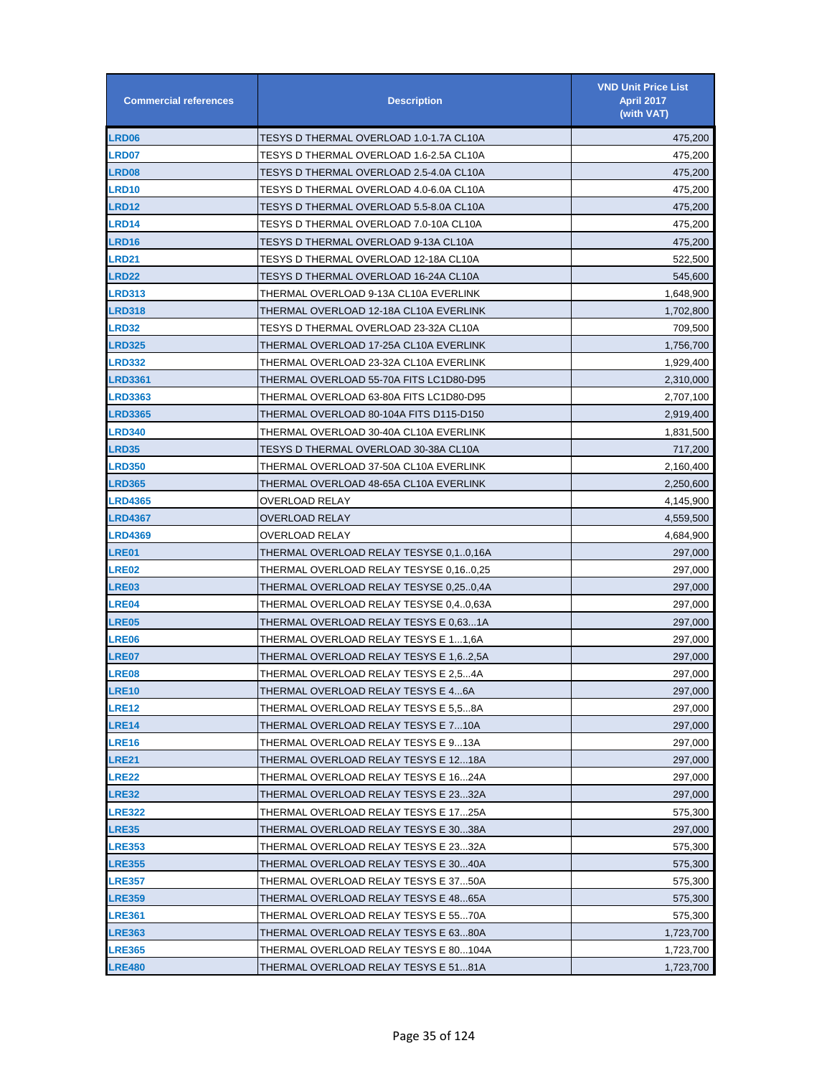| <b>Commercial references</b> | <b>Description</b>                      | <b>VND Unit Price List</b><br><b>April 2017</b><br>(with VAT) |
|------------------------------|-----------------------------------------|---------------------------------------------------------------|
| <b>LRD06</b>                 | TESYS D THERMAL OVERLOAD 1.0-1.7A CL10A | 475,200                                                       |
| <b>LRD07</b>                 | TESYS D THERMAL OVERLOAD 1.6-2.5A CL10A | 475,200                                                       |
| <b>LRD08</b>                 | TESYS D THERMAL OVERLOAD 2.5-4.0A CL10A | 475,200                                                       |
| <b>LRD10</b>                 | TESYS D THERMAL OVERLOAD 4.0-6.0A CL10A | 475,200                                                       |
| <b>LRD12</b>                 | TESYS D THERMAL OVERLOAD 5.5-8.0A CL10A | 475,200                                                       |
| <b>LRD14</b>                 | TESYS D THERMAL OVERLOAD 7.0-10A CL10A  | 475,200                                                       |
| LRD16                        | TESYS D THERMAL OVERLOAD 9-13A CL10A    | 475,200                                                       |
| LRD21                        | TESYS D THERMAL OVERLOAD 12-18A CL10A   | 522,500                                                       |
| <b>LRD22</b>                 | TESYS D THERMAL OVERLOAD 16-24A CL10A   | 545,600                                                       |
| <b>LRD313</b>                | THERMAL OVERLOAD 9-13A CL10A EVERLINK   | 1,648,900                                                     |
| <b>LRD318</b>                | THERMAL OVERLOAD 12-18A CL10A EVERLINK  | 1,702,800                                                     |
| <b>LRD32</b>                 | TESYS D THERMAL OVERLOAD 23-32A CL10A   | 709,500                                                       |
| <b>LRD325</b>                | THERMAL OVERLOAD 17-25A CL10A EVERLINK  | 1,756,700                                                     |
| <b>LRD332</b>                | THERMAL OVERLOAD 23-32A CL10A EVERLINK  | 1,929,400                                                     |
| <b>LRD3361</b>               | THERMAL OVERLOAD 55-70A FITS LC1D80-D95 | 2,310,000                                                     |
| <b>LRD3363</b>               | THERMAL OVERLOAD 63-80A FITS LC1D80-D95 | 2,707,100                                                     |
| <b>LRD3365</b>               | THERMAL OVERLOAD 80-104A FITS D115-D150 | 2,919,400                                                     |
| <b>LRD340</b>                | THERMAL OVERLOAD 30-40A CL10A EVERLINK  | 1,831,500                                                     |
| <b>LRD35</b>                 | TESYS D THERMAL OVERLOAD 30-38A CL10A   | 717,200                                                       |
| <b>LRD350</b>                | THERMAL OVERLOAD 37-50A CL10A EVERLINK  | 2,160,400                                                     |
| <b>LRD365</b>                | THERMAL OVERLOAD 48-65A CL10A EVERLINK  | 2,250,600                                                     |
| <b>LRD4365</b>               | OVERLOAD RELAY                          | 4,145,900                                                     |
| <b>LRD4367</b>               | OVERLOAD RELAY                          | 4,559,500                                                     |
| <b>LRD4369</b>               | OVERLOAD RELAY                          | 4,684,900                                                     |
| <b>LRE01</b>                 | THERMAL OVERLOAD RELAY TESYSE 0,10,16A  | 297,000                                                       |
| <b>LRE02</b>                 | THERMAL OVERLOAD RELAY TESYSE 0,160,25  | 297,000                                                       |
| <b>LRE03</b>                 | THERMAL OVERLOAD RELAY TESYSE 0,250,4A  | 297,000                                                       |
| <b>LRE04</b>                 | THERMAL OVERLOAD RELAY TESYSE 0,40,63A  | 297,000                                                       |
| <b>LRE05</b>                 | THERMAL OVERLOAD RELAY TESYS E 0,631A   | 297,000                                                       |
| <b>LRE06</b>                 | THERMAL OVERLOAD RELAY TESYS E 11,6A    | 297,000                                                       |
| <b>LRE07</b>                 | THERMAL OVERLOAD RELAY TESYS E 1,62,5A  | 297,000                                                       |
| <b>LRE08</b>                 | THERMAL OVERLOAD RELAY TESYS E 2,54A    | 297,000                                                       |
| <b>LRE10</b>                 | THERMAL OVERLOAD RELAY TESYS E 46A      | 297,000                                                       |
| <b>LRE12</b>                 | THERMAL OVERLOAD RELAY TESYS E 5.58A    | 297,000                                                       |
| LRE14                        | THERMAL OVERLOAD RELAY TESYS E 710A     | 297,000                                                       |
| <b>LRE16</b>                 | THERMAL OVERLOAD RELAY TESYS E 913A     | 297,000                                                       |
| LRE21                        | THERMAL OVERLOAD RELAY TESYS E 1218A    | 297,000                                                       |
| <b>LRE22</b>                 | THERMAL OVERLOAD RELAY TESYS E 1624A    | 297,000                                                       |
| LRE32                        | THERMAL OVERLOAD RELAY TESYS E 2332A    | 297,000                                                       |
| <b>LRE322</b>                | THERMAL OVERLOAD RELAY TESYS E 1725A    | 575,300                                                       |
| <b>LRE35</b>                 | THERMAL OVERLOAD RELAY TESYS E 3038A    | 297,000                                                       |
| <b>LRE353</b>                | THERMAL OVERLOAD RELAY TESYS E 2332A    | 575,300                                                       |
| <b>LRE355</b>                | THERMAL OVERLOAD RELAY TESYS E 3040A    | 575,300                                                       |
| <b>LRE357</b>                | THERMAL OVERLOAD RELAY TESYS E 3750A    | 575,300                                                       |
| <b>LRE359</b>                | THERMAL OVERLOAD RELAY TESYS E 4865A    | 575,300                                                       |
| <b>LRE361</b>                | THERMAL OVERLOAD RELAY TESYS E 5570A    | 575,300                                                       |
| <b>LRE363</b>                | THERMAL OVERLOAD RELAY TESYS E 6380A    | 1,723,700                                                     |
| <b>LRE365</b>                | THERMAL OVERLOAD RELAY TESYS E 80104A   | 1,723,700                                                     |
| <b>LRE480</b>                | THERMAL OVERLOAD RELAY TESYS E 5181A    | 1,723,700                                                     |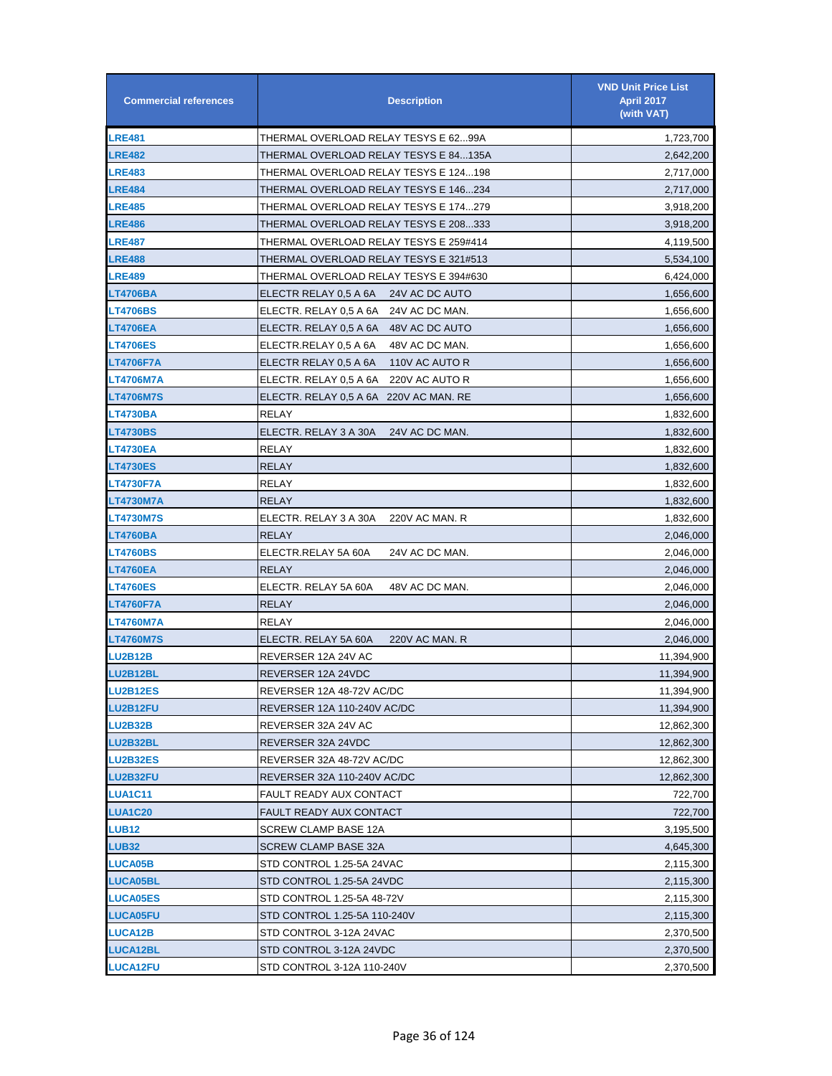| <b>Commercial references</b> | <b>Description</b>                       | <b>VND Unit Price List</b><br><b>April 2017</b><br>(with VAT) |
|------------------------------|------------------------------------------|---------------------------------------------------------------|
| <b>LRE481</b>                | THERMAL OVERLOAD RELAY TESYS E 6299A     | 1,723,700                                                     |
| <b>LRE482</b>                | THERMAL OVERLOAD RELAY TESYS E 84135A    | 2,642,200                                                     |
| <b>LRE483</b>                | THERMAL OVERLOAD RELAY TESYS E 124198    | 2,717,000                                                     |
| <b>LRE484</b>                | THERMAL OVERLOAD RELAY TESYS E 146234    | 2,717,000                                                     |
| <b>LRE485</b>                | THERMAL OVERLOAD RELAY TESYS E 174279    | 3,918,200                                                     |
| <b>LRE486</b>                | THERMAL OVERLOAD RELAY TESYS E 208333    | 3,918,200                                                     |
| <b>LRE487</b>                | THERMAL OVERLOAD RELAY TESYS E 259#414   | 4,119,500                                                     |
| <b>LRE488</b>                | THERMAL OVERLOAD RELAY TESYS E 321#513   | 5,534,100                                                     |
| <b>LRE489</b>                | THERMAL OVERLOAD RELAY TESYS E 394#630   | 6,424,000                                                     |
| LT4706BA                     | ELECTR RELAY 0,5 A 6A<br>24V AC DC AUTO  | 1,656,600                                                     |
| <b>LT4706BS</b>              | ELECTR. RELAY 0,5 A 6A<br>24V AC DC MAN. | 1,656,600                                                     |
| LT4706EA                     | ELECTR. RELAY 0,5 A 6A 48V AC DC AUTO    | 1,656,600                                                     |
| <b>LT4706ES</b>              | ELECTR.RELAY 0,5 A 6A<br>48V AC DC MAN.  | 1,656,600                                                     |
| LT4706F7A                    | ELECTR RELAY 0,5 A 6A<br>110V AC AUTO R  | 1,656,600                                                     |
| LT4706M7A                    | ELECTR. RELAY 0.5 A 6A<br>220V AC AUTO R | 1,656,600                                                     |
| <b>LT4706M7S</b>             | ELECTR. RELAY 0,5 A 6A 220V AC MAN. RE   | 1,656,600                                                     |
| LT4730BA                     | RELAY                                    | 1,832,600                                                     |
| <b>LT4730BS</b>              | ELECTR. RELAY 3 A 30A<br>24V AC DC MAN.  | 1,832,600                                                     |
| <b>LT4730EA</b>              | RELAY                                    | 1,832,600                                                     |
| <b>LT4730ES</b>              | RELAY                                    | 1,832,600                                                     |
| LT4730F7A                    | RELAY                                    | 1,832,600                                                     |
| LT4730M7A                    | <b>RELAY</b>                             | 1,832,600                                                     |
| <b>LT4730M7S</b>             | ELECTR. RELAY 3 A 30A<br>220V AC MAN. R  | 1,832,600                                                     |
| LT4760BA                     | <b>RELAY</b>                             | 2,046,000                                                     |
| <b>LT4760BS</b>              | ELECTR.RELAY 5A 60A<br>24V AC DC MAN.    | 2,046,000                                                     |
| LT4760EA                     | RELAY                                    | 2,046,000                                                     |
| <b>LT4760ES</b>              | ELECTR. RELAY 5A 60A<br>48V AC DC MAN.   | 2,046,000                                                     |
| LT4760F7A                    | <b>RELAY</b>                             | 2,046,000                                                     |
| <b>LT4760M7A</b>             | RELAY                                    | 2,046,000                                                     |
| <b>LT4760M7S</b>             | 220V AC MAN. R<br>ELECTR. RELAY 5A 60A   | 2,046,000                                                     |
| <b>LU2B12B</b>               | REVERSER 12A 24V AC                      | 11,394,900                                                    |
| <b>LU2B12BL</b>              | REVERSER 12A 24VDC                       | 11,394,900                                                    |
| <b>LU2B12ES</b>              | REVERSER 12A 48-72V AC/DC                | 11,394,900                                                    |
| <b>LU2B12FU</b>              | REVERSER 12A 110-240V AC/DC              | 11,394,900                                                    |
| <b>LU2B32B</b>               | REVERSER 32A 24V AC                      | 12,862,300                                                    |
| <b>LU2B32BL</b>              | REVERSER 32A 24VDC                       | 12,862,300                                                    |
| <b>LU2B32ES</b>              | REVERSER 32A 48-72V AC/DC                | 12,862,300                                                    |
| <b>LU2B32FU</b>              | REVERSER 32A 110-240V AC/DC              | 12,862,300                                                    |
| <b>LUA1C11</b>               | FAULT READY AUX CONTACT                  | 722,700                                                       |
| <b>LUA1C20</b>               | FAULT READY AUX CONTACT                  | 722,700                                                       |
| <b>LUB12</b>                 | <b>SCREW CLAMP BASE 12A</b>              | 3,195,500                                                     |
| <b>LUB32</b>                 | <b>SCREW CLAMP BASE 32A</b>              | 4,645,300                                                     |
| <b>LUCA05B</b>               | STD CONTROL 1.25-5A 24VAC                | 2,115,300                                                     |
| <b>LUCA05BL</b>              | STD CONTROL 1.25-5A 24VDC                | 2,115,300                                                     |
| <b>LUCA05ES</b>              | STD CONTROL 1.25-5A 48-72V               | 2,115,300                                                     |
| <b>LUCA05FU</b>              | STD CONTROL 1.25-5A 110-240V             | 2,115,300                                                     |
| <b>LUCA12B</b>               | STD CONTROL 3-12A 24VAC                  | 2,370,500                                                     |
| <b>LUCA12BL</b>              | STD CONTROL 3-12A 24VDC                  | 2,370,500                                                     |
| <b>LUCA12FU</b>              | STD CONTROL 3-12A 110-240V               | 2,370,500                                                     |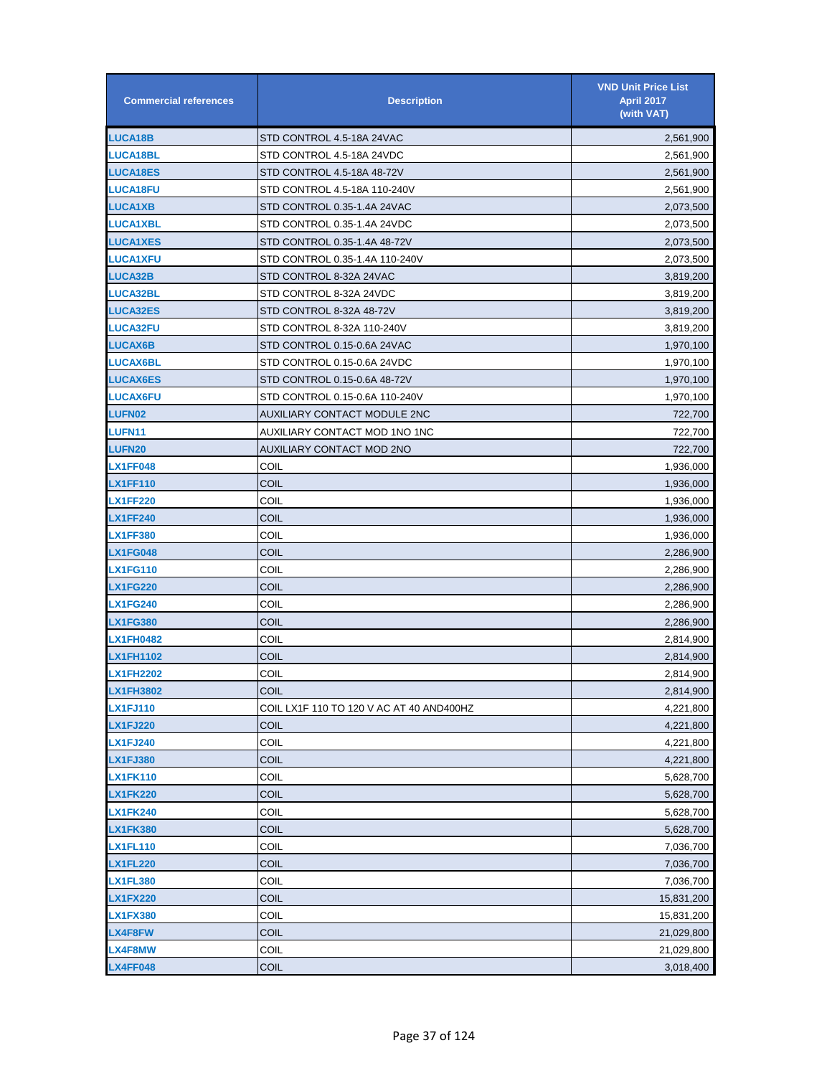| <b>Commercial references</b> | <b>Description</b>                       | <b>VND Unit Price List</b><br><b>April 2017</b><br>(with VAT) |
|------------------------------|------------------------------------------|---------------------------------------------------------------|
| <b>LUCA18B</b>               | STD CONTROL 4.5-18A 24VAC                | 2,561,900                                                     |
| <b>LUCA18BL</b>              | STD CONTROL 4.5-18A 24VDC                | 2,561,900                                                     |
| <b>LUCA18ES</b>              | STD CONTROL 4.5-18A 48-72V               | 2,561,900                                                     |
| <b>LUCA18FU</b>              | STD CONTROL 4.5-18A 110-240V             | 2,561,900                                                     |
| <b>LUCA1XB</b>               | STD CONTROL 0.35-1.4A 24VAC              | 2,073,500                                                     |
| <b>LUCA1XBL</b>              | STD CONTROL 0.35-1.4A 24VDC              | 2,073,500                                                     |
| <b>LUCA1XES</b>              | STD CONTROL 0.35-1.4A 48-72V             | 2,073,500                                                     |
| <b>LUCA1XFU</b>              | STD CONTROL 0.35-1.4A 110-240V           | 2,073,500                                                     |
| <b>LUCA32B</b>               | STD CONTROL 8-32A 24VAC                  | 3,819,200                                                     |
| <b>LUCA32BL</b>              | STD CONTROL 8-32A 24VDC                  | 3,819,200                                                     |
| <b>LUCA32ES</b>              | STD CONTROL 8-32A 48-72V                 | 3,819,200                                                     |
| <b>LUCA32FU</b>              | STD CONTROL 8-32A 110-240V               | 3,819,200                                                     |
| <b>LUCAX6B</b>               | STD CONTROL 0.15-0.6A 24VAC              | 1,970,100                                                     |
| <b>LUCAX6BL</b>              | STD CONTROL 0.15-0.6A 24VDC              | 1,970,100                                                     |
| <b>LUCAX6ES</b>              | STD CONTROL 0.15-0.6A 48-72V             | 1,970,100                                                     |
| <b>LUCAX6FU</b>              | STD CONTROL 0.15-0.6A 110-240V           | 1,970,100                                                     |
| <b>LUFN02</b>                | <b>AUXILIARY CONTACT MODULE 2NC</b>      | 722,700                                                       |
| <b>LUFN11</b>                | AUXILIARY CONTACT MOD 1NO 1NC            | 722,700                                                       |
| <b>LUFN20</b>                | AUXILIARY CONTACT MOD 2NO                | 722,700                                                       |
| <b>LX1FF048</b>              | COIL                                     | 1,936,000                                                     |
| LX1FF110                     | COIL                                     | 1,936,000                                                     |
| <b>LX1FF220</b>              | COIL                                     | 1,936,000                                                     |
| <b>LX1FF240</b>              | <b>COIL</b>                              | 1,936,000                                                     |
| <b>LX1FF380</b>              | COIL                                     | 1,936,000                                                     |
| <b>LX1FG048</b>              | COIL                                     | 2,286,900                                                     |
| <b>LX1FG110</b>              | COIL                                     | 2,286,900                                                     |
| <b>LX1FG220</b>              | COIL                                     | 2,286,900                                                     |
| <b>LX1FG240</b>              | COIL                                     | 2,286,900                                                     |
| <b>LX1FG380</b>              | COIL                                     | 2,286,900                                                     |
| <b>LX1FH0482</b>             | COIL                                     | 2,814,900                                                     |
| <b>LX1FH1102</b>             | <b>COIL</b>                              | 2,814,900                                                     |
| <b>LX1FH2202</b>             | COIL                                     | 2,814,900                                                     |
| LX1FH3802                    | <b>COIL</b>                              | 2,814,900                                                     |
| <b>LX1FJ110</b>              | COIL LX1F 110 TO 120 V AC AT 40 AND400HZ | 4,221,800                                                     |
| <b>LX1FJ220</b>              | COIL                                     | 4,221,800                                                     |
| <b>LX1FJ240</b>              | COIL                                     | 4,221,800                                                     |
| <b>LX1FJ380</b>              | COIL                                     | 4,221,800                                                     |
| <b>LX1FK110</b>              | COIL                                     | 5,628,700                                                     |
| <b>LX1FK220</b>              | COIL                                     | 5,628,700                                                     |
| <b>LX1FK240</b>              | COIL                                     | 5,628,700                                                     |
| <b>LX1FK380</b>              | COIL                                     | 5,628,700                                                     |
| LX1FL110                     | COIL                                     | 7,036,700                                                     |
| <b>LX1FL220</b>              | COIL                                     | 7,036,700                                                     |
| <b>LX1FL380</b>              | COIL                                     | 7,036,700                                                     |
| <b>LX1FX220</b>              | COIL                                     | 15,831,200                                                    |
| <b>LX1FX380</b>              | COIL                                     | 15,831,200                                                    |
| LX4F8FW                      | COIL                                     | 21,029,800                                                    |
| LX4F8MW                      | COIL                                     | 21,029,800                                                    |
| <b>LX4FF048</b>              | COIL                                     | 3,018,400                                                     |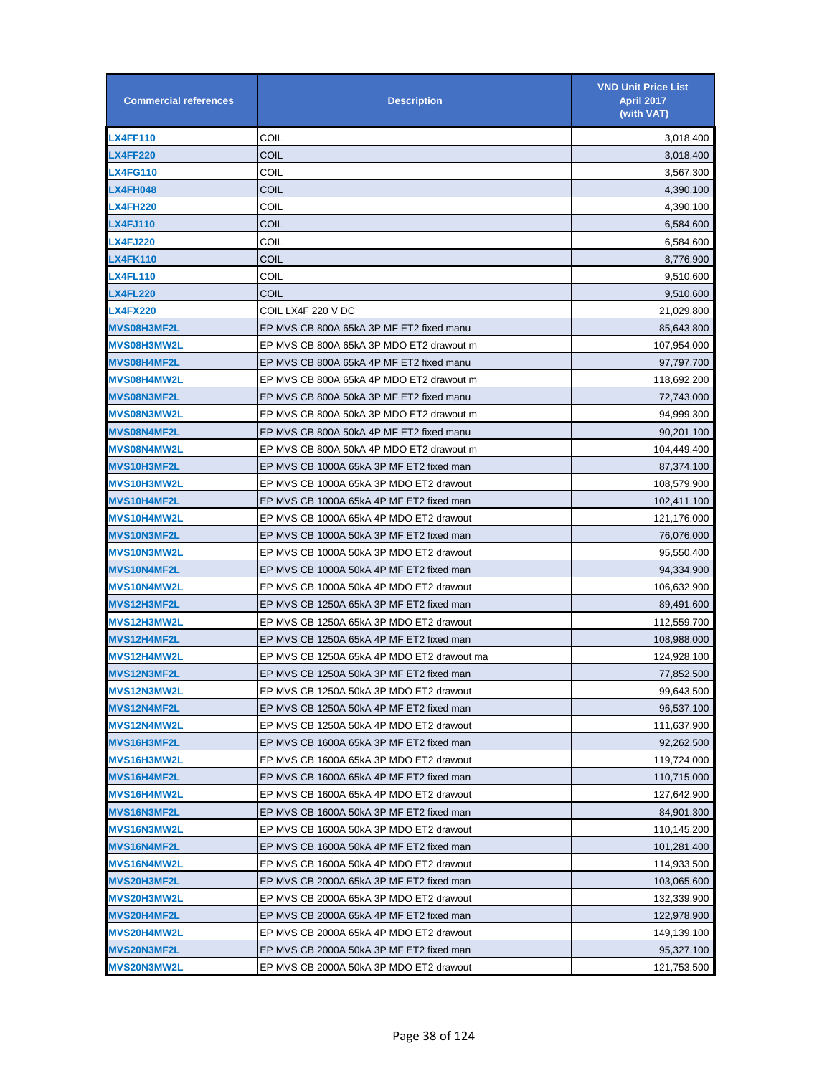| <b>Commercial references</b> | <b>Description</b>                         | <b>VND Unit Price List</b><br><b>April 2017</b><br>(with VAT) |
|------------------------------|--------------------------------------------|---------------------------------------------------------------|
| <b>LX4FF110</b>              | COIL                                       | 3,018,400                                                     |
| <b>LX4FF220</b>              | COIL                                       | 3,018,400                                                     |
| <b>LX4FG110</b>              | COIL                                       | 3,567,300                                                     |
| <b>LX4FH048</b>              | COIL                                       | 4,390,100                                                     |
| <b>LX4FH220</b>              | COIL                                       | 4,390,100                                                     |
| <b>LX4FJ110</b>              | COIL                                       | 6,584,600                                                     |
| <b>LX4FJ220</b>              | COIL                                       | 6,584,600                                                     |
| <b>LX4FK110</b>              | <b>COIL</b>                                | 8,776,900                                                     |
| <b>LX4FL110</b>              | COIL                                       | 9,510,600                                                     |
| <b>LX4FL220</b>              | COIL                                       | 9,510,600                                                     |
| <b>LX4FX220</b>              | COIL LX4F 220 V DC                         | 21,029,800                                                    |
| <b>MVS08H3MF2L</b>           | EP MVS CB 800A 65kA 3P MF ET2 fixed manu   | 85,643,800                                                    |
| MVS08H3MW2L                  | EP MVS CB 800A 65kA 3P MDO ET2 drawout m   | 107,954,000                                                   |
| <b>MVS08H4MF2L</b>           | EP MVS CB 800A 65kA 4P MF ET2 fixed manu   | 97,797,700                                                    |
| MVS08H4MW2L                  | EP MVS CB 800A 65kA 4P MDO ET2 drawout m   | 118,692,200                                                   |
| <b>MVS08N3MF2L</b>           | EP MVS CB 800A 50kA 3P MF ET2 fixed manu   | 72,743,000                                                    |
| MVS08N3MW2L                  | EP MVS CB 800A 50kA 3P MDO ET2 drawout m   | 94,999,300                                                    |
| MVS08N4MF2L                  | EP MVS CB 800A 50kA 4P MF ET2 fixed manu   | 90,201,100                                                    |
| MVS08N4MW2L                  | EP MVS CB 800A 50kA 4P MDO ET2 drawout m   | 104,449,400                                                   |
| MVS10H3MF2L                  | EP MVS CB 1000A 65kA 3P MF ET2 fixed man   | 87,374,100                                                    |
| MVS10H3MW2L                  | EP MVS CB 1000A 65kA 3P MDO ET2 drawout    | 108,579,900                                                   |
| <b>MVS10H4MF2L</b>           | EP MVS CB 1000A 65kA 4P MF ET2 fixed man   | 102,411,100                                                   |
| MVS10H4MW2L                  | EP MVS CB 1000A 65kA 4P MDO ET2 drawout    | 121,176,000                                                   |
| <b>MVS10N3MF2L</b>           | EP MVS CB 1000A 50kA 3P MF ET2 fixed man   | 76,076,000                                                    |
| MVS10N3MW2L                  | EP MVS CB 1000A 50kA 3P MDO ET2 drawout    | 95,550,400                                                    |
| MVS10N4MF2L                  | EP MVS CB 1000A 50kA 4P MF ET2 fixed man   | 94,334,900                                                    |
| MVS10N4MW2L                  | EP MVS CB 1000A 50kA 4P MDO ET2 drawout    | 106,632,900                                                   |
| MVS12H3MF2L                  | EP MVS CB 1250A 65kA 3P MF ET2 fixed man   | 89,491,600                                                    |
| MVS12H3MW2L                  | EP MVS CB 1250A 65kA 3P MDO ET2 drawout    | 112,559,700                                                   |
| <b>MVS12H4MF2L</b>           | EP MVS CB 1250A 65kA 4P MF ET2 fixed man   | 108,988,000                                                   |
| MVS12H4MW2L                  | EP MVS CB 1250A 65kA 4P MDO ET2 drawout ma | 124,928,100                                                   |
| <b>MVS12N3MF2L</b>           | EP MVS CB 1250A 50kA 3P MF ET2 fixed man   | 77,852,500                                                    |
| <b>MVS12N3MW2L</b>           | EP MVS CB 1250A 50kA 3P MDO ET2 drawout    | 99,643,500                                                    |
| MVS12N4MF2L                  | EP MVS CB 1250A 50kA 4P MF ET2 fixed man   | 96,537,100                                                    |
| MVS12N4MW2L                  | EP MVS CB 1250A 50kA 4P MDO ET2 drawout    | 111,637,900                                                   |
| MVS16H3MF2L                  | EP MVS CB 1600A 65kA 3P MF ET2 fixed man   | 92,262,500                                                    |
| MVS16H3MW2L                  | EP MVS CB 1600A 65kA 3P MDO ET2 drawout    | 119,724,000                                                   |
| MVS16H4MF2L                  | EP MVS CB 1600A 65kA 4P MF ET2 fixed man   | 110,715,000                                                   |
| MVS16H4MW2L                  | EP MVS CB 1600A 65kA 4P MDO ET2 drawout    | 127,642,900                                                   |
| MVS16N3MF2L                  | EP MVS CB 1600A 50kA 3P MF ET2 fixed man   | 84,901,300                                                    |
| MVS16N3MW2L                  | EP MVS CB 1600A 50kA 3P MDO ET2 drawout    | 110,145,200                                                   |
| MVS16N4MF2L                  | EP MVS CB 1600A 50kA 4P MF ET2 fixed man   | 101,281,400                                                   |
| MVS16N4MW2L                  | EP MVS CB 1600A 50kA 4P MDO ET2 drawout    | 114,933,500                                                   |
| MVS20H3MF2L                  | EP MVS CB 2000A 65kA 3P MF ET2 fixed man   | 103,065,600                                                   |
| MVS20H3MW2L                  | EP MVS CB 2000A 65kA 3P MDO ET2 drawout    | 132,339,900                                                   |
| <b>MVS20H4MF2L</b>           | EP MVS CB 2000A 65kA 4P MF ET2 fixed man   | 122,978,900                                                   |
| MVS20H4MW2L                  | EP MVS CB 2000A 65kA 4P MDO ET2 drawout    | 149,139,100                                                   |
| <b>MVS20N3MF2L</b>           | EP MVS CB 2000A 50kA 3P MF ET2 fixed man   | 95,327,100                                                    |
| <b>MVS20N3MW2L</b>           | EP MVS CB 2000A 50kA 3P MDO ET2 drawout    | 121,753,500                                                   |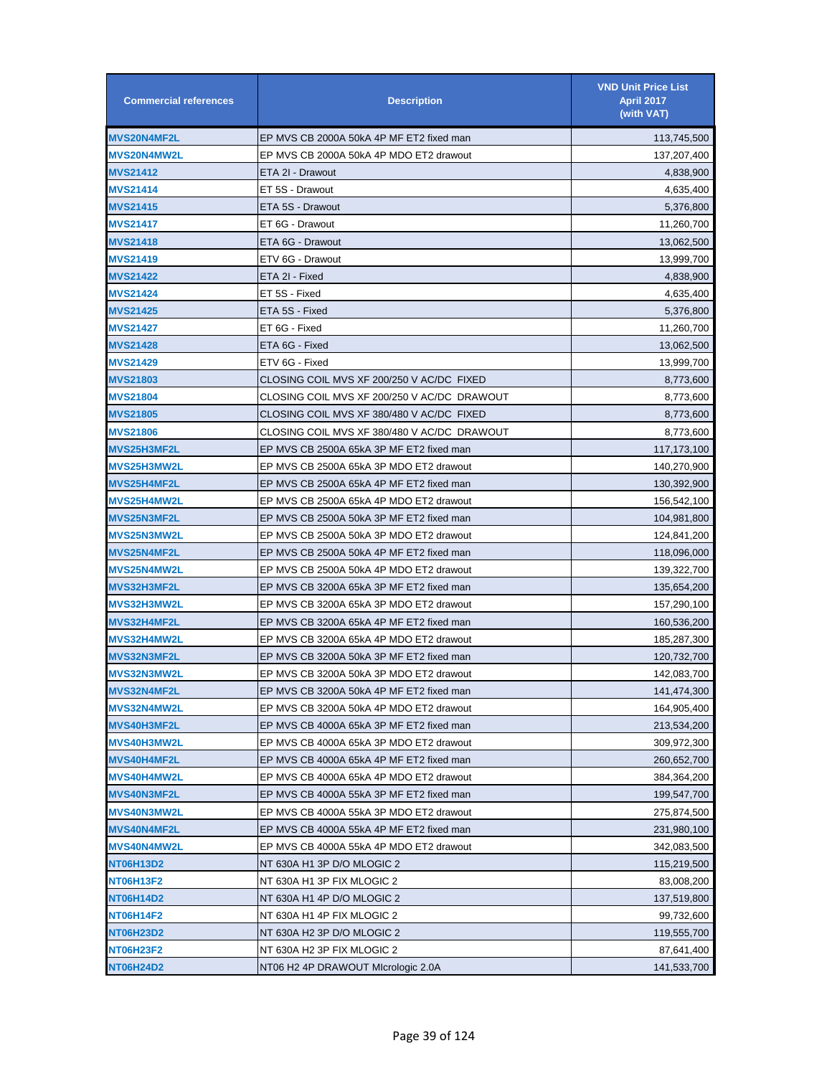| <b>Commercial references</b> | <b>Description</b>                          | <b>VND Unit Price List</b><br><b>April 2017</b><br>(with VAT) |
|------------------------------|---------------------------------------------|---------------------------------------------------------------|
| MVS20N4MF2L                  | EP MVS CB 2000A 50kA 4P MF ET2 fixed man    | 113,745,500                                                   |
| <b>MVS20N4MW2L</b>           | EP MVS CB 2000A 50kA 4P MDO ET2 drawout     | 137,207,400                                                   |
| <b>MVS21412</b>              | ETA 2I - Drawout                            | 4,838,900                                                     |
| <b>MVS21414</b>              | ET 5S - Drawout                             | 4,635,400                                                     |
| <b>MVS21415</b>              | ETA 5S - Drawout                            | 5,376,800                                                     |
| <b>MVS21417</b>              | ET 6G - Drawout                             | 11,260,700                                                    |
| <b>MVS21418</b>              | ETA 6G - Drawout                            | 13,062,500                                                    |
| <b>MVS21419</b>              | ETV 6G - Drawout                            | 13,999,700                                                    |
| MVS21422                     | ETA 2I - Fixed                              | 4,838,900                                                     |
| <b>MVS21424</b>              | ET 5S - Fixed                               | 4,635,400                                                     |
| <b>MVS21425</b>              | ETA 5S - Fixed                              | 5,376,800                                                     |
| <b>MVS21427</b>              | ET 6G - Fixed                               | 11,260,700                                                    |
| <b>MVS21428</b>              | ETA 6G - Fixed                              | 13,062,500                                                    |
| MVS21429                     | ETV 6G - Fixed                              | 13,999,700                                                    |
| <b>MVS21803</b>              | CLOSING COIL MVS XF 200/250 V AC/DC_FIXED   | 8,773,600                                                     |
| <b>MVS21804</b>              | CLOSING COIL MVS XF 200/250 V AC/DC_DRAWOUT | 8,773,600                                                     |
| <b>MVS21805</b>              | CLOSING COIL MVS XF 380/480 V AC/DC_FIXED   | 8,773,600                                                     |
| <b>MVS21806</b>              | CLOSING COIL MVS XF 380/480 V AC/DC_DRAWOUT | 8,773,600                                                     |
| MVS25H3MF2L                  | EP MVS CB 2500A 65kA 3P MF ET2 fixed man    | 117, 173, 100                                                 |
| <b>MVS25H3MW2L</b>           | EP MVS CB 2500A 65kA 3P MDO ET2 drawout     | 140,270,900                                                   |
| <b>MVS25H4MF2L</b>           | EP MVS CB 2500A 65kA 4P MF ET2 fixed man    | 130,392,900                                                   |
| MVS25H4MW2L                  | EP MVS CB 2500A 65kA 4P MDO ET2 drawout     | 156,542,100                                                   |
| <b>MVS25N3MF2L</b>           | EP MVS CB 2500A 50kA 3P MF ET2 fixed man    | 104,981,800                                                   |
| MVS25N3MW2L                  | EP MVS CB 2500A 50kA 3P MDO ET2 drawout     | 124,841,200                                                   |
| <b>MVS25N4MF2L</b>           | EP MVS CB 2500A 50kA 4P MF ET2 fixed man    | 118,096,000                                                   |
| MVS25N4MW2L                  | EP MVS CB 2500A 50kA 4P MDO ET2 drawout     | 139,322,700                                                   |
| MVS32H3MF2L                  | EP MVS CB 3200A 65kA 3P MF ET2 fixed man    | 135,654,200                                                   |
| MVS32H3MW2L                  | EP MVS CB 3200A 65kA 3P MDO ET2 drawout     | 157,290,100                                                   |
| <b>MVS32H4MF2L</b>           | EP MVS CB 3200A 65kA 4P MF ET2 fixed man    | 160,536,200                                                   |
| MVS32H4MW2L                  | EP MVS CB 3200A 65kA 4P MDO ET2 drawout     | 185,287,300                                                   |
| <b>MVS32N3MF2L</b>           | EP MVS CB 3200A 50kA 3P MF ET2 fixed man    | 120,732,700                                                   |
| MVS32N3MW2L                  | EP MVS CB 3200A 50kA 3P MDO ET2 drawout     | 142,083,700                                                   |
| MVS32N4MF2L                  | EP MVS CB 3200A 50kA 4P MF ET2 fixed man    | 141,474,300                                                   |
| MVS32N4MW2L                  | EP MVS CB 3200A 50kA 4P MDO ET2 drawout     | 164,905,400                                                   |
| <b>MVS40H3MF2L</b>           | EP MVS CB 4000A 65kA 3P MF ET2 fixed man    | 213,534,200                                                   |
| MVS40H3MW2L                  | EP MVS CB 4000A 65kA 3P MDO ET2 drawout     | 309,972,300                                                   |
| <b>MVS40H4MF2L</b>           | EP MVS CB 4000A 65kA 4P MF ET2 fixed man    | 260,652,700                                                   |
| MVS40H4MW2L                  | EP MVS CB 4000A 65kA 4P MDO ET2 drawout     | 384,364,200                                                   |
| <b>MVS40N3MF2L</b>           | EP MVS CB 4000A 55kA 3P MF ET2 fixed man    | 199,547,700                                                   |
| <b>MVS40N3MW2L</b>           | EP MVS CB 4000A 55kA 3P MDO ET2 drawout     | 275,874,500                                                   |
| <b>MVS40N4MF2L</b>           | EP MVS CB 4000A 55kA 4P MF ET2 fixed man    | 231,980,100                                                   |
| MVS40N4MW2L                  | EP MVS CB 4000A 55kA 4P MDO ET2 drawout     | 342,083,500                                                   |
| NT06H13D2                    | NT 630A H1 3P D/O MLOGIC 2                  | 115,219,500                                                   |
| NT06H13F2                    | NT 630A H1 3P FIX MLOGIC 2                  | 83,008,200                                                    |
| NT06H14D2                    | NT 630A H1 4P D/O MLOGIC 2                  | 137,519,800                                                   |
| NT06H14F2                    | NT 630A H1 4P FIX MLOGIC 2                  | 99,732,600                                                    |
| NT06H23D2                    | NT 630A H2 3P D/O MLOGIC 2                  | 119,555,700                                                   |
| NT06H23F2                    | NT 630A H2 3P FIX MLOGIC 2                  | 87,641,400                                                    |
| NT06H24D2                    | NT06 H2 4P DRAWOUT Micrologic 2.0A          | 141,533,700                                                   |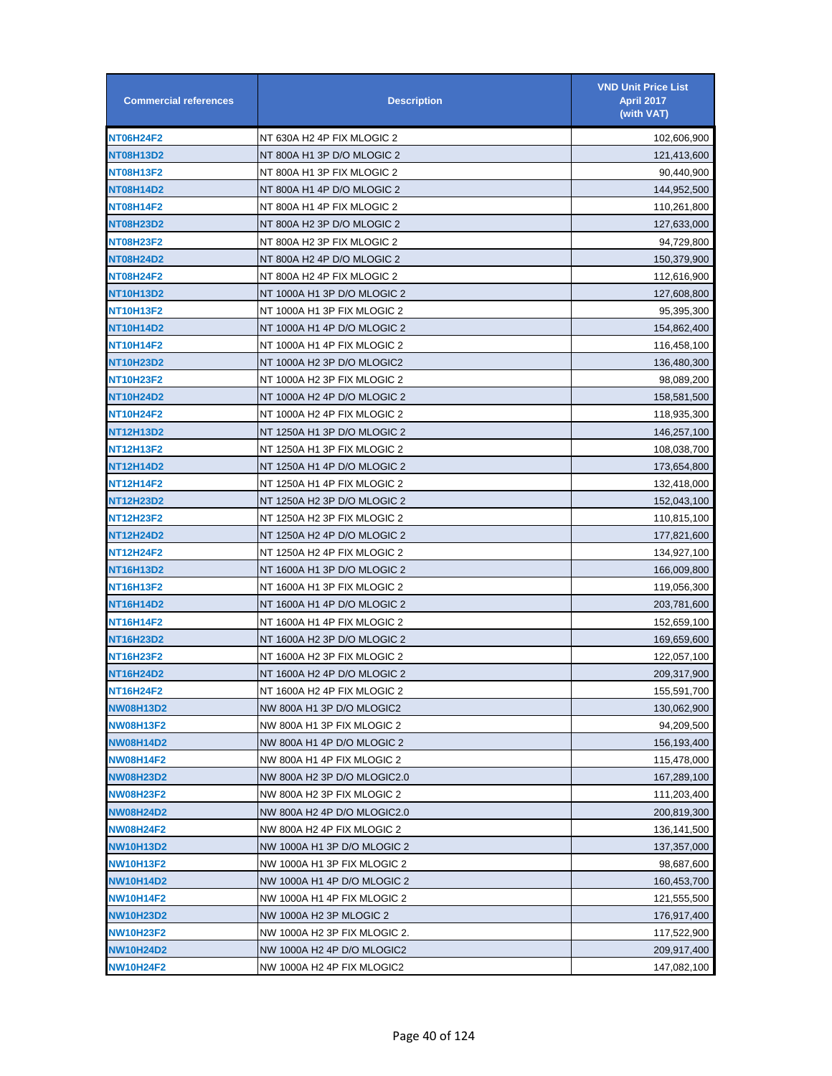| <b>Commercial references</b> | <b>Description</b>           | <b>VND Unit Price List</b><br><b>April 2017</b><br>(with VAT) |
|------------------------------|------------------------------|---------------------------------------------------------------|
| <b>NT06H24F2</b>             | NT 630A H2 4P FIX MLOGIC 2   | 102,606,900                                                   |
| <b>NT08H13D2</b>             | NT 800A H1 3P D/O MLOGIC 2   | 121,413,600                                                   |
| <b>NT08H13F2</b>             | NT 800A H1 3P FIX MLOGIC 2   | 90,440,900                                                    |
| NT08H14D2                    | NT 800A H1 4P D/O MLOGIC 2   | 144,952,500                                                   |
| <b>NT08H14F2</b>             | NT 800A H1 4P FIX MLOGIC 2   | 110,261,800                                                   |
| <b>NT08H23D2</b>             | NT 800A H2 3P D/O MLOGIC 2   | 127,633,000                                                   |
| <b>NT08H23F2</b>             | NT 800A H2 3P FIX MLOGIC 2   | 94,729,800                                                    |
| <b>NT08H24D2</b>             | NT 800A H2 4P D/O MLOGIC 2   | 150,379,900                                                   |
| <b>NT08H24F2</b>             | NT 800A H2 4P FIX MLOGIC 2   | 112,616,900                                                   |
| NT10H13D2                    | NT 1000A H1 3P D/O MLOGIC 2  | 127,608,800                                                   |
| <b>NT10H13F2</b>             | NT 1000A H1 3P FIX MLOGIC 2  | 95,395,300                                                    |
| NT10H14D2                    | NT 1000A H1 4P D/O MLOGIC 2  | 154,862,400                                                   |
| NT10H14F2                    | NT 1000A H1 4P FIX MLOGIC 2  | 116,458,100                                                   |
| <b>NT10H23D2</b>             | NT 1000A H2 3P D/O MLOGIC2   | 136,480,300                                                   |
| <b>NT10H23F2</b>             | NT 1000A H2 3P FIX MLOGIC 2  | 98,089,200                                                    |
| <b>NT10H24D2</b>             | NT 1000A H2 4P D/O MLOGIC 2  | 158,581,500                                                   |
| <b>NT10H24F2</b>             | NT 1000A H2 4P FIX MLOGIC 2  | 118,935,300                                                   |
| NT12H13D2                    | NT 1250A H1 3P D/O MLOGIC 2  | 146,257,100                                                   |
| NT12H13F2                    | NT 1250A H1 3P FIX MLOGIC 2  | 108,038,700                                                   |
| NT12H14D2                    | NT 1250A H1 4P D/O MLOGIC 2  | 173,654,800                                                   |
| NT12H14F2                    | NT 1250A H1 4P FIX MLOGIC 2  | 132,418,000                                                   |
| NT12H23D2                    | NT 1250A H2 3P D/O MLOGIC 2  | 152,043,100                                                   |
| NT12H23F2                    | NT 1250A H2 3P FIX MLOGIC 2  | 110,815,100                                                   |
| NT12H24D2                    | NT 1250A H2 4P D/O MLOGIC 2  | 177,821,600                                                   |
| NT12H24F2                    | NT 1250A H2 4P FIX MLOGIC 2  | 134,927,100                                                   |
| NT16H13D2                    | NT 1600A H1 3P D/O MLOGIC 2  | 166,009,800                                                   |
| NT16H13F2                    | NT 1600A H1 3P FIX MLOGIC 2  | 119,056,300                                                   |
| NT16H14D2                    | NT 1600A H1 4P D/O MLOGIC 2  | 203,781,600                                                   |
| NT16H14F2                    | NT 1600A H1 4P FIX MLOGIC 2  | 152,659,100                                                   |
| NT16H23D2                    | NT 1600A H2 3P D/O MLOGIC 2  | 169,659,600                                                   |
| NT16H23F2                    | NT 1600A H2 3P FIX MLOGIC 2  | 122,057,100                                                   |
| NT16H24D2                    | NT 1600A H2 4P D/O MLOGIC 2  | 209,317,900                                                   |
| NT16H24F2                    | NT 1600A H2 4P FIX MLOGIC 2  | 155,591,700                                                   |
| NW08H13D2                    | NW 800A H1 3P D/O MLOGIC2    | 130,062,900                                                   |
| NW08H13F2                    | NW 800A H1 3P FIX MLOGIC 2   | 94,209,500                                                    |
| <b>NW08H14D2</b>             | NW 800A H1 4P D/O MLOGIC 2   | 156,193,400                                                   |
| <b>NW08H14F2</b>             | NW 800A H1 4P FIX MLOGIC 2   | 115,478,000                                                   |
| NW08H23D2                    | NW 800A H2 3P D/O MLOGIC2.0  | 167,289,100                                                   |
| <b>NW08H23F2</b>             | NW 800A H2 3P FIX MLOGIC 2   | 111,203,400                                                   |
| <b>NW08H24D2</b>             | NW 800A H2 4P D/O MLOGIC2.0  | 200,819,300                                                   |
| <b>NW08H24F2</b>             | NW 800A H2 4P FIX MLOGIC 2   | 136,141,500                                                   |
| NW10H13D2                    | NW 1000A H1 3P D/O MLOGIC 2  | 137,357,000                                                   |
| NW10H13F2                    | NW 1000A H1 3P FIX MLOGIC 2  | 98,687,600                                                    |
| NW10H14D2                    | NW 1000A H1 4P D/O MLOGIC 2  | 160,453,700                                                   |
| NW10H14F2                    | NW 1000A H1 4P FIX MLOGIC 2  | 121,555,500                                                   |
| NW10H23D2                    | NW 1000A H2 3P MLOGIC 2      | 176,917,400                                                   |
| NW10H23F2                    | NW 1000A H2 3P FIX MLOGIC 2. | 117,522,900                                                   |
| NW10H24D2                    | NW 1000A H2 4P D/O MLOGIC2   | 209,917,400                                                   |
| <b>NW10H24F2</b>             | NW 1000A H2 4P FIX MLOGIC2   | 147,082,100                                                   |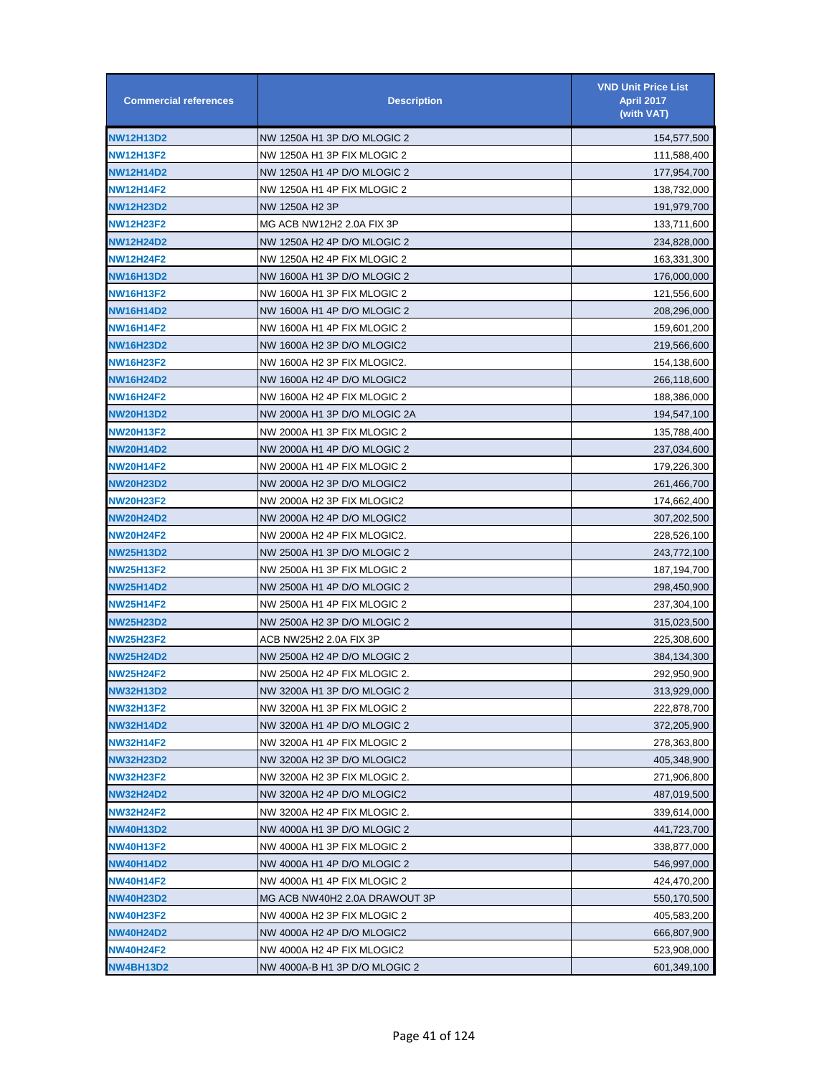| <b>Commercial references</b> | <b>Description</b>            | <b>VND Unit Price List</b><br><b>April 2017</b><br>(with VAT) |
|------------------------------|-------------------------------|---------------------------------------------------------------|
| <b>NW12H13D2</b>             | NW 1250A H1 3P D/O MLOGIC 2   | 154,577,500                                                   |
| <b>NW12H13F2</b>             | NW 1250A H1 3P FIX MLOGIC 2   | 111,588,400                                                   |
| <b>NW12H14D2</b>             | NW 1250A H1 4P D/O MLOGIC 2   | 177,954,700                                                   |
| <b>NW12H14F2</b>             | NW 1250A H1 4P FIX MLOGIC 2   | 138,732,000                                                   |
| <b>NW12H23D2</b>             | NW 1250A H <sub>2</sub> 3P    | 191,979,700                                                   |
| <b>NW12H23F2</b>             | MG ACB NW12H2 2.0A FIX 3P     | 133,711,600                                                   |
| <b>NW12H24D2</b>             | NW 1250A H2 4P D/O MLOGIC 2   | 234,828,000                                                   |
| <b>NW12H24F2</b>             | NW 1250A H2 4P FIX MLOGIC 2   | 163,331,300                                                   |
| <b>NW16H13D2</b>             | NW 1600A H1 3P D/O MLOGIC 2   | 176,000,000                                                   |
| <b>NW16H13F2</b>             | NW 1600A H1 3P FIX MLOGIC 2   | 121,556,600                                                   |
| <b>NW16H14D2</b>             | NW 1600A H1 4P D/O MLOGIC 2   | 208,296,000                                                   |
| <b>NW16H14F2</b>             | NW 1600A H1 4P FIX MLOGIC 2   | 159,601,200                                                   |
| <b>NW16H23D2</b>             | NW 1600A H2 3P D/O MLOGIC2    | 219,566,600                                                   |
| <b>NW16H23F2</b>             | NW 1600A H2 3P FIX MLOGIC2.   | 154,138,600                                                   |
| <b>NW16H24D2</b>             | NW 1600A H2 4P D/O MLOGIC2    | 266,118,600                                                   |
| <b>NW16H24F2</b>             | NW 1600A H2 4P FIX MLOGIC 2   | 188,386,000                                                   |
| <b>NW20H13D2</b>             | NW 2000A H1 3P D/O MLOGIC 2A  | 194,547,100                                                   |
| <b>NW20H13F2</b>             | NW 2000A H1 3P FIX MLOGIC 2   | 135,788,400                                                   |
| <b>NW20H14D2</b>             | NW 2000A H1 4P D/O MLOGIC 2   | 237,034,600                                                   |
| <b>NW20H14F2</b>             | NW 2000A H1 4P FIX MLOGIC 2   | 179,226,300                                                   |
| <b>NW20H23D2</b>             | NW 2000A H2 3P D/O MLOGIC2    | 261,466,700                                                   |
| <b>NW20H23F2</b>             | NW 2000A H2 3P FIX MLOGIC2    | 174,662,400                                                   |
| <b>NW20H24D2</b>             | NW 2000A H2 4P D/O MLOGIC2    | 307,202,500                                                   |
| <b>NW20H24F2</b>             | NW 2000A H2 4P FIX MLOGIC2.   | 228,526,100                                                   |
| <b>NW25H13D2</b>             | NW 2500A H1 3P D/O MLOGIC 2   | 243,772,100                                                   |
| <b>NW25H13F2</b>             | NW 2500A H1 3P FIX MLOGIC 2   | 187,194,700                                                   |
| NW25H14D2                    | NW 2500A H1 4P D/O MLOGIC 2   | 298,450,900                                                   |
| <b>NW25H14F2</b>             | NW 2500A H1 4P FIX MLOGIC 2   | 237,304,100                                                   |
| <b>NW25H23D2</b>             | NW 2500A H2 3P D/O MLOGIC 2   | 315,023,500                                                   |
| NW25H23F2                    | ACB NW25H2 2.0A FIX 3P        | 225,308,600                                                   |
| <b>NW25H24D2</b>             | NW 2500A H2 4P D/O MLOGIC 2   | 384,134,300                                                   |
| <b>NW25H24F2</b>             | NW 2500A H2 4P FIX MLOGIC 2.  | 292,950,900                                                   |
| <b>NW32H13D2</b>             | NW 3200A H1 3P D/O MLOGIC 2   | 313,929,000                                                   |
| <b>NW32H13F2</b>             | NW 3200A H1 3P FIX MLOGIC 2   | 222,878,700                                                   |
| <b>NW32H14D2</b>             | NW 3200A H1 4P D/O MLOGIC 2   | 372,205,900                                                   |
| <b>NW32H14F2</b>             | NW 3200A H1 4P FIX MLOGIC 2   | 278,363,800                                                   |
| <b>NW32H23D2</b>             | NW 3200A H2 3P D/O MLOGIC2    | 405,348,900                                                   |
| <b>NW32H23F2</b>             | NW 3200A H2 3P FIX MLOGIC 2.  | 271,906,800                                                   |
| NW32H24D2                    | NW 3200A H2 4P D/O MLOGIC2    | 487,019,500                                                   |
| <b>NW32H24F2</b>             | NW 3200A H2 4P FIX MLOGIC 2.  | 339,614,000                                                   |
| <b>NW40H13D2</b>             | NW 4000A H1 3P D/O MLOGIC 2   | 441,723,700                                                   |
| <b>NW40H13F2</b>             | NW 4000A H1 3P FIX MLOGIC 2   | 338,877,000                                                   |
| <b>NW40H14D2</b>             | NW 4000A H1 4P D/O MLOGIC 2   | 546,997,000                                                   |
| <b>NW40H14F2</b>             | NW 4000A H1 4P FIX MLOGIC 2   | 424,470,200                                                   |
| <b>NW40H23D2</b>             | MG ACB NW40H2 2.0A DRAWOUT 3P | 550,170,500                                                   |
| <b>NW40H23F2</b>             | NW 4000A H2 3P FIX MLOGIC 2   | 405,583,200                                                   |
| <b>NW40H24D2</b>             | NW 4000A H2 4P D/O MLOGIC2    | 666,807,900                                                   |
| <b>NW40H24F2</b>             | NW 4000A H2 4P FIX MLOGIC2    | 523,908,000                                                   |
| <b>NW4BH13D2</b>             | NW 4000A-B H1 3P D/O MLOGIC 2 | 601,349,100                                                   |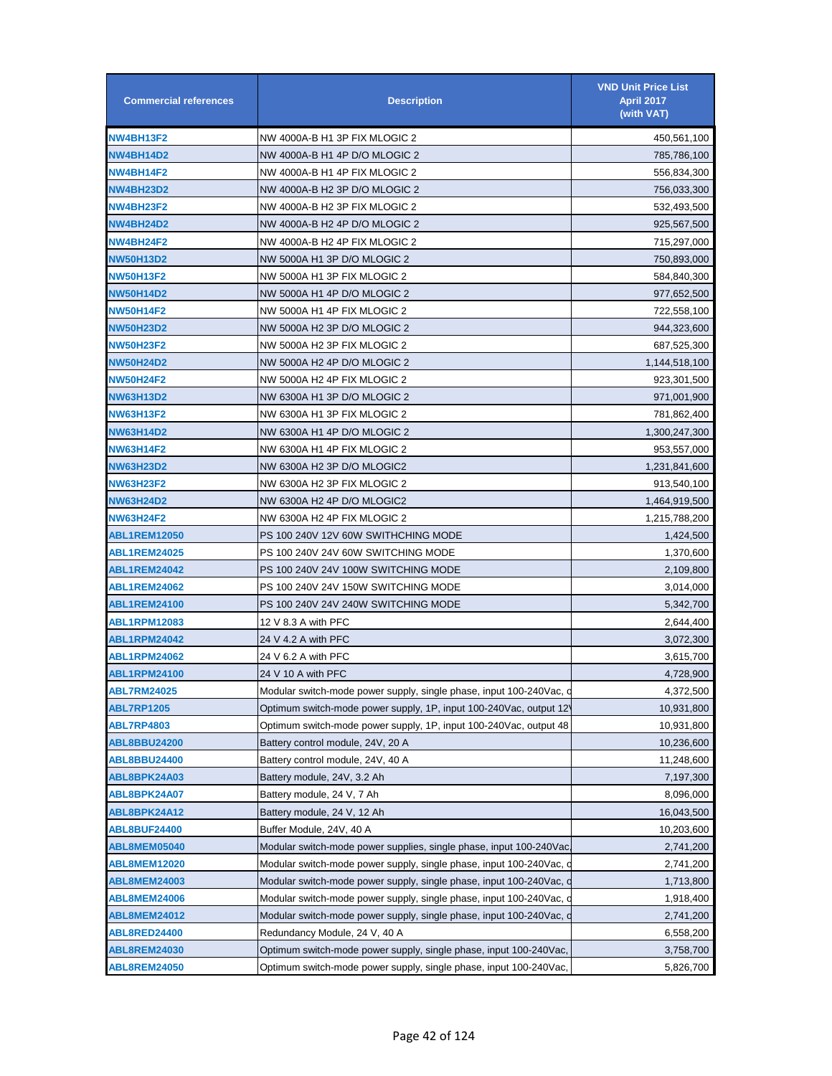| <b>Commercial references</b> | <b>Description</b>                                                   | <b>VND Unit Price List</b><br><b>April 2017</b><br>(with VAT) |
|------------------------------|----------------------------------------------------------------------|---------------------------------------------------------------|
| <b>NW4BH13F2</b>             | NW 4000A-B H1 3P FIX MLOGIC 2                                        | 450,561,100                                                   |
| NW4BH14D2                    | NW 4000A-B H1 4P D/O MLOGIC 2                                        | 785,786,100                                                   |
| NW4BH14F2                    | NW 4000A-B H1 4P FIX MLOGIC 2                                        | 556,834,300                                                   |
| <b>NW4BH23D2</b>             | NW 4000A-B H2 3P D/O MLOGIC 2                                        | 756,033,300                                                   |
| <b>NW4BH23F2</b>             | NW 4000A-B H2 3P FIX MLOGIC 2                                        | 532,493,500                                                   |
| <b>NW4BH24D2</b>             | NW 4000A-B H2 4P D/O MLOGIC 2                                        | 925,567,500                                                   |
| <b>NW4BH24F2</b>             | NW 4000A-B H2 4P FIX MLOGIC 2                                        | 715,297,000                                                   |
| <b>NW50H13D2</b>             | NW 5000A H1 3P D/O MLOGIC 2                                          | 750,893,000                                                   |
| <b>NW50H13F2</b>             | NW 5000A H1 3P FIX MLOGIC 2                                          | 584,840,300                                                   |
| <b>NW50H14D2</b>             | NW 5000A H1 4P D/O MLOGIC 2                                          | 977,652,500                                                   |
| <b>NW50H14F2</b>             | NW 5000A H1 4P FIX MLOGIC 2                                          | 722,558,100                                                   |
| <b>NW50H23D2</b>             | NW 5000A H2 3P D/O MLOGIC 2                                          | 944,323,600                                                   |
| <b>NW50H23F2</b>             | NW 5000A H2 3P FIX MLOGIC 2                                          | 687,525,300                                                   |
| <b>NW50H24D2</b>             | NW 5000A H2 4P D/O MLOGIC 2                                          | 1,144,518,100                                                 |
| <b>NW50H24F2</b>             | NW 5000A H2 4P FIX MLOGIC 2                                          | 923,301,500                                                   |
| <b>NW63H13D2</b>             | NW 6300A H1 3P D/O MLOGIC 2                                          | 971,001,900                                                   |
| <b>NW63H13F2</b>             | NW 6300A H1 3P FIX MLOGIC 2                                          | 781,862,400                                                   |
| <b>NW63H14D2</b>             | NW 6300A H1 4P D/O MLOGIC 2                                          | 1,300,247,300                                                 |
| <b>NW63H14F2</b>             | NW 6300A H1 4P FIX MLOGIC 2                                          | 953,557,000                                                   |
| <b>NW63H23D2</b>             | NW 6300A H2 3P D/O MLOGIC2                                           | 1,231,841,600                                                 |
| <b>NW63H23F2</b>             | NW 6300A H2 3P FIX MLOGIC 2                                          | 913,540,100                                                   |
| <b>NW63H24D2</b>             | NW 6300A H2 4P D/O MLOGIC2                                           | 1,464,919,500                                                 |
| <b>NW63H24F2</b>             | NW 6300A H2 4P FIX MLOGIC 2                                          | 1,215,788,200                                                 |
| <b>ABL1REM12050</b>          | PS 100 240V 12V 60W SWITHCHING MODE                                  | 1,424,500                                                     |
| <b>ABL1REM24025</b>          | PS 100 240V 24V 60W SWITCHING MODE                                   | 1,370,600                                                     |
| ABL1REM24042                 | PS 100 240V 24V 100W SWITCHING MODE                                  | 2,109,800                                                     |
| <b>ABL1REM24062</b>          | PS 100 240V 24V 150W SWITCHING MODE                                  | 3,014,000                                                     |
| ABL1REM24100                 | PS 100 240V 24V 240W SWITCHING MODE                                  | 5,342,700                                                     |
| <b>ABL1RPM12083</b>          | 12 V 8.3 A with PFC                                                  | 2,644,400                                                     |
| <b>ABL1RPM24042</b>          | 24 V 4.2 A with PFC                                                  | 3,072,300                                                     |
| <b>ABL1RPM24062</b>          | 24 V 6.2 A with PFC                                                  | 3,615,700                                                     |
| <b>ABL1RPM24100</b>          | 24 V 10 A with PFC                                                   | 4,728,900                                                     |
| <b>ABL7RM24025</b>           | Modular switch-mode power supply, single phase, input 100-240Vac, o  | 4,372,500                                                     |
| <b>ABL7RP1205</b>            | Optimum switch-mode power supply, 1P, input 100-240Vac, output 12    | 10,931,800                                                    |
| <b>ABL7RP4803</b>            | Optimum switch-mode power supply, 1P, input 100-240Vac, output 48    | 10,931,800                                                    |
| <b>ABL8BBU24200</b>          | Battery control module, 24V, 20 A                                    | 10,236,600                                                    |
| <b>ABL8BBU24400</b>          | Battery control module, 24V, 40 A                                    | 11,248,600                                                    |
| ABL8BPK24A03                 | Battery module, 24V, 3.2 Ah                                          | 7,197,300                                                     |
| ABL8BPK24A07                 | Battery module, 24 V, 7 Ah                                           | 8,096,000                                                     |
| ABL8BPK24A12                 | Battery module, 24 V, 12 Ah                                          | 16,043,500                                                    |
| <b>ABL8BUF24400</b>          | Buffer Module, 24V, 40 A                                             | 10,203,600                                                    |
| ABL8MEM05040                 | Modular switch-mode power supplies, single phase, input 100-240Vac   | 2,741,200                                                     |
| <b>ABL8MEM12020</b>          | Modular switch-mode power supply, single phase, input 100-240Vac, or | 2,741,200                                                     |
| <b>ABL8MEM24003</b>          | Modular switch-mode power supply, single phase, input 100-240Vac, or | 1,713,800                                                     |
| <b>ABL8MEM24006</b>          | Modular switch-mode power supply, single phase, input 100-240Vac, o  | 1,918,400                                                     |
| <b>ABL8MEM24012</b>          | Modular switch-mode power supply, single phase, input 100-240Vac, on | 2,741,200                                                     |
| ABL8RED24400                 | Redundancy Module, 24 V, 40 A                                        | 6,558,200                                                     |
| ABL8REM24030                 | Optimum switch-mode power supply, single phase, input 100-240Vac,    | 3,758,700                                                     |
| <b>ABL8REM24050</b>          | Optimum switch-mode power supply, single phase, input 100-240Vac,    | 5,826,700                                                     |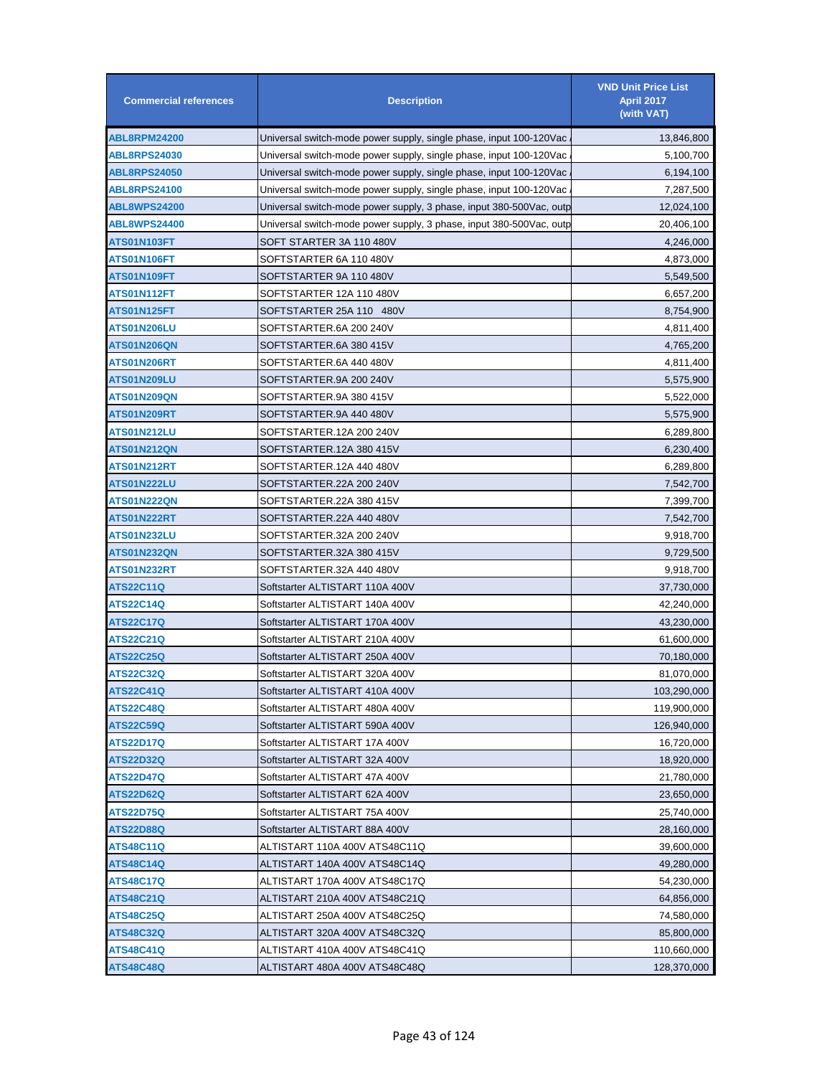| <b>Commercial references</b> | <b>Description</b>                                                  | <b>VND Unit Price List</b><br><b>April 2017</b><br>(with VAT) |
|------------------------------|---------------------------------------------------------------------|---------------------------------------------------------------|
| ABL8RPM24200                 | Universal switch-mode power supply, single phase, input 100-120Vac  | 13,846,800                                                    |
| <b>ABL8RPS24030</b>          | Universal switch-mode power supply, single phase, input 100-120Vac  | 5,100,700                                                     |
| <b>ABL8RPS24050</b>          | Universal switch-mode power supply, single phase, input 100-120Vac  | 6,194,100                                                     |
| <b>ABL8RPS24100</b>          | Universal switch-mode power supply, single phase, input 100-120Vac  | 7,287,500                                                     |
| <b>ABL8WPS24200</b>          | Universal switch-mode power supply, 3 phase, input 380-500Vac, outp | 12,024,100                                                    |
| <b>ABL8WPS24400</b>          | Universal switch-mode power supply, 3 phase, input 380-500Vac, outp | 20,406,100                                                    |
| ATS01N103FT                  | SOFT STARTER 3A 110 480V                                            | 4,246,000                                                     |
| ATS01N106FT                  | SOFTSTARTER 6A 110 480V                                             | 4,873,000                                                     |
| ATS01N109FT                  | SOFTSTARTER 9A 110 480V                                             | 5,549,500                                                     |
| ATS01N112FT                  | SOFTSTARTER 12A 110 480V                                            | 6,657,200                                                     |
| ATS01N125FT                  | SOFTSTARTER 25A 110 480V                                            | 8,754,900                                                     |
| ATS01N206LU                  | SOFTSTARTER.6A 200 240V                                             | 4,811,400                                                     |
| ATS01N206QN                  | SOFTSTARTER.6A 380 415V                                             | 4,765,200                                                     |
| <b>ATS01N206RT</b>           | SOFTSTARTER.6A 440 480V                                             | 4,811,400                                                     |
| ATS01N209LU                  | SOFTSTARTER.9A 200 240V                                             | 5,575,900                                                     |
| ATS01N209QN                  | SOFTSTARTER.9A 380 415V                                             | 5,522,000                                                     |
| ATS01N209RT                  | SOFTSTARTER.9A 440 480V                                             | 5,575,900                                                     |
| ATS01N212LU                  | SOFTSTARTER.12A 200 240V                                            | 6,289,800                                                     |
| ATS01N212QN                  | SOFTSTARTER.12A 380 415V                                            | 6,230,400                                                     |
| ATS01N212RT                  | SOFTSTARTER.12A 440 480V                                            | 6,289,800                                                     |
| ATS01N222LU                  | SOFTSTARTER.22A 200 240V                                            | 7,542,700                                                     |
| ATS01N222QN                  | SOFTSTARTER.22A 380 415V                                            | 7,399,700                                                     |
| ATS01N222RT                  | SOFTSTARTER.22A 440 480V                                            | 7,542,700                                                     |
| ATS01N232LU                  | SOFTSTARTER.32A 200 240V                                            |                                                               |
|                              |                                                                     | 9,918,700                                                     |
| ATS01N232QN                  | SOFTSTARTER.32A 380 415V                                            | 9,729,500                                                     |
| ATS01N232RT                  | SOFTSTARTER.32A 440 480V                                            | 9,918,700                                                     |
| ATS22C11Q                    | Softstarter ALTISTART 110A 400V                                     | 37,730,000                                                    |
| ATS22C14Q                    | Softstarter ALTISTART 140A 400V                                     | 42,240,000                                                    |
| <b>ATS22C17Q</b>             | Softstarter ALTISTART 170A 400V                                     | 43,230,000                                                    |
| ATS22C21Q                    | Softstarter ALTISTART 210A 400V                                     | 61,600,000                                                    |
| ATS22C25Q                    | Softstarter ALTISTART 250A 400V                                     | 70,180,000                                                    |
| <b>ATS22C32Q</b>             | Softstarter ALTISTART 320A 400V                                     | 81,070,000                                                    |
| <b>ATS22C41Q</b>             | Softstarter ALTISTART 410A 400V                                     | 103,290,000                                                   |
| <b>ATS22C48Q</b>             | Softstarter ALTISTART 480A 400V                                     | 119,900,000                                                   |
| <b>ATS22C59Q</b>             | Softstarter ALTISTART 590A 400V                                     | 126,940,000                                                   |
| ATS22D17Q                    | Softstarter ALTISTART 17A 400V                                      | 16,720,000                                                    |
| ATS22D32Q                    | Softstarter ALTISTART 32A 400V                                      | 18,920,000                                                    |
| <b>ATS22D47Q</b>             | Softstarter ALTISTART 47A 400V                                      | 21,780,000                                                    |
| <b>ATS22D62Q</b>             | Softstarter ALTISTART 62A 400V                                      | 23,650,000                                                    |
| ATS22D75Q                    | Softstarter ALTISTART 75A 400V                                      | 25,740,000                                                    |
| ATS22D88Q                    | Softstarter ALTISTART 88A 400V                                      | 28,160,000                                                    |
| <b>ATS48C11Q</b>             | ALTISTART 110A 400V ATS48C11Q                                       | 39,600,000                                                    |
| <b>ATS48C14Q</b>             | ALTISTART 140A 400V ATS48C14Q                                       | 49,280,000                                                    |
| ATS48C17Q                    | ALTISTART 170A 400V ATS48C17Q                                       | 54,230,000                                                    |
| ATS48C21Q                    | ALTISTART 210A 400V ATS48C21Q                                       | 64,856,000                                                    |
| ATS48C25Q                    | ALTISTART 250A 400V ATS48C25Q                                       | 74,580,000                                                    |
| ATS48C32Q                    | ALTISTART 320A 400V ATS48C32Q                                       | 85,800,000                                                    |
| <b>ATS48C41Q</b>             | ALTISTART 410A 400V ATS48C41Q                                       | 110,660,000                                                   |
| ATS48C48Q                    | ALTISTART 480A 400V ATS48C48Q                                       | 128,370,000                                                   |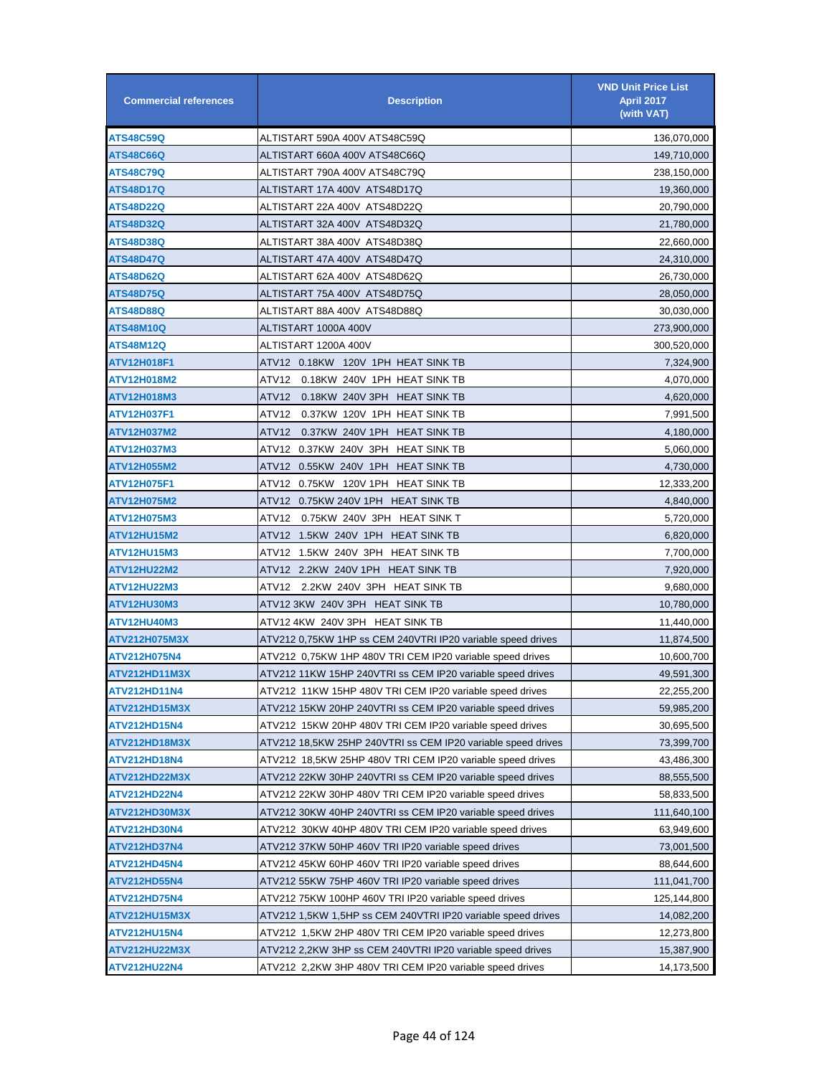| <b>Commercial references</b> | <b>Description</b>                                           | <b>VND Unit Price List</b><br><b>April 2017</b><br>(with VAT) |
|------------------------------|--------------------------------------------------------------|---------------------------------------------------------------|
| <b>ATS48C59Q</b>             | ALTISTART 590A 400V ATS48C59Q                                | 136,070,000                                                   |
| <b>ATS48C66Q</b>             | ALTISTART 660A 400V ATS48C66Q                                | 149,710,000                                                   |
| <b>ATS48C79Q</b>             | ALTISTART 790A 400V ATS48C79Q                                | 238,150,000                                                   |
| <b>ATS48D17Q</b>             | ALTISTART 17A 400V ATS48D17Q                                 | 19,360,000                                                    |
| <b>ATS48D22Q</b>             | ALTISTART 22A 400V ATS48D22Q                                 | 20,790,000                                                    |
| <b>ATS48D32Q</b>             | ALTISTART 32A 400V ATS48D32Q                                 | 21,780,000                                                    |
| <b>ATS48D38Q</b>             | ALTISTART 38A 400V ATS48D38Q                                 | 22,660,000                                                    |
| <b>ATS48D47Q</b>             | ALTISTART 47A 400V ATS48D47Q                                 | 24,310,000                                                    |
| ATS48D62Q                    | ALTISTART 62A 400V ATS48D62Q                                 | 26,730,000                                                    |
| <b>ATS48D75Q</b>             | ALTISTART 75A 400V ATS48D75Q                                 | 28,050,000                                                    |
| ATS48D88Q                    | ALTISTART 88A 400V ATS48D88Q                                 | 30,030,000                                                    |
| <b>ATS48M10Q</b>             | ALTISTART 1000A 400V                                         | 273,900,000                                                   |
| ATS48M12Q                    | ALTISTART 1200A 400V                                         | 300,520,000                                                   |
| ATV12H018F1                  | ATV12 0.18KW 120V 1PH HEAT SINK TB                           | 7,324,900                                                     |
| ATV12H018M2                  | ATV12<br>0.18KW 240V 1PH HEAT SINK TB                        | 4,070,000                                                     |
| ATV12H018M3                  | ATV12<br>0.18KW 240V 3PH HEAT SINK TB                        | 4,620,000                                                     |
| ATV12H037F1                  | ATV12 0.37KW 120V 1PH HEAT SINK TB                           | 7,991,500                                                     |
| ATV12H037M2                  | ATV12<br>0.37KW 240V 1PH HEAT SINK TB                        | 4,180,000                                                     |
| ATV12H037M3                  | ATV12 0.37KW 240V 3PH HEAT SINK TB                           | 5,060,000                                                     |
| ATV12H055M2                  | ATV12 0.55KW 240V 1PH HEAT SINK TB                           | 4,730,000                                                     |
| ATV12H075F1                  | ATV12 0.75KW 120V1PH HEATSINKTB                              | 12,333,200                                                    |
| ATV12H075M2                  | ATV12   0.75KW 240V 1PH   HEAT SINK TB                       | 4,840,000                                                     |
| ATV12H075M3                  | ATV12 0.75KW_240V_3PH_HEAT SINK T                            | 5,720,000                                                     |
| <b>ATV12HU15M2</b>           | ATV12 1.5KW 240V 1PH HEAT SINK TB                            | 6,820,000                                                     |
| ATV12HU15M3                  | ATV12 1.5KW 240V 3PH HEAT SINK TB                            | 7,700,000                                                     |
| <b>ATV12HU22M2</b>           | ATV12   2.2KW  240V 1PH   HEAT SINK TB                       | 7,920,000                                                     |
| ATV12HU22M3                  | ATV12 2.2KW_240V_3PH_HEAT SINK TB                            | 9,680,000                                                     |
| ATV12HU30M3                  | ATV12 3KW_240V 3PH_HEAT SINK TB                              | 10,780,000                                                    |
| ATV12HU40M3                  | ATV12 4KW_240V 3PH_HEAT SINK TB                              | 11,440,000                                                    |
| ATV212H075M3X                | ATV212 0,75KW 1HP ss CEM 240VTRI IP20 variable speed drives  | 11,874,500                                                    |
| ATV212H075N4                 | ATV212 0,75KW 1HP 480V TRI CEM IP20 variable speed drives    | 10,600,700                                                    |
| ATV212HD11M3X                | ATV212 11KW 15HP 240VTRI ss CEM IP20 variable speed drives   | 49,591,300                                                    |
| ATV212HD11N4                 | ATV212 11KW 15HP 480V TRI CEM IP20 variable speed drives     | 22,255,200                                                    |
| ATV212HD15M3X                | ATV212 15KW 20HP 240VTRI ss CEM IP20 variable speed drives   | 59,985,200                                                    |
| ATV212HD15N4                 | ATV212 15KW 20HP 480V TRI CEM IP20 variable speed drives     | 30,695,500                                                    |
| ATV212HD18M3X                | ATV212 18,5KW 25HP 240VTRI ss CEM IP20 variable speed drives | 73,399,700                                                    |
| ATV212HD18N4                 | ATV212 18,5KW 25HP 480V TRI CEM IP20 variable speed drives   | 43,486,300                                                    |
| ATV212HD22M3X                | ATV212 22KW 30HP 240VTRI ss CEM IP20 variable speed drives   | 88,555,500                                                    |
| ATV212HD22N4                 | ATV212 22KW 30HP 480V TRI CEM IP20 variable speed drives     | 58,833,500                                                    |
| ATV212HD30M3X                | ATV212 30KW 40HP 240VTRI ss CEM IP20 variable speed drives   | 111,640,100                                                   |
| <b>ATV212HD30N4</b>          | ATV212 30KW 40HP 480V TRI CEM IP20 variable speed drives     | 63,949,600                                                    |
| ATV212HD37N4                 | ATV212 37KW 50HP 460V TRI IP20 variable speed drives         | 73,001,500                                                    |
| ATV212HD45N4                 | ATV212 45KW 60HP 460V TRI IP20 variable speed drives         | 88,644,600                                                    |
| ATV212HD55N4                 | ATV212 55KW 75HP 460V TRI IP20 variable speed drives         | 111,041,700                                                   |
| ATV212HD75N4                 | ATV212 75KW 100HP 460V TRI IP20 variable speed drives        | 125,144,800                                                   |
| ATV212HU15M3X                | ATV212 1,5KW 1,5HP ss CEM 240VTRI IP20 variable speed drives | 14,082,200                                                    |
| ATV212HU15N4                 | ATV212 1,5KW 2HP 480V TRI CEM IP20 variable speed drives     | 12,273,800                                                    |
| ATV212HU22M3X                | ATV212 2,2KW 3HP ss CEM 240VTRI IP20 variable speed drives   | 15,387,900                                                    |
| <b>ATV212HU22N4</b>          | ATV212 2,2KW 3HP 480V TRI CEM IP20 variable speed drives     | 14,173,500                                                    |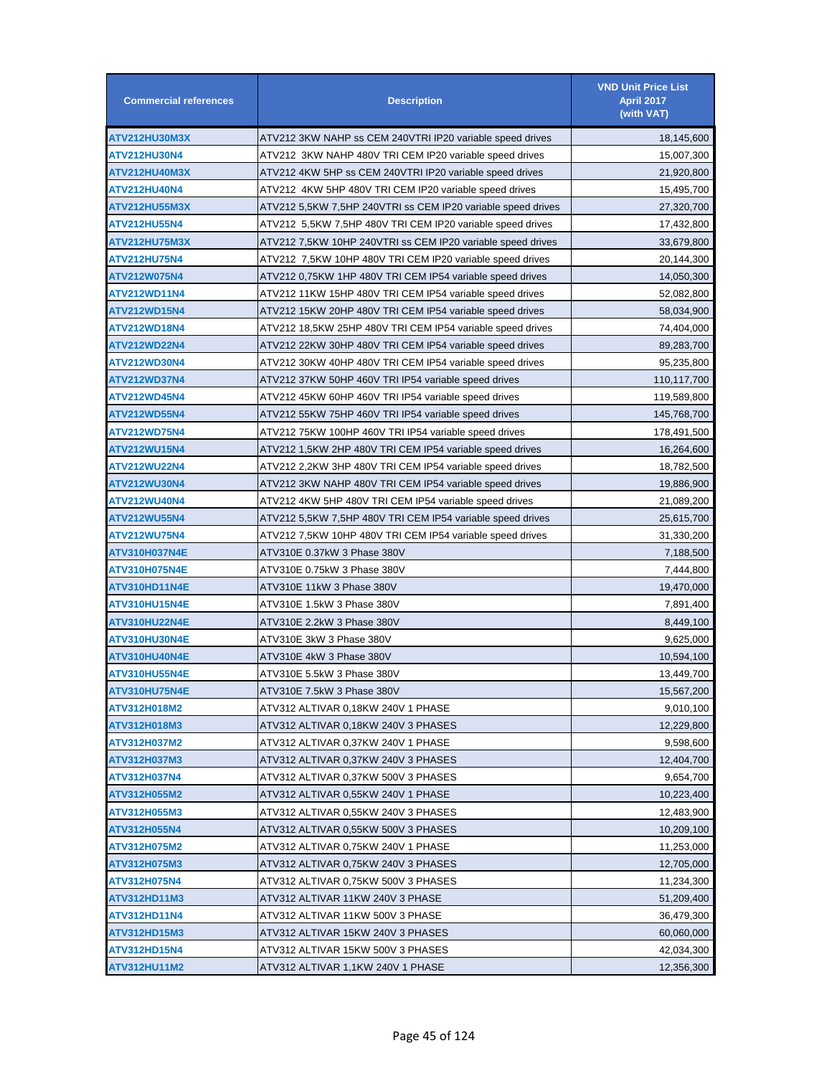| <b>Commercial references</b> | <b>Description</b>                                           | <b>VND Unit Price List</b><br><b>April 2017</b><br>(with VAT) |
|------------------------------|--------------------------------------------------------------|---------------------------------------------------------------|
| ATV212HU30M3X                | ATV212 3KW NAHP ss CEM 240VTRI IP20 variable speed drives    | 18,145,600                                                    |
| <b>ATV212HU30N4</b>          | ATV212 3KW NAHP 480V TRI CEM IP20 variable speed drives      | 15,007,300                                                    |
| ATV212HU40M3X                | ATV212 4KW 5HP ss CEM 240VTRI IP20 variable speed drives     | 21,920,800                                                    |
| ATV212HU40N4                 | ATV212 4KW 5HP 480V TRI CEM IP20 variable speed drives       | 15,495,700                                                    |
| <b>ATV212HU55M3X</b>         | ATV212 5,5KW 7,5HP 240VTRI ss CEM IP20 variable speed drives | 27,320,700                                                    |
| ATV212HU55N4                 | ATV212 5,5KW 7,5HP 480V TRI CEM IP20 variable speed drives   | 17,432,800                                                    |
| <b>ATV212HU75M3X</b>         | ATV212 7,5KW 10HP 240VTRI ss CEM IP20 variable speed drives  | 33,679,800                                                    |
| <b>ATV212HU75N4</b>          | ATV212 7,5KW 10HP 480V TRI CEM IP20 variable speed drives    | 20,144,300                                                    |
| ATV212W075N4                 | ATV212 0,75KW 1HP 480V TRI CEM IP54 variable speed drives    | 14,050,300                                                    |
| ATV212WD11N4                 | ATV212 11KW 15HP 480V TRI CEM IP54 variable speed drives     | 52,082,800                                                    |
| ATV212WD15N4                 | ATV212 15KW 20HP 480V TRI CEM IP54 variable speed drives     | 58,034,900                                                    |
| ATV212WD18N4                 | ATV212 18,5KW 25HP 480V TRI CEM IP54 variable speed drives   | 74,404,000                                                    |
| <b>ATV212WD22N4</b>          | ATV212 22KW 30HP 480V TRI CEM IP54 variable speed drives     | 89,283,700                                                    |
| ATV212WD30N4                 | ATV212 30KW 40HP 480V TRI CEM IP54 variable speed drives     | 95,235,800                                                    |
| ATV212WD37N4                 | ATV212 37KW 50HP 460V TRI IP54 variable speed drives         | 110,117,700                                                   |
| ATV212WD45N4                 | ATV212 45KW 60HP 460V TRI IP54 variable speed drives         | 119,589,800                                                   |
| <b>ATV212WD55N4</b>          | ATV212 55KW 75HP 460V TRI IP54 variable speed drives         | 145,768,700                                                   |
| <b>ATV212WD75N4</b>          | ATV212 75KW 100HP 460V TRI IP54 variable speed drives        | 178,491,500                                                   |
| ATV212WU15N4                 | ATV212 1,5KW 2HP 480V TRI CEM IP54 variable speed drives     | 16,264,600                                                    |
| ATV212WU22N4                 | ATV212 2,2KW 3HP 480V TRI CEM IP54 variable speed drives     | 18,782,500                                                    |
| ATV212WU30N4                 | ATV212 3KW NAHP 480V TRI CEM IP54 variable speed drives      | 19,886,900                                                    |
| ATV212WU40N4                 | ATV212 4KW 5HP 480V TRI CEM IP54 variable speed drives       | 21,089,200                                                    |
| <b>ATV212WU55N4</b>          | ATV212 5,5KW 7,5HP 480V TRI CEM IP54 variable speed drives   | 25,615,700                                                    |
| <b>ATV212WU75N4</b>          | ATV212 7,5KW 10HP 480V TRI CEM IP54 variable speed drives    | 31,330,200                                                    |
| ATV310H037N4E                |                                                              | 7,188,500                                                     |
| ATV310H075N4E                |                                                              | 7,444,800                                                     |
| ATV310HD11N4E                | ATV310E 11kW 3 Phase 380V                                    | 19,470,000                                                    |
| ATV310HU15N4E                |                                                              | 7,891,400                                                     |
| ATV310HU22N4E                | ATV310E 2.2kW 3 Phase 380V                                   | 8,449,100                                                     |
| ATV310HU30N4E                | ATV310E 3kW 3 Phase 380V                                     | 9,625,000                                                     |
| ATV310HU40N4E                | ATV310E 4kW 3 Phase 380V                                     | 10,594,100                                                    |
| ATV310HU55N4E                |                                                              | 13,449,700                                                    |
| ATV310HU75N4E                | ATV310E 7.5kW 3 Phase 380V                                   | 15,567,200                                                    |
| ATV312H018M2                 | ATV312 ALTIVAR 0,18KW 240V 1 PHASE                           | 9,010,100                                                     |
| ATV312H018M3                 | ATV312 ALTIVAR 0,18KW 240V 3 PHASES                          | 12,229,800                                                    |
| ATV312H037M2                 | ATV312 ALTIVAR 0,37KW 240V 1 PHASE                           | 9,598,600                                                     |
| ATV312H037M3                 | ATV312 ALTIVAR 0,37KW 240V 3 PHASES                          | 12,404,700                                                    |
| ATV312H037N4                 | ATV312 ALTIVAR 0,37KW 500V 3 PHASES                          | 9,654,700                                                     |
| ATV312H055M2                 | ATV312 ALTIVAR 0,55KW 240V 1 PHASE                           | 10,223,400                                                    |
| ATV312H055M3                 | ATV312 ALTIVAR 0,55KW 240V 3 PHASES                          | 12,483,900                                                    |
| ATV312H055N4                 | ATV312 ALTIVAR 0,55KW 500V 3 PHASES                          | 10,209,100                                                    |
| ATV312H075M2                 | ATV312 ALTIVAR 0,75KW 240V 1 PHASE                           | 11,253,000                                                    |
| ATV312H075M3                 | ATV312 ALTIVAR 0,75KW 240V 3 PHASES                          | 12,705,000                                                    |
| ATV312H075N4                 | ATV312 ALTIVAR 0,75KW 500V 3 PHASES                          | 11,234,300                                                    |
| ATV312HD11M3                 | ATV312 ALTIVAR 11KW 240V 3 PHASE                             | 51,209,400                                                    |
| ATV312HD11N4                 | ATV312 ALTIVAR 11KW 500V 3 PHASE                             | 36,479,300                                                    |
| ATV312HD15M3                 | ATV312 ALTIVAR 15KW 240V 3 PHASES                            | 60,060,000                                                    |
| <b>ATV312HD15N4</b>          | ATV312 ALTIVAR 15KW 500V 3 PHASES                            | 42,034,300                                                    |
| <b>ATV312HU11M2</b>          | ATV312 ALTIVAR 1,1KW 240V 1 PHASE                            | 12,356,300                                                    |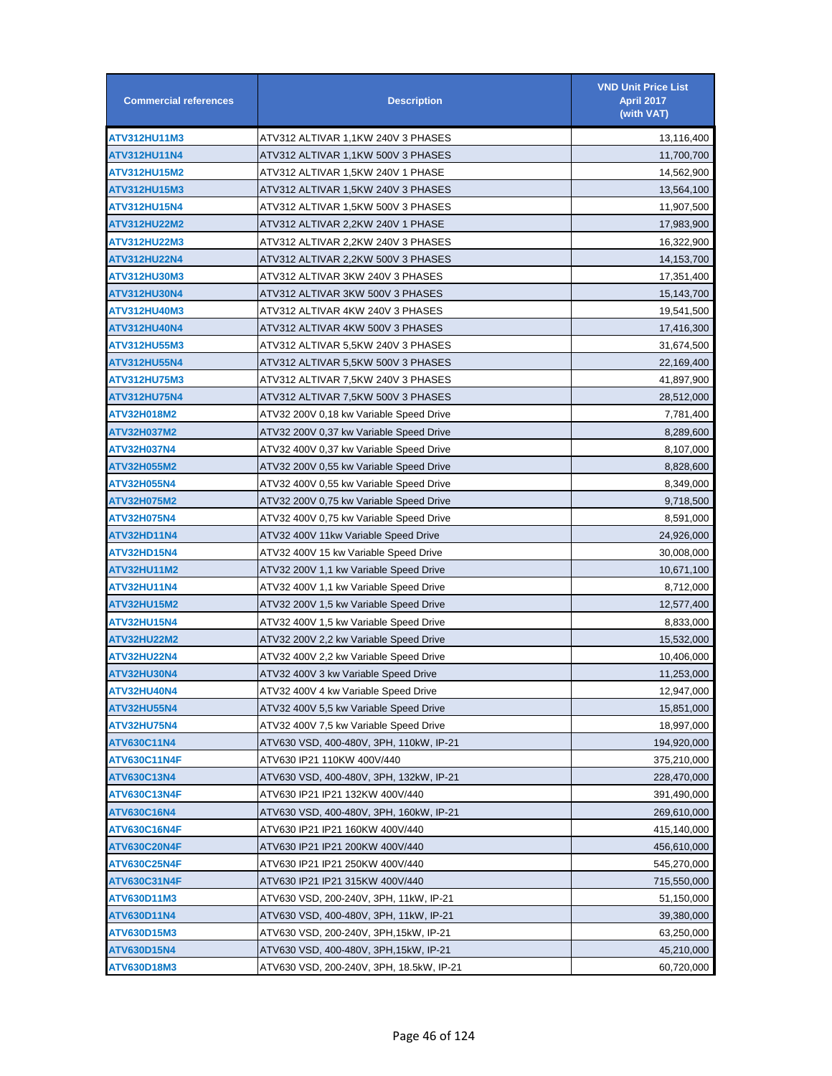| <b>Commercial references</b> | <b>Description</b>                       | <b>VND Unit Price List</b><br><b>April 2017</b><br>(with VAT) |
|------------------------------|------------------------------------------|---------------------------------------------------------------|
| ATV312HU11M3                 | ATV312 ALTIVAR 1,1KW 240V 3 PHASES       | 13,116,400                                                    |
| ATV312HU11N4                 | ATV312 ALTIVAR 1,1KW 500V 3 PHASES       | 11,700,700                                                    |
| <b>ATV312HU15M2</b>          | ATV312 ALTIVAR 1.5KW 240V 1 PHASE        | 14,562,900                                                    |
| ATV312HU15M3                 | ATV312 ALTIVAR 1,5KW 240V 3 PHASES       | 13,564,100                                                    |
| ATV312HU15N4                 | ATV312 ALTIVAR 1,5KW 500V 3 PHASES       | 11,907,500                                                    |
| ATV312HU22M2                 | ATV312 ALTIVAR 2,2KW 240V 1 PHASE        | 17,983,900                                                    |
| ATV312HU22M3                 | ATV312 ALTIVAR 2,2KW 240V 3 PHASES       | 16,322,900                                                    |
| <b>ATV312HU22N4</b>          | ATV312 ALTIVAR 2,2KW 500V 3 PHASES       | 14,153,700                                                    |
| ATV312HU30M3                 | ATV312 ALTIVAR 3KW 240V 3 PHASES         | 17,351,400                                                    |
| ATV312HU30N4                 | ATV312 ALTIVAR 3KW 500V 3 PHASES         | 15,143,700                                                    |
| ATV312HU40M3                 | ATV312 ALTIVAR 4KW 240V 3 PHASES         | 19,541,500                                                    |
| ATV312HU40N4                 | ATV312 ALTIVAR 4KW 500V 3 PHASES         | 17,416,300                                                    |
| ATV312HU55M3                 | ATV312 ALTIVAR 5,5KW 240V 3 PHASES       | 31,674,500                                                    |
| ATV312HU55N4                 | ATV312 ALTIVAR 5.5KW 500V 3 PHASES       | 22,169,400                                                    |
| ATV312HU75M3                 | ATV312 ALTIVAR 7,5KW 240V 3 PHASES       | 41,897,900                                                    |
| ATV312HU75N4                 | ATV312 ALTIVAR 7,5KW 500V 3 PHASES       | 28,512,000                                                    |
| ATV32H018M2                  | ATV32 200V 0.18 kw Variable Speed Drive  | 7,781,400                                                     |
| ATV32H037M2                  | ATV32 200V 0,37 kw Variable Speed Drive  | 8,289,600                                                     |
| ATV32H037N4                  | ATV32 400V 0,37 kw Variable Speed Drive  | 8,107,000                                                     |
| ATV32H055M2                  | ATV32 200V 0,55 kw Variable Speed Drive  | 8,828,600                                                     |
| ATV32H055N4                  | ATV32 400V 0,55 kw Variable Speed Drive  | 8,349,000                                                     |
| ATV32H075M2                  | ATV32 200V 0,75 kw Variable Speed Drive  | 9,718,500                                                     |
| ATV32H075N4                  | ATV32 400V 0,75 kw Variable Speed Drive  | 8,591,000                                                     |
| ATV32HD11N4                  | ATV32 400V 11kw Variable Speed Drive     | 24,926,000                                                    |
| ATV32HD15N4                  | ATV32 400V 15 kw Variable Speed Drive    | 30,008,000                                                    |
| ATV32HU11M2                  | ATV32 200V 1,1 kw Variable Speed Drive   | 10,671,100                                                    |
| ATV32HU11N4                  | ATV32 400V 1,1 kw Variable Speed Drive   | 8,712,000                                                     |
| ATV32HU15M2                  | ATV32 200V 1,5 kw Variable Speed Drive   | 12,577,400                                                    |
| ATV32HU15N4                  | ATV32 400V 1,5 kw Variable Speed Drive   | 8,833,000                                                     |
| <b>ATV32HU22M2</b>           | ATV32 200V 2,2 kw Variable Speed Drive   | 15,532,000                                                    |
| <b>ATV32HU22N4</b>           | ATV32 400V 2,2 kw Variable Speed Drive   | 10,406,000                                                    |
| ATV32HU30N4                  | ATV32 400V 3 kw Variable Speed Drive     | 11,253,000                                                    |
| ATV32HU40N4                  | ATV32 400V 4 kw Variable Speed Drive     | 12,947,000                                                    |
| <b>ATV32HU55N4</b>           | ATV32 400V 5,5 kw Variable Speed Drive   | 15,851,000                                                    |
| <b>ATV32HU75N4</b>           | ATV32 400V 7,5 kw Variable Speed Drive   | 18,997,000                                                    |
| <b>ATV630C11N4</b>           | ATV630 VSD, 400-480V, 3PH, 110kW, IP-21  | 194,920,000                                                   |
| <b>ATV630C11N4F</b>          | ATV630 IP21 110KW 400V/440               | 375,210,000                                                   |
| ATV630C13N4                  | ATV630 VSD, 400-480V, 3PH, 132kW, IP-21  | 228,470,000                                                   |
| <b>ATV630C13N4F</b>          | ATV630 IP21 IP21 132KW 400V/440          | 391,490,000                                                   |
| ATV630C16N4                  | ATV630 VSD, 400-480V, 3PH, 160kW, IP-21  | 269,610,000                                                   |
| <b>ATV630C16N4F</b>          | ATV630 IP21 IP21 160KW 400V/440          | 415,140,000                                                   |
| ATV630C20N4F                 | ATV630 IP21 IP21 200KW 400V/440          | 456,610,000                                                   |
| <b>ATV630C25N4F</b>          | ATV630 IP21 IP21 250KW 400V/440          | 545,270,000                                                   |
| ATV630C31N4F                 | ATV630 IP21 IP21 315KW 400V/440          | 715,550,000                                                   |
| ATV630D11M3                  | ATV630 VSD, 200-240V, 3PH, 11kW, IP-21   | 51,150,000                                                    |
| ATV630D11N4                  | ATV630 VSD, 400-480V, 3PH, 11kW, IP-21   | 39,380,000                                                    |
| ATV630D15M3                  | ATV630 VSD, 200-240V, 3PH,15kW, IP-21    | 63,250,000                                                    |
| <b>ATV630D15N4</b>           | ATV630 VSD, 400-480V, 3PH,15kW, IP-21    | 45,210,000                                                    |
| ATV630D18M3                  | ATV630 VSD, 200-240V, 3PH, 18.5kW, IP-21 | 60,720,000                                                    |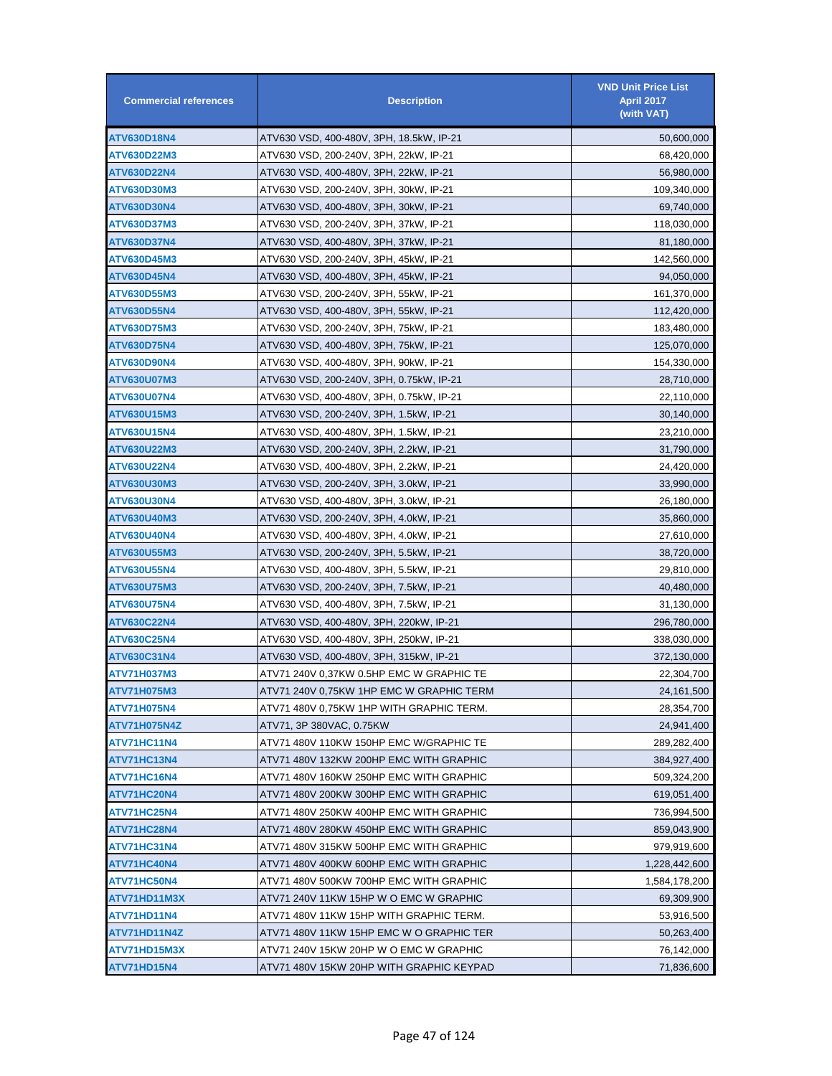| <b>Commercial references</b> | <b>Description</b>                       | <b>VND Unit Price List</b><br><b>April 2017</b><br>(with VAT) |
|------------------------------|------------------------------------------|---------------------------------------------------------------|
| <b>ATV630D18N4</b>           | ATV630 VSD, 400-480V, 3PH, 18.5kW, IP-21 | 50,600,000                                                    |
| ATV630D22M3                  | ATV630 VSD, 200-240V, 3PH, 22kW, IP-21   | 68,420,000                                                    |
| ATV630D22N4                  | ATV630 VSD, 400-480V, 3PH, 22kW, IP-21   | 56,980,000                                                    |
| ATV630D30M3                  | ATV630 VSD, 200-240V, 3PH, 30kW, IP-21   | 109,340,000                                                   |
| <b>ATV630D30N4</b>           | ATV630 VSD, 400-480V, 3PH, 30kW, IP-21   | 69,740,000                                                    |
| ATV630D37M3                  | ATV630 VSD, 200-240V, 3PH, 37kW, IP-21   | 118,030,000                                                   |
| ATV630D37N4                  | ATV630 VSD, 400-480V, 3PH, 37kW, IP-21   | 81,180,000                                                    |
| ATV630D45M3                  | ATV630 VSD, 200-240V, 3PH, 45kW, IP-21   | 142,560,000                                                   |
| <b>ATV630D45N4</b>           | ATV630 VSD, 400-480V, 3PH, 45kW, IP-21   | 94,050,000                                                    |
| ATV630D55M3                  | ATV630 VSD, 200-240V, 3PH, 55kW, IP-21   | 161,370,000                                                   |
| ATV630D55N4                  | ATV630 VSD, 400-480V, 3PH, 55kW, IP-21   | 112,420,000                                                   |
| ATV630D75M3                  | ATV630 VSD, 200-240V, 3PH, 75kW, IP-21   | 183,480,000                                                   |
| ATV630D75N4                  | ATV630 VSD, 400-480V, 3PH, 75kW, IP-21   | 125,070,000                                                   |
| ATV630D90N4                  | ATV630 VSD, 400-480V, 3PH, 90kW, IP-21   | 154,330,000                                                   |
| ATV630U07M3                  | ATV630 VSD, 200-240V, 3PH, 0.75kW, IP-21 | 28,710,000                                                    |
| ATV630U07N4                  | ATV630 VSD, 400-480V, 3PH, 0.75kW, IP-21 | 22,110,000                                                    |
| ATV630U15M3                  | ATV630 VSD, 200-240V, 3PH, 1.5kW, IP-21  | 30,140,000                                                    |
| ATV630U15N4                  | ATV630 VSD, 400-480V, 3PH, 1.5kW, IP-21  | 23,210,000                                                    |
| ATV630U22M3                  | ATV630 VSD, 200-240V, 3PH, 2.2kW, IP-21  | 31,790,000                                                    |
| ATV630U22N4                  | ATV630 VSD, 400-480V, 3PH, 2.2kW, IP-21  | 24,420,000                                                    |
| ATV630U30M3                  | ATV630 VSD, 200-240V, 3PH, 3.0kW, IP-21  | 33,990,000                                                    |
| ATV630U30N4                  | ATV630 VSD, 400-480V, 3PH, 3.0kW, IP-21  | 26,180,000                                                    |
| ATV630U40M3                  | ATV630 VSD, 200-240V, 3PH, 4.0kW, IP-21  | 35,860,000                                                    |
| ATV630U40N4                  | ATV630 VSD, 400-480V, 3PH, 4.0kW, IP-21  | 27,610,000                                                    |
| ATV630U55M3                  | ATV630 VSD, 200-240V, 3PH, 5.5kW, IP-21  | 38,720,000                                                    |
| ATV630U55N4                  | ATV630 VSD, 400-480V, 3PH, 5.5kW, IP-21  | 29,810,000                                                    |
| ATV630U75M3                  | ATV630 VSD, 200-240V, 3PH, 7.5kW, IP-21  | 40,480,000                                                    |
| ATV630U75N4                  | ATV630 VSD, 400-480V, 3PH, 7.5kW, IP-21  | 31,130,000                                                    |
| <b>ATV630C22N4</b>           | ATV630 VSD, 400-480V, 3PH, 220kW, IP-21  | 296,780,000                                                   |
| ATV630C25N4                  | ATV630 VSD, 400-480V, 3PH, 250kW, IP-21  | 338,030,000                                                   |
| ATV630C31N4                  | ATV630 VSD, 400-480V, 3PH, 315kW, IP-21  | 372,130,000                                                   |
| ATV71H037M3                  | ATV71 240V 0,37KW 0.5HP EMC W GRAPHIC TE | 22,304,700                                                    |
| <b>ATV71H075M3</b>           | ATV71 240V 0.75KW 1HP EMC W GRAPHIC TERM | 24, 161, 500                                                  |
| ATV71H075N4                  | ATV71 480V 0,75KW 1HP WITH GRAPHIC TERM. | 28,354,700                                                    |
| ATV71H075N4Z                 | ATV71, 3P 380VAC, 0.75KW                 | 24,941,400                                                    |
| ATV71HC11N4                  | ATV71 480V 110KW 150HP EMC W/GRAPHIC TE  | 289,282,400                                                   |
| ATV71HC13N4                  | ATV71 480V 132KW 200HP EMC WITH GRAPHIC  | 384,927,400                                                   |
| ATV71HC16N4                  | ATV71 480V 160KW 250HP EMC WITH GRAPHIC  | 509,324,200                                                   |
| ATV71HC20N4                  | ATV71 480V 200KW 300HP EMC WITH GRAPHIC  | 619,051,400                                                   |
| ATV71HC25N4                  | ATV71 480V 250KW 400HP EMC WITH GRAPHIC  | 736,994,500                                                   |
| ATV71HC28N4                  | ATV71 480V 280KW 450HP EMC WITH GRAPHIC  | 859,043,900                                                   |
| ATV71HC31N4                  | ATV71 480V 315KW 500HP EMC WITH GRAPHIC  | 979,919,600                                                   |
| ATV71HC40N4                  | ATV71 480V 400KW 600HP EMC WITH GRAPHIC  | 1,228,442,600                                                 |
| ATV71HC50N4                  | ATV71 480V 500KW 700HP EMC WITH GRAPHIC  | 1,584,178,200                                                 |
| ATV71HD11M3X                 | ATV71 240V 11KW 15HP W O EMC W GRAPHIC   | 69,309,900                                                    |
| ATV71HD11N4                  | ATV71 480V 11KW 15HP WITH GRAPHIC TERM.  | 53,916,500                                                    |
| ATV71HD11N4Z                 | ATV71 480V 11KW 15HP EMC W O GRAPHIC TER | 50,263,400                                                    |
| ATV71HD15M3X                 | ATV71 240V 15KW 20HP W O EMC W GRAPHIC   | 76,142,000                                                    |
| ATV71HD15N4                  | ATV71 480V 15KW 20HP WITH GRAPHIC KEYPAD | 71,836,600                                                    |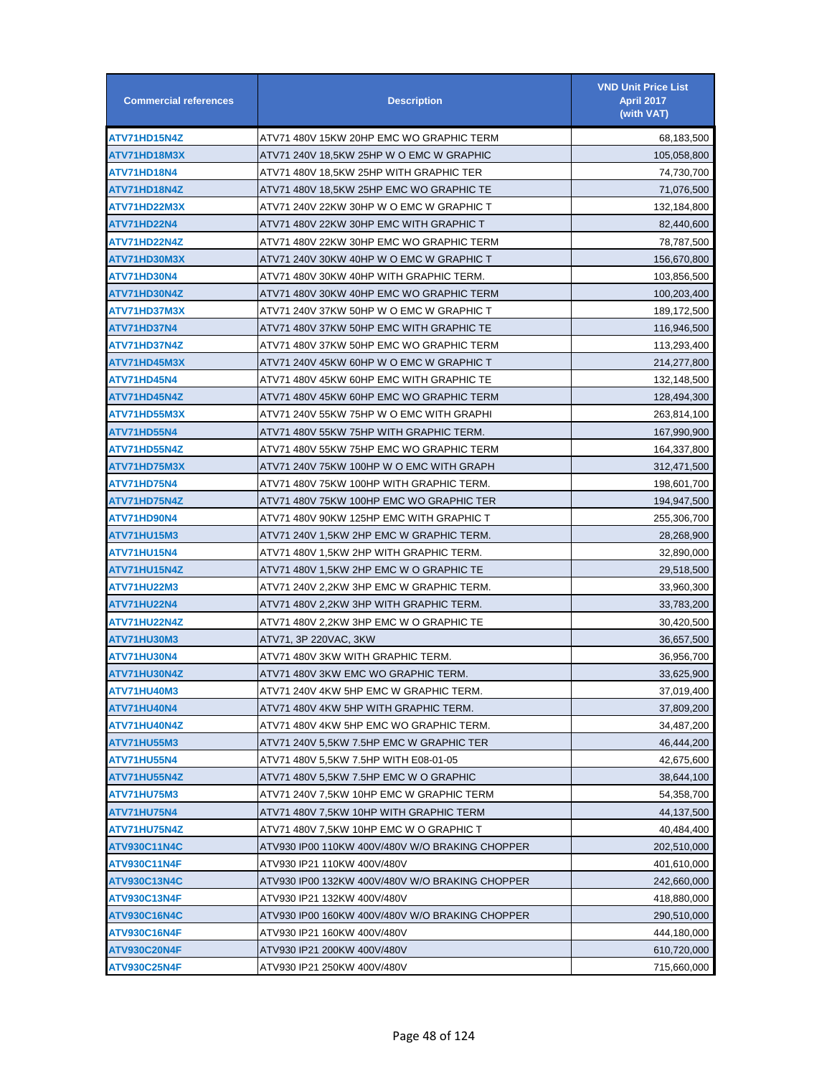| <b>Commercial references</b> | <b>Description</b>                              | <b>VND Unit Price List</b><br><b>April 2017</b><br>(with VAT) |
|------------------------------|-------------------------------------------------|---------------------------------------------------------------|
| ATV71HD15N4Z                 | ATV71 480V 15KW 20HP EMC WO GRAPHIC TERM        | 68,183,500                                                    |
| ATV71HD18M3X                 | ATV71 240V 18,5KW 25HP W O EMC W GRAPHIC        | 105,058,800                                                   |
| ATV71HD18N4                  | ATV71 480V 18,5KW 25HP WITH GRAPHIC TER         | 74,730,700                                                    |
| ATV71HD18N4Z                 | ATV71 480V 18,5KW 25HP EMC WO GRAPHIC TE        | 71,076,500                                                    |
| ATV71HD22M3X                 | ATV71 240V 22KW 30HP W O EMC W GRAPHIC T        | 132,184,800                                                   |
| ATV71HD22N4                  | ATV71 480V 22KW 30HP EMC WITH GRAPHIC T         | 82,440,600                                                    |
| ATV71HD22N4Z                 | ATV71 480V 22KW 30HP EMC WO GRAPHIC TERM        | 78,787,500                                                    |
| ATV71HD30M3X                 | ATV71 240V 30KW 40HP W O EMC W GRAPHIC T        | 156,670,800                                                   |
| ATV71HD30N4                  | ATV71 480V 30KW 40HP WITH GRAPHIC TERM.         | 103,856,500                                                   |
| ATV71HD30N4Z                 | ATV71 480V 30KW 40HP EMC WO GRAPHIC TERM        | 100,203,400                                                   |
| ATV71HD37M3X                 | ATV71 240V 37KW 50HP W O EMC W GRAPHIC T        | 189,172,500                                                   |
| ATV71HD37N4                  | ATV71 480V 37KW 50HP EMC WITH GRAPHIC TE        | 116,946,500                                                   |
| ATV71HD37N4Z                 | ATV71 480V 37KW 50HP EMC WO GRAPHIC TERM        | 113,293,400                                                   |
| ATV71HD45M3X                 | ATV71 240V 45KW 60HP W O EMC W GRAPHIC T        | 214,277,800                                                   |
| ATV71HD45N4                  | ATV71 480V 45KW 60HP EMC WITH GRAPHIC TE        | 132,148,500                                                   |
| ATV71HD45N4Z                 | ATV71 480V 45KW 60HP EMC WO GRAPHIC TERM        | 128,494,300                                                   |
| ATV71HD55M3X                 | ATV71 240V 55KW 75HP W O EMC WITH GRAPHI        | 263,814,100                                                   |
| ATV71HD55N4                  | ATV71 480V 55KW 75HP WITH GRAPHIC TERM.         | 167,990,900                                                   |
| ATV71HD55N4Z                 | ATV71 480V 55KW 75HP EMC WO GRAPHIC TERM        | 164,337,800                                                   |
| ATV71HD75M3X                 | ATV71 240V 75KW 100HP W O EMC WITH GRAPH        | 312,471,500                                                   |
| ATV71HD75N4                  | ATV71 480V 75KW 100HP WITH GRAPHIC TERM.        | 198,601,700                                                   |
| ATV71HD75N4Z                 | ATV71 480V 75KW 100HP EMC WO GRAPHIC TER        | 194,947,500                                                   |
| ATV71HD90N4                  | ATV71 480V 90KW 125HP EMC WITH GRAPHIC T        | 255,306,700                                                   |
| <b>ATV71HU15M3</b>           | ATV71 240V 1,5KW 2HP EMC W GRAPHIC TERM.        | 28,268,900                                                    |
| ATV71HU15N4                  | ATV71 480V 1,5KW 2HP WITH GRAPHIC TERM.         | 32,890,000                                                    |
| ATV71HU15N4Z                 | ATV71 480V 1,5KW 2HP EMC W O GRAPHIC TE         | 29,518,500                                                    |
| ATV71HU22M3                  | ATV71 240V 2,2KW 3HP EMC W GRAPHIC TERM.        | 33,960,300                                                    |
| ATV71HU22N4                  | ATV71 480V 2.2KW 3HP WITH GRAPHIC TERM.         | 33,783,200                                                    |
| ATV71HU22N4Z                 | ATV71 480V 2,2KW 3HP EMC W O GRAPHIC TE         | 30,420,500                                                    |
| ATV71HU30M3                  | ATV71, 3P 220VAC, 3KW                           | 36,657,500                                                    |
| ATV71HU30N4                  | ATV71 480V 3KW WITH GRAPHIC TERM.               | 36,956,700                                                    |
| ATV71HU30N4Z                 | ATV71 480V 3KW EMC WO GRAPHIC TERM.             | 33,625,900                                                    |
| ATV71HU40M3                  | ATV71 240V 4KW 5HP EMC W GRAPHIC TERM.          | 37,019,400                                                    |
| ATV71HU40N4                  | ATV71 480V 4KW 5HP WITH GRAPHIC TERM.           | 37,809,200                                                    |
| ATV71HU40N4Z                 | ATV71 480V 4KW 5HP EMC WO GRAPHIC TERM.         | 34,487,200                                                    |
| ATV71HU55M3                  | ATV71 240V 5,5KW 7.5HP EMC W GRAPHIC TER        | 46,444,200                                                    |
| <b>ATV71HU55N4</b>           | ATV71 480V 5,5KW 7.5HP WITH E08-01-05           | 42,675,600                                                    |
| ATV71HU55N4Z                 | ATV71 480V 5,5KW 7.5HP EMC W O GRAPHIC          | 38,644,100                                                    |
| ATV71HU75M3                  | ATV71 240V 7,5KW 10HP EMC W GRAPHIC TERM        | 54,358,700                                                    |
| ATV71HU75N4                  | ATV71 480V 7,5KW 10HP WITH GRAPHIC TERM         | 44,137,500                                                    |
| ATV71HU75N4Z                 | ATV71 480V 7,5KW 10HP EMC W O GRAPHIC T         | 40,484,400                                                    |
| <b>ATV930C11N4C</b>          | ATV930 IP00 110KW 400V/480V W/O BRAKING CHOPPER | 202,510,000                                                   |
| ATV930C11N4F                 | ATV930 IP21 110KW 400V/480V                     | 401,610,000                                                   |
| <b>ATV930C13N4C</b>          | ATV930 IP00 132KW 400V/480V W/O BRAKING CHOPPER | 242,660,000                                                   |
| <b>ATV930C13N4F</b>          | ATV930 IP21 132KW 400V/480V                     | 418,880,000                                                   |
| <b>ATV930C16N4C</b>          | ATV930 IP00 160KW 400V/480V W/O BRAKING CHOPPER | 290,510,000                                                   |
| <b>ATV930C16N4F</b>          | ATV930 IP21 160KW 400V/480V                     | 444,180,000                                                   |
| ATV930C20N4F                 | ATV930 IP21 200KW 400V/480V                     | 610,720,000                                                   |
| <b>ATV930C25N4F</b>          | ATV930 IP21 250KW 400V/480V                     | 715,660,000                                                   |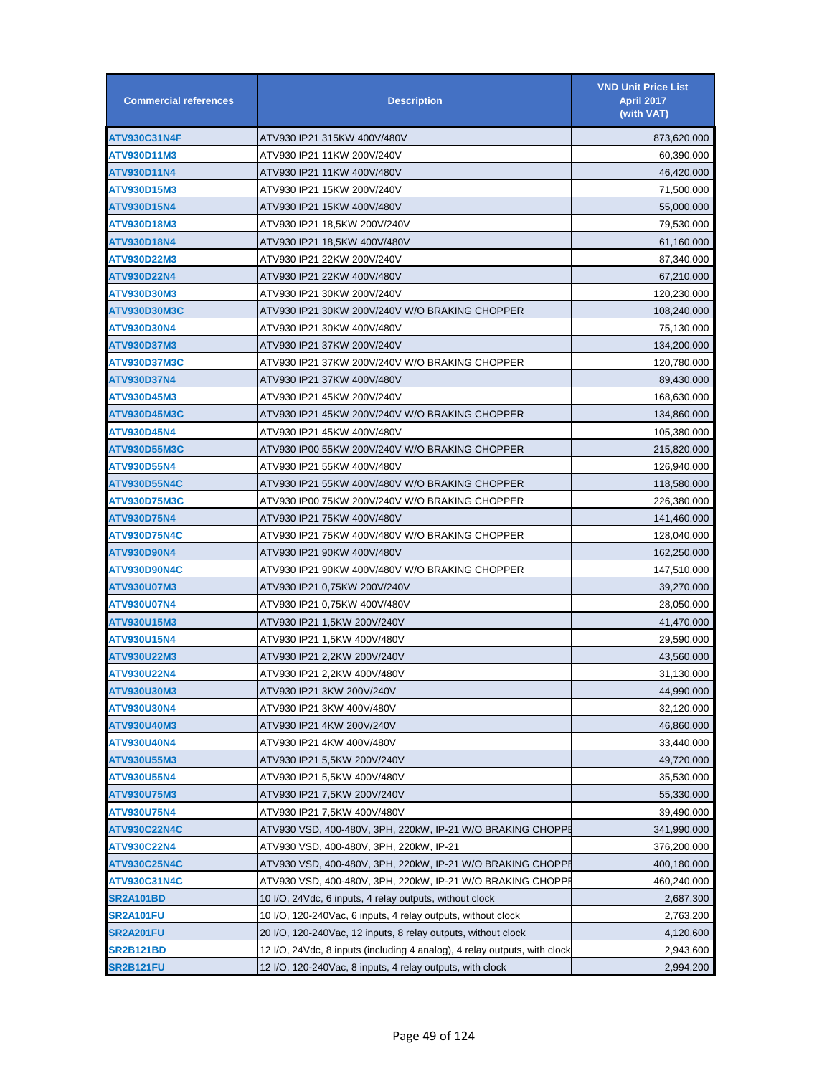| <b>Commercial references</b> | <b>Description</b>                                                        | <b>VND Unit Price List</b><br><b>April 2017</b><br>(with VAT) |
|------------------------------|---------------------------------------------------------------------------|---------------------------------------------------------------|
| <b>ATV930C31N4F</b>          | ATV930 IP21 315KW 400V/480V                                               | 873,620,000                                                   |
| ATV930D11M3                  | ATV930 IP21 11KW 200V/240V                                                | 60,390,000                                                    |
| ATV930D11N4                  | ATV930 IP21 11KW 400V/480V                                                | 46,420,000                                                    |
| ATV930D15M3                  | ATV930 IP21 15KW 200V/240V                                                | 71,500,000                                                    |
| ATV930D15N4                  | ATV930 IP21 15KW 400V/480V                                                | 55,000,000                                                    |
| ATV930D18M3                  | ATV930 IP21 18,5KW 200V/240V                                              | 79,530,000                                                    |
| <b>ATV930D18N4</b>           | ATV930 IP21 18,5KW 400V/480V                                              | 61,160,000                                                    |
| ATV930D22M3                  | ATV930 IP21 22KW 200V/240V                                                | 87,340,000                                                    |
| <b>ATV930D22N4</b>           | ATV930 IP21 22KW 400V/480V                                                | 67,210,000                                                    |
| ATV930D30M3                  | ATV930 IP21 30KW 200V/240V                                                | 120,230,000                                                   |
| <b>ATV930D30M3C</b>          | ATV930 IP21 30KW 200V/240V W/O BRAKING CHOPPER                            | 108,240,000                                                   |
| ATV930D30N4                  | ATV930 IP21 30KW 400V/480V                                                | 75,130,000                                                    |
| ATV930D37M3                  | ATV930 IP21 37KW 200V/240V                                                | 134,200,000                                                   |
| <b>ATV930D37M3C</b>          | ATV930 IP21 37KW 200V/240V W/O BRAKING CHOPPER                            | 120,780,000                                                   |
| <b>ATV930D37N4</b>           | ATV930 IP21 37KW 400V/480V                                                | 89,430,000                                                    |
| ATV930D45M3                  | ATV930 IP21 45KW 200V/240V                                                | 168,630,000                                                   |
| ATV930D45M3C                 | ATV930 IP21 45KW 200V/240V W/O BRAKING CHOPPER                            | 134,860,000                                                   |
| ATV930D45N4                  | ATV930 IP21 45KW 400V/480V                                                | 105,380,000                                                   |
| ATV930D55M3C                 | ATV930 IP00 55KW 200V/240V W/O BRAKING CHOPPER                            | 215,820,000                                                   |
| ATV930D55N4                  | ATV930 IP21 55KW 400V/480V                                                | 126,940,000                                                   |
| <b>ATV930D55N4C</b>          | ATV930 IP21 55KW 400V/480V W/O BRAKING CHOPPER                            | 118,580,000                                                   |
| <b>ATV930D75M3C</b>          | ATV930 IP00 75KW 200V/240V W/O BRAKING CHOPPER                            | 226,380,000                                                   |
| ATV930D75N4                  | ATV930 IP21 75KW 400V/480V                                                | 141,460,000                                                   |
| <b>ATV930D75N4C</b>          | ATV930 IP21 75KW 400V/480V W/O BRAKING CHOPPER                            | 128,040,000                                                   |
| ATV930D90N4                  | ATV930 IP21 90KW 400V/480V                                                | 162,250,000                                                   |
| <b>ATV930D90N4C</b>          | ATV930 IP21 90KW 400V/480V W/O BRAKING CHOPPER                            | 147,510,000                                                   |
| ATV930U07M3                  | ATV930 IP21 0,75KW 200V/240V                                              | 39,270,000                                                    |
| ATV930U07N4                  | ATV930 IP21 0,75KW 400V/480V                                              | 28,050,000                                                    |
| ATV930U15M3                  | ATV930 IP21 1,5KW 200V/240V                                               | 41,470,000                                                    |
| ATV930U15N4                  | ATV930 IP21 1,5KW 400V/480V                                               | 29,590,000                                                    |
| ATV930U22M3                  | ATV930 IP21 2,2KW 200V/240V                                               | 43,560,000                                                    |
| ATV930U22N4                  | ATV930 IP21 2.2KW 400V/480V                                               | 31,130,000                                                    |
| ATV930U30M3                  | ATV930 IP21 3KW 200V/240V                                                 | 44,990,000                                                    |
| ATV930U30N4                  | ATV930 IP21 3KW 400V/480V                                                 | 32,120,000                                                    |
| ATV930U40M3                  | ATV930 IP21 4KW 200V/240V                                                 | 46,860,000                                                    |
| ATV930U40N4                  | ATV930 IP21 4KW 400V/480V                                                 | 33,440,000                                                    |
| ATV930U55M3                  | ATV930 IP21 5,5KW 200V/240V                                               | 49,720,000                                                    |
| ATV930U55N4                  | ATV930 IP21 5,5KW 400V/480V                                               | 35,530,000                                                    |
| ATV930U75M3                  | ATV930 IP21 7,5KW 200V/240V                                               | 55,330,000                                                    |
| ATV930U75N4                  | ATV930 IP21 7,5KW 400V/480V                                               | 39,490,000                                                    |
| <b>ATV930C22N4C</b>          | ATV930 VSD, 400-480V, 3PH, 220kW, IP-21 W/O BRAKING CHOPPI                | 341,990,000                                                   |
| ATV930C22N4                  | ATV930 VSD, 400-480V, 3PH, 220kW, IP-21                                   | 376,200,000                                                   |
| <b>ATV930C25N4C</b>          | ATV930 VSD, 400-480V, 3PH, 220kW, IP-21 W/O BRAKING CHOPPI                | 400,180,000                                                   |
| <b>ATV930C31N4C</b>          | ATV930 VSD, 400-480V, 3PH, 220kW, IP-21 W/O BRAKING CHOPPI                | 460,240,000                                                   |
| <b>SR2A101BD</b>             | 10 I/O, 24Vdc, 6 inputs, 4 relay outputs, without clock                   | 2,687,300                                                     |
| SR2A101FU                    | 10 I/O, 120-240Vac, 6 inputs, 4 relay outputs, without clock              | 2,763,200                                                     |
| SR2A201FU                    | 20 I/O, 120-240Vac, 12 inputs, 8 relay outputs, without clock             | 4,120,600                                                     |
| <b>SR2B121BD</b>             | 12 I/O, 24Vdc, 8 inputs (including 4 analog), 4 relay outputs, with clock | 2,943,600                                                     |
| <b>SR2B121FU</b>             | 12 I/O, 120-240Vac, 8 inputs, 4 relay outputs, with clock                 | 2,994,200                                                     |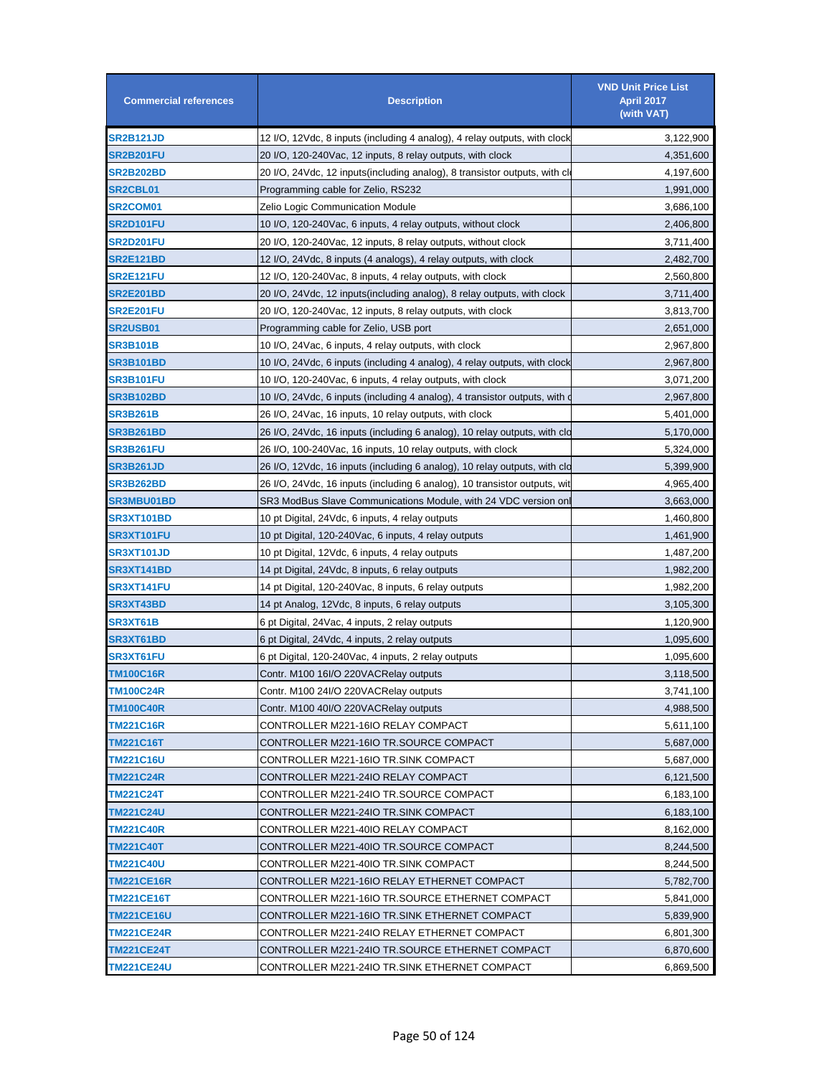| <b>Commercial references</b> | <b>Description</b>                                                          | <b>VND Unit Price List</b><br>April 2017<br>(with VAT) |
|------------------------------|-----------------------------------------------------------------------------|--------------------------------------------------------|
| <b>SR2B121JD</b>             | 12 I/O, 12Vdc, 8 inputs (including 4 analog), 4 relay outputs, with clock   | 3,122,900                                              |
| <b>SR2B201FU</b>             | 20 I/O, 120-240Vac, 12 inputs, 8 relay outputs, with clock                  | 4,351,600                                              |
| <b>SR2B202BD</b>             | 20 I/O, 24Vdc, 12 inputs(including analog), 8 transistor outputs, with cl   | 4,197,600                                              |
| <b>SR2CBL01</b>              | Programming cable for Zelio, RS232                                          | 1,991,000                                              |
| SR2COM01                     | Zelio Logic Communication Module                                            | 3,686,100                                              |
| <b>SR2D101FU</b>             | 10 I/O, 120-240 Vac, 6 inputs, 4 relay outputs, without clock               | 2,406,800                                              |
| <b>SR2D201FU</b>             | 20 I/O, 120-240Vac, 12 inputs, 8 relay outputs, without clock               | 3,711,400                                              |
| SR2E121BD                    | 12 I/O, 24Vdc, 8 inputs (4 analogs), 4 relay outputs, with clock            | 2,482,700                                              |
| SR2E121FU                    | 12 I/O, 120-240Vac, 8 inputs, 4 relay outputs, with clock                   | 2,560,800                                              |
| SR2E201BD                    | 20 I/O, 24Vdc, 12 inputs (including analog), 8 relay outputs, with clock    | 3,711,400                                              |
| <b>SR2E201FU</b>             | 20 I/O, 120-240Vac, 12 inputs, 8 relay outputs, with clock                  | 3,813,700                                              |
| <b>SR2USB01</b>              | Programming cable for Zelio, USB port                                       | 2,651,000                                              |
| SR3B101B                     | 10 I/O, 24Vac, 6 inputs, 4 relay outputs, with clock                        | 2,967,800                                              |
| SR3B101BD                    | 10 I/O, 24Vdc, 6 inputs (including 4 analog), 4 relay outputs, with clock   | 2,967,800                                              |
| SR3B101FU                    | 10 I/O, 120-240Vac, 6 inputs, 4 relay outputs, with clock                   | 3,071,200                                              |
| SR3B102BD                    | 10 I/O, 24Vdc, 6 inputs (including 4 analog), 4 transistor outputs, with of | 2,967,800                                              |
| SR3B261B                     | 26 I/O, 24Vac, 16 inputs, 10 relay outputs, with clock                      | 5,401,000                                              |
| SR3B261BD                    | 26 I/O, 24Vdc, 16 inputs (including 6 analog), 10 relay outputs, with clo   | 5,170,000                                              |
| SR3B261FU                    | 26 I/O, 100-240Vac, 16 inputs, 10 relay outputs, with clock                 | 5,324,000                                              |
| <b>SR3B261JD</b>             | 26 I/O, 12Vdc, 16 inputs (including 6 analog), 10 relay outputs, with clo   | 5,399,900                                              |
| SR3B262BD                    | 26 I/O, 24Vdc, 16 inputs (including 6 analog), 10 transistor outputs, wit   | 4,965,400                                              |
| <b>SR3MBU01BD</b>            | SR3 ModBus Slave Communications Module, with 24 VDC version on              | 3,663,000                                              |
| SR3XT101BD                   | 10 pt Digital, 24Vdc, 6 inputs, 4 relay outputs                             | 1,460,800                                              |
| <b>SR3XT101FU</b>            | 10 pt Digital, 120-240Vac, 6 inputs, 4 relay outputs                        | 1,461,900                                              |
| <b>SR3XT101JD</b>            | 10 pt Digital, 12Vdc, 6 inputs, 4 relay outputs                             | 1,487,200                                              |
| SR3XT141BD                   | 14 pt Digital, 24Vdc, 8 inputs, 6 relay outputs                             | 1,982,200                                              |
| SR3XT141FU                   | 14 pt Digital, 120-240Vac, 8 inputs, 6 relay outputs                        | 1,982,200                                              |
| SR3XT43BD                    | 14 pt Analog, 12Vdc, 8 inputs, 6 relay outputs                              | 3,105,300                                              |
| SR3XT61B                     | 6 pt Digital, 24Vac, 4 inputs, 2 relay outputs                              | 1,120,900                                              |
| SR3XT61BD                    | 6 pt Digital, 24Vdc, 4 inputs, 2 relay outputs                              | 1,095,600                                              |
| <b>SR3XT61FU</b>             | 6 pt Digital, 120-240Vac, 4 inputs, 2 relay outputs                         | 1,095,600                                              |
| <b>TM100C16R</b>             | Contr. M100 16I/O 220VACRelay outputs                                       | 3,118,500                                              |
| <b>TM100C24R</b>             | Contr. M100 24I/O 220VACRelay outputs                                       | 3,741,100                                              |
| <b>TM100C40R</b>             | Contr. M100 40I/O 220VACRelay outputs                                       | 4,988,500                                              |
| TM221C16R                    | CONTROLLER M221-16IO RELAY COMPACT                                          | 5,611,100                                              |
| <b>TM221C16T</b>             | CONTROLLER M221-16IO TR.SOURCE COMPACT                                      | 5,687,000                                              |
| <b>TM221C16U</b>             | CONTROLLER M221-16IO TR.SINK COMPACT                                        | 5,687,000                                              |
| TM221C24R                    | CONTROLLER M221-24IO RELAY COMPACT                                          | 6,121,500                                              |
| TM221C24T                    | CONTROLLER M221-24IO TR.SOURCE COMPACT                                      | 6,183,100                                              |
| <b>TM221C24U</b>             | CONTROLLER M221-24IO TR.SINK COMPACT                                        | 6,183,100                                              |
| <b>TM221C40R</b>             | CONTROLLER M221-40IO RELAY COMPACT                                          | 8,162,000                                              |
| <b>TM221C40T</b>             | CONTROLLER M221-40IO TR.SOURCE COMPACT                                      | 8,244,500                                              |
| <b>TM221C40U</b>             | CONTROLLER M221-40IO TR.SINK COMPACT                                        | 8,244,500                                              |
| <b>TM221CE16R</b>            | CONTROLLER M221-16IO RELAY ETHERNET COMPACT                                 | 5,782,700                                              |
| <b>TM221CE16T</b>            | CONTROLLER M221-16IO TR.SOURCE ETHERNET COMPACT                             | 5,841,000                                              |
| <b>TM221CE16U</b>            | CONTROLLER M221-16IO TR.SINK ETHERNET COMPACT                               | 5,839,900                                              |
| <b>TM221CE24R</b>            | CONTROLLER M221-24IO RELAY ETHERNET COMPACT                                 | 6,801,300                                              |
| <b>TM221CE24T</b>            | CONTROLLER M221-24IO TR.SOURCE ETHERNET COMPACT                             | 6,870,600                                              |
| <b>TM221CE24U</b>            | CONTROLLER M221-24IO TR.SINK ETHERNET COMPACT                               | 6,869,500                                              |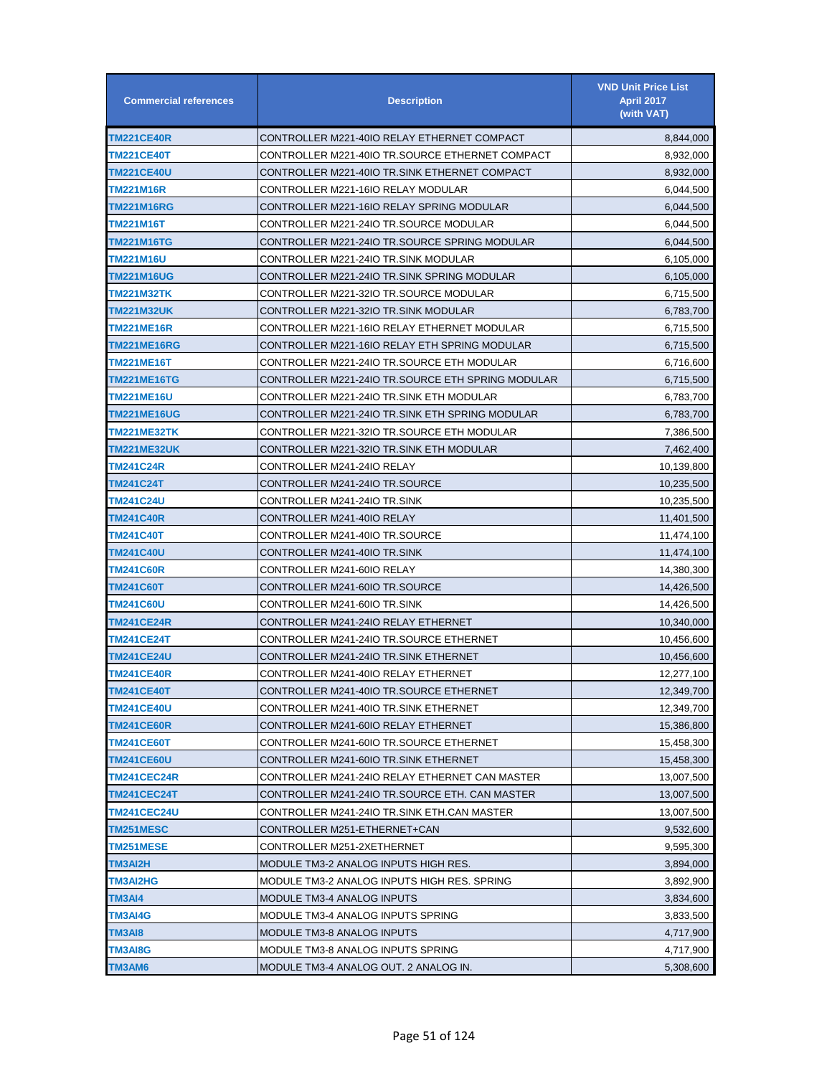| <b>Commercial references</b> | <b>Description</b>                                | <b>VND Unit Price List</b><br><b>April 2017</b><br>(with VAT) |
|------------------------------|---------------------------------------------------|---------------------------------------------------------------|
| <b>TM221CE40R</b>            | CONTROLLER M221-40IO RELAY ETHERNET COMPACT       | 8,844,000                                                     |
| <b>TM221CE40T</b>            | CONTROLLER M221-40IO TR.SOURCE ETHERNET COMPACT   | 8,932,000                                                     |
| <b>TM221CE40U</b>            | CONTROLLER M221-40IO TR.SINK ETHERNET COMPACT     | 8,932,000                                                     |
| TM221M16R                    | CONTROLLER M221-16IO RELAY MODULAR                | 6,044,500                                                     |
| TM221M16RG                   | CONTROLLER M221-16IO RELAY SPRING MODULAR         | 6,044,500                                                     |
| TM221M16T                    | CONTROLLER M221-24IO TR.SOURCE MODULAR            | 6,044,500                                                     |
| <b>TM221M16TG</b>            | CONTROLLER M221-24IO TR.SOURCE SPRING MODULAR     | 6,044,500                                                     |
| TM221M16U                    | CONTROLLER M221-24IO TR.SINK MODULAR              | 6,105,000                                                     |
| <b>TM221M16UG</b>            | CONTROLLER M221-24IO TR.SINK SPRING MODULAR       | 6,105,000                                                     |
| <b>TM221M32TK</b>            | CONTROLLER M221-32IO TR.SOURCE MODULAR            | 6,715,500                                                     |
| TM221M32UK                   | CONTROLLER M221-32IO TR.SINK MODULAR              | 6,783,700                                                     |
| <b>TM221ME16R</b>            | CONTROLLER M221-16IO RELAY ETHERNET MODULAR       | 6,715,500                                                     |
| <b>TM221ME16RG</b>           | CONTROLLER M221-16IO RELAY ETH SPRING MODULAR     | 6,715,500                                                     |
| TM221ME16T                   | CONTROLLER M221-24IO TR.SOURCE ETH MODULAR        | 6,716,600                                                     |
| <b>TM221ME16TG</b>           | CONTROLLER M221-24IO TR.SOURCE ETH SPRING MODULAR | 6,715,500                                                     |
| <b>TM221ME16U</b>            | CONTROLLER M221-24IO TR.SINK ETH MODULAR          | 6,783,700                                                     |
| <b>TM221ME16UG</b>           | CONTROLLER M221-24IO TR.SINK ETH SPRING MODULAR   | 6,783,700                                                     |
| TM221ME32TK                  | CONTROLLER M221-32IO TR.SOURCE ETH MODULAR        | 7,386,500                                                     |
| <b>TM221ME32UK</b>           | CONTROLLER M221-32IO TR.SINK ETH MODULAR          | 7,462,400                                                     |
| TM241C24R                    | CONTROLLER M241-24IO RELAY                        | 10,139,800                                                    |
| TM241C24T                    | CONTROLLER M241-24IO TR.SOURCE                    | 10,235,500                                                    |
| <b>TM241C24U</b>             | CONTROLLER M241-24IO TR.SINK                      | 10,235,500                                                    |
| <b>TM241C40R</b>             | CONTROLLER M241-40IO RELAY                        | 11,401,500                                                    |
| <b>TM241C40T</b>             | CONTROLLER M241-40IO TR.SOURCE                    | 11,474,100                                                    |
| <b>TM241C40U</b>             | CONTROLLER M241-40IO TR.SINK                      | 11,474,100                                                    |
| <b>TM241C60R</b>             | CONTROLLER M241-60IO RELAY                        | 14,380,300                                                    |
| <b>TM241C60T</b>             | CONTROLLER M241-60IO TR.SOURCE                    | 14,426,500                                                    |
| <b>TM241C60U</b>             | CONTROLLER M241-60IO TR.SINK                      | 14,426,500                                                    |
| <b>TM241CE24R</b>            | CONTROLLER M241-24IO RELAY ETHERNET               | 10,340,000                                                    |
| <b>TM241CE24T</b>            | CONTROLLER M241-24IO TR.SOURCE ETHERNET           | 10,456,600                                                    |
| <b>TM241CE24U</b>            | CONTROLLER M241-24IO TR.SINK ETHERNET             | 10,456,600                                                    |
| <b>TM241CE40R</b>            | CONTROLLER M241-40IO RELAY ETHERNET               | 12,277,100                                                    |
| <b>TM241CE40T</b>            | CONTROLLER M241-40IO TR.SOURCE ETHERNET           | 12,349,700                                                    |
| <b>TM241CE40U</b>            | CONTROLLER M241-40IO TR.SINK ETHERNET             | 12,349,700                                                    |
| <b>TM241CE60R</b>            | CONTROLLER M241-60IO RELAY ETHERNET               | 15,386,800                                                    |
| <b>TM241CE60T</b>            | CONTROLLER M241-60IO TR.SOURCE ETHERNET           | 15,458,300                                                    |
| <b>TM241CE60U</b>            | CONTROLLER M241-60IO TR.SINK ETHERNET             | 15,458,300                                                    |
| TM241CEC24R                  | CONTROLLER M241-24IO RELAY ETHERNET CAN MASTER    | 13,007,500                                                    |
| TM241CEC24T                  | CONTROLLER M241-24IO TR.SOURCE ETH. CAN MASTER    | 13,007,500                                                    |
| <b>TM241CEC24U</b>           | CONTROLLER M241-24IO TR.SINK ETH.CAN MASTER       | 13,007,500                                                    |
| TM251MESC                    | CONTROLLER M251-ETHERNET+CAN                      | 9,532,600                                                     |
| <b>TM251MESE</b>             | CONTROLLER M251-2XETHERNET                        | 9,595,300                                                     |
| TM3AI2H                      | MODULE TM3-2 ANALOG INPUTS HIGH RES.              | 3,894,000                                                     |
| TM3AI2HG                     | MODULE TM3-2 ANALOG INPUTS HIGH RES. SPRING       | 3,892,900                                                     |
| TM3AI4                       | MODULE TM3-4 ANALOG INPUTS                        | 3,834,600                                                     |
| TM3AI4G                      | MODULE TM3-4 ANALOG INPUTS SPRING                 | 3,833,500                                                     |
| TM3AI8                       | MODULE TM3-8 ANALOG INPUTS                        | 4,717,900                                                     |
| TM3AI8G                      | MODULE TM3-8 ANALOG INPUTS SPRING                 | 4,717,900                                                     |
| TM3AM6                       | MODULE TM3-4 ANALOG OUT. 2 ANALOG IN.             | 5,308,600                                                     |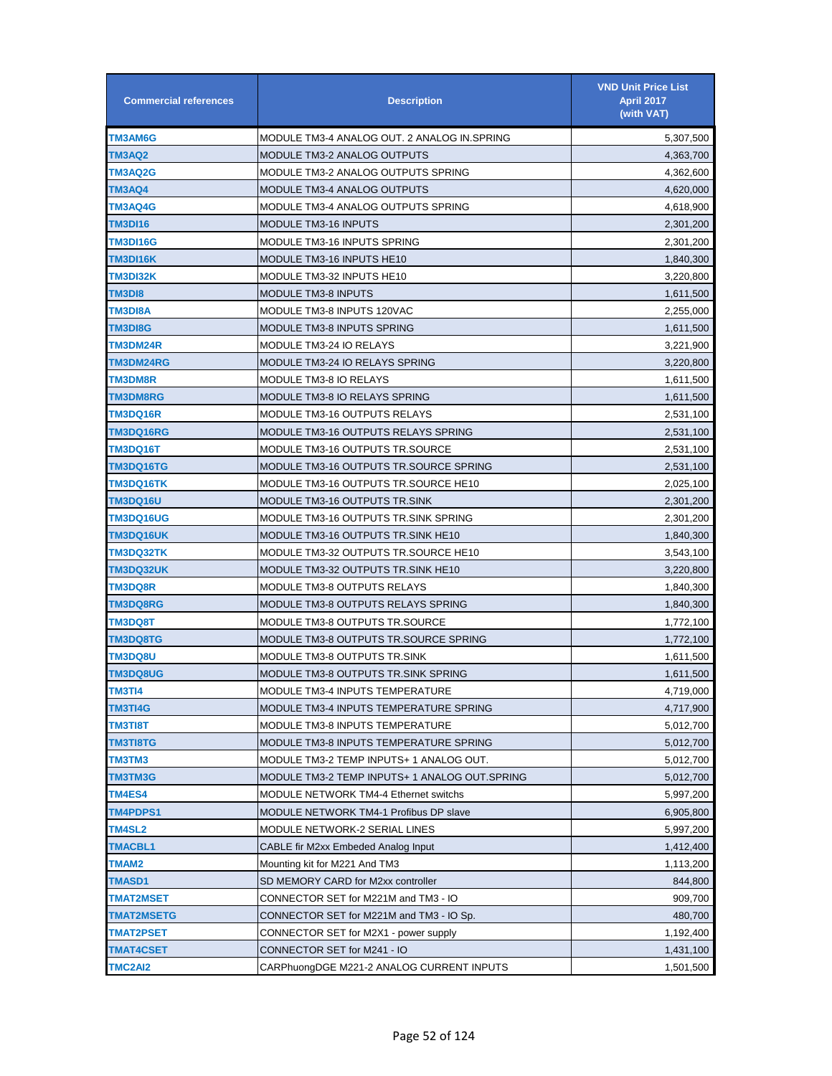| <b>Commercial references</b> | <b>Description</b>                            | <b>VND Unit Price List</b><br><b>April 2017</b><br>(with VAT) |
|------------------------------|-----------------------------------------------|---------------------------------------------------------------|
| TM3AM6G                      | MODULE TM3-4 ANALOG OUT. 2 ANALOG IN SPRING   | 5,307,500                                                     |
| <b>TM3AQ2</b>                | MODULE TM3-2 ANALOG OUTPUTS                   | 4,363,700                                                     |
| TM3AQ2G                      | MODULE TM3-2 ANALOG OUTPUTS SPRING            | 4,362,600                                                     |
| TM3AQ4                       | MODULE TM3-4 ANALOG OUTPUTS                   | 4,620,000                                                     |
| TM3AQ4G                      | MODULE TM3-4 ANALOG OUTPUTS SPRING            | 4,618,900                                                     |
| TM3DI16                      | MODULE TM3-16 INPUTS                          | 2,301,200                                                     |
| <b>TM3DI16G</b>              | MODULE TM3-16 INPUTS SPRING                   | 2,301,200                                                     |
| TM3DI16K                     | MODULE TM3-16 INPUTS HE10                     | 1,840,300                                                     |
| TM3DI32K                     | MODULE TM3-32 INPUTS HE10                     | 3,220,800                                                     |
| TM3DI8                       | <b>MODULE TM3-8 INPUTS</b>                    | 1,611,500                                                     |
| TM3DI8A                      | MODULE TM3-8 INPUTS 120VAC                    | 2,255,000                                                     |
| <b>TM3DI8G</b>               | <b>MODULE TM3-8 INPUTS SPRING</b>             | 1,611,500                                                     |
| TM3DM24R                     | MODULE TM3-24 IO RELAYS                       | 3,221,900                                                     |
| <b>TM3DM24RG</b>             | MODULE TM3-24 IO RELAYS SPRING                | 3,220,800                                                     |
| <b>TM3DM8R</b>               | <b>MODULE TM3-8 IO RELAYS</b>                 | 1,611,500                                                     |
| <b>TM3DM8RG</b>              | MODULE TM3-8 IO RELAYS SPRING                 | 1,611,500                                                     |
| TM3DQ16R                     | <b>MODULE TM3-16 OUTPUTS RELAYS</b>           | 2,531,100                                                     |
| <b>TM3DQ16RG</b>             | MODULE TM3-16 OUTPUTS RELAYS SPRING           | 2,531,100                                                     |
| TM3DQ16T                     | MODULE TM3-16 OUTPUTS TR.SOURCE               | 2,531,100                                                     |
| <b>TM3DQ16TG</b>             | MODULE TM3-16 OUTPUTS TR.SOURCE SPRING        | 2,531,100                                                     |
| <b>TM3DQ16TK</b>             | MODULE TM3-16 OUTPUTS TR.SOURCE HE10          | 2,025,100                                                     |
| <b>TM3DQ16U</b>              | MODULE TM3-16 OUTPUTS TR.SINK                 | 2,301,200                                                     |
| <b>TM3DQ16UG</b>             | MODULE TM3-16 OUTPUTS TR.SINK SPRING          | 2,301,200                                                     |
| <b>TM3DQ16UK</b>             | MODULE TM3-16 OUTPUTS TR.SINK HE10            | 1,840,300                                                     |
| <b>TM3DQ32TK</b>             | MODULE TM3-32 OUTPUTS TR.SOURCE HE10          | 3,543,100                                                     |
| <b>TM3DQ32UK</b>             | MODULE TM3-32 OUTPUTS TR.SINK HE10            | 3,220,800                                                     |
| TM3DQ8R                      | MODULE TM3-8 OUTPUTS RELAYS                   | 1,840,300                                                     |
| TM3DQ8RG                     | MODULE TM3-8 OUTPUTS RELAYS SPRING            | 1,840,300                                                     |
| <b>TM3DQ8T</b>               | MODULE TM3-8 OUTPUTS TR.SOURCE                | 1,772,100                                                     |
| <b>TM3DQ8TG</b>              | MODULE TM3-8 OUTPUTS TR.SOURCE SPRING         | 1,772,100                                                     |
| <b>TM3DQ8U</b>               | MODULE TM3-8 OUTPUTS TR.SINK                  | 1,611,500                                                     |
| <b>TM3DQ8UG</b>              | MODULE TM3-8 OUTPUTS TR.SINK SPRING           | 1,611,500                                                     |
| TM3TI4                       | MODULE TM3-4 INPUTS TEMPERATURE               | 4,719,000                                                     |
| <b>TM3TI4G</b>               | MODULE TM3-4 INPUTS TEMPERATURE SPRING        | 4,717,900                                                     |
| <b>TM3TI8T</b>               | MODULE TM3-8 INPUTS TEMPERATURE               | 5,012,700                                                     |
| TM3TI8TG                     | MODULE TM3-8 INPUTS TEMPERATURE SPRING        | 5,012,700                                                     |
| TM3TM3                       | MODULE TM3-2 TEMP INPUTS+ 1 ANALOG OUT.       | 5,012,700                                                     |
| <b>TM3TM3G</b>               | MODULE TM3-2 TEMP INPUTS+ 1 ANALOG OUT.SPRING | 5,012,700                                                     |
| <b>TM4ES4</b>                | MODULE NETWORK TM4-4 Ethernet switchs         | 5,997,200                                                     |
| <b>TM4PDPS1</b>              | <b>MODULE NETWORK TM4-1 Profibus DP slave</b> | 6,905,800                                                     |
| <b>TM4SL2</b>                | MODULE NETWORK-2 SERIAL LINES                 | 5,997,200                                                     |
| <b>TMACBL1</b>               | CABLE fir M2xx Embeded Analog Input           | 1,412,400                                                     |
| TMAM2                        | Mounting kit for M221 And TM3                 | 1,113,200                                                     |
| <b>TMASD1</b>                | SD MEMORY CARD for M2xx controller            | 844,800                                                       |
| TMAT2MSET                    | CONNECTOR SET for M221M and TM3 - IO          | 909,700                                                       |
| <b>TMAT2MSETG</b>            | CONNECTOR SET for M221M and TM3 - IO Sp.      | 480,700                                                       |
| <b>TMAT2PSET</b>             | CONNECTOR SET for M2X1 - power supply         | 1,192,400                                                     |
| <b>TMAT4CSET</b>             | CONNECTOR SET for M241 - IO                   | 1,431,100                                                     |
| TMC2AI2                      | CARPhuongDGE M221-2 ANALOG CURRENT INPUTS     | 1,501,500                                                     |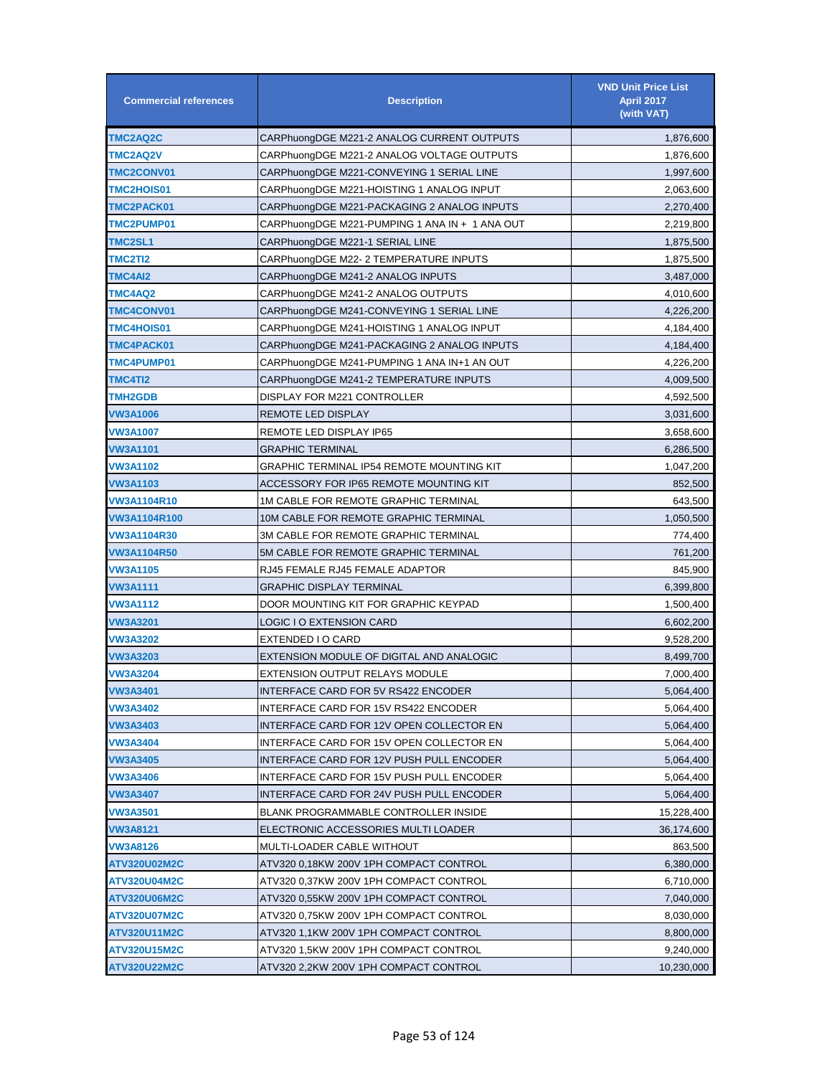| <b>Commercial references</b> | <b>Description</b>                             | <b>VND Unit Price List</b><br><b>April 2017</b><br>(with VAT) |
|------------------------------|------------------------------------------------|---------------------------------------------------------------|
| <b>TMC2AQ2C</b>              | CARPhuongDGE M221-2 ANALOG CURRENT OUTPUTS     | 1,876,600                                                     |
| <b>TMC2AQ2V</b>              | CARPhuongDGE M221-2 ANALOG VOLTAGE OUTPUTS     | 1,876,600                                                     |
| <b>TMC2CONV01</b>            | CARPhuongDGE M221-CONVEYING 1 SERIAL LINE      | 1,997,600                                                     |
| <b>TMC2HOIS01</b>            | CARPhuongDGE M221-HOISTING 1 ANALOG INPUT      | 2,063,600                                                     |
| TMC2PACK01                   | CARPhuongDGE M221-PACKAGING 2 ANALOG INPUTS    | 2,270,400                                                     |
| TMC2PUMP01                   | CARPhuongDGE M221-PUMPING 1 ANA IN + 1 ANA OUT | 2,219,800                                                     |
| TMC2SL1                      | CARPhuongDGE M221-1 SERIAL LINE                | 1,875,500                                                     |
| TMC2TI2                      | CARPhuongDGE M22- 2 TEMPERATURE INPUTS         | 1,875,500                                                     |
| TMC4AI2                      | CARPhuongDGE M241-2 ANALOG INPUTS              | 3,487,000                                                     |
| TMC4AQ2                      | CARPhuongDGE M241-2 ANALOG OUTPUTS             | 4,010,600                                                     |
| <b>TMC4CONV01</b>            | CARPhuongDGE M241-CONVEYING 1 SERIAL LINE      | 4,226,200                                                     |
| <b>TMC4HOIS01</b>            | CARPhuongDGE M241-HOISTING 1 ANALOG INPUT      | 4,184,400                                                     |
| TMC4PACK01                   | CARPhuongDGE M241-PACKAGING 2 ANALOG INPUTS    | 4,184,400                                                     |
| TMC4PUMP01                   | CARPhuongDGE M241-PUMPING 1 ANA IN+1 AN OUT    | 4,226,200                                                     |
| TMC4TI2                      | CARPhuongDGE M241-2 TEMPERATURE INPUTS         | 4,009,500                                                     |
| <b>TMH2GDB</b>               | DISPLAY FOR M221 CONTROLLER                    | 4,592,500                                                     |
| VW3A1006                     | REMOTE LED DISPLAY                             | 3,031,600                                                     |
| VW3A1007                     | REMOTE LED DISPLAY IP65                        | 3,658,600                                                     |
| VW3A1101                     | GRAPHIC TERMINAL                               | 6,286,500                                                     |
| VW3A1102                     | GRAPHIC TERMINAL IP54 REMOTE MOUNTING KIT      | 1,047,200                                                     |
| VW3A1103                     | ACCESSORY FOR IP65 REMOTE MOUNTING KIT         | 852,500                                                       |
| VW3A1104R10                  | 1M CABLE FOR REMOTE GRAPHIC TERMINAL           | 643,500                                                       |
| VW3A1104R100                 | 10M CABLE FOR REMOTE GRAPHIC TERMINAL          | 1,050,500                                                     |
| <b>VW3A1104R30</b>           | 3M CABLE FOR REMOTE GRAPHIC TERMINAL           | 774,400                                                       |
| <b>VW3A1104R50</b>           | 5M CABLE FOR REMOTE GRAPHIC TERMINAL           | 761,200                                                       |
| VW3A1105                     | RJ45 FEMALE RJ45 FEMALE ADAPTOR                | 845,900                                                       |
| VW3A1111                     | GRAPHIC DISPLAY TERMINAL                       | 6,399,800                                                     |
| VW3A1112                     | DOOR MOUNTING KIT FOR GRAPHIC KEYPAD           | 1,500,400                                                     |
| VW3A3201                     | LOGIC I O EXTENSION CARD                       | 6,602,200                                                     |
| <b>VW3A3202</b>              | EXTENDED I O CARD                              | 9,528,200                                                     |
| VW3A3203                     | EXTENSION MODULE OF DIGITAL AND ANALOGIC       | 8,499,700                                                     |
| <b>VW3A3204</b>              | <b>EXTENSION OUTPUT RELAYS MODULE</b>          | 7,000,400                                                     |
| VW3A3401                     | INTERFACE CARD FOR 5V RS422 ENCODER            | 5,064,400                                                     |
| VW3A3402                     | INTERFACE CARD FOR 15V RS422 ENCODER           | 5,064,400                                                     |
| VW3A3403                     | INTERFACE CARD FOR 12V OPEN COLLECTOR EN       | 5,064,400                                                     |
| VW3A3404                     | INTERFACE CARD FOR 15V OPEN COLLECTOR EN       | 5,064,400                                                     |
| VW3A3405                     | INTERFACE CARD FOR 12V PUSH PULL ENCODER       | 5,064,400                                                     |
| VW3A3406                     | INTERFACE CARD FOR 15V PUSH PULL ENCODER       | 5,064,400                                                     |
| VW3A3407                     | INTERFACE CARD FOR 24V PUSH PULL ENCODER       | 5,064,400                                                     |
| VW3A3501                     | BLANK PROGRAMMABLE CONTROLLER INSIDE           | 15,228,400                                                    |
| VW3A8121                     | ELECTRONIC ACCESSORIES MULTI LOADER            | 36,174,600                                                    |
| VW3A8126                     | MULTI-LOADER CABLE WITHOUT                     | 863,500                                                       |
| ATV320U02M2C                 | ATV320 0,18KW 200V 1PH COMPACT CONTROL         | 6,380,000                                                     |
| ATV320U04M2C                 | ATV320 0,37KW 200V 1PH COMPACT CONTROL         | 6,710,000                                                     |
| ATV320U06M2C                 | ATV320 0,55KW 200V 1PH COMPACT CONTROL         | 7,040,000                                                     |
| ATV320U07M2C                 | ATV320 0,75KW 200V 1PH COMPACT CONTROL         | 8,030,000                                                     |
| ATV320U11M2C                 | ATV320 1,1KW 200V 1PH COMPACT CONTROL          | 8,800,000                                                     |
| ATV320U15M2C                 | ATV320 1,5KW 200V 1PH COMPACT CONTROL          | 9,240,000                                                     |
| ATV320U22M2C                 | ATV320 2,2KW 200V 1PH COMPACT CONTROL          | 10,230,000                                                    |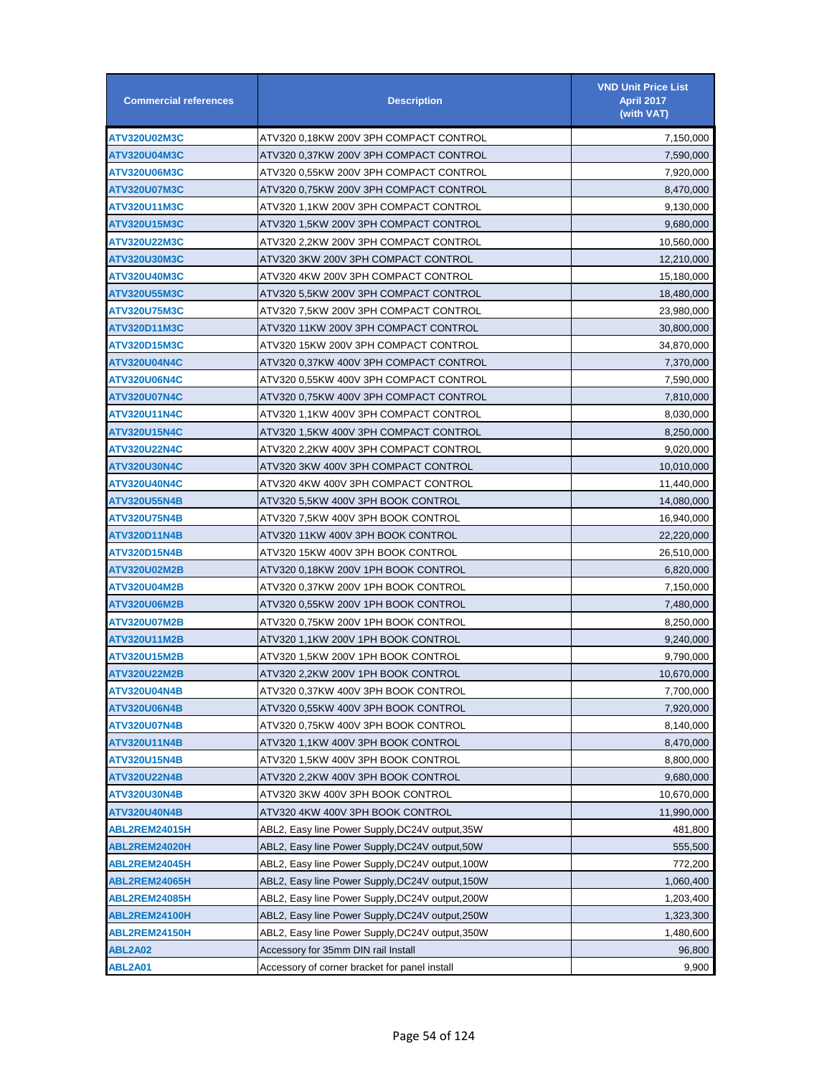| <b>Commercial references</b> | <b>Description</b>                             | <b>VND Unit Price List</b><br><b>April 2017</b><br>(with VAT) |
|------------------------------|------------------------------------------------|---------------------------------------------------------------|
| ATV320U02M3C                 | ATV320 0,18KW 200V 3PH COMPACT CONTROL         | 7,150,000                                                     |
| ATV320U04M3C                 | ATV320 0,37KW 200V 3PH COMPACT CONTROL         | 7,590,000                                                     |
| ATV320U06M3C                 | ATV320 0,55KW 200V 3PH COMPACT CONTROL         | 7,920,000                                                     |
| <b>ATV320U07M3C</b>          | ATV320 0,75KW 200V 3PH COMPACT CONTROL         | 8,470,000                                                     |
| ATV320U11M3C                 | ATV320 1,1KW 200V 3PH COMPACT CONTROL          | 9,130,000                                                     |
| ATV320U15M3C                 | ATV320 1.5KW 200V 3PH COMPACT CONTROL          | 9,680,000                                                     |
| ATV320U22M3C                 | ATV320 2.2KW 200V 3PH COMPACT CONTROL          | 10,560,000                                                    |
| ATV320U30M3C                 | ATV320 3KW 200V 3PH COMPACT CONTROL            | 12,210,000                                                    |
| ATV320U40M3C                 | ATV320 4KW 200V 3PH COMPACT CONTROL            | 15,180,000                                                    |
| ATV320U55M3C                 | ATV320 5,5KW 200V 3PH COMPACT CONTROL          | 18,480,000                                                    |
| <b>ATV320U75M3C</b>          | ATV320 7,5KW 200V 3PH COMPACT CONTROL          | 23,980,000                                                    |
| ATV320D11M3C                 | ATV320 11KW 200V 3PH COMPACT CONTROL           | 30,800,000                                                    |
| ATV320D15M3C                 | ATV320 15KW 200V 3PH COMPACT CONTROL           | 34,870,000                                                    |
| <b>ATV320U04N4C</b>          | ATV320 0,37KW 400V 3PH COMPACT CONTROL         | 7,370,000                                                     |
| ATV320U06N4C                 | ATV320   0.55KW   400V   3PH   COMPACT CONTROL | 7,590,000                                                     |
| ATV320U07N4C                 | ATV320 0,75KW 400V 3PH COMPACT CONTROL         | 7,810,000                                                     |
| <b>ATV320U11N4C</b>          | ATV320 1,1KW 400V 3PH COMPACT CONTROL          | 8,030,000                                                     |
| <b>ATV320U15N4C</b>          | ATV320 1,5KW 400V 3PH COMPACT CONTROL          | 8,250,000                                                     |
| <b>ATV320U22N4C</b>          | ATV320 2.2KW 400V 3PH COMPACT CONTROL          | 9,020,000                                                     |
| <b>ATV320U30N4C</b>          | ATV320 3KW 400V 3PH COMPACT CONTROL            | 10,010,000                                                    |
| <b>ATV320U40N4C</b>          | ATV320 4KW 400V 3PH COMPACT CONTROL            | 11,440,000                                                    |
| <b>ATV320U55N4B</b>          | ATV320 5.5KW 400V 3PH BOOK CONTROL             | 14,080,000                                                    |
| <b>ATV320U75N4B</b>          | ATV320 7.5KW 400V 3PH BOOK CONTROL             | 16,940,000                                                    |
| <b>ATV320D11N4B</b>          | ATV320 11KW 400V 3PH BOOK CONTROL              | 22,220,000                                                    |
| ATV320D15N4B                 | ATV320 15KW 400V 3PH BOOK CONTROL              | 26,510,000                                                    |
| ATV320U02M2B                 | ATV320 0,18KW 200V 1PH BOOK CONTROL            | 6,820,000                                                     |
| ATV320U04M2B                 | ATV320 0,37KW 200V 1PH BOOK CONTROL            | 7,150,000                                                     |
| <b>ATV320U06M2B</b>          | ATV320 0,55KW 200V 1PH BOOK CONTROL            | 7,480,000                                                     |
| ATV320U07M2B                 | ATV320 0,75KW 200V 1PH BOOK CONTROL            | 8,250,000                                                     |
| ATV320U11M2B                 | ATV320 1,1KW 200V 1PH BOOK CONTROL             | 9,240,000                                                     |
| ATV320U15M2B                 | ATV320 1.5KW 200V 1PH BOOK CONTROL             | 9,790,000                                                     |
| <b>ATV320U22M2B</b>          | ATV320 2,2KW 200V 1PH BOOK CONTROL             | 10,670,000                                                    |
| <b>ATV320U04N4B</b>          | ATV320 0,37KW 400V 3PH BOOK CONTROL            | 7,700,000                                                     |
| <b>ATV320U06N4B</b>          | ATV320 0.55KW 400V 3PH BOOK CONTROL            | 7,920,000                                                     |
| ATV320U07N4B                 | ATV320 0,75KW 400V 3PH BOOK CONTROL            | 8,140,000                                                     |
| ATV320U11N4B                 | ATV320 1,1KW 400V 3PH BOOK CONTROL             | 8,470,000                                                     |
| ATV320U15N4B                 | ATV320 1.5KW 400V 3PH BOOK CONTROL             | 8,800,000                                                     |
| ATV320U22N4B                 | ATV320 2,2KW 400V 3PH BOOK CONTROL             | 9,680,000                                                     |
| ATV320U30N4B                 | ATV320 3KW 400V 3PH BOOK CONTROL               | 10,670,000                                                    |
| <b>ATV320U40N4B</b>          | ATV320 4KW 400V 3PH BOOK CONTROL               | 11,990,000                                                    |
| ABL2REM24015H                | ABL2, Easy line Power Supply,DC24V output,35W  | 481,800                                                       |
| ABL2REM24020H                | ABL2, Easy line Power Supply,DC24V output,50W  | 555,500                                                       |
| ABL2REM24045H                | ABL2, Easy line Power Supply,DC24V output,100W | 772,200                                                       |
| ABL2REM24065H                | ABL2, Easy line Power Supply,DC24V output,150W | 1,060,400                                                     |
| ABL2REM24085H                | ABL2, Easy line Power Supply,DC24V output,200W | 1,203,400                                                     |
| ABL2REM24100H                | ABL2, Easy line Power Supply,DC24V output,250W | 1,323,300                                                     |
| ABL2REM24150H                | ABL2, Easy line Power Supply,DC24V output,350W | 1,480,600                                                     |
| ABL2A02                      | Accessory for 35mm DIN rail Install            | 96,800                                                        |
| <b>ABL2A01</b>               | Accessory of corner bracket for panel install  | 9,900                                                         |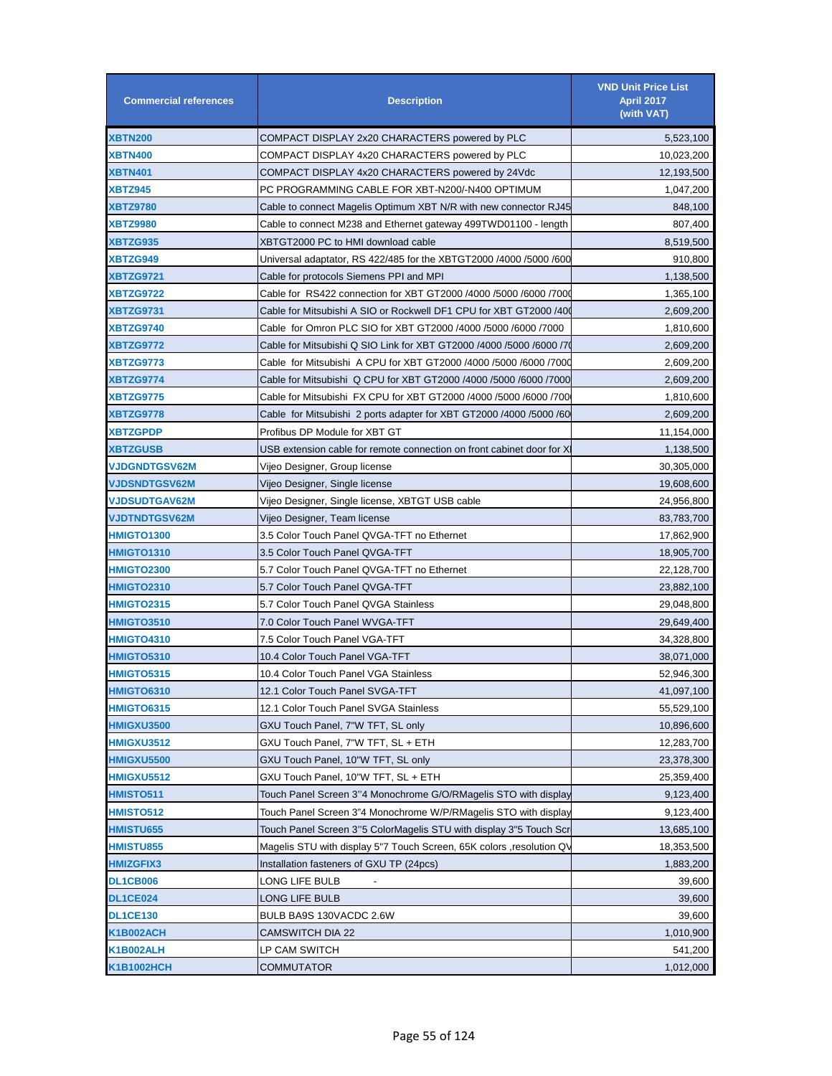| <b>Commercial references</b> | <b>Description</b>                                                            | <b>VND Unit Price List</b><br><b>April 2017</b><br>(with VAT) |
|------------------------------|-------------------------------------------------------------------------------|---------------------------------------------------------------|
| <b>XBTN200</b>               | COMPACT DISPLAY 2x20 CHARACTERS powered by PLC                                | 5,523,100                                                     |
| <b>XBTN400</b>               | COMPACT DISPLAY 4x20 CHARACTERS powered by PLC                                | 10,023,200                                                    |
| <b>XBTN401</b>               | COMPACT DISPLAY 4x20 CHARACTERS powered by 24Vdc                              | 12,193,500                                                    |
| <b>XBTZ945</b>               | PC PROGRAMMING CABLE FOR XBT-N200/-N400 OPTIMUM                               | 1,047,200                                                     |
| <b>XBTZ9780</b>              | Cable to connect Magelis Optimum XBT N/R with new connector RJ45              | 848,100                                                       |
| <b>XBTZ9980</b>              | Cable to connect M238 and Ethernet gateway 499TWD01100 - length               | 807,400                                                       |
| XBTZG935                     | XBTGT2000 PC to HMI download cable                                            | 8,519,500                                                     |
| XBTZG949                     | Universal adaptator, RS 422/485 for the XBTGT2000 /4000 /5000 /600            | 910,800                                                       |
| <b>XBTZG9721</b>             | Cable for protocols Siemens PPI and MPI                                       | 1,138,500                                                     |
| XBTZG9722                    | Cable for RS422 connection for XBT GT2000 /4000 /5000 /6000 /700              | 1,365,100                                                     |
| <b>XBTZG9731</b>             | Cable for Mitsubishi A SIO or Rockwell DF1 CPU for XBT GT2000 /40             | 2,609,200                                                     |
| <b>XBTZG9740</b>             | Cable for Omron PLC SIO for XBT GT2000 /4000 /5000 /6000 /7000                | 1,810,600                                                     |
| <b>XBTZG9772</b>             | Cable for Mitsubishi Q SIO Link for XBT GT2000 /4000 /5000 /6000 /7           | 2,609,200                                                     |
| <b>XBTZG9773</b>             | Cable for Mitsubishi A CPU for XBT GT2000 /4000 /5000 /6000 /7000             | 2,609,200                                                     |
| <b>XBTZG9774</b>             | Cable for Mitsubishi Q CPU for XBT GT2000 /4000 /5000 /6000 /7000             | 2,609,200                                                     |
| <b>XBTZG9775</b>             | Cable for Mitsubishi FX CPU for XBT GT2000 /4000 /5000 /6000 /700             | 1,810,600                                                     |
| <b>XBTZG9778</b>             | Cable for Mitsubishi 2 ports adapter for XBT GT2000 /4000 /5000 /60           | 2,609,200                                                     |
| <b>XBTZGPDP</b>              | Profibus DP Module for XBT GT                                                 | 11,154,000                                                    |
| <b>XBTZGUSB</b>              | USB extension cable for remote connection on front cabinet door for $\rangle$ | 1,138,500                                                     |
| <b>VJDGNDTGSV62M</b>         | Vijeo Designer, Group license                                                 | 30,305,000                                                    |
| <b>VJDSNDTGSV62M</b>         | Vijeo Designer, Single license                                                | 19,608,600                                                    |
| <b>VJDSUDTGAV62M</b>         | Vijeo Designer, Single license, XBTGT USB cable                               | 24,956,800                                                    |
| <b>VJDTNDTGSV62M</b>         | Vijeo Designer, Team license                                                  | 83,783,700                                                    |
| <b>HMIGTO1300</b>            | 3.5 Color Touch Panel QVGA-TFT no Ethernet                                    | 17,862,900                                                    |
| <b>HMIGTO1310</b>            | 3.5 Color Touch Panel QVGA-TFT                                                | 18,905,700                                                    |
| <b>HMIGTO2300</b>            | 5.7 Color Touch Panel QVGA-TFT no Ethernet                                    | 22,128,700                                                    |
|                              | 5.7 Color Touch Panel QVGA-TFT                                                | 23,882,100                                                    |
| <b>HMIGTO2310</b>            |                                                                               |                                                               |
| <b>HMIGTO2315</b>            | 5.7 Color Touch Panel QVGA Stainless                                          | 29,048,800                                                    |
| <b>HMIGTO3510</b>            | 7.0 Color Touch Panel WVGA-TFT                                                | 29,649,400                                                    |
| <b>HMIGTO4310</b>            | 7.5 Color Touch Panel VGA-TFT                                                 | 34,328,800                                                    |
| <b>HMIGTO5310</b>            | 10.4 Color Touch Panel VGA-TFT                                                | 38,071,000                                                    |
| <b>HMIGTO5315</b>            | 10.4 Color Touch Panel VGA Stainless                                          | 52,946,300                                                    |
| <b>HMIGTO6310</b>            | 12.1 Color Touch Panel SVGA-TFT                                               | 41,097,100                                                    |
| <b>HMIGTO6315</b>            | 12.1 Color Touch Panel SVGA Stainless                                         | 55,529,100                                                    |
| <b>HMIGXU3500</b>            | GXU Touch Panel, 7"W TFT, SL only                                             | 10,896,600                                                    |
| <b>HMIGXU3512</b>            | GXU Touch Panel, 7"W TFT, SL + ETH                                            | 12,283,700                                                    |
| <b>HMIGXU5500</b>            | GXU Touch Panel, 10"W TFT, SL only                                            | 23,378,300                                                    |
| <b>HMIGXU5512</b>            | GXU Touch Panel, 10"W TFT, SL + ETH                                           | 25,359,400                                                    |
| <b>HMISTO511</b>             | Touch Panel Screen 3"4 Monochrome G/O/RMagelis STO with display               | 9,123,400                                                     |
| <b>HMISTO512</b>             | Touch Panel Screen 3"4 Monochrome W/P/RMagelis STO with display               | 9,123,400                                                     |
| <b>HMISTU655</b>             | Touch Panel Screen 3"5 ColorMagelis STU with display 3"5 Touch Scr            | 13,685,100                                                    |
| <b>HMISTU855</b>             | Magelis STU with display 5"7 Touch Screen, 65K colors, resolution QV          | 18,353,500                                                    |
| <b>HMIZGFIX3</b>             | Installation fasteners of GXU TP (24pcs)                                      | 1,883,200                                                     |
| <b>DL1CB006</b>              | LONG LIFE BULB<br>$\sim$                                                      | 39,600                                                        |
| <b>DL1CE024</b>              | LONG LIFE BULB                                                                | 39,600                                                        |
| <b>DL1CE130</b>              | BULB BA9S 130VACDC 2.6W                                                       | 39,600                                                        |
| <b>K1B002ACH</b>             | <b>CAMSWITCH DIA 22</b>                                                       | 1,010,900                                                     |
| <b>K1B002ALH</b>             | LP CAM SWITCH                                                                 | 541,200                                                       |
| <b>K1B1002HCH</b>            | <b>COMMUTATOR</b>                                                             | 1,012,000                                                     |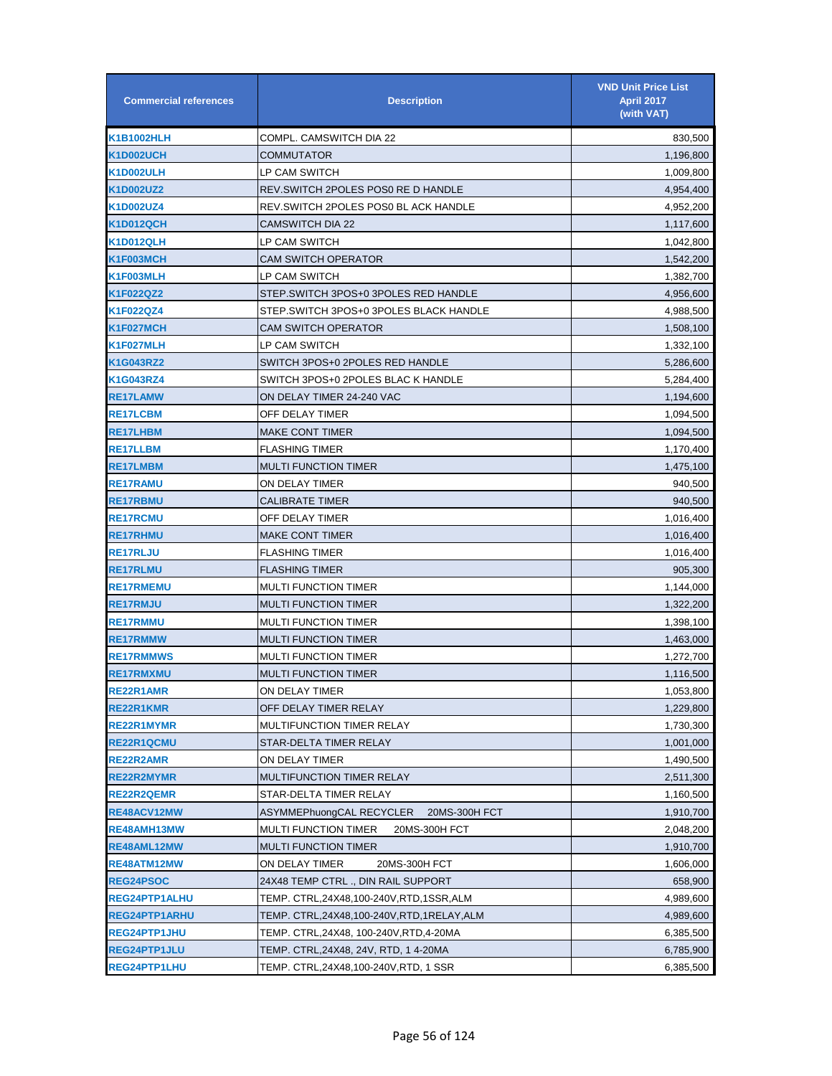| <b>Commercial references</b> | <b>Description</b>                           | <b>VND Unit Price List</b><br><b>April 2017</b><br>(with VAT) |
|------------------------------|----------------------------------------------|---------------------------------------------------------------|
| <b>K1B1002HLH</b>            | COMPL. CAMSWITCH DIA 22                      | 830,500                                                       |
| <b>K1D002UCH</b>             | COMMUTATOR                                   | 1,196,800                                                     |
| <b>K1D002ULH</b>             | LP CAM SWITCH                                | 1,009,800                                                     |
| K1D002UZ2                    | REV.SWITCH 2POLES POS0 RE D HANDLE           | 4,954,400                                                     |
| <b>K1D002UZ4</b>             | REV.SWITCH 2POLES POS0 BL ACK HANDLE         | 4,952,200                                                     |
| <b>K1D012QCH</b>             | <b>CAMSWITCH DIA 22</b>                      | 1,117,600                                                     |
| <b>K1D012QLH</b>             | LP CAM SWITCH                                | 1,042,800                                                     |
| K1F003MCH                    | <b>CAM SWITCH OPERATOR</b>                   | 1,542,200                                                     |
| K1F003MLH                    | LP CAM SWITCH                                | 1,382,700                                                     |
| K1F022QZ2                    | STEP.SWITCH 3POS+0 3POLES RED HANDLE         | 4,956,600                                                     |
| K1F022QZ4                    | STEP.SWITCH 3POS+0 3POLES BLACK HANDLE       | 4,988,500                                                     |
| K1F027MCH                    | CAM SWITCH OPERATOR                          | 1,508,100                                                     |
| K1F027MLH                    | LP CAM SWITCH                                | 1,332,100                                                     |
| <b>K1G043RZ2</b>             | SWITCH 3POS+0 2POLES RED HANDLE              | 5,286,600                                                     |
| <b>K1G043RZ4</b>             | SWITCH 3POS+0 2POLES BLAC K HANDLE           | 5,284,400                                                     |
| <b>RE17LAMW</b>              | ON DELAY TIMER 24-240 VAC                    | 1,194,600                                                     |
| <b>RE17LCBM</b>              | OFF DELAY TIMER                              | 1,094,500                                                     |
| <b>RE17LHBM</b>              | <b>MAKE CONT TIMER</b>                       | 1,094,500                                                     |
| <b>RE17LLBM</b>              | <b>FLASHING TIMER</b>                        | 1,170,400                                                     |
| <b>RE17LMBM</b>              | <b>MULTI FUNCTION TIMER</b>                  | 1,475,100                                                     |
| <b>RE17RAMU</b>              | ON DELAY TIMER                               | 940,500                                                       |
| <b>RE17RBMU</b>              | CALIBRATE TIMER                              | 940,500                                                       |
| <b>RE17RCMU</b>              | OFF DELAY TIMER                              | 1,016,400                                                     |
| <b>RE17RHMU</b>              | <b>MAKE CONT TIMER</b>                       | 1,016,400                                                     |
| <b>RE17RLJU</b>              | <b>FLASHING TIMER</b>                        | 1,016,400                                                     |
| <b>RE17RLMU</b>              | <b>FLASHING TIMER</b>                        | 905,300                                                       |
| <b>RE17RMEMU</b>             | <b>MULTI FUNCTION TIMER</b>                  | 1,144,000                                                     |
| <b>RE17RMJU</b>              | <b>MULTI FUNCTION TIMER</b>                  | 1,322,200                                                     |
| <b>RE17RMMU</b>              | <b>MULTI FUNCTION TIMER</b>                  | 1,398,100                                                     |
| <b>RE17RMMW</b>              | <b>MULTI FUNCTION TIMER</b>                  | 1,463,000                                                     |
| <b>RE17RMMWS</b>             | <b>MULTI FUNCTION TIMER</b>                  | 1,272,700                                                     |
| <b>RE17RMXMU</b>             | <b>MULTI FUNCTION TIMER</b>                  | 1,116,500                                                     |
| RE22R1AMR                    | ON DELAY TIMER                               | 1,053,800                                                     |
| <b>RE22R1KMR</b>             | OFF DELAY TIMER RELAY                        | 1,229,800                                                     |
| RE22R1MYMR                   | MULTIFUNCTION TIMER RELAY                    | 1,730,300                                                     |
| RE22R1QCMU                   | STAR-DELTA TIMER RELAY                       | 1,001,000                                                     |
| <b>RE22R2AMR</b>             | ON DELAY TIMER                               | 1,490,500                                                     |
| <b>RE22R2MYMR</b>            | MULTIFUNCTION TIMER RELAY                    | 2,511,300                                                     |
| <b>RE22R2QEMR</b>            | STAR-DELTA TIMER RELAY                       | 1,160,500                                                     |
| RE48ACV12MW                  | ASYMMEPhuongCAL RECYCLER<br>20MS-300H FCT    | 1,910,700                                                     |
| RE48AMH13MW                  | <b>MULTI FUNCTION TIMER</b><br>20MS-300H FCT | 2,048,200                                                     |
| RE48AML12MW                  | <b>MULTI FUNCTION TIMER</b>                  | 1,910,700                                                     |
| RE48ATM12MW                  | ON DELAY TIMER<br>20MS-300H FCT              | 1,606,000                                                     |
| <b>REG24PSOC</b>             | 24X48 TEMP CTRL ., DIN RAIL SUPPORT          | 658,900                                                       |
| <b>REG24PTP1ALHU</b>         | TEMP. CTRL,24X48,100-240V,RTD,1SSR,ALM       | 4,989,600                                                     |
| <b>REG24PTP1ARHU</b>         | TEMP. CTRL,24X48,100-240V,RTD,1RELAY,ALM     | 4,989,600                                                     |
| REG24PTP1JHU                 | TEMP. CTRL,24X48, 100-240V,RTD,4-20MA        | 6,385,500                                                     |
| REG24PTP1JLU                 | TEMP. CTRL, 24X48, 24V, RTD, 14-20MA         | 6,785,900                                                     |
| REG24PTP1LHU                 | TEMP. CTRL,24X48,100-240V,RTD, 1 SSR         | 6,385,500                                                     |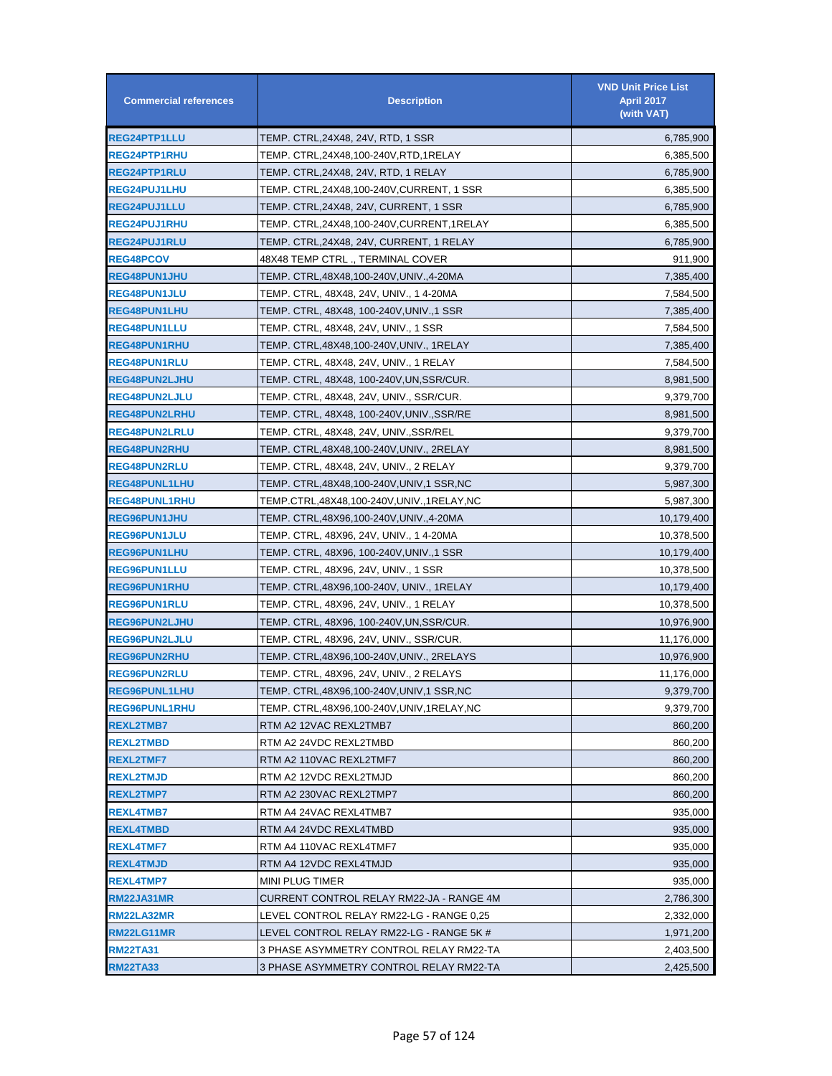| <b>Commercial references</b> | <b>Description</b>                        | <b>VND Unit Price List</b><br><b>April 2017</b><br>(with VAT) |
|------------------------------|-------------------------------------------|---------------------------------------------------------------|
| <b>REG24PTP1LLU</b>          | TEMP. CTRL,24X48, 24V, RTD, 1 SSR         | 6,785,900                                                     |
| <b>REG24PTP1RHU</b>          | TEMP. CTRL,24X48,100-240V,RTD,1RELAY      | 6,385,500                                                     |
| <b>REG24PTP1RLU</b>          | TEMP. CTRL,24X48, 24V, RTD, 1 RELAY       | 6,785,900                                                     |
| <b>REG24PUJ1LHU</b>          | TEMP. CTRL,24X48,100-240V,CURRENT, 1 SSR  | 6,385,500                                                     |
| <b>REG24PUJ1LLU</b>          | TEMP. CTRL,24X48, 24V, CURRENT, 1 SSR     | 6,785,900                                                     |
| <b>REG24PUJ1RHU</b>          | TEMP. CTRL,24X48,100-240V,CURRENT,1RELAY  | 6,385,500                                                     |
| <b>REG24PUJ1RLU</b>          | TEMP. CTRL,24X48, 24V, CURRENT, 1 RELAY   | 6,785,900                                                     |
| <b>REG48PCOV</b>             | 48X48 TEMP CTRL ., TERMINAL COVER         | 911,900                                                       |
| <b>REG48PUN1JHU</b>          | TEMP. CTRL,48X48,100-240V,UNIV.,4-20MA    | 7,385,400                                                     |
| <b>REG48PUN1JLU</b>          | TEMP. CTRL, 48X48, 24V, UNIV., 1 4-20MA   | 7,584,500                                                     |
| <b>REG48PUN1LHU</b>          | TEMP. CTRL, 48X48, 100-240V,UNIV.,1 SSR   | 7,385,400                                                     |
| <b>REG48PUN1LLU</b>          | TEMP. CTRL, 48X48, 24V, UNIV., 1 SSR      | 7,584,500                                                     |
| <b>REG48PUN1RHU</b>          | TEMP. CTRL,48X48,100-240V,UNIV., 1RELAY   | 7,385,400                                                     |
| <b>REG48PUN1RLU</b>          | TEMP. CTRL, 48X48, 24V, UNIV., 1 RELAY    | 7,584,500                                                     |
| <b>REG48PUN2LJHU</b>         | TEMP. CTRL, 48X48, 100-240V, UN, SSR/CUR. | 8,981,500                                                     |
| <b>REG48PUN2LJLU</b>         | TEMP. CTRL, 48X48, 24V, UNIV., SSR/CUR.   | 9,379,700                                                     |
| <b>REG48PUN2LRHU</b>         | TEMP. CTRL, 48X48, 100-240V,UNIV.,SSR/RE  | 8,981,500                                                     |
| <b>REG48PUN2LRLU</b>         | TEMP. CTRL, 48X48, 24V, UNIV.,SSR/REL     | 9,379,700                                                     |
| <b>REG48PUN2RHU</b>          | TEMP. CTRL,48X48,100-240V,UNIV., 2RELAY   | 8,981,500                                                     |
| <b>REG48PUN2RLU</b>          | TEMP. CTRL, 48X48, 24V, UNIV., 2 RELAY    | 9,379,700                                                     |
| <b>REG48PUNL1LHU</b>         | TEMP. CTRL,48X48,100-240V,UNIV,1 SSR,NC   | 5,987,300                                                     |
| <b>REG48PUNL1RHU</b>         | TEMP.CTRL,48X48,100-240V,UNIV.,1RELAY,NC  | 5,987,300                                                     |
| <b>REG96PUN1JHU</b>          | TEMP. CTRL,48X96,100-240V,UNIV.,4-20MA    | 10,179,400                                                    |
| <b>REG96PUN1JLU</b>          | TEMP. CTRL, 48X96, 24V, UNIV., 1 4-20MA   | 10,378,500                                                    |
| <b>REG96PUN1LHU</b>          | TEMP. CTRL, 48X96, 100-240V,UNIV.,1 SSR   | 10,179,400                                                    |
| <b>REG96PUN1LLU</b>          | TEMP. CTRL, 48X96, 24V, UNIV., 1 SSR      | 10,378,500                                                    |
| <b>REG96PUN1RHU</b>          | TEMP. CTRL,48X96,100-240V, UNIV., 1RELAY  | 10,179,400                                                    |
| <b>REG96PUN1RLU</b>          | TEMP. CTRL, 48X96, 24V, UNIV., 1 RELAY    | 10,378,500                                                    |
| <b>REG96PUN2LJHU</b>         | TEMP. CTRL, 48X96, 100-240V,UN,SSR/CUR.   | 10,976,900                                                    |
| <b>REG96PUN2LJLU</b>         | TEMP. CTRL, 48X96, 24V, UNIV., SSR/CUR.   | 11,176,000                                                    |
| <b>REG96PUN2RHU</b>          | TEMP. CTRL,48X96,100-240V,UNIV., 2RELAYS  | 10,976,900                                                    |
| <b>REG96PUN2RLU</b>          | TEMP. CTRL, 48X96, 24V, UNIV., 2 RELAYS   | 11,176,000                                                    |
| <b>REG96PUNL1LHU</b>         | TEMP. CTRL,48X96,100-240V,UNIV,1 SSR,NC   | 9,379,700                                                     |
| <b>REG96PUNL1RHU</b>         | TEMP. CTRL,48X96,100-240V,UNIV,1RELAY,NC  | 9,379,700                                                     |
| <b>REXL2TMB7</b>             | RTM A2 12VAC REXL2TMB7                    | 860,200                                                       |
| <b>REXL2TMBD</b>             | RTM A2 24VDC REXL2TMBD                    | 860,200                                                       |
| <b>REXL2TMF7</b>             | RTM A2 110VAC REXL2TMF7                   | 860,200                                                       |
| <b>REXL2TMJD</b>             | RTM A2 12VDC REXL2TMJD                    | 860,200                                                       |
| <b>REXL2TMP7</b>             | RTM A2 230VAC REXL2TMP7                   | 860,200                                                       |
| <b>REXL4TMB7</b>             | RTM A4 24VAC REXL4TMB7                    | 935,000                                                       |
| <b>REXL4TMBD</b>             | RTM A4 24VDC REXL4TMBD                    | 935,000                                                       |
| <b>REXL4TMF7</b>             | RTM A4 110VAC REXL4TMF7                   | 935,000                                                       |
| <b>REXL4TMJD</b>             | RTM A4 12VDC REXL4TMJD                    | 935,000                                                       |
| <b>REXL4TMP7</b>             | <b>MINI PLUG TIMER</b>                    | 935,000                                                       |
| RM22JA31MR                   | CURRENT CONTROL RELAY RM22-JA - RANGE 4M  | 2,786,300                                                     |
| RM22LA32MR                   | LEVEL CONTROL RELAY RM22-LG - RANGE 0,25  | 2,332,000                                                     |
| RM22LG11MR                   | LEVEL CONTROL RELAY RM22-LG - RANGE 5K #  | 1,971,200                                                     |
| <b>RM22TA31</b>              | 3 PHASE ASYMMETRY CONTROL RELAY RM22-TA   | 2,403,500                                                     |
| <b>RM22TA33</b>              | 3 PHASE ASYMMETRY CONTROL RELAY RM22-TA   | 2,425,500                                                     |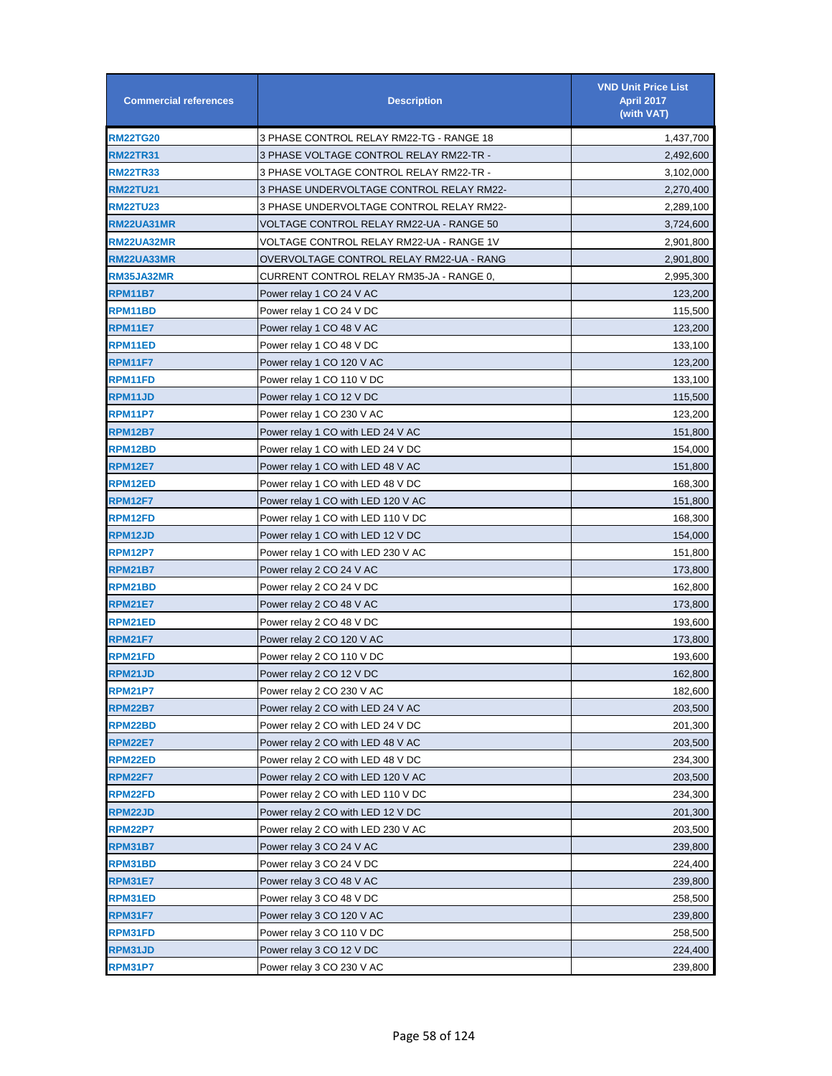| <b>Commercial references</b> | <b>Description</b>                       | <b>VND Unit Price List</b><br><b>April 2017</b><br>(with VAT) |
|------------------------------|------------------------------------------|---------------------------------------------------------------|
| <b>RM22TG20</b>              | 3 PHASE CONTROL RELAY RM22-TG - RANGE 18 | 1,437,700                                                     |
| <b>RM22TR31</b>              | 3 PHASE VOLTAGE CONTROL RELAY RM22-TR -  | 2,492,600                                                     |
| <b>RM22TR33</b>              | 3 PHASE VOLTAGE CONTROL RELAY RM22-TR -  | 3,102,000                                                     |
| <b>RM22TU21</b>              | 3 PHASE UNDERVOLTAGE CONTROL RELAY RM22- | 2,270,400                                                     |
| <b>RM22TU23</b>              | 3 PHASE UNDERVOLTAGE CONTROL RELAY RM22- | 2,289,100                                                     |
| <b>RM22UA31MR</b>            | VOLTAGE CONTROL RELAY RM22-UA - RANGE 50 | 3,724,600                                                     |
| <b>RM22UA32MR</b>            | VOLTAGE CONTROL RELAY RM22-UA - RANGE 1V | 2,901,800                                                     |
| <b>RM22UA33MR</b>            | OVERVOLTAGE CONTROL RELAY RM22-UA - RANG | 2,901,800                                                     |
| <b>RM35JA32MR</b>            | CURRENT CONTROL RELAY RM35-JA - RANGE 0, | 2,995,300                                                     |
| RPM11B7                      | Power relay 1 CO 24 V AC                 | 123,200                                                       |
| RPM11BD                      | Power relay 1 CO 24 V DC                 | 115,500                                                       |
| <b>RPM11E7</b>               | Power relay 1 CO 48 V AC                 | 123,200                                                       |
| <b>RPM11ED</b>               | Power relay 1 CO 48 V DC                 | 133,100                                                       |
| RPM11F7                      | Power relay 1 CO 120 V AC                | 123,200                                                       |
| RPM11FD                      | Power relay 1 CO 110 V DC                | 133,100                                                       |
| <b>RPM11JD</b>               | Power relay 1 CO 12 V DC                 | 115,500                                                       |
| RPM11P7                      | Power relay 1 CO 230 V AC                | 123,200                                                       |
| RPM12B7                      | Power relay 1 CO with LED 24 V AC        | 151,800                                                       |
| <b>RPM12BD</b>               | Power relay 1 CO with LED 24 V DC        | 154,000                                                       |
| <b>RPM12E7</b>               | Power relay 1 CO with LED 48 V AC        | 151,800                                                       |
| <b>RPM12ED</b>               | Power relay 1 CO with LED 48 V DC        | 168,300                                                       |
| RPM12F7                      | Power relay 1 CO with LED 120 V AC       | 151,800                                                       |
| <b>RPM12FD</b>               | Power relay 1 CO with LED 110 V DC       | 168,300                                                       |
| <b>RPM12JD</b>               | Power relay 1 CO with LED 12 V DC        | 154,000                                                       |
| RPM12P7                      | Power relay 1 CO with LED 230 V AC       | 151,800                                                       |
| <b>RPM21B7</b>               | Power relay 2 CO 24 V AC                 | 173,800                                                       |
| <b>RPM21BD</b>               | Power relay 2 CO 24 V DC                 | 162,800                                                       |
| <b>RPM21E7</b>               | Power relay 2 CO 48 V AC                 | 173,800                                                       |
| <b>RPM21ED</b>               | Power relay 2 CO 48 V DC                 | 193,600                                                       |
| RPM21F7                      | Power relay 2 CO 120 V AC                | 173,800                                                       |
| RPM21FD                      | Power relay 2 CO 110 V DC                | 193,600                                                       |
| <b>RPM21JD</b>               | Power relay 2 CO 12 V DC                 | 162,800                                                       |
| <b>RPM21P7</b>               | Power relay 2 CO 230 V AC                | 182,600                                                       |
| RPM22B7                      | Power relay 2 CO with LED 24 V AC        | 203,500                                                       |
| <b>RPM22BD</b>               | Power relay 2 CO with LED 24 V DC        | 201,300                                                       |
| <b>RPM22E7</b>               | Power relay 2 CO with LED 48 V AC        | 203,500                                                       |
| <b>RPM22ED</b>               | Power relay 2 CO with LED 48 V DC        | 234,300                                                       |
| RPM22F7                      | Power relay 2 CO with LED 120 V AC       | 203,500                                                       |
| RPM22FD                      | Power relay 2 CO with LED 110 V DC       | 234,300                                                       |
| <b>RPM22JD</b>               | Power relay 2 CO with LED 12 V DC        | 201,300                                                       |
| RPM22P7                      | Power relay 2 CO with LED 230 V AC       | 203,500                                                       |
| <b>RPM31B7</b>               | Power relay 3 CO 24 V AC                 | 239,800                                                       |
| RPM31BD                      | Power relay 3 CO 24 V DC                 | 224,400                                                       |
| RPM31E7                      | Power relay 3 CO 48 V AC                 | 239,800                                                       |
| RPM31ED                      | Power relay 3 CO 48 V DC                 | 258,500                                                       |
| RPM31F7                      | Power relay 3 CO 120 V AC                | 239,800                                                       |
| RPM31FD                      | Power relay 3 CO 110 V DC                | 258,500                                                       |
| <b>RPM31JD</b>               | Power relay 3 CO 12 V DC                 | 224,400                                                       |
| <b>RPM31P7</b>               | Power relay 3 CO 230 V AC                | 239,800                                                       |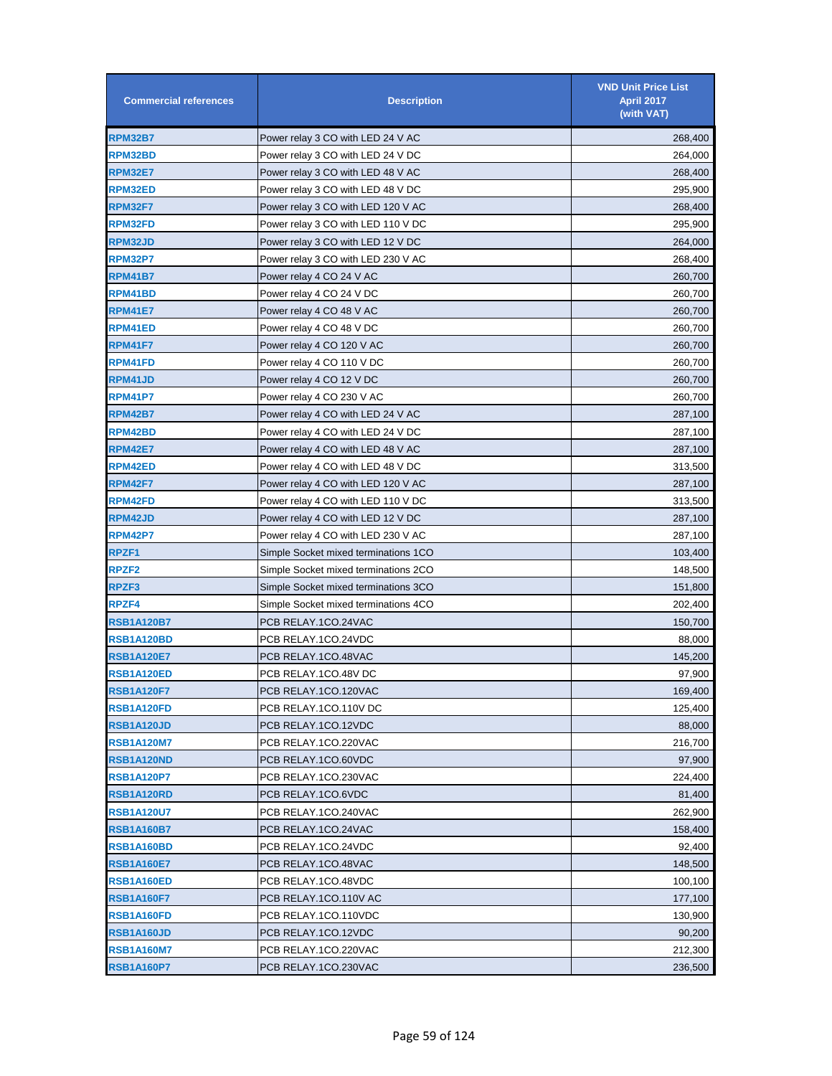| <b>Commercial references</b> | <b>Description</b>                   | <b>VND Unit Price List</b><br><b>April 2017</b><br>(with VAT) |
|------------------------------|--------------------------------------|---------------------------------------------------------------|
| <b>RPM32B7</b>               | Power relay 3 CO with LED 24 V AC    | 268,400                                                       |
| RPM32BD                      | Power relay 3 CO with LED 24 V DC    | 264,000                                                       |
| <b>RPM32E7</b>               | Power relay 3 CO with LED 48 V AC    | 268,400                                                       |
| RPM32ED                      | Power relay 3 CO with LED 48 V DC    | 295,900                                                       |
| <b>RPM32F7</b>               | Power relay 3 CO with LED 120 V AC   | 268,400                                                       |
| <b>RPM32FD</b>               | Power relay 3 CO with LED 110 V DC   | 295,900                                                       |
| RPM32JD                      | Power relay 3 CO with LED 12 V DC    | 264,000                                                       |
| <b>RPM32P7</b>               | Power relay 3 CO with LED 230 V AC   | 268,400                                                       |
| <b>RPM41B7</b>               | Power relay 4 CO 24 V AC             | 260,700                                                       |
| RPM41BD                      | Power relay 4 CO 24 V DC             | 260,700                                                       |
| <b>RPM41E7</b>               | Power relay 4 CO 48 V AC             | 260,700                                                       |
| RPM41ED                      | Power relay 4 CO 48 V DC             | 260,700                                                       |
| <b>RPM41F7</b>               | Power relay 4 CO 120 V AC            | 260,700                                                       |
| RPM41FD                      | Power relay 4 CO 110 V DC            | 260,700                                                       |
| RPM41JD                      | Power relay 4 CO 12 V DC             | 260,700                                                       |
| <b>RPM41P7</b>               | Power relay 4 CO 230 V AC            | 260,700                                                       |
| RPM42B7                      | Power relay 4 CO with LED 24 V AC    | 287,100                                                       |
| RPM42BD                      | Power relay 4 CO with LED 24 V DC    | 287,100                                                       |
| <b>RPM42E7</b>               | Power relay 4 CO with LED 48 V AC    | 287,100                                                       |
| <b>RPM42ED</b>               | Power relay 4 CO with LED 48 V DC    | 313,500                                                       |
| <b>RPM42F7</b>               | Power relay 4 CO with LED 120 V AC   | 287,100                                                       |
| <b>RPM42FD</b>               | Power relay 4 CO with LED 110 V DC   | 313,500                                                       |
| <b>RPM42JD</b>               | Power relay 4 CO with LED 12 V DC    | 287,100                                                       |
| <b>RPM42P7</b>               | Power relay 4 CO with LED 230 V AC   | 287,100                                                       |
| RPZF <sub>1</sub>            | Simple Socket mixed terminations 1CO | 103,400                                                       |
| RPZF <sub>2</sub>            | Simple Socket mixed terminations 2CO | 148,500                                                       |
| RPZF3                        | Simple Socket mixed terminations 3CO | 151,800                                                       |
| <b>RPZF4</b>                 | Simple Socket mixed terminations 4CO | 202,400                                                       |
| <b>RSB1A120B7</b>            | PCB RELAY.1CO.24VAC                  | 150,700                                                       |
| RSB1A120BD                   | PCB RELAY.1CO.24VDC                  | 88,000                                                        |
| <b>RSB1A120E7</b>            | PCB RELAY.1CO.48VAC                  | 145,200                                                       |
| <b>RSB1A120ED</b>            | PCB RELAY.1CO.48V DC                 | 97,900                                                        |
| <b>RSB1A120F7</b>            | PCB RELAY.1CO.120VAC                 | 169,400                                                       |
| RSB1A120FD                   | PCB RELAY.1CO.110V DC                | 125,400                                                       |
| <b>RSB1A120JD</b>            | PCB RELAY.1CO.12VDC                  | 88,000                                                        |
| <b>RSB1A120M7</b>            | PCB RELAY.1CO.220VAC                 | 216,700                                                       |
| RSB1A120ND                   | PCB RELAY.1CO.60VDC                  | 97,900                                                        |
| <b>RSB1A120P7</b>            | PCB RELAY.1CO.230VAC                 | 224,400                                                       |
| RSB1A120RD                   | PCB RELAY.1CO.6VDC                   | 81,400                                                        |
| <b>RSB1A120U7</b>            | PCB RELAY.1CO.240VAC                 | 262,900                                                       |
| <b>RSB1A160B7</b>            | PCB RELAY.1CO.24VAC                  | 158,400                                                       |
| RSB1A160BD                   | PCB RELAY.1CO.24VDC                  | 92,400                                                        |
| <b>RSB1A160E7</b>            | PCB RELAY.1CO.48VAC                  | 148,500                                                       |
| <b>RSB1A160ED</b>            | PCB RELAY.1CO.48VDC                  | 100,100                                                       |
| <b>RSB1A160F7</b>            | PCB RELAY.1CO.110V AC                | 177,100                                                       |
| RSB1A160FD                   | PCB RELAY.1CO.110VDC                 | 130,900                                                       |
| RSB1A160JD                   | PCB RELAY.1CO.12VDC                  | 90,200                                                        |
| <b>RSB1A160M7</b>            | PCB RELAY.1CO.220VAC                 | 212,300                                                       |
| <b>RSB1A160P7</b>            | PCB RELAY.1CO.230VAC                 | 236,500                                                       |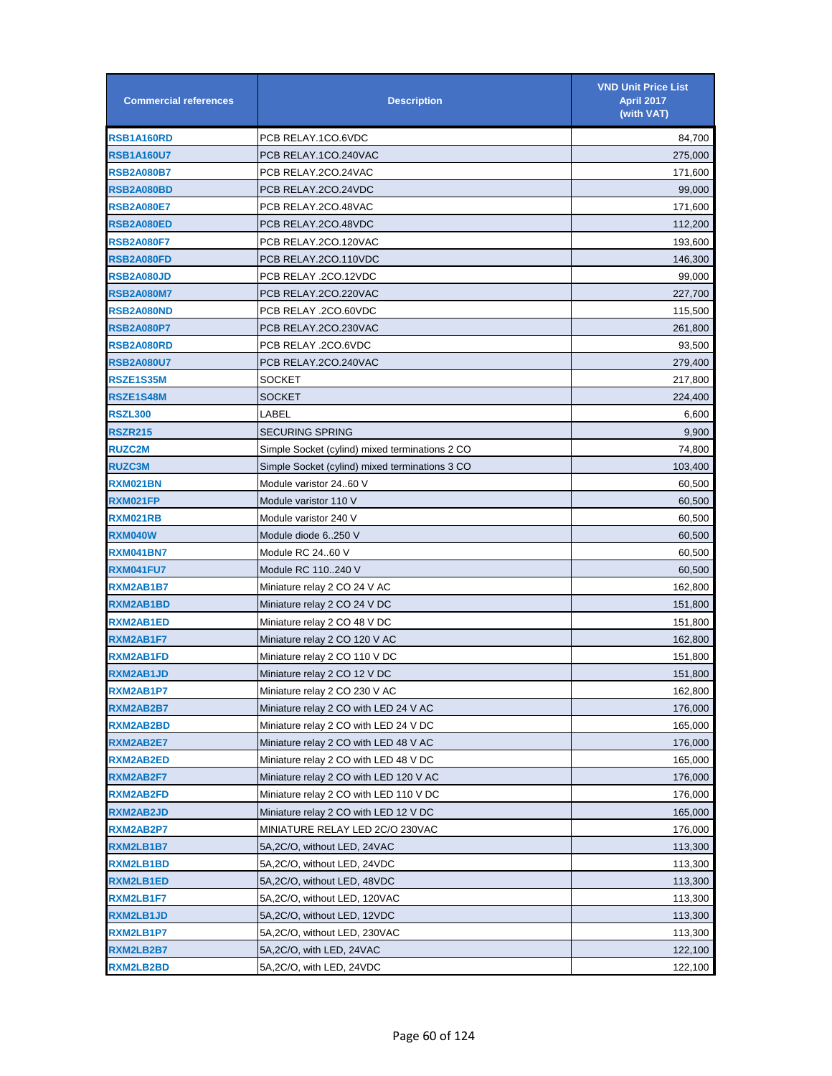| <b>Commercial references</b> | <b>Description</b>                             | <b>VND Unit Price List</b><br><b>April 2017</b><br>(with VAT) |
|------------------------------|------------------------------------------------|---------------------------------------------------------------|
| RSB1A160RD                   | PCB RELAY.1CO.6VDC                             | 84,700                                                        |
| <b>RSB1A160U7</b>            | PCB RELAY.1CO.240VAC                           | 275,000                                                       |
| <b>RSB2A080B7</b>            | PCB RELAY.2CO.24VAC                            | 171,600                                                       |
| RSB2A080BD                   | PCB RELAY.2CO.24VDC                            | 99,000                                                        |
| <b>RSB2A080E7</b>            | PCB RELAY.2CO.48VAC                            | 171,600                                                       |
| RSB2A080ED                   | PCB RELAY.2CO.48VDC                            | 112,200                                                       |
| <b>RSB2A080F7</b>            | PCB RELAY.2CO.120VAC                           | 193,600                                                       |
| RSB2A080FD                   | PCB RELAY.2CO.110VDC                           | 146,300                                                       |
| <b>RSB2A080JD</b>            | PCB RELAY .2CO.12VDC                           | 99,000                                                        |
| <b>RSB2A080M7</b>            | PCB RELAY.2CO.220VAC                           | 227,700                                                       |
| <b>RSB2A080ND</b>            | PCB RELAY .2CO.60VDC                           | 115,500                                                       |
| <b>RSB2A080P7</b>            | PCB RELAY.2CO.230VAC                           | 261,800                                                       |
| RSB2A080RD                   | PCB RELAY .2CO.6VDC                            | 93,500                                                        |
| <b>RSB2A080U7</b>            | PCB RELAY.2CO.240VAC                           | 279,400                                                       |
| RSZE1S35M                    | SOCKET                                         | 217,800                                                       |
| RSZE1S48M                    | SOCKET                                         | 224,400                                                       |
| <b>RSZL300</b>               | LABEL                                          | 6,600                                                         |
| RSZR215                      | <b>SECURING SPRING</b>                         | 9,900                                                         |
| <b>RUZC2M</b>                | Simple Socket (cylind) mixed terminations 2 CO | 74,800                                                        |
| <b>RUZC3M</b>                | Simple Socket (cylind) mixed terminations 3 CO | 103,400                                                       |
| RXM021BN                     | Module varistor 2460 V                         | 60,500                                                        |
| <b>RXM021FP</b>              | Module varistor 110 V                          | 60,500                                                        |
| <b>RXM021RB</b>              | Module varistor 240 V                          | 60,500                                                        |
| <b>RXM040W</b>               | Module diode 6250 V                            | 60,500                                                        |
| <b>RXM041BN7</b>             | Module RC 2460 V                               | 60,500                                                        |
| <b>RXM041FU7</b>             | Module RC 110240 V                             | 60,500                                                        |
| RXM2AB1B7                    | Miniature relay 2 CO 24 V AC                   | 162,800                                                       |
| <b>RXM2AB1BD</b>             | Miniature relay 2 CO 24 V DC                   | 151,800                                                       |
| <b>RXM2AB1ED</b>             | Miniature relay 2 CO 48 V DC                   | 151,800                                                       |
| RXM2AB1F7                    | Miniature relay 2 CO 120 V AC                  | 162,800                                                       |
| <b>RXM2AB1FD</b>             | Miniature relay 2 CO 110 V DC                  | 151,800                                                       |
| <b>RXM2AB1JD</b>             | Miniature relay 2 CO 12 V DC                   | 151,800                                                       |
| RXM2AB1P7                    | Miniature relay 2 CO 230 V AC                  | 162,800                                                       |
| RXM2AB2B7                    | Miniature relay 2 CO with LED 24 V AC          | 176,000                                                       |
| RXM2AB2BD                    | Miniature relay 2 CO with LED 24 V DC          | 165,000                                                       |
| <b>RXM2AB2E7</b>             | Miniature relay 2 CO with LED 48 V AC          | 176,000                                                       |
| <b>RXM2AB2ED</b>             | Miniature relay 2 CO with LED 48 V DC          | 165,000                                                       |
| RXM2AB2F7                    | Miniature relay 2 CO with LED 120 V AC         | 176,000                                                       |
| RXM2AB2FD                    | Miniature relay 2 CO with LED 110 V DC         | 176,000                                                       |
| <b>RXM2AB2JD</b>             | Miniature relay 2 CO with LED 12 V DC          | 165,000                                                       |
| RXM2AB2P7                    | MINIATURE RELAY LED 2C/O 230VAC                | 176,000                                                       |
| RXM2LB1B7                    | 5A,2C/O, without LED, 24VAC                    | 113,300                                                       |
| RXM2LB1BD                    | 5A,2C/O, without LED, 24VDC                    | 113,300                                                       |
| <b>RXM2LB1ED</b>             | 5A,2C/O, without LED, 48VDC                    | 113,300                                                       |
| RXM2LB1F7                    | 5A,2C/O, without LED, 120VAC                   | 113,300                                                       |
| <b>RXM2LB1JD</b>             | 5A,2C/O, without LED, 12VDC                    | 113,300                                                       |
| RXM2LB1P7                    | 5A, 2C/O, without LED, 230VAC                  | 113,300                                                       |
| RXM2LB2B7                    | 5A, 2C/O, with LED, 24VAC                      | 122,100                                                       |
| <b>RXM2LB2BD</b>             | 5A, 2C/O, with LED, 24VDC                      | 122,100                                                       |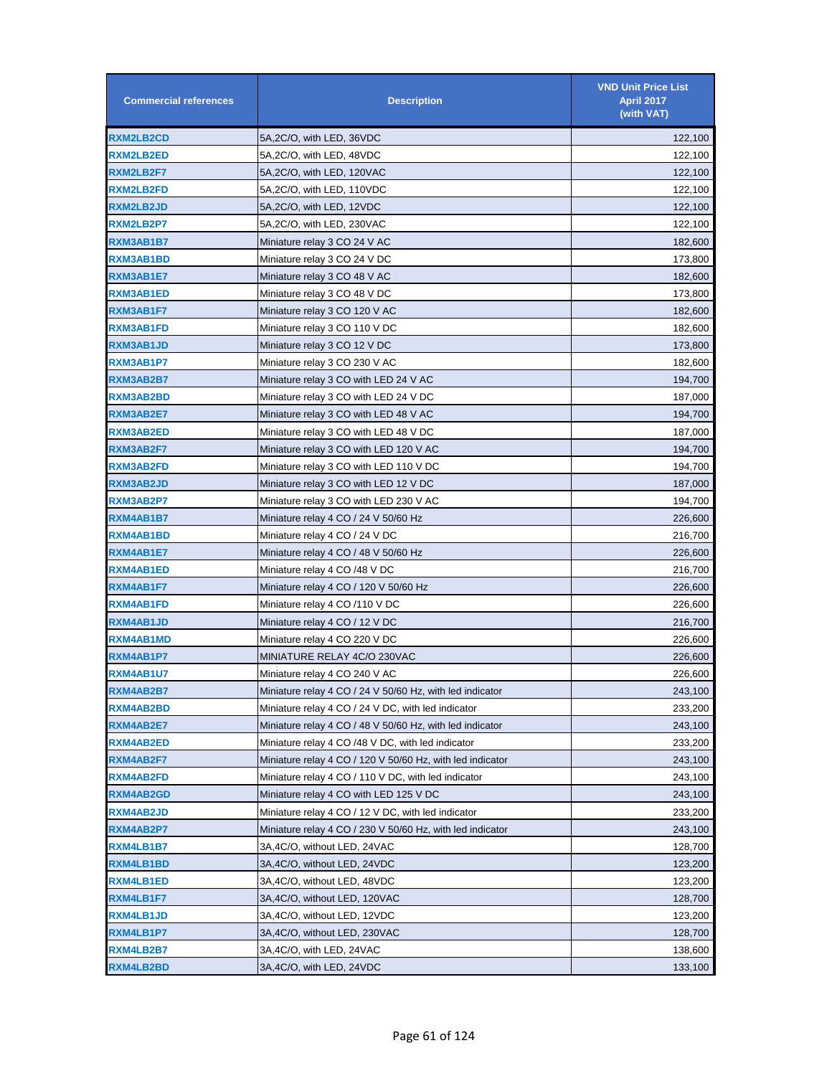| <b>Commercial references</b> | <b>Description</b>                                        | <b>VND Unit Price List</b><br><b>April 2017</b><br>(with VAT) |
|------------------------------|-----------------------------------------------------------|---------------------------------------------------------------|
| <b>RXM2LB2CD</b>             | 5A,2C/O, with LED, 36VDC                                  | 122,100                                                       |
| <b>RXM2LB2ED</b>             | 5A,2C/O, with LED, 48VDC                                  | 122,100                                                       |
| <b>RXM2LB2F7</b>             | 5A,2C/O, with LED, 120VAC                                 | 122,100                                                       |
| <b>RXM2LB2FD</b>             | 5A,2C/O, with LED, 110VDC                                 | 122,100                                                       |
| <b>RXM2LB2JD</b>             | 5A,2C/O, with LED, 12VDC                                  | 122,100                                                       |
| RXM2LB2P7                    | 5A,2C/O, with LED, 230VAC                                 | 122,100                                                       |
| RXM3AB1B7                    | Miniature relay 3 CO 24 V AC                              | 182,600                                                       |
| RXM3AB1BD                    | Miniature relay 3 CO 24 V DC                              | 173,800                                                       |
| RXM3AB1E7                    | Miniature relay 3 CO 48 V AC                              | 182,600                                                       |
| RXM3AB1ED                    | Miniature relay 3 CO 48 V DC                              | 173,800                                                       |
| RXM3AB1F7                    | Miniature relay 3 CO 120 V AC                             | 182,600                                                       |
| RXM3AB1FD                    | Miniature relay 3 CO 110 V DC                             | 182,600                                                       |
| RXM3AB1JD                    | Miniature relay 3 CO 12 V DC                              | 173,800                                                       |
| RXM3AB1P7                    | Miniature relay 3 CO 230 V AC                             | 182,600                                                       |
| RXM3AB2B7                    | Miniature relay 3 CO with LED 24 V AC                     | 194,700                                                       |
| RXM3AB2BD                    | Miniature relay 3 CO with LED 24 V DC                     | 187,000                                                       |
| RXM3AB2E7                    | Miniature relay 3 CO with LED 48 V AC                     | 194,700                                                       |
| <b>RXM3AB2ED</b>             | Miniature relay 3 CO with LED 48 V DC                     | 187,000                                                       |
| RXM3AB2F7                    | Miniature relay 3 CO with LED 120 V AC                    | 194,700                                                       |
| RXM3AB2FD                    | Miniature relay 3 CO with LED 110 V DC                    | 194,700                                                       |
| RXM3AB2JD                    | Miniature relay 3 CO with LED 12 V DC                     | 187,000                                                       |
| RXM3AB2P7                    | Miniature relay 3 CO with LED 230 V AC                    | 194,700                                                       |
| RXM4AB1B7                    | Miniature relay 4 CO / 24 V 50/60 Hz                      | 226,600                                                       |
| <b>RXM4AB1BD</b>             | Miniature relay 4 CO / 24 V DC                            | 216,700                                                       |
| RXM4AB1E7                    | Miniature relay 4 CO / 48 V 50/60 Hz                      | 226,600                                                       |
| RXM4AB1ED                    | Miniature relay 4 CO /48 V DC                             | 216,700                                                       |
| RXM4AB1F7                    | Miniature relay 4 CO / 120 V 50/60 Hz                     | 226,600                                                       |
| <b>RXM4AB1FD</b>             | Miniature relay 4 CO /110 V DC                            | 226,600                                                       |
| RXM4AB1JD                    | Miniature relay 4 CO / 12 V DC                            | 216,700                                                       |
| RXM4AB1MD                    | Miniature relay 4 CO 220 V DC                             | 226,600                                                       |
| RXM4AB1P7                    | MINIATURE RELAY 4C/O 230VAC                               | 226,600                                                       |
| RXM4AB1U7                    | Miniature relay 4 CO 240 V AC                             | 226,600                                                       |
| RXM4AB2B7                    | Miniature relay 4 CO / 24 V 50/60 Hz, with led indicator  | 243,100                                                       |
| RXM4AB2BD                    | Miniature relay 4 CO / 24 V DC, with led indicator        | 233,200                                                       |
| RXM4AB2E7                    | Miniature relay 4 CO / 48 V 50/60 Hz, with led indicator  | 243,100                                                       |
| RXM4AB2ED                    | Miniature relay 4 CO /48 V DC, with led indicator         | 233,200                                                       |
| RXM4AB2F7                    | Miniature relay 4 CO / 120 V 50/60 Hz, with led indicator | 243,100                                                       |
| RXM4AB2FD                    | Miniature relay 4 CO / 110 V DC, with led indicator       | 243,100                                                       |
| RXM4AB2GD                    | Miniature relay 4 CO with LED 125 V DC                    | 243,100                                                       |
| RXM4AB2JD                    | Miniature relay 4 CO / 12 V DC, with led indicator        | 233,200                                                       |
| RXM4AB2P7                    | Miniature relay 4 CO / 230 V 50/60 Hz, with led indicator | 243,100                                                       |
| RXM4LB1B7                    | 3A,4C/O, without LED, 24VAC                               | 128,700                                                       |
| RXM4LB1BD                    | 3A,4C/O, without LED, 24VDC                               | 123,200                                                       |
| RXM4LB1ED                    | 3A,4C/O, without LED, 48VDC                               | 123,200                                                       |
| RXM4LB1F7                    | 3A,4C/O, without LED, 120VAC                              | 128,700                                                       |
| RXM4LB1JD                    | 3A,4C/O, without LED, 12VDC                               | 123,200                                                       |
| RXM4LB1P7                    | 3A,4C/O, without LED, 230VAC                              | 128,700                                                       |
| RXM4LB2B7                    | 3A,4C/O, with LED, 24VAC                                  | 138,600                                                       |
| RXM4LB2BD                    | 3A,4C/O, with LED, 24VDC                                  | 133,100                                                       |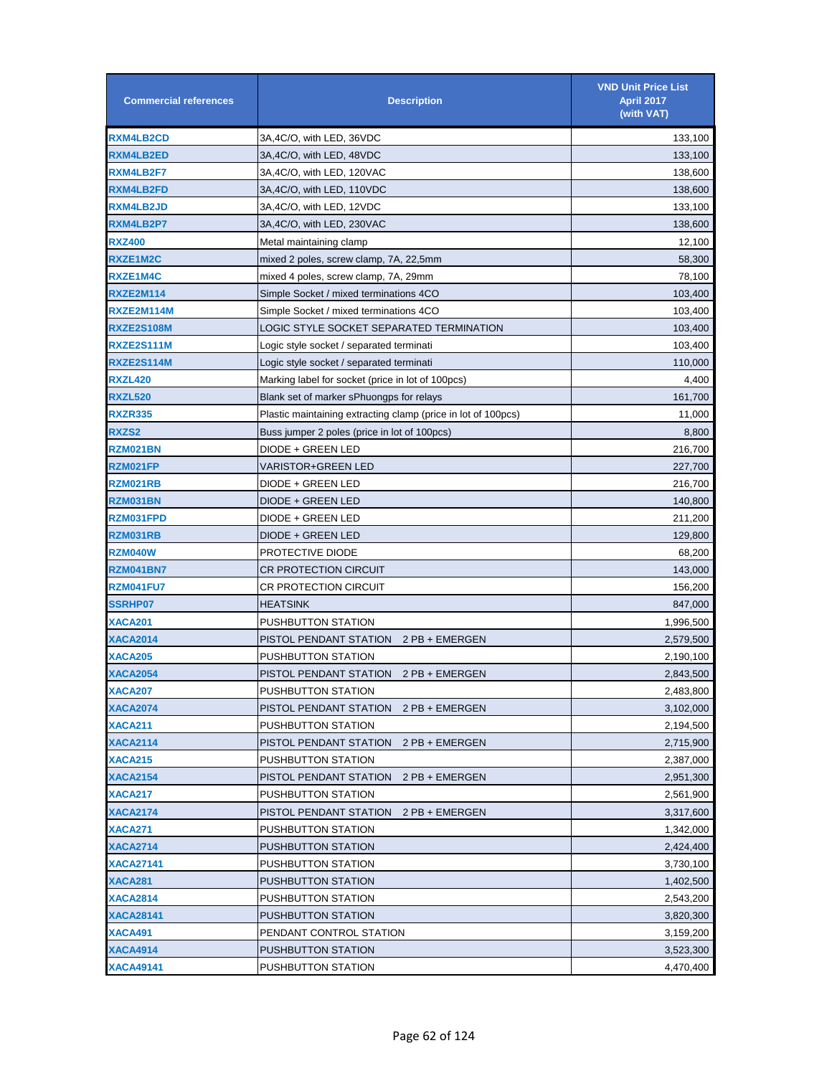| <b>Commercial references</b> | <b>Description</b>                                            | <b>VND Unit Price List</b><br>April 2017<br>(with VAT) |
|------------------------------|---------------------------------------------------------------|--------------------------------------------------------|
| <b>RXM4LB2CD</b>             | 3A,4C/O, with LED, 36VDC                                      | 133,100                                                |
| <b>RXM4LB2ED</b>             | 3A,4C/O, with LED, 48VDC                                      | 133,100                                                |
| <b>RXM4LB2F7</b>             | 3A,4C/O, with LED, 120VAC                                     | 138,600                                                |
| <b>RXM4LB2FD</b>             | 3A,4C/O, with LED, 110VDC                                     | 138,600                                                |
| <b>RXM4LB2JD</b>             | 3A,4C/O, with LED, 12VDC                                      | 133,100                                                |
| RXM4LB2P7                    | 3A,4C/O, with LED, 230VAC                                     | 138,600                                                |
| <b>RXZ400</b>                | Metal maintaining clamp                                       | 12,100                                                 |
| RXZE1M2C                     | mixed 2 poles, screw clamp, 7A, 22,5mm                        | 58,300                                                 |
| RXZE1M4C                     | mixed 4 poles, screw clamp, 7A, 29mm                          | 78,100                                                 |
| <b>RXZE2M114</b>             | Simple Socket / mixed terminations 4CO                        | 103,400                                                |
| RXZE2M114M                   | Simple Socket / mixed terminations 4CO                        | 103,400                                                |
| <b>RXZE2S108M</b>            | LOGIC STYLE SOCKET SEPARATED TERMINATION                      | 103,400                                                |
| RXZE2S111M                   | Logic style socket / separated terminati                      | 103,400                                                |
| RXZE2S114M                   | Logic style socket / separated terminati                      | 110,000                                                |
| RXZL420                      | Marking label for socket (price in lot of 100pcs)             | 4,400                                                  |
| <b>RXZL520</b>               | Blank set of marker sPhuongps for relays                      | 161,700                                                |
| <b>RXZR335</b>               | Plastic maintaining extracting clamp (price in lot of 100pcs) | 11,000                                                 |
| RXZS2                        | Buss jumper 2 poles (price in lot of 100pcs)                  | 8,800                                                  |
| <b>RZM021BN</b>              | DIODE + GREEN LED                                             | 216,700                                                |
| RZM021FP                     | VARISTOR+GREEN LED                                            | 227,700                                                |
| RZM021RB                     | DIODE + GREEN LED                                             | 216,700                                                |
| RZM031BN                     | DIODE + GREEN LED                                             | 140,800                                                |
| RZM031FPD                    | DIODE + GREEN LED                                             | 211,200                                                |
| RZM031RB                     | DIODE + GREEN LED                                             | 129,800                                                |
| <b>RZM040W</b>               | PROTECTIVE DIODE                                              | 68,200                                                 |
| RZM041BN7                    | CR PROTECTION CIRCUIT                                         | 143,000                                                |
| <b>RZM041FU7</b>             | CR PROTECTION CIRCUIT                                         | 156,200                                                |
| <b>SSRHP07</b>               | HEATSINK                                                      | 847,000                                                |
| XACA201                      | PUSHBUTTON STATION                                            | 1,996,500                                              |
| <b>XACA2014</b>              | PISTOL PENDANT STATION 2 PB + EMERGEN                         | 2,579,500                                              |
| XACA205                      | PUSHBUTTON STATION                                            | 2,190,100                                              |
| <b>XACA2054</b>              | PISTOL PENDANT STATION 2 PB + EMERGEN                         | 2,843,500                                              |
| <b>XACA207</b>               | PUSHBUTTON STATION                                            | 2,483,800                                              |
| <b>XACA2074</b>              | PISTOL PENDANT STATION<br>2 PB + EMERGEN                      | 3,102,000                                              |
| XACA211                      | PUSHBUTTON STATION                                            | 2,194,500                                              |
| <b>XACA2114</b>              | PISTOL PENDANT STATION<br>2 PB + EMERGEN                      | 2,715,900                                              |
| <b>XACA215</b>               | PUSHBUTTON STATION                                            | 2,387,000                                              |
| <b>XACA2154</b>              | PISTOL PENDANT STATION<br>2 PB + EMERGEN                      | 2,951,300                                              |
| XACA217                      | PUSHBUTTON STATION                                            | 2,561,900                                              |
| <b>XACA2174</b>              | PISTOL PENDANT STATION 2 PB + EMERGEN                         | 3,317,600                                              |
| XACA271                      | PUSHBUTTON STATION                                            | 1,342,000                                              |
| <b>XACA2714</b>              | PUSHBUTTON STATION                                            | 2,424,400                                              |
| <b>XACA27141</b>             | PUSHBUTTON STATION                                            | 3,730,100                                              |
| <b>XACA281</b>               | PUSHBUTTON STATION                                            | 1,402,500                                              |
| <b>XACA2814</b>              | PUSHBUTTON STATION                                            | 2,543,200                                              |
| <b>XACA28141</b>             | PUSHBUTTON STATION                                            | 3,820,300                                              |
| XACA491                      | PENDANT CONTROL STATION                                       | 3,159,200                                              |
| <b>XACA4914</b>              | PUSHBUTTON STATION                                            | 3,523,300                                              |
| <b>XACA49141</b>             | PUSHBUTTON STATION                                            | 4,470,400                                              |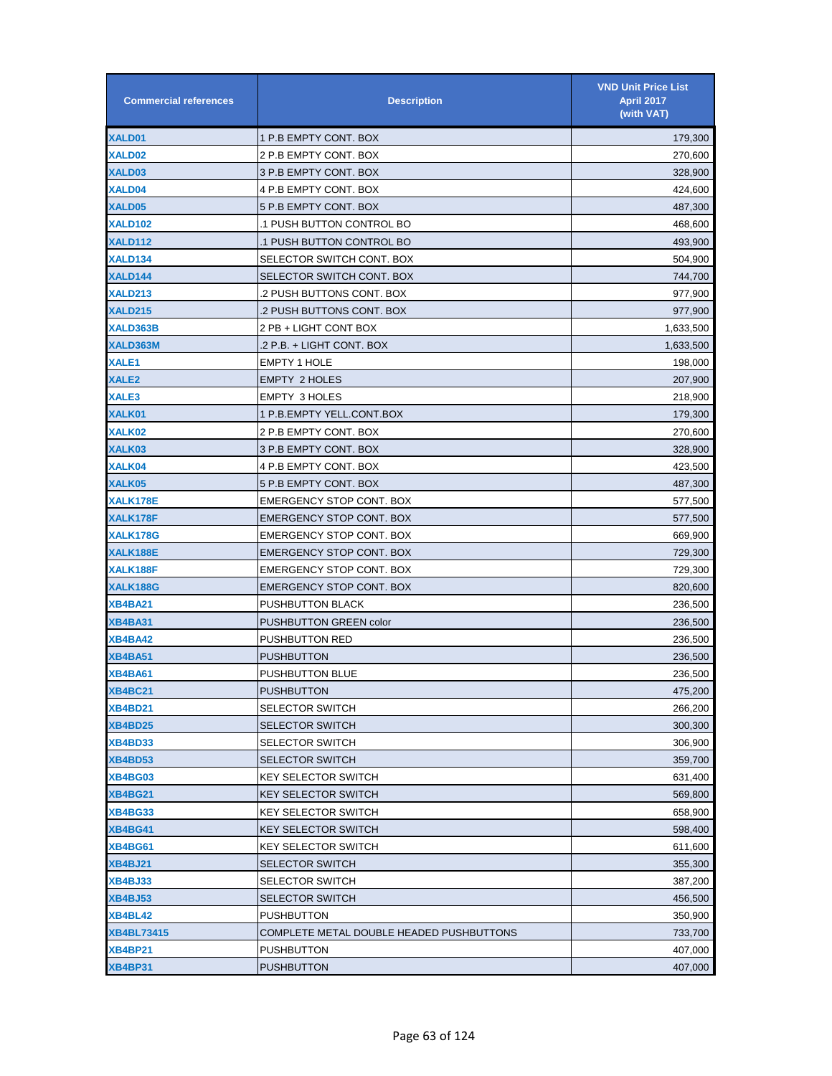| <b>Commercial references</b> | <b>Description</b>                       | <b>VND Unit Price List</b><br><b>April 2017</b><br>(with VAT) |
|------------------------------|------------------------------------------|---------------------------------------------------------------|
| XALD01                       | 1 P.B EMPTY CONT. BOX                    | 179,300                                                       |
| XALD02                       | 2 P.B EMPTY CONT. BOX                    | 270,600                                                       |
| XALD03                       | 3 P.B EMPTY CONT. BOX                    | 328,900                                                       |
| XALD04                       | 4 P.B EMPTY CONT. BOX                    | 424,600                                                       |
| XALD05                       | 5 P.B EMPTY CONT. BOX                    | 487,300                                                       |
| <b>XALD102</b>               | 1 PUSH BUTTON CONTROL BO.                | 468,600                                                       |
| XALD112                      | 1 PUSH BUTTON CONTROL BO.                | 493,900                                                       |
| <b>XALD134</b>               | SELECTOR SWITCH CONT. BOX                | 504,900                                                       |
| XALD144                      | SELECTOR SWITCH CONT. BOX                | 744,700                                                       |
| <b>XALD213</b>               | 2 PUSH BUTTONS CONT. BOX.                | 977,900                                                       |
| <b>XALD215</b>               | 2 PUSH BUTTONS CONT. BOX                 | 977,900                                                       |
| XALD363B                     | 2 PB + LIGHT CONT BOX                    | 1,633,500                                                     |
| XALD363M                     | .2 P.B. + LIGHT CONT. BOX                | 1,633,500                                                     |
| XALE1                        | <b>EMPTY 1 HOLE</b>                      | 198,000                                                       |
| XALE <sub>2</sub>            | <b>EMPTY 2 HOLES</b>                     | 207,900                                                       |
| XALE3                        | <b>EMPTY 3 HOLES</b>                     | 218,900                                                       |
| XALK01                       | 1 P.B.EMPTY YELL.CONT.BOX                | 179,300                                                       |
| XALK02                       | 2 P.B EMPTY CONT. BOX                    | 270,600                                                       |
| XALK03                       | 3 P.B EMPTY CONT. BOX                    | 328,900                                                       |
| XALK04                       | 4 P.B EMPTY CONT. BOX                    | 423,500                                                       |
| XALK05                       | 5 P.B EMPTY CONT. BOX                    | 487,300                                                       |
| XALK178E                     | <b>EMERGENCY STOP CONT. BOX</b>          | 577,500                                                       |
| XALK178F                     | <b>EMERGENCY STOP CONT. BOX</b>          | 577,500                                                       |
| <b>XALK178G</b>              | <b>EMERGENCY STOP CONT. BOX</b>          | 669,900                                                       |
| XALK188E                     | <b>EMERGENCY STOP CONT. BOX</b>          | 729,300                                                       |
| XALK188F                     | <b>EMERGENCY STOP CONT. BOX</b>          | 729,300                                                       |
| XALK188G                     | <b>EMERGENCY STOP CONT. BOX</b>          | 820,600                                                       |
| <b>XB4BA21</b>               | PUSHBUTTON BLACK                         | 236,500                                                       |
| <b>XB4BA31</b>               | PUSHBUTTON GREEN color                   | 236,500                                                       |
| <b>XB4BA42</b>               | <b>PUSHBUTTON RED</b>                    | 236,500                                                       |
| <b>XB4BA51</b>               | <b>PUSHBUTTON</b>                        | 236,500                                                       |
| <b>XB4BA61</b>               | <b>PUSHBUTTON BLUE</b>                   | 236,500                                                       |
| <b>XB4BC21</b>               | <b>PUSHBUTTON</b>                        | 475,200                                                       |
| <b>XB4BD21</b>               | <b>SELECTOR SWITCH</b>                   | 266,200                                                       |
| <b>XB4BD25</b>               | <b>SELECTOR SWITCH</b>                   | 300,300                                                       |
| <b>XB4BD33</b>               | <b>SELECTOR SWITCH</b>                   | 306,900                                                       |
| <b>XB4BD53</b>               | <b>SELECTOR SWITCH</b>                   | 359,700                                                       |
| <b>XB4BG03</b>               | <b>KEY SELECTOR SWITCH</b>               | 631,400                                                       |
| <b>XB4BG21</b>               | <b>KEY SELECTOR SWITCH</b>               | 569,800                                                       |
| <b>XB4BG33</b>               | <b>KEY SELECTOR SWITCH</b>               | 658,900                                                       |
| <b>XB4BG41</b>               | <b>KEY SELECTOR SWITCH</b>               | 598,400                                                       |
| <b>XB4BG61</b>               | <b>KEY SELECTOR SWITCH</b>               | 611,600                                                       |
| <b>XB4BJ21</b>               | <b>SELECTOR SWITCH</b>                   | 355,300                                                       |
| <b>XB4BJ33</b>               | <b>SELECTOR SWITCH</b>                   | 387,200                                                       |
| <b>XB4BJ53</b>               | <b>SELECTOR SWITCH</b>                   | 456,500                                                       |
| <b>XB4BL42</b>               | <b>PUSHBUTTON</b>                        | 350,900                                                       |
| <b>XB4BL73415</b>            | COMPLETE METAL DOUBLE HEADED PUSHBUTTONS | 733,700                                                       |
| <b>XB4BP21</b>               | <b>PUSHBUTTON</b>                        | 407,000                                                       |
| <b>XB4BP31</b>               | <b>PUSHBUTTON</b>                        | 407,000                                                       |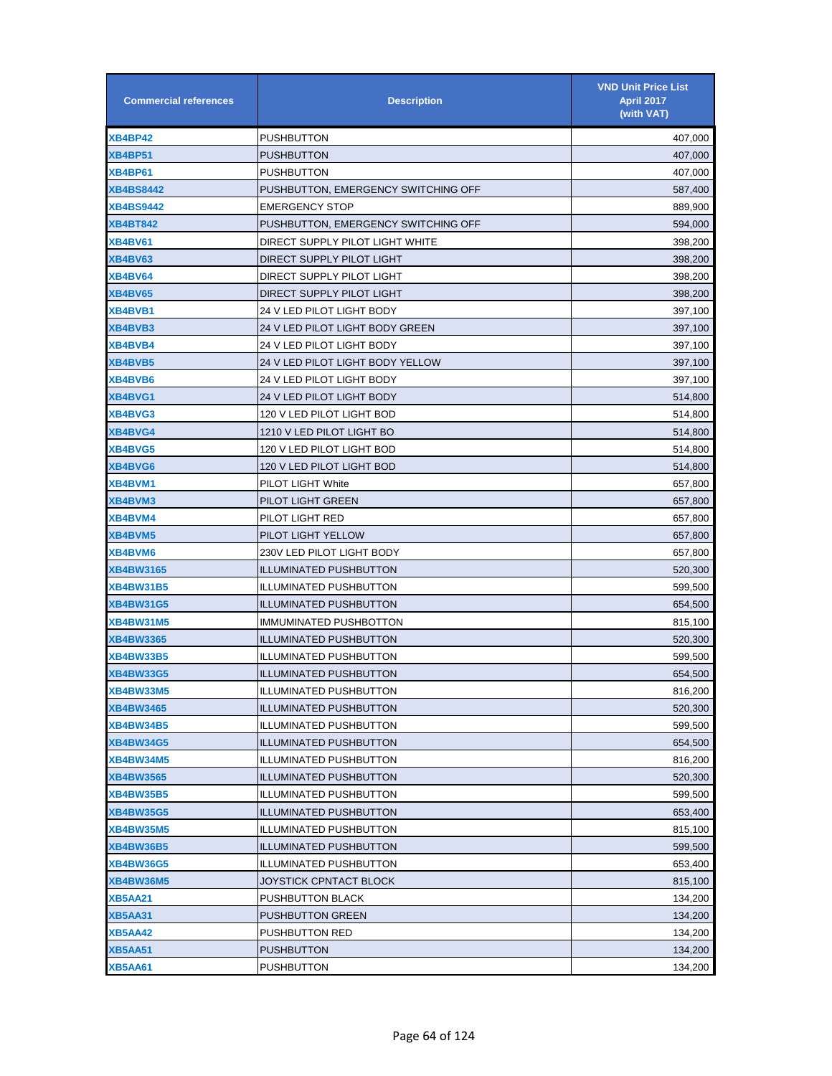| <b>Commercial references</b> | <b>Description</b>                  | <b>VND Unit Price List</b><br><b>April 2017</b><br>(with VAT) |
|------------------------------|-------------------------------------|---------------------------------------------------------------|
| <b>XB4BP42</b>               | <b>PUSHBUTTON</b>                   | 407,000                                                       |
| <b>XB4BP51</b>               | <b>PUSHBUTTON</b>                   | 407,000                                                       |
| <b>XB4BP61</b>               | <b>PUSHBUTTON</b>                   | 407,000                                                       |
| <b>XB4BS8442</b>             | PUSHBUTTON, EMERGENCY SWITCHING OFF | 587,400                                                       |
| <b>XB4BS9442</b>             | <b>EMERGENCY STOP</b>               | 889,900                                                       |
| <b>XB4BT842</b>              | PUSHBUTTON, EMERGENCY SWITCHING OFF | 594,000                                                       |
| <b>XB4BV61</b>               | DIRECT SUPPLY PILOT LIGHT WHITE     | 398,200                                                       |
| <b>XB4BV63</b>               | DIRECT SUPPLY PILOT LIGHT           | 398,200                                                       |
| XB4BV64                      | DIRECT SUPPLY PILOT LIGHT           | 398,200                                                       |
| XB4BV65                      | DIRECT SUPPLY PILOT LIGHT           | 398,200                                                       |
| <b>XB4BVB1</b>               | 24 V LED PILOT LIGHT BODY           | 397,100                                                       |
| XB4BVB3                      | 24 V LED PILOT LIGHT BODY GREEN     | 397,100                                                       |
| XB4BVB4                      | 24 V LED PILOT LIGHT BODY           | 397,100                                                       |
| XB4BVB5                      | 24 V LED PILOT LIGHT BODY YELLOW    | 397,100                                                       |
| XB4BVB6                      | 24 V LED PILOT LIGHT BODY           | 397,100                                                       |
| XB4BVG1                      | 24 V LED PILOT LIGHT BODY           | 514,800                                                       |
| XB4BVG3                      | 120 V LED PILOT LIGHT BOD           | 514,800                                                       |
| XB4BVG4                      | 1210 V LED PILOT LIGHT BO           | 514,800                                                       |
| XB4BVG5                      | 120 V LED PILOT LIGHT BOD           | 514,800                                                       |
| XB4BVG6                      | 120 V LED PILOT LIGHT BOD           | 514,800                                                       |
| XB4BVM1                      | PILOT LIGHT White                   | 657,800                                                       |
| XB4BVM3                      | PILOT LIGHT GREEN                   | 657,800                                                       |
| <b>XB4BVM4</b>               | PILOT LIGHT RED                     | 657,800                                                       |
| XB4BVM5                      | PILOT LIGHT YELLOW                  | 657,800                                                       |
| XB4BVM6                      | 230V LED PILOT LIGHT BODY           | 657,800                                                       |
| <b>XB4BW3165</b>             | <b>ILLUMINATED PUSHBUTTON</b>       | 520,300                                                       |
| <b>XB4BW31B5</b>             | ILLUMINATED PUSHBUTTON              | 599,500                                                       |
| <b>XB4BW31G5</b>             | <b>ILLUMINATED PUSHBUTTON</b>       | 654,500                                                       |
| <b>XB4BW31M5</b>             | <b>IMMUMINATED PUSHBOTTON</b>       | 815,100                                                       |
| <b>XB4BW3365</b>             | <b>ILLUMINATED PUSHBUTTON</b>       | 520,300                                                       |
| <b>XB4BW33B5</b>             | <b>ILLUMINATED PUSHBUTTON</b>       | 599,500                                                       |
| <b>XB4BW33G5</b>             | <b>ILLUMINATED PUSHBUTTON</b>       | 654,500                                                       |
| <b>XB4BW33M5</b>             | <b>ILLUMINATED PUSHBUTTON</b>       | 816,200                                                       |
| <b>XB4BW3465</b>             | <b>ILLUMINATED PUSHBUTTON</b>       | 520,300                                                       |
| <b>XB4BW34B5</b>             | <b>ILLUMINATED PUSHBUTTON</b>       | 599,500                                                       |
| <b>XB4BW34G5</b>             | <b>ILLUMINATED PUSHBUTTON</b>       | 654,500                                                       |
| <b>XB4BW34M5</b>             | <b>ILLUMINATED PUSHBUTTON</b>       | 816,200                                                       |
| <b>XB4BW3565</b>             | <b>ILLUMINATED PUSHBUTTON</b>       | 520,300                                                       |
| <b>XB4BW35B5</b>             | <b>ILLUMINATED PUSHBUTTON</b>       | 599,500                                                       |
| <b>XB4BW35G5</b>             | <b>ILLUMINATED PUSHBUTTON</b>       | 653,400                                                       |
| <b>XB4BW35M5</b>             | <b>ILLUMINATED PUSHBUTTON</b>       | 815,100                                                       |
| <b>XB4BW36B5</b>             | <b>ILLUMINATED PUSHBUTTON</b>       | 599,500                                                       |
| <b>XB4BW36G5</b>             | <b>ILLUMINATED PUSHBUTTON</b>       | 653,400                                                       |
| <b>XB4BW36M5</b>             | JOYSTICK CPNTACT BLOCK              | 815,100                                                       |
| <b>XB5AA21</b>               | PUSHBUTTON BLACK                    | 134,200                                                       |
| <b>XB5AA31</b>               | <b>PUSHBUTTON GREEN</b>             | 134,200                                                       |
| <b>XB5AA42</b>               | <b>PUSHBUTTON RED</b>               | 134,200                                                       |
| <b>XB5AA51</b>               | <b>PUSHBUTTON</b>                   | 134,200                                                       |
| <b>XB5AA61</b>               | <b>PUSHBUTTON</b>                   | 134,200                                                       |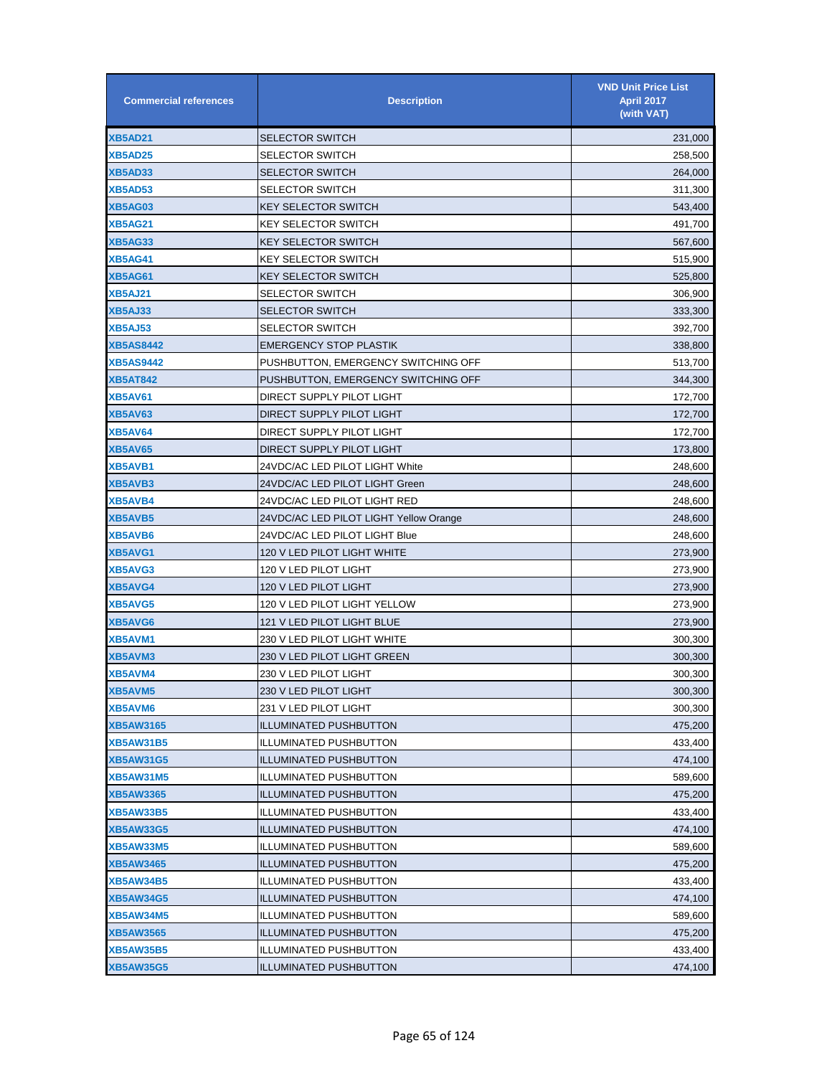| <b>Commercial references</b> | <b>Description</b>                     | <b>VND Unit Price List</b><br><b>April 2017</b><br>(with VAT) |
|------------------------------|----------------------------------------|---------------------------------------------------------------|
| <b>XB5AD21</b>               | SELECTOR SWITCH                        | 231,000                                                       |
| <b>XB5AD25</b>               | <b>SELECTOR SWITCH</b>                 | 258,500                                                       |
| <b>XB5AD33</b>               | SELECTOR SWITCH                        | 264,000                                                       |
| <b>XB5AD53</b>               | <b>SELECTOR SWITCH</b>                 | 311,300                                                       |
| <b>XB5AG03</b>               | <b>KEY SELECTOR SWITCH</b>             | 543,400                                                       |
| <b>XB5AG21</b>               | <b>KEY SELECTOR SWITCH</b>             | 491,700                                                       |
| <b>XB5AG33</b>               | <b>KEY SELECTOR SWITCH</b>             | 567,600                                                       |
| <b>XB5AG41</b>               | <b>KEY SELECTOR SWITCH</b>             | 515,900                                                       |
| <b>XB5AG61</b>               | <b>KEY SELECTOR SWITCH</b>             | 525,800                                                       |
| <b>XB5AJ21</b>               | <b>SELECTOR SWITCH</b>                 | 306,900                                                       |
| <b>XB5AJ33</b>               | <b>SELECTOR SWITCH</b>                 | 333,300                                                       |
| <b>XB5AJ53</b>               | <b>SELECTOR SWITCH</b>                 | 392,700                                                       |
| <b>XB5AS8442</b>             | <b>EMERGENCY STOP PLASTIK</b>          | 338,800                                                       |
| <b>XB5AS9442</b>             | PUSHBUTTON, EMERGENCY SWITCHING OFF    | 513,700                                                       |
| <b>XB5AT842</b>              | PUSHBUTTON, EMERGENCY SWITCHING OFF    | 344,300                                                       |
| <b>XB5AV61</b>               | DIRECT SUPPLY PILOT LIGHT              | 172,700                                                       |
| XB5AV63                      | DIRECT SUPPLY PILOT LIGHT              | 172,700                                                       |
| XB5AV64                      | DIRECT SUPPLY PILOT LIGHT              | 172,700                                                       |
| <b>XB5AV65</b>               | DIRECT SUPPLY PILOT LIGHT              | 173,800                                                       |
| <b>XB5AVB1</b>               | 24VDC/AC LED PILOT LIGHT White         | 248,600                                                       |
| XB5AVB3                      | 24VDC/AC LED PILOT LIGHT Green         | 248,600                                                       |
| <b>XB5AVB4</b>               | 24VDC/AC LED PILOT LIGHT RED           | 248,600                                                       |
| XB5AVB5                      | 24VDC/AC LED PILOT LIGHT Yellow Orange | 248,600                                                       |
| XB5AVB6                      | 24VDC/AC LED PILOT LIGHT Blue          | 248,600                                                       |
| XB5AVG1                      | 120 V LED PILOT LIGHT WHITE            | 273,900                                                       |
| XB5AVG3                      | 120 V LED PILOT LIGHT                  | 273,900                                                       |
| XB5AVG4                      | 120 V LED PILOT LIGHT                  | 273,900                                                       |
| XB5AVG5                      | 120 V LED PILOT LIGHT YELLOW           | 273,900                                                       |
| XB5AVG6                      | 121 V LED PILOT LIGHT BLUE             | 273,900                                                       |
| XB5AVM1                      | 230 V LED PILOT LIGHT WHITE            | 300,300                                                       |
| XB5AVM3                      | 230 V LED PILOT LIGHT GREEN            | 300,300                                                       |
| XB5AVM4                      | 230 V LED PILOT LIGHT                  | 300,300                                                       |
| XB5AVM5                      | 230 V LED PILOT LIGHT                  | 300,300                                                       |
| <b>XB5AVM6</b>               | 231 V LED PILOT LIGHT                  | 300,300                                                       |
| <b>XB5AW3165</b>             | <b>ILLUMINATED PUSHBUTTON</b>          | 475,200                                                       |
| <b>XB5AW31B5</b>             | <b>ILLUMINATED PUSHBUTTON</b>          | 433,400                                                       |
| <b>XB5AW31G5</b>             | <b>ILLUMINATED PUSHBUTTON</b>          | 474,100                                                       |
| <b>XB5AW31M5</b>             | <b>ILLUMINATED PUSHBUTTON</b>          | 589,600                                                       |
| <b>XB5AW3365</b>             | <b>ILLUMINATED PUSHBUTTON</b>          | 475,200                                                       |
| <b>XB5AW33B5</b>             | <b>ILLUMINATED PUSHBUTTON</b>          | 433,400                                                       |
| <b>XB5AW33G5</b>             | <b>ILLUMINATED PUSHBUTTON</b>          | 474,100                                                       |
| <b>XB5AW33M5</b>             | <b>ILLUMINATED PUSHBUTTON</b>          | 589,600                                                       |
| <b>XB5AW3465</b>             | <b>ILLUMINATED PUSHBUTTON</b>          | 475,200                                                       |
| <b>XB5AW34B5</b>             | <b>ILLUMINATED PUSHBUTTON</b>          | 433,400                                                       |
| <b>XB5AW34G5</b>             | <b>ILLUMINATED PUSHBUTTON</b>          | 474,100                                                       |
| <b>XB5AW34M5</b>             | <b>ILLUMINATED PUSHBUTTON</b>          | 589,600                                                       |
| <b>XB5AW3565</b>             | <b>ILLUMINATED PUSHBUTTON</b>          | 475,200                                                       |
| <b>XB5AW35B5</b>             | <b>ILLUMINATED PUSHBUTTON</b>          | 433,400                                                       |
| <b>XB5AW35G5</b>             | <b>ILLUMINATED PUSHBUTTON</b>          | 474,100                                                       |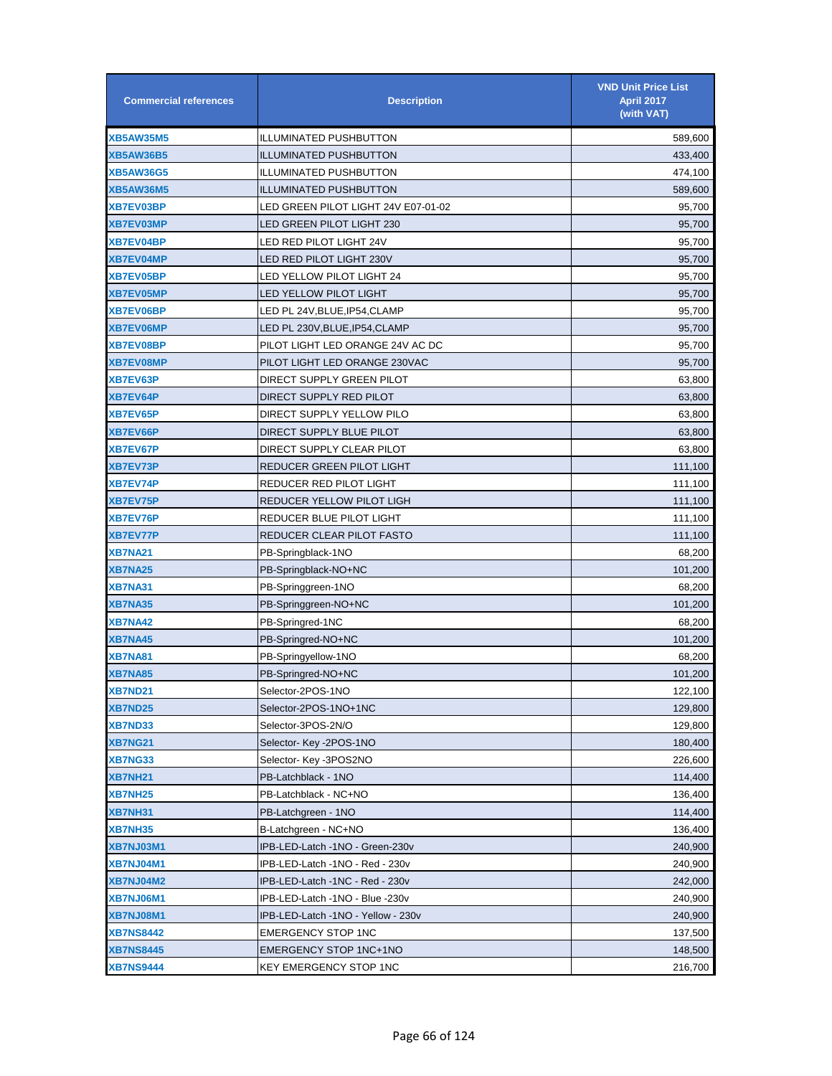| <b>Commercial references</b> | <b>Description</b>                  | <b>VND Unit Price List</b><br><b>April 2017</b><br>(with VAT) |
|------------------------------|-------------------------------------|---------------------------------------------------------------|
| <b>XB5AW35M5</b>             | <b>ILLUMINATED PUSHBUTTON</b>       | 589,600                                                       |
| <b>XB5AW36B5</b>             | <b>ILLUMINATED PUSHBUTTON</b>       | 433,400                                                       |
| <b>XB5AW36G5</b>             | <b>ILLUMINATED PUSHBUTTON</b>       | 474,100                                                       |
| <b>XB5AW36M5</b>             | <b>ILLUMINATED PUSHBUTTON</b>       | 589,600                                                       |
| <b>XB7EV03BP</b>             | LED GREEN PILOT LIGHT 24V E07-01-02 | 95,700                                                        |
| <b>XB7EV03MP</b>             | LED GREEN PILOT LIGHT 230           | 95,700                                                        |
| XB7EV04BP                    | LED RED PILOT LIGHT 24V             | 95,700                                                        |
| <b>XB7EV04MP</b>             | LED RED PILOT LIGHT 230V            | 95,700                                                        |
| <b>XB7EV05BP</b>             | LED YELLOW PILOT LIGHT 24           | 95,700                                                        |
| <b>XB7EV05MP</b>             | LED YELLOW PILOT LIGHT              | 95,700                                                        |
| <b>XB7EV06BP</b>             | LED PL 24V,BLUE,IP54,CLAMP          | 95,700                                                        |
| <b>XB7EV06MP</b>             | LED PL 230V,BLUE,IP54,CLAMP         | 95,700                                                        |
| <b>XB7EV08BP</b>             | PILOT LIGHT LED ORANGE 24V AC DC    | 95,700                                                        |
| <b>XB7EV08MP</b>             | PILOT LIGHT LED ORANGE 230VAC       | 95,700                                                        |
| XB7EV63P                     | DIRECT SUPPLY GREEN PILOT           | 63,800                                                        |
| <b>XB7EV64P</b>              | DIRECT SUPPLY RED PILOT             | 63,800                                                        |
| <b>XB7EV65P</b>              | DIRECT SUPPLY YELLOW PILO           | 63,800                                                        |
| XB7EV66P                     | DIRECT SUPPLY BLUE PILOT            | 63,800                                                        |
| <b>XB7EV67P</b>              | DIRECT SUPPLY CLEAR PILOT           | 63,800                                                        |
| XB7EV73P                     | REDUCER GREEN PILOT LIGHT           | 111,100                                                       |
| <b>XB7EV74P</b>              | REDUCER RED PILOT LIGHT             | 111,100                                                       |
| <b>XB7EV75P</b>              | REDUCER YELLOW PILOT LIGH           | 111,100                                                       |
| <b>XB7EV76P</b>              | REDUCER BLUE PILOT LIGHT            | 111,100                                                       |
| <b>XB7EV77P</b>              | REDUCER CLEAR PILOT FASTO           | 111,100                                                       |
| XB7NA21                      | PB-Springblack-1NO                  | 68,200                                                        |
| XB7NA25                      | PB-Springblack-NO+NC                | 101,200                                                       |
| XB7NA31                      | PB-Springgreen-1NO                  | 68,200                                                        |
| <b>XB7NA35</b>               | PB-Springgreen-NO+NC                | 101,200                                                       |
| <b>XB7NA42</b>               | PB-Springred-1NC                    | 68,200                                                        |
| <b>XB7NA45</b>               | PB-Springred-NO+NC                  | 101,200                                                       |
| XB7NA81                      | PB-Springyellow-1NO                 | 68,200                                                        |
| XB7NA85                      | PB-Springred-NO+NC                  | 101,200                                                       |
| <b>XB7ND21</b>               | Selector-2POS-1NO                   | 122,100                                                       |
| <b>XB7ND25</b>               | Selector-2POS-1NO+1NC               | 129,800                                                       |
| XB7ND33                      | Selector-3POS-2N/O                  | 129,800                                                       |
| <b>XB7NG21</b>               | Selector-Key-2POS-1NO               | 180,400                                                       |
| <b>XB7NG33</b>               | Selector- Key -3POS2NO              | 226,600                                                       |
| XB7NH21                      | PB-Latchblack - 1NO                 | 114,400                                                       |
| <b>XB7NH25</b>               | PB-Latchblack - NC+NO               | 136,400                                                       |
| XB7NH31                      | PB-Latchgreen - 1NO                 | 114,400                                                       |
| XB7NH35                      | B-Latchgreen - NC+NO                | 136,400                                                       |
| XB7NJ03M1                    | IPB-LED-Latch -1NO - Green-230v     | 240,900                                                       |
| XB7NJ04M1                    | IPB-LED-Latch -1NO - Red - 230v     | 240,900                                                       |
| <b>XB7NJ04M2</b>             | IPB-LED-Latch -1NC - Red - 230v     | 242,000                                                       |
| XB7NJ06M1                    | IPB-LED-Latch -1NO - Blue -230v     | 240,900                                                       |
| XB7NJ08M1                    | IPB-LED-Latch -1NO - Yellow - 230v  | 240,900                                                       |
| <b>XB7NS8442</b>             | <b>EMERGENCY STOP 1NC</b>           | 137,500                                                       |
| <b>XB7NS8445</b>             | EMERGENCY STOP 1NC+1NO              | 148,500                                                       |
| <b>XB7NS9444</b>             | KEY EMERGENCY STOP 1NC              | 216,700                                                       |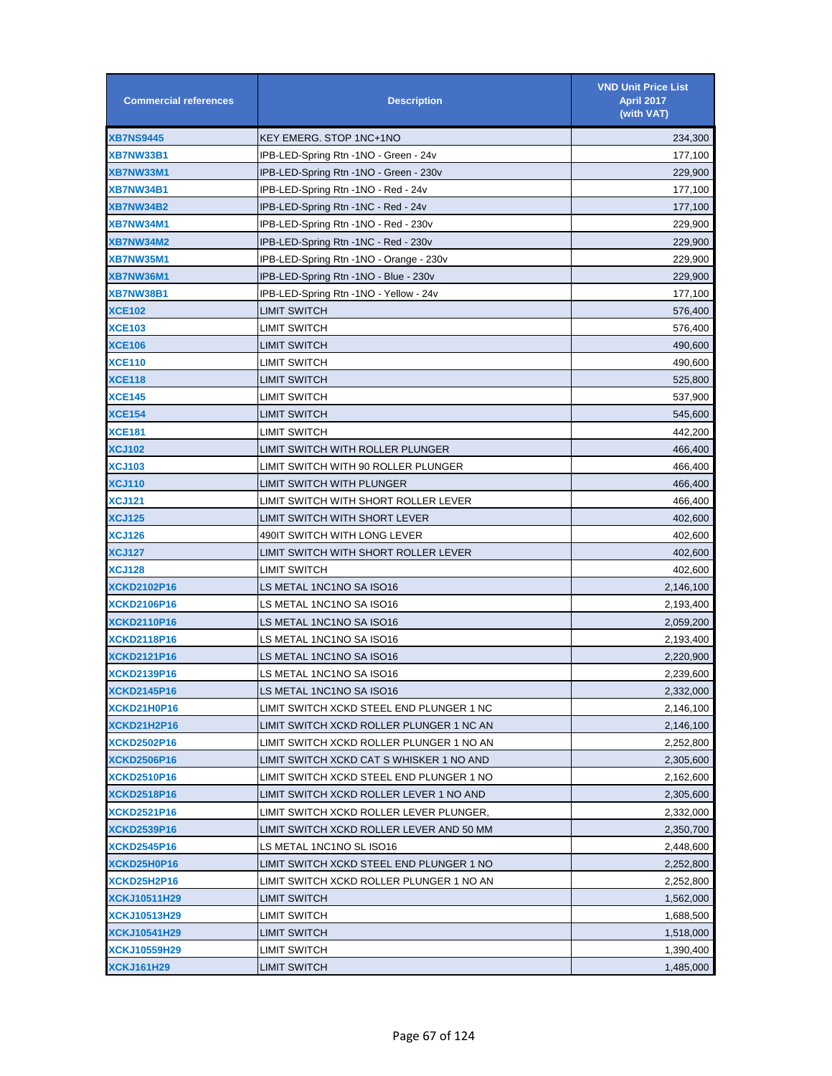| <b>Commercial references</b> | <b>Description</b>                       | <b>VND Unit Price List</b><br>April 2017<br>(with VAT) |
|------------------------------|------------------------------------------|--------------------------------------------------------|
| <b>XB7NS9445</b>             | KEY EMERG. STOP 1NC+1NO                  | 234,300                                                |
| <b>XB7NW33B1</b>             | IPB-LED-Spring Rtn -1NO - Green - 24v    | 177,100                                                |
| <b>XB7NW33M1</b>             | IPB-LED-Spring Rtn -1NO - Green - 230v   | 229,900                                                |
| <b>XB7NW34B1</b>             | IPB-LED-Spring Rtn -1NO - Red - 24v      | 177,100                                                |
| <b>XB7NW34B2</b>             | IPB-LED-Spring Rtn -1NC - Red - 24v      | 177,100                                                |
| <b>XB7NW34M1</b>             | IPB-LED-Spring Rtn -1NO - Red - 230v     | 229,900                                                |
| <b>XB7NW34M2</b>             | IPB-LED-Spring Rtn -1NC - Red - 230v     | 229,900                                                |
| <b>XB7NW35M1</b>             | IPB-LED-Spring Rtn -1NO - Orange - 230v  | 229,900                                                |
| XB7NW36M1                    | IPB-LED-Spring Rtn -1NO - Blue - 230v    | 229,900                                                |
| <b>XB7NW38B1</b>             | IPB-LED-Spring Rtn -1NO - Yellow - 24v   | 177,100                                                |
| <b>XCE102</b>                | LIMIT SWITCH                             | 576,400                                                |
| <b>XCE103</b>                | LIMIT SWITCH                             | 576,400                                                |
| <b>XCE106</b>                | LIMIT SWITCH                             | 490,600                                                |
| <b>XCE110</b>                | LIMIT SWITCH                             | 490,600                                                |
| <b>XCE118</b>                | LIMIT SWITCH                             | 525,800                                                |
| <b>XCE145</b>                | LIMIT SWITCH                             | 537,900                                                |
| <b>XCE154</b>                | LIMIT SWITCH                             | 545,600                                                |
| <b>XCE181</b>                | LIMIT SWITCH                             | 442,200                                                |
| <b>XCJ102</b>                | LIMIT SWITCH WITH ROLLER PLUNGER         | 466,400                                                |
| <b>XCJ103</b>                | LIMIT SWITCH WITH 90 ROLLER PLUNGER      | 466,400                                                |
| <b>XCJ110</b>                | LIMIT SWITCH WITH PLUNGER                | 466,400                                                |
| <b>XCJ121</b>                | LIMIT SWITCH WITH SHORT ROLLER LEVER     | 466,400                                                |
| <b>XCJ125</b>                | LIMIT SWITCH WITH SHORT LEVER            | 402,600                                                |
| <b>XCJ126</b>                | 490IT SWITCH WITH LONG LEVER             | 402,600                                                |
| <b>XCJ127</b>                | LIMIT SWITCH WITH SHORT ROLLER LEVER     | 402,600                                                |
| <b>XCJ128</b>                | LIMIT SWITCH                             | 402,600                                                |
| <b>XCKD2102P16</b>           | LS METAL 1NC1NO SA ISO16                 | 2,146,100                                              |
| <b>XCKD2106P16</b>           | LS METAL 1NC1NO SA ISO16                 | 2,193,400                                              |
| <b>XCKD2110P16</b>           | LS METAL 1NC1NO SA ISO16                 | 2,059,200                                              |
| <b>XCKD2118P16</b>           | LS METAL 1NC1NO SA ISO16                 | 2,193,400                                              |
| <b>XCKD2121P16</b>           | LS METAL 1NC1NO SA ISO16                 | 2,220,900                                              |
| <b>XCKD2139P16</b>           | LS METAL 1NC1NO SA ISO16                 | 2,239,600                                              |
| <b>XCKD2145P16</b>           | LS METAL 1NC1NO SA ISO16                 | 2,332,000                                              |
| XCKD21H0P16                  | LIMIT SWITCH XCKD STEEL END PLUNGER 1 NC | 2,146,100                                              |
| XCKD21H2P16                  | LIMIT SWITCH XCKD ROLLER PLUNGER 1 NC AN | 2,146,100                                              |
| <b>XCKD2502P16</b>           | LIMIT SWITCH XCKD ROLLER PLUNGER 1 NO AN | 2,252,800                                              |
| <b>XCKD2506P16</b>           | LIMIT SWITCH XCKD CAT S WHISKER 1 NO AND | 2,305,600                                              |
| <b>XCKD2510P16</b>           | LIMIT SWITCH XCKD STEEL END PLUNGER 1 NO | 2,162,600                                              |
| <b>XCKD2518P16</b>           | LIMIT SWITCH XCKD ROLLER LEVER 1 NO AND  | 2,305,600                                              |
| <b>XCKD2521P16</b>           | LIMIT SWITCH XCKD ROLLER LEVER PLUNGER,  | 2,332,000                                              |
| <b>XCKD2539P16</b>           | LIMIT SWITCH XCKD ROLLER LEVER AND 50 MM | 2,350,700                                              |
| <b>XCKD2545P16</b>           | LS METAL 1NC1NO SL ISO16                 | 2,448,600                                              |
| XCKD25H0P16                  | LIMIT SWITCH XCKD STEEL END PLUNGER 1 NO | 2,252,800                                              |
| XCKD25H2P16                  | LIMIT SWITCH XCKD ROLLER PLUNGER 1 NO AN | 2,252,800                                              |
| <b>XCKJ10511H29</b>          | LIMIT SWITCH                             | 1,562,000                                              |
| <b>XCKJ10513H29</b>          | LIMIT SWITCH                             | 1,688,500                                              |
| <b>XCKJ10541H29</b>          | LIMIT SWITCH                             | 1,518,000                                              |
| <b>XCKJ10559H29</b>          | LIMIT SWITCH                             | 1,390,400                                              |
| <b>XCKJ161H29</b>            | <b>LIMIT SWITCH</b>                      | 1,485,000                                              |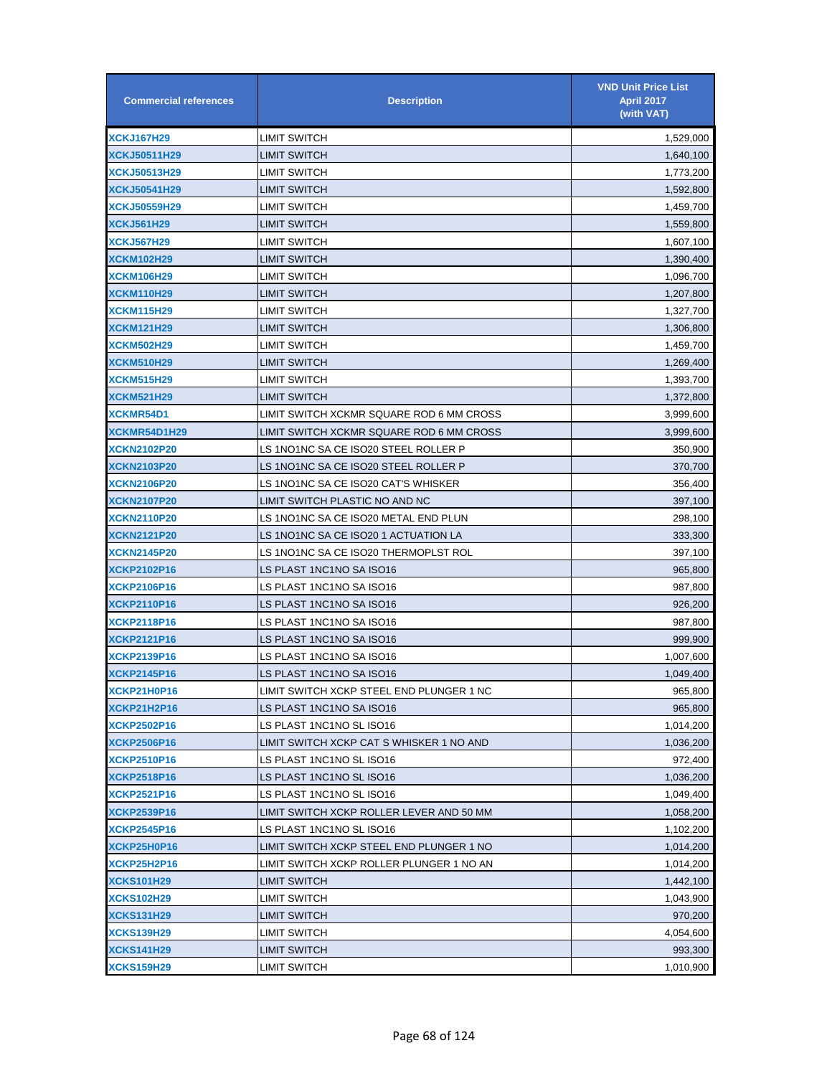| <b>Commercial references</b> | <b>Description</b>                       | <b>VND Unit Price List</b><br><b>April 2017</b><br>(with VAT) |
|------------------------------|------------------------------------------|---------------------------------------------------------------|
| <b>XCKJ167H29</b>            | LIMIT SWITCH                             | 1,529,000                                                     |
| <b>XCKJ50511H29</b>          | LIMIT SWITCH                             | 1,640,100                                                     |
| <b>XCKJ50513H29</b>          | LIMIT SWITCH                             | 1,773,200                                                     |
| <b>XCKJ50541H29</b>          | LIMIT SWITCH                             | 1,592,800                                                     |
| <b>XCKJ50559H29</b>          | LIMIT SWITCH                             | 1,459,700                                                     |
| <b>XCKJ561H29</b>            | LIMIT SWITCH                             | 1,559,800                                                     |
| <b>XCKJ567H29</b>            | LIMIT SWITCH                             | 1,607,100                                                     |
| <b>XCKM102H29</b>            | <b>LIMIT SWITCH</b>                      | 1,390,400                                                     |
| <b>XCKM106H29</b>            | LIMIT SWITCH                             | 1,096,700                                                     |
| <b>XCKM110H29</b>            | LIMIT SWITCH                             | 1,207,800                                                     |
| <b>XCKM115H29</b>            | LIMIT SWITCH                             | 1,327,700                                                     |
| <b>XCKM121H29</b>            | LIMIT SWITCH                             | 1,306,800                                                     |
| <b>XCKM502H29</b>            | LIMIT SWITCH                             | 1,459,700                                                     |
| <b>XCKM510H29</b>            | LIMIT SWITCH                             | 1,269,400                                                     |
| <b>XCKM515H29</b>            | LIMIT SWITCH                             | 1,393,700                                                     |
| <b>XCKM521H29</b>            | LIMIT SWITCH                             | 1,372,800                                                     |
| XCKMR54D1                    | LIMIT SWITCH XCKMR SQUARE ROD 6 MM CROSS | 3,999,600                                                     |
| <b>XCKMR54D1H29</b>          | LIMIT SWITCH XCKMR SQUARE ROD 6 MM CROSS | 3,999,600                                                     |
| <b>XCKN2102P20</b>           | LS 1NO1NC SA CE ISO20 STEEL ROLLER P     | 350,900                                                       |
| <b>XCKN2103P20</b>           | LS 1NO1NC SA CE ISO20 STEEL ROLLER P     | 370,700                                                       |
| <b>XCKN2106P20</b>           | LS 1NO1NC SA CE ISO20 CAT'S WHISKER      | 356,400                                                       |
| <b>XCKN2107P20</b>           | LIMIT SWITCH PLASTIC NO AND NC           | 397,100                                                       |
| <b>XCKN2110P20</b>           | LS 1NO1NC SA CE ISO20 METAL END PLUN     | 298,100                                                       |
| <b>XCKN2121P20</b>           | LS 1NO1NC SA CE ISO20 1 ACTUATION LA     | 333,300                                                       |
| <b>XCKN2145P20</b>           | LS 1NO1NC SA CE ISO20 THERMOPLST ROL     | 397,100                                                       |
| <b>XCKP2102P16</b>           | LS PLAST 1NC1NO SA ISO16                 | 965,800                                                       |
| <b>XCKP2106P16</b>           | LS PLAST 1NC1NO SA ISO16                 | 987,800                                                       |
| <b>XCKP2110P16</b>           | LS PLAST 1NC1NO SA ISO16                 | 926,200                                                       |
| XCKP2118P16                  | LS PLAST 1NC1NO SA ISO16                 | 987,800                                                       |
| <b>XCKP2121P16</b>           | LS PLAST 1NC1NO SA ISO16                 | 999,900                                                       |
| XCKP2139P16                  | LS PLAST 1NC1NO SA ISO16                 | 1,007,600                                                     |
| <b>XCKP2145P16</b>           | LS PLAST 1NC1NO SA ISO16                 | 1,049,400                                                     |
| XCKP21H0P16                  | LIMIT SWITCH XCKP STEEL END PLUNGER 1 NC | 965,800                                                       |
| <b>XCKP21H2P16</b>           | LS PLAST 1NC1NO SA ISO16                 | 965,800                                                       |
| XCKP2502P16                  | LS PLAST 1NC1NO SL ISO16                 | 1,014,200                                                     |
| <b>XCKP2506P16</b>           | LIMIT SWITCH XCKP CAT S WHISKER 1 NO AND | 1,036,200                                                     |
| XCKP2510P16                  | LS PLAST 1NC1NO SL ISO16                 | 972,400                                                       |
| XCKP2518P16                  | LS PLAST 1NC1NO SL ISO16                 | 1,036,200                                                     |
| <b>XCKP2521P16</b>           | LS PLAST 1NC1NO SL ISO16                 | 1,049,400                                                     |
| XCKP2539P16                  | LIMIT SWITCH XCKP ROLLER LEVER AND 50 MM | 1,058,200                                                     |
| XCKP2545P16                  | LS PLAST 1NC1NO SL ISO16                 | 1,102,200                                                     |
| XCKP25H0P16                  | LIMIT SWITCH XCKP STEEL END PLUNGER 1 NO | 1,014,200                                                     |
| XCKP25H2P16                  | LIMIT SWITCH XCKP ROLLER PLUNGER 1 NO AN | 1,014,200                                                     |
| <b>XCKS101H29</b>            | LIMIT SWITCH                             | 1,442,100                                                     |
| <b>XCKS102H29</b>            | LIMIT SWITCH                             | 1,043,900                                                     |
| <b>XCKS131H29</b>            | LIMIT SWITCH                             | 970,200                                                       |
| <b>XCKS139H29</b>            | LIMIT SWITCH                             | 4,054,600                                                     |
| <b>XCKS141H29</b>            | <b>LIMIT SWITCH</b>                      | 993,300                                                       |
| <b>XCKS159H29</b>            | LIMIT SWITCH                             | 1,010,900                                                     |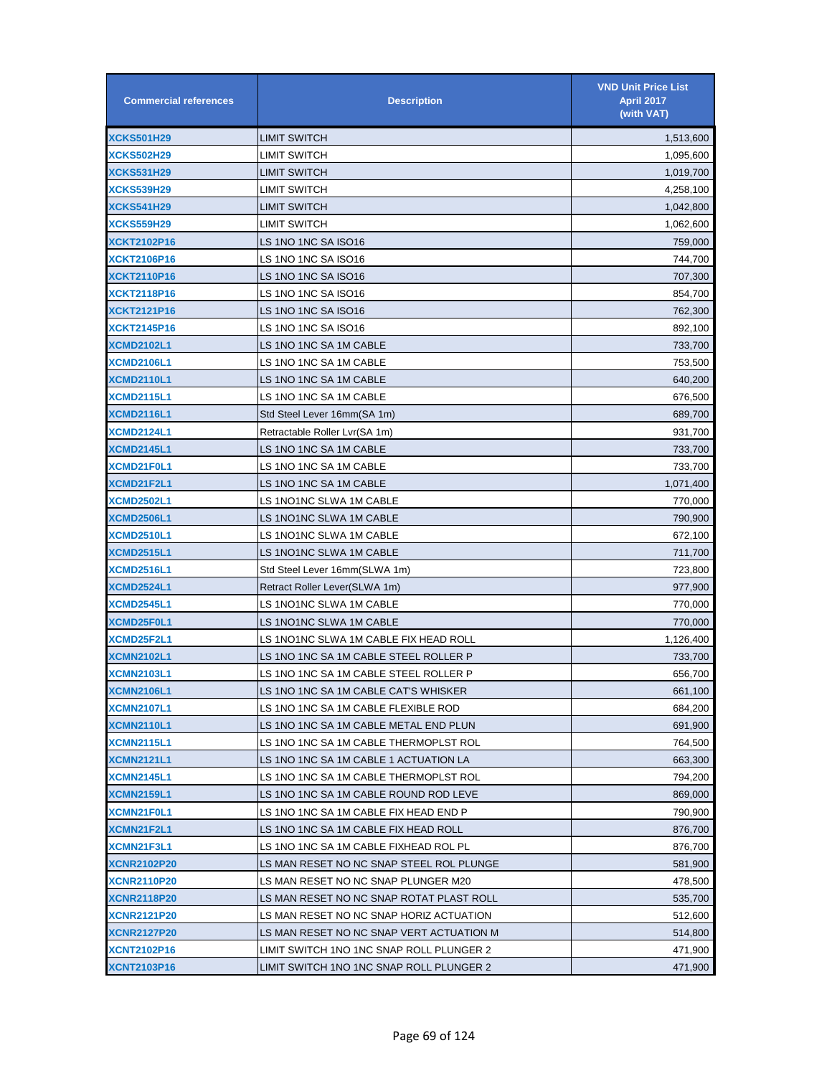| <b>Commercial references</b> | <b>Description</b>                       | <b>VND Unit Price List</b><br><b>April 2017</b><br>(with VAT) |
|------------------------------|------------------------------------------|---------------------------------------------------------------|
| <b>XCKS501H29</b>            | LIMIT SWITCH                             | 1,513,600                                                     |
| <b>XCKS502H29</b>            | LIMIT SWITCH                             | 1,095,600                                                     |
| <b>XCKS531H29</b>            | LIMIT SWITCH                             | 1,019,700                                                     |
| <b>XCKS539H29</b>            | LIMIT SWITCH                             | 4,258,100                                                     |
| <b>XCKS541H29</b>            | LIMIT SWITCH                             | 1,042,800                                                     |
| <b>XCKS559H29</b>            | LIMIT SWITCH                             | 1,062,600                                                     |
| <b>XCKT2102P16</b>           | LS 1NO 1NC SA ISO16                      | 759,000                                                       |
| <b>XCKT2106P16</b>           | LS 1NO 1NC SA ISO16                      | 744,700                                                       |
| <b>XCKT2110P16</b>           | LS 1NO 1NC SA ISO16                      | 707,300                                                       |
| <b>XCKT2118P16</b>           | LS 1NO 1NC SA ISO16                      | 854,700                                                       |
| <b>XCKT2121P16</b>           | LS 1NO 1NC SA ISO16                      | 762,300                                                       |
| <b>XCKT2145P16</b>           | LS 1NO 1NC SA ISO16                      | 892,100                                                       |
| <b>XCMD2102L1</b>            | LS 1NO 1NC SA 1M CABLE                   | 733,700                                                       |
| <b>XCMD2106L1</b>            | LS 1NO 1NC SA 1M CABLE                   | 753,500                                                       |
| <b>XCMD2110L1</b>            | LS 1NO 1NC SA 1M CABLE                   | 640,200                                                       |
| <b>XCMD2115L1</b>            | LS 1NO 1NC SA 1M CABLE                   | 676,500                                                       |
| <b>XCMD2116L1</b>            | Std Steel Lever 16mm(SA 1m)              | 689,700                                                       |
| <b>XCMD2124L1</b>            | Retractable Roller Lvr(SA 1m)            | 931,700                                                       |
| <b>XCMD2145L1</b>            | LS 1NO 1NC SA 1M CABLE                   | 733,700                                                       |
| XCMD21F0L1                   | LS 1NO 1NC SA 1M CABLE                   | 733,700                                                       |
| XCMD21F2L1                   | LS 1NO 1NC SA 1M CABLE                   | 1,071,400                                                     |
| <b>XCMD2502L1</b>            | LS 1NO1NC SLWA 1M CABLE                  | 770,000                                                       |
| <b>XCMD2506L1</b>            | LS 1NO1NC SLWA 1M CABLE                  | 790,900                                                       |
| <b>XCMD2510L1</b>            | LS 1NO1NC SLWA 1M CABLE                  | 672,100                                                       |
| <b>XCMD2515L1</b>            | LS 1NO1NC SLWA 1M CABLE                  | 711,700                                                       |
| <b>XCMD2516L1</b>            | Std Steel Lever 16mm(SLWA 1m)            | 723,800                                                       |
| <b>XCMD2524L1</b>            | Retract Roller Lever(SLWA 1m)            | 977,900                                                       |
| <b>XCMD2545L1</b>            | LS 1NO1NC SLWA 1M CABLE                  | 770,000                                                       |
| XCMD25F0L1                   | LS 1NO1NC SLWA 1M CABLE                  | 770,000                                                       |
| XCMD25F2L1                   | LS 1NO1NC SLWA 1M CABLE FIX HEAD ROLL    | 1,126,400                                                     |
| <b>XCMN2102L1</b>            | LS 1NO 1NC SA 1M CABLE STEEL ROLLER P    | 733,700                                                       |
| <b>XCMN2103L1</b>            | LS 1NO 1NC SA 1M CABLE STEEL ROLLER P    | 656,700                                                       |
| <b>XCMN2106L1</b>            | LS 1NO 1NC SA 1M CABLE CAT'S WHISKER     | 661,100                                                       |
| XCMN2107L1                   | LS 1NO 1NC SA 1M CABLE FLEXIBLE ROD      | 684,200                                                       |
| <b>XCMN2110L1</b>            | LS 1NO 1NC SA 1M CABLE METAL END PLUN    | 691,900                                                       |
| XCMN2115L1                   | LS 1NO 1NC SA 1M CABLE THERMOPLST ROL    | 764,500                                                       |
| <b>XCMN2121L1</b>            | LS 1NO 1NC SA 1M CABLE 1 ACTUATION LA    | 663,300                                                       |
| <b>XCMN2145L1</b>            | LS 1NO 1NC SA 1M CABLE THERMOPLST ROL    | 794,200                                                       |
| <b>XCMN2159L1</b>            | LS 1NO 1NC SA 1M CABLE ROUND ROD LEVE    | 869,000                                                       |
| XCMN21F0L1                   | LS 1NO 1NC SA 1M CABLE FIX HEAD END P    | 790,900                                                       |
| XCMN21F2L1                   | LS 1NO 1NC SA 1M CABLE FIX HEAD ROLL     | 876,700                                                       |
| XCMN21F3L1                   | LS 1NO 1NC SA 1M CABLE FIXHEAD ROL PL    | 876,700                                                       |
| <b>XCNR2102P20</b>           | LS MAN RESET NO NC SNAP STEEL ROL PLUNGE | 581,900                                                       |
| <b>XCNR2110P20</b>           | LS MAN RESET NO NC SNAP PLUNGER M20      | 478,500                                                       |
| <b>XCNR2118P20</b>           | LS MAN RESET NO NC SNAP ROTAT PLAST ROLL | 535,700                                                       |
| <b>XCNR2121P20</b>           | LS MAN RESET NO NC SNAP HORIZ ACTUATION  | 512,600                                                       |
| <b>XCNR2127P20</b>           | LS MAN RESET NO NC SNAP VERT ACTUATION M | 514,800                                                       |
| <b>XCNT2102P16</b>           | LIMIT SWITCH 1NO 1NC SNAP ROLL PLUNGER 2 | 471,900                                                       |
| <b>XCNT2103P16</b>           | LIMIT SWITCH 1NO 1NC SNAP ROLL PLUNGER 2 | 471,900                                                       |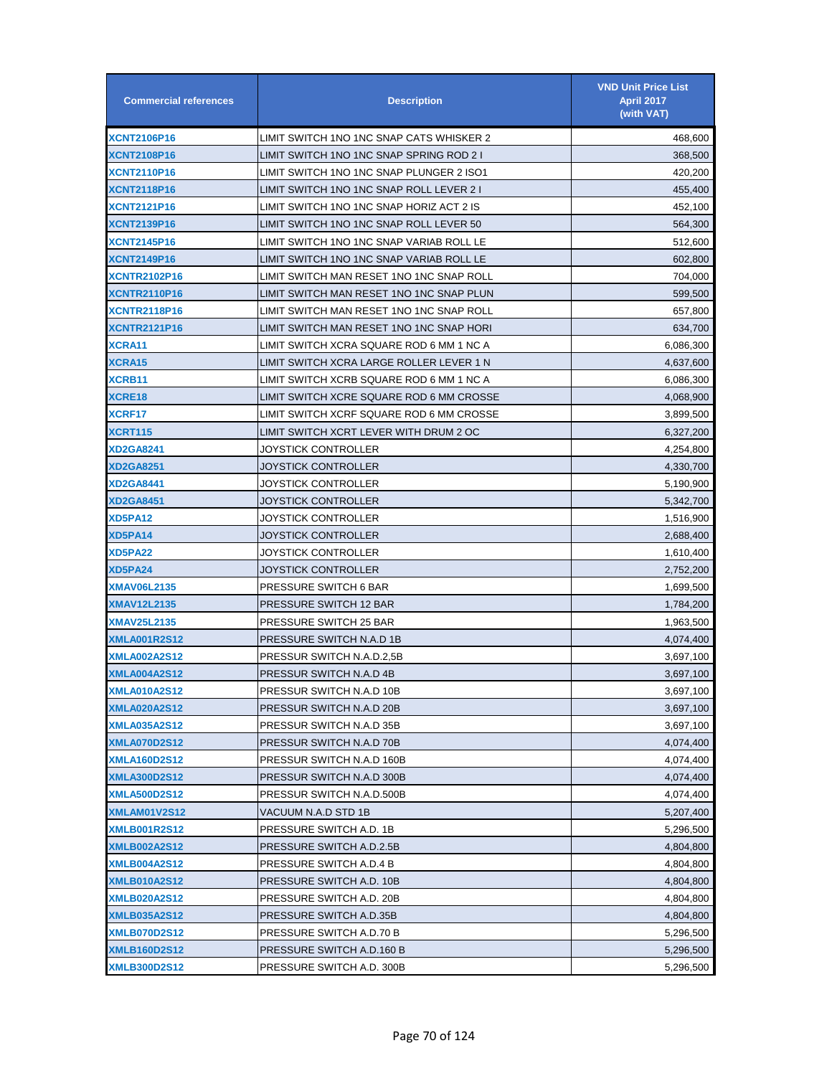| <b>Commercial references</b> | <b>Description</b>                       | <b>VND Unit Price List</b><br><b>April 2017</b><br>(with VAT) |
|------------------------------|------------------------------------------|---------------------------------------------------------------|
| <b>XCNT2106P16</b>           | LIMIT SWITCH 1NO 1NC SNAP CATS WHISKER 2 | 468,600                                                       |
| <b>XCNT2108P16</b>           | LIMIT SWITCH 1NO 1NC SNAP SPRING ROD 2 I | 368,500                                                       |
| <b>XCNT2110P16</b>           | LIMIT SWITCH 1NO 1NC SNAP PLUNGER 2 ISO1 | 420,200                                                       |
| <b>XCNT2118P16</b>           | LIMIT SWITCH 1NO 1NC SNAP ROLL LEVER 2 I | 455,400                                                       |
| <b>XCNT2121P16</b>           | LIMIT SWITCH 1NO 1NC SNAP HORIZ ACT 2 IS | 452,100                                                       |
| <b>XCNT2139P16</b>           | LIMIT SWITCH 1NO 1NC SNAP ROLL LEVER 50  | 564,300                                                       |
| <b>XCNT2145P16</b>           | LIMIT SWITCH 1NO 1NC SNAP VARIAB ROLL LE | 512,600                                                       |
| <b>XCNT2149P16</b>           | LIMIT SWITCH 1NO 1NC SNAP VARIAB ROLL LE | 602,800                                                       |
| <b>XCNTR2102P16</b>          | LIMIT SWITCH MAN RESET 1NO 1NC SNAP ROLL | 704,000                                                       |
| <b>XCNTR2110P16</b>          | LIMIT SWITCH MAN RESET 1NO 1NC SNAP PLUN | 599,500                                                       |
| <b>XCNTR2118P16</b>          | LIMIT SWITCH MAN RESET 1NO 1NC SNAP ROLL | 657,800                                                       |
| <b>XCNTR2121P16</b>          | LIMIT SWITCH MAN RESET 1NO 1NC SNAP HORI | 634,700                                                       |
| XCRA11                       | LIMIT SWITCH XCRA SQUARE ROD 6 MM 1 NC A | 6,086,300                                                     |
| XCRA15                       | LIMIT SWITCH XCRA LARGE ROLLER LEVER 1 N | 4,637,600                                                     |
| <b>XCRB11</b>                | LIMIT SWITCH XCRB SQUARE ROD 6 MM 1 NC A | 6,086,300                                                     |
| XCRE18                       | LIMIT SWITCH XCRE SQUARE ROD 6 MM CROSSE | 4,068,900                                                     |
| XCRF17                       | LIMIT SWITCH XCRF SQUARE ROD 6 MM CROSSE | 3,899,500                                                     |
| XCRT115                      | LIMIT SWITCH XCRT LEVER WITH DRUM 2 OC   | 6,327,200                                                     |
| <b>XD2GA8241</b>             | JOYSTICK CONTROLLER                      | 4,254,800                                                     |
| <b>XD2GA8251</b>             | JOYSTICK CONTROLLER                      | 4,330,700                                                     |
| <b>XD2GA8441</b>             | JOYSTICK CONTROLLER                      | 5,190,900                                                     |
| <b>XD2GA8451</b>             | JOYSTICK CONTROLLER                      | 5,342,700                                                     |
| XD5PA12                      | JOYSTICK CONTROLLER                      | 1,516,900                                                     |
| XD5PA14                      | JOYSTICK CONTROLLER                      | 2,688,400                                                     |
| <b>XD5PA22</b>               | JOYSTICK CONTROLLER                      | 1,610,400                                                     |
| XD5PA24                      | JOYSTICK CONTROLLER                      | 2,752,200                                                     |
| <b>XMAV06L2135</b>           | PRESSURE SWITCH 6 BAR                    | 1,699,500                                                     |
| <b>XMAV12L2135</b>           | PRESSURE SWITCH 12 BAR                   | 1,784,200                                                     |
| <b>XMAV25L2135</b>           | PRESSURE SWITCH 25 BAR                   | 1,963,500                                                     |
| <b>XMLA001R2S12</b>          | PRESSURE SWITCH N.A.D 1B                 | 4,074,400                                                     |
| <b>XMLA002A2S12</b>          | PRESSUR SWITCH N.A.D.2,5B                | 3,697,100                                                     |
| <b>XMLA004A2S12</b>          | PRESSUR SWITCH N.A.D 4B                  | 3,697,100                                                     |
| <b>XMLA010A2S12</b>          | PRESSUR SWITCH N.A.D 10B                 | 3,697,100                                                     |
| <b>XMLA020A2S12</b>          | PRESSUR SWITCH N.A.D 20B                 | 3,697,100                                                     |
| XMLA035A2S12                 | PRESSUR SWITCH N.A.D 35B                 | 3,697,100                                                     |
| <b>XMLA070D2S12</b>          | PRESSUR SWITCH N.A.D 70B                 | 4,074,400                                                     |
| XMLA160D2S12                 | PRESSUR SWITCH N.A.D 160B                | 4,074,400                                                     |
| XMLA300D2S12                 | PRESSUR SWITCH N.A.D 300B                | 4,074,400                                                     |
| <b>XMLA500D2S12</b>          | PRESSUR SWITCH N.A.D.500B                | 4,074,400                                                     |
| XMLAM01V2S12                 | VACUUM N.A.D STD 1B                      | 5,207,400                                                     |
| <b>XMLB001R2S12</b>          | PRESSURE SWITCH A.D. 1B                  | 5,296,500                                                     |
| <u>XMLB002A2S12</u>          | PRESSURE SWITCH A.D.2.5B                 | 4,804,800                                                     |
| <b>XMLB004A2S12</b>          | PRESSURE SWITCH A.D.4 B                  | 4,804,800                                                     |
| <b>XMLB010A2S12</b>          | PRESSURE SWITCH A.D. 10B                 | 4,804,800                                                     |
| <b>XMLB020A2S12</b>          | PRESSURE SWITCH A.D. 20B                 | 4,804,800                                                     |
| <b>XMLB035A2S12</b>          | PRESSURE SWITCH A.D.35B                  | 4,804,800                                                     |
| <b>XMLB070D2S12</b>          | PRESSURE SWITCH A.D.70 B                 | 5,296,500                                                     |
| <b>XMLB160D2S12</b>          | PRESSURE SWITCH A.D.160 B                | 5,296,500                                                     |
| <b>XMLB300D2S12</b>          | PRESSURE SWITCH A.D. 300B                | 5,296,500                                                     |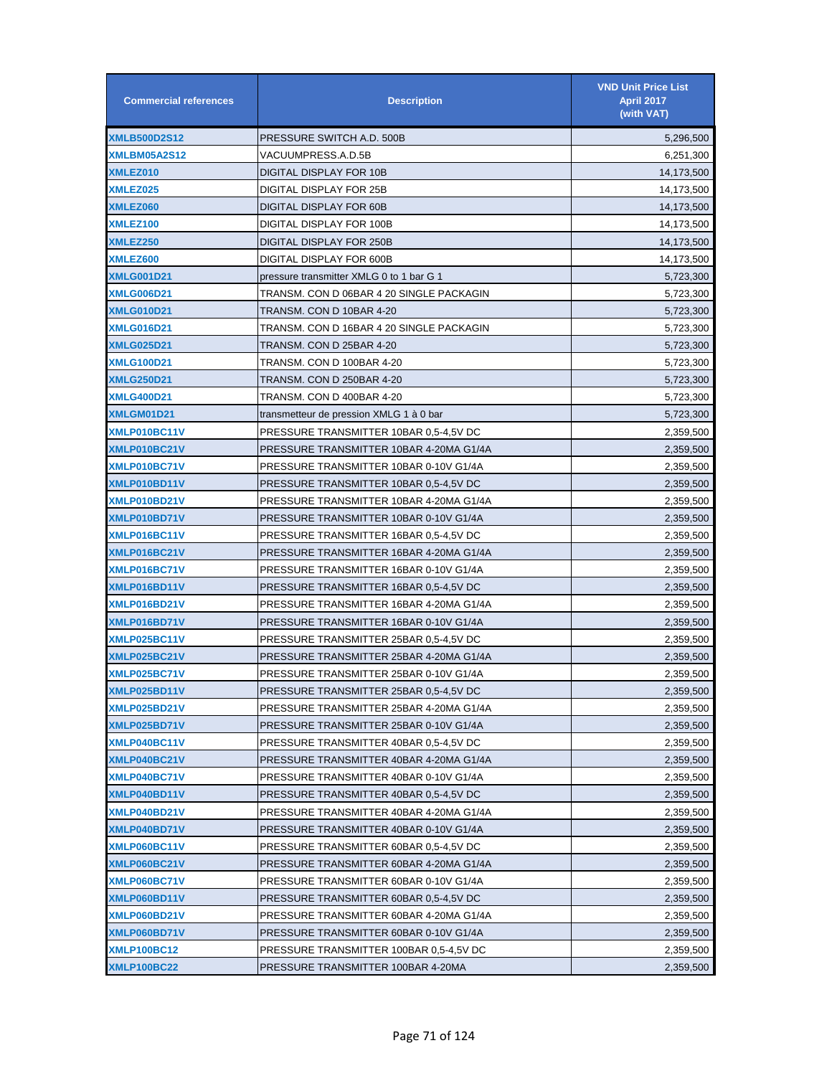| <b>Commercial references</b> | <b>Description</b>                       | <b>VND Unit Price List</b><br><b>April 2017</b><br>(with VAT) |
|------------------------------|------------------------------------------|---------------------------------------------------------------|
| <b>XMLB500D2S12</b>          | PRESSURE SWITCH A.D. 500B                | 5,296,500                                                     |
| XMLBM05A2S12                 | VACUUMPRESS.A.D.5B                       | 6,251,300                                                     |
| XMLEZ010                     | DIGITAL DISPLAY FOR 10B                  | 14,173,500                                                    |
| XMLEZ025                     | DIGITAL DISPLAY FOR 25B                  | 14,173,500                                                    |
| XMLEZ060                     | DIGITAL DISPLAY FOR 60B                  | 14,173,500                                                    |
| XMLEZ100                     | DIGITAL DISPLAY FOR 100B                 | 14,173,500                                                    |
| XMLEZ250                     | DIGITAL DISPLAY FOR 250B                 | 14,173,500                                                    |
| XMLEZ600                     | DIGITAL DISPLAY FOR 600B                 | 14,173,500                                                    |
| <b>XMLG001D21</b>            | pressure transmitter XMLG 0 to 1 bar G 1 | 5,723,300                                                     |
| <b>XMLG006D21</b>            | TRANSM. CON D 06BAR 4 20 SINGLE PACKAGIN | 5,723,300                                                     |
| <b>XMLG010D21</b>            | TRANSM. CON D 10BAR 4-20                 | 5,723,300                                                     |
| <b>XMLG016D21</b>            | TRANSM. CON D 16BAR 4 20 SINGLE PACKAGIN | 5,723,300                                                     |
| <b>XMLG025D21</b>            | TRANSM. CON D 25BAR 4-20                 | 5,723,300                                                     |
| <b>XMLG100D21</b>            | TRANSM. CON D 100BAR 4-20                | 5,723,300                                                     |
| <b>XMLG250D21</b>            | TRANSM. CON D 250BAR 4-20                | 5,723,300                                                     |
| <b>XMLG400D21</b>            | TRANSM. CON D 400BAR 4-20                | 5,723,300                                                     |
| XMLGM01D21                   | transmetteur de pression XMLG 1 à 0 bar  | 5,723,300                                                     |
| XMLP010BC11V                 | PRESSURE TRANSMITTER 10BAR 0,5-4,5V DC   | 2,359,500                                                     |
| XMLP010BC21V                 | PRESSURE TRANSMITTER 10BAR 4-20MA G1/4A  | 2,359,500                                                     |
| XMLP010BC71V                 | PRESSURE TRANSMITTER 10BAR 0-10V G1/4A   | 2,359,500                                                     |
| XMLP010BD11V                 | PRESSURE TRANSMITTER 10BAR 0,5-4,5V DC   | 2,359,500                                                     |
| XMLP010BD21V                 | PRESSURE TRANSMITTER 10BAR 4-20MA G1/4A  | 2,359,500                                                     |
| XMLP010BD71V                 | PRESSURE TRANSMITTER 10BAR 0-10V G1/4A   | 2,359,500                                                     |
| XMLP016BC11V                 | PRESSURE TRANSMITTER 16BAR 0,5-4,5V DC   | 2,359,500                                                     |
| XMLP016BC21V                 | PRESSURE TRANSMITTER 16BAR 4-20MA G1/4A  | 2,359,500                                                     |
| XMLP016BC71V                 | PRESSURE TRANSMITTER 16BAR 0-10V G1/4A   | 2,359,500                                                     |
| XMLP016BD11V                 | PRESSURE TRANSMITTER 16BAR 0,5-4,5V DC   | 2,359,500                                                     |
| XMLP016BD21V                 | PRESSURE TRANSMITTER 16BAR 4-20MA G1/4A  | 2,359,500                                                     |
| XMLP016BD71V                 | PRESSURE TRANSMITTER 16BAR 0-10V G1/4A   | 2,359,500                                                     |
| XMLP025BC11V                 | PRESSURE TRANSMITTER 25BAR 0,5-4,5V DC   | 2,359,500                                                     |
| XMLP025BC21V                 | PRESSURE TRANSMITTER 25BAR 4-20MA G1/4A  | 2,359,500                                                     |
| XMLP025BC71V                 | PRESSURE TRANSMITTER 25BAR 0-10V G1/4A   | 2,359,500                                                     |
| XMLP025BD11V                 | PRESSURE TRANSMITTER 25BAR 0,5-4,5V DC   | 2,359,500                                                     |
| XMLP025BD21V                 | PRESSURE TRANSMITTER 25BAR 4-20MA G1/4A  | 2,359,500                                                     |
| XMLP025BD71V                 | PRESSURE TRANSMITTER 25BAR 0-10V G1/4A   | 2,359,500                                                     |
| XMLP040BC11V                 | PRESSURE TRANSMITTER 40BAR 0.5-4.5V DC   | 2,359,500                                                     |
| XMLP040BC21V                 | PRESSURE TRANSMITTER 40BAR 4-20MA G1/4A  | 2,359,500                                                     |
| XMLP040BC71V                 | PRESSURE TRANSMITTER 40BAR 0-10V G1/4A   | 2,359,500                                                     |
| XMLP040BD11V                 | PRESSURE TRANSMITTER 40BAR 0,5-4,5V DC   | 2,359,500                                                     |
| XMLP040BD21V                 | PRESSURE TRANSMITTER 40BAR 4-20MA G1/4A  | 2,359,500                                                     |
| XMLP040BD71V                 | PRESSURE TRANSMITTER 40BAR 0-10V G1/4A   | 2,359,500                                                     |
| XMLP060BC11V                 | PRESSURE TRANSMITTER 60BAR 0,5-4,5V DC   | 2,359,500                                                     |
| XMLP060BC21V                 | PRESSURE TRANSMITTER 60BAR 4-20MA G1/4A  | 2,359,500                                                     |
| XMLP060BC71V                 | PRESSURE TRANSMITTER 60BAR 0-10V G1/4A   | 2,359,500                                                     |
| XMLP060BD11V                 | PRESSURE TRANSMITTER 60BAR 0,5-4,5V DC   | 2,359,500                                                     |
| XMLP060BD21V                 | PRESSURE TRANSMITTER 60BAR 4-20MA G1/4A  | 2,359,500                                                     |
| XMLP060BD71V                 | PRESSURE TRANSMITTER 60BAR 0-10V G1/4A   | 2,359,500                                                     |
| <b>XMLP100BC12</b>           | PRESSURE TRANSMITTER 100BAR 0,5-4,5V DC  | 2,359,500                                                     |
| <b>XMLP100BC22</b>           | PRESSURE TRANSMITTER 100BAR 4-20MA       | 2,359,500                                                     |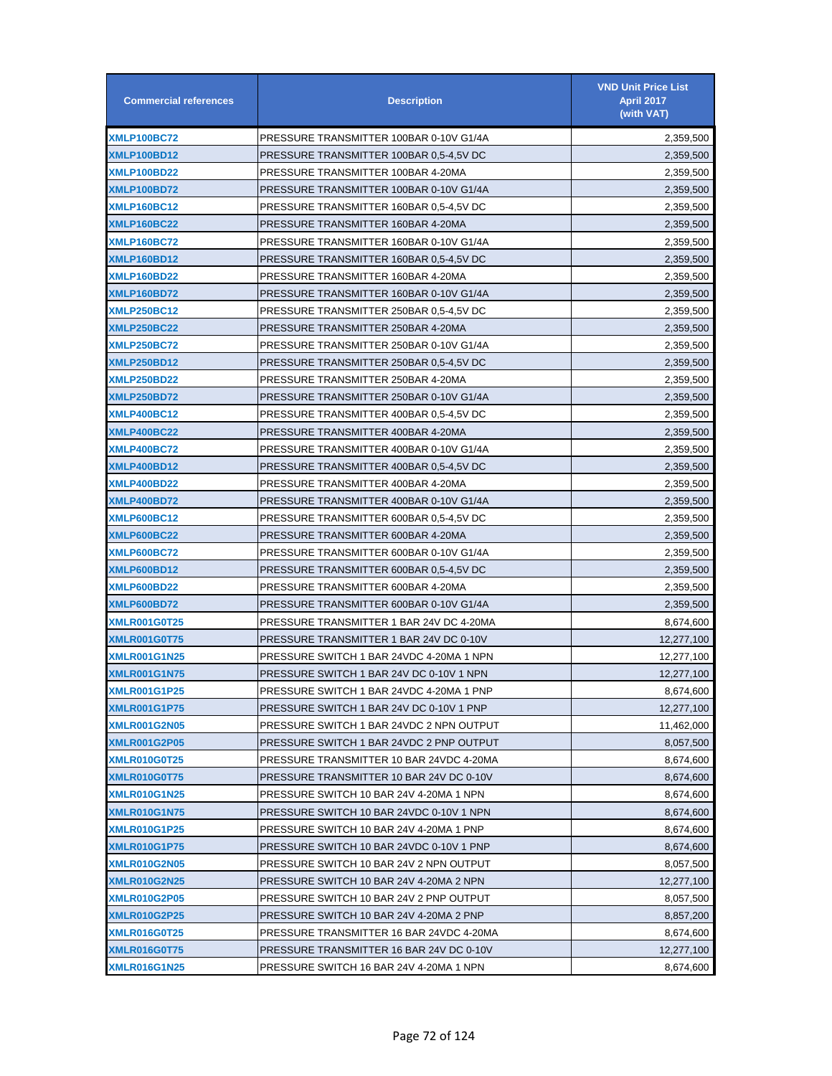| <b>Commercial references</b> | <b>Description</b>                       | <b>VND Unit Price List</b><br><b>April 2017</b><br>(with VAT) |
|------------------------------|------------------------------------------|---------------------------------------------------------------|
| <b>XMLP100BC72</b>           | PRESSURE TRANSMITTER 100BAR 0-10V G1/4A  | 2,359,500                                                     |
| XMLP100BD12                  | PRESSURE TRANSMITTER 100BAR 0.5-4.5V DC  | 2,359,500                                                     |
| XMLP100BD22                  | PRESSURE TRANSMITTER 100BAR 4-20MA       | 2,359,500                                                     |
| XMLP100BD72                  | PRESSURE TRANSMITTER 100BAR 0-10V G1/4A  | 2,359,500                                                     |
| <b>XMLP160BC12</b>           | PRESSURE TRANSMITTER 160BAR 0,5-4,5V DC  | 2,359,500                                                     |
| <b>XMLP160BC22</b>           | PRESSURE TRANSMITTER 160BAR 4-20MA       | 2,359,500                                                     |
| <b>XMLP160BC72</b>           | PRESSURE TRANSMITTER 160BAR 0-10V G1/4A  | 2,359,500                                                     |
| XMLP160BD12                  | PRESSURE TRANSMITTER 160BAR 0,5-4,5V DC  | 2,359,500                                                     |
| XMLP160BD22                  | PRESSURE TRANSMITTER 160BAR 4-20MA       | 2,359,500                                                     |
| XMLP160BD72                  | PRESSURE TRANSMITTER 160BAR 0-10V G1/4A  | 2,359,500                                                     |
| <b>XMLP250BC12</b>           | PRESSURE TRANSMITTER 250BAR 0,5-4,5V DC  | 2,359,500                                                     |
| XMLP250BC22                  | PRESSURE TRANSMITTER 250BAR 4-20MA       | 2,359,500                                                     |
| <b>XMLP250BC72</b>           | PRESSURE TRANSMITTER 250BAR 0-10V G1/4A  | 2,359,500                                                     |
| <b>XMLP250BD12</b>           | PRESSURE TRANSMITTER 250BAR 0,5-4,5V DC  | 2,359,500                                                     |
| XMLP250BD22                  | PRESSURE TRANSMITTER 250BAR 4-20MA       | 2,359,500                                                     |
| <b>XMLP250BD72</b>           | PRESSURE TRANSMITTER 250BAR 0-10V G1/4A  | 2,359,500                                                     |
| XMLP400BC12                  | PRESSURE TRANSMITTER 400BAR 0,5-4,5V DC  | 2,359,500                                                     |
| <b>XMLP400BC22</b>           | PRESSURE TRANSMITTER 400BAR 4-20MA       | 2,359,500                                                     |
| <b>XMLP400BC72</b>           | PRESSURE TRANSMITTER 400BAR 0-10V G1/4A  | 2,359,500                                                     |
| XMLP400BD12                  | PRESSURE TRANSMITTER 400BAR 0,5-4,5V DC  | 2,359,500                                                     |
| XMLP400BD22                  | PRESSURE TRANSMITTER 400BAR 4-20MA       | 2,359,500                                                     |
| XMLP400BD72                  | PRESSURE TRANSMITTER 400BAR 0-10V G1/4A  | 2,359,500                                                     |
| <b>XMLP600BC12</b>           | PRESSURE TRANSMITTER 600BAR 0,5-4,5V DC  | 2,359,500                                                     |
| XMLP600BC22                  | PRESSURE TRANSMITTER 600BAR 4-20MA       | 2,359,500                                                     |
| <b>XMLP600BC72</b>           | PRESSURE TRANSMITTER 600BAR 0-10V G1/4A  | 2,359,500                                                     |
| XMLP600BD12                  | PRESSURE TRANSMITTER 600BAR 0.5-4.5V DC  | 2,359,500                                                     |
| <b>XMLP600BD22</b>           | PRESSURE TRANSMITTER 600BAR 4-20MA       | 2,359,500                                                     |
| <b>XMLP600BD72</b>           | PRESSURE TRANSMITTER 600BAR 0-10V G1/4A  | 2,359,500                                                     |
| <b>XMLR001G0T25</b>          | PRESSURE TRANSMITTER 1 BAR 24V DC 4-20MA | 8,674,600                                                     |
| <b>XMLR001G0T75</b>          | PRESSURE TRANSMITTER 1 BAR 24V DC 0-10V  | 12,277,100                                                    |
| <b>XMLR001G1N25</b>          | PRESSURE SWITCH 1 BAR 24VDC 4-20MA 1 NPN | 12,277,100                                                    |
| <b>XMLR001G1N75</b>          | PRESSURE SWITCH 1 BAR 24V DC 0-10V 1 NPN | 12,277,100                                                    |
| <b>XMLR001G1P25</b>          | PRESSURE SWITCH 1 BAR 24VDC 4-20MA 1 PNP | 8,674,600                                                     |
| <b>XMLR001G1P75</b>          | PRESSURE SWITCH 1 BAR 24V DC 0-10V 1 PNP | 12,277,100                                                    |
| <b>XMLR001G2N05</b>          | PRESSURE SWITCH 1 BAR 24VDC 2 NPN OUTPUT | 11,462,000                                                    |
| <b>XMLR001G2P05</b>          | PRESSURE SWITCH 1 BAR 24VDC 2 PNP OUTPUT | 8,057,500                                                     |
| <b>XMLR010G0T25</b>          | PRESSURE TRANSMITTER 10 BAR 24VDC 4-20MA | 8,674,600                                                     |
| <b>XMLR010G0T75</b>          | PRESSURE TRANSMITTER 10 BAR 24V DC 0-10V | 8,674,600                                                     |
| <b>XMLR010G1N25</b>          | PRESSURE SWITCH 10 BAR 24V 4-20MA 1 NPN  | 8,674,600                                                     |
| <b>XMLR010G1N75</b>          | PRESSURE SWITCH 10 BAR 24VDC 0-10V 1 NPN | 8,674,600                                                     |
| <b>XMLR010G1P25</b>          | PRESSURE SWITCH 10 BAR 24V 4-20MA 1 PNP  | 8,674,600                                                     |
| <b>XMLR010G1P75</b>          | PRESSURE SWITCH 10 BAR 24VDC 0-10V 1 PNP | 8,674,600                                                     |
| <b>XMLR010G2N05</b>          | PRESSURE SWITCH 10 BAR 24V 2 NPN OUTPUT  | 8,057,500                                                     |
| <b>XMLR010G2N25</b>          | PRESSURE SWITCH 10 BAR 24V 4-20MA 2 NPN  | 12,277,100                                                    |
| <b>XMLR010G2P05</b>          | PRESSURE SWITCH 10 BAR 24V 2 PNP OUTPUT  | 8,057,500                                                     |
| <b>XMLR010G2P25</b>          | PRESSURE SWITCH 10 BAR 24V 4-20MA 2 PNP  | 8,857,200                                                     |
| <b>XMLR016G0T25</b>          | PRESSURE TRANSMITTER 16 BAR 24VDC 4-20MA | 8,674,600                                                     |
| <b>XMLR016G0T75</b>          | PRESSURE TRANSMITTER 16 BAR 24V DC 0-10V | 12,277,100                                                    |
| <b>XMLR016G1N25</b>          | PRESSURE SWITCH 16 BAR 24V 4-20MA 1 NPN  | 8,674,600                                                     |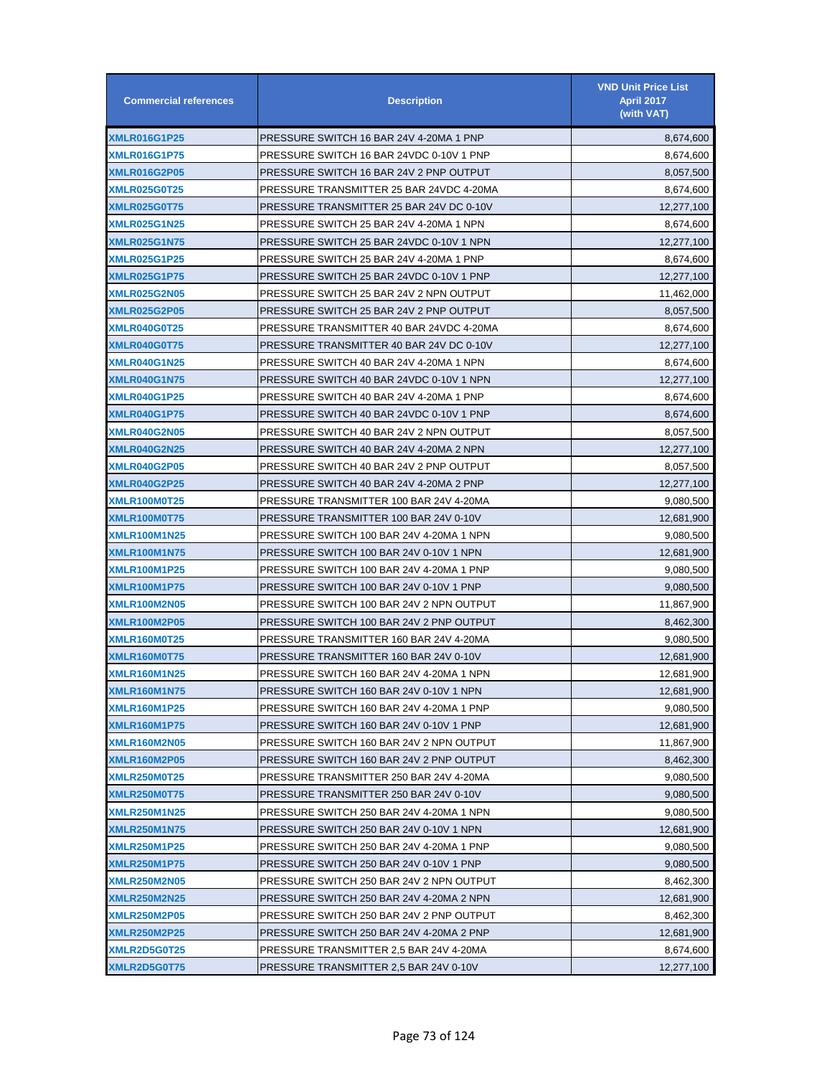| <b>Commercial references</b> | <b>Description</b>                       | <b>VND Unit Price List</b><br><b>April 2017</b><br>(with VAT) |
|------------------------------|------------------------------------------|---------------------------------------------------------------|
| <b>XMLR016G1P25</b>          | PRESSURE SWITCH 16 BAR 24V 4-20MA 1 PNP  | 8,674,600                                                     |
| <b>XMLR016G1P75</b>          | PRESSURE SWITCH 16 BAR 24VDC 0-10V 1 PNP | 8,674,600                                                     |
| <b>XMLR016G2P05</b>          | PRESSURE SWITCH 16 BAR 24V 2 PNP OUTPUT  | 8,057,500                                                     |
| <b>XMLR025G0T25</b>          | PRESSURE TRANSMITTER 25 BAR 24VDC 4-20MA | 8,674,600                                                     |
| <b>XMLR025G0T75</b>          | PRESSURE TRANSMITTER 25 BAR 24V DC 0-10V | 12,277,100                                                    |
| <b>XMLR025G1N25</b>          | PRESSURE SWITCH 25 BAR 24V 4-20MA 1 NPN  | 8,674,600                                                     |
| <b>XMLR025G1N75</b>          | PRESSURE SWITCH 25 BAR 24VDC 0-10V 1 NPN | 12,277,100                                                    |
| <b>XMLR025G1P25</b>          | PRESSURE SWITCH 25 BAR 24V 4-20MA 1 PNP  | 8,674,600                                                     |
| <b>XMLR025G1P75</b>          | PRESSURE SWITCH 25 BAR 24VDC 0-10V 1 PNP | 12,277,100                                                    |
| <b>XMLR025G2N05</b>          | PRESSURE SWITCH 25 BAR 24V 2 NPN OUTPUT  | 11,462,000                                                    |
| <b>XMLR025G2P05</b>          | PRESSURE SWITCH 25 BAR 24V 2 PNP OUTPUT  | 8,057,500                                                     |
| <b>XMLR040G0T25</b>          | PRESSURE TRANSMITTER 40 BAR 24VDC 4-20MA | 8,674,600                                                     |
| <b>XMLR040G0T75</b>          | PRESSURE TRANSMITTER 40 BAR 24V DC 0-10V | 12,277,100                                                    |
| <b>XMLR040G1N25</b>          | PRESSURE SWITCH 40 BAR 24V 4-20MA 1 NPN  | 8,674,600                                                     |
| <b>XMLR040G1N75</b>          | PRESSURE SWITCH 40 BAR 24VDC 0-10V 1 NPN | 12,277,100                                                    |
| <b>XMLR040G1P25</b>          | PRESSURE SWITCH 40 BAR 24V 4-20MA 1 PNP  | 8,674,600                                                     |
| <b>XMLR040G1P75</b>          | PRESSURE SWITCH 40 BAR 24VDC 0-10V 1 PNP | 8,674,600                                                     |
| <b>XMLR040G2N05</b>          | PRESSURE SWITCH 40 BAR 24V 2 NPN OUTPUT  | 8,057,500                                                     |
| <b>XMLR040G2N25</b>          | PRESSURE SWITCH 40 BAR 24V 4-20MA 2 NPN  | 12,277,100                                                    |
| <b>XMLR040G2P05</b>          | PRESSURE SWITCH 40 BAR 24V 2 PNP OUTPUT  | 8,057,500                                                     |
| <b>XMLR040G2P25</b>          | PRESSURE SWITCH 40 BAR 24V 4-20MA 2 PNP  | 12,277,100                                                    |
| <b>XMLR100M0T25</b>          | PRESSURE TRANSMITTER 100 BAR 24V 4-20MA  | 9,080,500                                                     |
| <b>XMLR100M0T75</b>          | PRESSURE TRANSMITTER 100 BAR 24V 0-10V   | 12,681,900                                                    |
| <b>XMLR100M1N25</b>          | PRESSURE SWITCH 100 BAR 24V 4-20MA 1 NPN | 9,080,500                                                     |
| <b>XMLR100M1N75</b>          | PRESSURE SWITCH 100 BAR 24V 0-10V 1 NPN  | 12,681,900                                                    |
| <b>XMLR100M1P25</b>          | PRESSURE SWITCH 100 BAR 24V 4-20MA 1 PNP | 9,080,500                                                     |
| <b>XMLR100M1P75</b>          | PRESSURE SWITCH 100 BAR 24V 0-10V 1 PNP  | 9,080,500                                                     |
| <b>XMLR100M2N05</b>          | PRESSURE SWITCH 100 BAR 24V 2 NPN OUTPUT | 11,867,900                                                    |
| <b>XMLR100M2P05</b>          | PRESSURE SWITCH 100 BAR 24V 2 PNP OUTPUT | 8,462,300                                                     |
| <b>XMLR160M0T25</b>          | PRESSURE TRANSMITTER 160 BAR 24V 4-20MA  | 9,080,500                                                     |
| XMLR160M0T75                 | PRESSURE TRANSMITTER 160 BAR 24V 0-10V   | 12,681,900                                                    |
| <b>XMLR160M1N25</b>          | PRESSURE SWITCH 160 BAR 24V 4-20MA 1 NPN | 12,681,900                                                    |
| <b>XMLR160M1N75</b>          | PRESSURE SWITCH 160 BAR 24V 0-10V 1 NPN  | 12,681,900                                                    |
| <b>XMLR160M1P25</b>          | PRESSURE SWITCH 160 BAR 24V 4-20MA 1 PNP | 9,080,500                                                     |
| <b>XMLR160M1P75</b>          | PRESSURE SWITCH 160 BAR 24V 0-10V 1 PNP  | 12,681,900                                                    |
| <b>XMLR160M2N05</b>          | PRESSURE SWITCH 160 BAR 24V 2 NPN OUTPUT | 11,867,900                                                    |
| <b>XMLR160M2P05</b>          | PRESSURE SWITCH 160 BAR 24V 2 PNP OUTPUT | 8,462,300                                                     |
| XMLR250M0T25                 | PRESSURE TRANSMITTER 250 BAR 24V 4-20MA  | 9,080,500                                                     |
| <b>XMLR250M0T75</b>          | PRESSURE TRANSMITTER 250 BAR 24V 0-10V   | 9,080,500                                                     |
| <b>XMLR250M1N25</b>          | PRESSURE SWITCH 250 BAR 24V 4-20MA 1 NPN | 9,080,500                                                     |
| <b>XMLR250M1N75</b>          | PRESSURE SWITCH 250 BAR 24V 0-10V 1 NPN  | 12,681,900                                                    |
| <b>XMLR250M1P25</b>          | PRESSURE SWITCH 250 BAR 24V 4-20MA 1 PNP | 9,080,500                                                     |
| <b>XMLR250M1P75</b>          | PRESSURE SWITCH 250 BAR 24V 0-10V 1 PNP  | 9,080,500                                                     |
| <b>XMLR250M2N05</b>          | PRESSURE SWITCH 250 BAR 24V 2 NPN OUTPUT | 8,462,300                                                     |
| <b>XMLR250M2N25</b>          | PRESSURE SWITCH 250 BAR 24V 4-20MA 2 NPN | 12,681,900                                                    |
| <b>XMLR250M2P05</b>          | PRESSURE SWITCH 250 BAR 24V 2 PNP OUTPUT | 8,462,300                                                     |
| <b>XMLR250M2P25</b>          | PRESSURE SWITCH 250 BAR 24V 4-20MA 2 PNP | 12,681,900                                                    |
| <b>XMLR2D5G0T25</b>          | PRESSURE TRANSMITTER 2,5 BAR 24V 4-20MA  | 8,674,600                                                     |
| XMLR2D5G0T75                 | PRESSURE TRANSMITTER 2,5 BAR 24V 0-10V   | 12,277,100                                                    |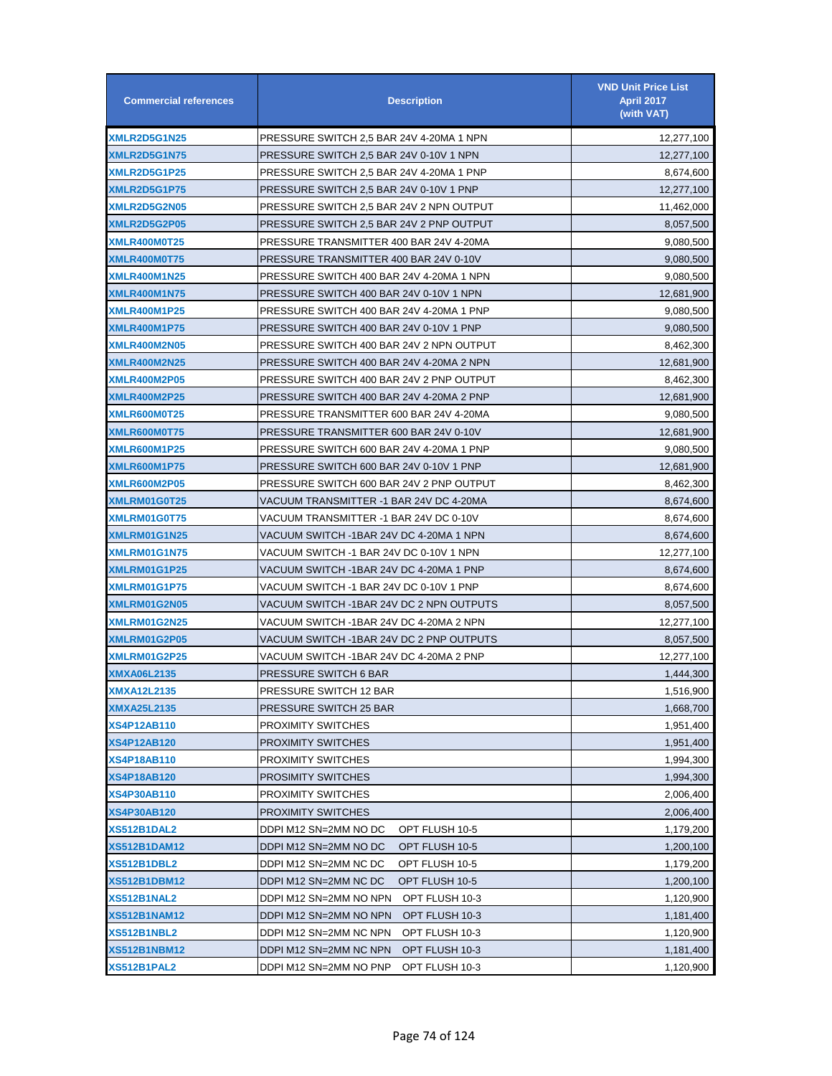| <b>Commercial references</b> | <b>Description</b>                       | <b>VND Unit Price List</b><br><b>April 2017</b><br>(with VAT) |
|------------------------------|------------------------------------------|---------------------------------------------------------------|
| <b>XMLR2D5G1N25</b>          | PRESSURE SWITCH 2.5 BAR 24V 4-20MA 1 NPN | 12,277,100                                                    |
| <b>XMLR2D5G1N75</b>          | PRESSURE SWITCH 2,5 BAR 24V 0-10V 1 NPN  | 12,277,100                                                    |
| <b>XMLR2D5G1P25</b>          | PRESSURE SWITCH 2,5 BAR 24V 4-20MA 1 PNP | 8,674,600                                                     |
| XMLR2D5G1P75                 | PRESSURE SWITCH 2,5 BAR 24V 0-10V 1 PNP  | 12,277,100                                                    |
| <b>XMLR2D5G2N05</b>          | PRESSURE SWITCH 2,5 BAR 24V 2 NPN OUTPUT | 11,462,000                                                    |
| <b>XMLR2D5G2P05</b>          | PRESSURE SWITCH 2,5 BAR 24V 2 PNP OUTPUT | 8,057,500                                                     |
| <b>XMLR400M0T25</b>          | PRESSURE TRANSMITTER 400 BAR 24V 4-20MA  | 9,080,500                                                     |
| <b>XMLR400M0T75</b>          | PRESSURE TRANSMITTER 400 BAR 24V 0-10V   | 9,080,500                                                     |
| <b>XMLR400M1N25</b>          | PRESSURE SWITCH 400 BAR 24V 4-20MA 1 NPN | 9,080,500                                                     |
| <b>XMLR400M1N75</b>          | PRESSURE SWITCH 400 BAR 24V 0-10V 1 NPN  | 12,681,900                                                    |
| <b>XMLR400M1P25</b>          | PRESSURE SWITCH 400 BAR 24V 4-20MA 1 PNP | 9,080,500                                                     |
| <b>XMLR400M1P75</b>          | PRESSURE SWITCH 400 BAR 24V 0-10V 1 PNP  | 9,080,500                                                     |
| <b>XMLR400M2N05</b>          | PRESSURE SWITCH 400 BAR 24V 2 NPN OUTPUT | 8,462,300                                                     |
| <b>XMLR400M2N25</b>          | PRESSURE SWITCH 400 BAR 24V 4-20MA 2 NPN | 12,681,900                                                    |
| <b>XMLR400M2P05</b>          | PRESSURE SWITCH 400 BAR 24V 2 PNP OUTPUT | 8,462,300                                                     |
| <b>XMLR400M2P25</b>          | PRESSURE SWITCH 400 BAR 24V 4-20MA 2 PNP | 12,681,900                                                    |
| XMLR600M0T25                 | PRESSURE TRANSMITTER 600 BAR 24V 4-20MA  | 9,080,500                                                     |
| XMLR600M0T75                 | PRESSURE TRANSMITTER 600 BAR 24V 0-10V   | 12,681,900                                                    |
| <b>XMLR600M1P25</b>          | PRESSURE SWITCH 600 BAR 24V 4-20MA 1 PNP | 9,080,500                                                     |
| <b>XMLR600M1P75</b>          | PRESSURE SWITCH 600 BAR 24V 0-10V 1 PNP  | 12,681,900                                                    |
| <b>XMLR600M2P05</b>          | PRESSURE SWITCH 600 BAR 24V 2 PNP OUTPUT | 8,462,300                                                     |
| XMLRM01G0T25                 | VACUUM TRANSMITTER -1 BAR 24V DC 4-20MA  | 8,674,600                                                     |
| XMLRM01G0T75                 | VACUUM TRANSMITTER -1 BAR 24V DC 0-10V   | 8,674,600                                                     |
| XMLRM01G1N25                 | VACUUM SWITCH -1BAR 24V DC 4-20MA 1 NPN  | 8,674,600                                                     |
| <b>XMLRM01G1N75</b>          | VACUUM SWITCH -1 BAR 24V DC 0-10V 1 NPN  | 12,277,100                                                    |
| <b>XMLRM01G1P25</b>          | VACUUM SWITCH -1BAR 24V DC 4-20MA 1 PNP  | 8,674,600                                                     |
| <b>XMLRM01G1P75</b>          | VACUUM SWITCH -1 BAR 24V DC 0-10V 1 PNP  | 8,674,600                                                     |
| XMLRM01G2N05                 | VACUUM SWITCH -1BAR 24V DC 2 NPN OUTPUTS | 8,057,500                                                     |
| XMLRM01G2N25                 | VACUUM SWITCH -1BAR 24V DC 4-20MA 2 NPN  | 12,277,100                                                    |
| <b>XMLRM01G2P05</b>          | VACUUM SWITCH -1BAR 24V DC 2 PNP OUTPUTS | 8,057,500                                                     |
| XMLRM01G2P25                 | VACUUM SWITCH -1BAR 24V DC 4-20MA 2 PNP  | 12,277,100                                                    |
| XMXA06L2135                  | PRESSURE SWITCH 6 BAR                    | 1,444,300                                                     |
| <b>XMXA12L2135</b>           | PRESSURE SWITCH 12 BAR                   | 1,516,900                                                     |
| XMXA25L2135                  | PRESSURE SWITCH 25 BAR                   | 1,668,700                                                     |
| <b>XS4P12AB110</b>           | PROXIMITY SWITCHES                       | 1,951,400                                                     |
| <b>XS4P12AB120</b>           | <b>PROXIMITY SWITCHES</b>                | 1,951,400                                                     |
| <b>XS4P18AB110</b>           | PROXIMITY SWITCHES                       | 1,994,300                                                     |
| XS4P18AB120                  | <b>PROSIMITY SWITCHES</b>                | 1,994,300                                                     |
| XS4P30AB110                  | PROXIMITY SWITCHES                       | 2,006,400                                                     |
| XS4P30AB120                  | <b>PROXIMITY SWITCHES</b>                | 2,006,400                                                     |
| XS512B1DAL2                  | DDPI M12 SN=2MM NO DC<br>OPT FLUSH 10-5  | 1,179,200                                                     |
| <b>XS512B1DAM12</b>          | DDPI M12 SN=2MM NO DC<br>OPT FLUSH 10-5  | 1,200,100                                                     |
| <b>XS512B1DBL2</b>           | DDPI M12 SN=2MM NC DC<br>OPT FLUSH 10-5  | 1,179,200                                                     |
| XS512B1DBM12                 | DDPI M12 SN=2MM NC DC<br>OPT FLUSH 10-5  | 1,200,100                                                     |
| XS512B1NAL2                  | DDPI M12 SN=2MM NO NPN<br>OPT FLUSH 10-3 | 1,120,900                                                     |
| <b>XS512B1NAM12</b>          | DDPI M12 SN=2MM NO NPN<br>OPT FLUSH 10-3 | 1,181,400                                                     |
| XS512B1NBL2                  | DDPI M12 SN=2MM NC NPN<br>OPT FLUSH 10-3 | 1,120,900                                                     |
| <b>XS512B1NBM12</b>          | DDPI M12 SN=2MM NC NPN<br>OPT FLUSH 10-3 | 1,181,400                                                     |
| XS512B1PAL2                  | DDPI M12 SN=2MM NO PNP<br>OPT FLUSH 10-3 | 1,120,900                                                     |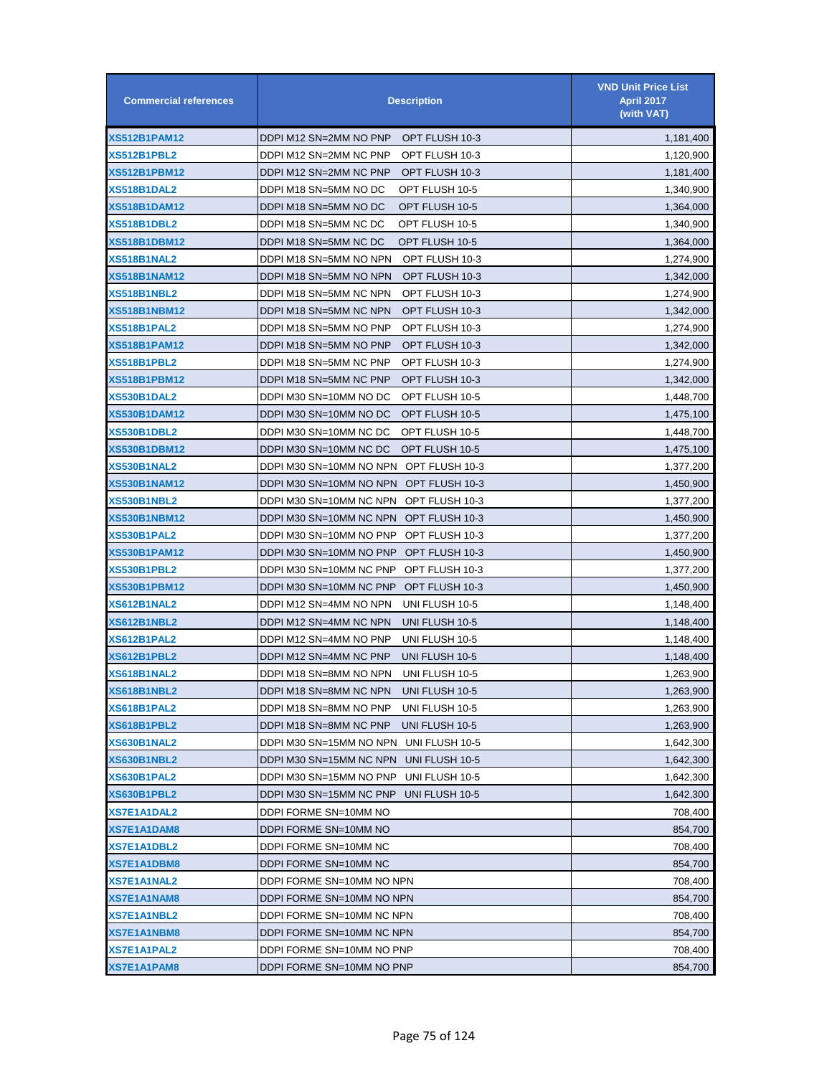| <b>Commercial references</b> | <b>Description</b>                        | <b>VND Unit Price List</b><br><b>April 2017</b><br>(with VAT) |
|------------------------------|-------------------------------------------|---------------------------------------------------------------|
| XS512B1PAM12                 | DDPI M12 SN=2MM NO PNP<br>OPT FLUSH 10-3  | 1,181,400                                                     |
| XS512B1PBL2                  | DDPI M12 SN=2MM NC PNP<br>OPT FLUSH 10-3  | 1,120,900                                                     |
| <b>XS512B1PBM12</b>          | DDPI M12 SN=2MM NC PNP<br>OPT FLUSH 10-3  | 1,181,400                                                     |
| <b>XS518B1DAL2</b>           | DDPI M18 SN=5MM NO DC<br>OPT FLUSH 10-5   | 1,340,900                                                     |
| <b>XS518B1DAM12</b>          | DDPI M18 SN=5MM NO DC<br>OPT FLUSH 10-5   | 1,364,000                                                     |
| <b>XS518B1DBL2</b>           | DDPI M18 SN=5MM NC DC<br>OPT FLUSH 10-5   | 1,340,900                                                     |
| <b>XS518B1DBM12</b>          | DDPI M18 SN=5MM NC DC<br>OPT FLUSH 10-5   | 1,364,000                                                     |
| XS518B1NAL2                  | DDPI M18 SN=5MM NO NPN<br>OPT FLUSH 10-3  | 1,274,900                                                     |
| XS518B1NAM12                 | DDPI M18 SN=5MM NO NPN<br>OPT FLUSH 10-3  | 1,342,000                                                     |
| XS518B1NBL2                  | DDPI M18 SN=5MM NC NPN<br>OPT FLUSH 10-3  | 1,274,900                                                     |
| <b>XS518B1NBM12</b>          | OPT FLUSH 10-3<br>DDPI M18 SN=5MM NC NPN  | 1,342,000                                                     |
| XS518B1PAL2                  | DDPI M18 SN=5MM NO PNP<br>OPT FLUSH 10-3  | 1,274,900                                                     |
| <b>XS518B1PAM12</b>          | DDPI M18 SN=5MM NO PNP<br>OPT FLUSH 10-3  | 1,342,000                                                     |
| <b>XS518B1PBL2</b>           | DDPI M18 SN=5MM NC PNP<br>OPT FLUSH 10-3  | 1,274,900                                                     |
| <b>XS518B1PBM12</b>          | DDPI M18 SN=5MM NC PNP<br>OPT FLUSH 10-3  | 1,342,000                                                     |
| <b>XS530B1DAL2</b>           | DDPI M30 SN=10MM NO DC<br>OPT FLUSH 10-5  | 1,448,700                                                     |
| <b>XS530B1DAM12</b>          | DDPI M30 SN=10MM NO DC<br>OPT FLUSH 10-5  | 1,475,100                                                     |
| <b>XS530B1DBL2</b>           | DDPI M30 SN=10MM NC DC<br>OPT FLUSH 10-5  | 1,448,700                                                     |
| <b>XS530B1DBM12</b>          | DDPI M30 SN=10MM NC DC<br>OPT FLUSH 10-5  | 1,475,100                                                     |
| <b>XS530B1NAL2</b>           | DDPI M30 SN=10MM NO NPN<br>OPT FLUSH 10-3 | 1,377,200                                                     |
| <b>XS530B1NAM12</b>          | DDPI M30 SN=10MM NO NPN<br>OPT FLUSH 10-3 | 1,450,900                                                     |
| <b>XS530B1NBL2</b>           | DDPI M30 SN=10MM NC NPN<br>OPT FLUSH 10-3 | 1,377,200                                                     |
| <b>XS530B1NBM12</b>          | DDPI M30 SN=10MM NC NPN<br>OPT FLUSH 10-3 | 1,450,900                                                     |
| <b>XS530B1PAL2</b>           | DDPI M30 SN=10MM NO PNP<br>OPT FLUSH 10-3 | 1,377,200                                                     |
| <b>XS530B1PAM12</b>          | DDPI M30 SN=10MM NO PNP<br>OPT FLUSH 10-3 | 1,450,900                                                     |
| <b>XS530B1PBL2</b>           | DDPI M30 SN=10MM NC PNP<br>OPT FLUSH 10-3 | 1,377,200                                                     |
| <b>XS530B1PBM12</b>          | DDPI M30 SN=10MM NC PNP<br>OPT FLUSH 10-3 | 1,450,900                                                     |
| XS612B1NAL2                  | DDPI M12 SN=4MM NO NPN<br>UNI FLUSH 10-5  | 1,148,400                                                     |
| XS612B1NBL2                  | DDPI M12 SN=4MM NC NPN<br>UNI FLUSH 10-5  | 1,148,400                                                     |
| XS612B1PAL2                  | DDPI M12 SN=4MM NO PNP<br>UNI FLUSH 10-5  | 1,148,400                                                     |
| XS612B1PBL2                  | DDPI M12 SN=4MM NC PNP<br>UNI FLUSH 10-5  | 1,148,400                                                     |
| XS618B1NAL2                  | DDPI M18 SN=8MM NO NPN<br>UNI FLUSH 10-5  | 1,263,900                                                     |
| <b>XS618B1NBL2</b>           | DDPI M18 SN=8MM NC NPN<br>UNI FLUSH 10-5  | 1,263,900                                                     |
| XS618B1PAL2                  | DDPI M18 SN=8MM NO PNP<br>UNI FLUSH 10-5  | 1,263,900                                                     |
| <b>XS618B1PBL2</b>           | DDPI M18 SN=8MM NC PNP<br>UNI FLUSH 10-5  | 1,263,900                                                     |
| XS630B1NAL2                  | DDPI M30 SN=15MM NO NPN UNI FLUSH 10-5    | 1,642,300                                                     |
| XS630B1NBL2                  | DDPI M30 SN=15MM NC NPN<br>UNI FLUSH 10-5 | 1,642,300                                                     |
| XS630B1PAL2                  | DDPI M30 SN=15MM NO PNP<br>UNI FLUSH 10-5 | 1,642,300                                                     |
| XS630B1PBL2                  | DDPI M30 SN=15MM NC PNP<br>UNI FLUSH 10-5 | 1,642,300                                                     |
| XS7E1A1DAL2                  | DDPI FORME SN=10MM NO                     | 708,400                                                       |
| XS7E1A1DAM8                  | DDPI FORME SN=10MM NO                     | 854,700                                                       |
| XS7E1A1DBL2                  | DDPI FORME SN=10MM NC                     | 708,400                                                       |
| XS7E1A1DBM8                  | DDPI FORME SN=10MM NC                     | 854,700                                                       |
| XS7E1A1NAL2                  | DDPI FORME SN=10MM NO NPN                 | 708,400                                                       |
| XS7E1A1NAM8                  | DDPI FORME SN=10MM NO NPN                 | 854,700                                                       |
| XS7E1A1NBL2                  | DDPI FORME SN=10MM NC NPN                 | 708,400                                                       |
| XS7E1A1NBM8                  | DDPI FORME SN=10MM NC NPN                 | 854,700                                                       |
| XS7E1A1PAL2                  | DDPI FORME SN=10MM NO PNP                 | 708,400                                                       |
| <b>XS7E1A1PAM8</b>           | DDPI FORME SN=10MM NO PNP                 | 854,700                                                       |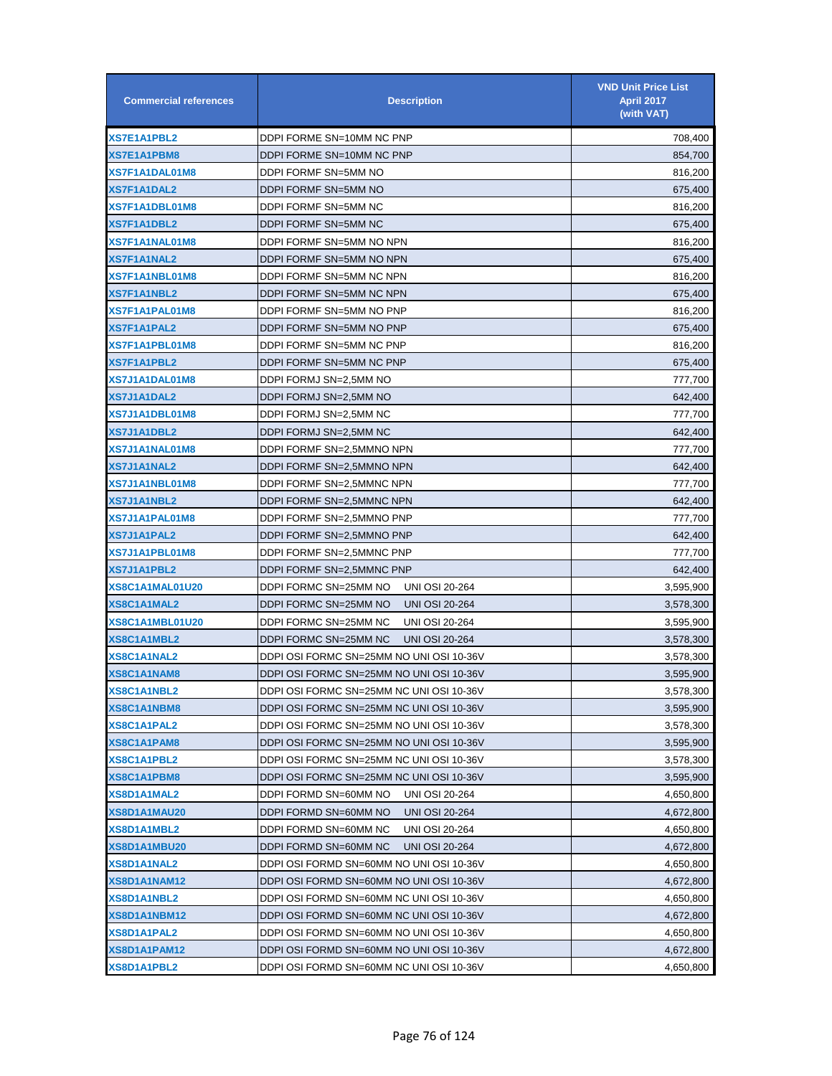| <b>Commercial references</b> | <b>Description</b>                             | <b>VND Unit Price List</b><br><b>April 2017</b><br>(with VAT) |
|------------------------------|------------------------------------------------|---------------------------------------------------------------|
| <b>XS7E1A1PBL2</b>           | DDPI FORME SN=10MM NC PNP                      | 708,400                                                       |
| XS7E1A1PBM8                  | DDPI FORME SN=10MM NC PNP                      | 854,700                                                       |
| XS7F1A1DAL01M8               | DDPI FORMF SN=5MM NO                           | 816,200                                                       |
| XS7F1A1DAL2                  | DDPI FORMF SN=5MM NO                           | 675,400                                                       |
| XS7F1A1DBL01M8               | DDPI FORMF SN=5MM NC                           | 816,200                                                       |
| XS7F1A1DBL2                  | DDPI FORMF SN=5MM NC                           | 675,400                                                       |
| XS7F1A1NAL01M8               | DDPI FORMF SN=5MM NO NPN                       | 816,200                                                       |
| XS7F1A1NAL2                  | DDPI FORMF SN=5MM NO NPN                       | 675,400                                                       |
| XS7F1A1NBL01M8               | DDPI FORMF SN=5MM NC NPN                       | 816,200                                                       |
| XS7F1A1NBL2                  | DDPI FORMF SN=5MM NC NPN                       | 675,400                                                       |
| XS7F1A1PAL01M8               | DDPI FORMF SN=5MM NO PNP                       | 816,200                                                       |
| XS7F1A1PAL2                  | DDPI FORMF SN=5MM NO PNP                       | 675,400                                                       |
| <b>XS7F1A1PBL01M8</b>        | DDPI FORMF SN=5MM NC PNP                       | 816,200                                                       |
| <b>XS7F1A1PBL2</b>           | DDPI FORMF SN=5MM NC PNP                       | 675,400                                                       |
| XS7J1A1DAL01M8               | DDPI FORMJ SN=2,5MM NO                         | 777,700                                                       |
| <b>XS7J1A1DAL2</b>           | DDPI FORMJ SN=2,5MM NO                         | 642,400                                                       |
| <b>XS7J1A1DBL01M8</b>        | DDPI FORMJ SN=2,5MM NC                         | 777,700                                                       |
| <b>XS7J1A1DBL2</b>           | DDPI FORMJ SN=2,5MM NC                         | 642,400                                                       |
| XS7J1A1NAL01M8               | DDPI FORMF SN=2,5MMNO NPN                      | 777,700                                                       |
| XS7J1A1NAL2                  | DDPI FORMF SN=2,5MMNO NPN                      | 642,400                                                       |
| XS7J1A1NBL01M8               | DDPI FORMF SN=2,5MMNC NPN                      | 777,700                                                       |
| <b>XS7J1A1NBL2</b>           | DDPI FORMF SN=2,5MMNC NPN                      | 642,400                                                       |
| XS7J1A1PAL01M8               | DDPI FORMF SN=2,5MMNO PNP                      | 777,700                                                       |
| XS7J1A1PAL2                  | DDPI FORMF SN=2,5MMNO PNP                      | 642,400                                                       |
| XS7J1A1PBL01M8               | DDPI FORMF SN=2,5MMNC PNP                      | 777,700                                                       |
| <b>XS7J1A1PBL2</b>           | DDPI FORMF SN=2,5MMNC PNP                      | 642,400                                                       |
| XS8C1A1MAL01U20              | DDPI FORMC SN=25MM NO<br><b>UNI OSI 20-264</b> | 3,595,900                                                     |
| XS8C1A1MAL2                  | DDPI FORMC SN=25MM NO<br><b>UNI OSI 20-264</b> | 3,578,300                                                     |
| <b>XS8C1A1MBL01U20</b>       | DDPI FORMC SN=25MM NC<br><b>UNI OSI 20-264</b> | 3,595,900                                                     |
| XS8C1A1MBL2                  | DDPI FORMC SN=25MM NC<br><b>UNI OSI 20-264</b> | 3,578,300                                                     |
| <b>XS8C1A1NAL2</b>           | DDPI OSI FORMC SN=25MM NO UNI OSI 10-36V       | 3,578,300                                                     |
| XS8C1A1NAM8                  | DDPI OSI FORMC SN=25MM NO UNI OSI 10-36V       | 3,595,900                                                     |
| XS8C1A1NBL2                  | DDPI OSI FORMC SN=25MM NC UNI OSI 10-36V       | 3,578,300                                                     |
| <b>XS8C1A1NBM8</b>           | DDPI OSI FORMC SN=25MM NC UNI OSI 10-36V       | 3,595,900                                                     |
| XS8C1A1PAL2                  | DDPI OSI FORMC SN=25MM NO UNI OSI 10-36V       | 3,578,300                                                     |
| XS8C1A1PAM8                  | DDPI OSI FORMC SN=25MM NO UNI OSI 10-36V       | 3,595,900                                                     |
| <b>XS8C1A1PBL2</b>           | DDPI OSI FORMC SN=25MM NC UNI OSI 10-36V       | 3,578,300                                                     |
| XS8C1A1PBM8                  | DDPI OSI FORMC SN=25MM NC UNI OSI 10-36V       | 3,595,900                                                     |
| XS8D1A1MAL2                  | DDPI FORMD SN=60MM NO<br><b>UNI OSI 20-264</b> | 4,650,800                                                     |
| XS8D1A1MAU20                 | DDPI FORMD SN=60MM NO<br><b>UNI OSI 20-264</b> | 4,672,800                                                     |
| XS8D1A1MBL2                  | <b>UNI OSI 20-264</b><br>DDPI FORMD SN=60MM NC | 4,650,800                                                     |
| XS8D1A1MBU20                 | DDPI FORMD SN=60MM NC<br><b>UNI OSI 20-264</b> | 4,672,800                                                     |
| XS8D1A1NAL2                  | DDPI OSI FORMD SN=60MM NO UNI OSI 10-36V       | 4,650,800                                                     |
| XS8D1A1NAM12                 | DDPI OSI FORMD SN=60MM NO UNI OSI 10-36V       | 4,672,800                                                     |
| XS8D1A1NBL2                  | DDPI OSI FORMD SN=60MM NC UNI OSI 10-36V       | 4,650,800                                                     |
| XS8D1A1NBM12                 | DDPI OSI FORMD SN=60MM NC UNI OSI 10-36V       | 4,672,800                                                     |
| XS8D1A1PAL2                  | DDPI OSI FORMD SN=60MM NO UNI OSI 10-36V       | 4,650,800                                                     |
| XS8D1A1PAM12                 | DDPI OSI FORMD SN=60MM NO UNI OSI 10-36V       | 4,672,800                                                     |
| XS8D1A1PBL2                  | DDPI OSI FORMD SN=60MM NC UNI OSI 10-36V       | 4,650,800                                                     |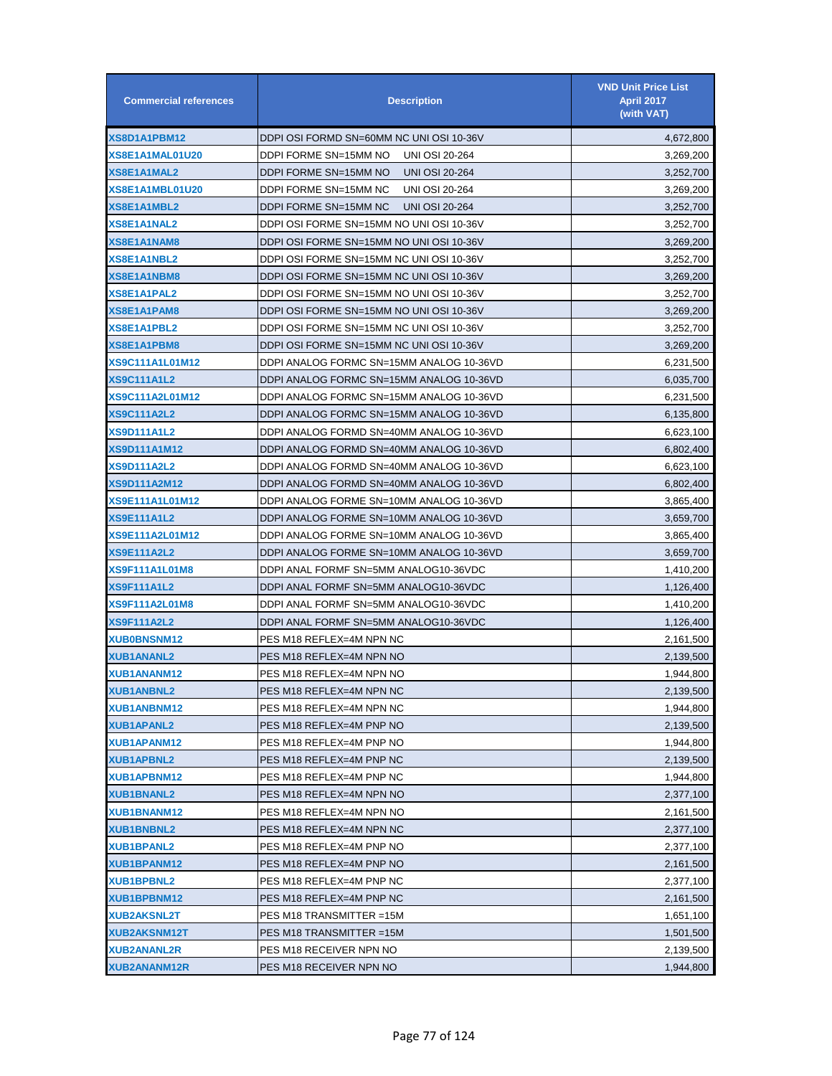| <b>Commercial references</b> | <b>Description</b>                             | <b>VND Unit Price List</b><br><b>April 2017</b><br>(with VAT) |
|------------------------------|------------------------------------------------|---------------------------------------------------------------|
| XS8D1A1PBM12                 | DDPI OSI FORMD SN=60MM NC UNI OSI 10-36V       | 4,672,800                                                     |
| XS8E1A1MAL01U20              | DDPI FORME SN=15MM NO<br><b>UNI OSI 20-264</b> | 3,269,200                                                     |
| <b>XS8E1A1MAL2</b>           | DDPI FORME SN=15MM NO<br><b>UNI OSI 20-264</b> | 3,252,700                                                     |
| XS8E1A1MBL01U20              | DDPI FORME SN=15MM NC<br><b>UNI OSI 20-264</b> | 3,269,200                                                     |
| XS8E1A1MBL2                  | DDPI FORME SN=15MM NC<br><b>UNI OSI 20-264</b> | 3,252,700                                                     |
| <b>XS8E1A1NAL2</b>           | DDPI OSI FORME SN=15MM NO UNI OSI 10-36V       | 3,252,700                                                     |
| <b>XS8E1A1NAM8</b>           | DDPI OSI FORME SN=15MM NO UNI OSI 10-36V       | 3,269,200                                                     |
| <b>XS8E1A1NBL2</b>           | DDPI OSI FORME SN=15MM NC UNI OSI 10-36V       | 3,252,700                                                     |
| <b>XS8E1A1NBM8</b>           | DDPI OSI FORME SN=15MM NC UNI OSI 10-36V       | 3,269,200                                                     |
| <b>XS8E1A1PAL2</b>           | DDPI OSI FORME SN=15MM NO UNI OSI 10-36V       | 3,252,700                                                     |
| XS8E1A1PAM8                  | DDPI OSI FORME SN=15MM NO UNI OSI 10-36V       | 3,269,200                                                     |
| <b>XS8E1A1PBL2</b>           | DDPI OSI FORME SN=15MM NC UNI OSI 10-36V       | 3,252,700                                                     |
| <b>XS8E1A1PBM8</b>           | DDPI OSI FORME SN=15MM NC UNI OSI 10-36V       | 3,269,200                                                     |
| <b>XS9C111A1L01M12</b>       | DDPI ANALOG FORMC SN=15MM ANALOG 10-36VD       | 6,231,500                                                     |
| <b>XS9C111A1L2</b>           | DDPI ANALOG FORMC SN=15MM ANALOG 10-36VD       | 6,035,700                                                     |
| <b>XS9C111A2L01M12</b>       | DDPI ANALOG FORMC SN=15MM ANALOG 10-36VD       | 6,231,500                                                     |
| XS9C111A2L2                  | DDPI ANALOG FORMC SN=15MM ANALOG 10-36VD       | 6,135,800                                                     |
| <b>XS9D111A1L2</b>           | DDPI ANALOG FORMD SN=40MM ANALOG 10-36VD       | 6,623,100                                                     |
| <b>XS9D111A1M12</b>          | DDPI ANALOG FORMD SN=40MM ANALOG 10-36VD       | 6,802,400                                                     |
| <b>XS9D111A2L2</b>           | DDPI ANALOG FORMD SN=40MM ANALOG 10-36VD       | 6,623,100                                                     |
| <b>XS9D111A2M12</b>          | DDPI ANALOG FORMD SN=40MM ANALOG 10-36VD       | 6,802,400                                                     |
| XS9E111A1L01M12              | DDPI ANALOG FORME SN=10MM ANALOG 10-36VD       | 3,865,400                                                     |
| <b>XS9E111A1L2</b>           | DDPI ANALOG FORME SN=10MM ANALOG 10-36VD       | 3,659,700                                                     |
| XS9E111A2L01M12              | DDPI ANALOG FORME SN=10MM ANALOG 10-36VD       | 3,865,400                                                     |
| <b>XS9E111A2L2</b>           | DDPI ANALOG FORME SN=10MM ANALOG 10-36VD       | 3,659,700                                                     |
| <b>XS9F111A1L01M8</b>        | DDPI ANAL FORMF SN=5MM ANALOG10-36VDC          | 1,410,200                                                     |
| <b>XS9F111A1L2</b>           | DDPI ANAL FORMF SN=5MM ANALOG10-36VDC          | 1,126,400                                                     |
| <b>XS9F111A2L01M8</b>        | DDPI ANAL FORMF SN=5MM ANALOG10-36VDC          | 1,410,200                                                     |
| <b>XS9F111A2L2</b>           | DDPI ANAL FORMF SN=5MM ANALOG10-36VDC          | 1,126,400                                                     |
| <b>XUB0BNSNM12</b>           | PES M18 REFLEX=4M NPN NC                       | 2,161,500                                                     |
| <b>XUB1ANANL2</b>            | PES M18 REFLEX=4M NPN NO                       | 2,139,500                                                     |
| <b>XUB1ANANM12</b>           | PES M18 REFLEX=4M NPN NO                       | 1,944,800                                                     |
| <b>XUB1ANBNL2</b>            | PES M18 REFLEX=4M NPN NC                       | 2,139,500                                                     |
| XUB1ANBNM12                  | PES M18 REFLEX=4M NPN NC                       | 1,944,800                                                     |
| <b>XUB1APANL2</b>            | PES M18 REFLEX=4M PNP NO                       | 2,139,500                                                     |
| <b>XUB1APANM12</b>           | PES M18 REFLEX=4M PNP NO                       | 1,944,800                                                     |
| <b>XUB1APBNL2</b>            | PES M18 REFLEX=4M PNP NC                       | 2,139,500                                                     |
| <b>XUB1APBNM12</b>           | PES M18 REFLEX=4M PNP NC                       | 1,944,800                                                     |
| <b>XUB1BNANL2</b>            | PES M18 REFLEX=4M NPN NO                       | 2,377,100                                                     |
| XUB1BNANM12                  | PES M18 REFLEX=4M NPN NO                       | 2,161,500                                                     |
| <b>XUB1BNBNL2</b>            | PES M18 REFLEX=4M NPN NC                       | 2,377,100                                                     |
| <b>XUB1BPANL2</b>            | PES M18 REFLEX=4M PNP NO                       | 2,377,100                                                     |
| XUB1BPANM12                  | PES M18 REFLEX=4M PNP NO                       | 2,161,500                                                     |
| <b>XUB1BPBNL2</b>            | PES M18 REFLEX=4M PNP NC                       | 2,377,100                                                     |
| XUB1BPBNM12                  | PES M18 REFLEX=4M PNP NC                       | 2,161,500                                                     |
| <b>XUB2AKSNL2T</b>           | PES M18 TRANSMITTER =15M                       | 1,651,100                                                     |
| <b>XUB2AKSNM12T</b>          | PES M18 TRANSMITTER = 15M                      | 1,501,500                                                     |
| <b>XUB2ANANL2R</b>           | PES M18 RECEIVER NPN NO                        | 2,139,500                                                     |
| <b>XUB2ANANM12R</b>          | PES M18 RECEIVER NPN NO                        | 1,944,800                                                     |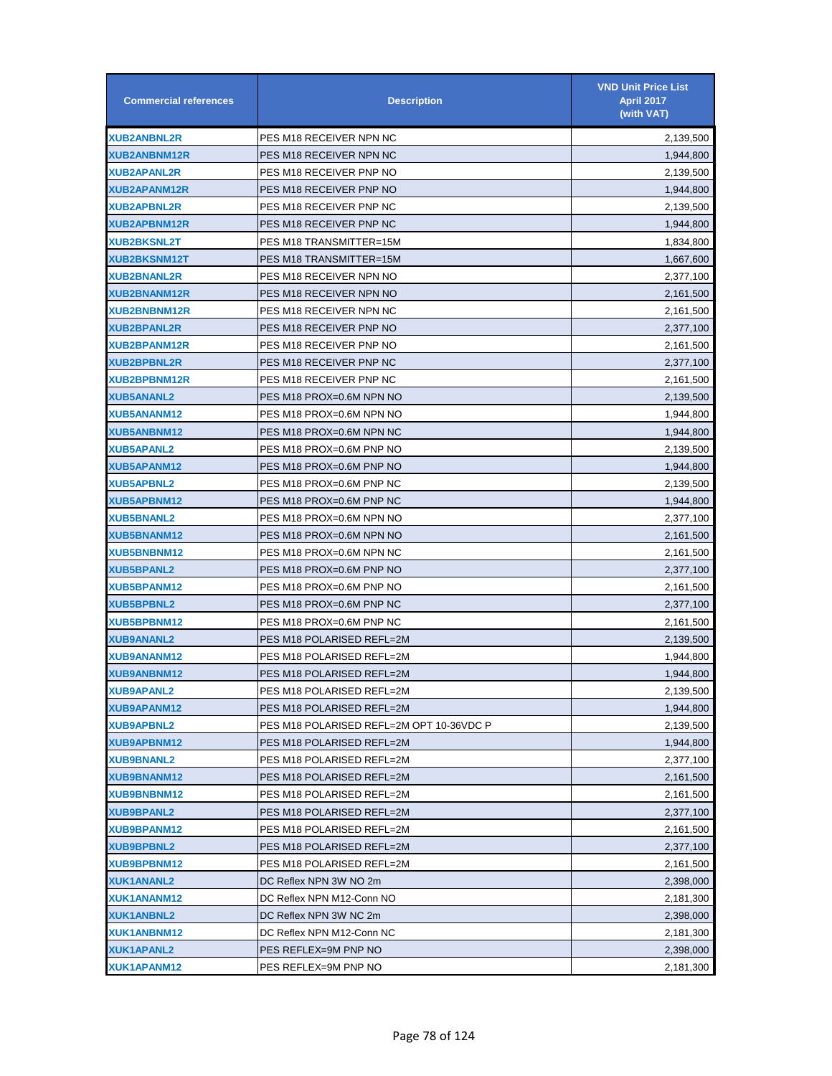| <b>Commercial references</b> | <b>Description</b>                       | <b>VND Unit Price List</b><br><b>April 2017</b><br>(with VAT) |
|------------------------------|------------------------------------------|---------------------------------------------------------------|
| <b>XUB2ANBNL2R</b>           | PES M18 RECEIVER NPN NC                  | 2,139,500                                                     |
| <b>XUB2ANBNM12R</b>          | PES M18 RECEIVER NPN NC                  | 1,944,800                                                     |
| <b>XUB2APANL2R</b>           | PES M18 RECEIVER PNP NO                  | 2,139,500                                                     |
| <b>XUB2APANM12R</b>          | PES M18 RECEIVER PNP NO                  | 1,944,800                                                     |
| <b>XUB2APBNL2R</b>           | PES M18 RECEIVER PNP NC                  | 2,139,500                                                     |
| <b>XUB2APBNM12R</b>          | PES M18 RECEIVER PNP NC                  | 1,944,800                                                     |
| <b>XUB2BKSNL2T</b>           | PES M18 TRANSMITTER=15M                  | 1,834,800                                                     |
| <b>XUB2BKSNM12T</b>          | PES M18 TRANSMITTER=15M                  | 1,667,600                                                     |
| <b>XUB2BNANL2R</b>           | PES M18 RECEIVER NPN NO                  | 2,377,100                                                     |
| <b>XUB2BNANM12R</b>          | PES M18 RECEIVER NPN NO                  | 2,161,500                                                     |
| <b>XUB2BNBNM12R</b>          | PES M18 RECEIVER NPN NC                  | 2,161,500                                                     |
| <b>XUB2BPANL2R</b>           | PES M18 RECEIVER PNP NO                  | 2,377,100                                                     |
| <b>XUB2BPANM12R</b>          | PES M18 RECEIVER PNP NO                  | 2,161,500                                                     |
| <b>XUB2BPBNL2R</b>           | PES M18 RECEIVER PNP NC                  | 2,377,100                                                     |
| <b>XUB2BPBNM12R</b>          | PES M18 RECEIVER PNP NC                  | 2,161,500                                                     |
| <b>XUB5ANANL2</b>            | PES M18 PROX=0.6M NPN NO                 | 2,139,500                                                     |
| <b>XUB5ANANM12</b>           | PES M18 PROX=0.6M NPN NO                 | 1,944,800                                                     |
| <b>XUB5ANBNM12</b>           | PES M18 PROX=0.6M NPN NC                 | 1,944,800                                                     |
| <b>XUB5APANL2</b>            | PES M18 PROX=0.6M PNP NO                 | 2,139,500                                                     |
| <b>XUB5APANM12</b>           | PES M18 PROX=0.6M PNP NO                 | 1,944,800                                                     |
| <b>XUB5APBNL2</b>            | PES M18 PROX=0.6M PNP NC                 | 2,139,500                                                     |
| <b>XUB5APBNM12</b>           | PES M18 PROX=0.6M PNP NC                 | 1,944,800                                                     |
| <b>XUB5BNANL2</b>            | PES M18 PROX=0.6M NPN NO                 | 2,377,100                                                     |
| <b>XUB5BNANM12</b>           | PES M18 PROX=0.6M NPN NO                 | 2,161,500                                                     |
| <b>XUB5BNBNM12</b>           | PES M18 PROX=0.6M NPN NC                 | 2,161,500                                                     |
| <b>XUB5BPANL2</b>            | PES M18 PROX=0.6M PNP NO                 | 2,377,100                                                     |
| <b>XUB5BPANM12</b>           | PES M18 PROX=0.6M PNP NO                 | 2,161,500                                                     |
| <b>XUB5BPBNL2</b>            | PES M18 PROX=0.6M PNP NC                 | 2,377,100                                                     |
| <b>XUB5BPBNM12</b>           | PES M18 PROX=0.6M PNP NC                 | 2,161,500                                                     |
| <b>XUB9ANANL2</b>            | PES M18 POLARISED REFL=2M                | 2,139,500                                                     |
| <b>XUB9ANANM12</b>           | PES M18 POLARISED REFL=2M                | 1,944,800                                                     |
| <b>XUB9ANBNM12</b>           | PES M18 POLARISED REFL=2M                | 1,944,800                                                     |
| <b>XUB9APANL2</b>            | PES M18 POLARISED REFL=2M                | 2,139,500                                                     |
| XUB9APANM12                  | PES M18 POLARISED REFL=2M                | 1,944,800                                                     |
| <b>XUB9APBNL2</b>            | PES M18 POLARISED REFL=2M OPT 10-36VDC P | 2,139,500                                                     |
| XUB9APBNM12                  | PES M18 POLARISED REFL=2M                | 1,944,800                                                     |
| <b>XUB9BNANL2</b>            | PES M18 POLARISED REFL=2M                | 2,377,100                                                     |
| <b>XUB9BNANM12</b>           | PES M18 POLARISED REFL=2M                | 2,161,500                                                     |
| <b>XUB9BNBNM12</b>           | PES M18 POLARISED REFL=2M                | 2,161,500                                                     |
| <b>XUB9BPANL2</b>            | PES M18 POLARISED REFL=2M                | 2,377,100                                                     |
| XUB9BPANM12                  | PES M18 POLARISED REFL=2M                | 2,161,500                                                     |
| <b>XUB9BPBNL2</b>            | PES M18 POLARISED REFL=2M                | 2,377,100                                                     |
| <b>XUB9BPBNM12</b>           | PES M18 POLARISED REFL=2M                | 2,161,500                                                     |
| XUK1ANANL2                   | DC Reflex NPN 3W NO 2m                   | 2,398,000                                                     |
| XUK1ANANM12                  | DC Reflex NPN M12-Conn NO                | 2,181,300                                                     |
| <b>XUK1ANBNL2</b>            | DC Reflex NPN 3W NC 2m                   | 2,398,000                                                     |
| XUK1ANBNM12                  | DC Reflex NPN M12-Conn NC                | 2,181,300                                                     |
| XUK1APANL2                   | PES REFLEX=9M PNP NO                     | 2,398,000                                                     |
| XUK1APANM12                  | PES REFLEX=9M PNP NO                     | 2,181,300                                                     |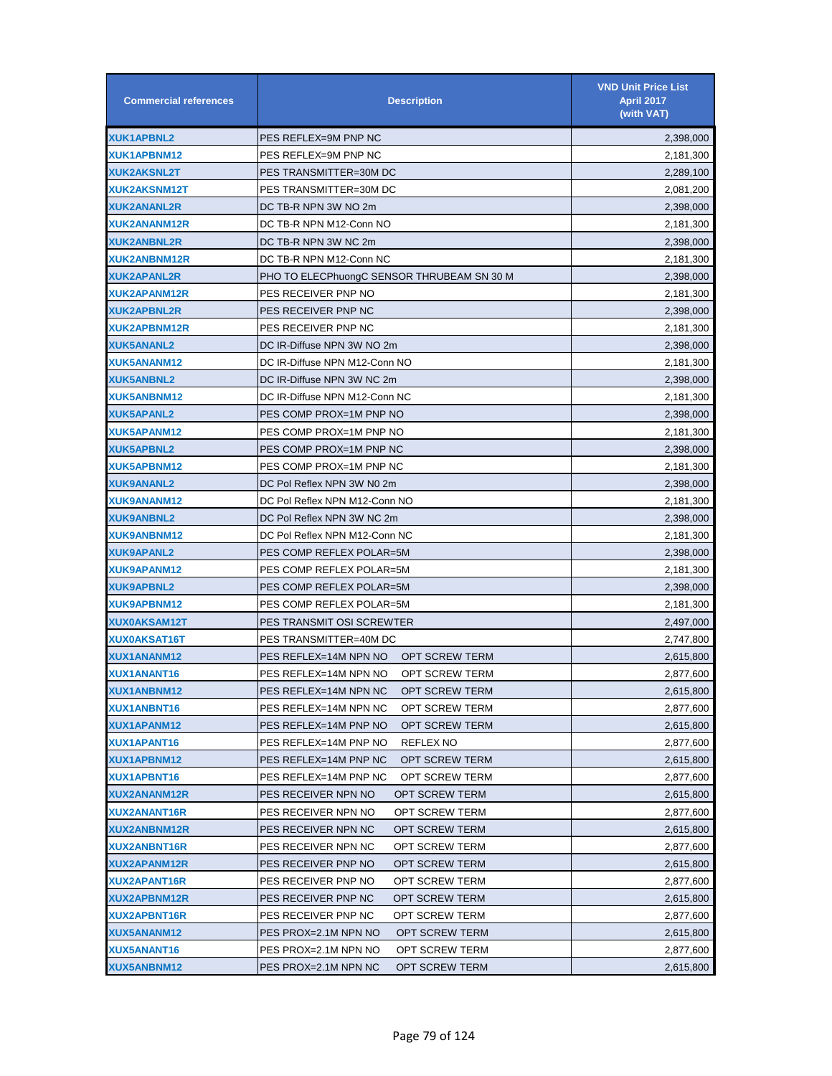| <b>Commercial references</b> | <b>Description</b>                             | <b>VND Unit Price List</b><br><b>April 2017</b><br>(with VAT) |
|------------------------------|------------------------------------------------|---------------------------------------------------------------|
| XUK1APBNL2                   | PES REFLEX=9M PNP NC                           | 2,398,000                                                     |
| XUK1APBNM12                  | PES REFLEX=9M PNP NC                           | 2,181,300                                                     |
| <b>XUK2AKSNL2T</b>           | PES TRANSMITTER=30M DC                         | 2,289,100                                                     |
| XUK2AKSNM12T                 | PES TRANSMITTER=30M DC                         | 2,081,200                                                     |
| <b>XUK2ANANL2R</b>           | DC TB-R NPN 3W NO 2m                           | 2,398,000                                                     |
| <b>XUK2ANANM12R</b>          | DC TB-R NPN M12-Conn NO                        | 2,181,300                                                     |
| <b>XUK2ANBNL2R</b>           | DC TB-R NPN 3W NC 2m                           | 2,398,000                                                     |
| XUK2ANBNM12R                 | DC TB-R NPN M12-Conn NC                        | 2,181,300                                                     |
| <b>XUK2APANL2R</b>           | PHO TO ELECPhuongC SENSOR THRUBEAM SN 30 M     | 2,398,000                                                     |
| XUK2APANM12R                 | PES RECEIVER PNP NO                            | 2,181,300                                                     |
| <b>XUK2APBNL2R</b>           | PES RECEIVER PNP NC                            | 2,398,000                                                     |
| <b>XUK2APBNM12R</b>          | PES RECEIVER PNP NC                            | 2,181,300                                                     |
| <b>XUK5ANANL2</b>            | DC IR-Diffuse NPN 3W NO 2m                     | 2,398,000                                                     |
| XUK5ANANM12                  | DC IR-Diffuse NPN M12-Conn NO                  | 2,181,300                                                     |
| <b>XUK5ANBNL2</b>            | DC IR-Diffuse NPN 3W NC 2m                     | 2,398,000                                                     |
| XUK5ANBNM12                  | DC IR-Diffuse NPN M12-Conn NC                  | 2,181,300                                                     |
| <b>XUK5APANL2</b>            | PES COMP PROX=1M PNP NO                        | 2,398,000                                                     |
| XUK5APANM12                  | PES COMP PROX=1M PNP NO                        | 2,181,300                                                     |
| <b>XUK5APBNL2</b>            | PES COMP PROX=1M PNP NC                        | 2,398,000                                                     |
| XUK5APBNM12                  | PES COMP PROX=1M PNP NC                        | 2,181,300                                                     |
| <b>XUK9ANANL2</b>            | DC Pol Reflex NPN 3W N0 2m                     | 2,398,000                                                     |
| <b>XUK9ANANM12</b>           | DC Pol Reflex NPN M12-Conn NO                  | 2,181,300                                                     |
| <b>XUK9ANBNL2</b>            | DC Pol Reflex NPN 3W NC 2m                     | 2,398,000                                                     |
| XUK9ANBNM12                  | DC Pol Reflex NPN M12-Conn NC                  | 2,181,300                                                     |
| <b>XUK9APANL2</b>            | PES COMP REFLEX POLAR=5M                       | 2,398,000                                                     |
| XUK9APANM12                  | PES COMP REFLEX POLAR=5M                       | 2,181,300                                                     |
| <b>XUK9APBNL2</b>            | PES COMP REFLEX POLAR=5M                       | 2,398,000                                                     |
| XUK9APBNM12                  | PES COMP REFLEX POLAR=5M                       | 2,181,300                                                     |
| <b>XUX0AKSAM12T</b>          | PES TRANSMIT OSI SCREWTER                      | 2,497,000                                                     |
| XUX0AKSAT16T                 | PES TRANSMITTER=40M DC                         | 2,747,800                                                     |
| XUX1ANANM12                  | PES REFLEX=14M NPN NO<br><b>OPT SCREW TERM</b> | 2,615,800                                                     |
| XUX1ANANT16                  | PES REFLEX=14M NPN NO<br><b>OPT SCREW TERM</b> | 2,877,600                                                     |
| XUX1ANBNM12                  | PES REFLEX=14M NPN NC<br>OPT SCREW TERM        | 2,615,800                                                     |
| <b>XUX1ANBNT16</b>           | PES REFLEX=14M NPN NC<br><b>OPT SCREW TERM</b> | 2,877,600                                                     |
| XUX1APANM12                  | PES REFLEX=14M PNP NO<br><b>OPT SCREW TERM</b> | 2,615,800                                                     |
| XUX1APANT16                  | PES REFLEX=14M PNP NO<br>REFLEX NO             | 2,877,600                                                     |
| XUX1APBNM12                  | PES REFLEX=14M PNP NC<br><b>OPT SCREW TERM</b> | 2,615,800                                                     |
| XUX1APBNT16                  | PES REFLEX=14M PNP NC<br>OPT SCREW TERM        | 2,877,600                                                     |
| XUX2ANANM12R                 | PES RECEIVER NPN NO<br>OPT SCREW TERM          | 2,615,800                                                     |
| XUX2ANANT16R                 | PES RECEIVER NPN NO<br>OPT SCREW TERM          | 2,877,600                                                     |
| <b>XUX2ANBNM12R</b>          | PES RECEIVER NPN NC<br>OPT SCREW TERM          | 2,615,800                                                     |
| XUX2ANBNT16R                 | PES RECEIVER NPN NC<br>OPT SCREW TERM          | 2,877,600                                                     |
| XUX2APANM12R                 | PES RECEIVER PNP NO<br>OPT SCREW TERM          | 2,615,800                                                     |
| XUX2APANT16R                 | PES RECEIVER PNP NO<br>OPT SCREW TERM          | 2,877,600                                                     |
| XUX2APBNM12R                 | PES RECEIVER PNP NC<br>OPT SCREW TERM          | 2,615,800                                                     |
| <b>XUX2APBNT16R</b>          | PES RECEIVER PNP NC<br>OPT SCREW TERM          | 2,877,600                                                     |
| XUX5ANANM12                  | PES PROX=2.1M NPN NO<br>OPT SCREW TERM         | 2,615,800                                                     |
| XUX5ANANT16                  | PES PROX=2.1M NPN NO<br>OPT SCREW TERM         | 2,877,600                                                     |
| XUX5ANBNM12                  | PES PROX=2.1M NPN NC<br>OPT SCREW TERM         | 2,615,800                                                     |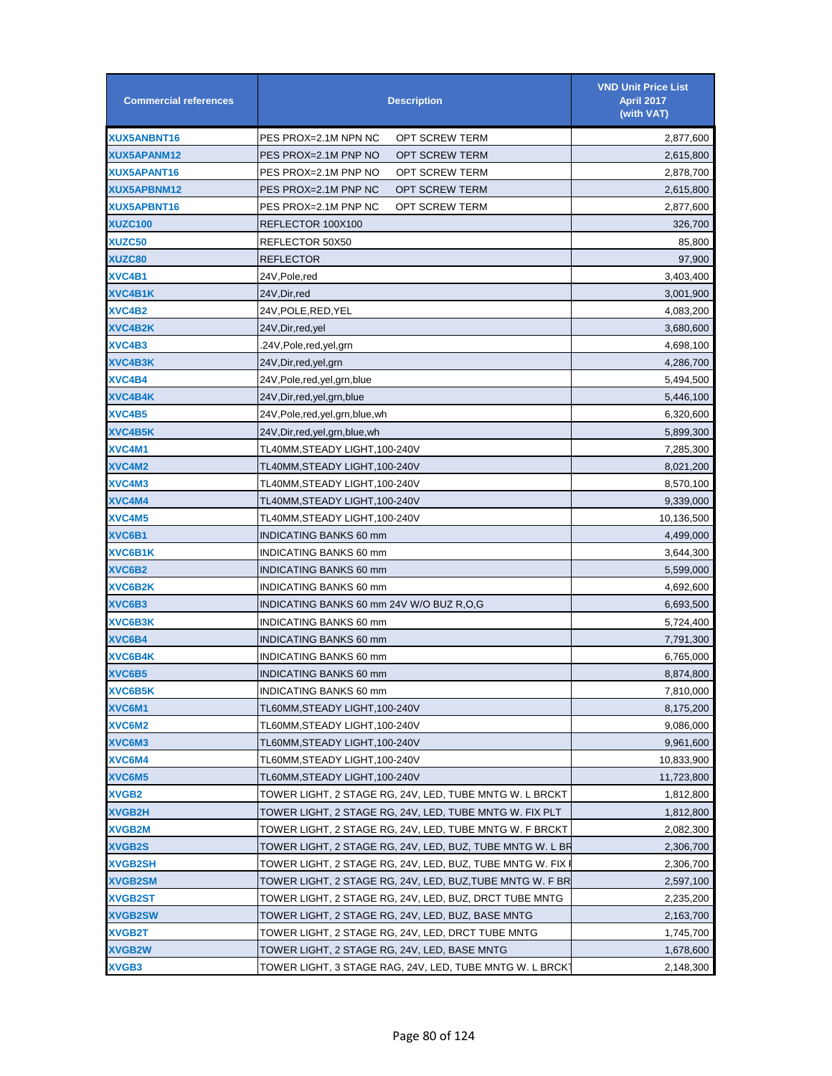| <b>Commercial references</b> | <b>Description</b>                                        | <b>VND Unit Price List</b><br><b>April 2017</b><br>(with VAT) |
|------------------------------|-----------------------------------------------------------|---------------------------------------------------------------|
| XUX5ANBNT16                  | PES PROX=2.1M NPN NC<br>OPT SCREW TERM                    | 2,877,600                                                     |
| XUX5APANM12                  | PES PROX=2.1M PNP NO<br>OPT SCREW TERM                    | 2,615,800                                                     |
| XUX5APANT16                  | PES PROX=2.1M PNP NO<br>OPT SCREW TERM                    | 2,878,700                                                     |
| <b>XUX5APBNM12</b>           | PES PROX=2.1M PNP NC<br>OPT SCREW TERM                    | 2,615,800                                                     |
| XUX5APBNT16                  | OPT SCREW TERM<br>PES PROX=2.1M PNP NC                    | 2,877,600                                                     |
| <b>XUZC100</b>               | REFLECTOR 100X100                                         | 326,700                                                       |
| <b>XUZC50</b>                | REFLECTOR 50X50                                           | 85,800                                                        |
| <b>XUZC80</b>                | <b>REFLECTOR</b>                                          | 97,900                                                        |
| XVC4B1                       | 24V, Pole, red                                            | 3,403,400                                                     |
| XVC4B1K                      | 24V, Dir, red                                             | 3,001,900                                                     |
| XVC4B2                       | 24V,POLE,RED,YEL                                          | 4,083,200                                                     |
| XVC4B2K                      | 24V, Dir, red, yel                                        | 3,680,600                                                     |
| XVC4B3                       | .24V,Pole,red,yel,grn                                     | 4,698,100                                                     |
| XVC4B3K                      | 24V, Dir, red, yel, grn                                   | 4,286,700                                                     |
| XVC4B4                       | 24V, Pole, red, yel, grn, blue                            | 5,494,500                                                     |
| XVC4B4K                      | 24V, Dir, red, yel, grn, blue                             | 5,446,100                                                     |
| XVC4B5                       | 24V, Pole, red, yel, grn, blue, wh                        | 6,320,600                                                     |
| <b>XVC4B5K</b>               | 24V, Dir, red, yel, grn, blue, wh                         | 5,899,300                                                     |
| XVC4M1                       | TL40MM,STEADY LIGHT,100-240V                              | 7,285,300                                                     |
| XVC4M2                       | TL40MM,STEADY LIGHT,100-240V                              | 8,021,200                                                     |
| XVC4M3                       | TL40MM,STEADY LIGHT,100-240V                              | 8,570,100                                                     |
| XVC4M4                       | TL40MM,STEADY LIGHT,100-240V                              | 9,339,000                                                     |
| XVC4M5                       | TL40MM, STEADY LIGHT, 100-240V                            | 10,136,500                                                    |
| XVC6B1                       | <b>INDICATING BANKS 60 mm</b>                             | 4,499,000                                                     |
| XVC6B1K                      | INDICATING BANKS 60 mm                                    | 3,644,300                                                     |
| XVC6B2                       | INDICATING BANKS 60 mm                                    | 5,599,000                                                     |
| XVC6B2K                      | INDICATING BANKS 60 mm                                    | 4,692,600                                                     |
| XVC6B3                       | INDICATING BANKS 60 mm 24V W/O BUZ R,O,G                  | 6,693,500                                                     |
| <b>XVC6B3K</b>               | INDICATING BANKS 60 mm                                    | 5,724,400                                                     |
| XVC6B4                       | <b>INDICATING BANKS 60 mm</b>                             | 7,791,300                                                     |
| <b>XVC6B4K</b>               | INDICATING BANKS 60 mm                                    | 6,765,000                                                     |
| XVC6B5                       | <b>INDICATING BANKS 60 mm</b>                             | 8,874,800                                                     |
| XVC6B5K                      | INDICATING BANKS 60 mm                                    | 7,810,000                                                     |
| XVC6M1                       | TL60MM,STEADY LIGHT,100-240V                              | 8,175,200                                                     |
| XVC6M2                       | TL60MM,STEADY LIGHT,100-240V                              | 9,086,000                                                     |
| XVC6M3                       | TL60MM,STEADY LIGHT,100-240V                              | 9,961,600                                                     |
| XVC6M4                       | TL60MM,STEADY LIGHT,100-240V                              | 10,833,900                                                    |
| XVC6M5                       | TL60MM,STEADY LIGHT,100-240V                              | 11,723,800                                                    |
| <b>XVGB2</b>                 | TOWER LIGHT, 2 STAGE RG, 24V, LED, TUBE MNTG W. L BRCKT   | 1,812,800                                                     |
| <b>XVGB2H</b>                | TOWER LIGHT, 2 STAGE RG, 24V, LED, TUBE MNTG W. FIX PLT   | 1,812,800                                                     |
| XVGB2M                       | TOWER LIGHT, 2 STAGE RG, 24V, LED, TUBE MNTG W. F BRCKT   | 2,082,300                                                     |
| <b>XVGB2S</b>                | TOWER LIGHT, 2 STAGE RG, 24V, LED, BUZ, TUBE MNTG W. L BR | 2,306,700                                                     |
| XVGB2SH                      | TOWER LIGHT, 2 STAGE RG, 24V, LED, BUZ, TUBE MNTG W. FIX  | 2,306,700                                                     |
| <b>XVGB2SM</b>               | TOWER LIGHT, 2 STAGE RG, 24V, LED, BUZ,TUBE MNTG W. F BR  | 2,597,100                                                     |
| <b>XVGB2ST</b>               | TOWER LIGHT, 2 STAGE RG, 24V, LED, BUZ, DRCT TUBE MNTG    | 2,235,200                                                     |
| <b>XVGB2SW</b>               | TOWER LIGHT, 2 STAGE RG, 24V, LED, BUZ, BASE MNTG         | 2,163,700                                                     |
| <b>XVGB2T</b>                | TOWER LIGHT, 2 STAGE RG, 24V, LED, DRCT TUBE MNTG         | 1,745,700                                                     |
| <b>XVGB2W</b>                | TOWER LIGHT, 2 STAGE RG, 24V, LED, BASE MNTG              | 1,678,600                                                     |
| <b>XVGB3</b>                 | TOWER LIGHT, 3 STAGE RAG, 24V, LED, TUBE MNTG W. L BRCK   | 2,148,300                                                     |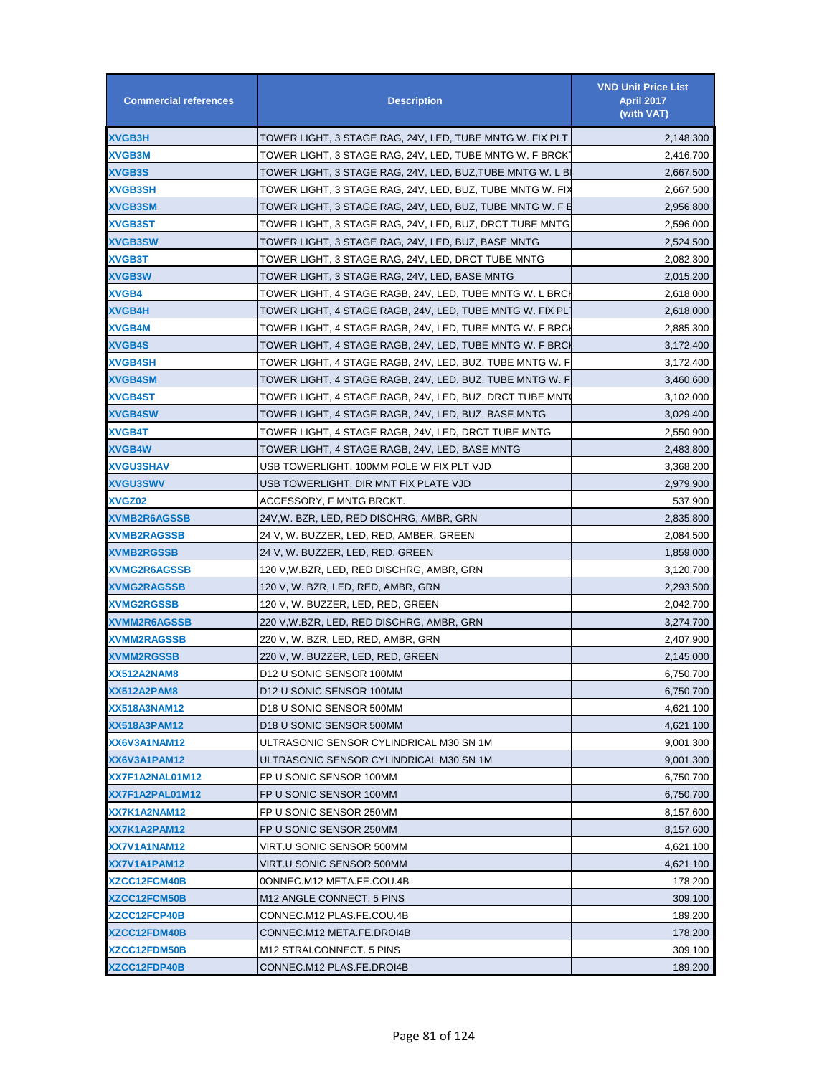| <b>Commercial references</b> | <b>Description</b>                                        | <b>VND Unit Price List</b><br><b>April 2017</b><br>(with VAT) |
|------------------------------|-----------------------------------------------------------|---------------------------------------------------------------|
| XVGB3H                       | TOWER LIGHT, 3 STAGE RAG, 24V, LED, TUBE MNTG W. FIX PLT  | 2,148,300                                                     |
| <b>XVGB3M</b>                | TOWER LIGHT, 3 STAGE RAG, 24V, LED, TUBE MNTG W. F BRCK   | 2,416,700                                                     |
| <b>XVGB3S</b>                | TOWER LIGHT, 3 STAGE RAG, 24V, LED, BUZ,TUBE MNTG W. L B  | 2,667,500                                                     |
| <b>XVGB3SH</b>               | TOWER LIGHT, 3 STAGE RAG, 24V, LED, BUZ, TUBE MNTG W. FIX | 2,667,500                                                     |
| <b>XVGB3SM</b>               | TOWER LIGHT, 3 STAGE RAG, 24V, LED, BUZ, TUBE MNTG W. F E | 2,956,800                                                     |
| XVGB3ST                      | TOWER LIGHT, 3 STAGE RAG, 24V, LED, BUZ, DRCT TUBE MNTG   | 2,596,000                                                     |
| <b>XVGB3SW</b>               | TOWER LIGHT, 3 STAGE RAG, 24V, LED, BUZ, BASE MNTG        | 2,524,500                                                     |
| XVGB3T                       | TOWER LIGHT, 3 STAGE RAG, 24V, LED, DRCT TUBE MNTG        | 2,082,300                                                     |
| <b>XVGB3W</b>                | TOWER LIGHT, 3 STAGE RAG, 24V, LED, BASE MNTG             | 2,015,200                                                     |
| XVGB4                        | TOWER LIGHT, 4 STAGE RAGB, 24V, LED, TUBE MNTG W. L BRCI  | 2,618,000                                                     |
| <b>XVGB4H</b>                | TOWER LIGHT, 4 STAGE RAGB, 24V, LED, TUBE MNTG W. FIX PL  | 2,618,000                                                     |
| <b>XVGB4M</b>                | TOWER LIGHT, 4 STAGE RAGB, 24V, LED, TUBE MNTG W. F BRCI  | 2,885,300                                                     |
| <b>XVGB4S</b>                | TOWER LIGHT, 4 STAGE RAGB, 24V, LED, TUBE MNTG W. F BRCI  | 3,172,400                                                     |
| <b>XVGB4SH</b>               | TOWER LIGHT, 4 STAGE RAGB, 24V, LED, BUZ, TUBE MNTG W. F  | 3,172,400                                                     |
| <b>XVGB4SM</b>               | TOWER LIGHT, 4 STAGE RAGB, 24V, LED, BUZ, TUBE MNTG W. F  | 3,460,600                                                     |
| <b>XVGB4ST</b>               | TOWER LIGHT, 4 STAGE RAGB, 24V, LED, BUZ, DRCT TUBE MNT   | 3,102,000                                                     |
| <b>XVGB4SW</b>               | TOWER LIGHT, 4 STAGE RAGB, 24V, LED, BUZ, BASE MNTG       | 3,029,400                                                     |
| <b>XVGB4T</b>                | TOWER LIGHT, 4 STAGE RAGB, 24V, LED, DRCT TUBE MNTG       | 2,550,900                                                     |
| <b>XVGB4W</b>                | TOWER LIGHT, 4 STAGE RAGB, 24V, LED, BASE MNTG            | 2,483,800                                                     |
| <b>XVGU3SHAV</b>             | USB TOWERLIGHT, 100MM POLE W FIX PLT VJD                  | 3,368,200                                                     |
| <b>XVGU3SWV</b>              | USB TOWERLIGHT, DIR MNT FIX PLATE VJD                     | 2,979,900                                                     |
| <b>XVGZ02</b>                | ACCESSORY, F MNTG BRCKT.                                  | 537,900                                                       |
| <b>XVMB2R6AGSSB</b>          | 24V, W. BZR, LED, RED DISCHRG, AMBR, GRN                  | 2,835,800                                                     |
| <b>XVMB2RAGSSB</b>           | 24 V, W. BUZZER, LED, RED, AMBER, GREEN                   | 2,084,500                                                     |
| <b>XVMB2RGSSB</b>            | 24 V, W. BUZZER, LED, RED, GREEN                          | 1,859,000                                                     |
| <b>XVMG2R6AGSSB</b>          | 120 V,W.BZR, LED, RED DISCHRG, AMBR, GRN                  | 3,120,700                                                     |
| <b>XVMG2RAGSSB</b>           | 120 V, W. BZR, LED, RED, AMBR, GRN                        | 2,293,500                                                     |
| <b>XVMG2RGSSB</b>            | 120 V, W. BUZZER, LED, RED, GREEN                         | 2,042,700                                                     |
| <b>XVMM2R6AGSSB</b>          | 220 V,W.BZR, LED, RED DISCHRG, AMBR, GRN                  | 3,274,700                                                     |
| <b>XVMM2RAGSSB</b>           | 220 V, W. BZR, LED, RED, AMBR, GRN                        | 2,407,900                                                     |
| <b>XVMM2RGSSB</b>            | 220 V, W. BUZZER, LED, RED, GREEN                         | 2,145,000                                                     |
| XX512A2NAM8                  | D12 U SONIC SENSOR 100MM                                  | 6,750,700                                                     |
| XX512A2PAM8                  | D12 U SONIC SENSOR 100MM                                  | 6,750,700                                                     |
| XX518A3NAM12                 | D18 U SONIC SENSOR 500MM                                  | 4,621,100                                                     |
| XX518A3PAM12                 | D18 U SONIC SENSOR 500MM                                  | 4,621,100                                                     |
| XX6V3A1NAM12                 | ULTRASONIC SENSOR CYLINDRICAL M30 SN 1M                   | 9,001,300                                                     |
| XX6V3A1PAM12                 | ULTRASONIC SENSOR CYLINDRICAL M30 SN 1M                   | 9,001,300                                                     |
| XX7F1A2NAL01M12              | FP U SONIC SENSOR 100MM                                   | 6,750,700                                                     |
| XX7F1A2PAL01M12              | FP U SONIC SENSOR 100MM                                   | 6,750,700                                                     |
| XX7K1A2NAM12                 | FP U SONIC SENSOR 250MM                                   | 8,157,600                                                     |
| XX7K1A2PAM12                 | FP U SONIC SENSOR 250MM                                   | 8,157,600                                                     |
| XX7V1A1NAM12                 | VIRT.U SONIC SENSOR 500MM                                 | 4,621,100                                                     |
| XX7V1A1PAM12                 | VIRT.U SONIC SENSOR 500MM                                 | 4,621,100                                                     |
| <b>XZCC12FCM40B</b>          | 0ONNEC.M12 META.FE.COU.4B                                 | 178,200                                                       |
| XZCC12FCM50B                 | M12 ANGLE CONNECT. 5 PINS                                 | 309,100                                                       |
| <b>XZCC12FCP40B</b>          | CONNEC.M12 PLAS.FE.COU.4B                                 | 189,200                                                       |
| <b>XZCC12FDM40B</b>          | CONNEC.M12 META.FE.DROI4B                                 | 178,200                                                       |
| <b>XZCC12FDM50B</b>          | M12 STRAI.CONNECT. 5 PINS                                 | 309,100                                                       |
| XZCC12FDP40B                 | CONNEC.M12 PLAS.FE.DROI4B                                 | 189,200                                                       |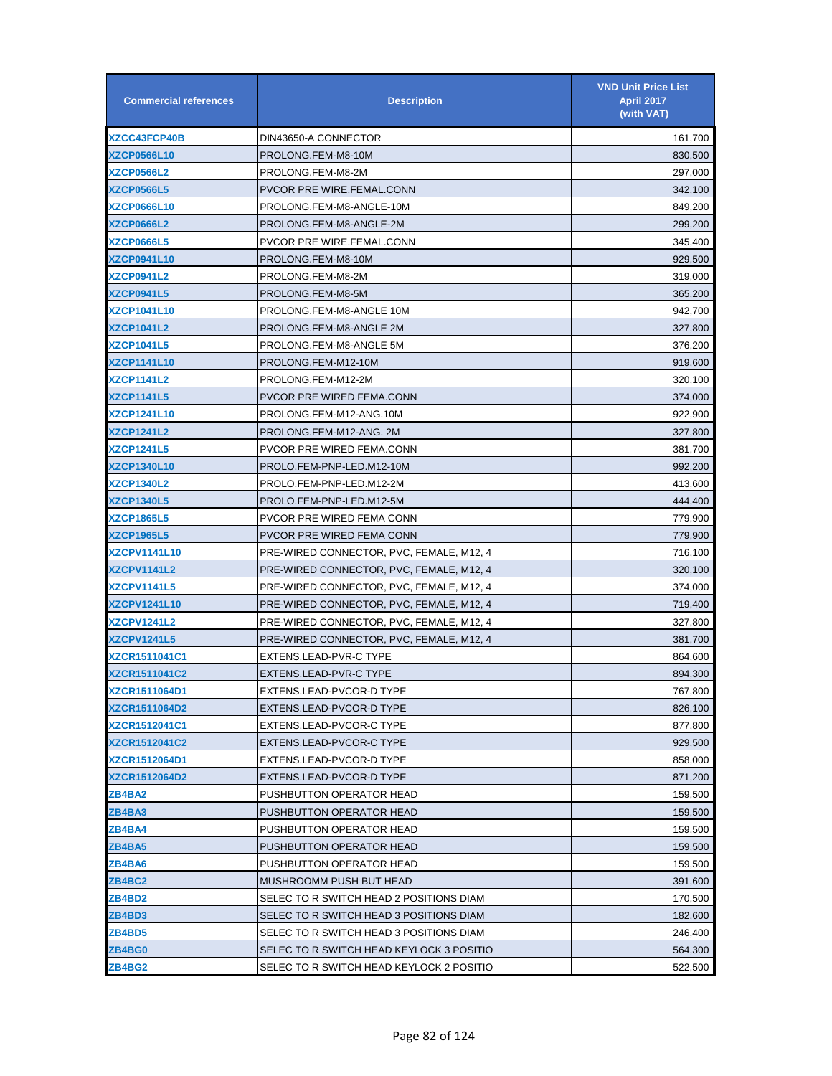| <b>Commercial references</b> | <b>Description</b>                       | <b>VND Unit Price List</b><br><b>April 2017</b><br>(with VAT) |
|------------------------------|------------------------------------------|---------------------------------------------------------------|
| <b>XZCC43FCP40B</b>          | DIN43650-A CONNECTOR                     | 161,700                                                       |
| <b>XZCP0566L10</b>           | PROLONG.FEM-M8-10M                       | 830,500                                                       |
| <b>XZCP0566L2</b>            | PROLONG.FEM-M8-2M                        | 297,000                                                       |
| <b>XZCP0566L5</b>            | PVCOR PRE WIRE.FEMAL.CONN                | 342,100                                                       |
| <b>XZCP0666L10</b>           | PROLONG.FEM-M8-ANGLE-10M                 | 849,200                                                       |
| <b>XZCP0666L2</b>            | PROLONG.FEM-M8-ANGLE-2M                  | 299,200                                                       |
| <b>XZCP0666L5</b>            | PVCOR PRE WIRE.FEMAL.CONN                | 345,400                                                       |
| <b>XZCP0941L10</b>           | PROLONG.FEM-M8-10M                       | 929,500                                                       |
| XZCP0941L2                   | PROLONG.FEM-M8-2M                        | 319,000                                                       |
| <b>XZCP0941L5</b>            | PROLONG.FEM-M8-5M                        | 365,200                                                       |
| <b>XZCP1041L10</b>           | PROLONG.FEM-M8-ANGLE 10M                 | 942,700                                                       |
| <b>XZCP1041L2</b>            | PROLONG.FEM-M8-ANGLE 2M                  | 327,800                                                       |
| <b>XZCP1041L5</b>            | PROLONG.FEM-M8-ANGLE 5M                  | 376,200                                                       |
| <b>XZCP1141L10</b>           | PROLONG.FEM-M12-10M                      | 919,600                                                       |
| <b>XZCP1141L2</b>            | PROLONG.FEM-M12-2M                       | 320,100                                                       |
| <b>XZCP1141L5</b>            | <b>PVCOR PRE WIRED FEMA.CONN</b>         | 374,000                                                       |
| <b>XZCP1241L10</b>           | PROLONG.FEM-M12-ANG.10M                  | 922,900                                                       |
| XZCP1241L2                   | PROLONG.FEM-M12-ANG. 2M                  | 327,800                                                       |
| <b>XZCP1241L5</b>            | PVCOR PRE WIRED FEMA.CONN                | 381,700                                                       |
| <b>XZCP1340L10</b>           | PROLO.FEM-PNP-LED.M12-10M                | 992,200                                                       |
| <b>XZCP1340L2</b>            | PROLO.FEM-PNP-LED.M12-2M                 | 413,600                                                       |
| <b>XZCP1340L5</b>            | PROLO.FEM-PNP-LED.M12-5M                 | 444,400                                                       |
| <b>XZCP1865L5</b>            | PVCOR PRE WIRED FEMA CONN                | 779,900                                                       |
| <b>XZCP1965L5</b>            | PVCOR PRE WIRED FEMA CONN                | 779,900                                                       |
| <b>XZCPV1141L10</b>          | PRE-WIRED CONNECTOR, PVC, FEMALE, M12, 4 | 716,100                                                       |
| XZCPV1141L2                  | PRE-WIRED CONNECTOR, PVC, FEMALE, M12, 4 | 320,100                                                       |
| <b>XZCPV1141L5</b>           | PRE-WIRED CONNECTOR, PVC, FEMALE, M12, 4 | 374,000                                                       |
| <b>XZCPV1241L10</b>          | PRE-WIRED CONNECTOR, PVC, FEMALE, M12, 4 | 719,400                                                       |
| XZCPV1241L2                  | PRE-WIRED CONNECTOR, PVC, FEMALE, M12, 4 | 327,800                                                       |
| <b>XZCPV1241L5</b>           | PRE-WIRED CONNECTOR, PVC, FEMALE, M12, 4 | 381,700                                                       |
| <b>XZCR1511041C1</b>         | EXTENS.LEAD-PVR-C TYPE                   | 864,600                                                       |
| <b>XZCR1511041C2</b>         | EXTENS.LEAD-PVR-C TYPE                   | 894,300                                                       |
| XZCR1511064D1                | EXTENS.LEAD-PVCOR-D TYPE                 | 767,800                                                       |
| <b>XZCR1511064D2</b>         | EXTENS.LEAD-PVCOR-D TYPE                 | 826,100                                                       |
| XZCR1512041C1                | EXTENS.LEAD-PVCOR-C TYPE                 | 877,800                                                       |
| <b>XZCR1512041C2</b>         | EXTENS.LEAD-PVCOR-C TYPE                 | 929,500                                                       |
| <b>XZCR1512064D1</b>         | EXTENS.LEAD-PVCOR-D TYPE                 | 858,000                                                       |
| XZCR1512064D2                | EXTENS.LEAD-PVCOR-D TYPE                 | 871,200                                                       |
| ZB4BA2                       | PUSHBUTTON OPERATOR HEAD                 | 159,500                                                       |
| ZB4BA3                       | PUSHBUTTON OPERATOR HEAD                 | 159,500                                                       |
| ZB4BA4                       | PUSHBUTTON OPERATOR HEAD                 | 159,500                                                       |
| ZB4BA5                       | PUSHBUTTON OPERATOR HEAD                 | 159,500                                                       |
| ZB4BA6                       | PUSHBUTTON OPERATOR HEAD                 | 159,500                                                       |
| ZB4BC2                       | MUSHROOMM PUSH BUT HEAD                  | 391,600                                                       |
| ZB4BD2                       | SELEC TO R SWITCH HEAD 2 POSITIONS DIAM  | 170,500                                                       |
| ZB4BD3                       | SELEC TO R SWITCH HEAD 3 POSITIONS DIAM  | 182,600                                                       |
| ZB4BD5                       | SELEC TO R SWITCH HEAD 3 POSITIONS DIAM  | 246,400                                                       |
| ZB4BG0                       | SELEC TO R SWITCH HEAD KEYLOCK 3 POSITIO | 564,300                                                       |
| ZB4BG2                       | SELEC TO R SWITCH HEAD KEYLOCK 2 POSITIO | 522,500                                                       |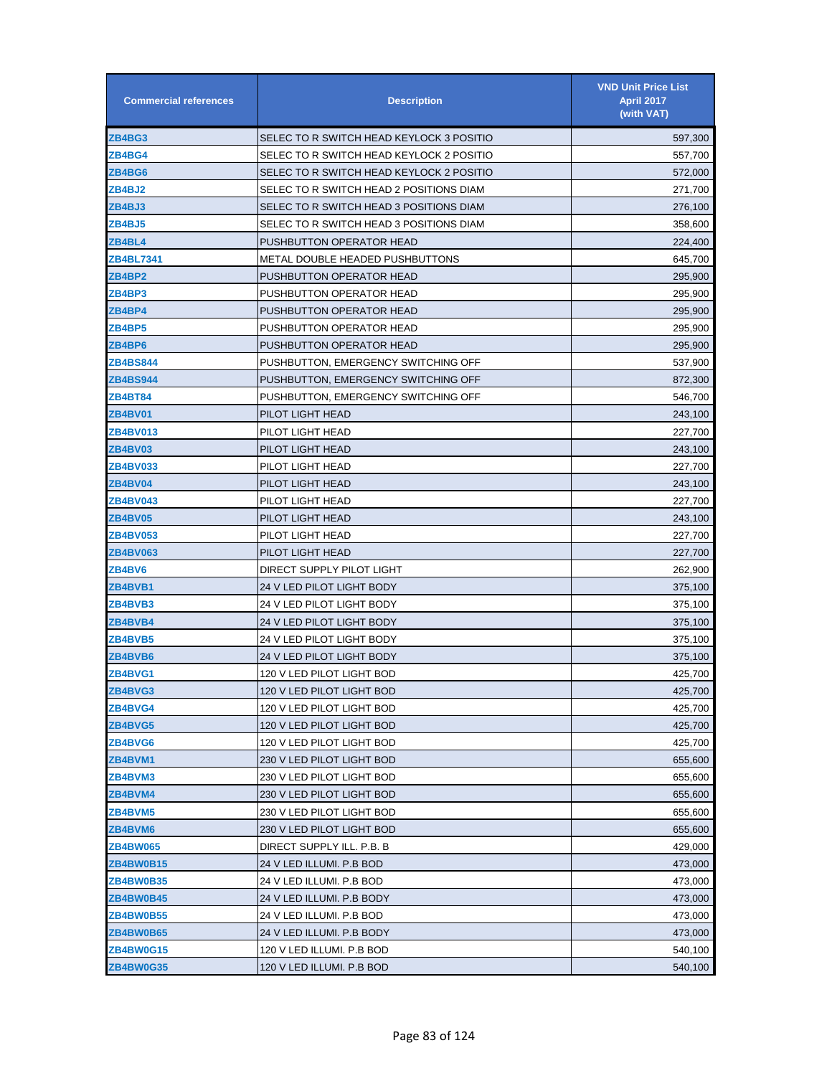| <b>Commercial references</b> | <b>Description</b>                       | <b>VND Unit Price List</b><br><b>April 2017</b><br>(with VAT) |
|------------------------------|------------------------------------------|---------------------------------------------------------------|
| ZB4BG3                       | SELEC TO R SWITCH HEAD KEYLOCK 3 POSITIO | 597,300                                                       |
| ZB4BG4                       | SELEC TO R SWITCH HEAD KEYLOCK 2 POSITIO | 557,700                                                       |
| ZB4BG6                       | SELEC TO R SWITCH HEAD KEYLOCK 2 POSITIO | 572,000                                                       |
| ZB4BJ2                       | SELEC TO R SWITCH HEAD 2 POSITIONS DIAM  | 271,700                                                       |
| ZB4BJ3                       | SELEC TO R SWITCH HEAD 3 POSITIONS DIAM  | 276,100                                                       |
| ZB4BJ5                       | SELEC TO R SWITCH HEAD 3 POSITIONS DIAM  | 358,600                                                       |
| ZB4BL4                       | PUSHBUTTON OPERATOR HEAD                 | 224,400                                                       |
| ZB4BL7341                    | METAL DOUBLE HEADED PUSHBUTTONS          | 645,700                                                       |
| ZB4BP2                       | PUSHBUTTON OPERATOR HEAD                 | 295,900                                                       |
| ZB4BP3                       | PUSHBUTTON OPERATOR HEAD                 | 295,900                                                       |
| ZB4BP4                       | PUSHBUTTON OPERATOR HEAD                 | 295,900                                                       |
| ZB4BP5                       | PUSHBUTTON OPERATOR HEAD                 | 295,900                                                       |
| ZB4BP6                       | PUSHBUTTON OPERATOR HEAD                 | 295,900                                                       |
| <b>ZB4BS844</b>              | PUSHBUTTON, EMERGENCY SWITCHING OFF      | 537,900                                                       |
| <b>ZB4BS944</b>              | PUSHBUTTON, EMERGENCY SWITCHING OFF      | 872,300                                                       |
| <b>ZB4BT84</b>               | PUSHBUTTON, EMERGENCY SWITCHING OFF      | 546,700                                                       |
| ZB4BV01                      | PILOT LIGHT HEAD                         | 243,100                                                       |
| ZB4BV013                     | PILOT LIGHT HEAD                         | 227,700                                                       |
| ZB4BV03                      | PILOT LIGHT HEAD                         | 243,100                                                       |
| <b>ZB4BV033</b>              | PILOT LIGHT HEAD                         | 227,700                                                       |
| ZB4BV04                      | PILOT LIGHT HEAD                         | 243,100                                                       |
| <b>ZB4BV043</b>              | PILOT LIGHT HEAD                         | 227,700                                                       |
| ZB4BV05                      | PILOT LIGHT HEAD                         | 243,100                                                       |
| <b>ZB4BV053</b>              | PILOT LIGHT HEAD                         | 227,700                                                       |
| <b>ZB4BV063</b>              | PILOT LIGHT HEAD                         | 227,700                                                       |
| ZB4BV6                       | DIRECT SUPPLY PILOT LIGHT                | 262,900                                                       |
| ZB4BVB1                      | 24 V LED PILOT LIGHT BODY                | 375,100                                                       |
| ZB4BVB3                      | 24 V LED PILOT LIGHT BODY                | 375,100                                                       |
| ZB4BVB4                      | 24 V LED PILOT LIGHT BODY                | 375,100                                                       |
| ZB4BVB5                      | 24 V LED PILOT LIGHT BODY                | 375,100                                                       |
| ZB4BVB6                      | 24 V LED PILOT LIGHT BODY                | 375,100                                                       |
| ZB4BVG1                      | 120 V LED PILOT LIGHT BOD                | 425,700                                                       |
| ZB4BVG3                      | 120 V LED PILOT LIGHT BOD                | 425,700                                                       |
| ZB4BVG4                      | 120 V LED PILOT LIGHT BOD                | 425,700                                                       |
| ZB4BVG5                      | 120 V LED PILOT LIGHT BOD                | 425,700                                                       |
| ZB4BVG6                      | 120 V LED PILOT LIGHT BOD                | 425,700                                                       |
| ZB4BVM1                      | 230 V LED PILOT LIGHT BOD                | 655,600                                                       |
| ZB4BVM3                      | 230 V LED PILOT LIGHT BOD                | 655,600                                                       |
| ZB4BVM4                      | 230 V LED PILOT LIGHT BOD                | 655,600                                                       |
| <b>ZB4BVM5</b>               | 230 V LED PILOT LIGHT BOD                | 655,600                                                       |
| ZB4BVM6                      | 230 V LED PILOT LIGHT BOD                | 655,600                                                       |
| <b>ZB4BW065</b>              | DIRECT SUPPLY ILL. P.B. B                | 429,000                                                       |
| ZB4BW0B15                    | 24 V LED ILLUMI. P.B BOD                 | 473,000                                                       |
| ZB4BW0B35                    | 24 V LED ILLUMI. P.B BOD                 | 473,000                                                       |
| ZB4BW0B45                    | 24 V LED ILLUMI. P.B BODY                | 473,000                                                       |
| ZB4BW0B55                    | 24 V LED ILLUMI. P.B BOD                 | 473,000                                                       |
| ZB4BW0B65                    | 24 V LED ILLUMI. P.B BODY                | 473,000                                                       |
| <b>ZB4BW0G15</b>             | 120 V LED ILLUMI. P.B BOD                | 540,100                                                       |
| ZB4BW0G35                    | 120 V LED ILLUMI. P.B BOD                | 540,100                                                       |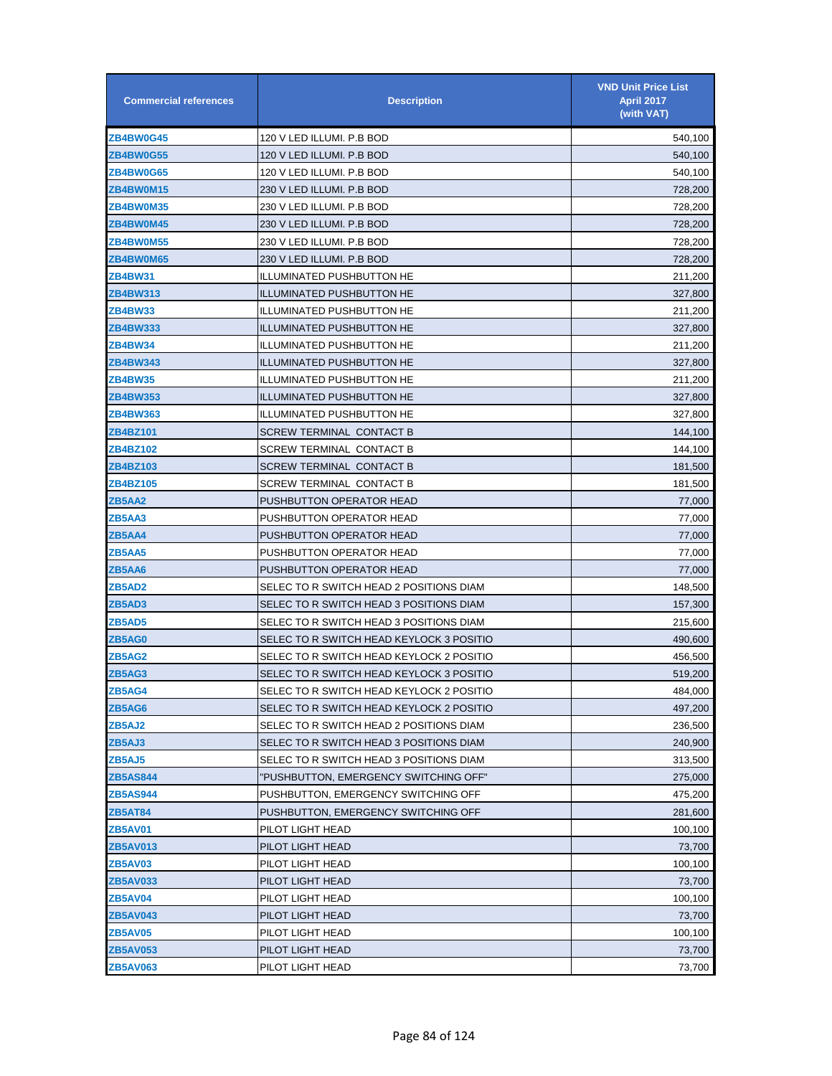| <b>Commercial references</b> | <b>Description</b>                       | <b>VND Unit Price List</b><br><b>April 2017</b><br>(with VAT) |
|------------------------------|------------------------------------------|---------------------------------------------------------------|
| <b>ZB4BW0G45</b>             | 120 V LED ILLUMI. P.B BOD                | 540,100                                                       |
| <b>ZB4BW0G55</b>             | 120 V LED ILLUMI. P.B BOD                | 540,100                                                       |
| <b>ZB4BW0G65</b>             | 120 V LED ILLUMI. P.B BOD                | 540,100                                                       |
| <b>ZB4BW0M15</b>             | 230 V LED ILLUMI. P.B BOD                | 728,200                                                       |
| <b>ZB4BW0M35</b>             | 230 V LED ILLUMI. P.B BOD                | 728,200                                                       |
| ZB4BW0M45                    | 230 V LED ILLUMI. P.B BOD                | 728,200                                                       |
| <b>ZB4BW0M55</b>             | 230 V LED ILLUMI. P.B BOD                | 728,200                                                       |
| <b>ZB4BW0M65</b>             | 230 V LED ILLUMI. P.B BOD                | 728,200                                                       |
| ZB4BW31                      | <b>ILLUMINATED PUSHBUTTON HE</b>         | 211,200                                                       |
| ZB4BW313                     | <b>ILLUMINATED PUSHBUTTON HE</b>         | 327,800                                                       |
| ZB4BW33                      | <b>ILLUMINATED PUSHBUTTON HE</b>         | 211,200                                                       |
| ZB4BW333                     | <b>ILLUMINATED PUSHBUTTON HE</b>         | 327,800                                                       |
| ZB4BW34                      | ILLUMINATED PUSHBUTTON HE                | 211,200                                                       |
| ZB4BW343                     | <b>ILLUMINATED PUSHBUTTON HE</b>         | 327,800                                                       |
| ZB4BW35                      | <b>ILLUMINATED PUSHBUTTON HE</b>         | 211,200                                                       |
| <b>ZB4BW353</b>              | <b>ILLUMINATED PUSHBUTTON HE</b>         | 327,800                                                       |
| ZB4BW363                     | ILLUMINATED PUSHBUTTON HE                | 327,800                                                       |
| ZB4BZ101                     | SCREW TERMINAL CONTACT B                 | 144,100                                                       |
| ZB4BZ102                     | SCREW TERMINAL CONTACT B                 | 144,100                                                       |
| ZB4BZ103                     | SCREW TERMINAL CONTACT B                 | 181,500                                                       |
| ZB4BZ105                     | SCREW TERMINAL CONTACT B                 | 181,500                                                       |
| ZB5AA2                       | PUSHBUTTON OPERATOR HEAD                 | 77,000                                                        |
| ZB5AA3                       | PUSHBUTTON OPERATOR HEAD                 | 77,000                                                        |
| ZB5AA4                       | PUSHBUTTON OPERATOR HEAD                 | 77,000                                                        |
| ZB5AA5                       | PUSHBUTTON OPERATOR HEAD                 | 77,000                                                        |
| ZB5AA6                       | PUSHBUTTON OPERATOR HEAD                 | 77,000                                                        |
| ZB5AD2                       | SELEC TO R SWITCH HEAD 2 POSITIONS DIAM  | 148,500                                                       |
| ZB5AD3                       | SELEC TO R SWITCH HEAD 3 POSITIONS DIAM  | 157,300                                                       |
| <b>ZB5AD5</b>                | SELEC TO R SWITCH HEAD 3 POSITIONS DIAM  | 215,600                                                       |
| ZB5AG0                       | SELEC TO R SWITCH HEAD KEYLOCK 3 POSITIO | 490,600                                                       |
| <b>ZB5AG2</b>                | SELEC TO R SWITCH HEAD KEYLOCK 2 POSITIO | 456,500                                                       |
| ZB5AG3                       | SELEC TO R SWITCH HEAD KEYLOCK 3 POSITIO | 519,200                                                       |
| ZB5AG4                       | SELEC TO R SWITCH HEAD KEYLOCK 2 POSITIO | 484,000                                                       |
| ZB5AG6                       | SELEC TO R SWITCH HEAD KEYLOCK 2 POSITIO | 497,200                                                       |
| ZB5AJ2                       | SELEC TO R SWITCH HEAD 2 POSITIONS DIAM  | 236,500                                                       |
| ZB5AJ3                       | SELEC TO R SWITCH HEAD 3 POSITIONS DIAM  | 240,900                                                       |
| ZB5AJ5                       | SELEC TO R SWITCH HEAD 3 POSITIONS DIAM  | 313,500                                                       |
| ZB5AS844                     | "PUSHBUTTON, EMERGENCY SWITCHING OFF"    | 275,000                                                       |
| ZB5AS944                     | PUSHBUTTON, EMERGENCY SWITCHING OFF      | 475,200                                                       |
| ZB5AT84                      | PUSHBUTTON, EMERGENCY SWITCHING OFF      | 281,600                                                       |
| ZB5AV01                      | PILOT LIGHT HEAD                         | 100,100                                                       |
| <b>ZB5AV013</b>              | PILOT LIGHT HEAD                         | 73,700                                                        |
| ZB5AV03                      | PILOT LIGHT HEAD                         | 100,100                                                       |
| <b>ZB5AV033</b>              | PILOT LIGHT HEAD                         | 73,700                                                        |
| ZB5AV04                      | PILOT LIGHT HEAD                         | 100,100                                                       |
| <b>ZB5AV043</b>              | PILOT LIGHT HEAD                         | 73,700                                                        |
| ZB5AV05                      | PILOT LIGHT HEAD                         | 100,100                                                       |
| <b>ZB5AV053</b>              | PILOT LIGHT HEAD                         | 73,700                                                        |
| <b>ZB5AV063</b>              | PILOT LIGHT HEAD                         | 73,700                                                        |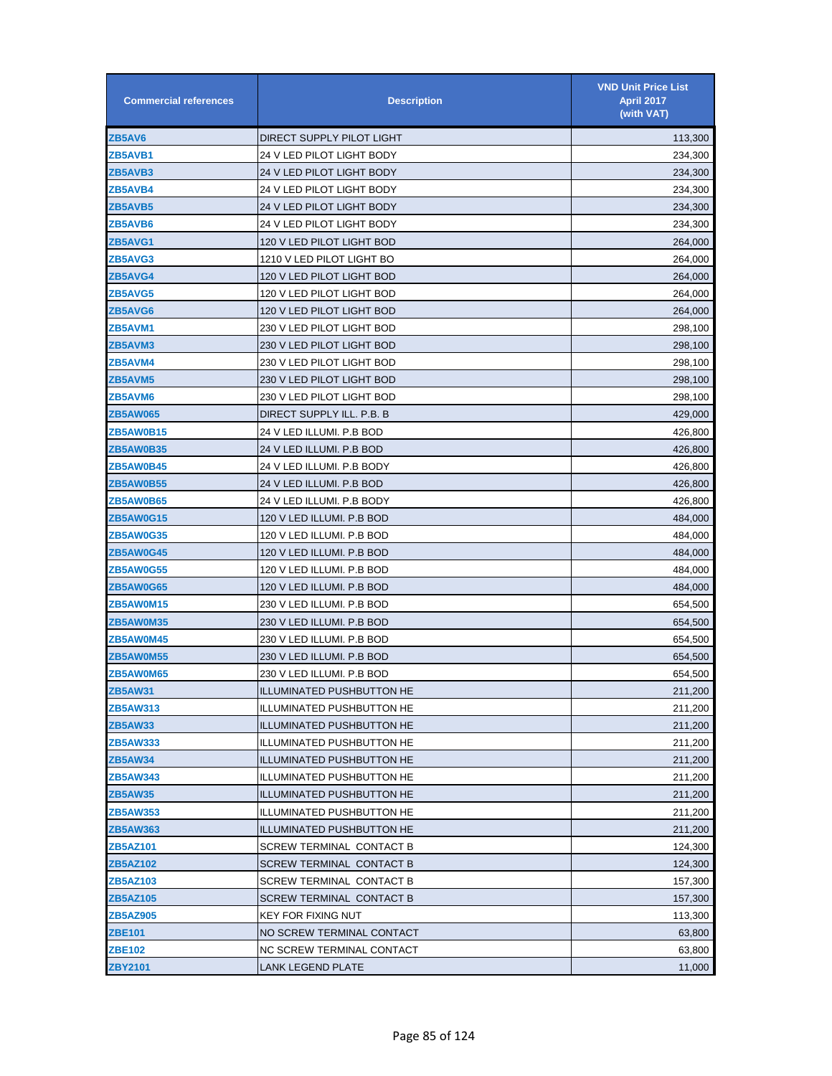| <b>Commercial references</b> | <b>Description</b>               | <b>VND Unit Price List</b><br><b>April 2017</b><br>(with VAT) |
|------------------------------|----------------------------------|---------------------------------------------------------------|
| ZB5AV6                       | DIRECT SUPPLY PILOT LIGHT        | 113,300                                                       |
| ZB5AVB1                      | 24 V LED PILOT LIGHT BODY        | 234,300                                                       |
| ZB5AVB3                      | 24 V LED PILOT LIGHT BODY        | 234,300                                                       |
| ZB5AVB4                      | 24 V LED PILOT LIGHT BODY        | 234,300                                                       |
| <b>ZB5AVB5</b>               | 24 V LED PILOT LIGHT BODY        | 234,300                                                       |
| ZB5AVB6                      | 24 V LED PILOT LIGHT BODY        | 234,300                                                       |
| ZB5AVG1                      | 120 V LED PILOT LIGHT BOD        | 264,000                                                       |
| ZB5AVG3                      | 1210 V LED PILOT LIGHT BO        | 264,000                                                       |
| ZB5AVG4                      | 120 V LED PILOT LIGHT BOD        | 264,000                                                       |
| ZB5AVG5                      | 120 V LED PILOT LIGHT BOD        | 264,000                                                       |
| <b>ZB5AVG6</b>               | 120 V LED PILOT LIGHT BOD        | 264,000                                                       |
| ZB5AVM1                      | 230 V LED PILOT LIGHT BOD        | 298,100                                                       |
| <b>ZB5AVM3</b>               | 230 V LED PILOT LIGHT BOD        | 298,100                                                       |
| ZB5AVM4                      | 230 V LED PILOT LIGHT BOD        | 298,100                                                       |
| <b>ZB5AVM5</b>               | 230 V LED PILOT LIGHT BOD        | 298,100                                                       |
| ZB5AVM6                      | 230 V LED PILOT LIGHT BOD        | 298,100                                                       |
| <b>ZB5AW065</b>              | DIRECT SUPPLY ILL. P.B. B        | 429,000                                                       |
| <b>ZB5AW0B15</b>             | 24 V LED ILLUMI. P.B BOD         | 426,800                                                       |
| <b>ZB5AW0B35</b>             | 24 V LED ILLUMI. P.B BOD         | 426,800                                                       |
| ZB5AW0B45                    | 24 V LED ILLUMI. P.B BODY        | 426,800                                                       |
| ZB5AW0B55                    | 24 V LED ILLUMI. P.B BOD         | 426,800                                                       |
| <b>ZB5AW0B65</b>             | 24 V LED ILLUMI. P.B BODY        | 426,800                                                       |
| <b>ZB5AW0G15</b>             | 120 V LED ILLUMI. P.B BOD        | 484,000                                                       |
| <b>ZB5AW0G35</b>             | 120 V LED ILLUMI. P.B BOD        | 484,000                                                       |
| <b>ZB5AW0G45</b>             | 120 V LED ILLUMI. P.B BOD        | 484,000                                                       |
| <b>ZB5AW0G55</b>             | 120 V LED ILLUMI. P.B BOD        | 484,000                                                       |
| ZB5AW0G65                    | 120 V LED ILLUMI. P.B BOD        | 484,000                                                       |
| <b>ZB5AW0M15</b>             | 230 V LED ILLUMI. P.B BOD        | 654,500                                                       |
| <b>ZB5AW0M35</b>             | 230 V LED ILLUMI. P.B BOD        | 654,500                                                       |
| <b>ZB5AW0M45</b>             | 230 V LED ILLUMI. P.B BOD        | 654,500                                                       |
| <b>ZB5AW0M55</b>             | 230 V LED ILLUMI. P.B BOD        | 654,500                                                       |
| <b>ZB5AW0M65</b>             | 230 V LED ILLUMI. P.B BOD        | 654,500                                                       |
| <b>ZB5AW31</b>               | <b>ILLUMINATED PUSHBUTTON HE</b> | 211,200                                                       |
| ZB5AW313                     | ILLUMINATED PUSHBUTTON HE        | 211,200                                                       |
| <b>ZB5AW33</b>               | <b>ILLUMINATED PUSHBUTTON HE</b> | 211,200                                                       |
| <b>ZB5AW333</b>              | <b>ILLUMINATED PUSHBUTTON HE</b> | 211,200                                                       |
| ZB5AW34                      | <b>ILLUMINATED PUSHBUTTON HE</b> | 211,200                                                       |
| <b>ZB5AW343</b>              | <b>ILLUMINATED PUSHBUTTON HE</b> | 211,200                                                       |
| ZB5AW35                      | <b>ILLUMINATED PUSHBUTTON HE</b> | 211,200                                                       |
| ZB5AW353                     | <b>ILLUMINATED PUSHBUTTON HE</b> | 211,200                                                       |
| ZB5AW363                     | <b>ILLUMINATED PUSHBUTTON HE</b> | 211,200                                                       |
| ZB5AZ101                     | <b>SCREW TERMINAL CONTACT B</b>  | 124,300                                                       |
| ZB5AZ102                     | <b>SCREW TERMINAL CONTACT B</b>  | 124,300                                                       |
| ZB5AZ103                     | SCREW TERMINAL CONTACT B         | 157,300                                                       |
| ZB5AZ105                     | SCREW TERMINAL CONTACT B         | 157,300                                                       |
| ZB5AZ905                     | KEY FOR FIXING NUT               | 113,300                                                       |
| <b>ZBE101</b>                | NO SCREW TERMINAL CONTACT        | 63,800                                                        |
| <b>ZBE102</b>                | NC SCREW TERMINAL CONTACT        | 63,800                                                        |
| ZBY2101                      | LANK LEGEND PLATE                | 11,000                                                        |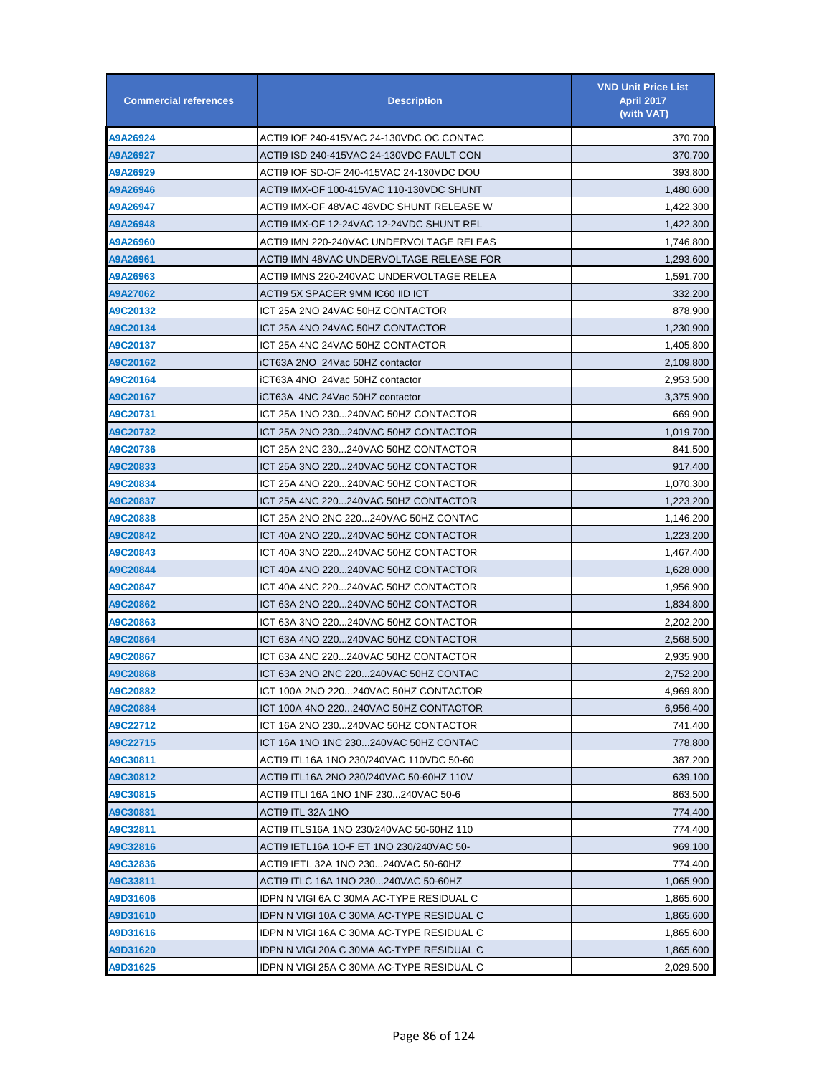| <b>Commercial references</b> | <b>Description</b>                        | <b>VND Unit Price List</b><br><b>April 2017</b><br>(with VAT) |
|------------------------------|-------------------------------------------|---------------------------------------------------------------|
| A9A26924                     | ACTI9 IOF 240-415VAC 24-130VDC OC CONTAC  | 370,700                                                       |
| A9A26927                     | ACTI9 ISD 240-415VAC 24-130VDC FAULT CON  | 370,700                                                       |
| A9A26929                     | ACTI9 IOF SD-OF 240-415VAC 24-130VDC DOU  | 393,800                                                       |
| A9A26946                     | ACTI9 IMX-OF 100-415VAC 110-130VDC SHUNT  | 1,480,600                                                     |
| A9A26947                     | ACTI9 IMX-OF 48VAC 48VDC SHUNT RELEASE W  | 1,422,300                                                     |
| A9A26948                     | ACTI9 IMX-OF 12-24VAC 12-24VDC SHUNT REL  | 1,422,300                                                     |
| A9A26960                     | ACTI9 IMN 220-240VAC UNDERVOLTAGE RELEAS  | 1,746,800                                                     |
| A9A26961                     | ACTI9 IMN 48VAC UNDERVOLTAGE RELEASE FOR  | 1,293,600                                                     |
| A9A26963                     | ACTI9 IMNS 220-240VAC UNDERVOLTAGE RELEA  | 1,591,700                                                     |
| A9A27062                     | ACTI9 5X SPACER 9MM IC60 IID ICT          | 332,200                                                       |
| A9C20132                     | ICT 25A 2NO 24VAC 50HZ CONTACTOR          | 878,900                                                       |
| A9C20134                     | ICT 25A 4NO 24VAC 50HZ CONTACTOR          | 1,230,900                                                     |
| A9C20137                     | ICT 25A 4NC 24VAC 50HZ CONTACTOR          | 1,405,800                                                     |
| A9C20162                     | iCT63A 2NO 24Vac 50HZ contactor           | 2,109,800                                                     |
| A9C20164                     | iCT63A 4NO 24Vac 50HZ contactor           | 2,953,500                                                     |
| A9C20167                     | iCT63A 4NC 24Vac 50HZ contactor           | 3,375,900                                                     |
| A9C20731                     | ICT 25A 1NO 230240VAC 50HZ CONTACTOR      | 669,900                                                       |
| A9C20732                     | ICT 25A 2NO 230240VAC 50HZ CONTACTOR      | 1,019,700                                                     |
| A9C20736                     | ICT 25A 2NC 230240VAC 50HZ CONTACTOR      | 841,500                                                       |
| A9C20833                     | ICT 25A 3NO 220240VAC 50HZ CONTACTOR      | 917,400                                                       |
| A9C20834                     | ICT 25A 4NO 220240VAC 50HZ CONTACTOR      | 1,070,300                                                     |
| A9C20837                     | ICT 25A 4NC 220240VAC 50HZ CONTACTOR      | 1,223,200                                                     |
| A9C20838                     | ICT 25A 2NO 2NC 220240VAC 50HZ CONTAC     | 1,146,200                                                     |
| A9C20842                     | ICT 40A 2NO 220240VAC 50HZ CONTACTOR      | 1,223,200                                                     |
| A9C20843                     | ICT 40A 3NO 220240VAC 50HZ CONTACTOR      | 1,467,400                                                     |
| A9C20844                     | ICT 40A 4NO 220240VAC 50HZ CONTACTOR      | 1,628,000                                                     |
| A9C20847                     | ICT 40A 4NC 220240VAC 50HZ CONTACTOR      | 1,956,900                                                     |
| A9C20862                     | ICT 63A 2NO 220240VAC 50HZ CONTACTOR      | 1,834,800                                                     |
| A9C20863                     | ICT 63A 3NO 220240VAC 50HZ CONTACTOR      | 2,202,200                                                     |
| A9C20864                     | ICT 63A 4NO 220240VAC 50HZ CONTACTOR      | 2,568,500                                                     |
| A9C20867                     | ICT 63A 4NC 220240VAC 50HZ CONTACTOR      | 2,935,900                                                     |
| A9C20868                     | ICT 63A 2NO 2NC 220240VAC 50HZ CONTAC     | 2,752,200                                                     |
| A9C20882                     | ICT 100A 2NO 220240VAC 50HZ CONTACTOR     | 4,969,800                                                     |
| A9C20884                     | ICT 100A 4NO 220240VAC 50HZ CONTACTOR     | 6,956,400                                                     |
| A9C22712                     | ICT 16A 2NO 230240VAC 50HZ CONTACTOR      | 741,400                                                       |
| A9C22715                     | ICT 16A 1NO 1NC 230240VAC 50HZ CONTAC     | 778,800                                                       |
| A9C30811                     | ACTI9 ITL16A 1NO 230/240VAC 110VDC 50-60  | 387,200                                                       |
| A9C30812                     | ACTI9 ITL16A 2NO 230/240VAC 50-60HZ 110V  | 639,100                                                       |
| A9C30815                     | ACTI9 ITLI 16A 1NO 1NF 230240VAC 50-6     | 863,500                                                       |
| A9C30831                     | ACTI9 ITL 32A 1NO                         | 774,400                                                       |
| A9C32811                     | ACTI9 ITLS16A 1NO 230/240VAC 50-60HZ 110  | 774,400                                                       |
| A9C32816                     | ACTI9 IETL16A 1O-F ET 1NO 230/240VAC 50-  | 969,100                                                       |
| A9C32836                     | ACTI9 IETL 32A 1NO 230240VAC 50-60HZ      | 774,400                                                       |
| A9C33811                     | ACTI9 ITLC 16A 1NO 230240VAC 50-60HZ      | 1,065,900                                                     |
| A9D31606                     | IDPN N VIGI 6A C 30MA AC-TYPE RESIDUAL C  | 1,865,600                                                     |
| A9D31610                     | IDPN N VIGI 10A C 30MA AC-TYPE RESIDUAL C | 1,865,600                                                     |
| A9D31616                     | IDPN N VIGI 16A C 30MA AC-TYPE RESIDUAL C | 1,865,600                                                     |
| A9D31620                     | IDPN N VIGI 20A C 30MA AC-TYPE RESIDUAL C | 1,865,600                                                     |
| A9D31625                     | IDPN N VIGI 25A C 30MA AC-TYPE RESIDUAL C | 2,029,500                                                     |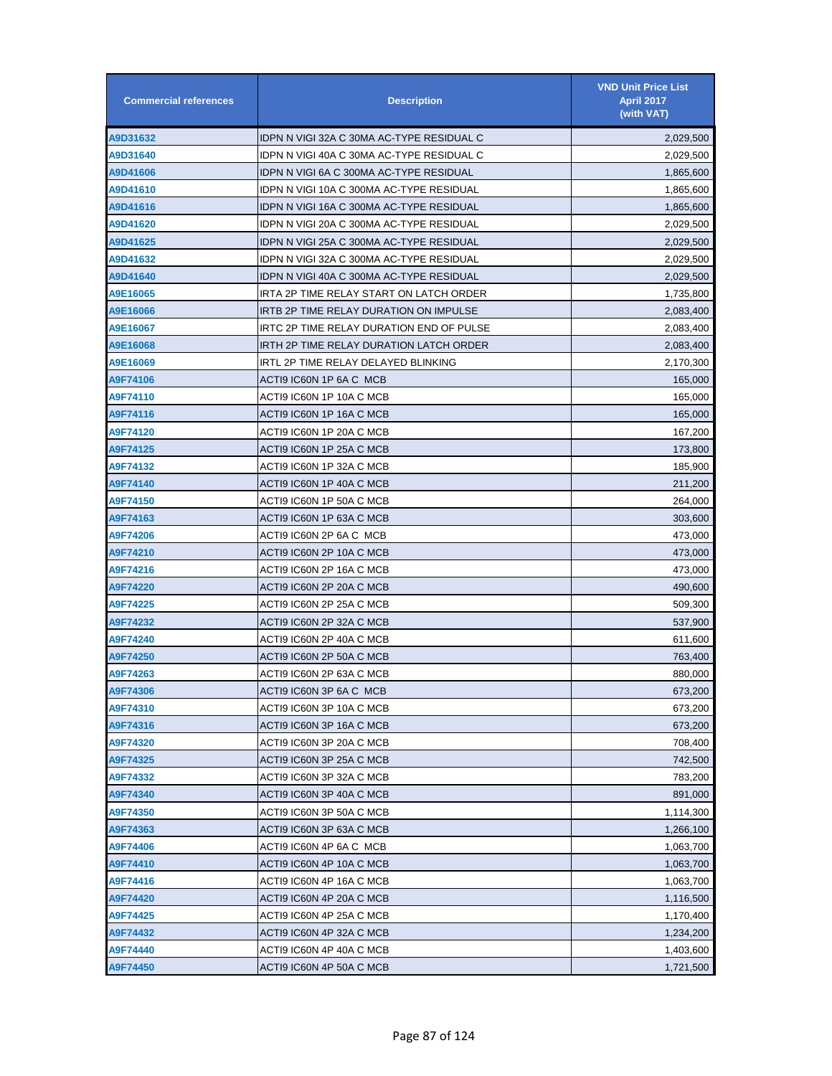| <b>Commercial references</b> | <b>Description</b>                        | <b>VND Unit Price List</b><br><b>April 2017</b><br>(with VAT) |
|------------------------------|-------------------------------------------|---------------------------------------------------------------|
| A9D31632                     | IDPN N VIGI 32A C 30MA AC-TYPE RESIDUAL C | 2,029,500                                                     |
| A9D31640                     | IDPN N VIGI 40A C 30MA AC-TYPE RESIDUAL C | 2,029,500                                                     |
| A9D41606                     | IDPN N VIGI 6A C 300MA AC-TYPE RESIDUAL   | 1,865,600                                                     |
| A9D41610                     | IDPN N VIGI 10A C 300MA AC-TYPE RESIDUAL  | 1,865,600                                                     |
| A9D41616                     | IDPN N VIGI 16A C 300MA AC-TYPE RESIDUAL  | 1,865,600                                                     |
| A9D41620                     | IDPN N VIGI 20A C 300MA AC-TYPE RESIDUAL  | 2,029,500                                                     |
| A9D41625                     | IDPN N VIGI 25A C 300MA AC-TYPE RESIDUAL  | 2,029,500                                                     |
| A9D41632                     | IDPN N VIGI 32A C 300MA AC-TYPE RESIDUAL  | 2,029,500                                                     |
| A9D41640                     | IDPN N VIGI 40A C 300MA AC-TYPE RESIDUAL  | 2,029,500                                                     |
| A9E16065                     | IRTA 2P TIME RELAY START ON LATCH ORDER   | 1,735,800                                                     |
| A9E16066                     | IRTB 2P TIME RELAY DURATION ON IMPULSE    | 2,083,400                                                     |
| A9E16067                     | IRTC 2P TIME RELAY DURATION END OF PULSE  | 2,083,400                                                     |
| A9E16068                     | IRTH 2P TIME RELAY DURATION LATCH ORDER   | 2,083,400                                                     |
| A9E16069                     | IRTL 2P TIME RELAY DELAYED BLINKING       | 2,170,300                                                     |
| A9F74106                     | ACTI9 IC60N 1P 6A C MCB                   | 165,000                                                       |
| A9F74110                     | ACTI9 IC60N 1P 10A C MCB                  | 165,000                                                       |
| A9F74116                     | ACTI9 IC60N 1P 16A C MCB                  | 165,000                                                       |
| A9F74120                     | ACTI9 IC60N 1P 20A C MCB                  | 167,200                                                       |
| A9F74125                     | ACTI9 IC60N 1P 25A C MCB                  | 173,800                                                       |
| A9F74132                     | ACTI9 IC60N 1P 32A C MCB                  | 185,900                                                       |
| A9F74140                     | ACTI9 IC60N 1P 40A C MCB                  | 211,200                                                       |
| A9F74150                     | ACTI9 IC60N 1P 50A C MCB                  | 264,000                                                       |
| A9F74163                     | ACTI9 IC60N 1P 63A C MCB                  | 303,600                                                       |
| A9F74206                     | ACTI9 IC60N 2P 6A C MCB                   | 473,000                                                       |
| A9F74210                     | ACTI9 IC60N 2P 10A C MCB                  | 473,000                                                       |
| A9F74216                     | ACTI9 IC60N 2P 16A C MCB                  | 473,000                                                       |
| A9F74220                     | ACTI9 IC60N 2P 20A C MCB                  | 490,600                                                       |
| A9F74225                     | ACTI9 IC60N 2P 25A C MCB                  | 509,300                                                       |
| A9F74232                     | ACTI9 IC60N 2P 32A C MCB                  | 537,900                                                       |
| A9F74240                     | ACTI9 IC60N 2P 40A C MCB                  | 611,600                                                       |
| A9F74250                     | ACTI9 IC60N 2P 50A C MCB                  | 763,400                                                       |
| A9F74263                     | ACTI9 IC60N 2P 63A C MCB                  | 880,000                                                       |
| A9F74306                     | ACTI9 IC60N 3P 6A C MCB                   | 673,200                                                       |
| A9F74310                     | ACTI9 IC60N 3P 10A C MCB                  | 673,200                                                       |
| A9F74316                     | ACTI9 IC60N 3P 16A C MCB                  | 673,200                                                       |
| A9F74320                     | ACTI9 IC60N 3P 20A C MCB                  | 708,400                                                       |
| A9F74325                     | ACTI9 IC60N 3P 25A C MCB                  | 742,500                                                       |
| A9F74332                     | ACTI9 IC60N 3P 32A C MCB                  | 783,200                                                       |
| A9F74340                     | ACTI9 IC60N 3P 40A C MCB                  | 891,000                                                       |
| A9F74350                     | ACTI9 IC60N 3P 50A C MCB                  | 1,114,300                                                     |
| A9F74363                     | ACTI9 IC60N 3P 63A C MCB                  | 1,266,100                                                     |
| A9F74406                     | ACTI9 IC60N 4P 6A C MCB                   | 1,063,700                                                     |
| A9F74410                     | ACTI9 IC60N 4P 10A C MCB                  | 1,063,700                                                     |
| A9F74416                     | ACTI9 IC60N 4P 16A C MCB                  | 1,063,700                                                     |
| A9F74420                     | ACTI9 IC60N 4P 20A C MCB                  | 1,116,500                                                     |
| A9F74425                     | ACTI9 IC60N 4P 25A C MCB                  | 1,170,400                                                     |
| A9F74432                     | ACTI9 IC60N 4P 32A C MCB                  | 1,234,200                                                     |
| A9F74440                     | ACTI9 IC60N 4P 40A C MCB                  | 1,403,600                                                     |
| A9F74450                     | ACTI9 IC60N 4P 50A C MCB                  | 1,721,500                                                     |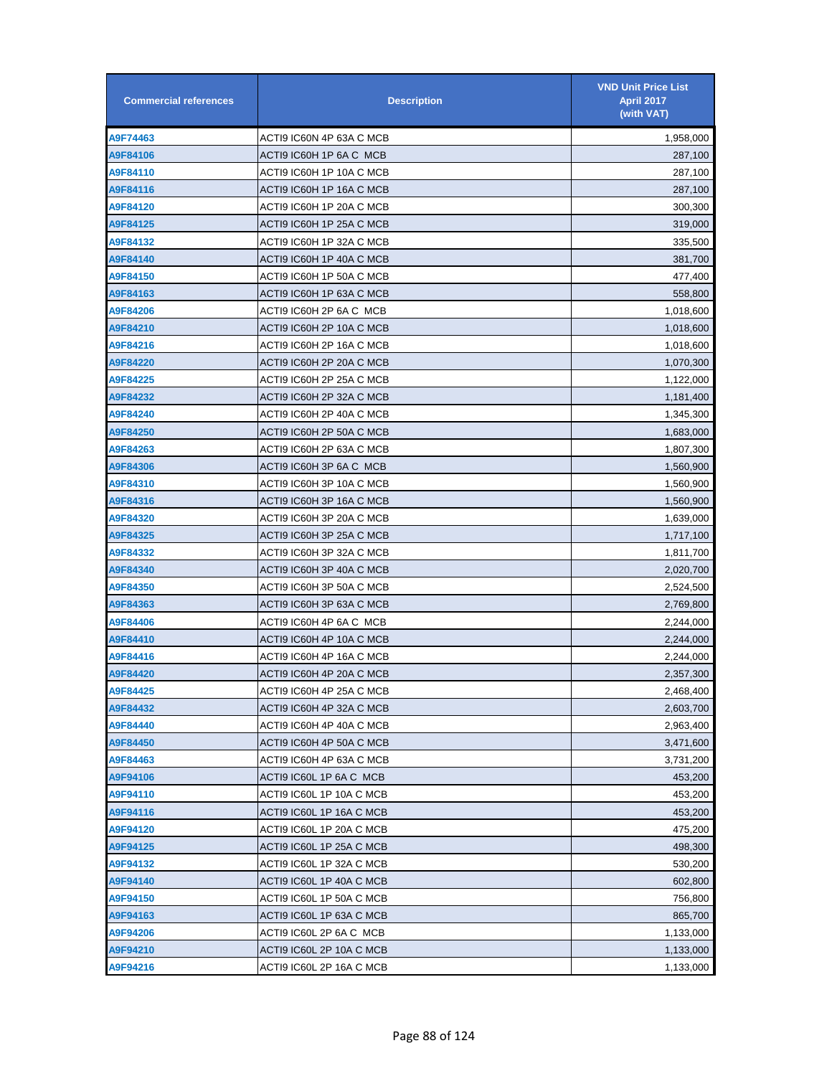| <b>Commercial references</b> | <b>Description</b>       | <b>VND Unit Price List</b><br><b>April 2017</b><br>(with VAT) |
|------------------------------|--------------------------|---------------------------------------------------------------|
| A9F74463                     | ACTI9 IC60N 4P 63A C MCB | 1,958,000                                                     |
| A9F84106                     | ACTI9 IC60H 1P 6A C_MCB  | 287,100                                                       |
| A9F84110                     | ACTI9 IC60H 1P 10A C MCB | 287,100                                                       |
| A9F84116                     | ACTI9 IC60H 1P 16A C MCB | 287,100                                                       |
| A9F84120                     | ACTI9 IC60H 1P 20A C MCB | 300,300                                                       |
| A9F84125                     | ACTI9 IC60H 1P 25A C MCB | 319,000                                                       |
| A9F84132                     | ACTI9 IC60H 1P 32A C MCB | 335,500                                                       |
| A9F84140                     | ACTI9 IC60H 1P 40A C MCB | 381,700                                                       |
| A9F84150                     | ACTI9 IC60H 1P 50A C MCB | 477,400                                                       |
| A9F84163                     | ACTI9 IC60H 1P 63A C MCB | 558,800                                                       |
| A9F84206                     | ACTI9 IC60H 2P 6A C_MCB  | 1,018,600                                                     |
| A9F84210                     | ACTI9 IC60H 2P 10A C MCB | 1,018,600                                                     |
| A9F84216                     | ACTI9 IC60H 2P 16A C MCB | 1,018,600                                                     |
| A9F84220                     | ACTI9 IC60H 2P 20A C MCB | 1,070,300                                                     |
| A9F84225                     | ACTI9 IC60H 2P 25A C MCB | 1,122,000                                                     |
| A9F84232                     | ACTI9 IC60H 2P 32A C MCB | 1,181,400                                                     |
| A9F84240                     | ACTI9 IC60H 2P 40A C MCB | 1,345,300                                                     |
| A9F84250                     | ACTI9 IC60H 2P 50A C MCB | 1,683,000                                                     |
| A9F84263                     | ACTI9 IC60H 2P 63A C MCB | 1,807,300                                                     |
| A9F84306                     | ACTI9 IC60H 3P 6A C_MCB  | 1,560,900                                                     |
| A9F84310                     | ACTI9 IC60H 3P 10A C MCB | 1,560,900                                                     |
| A9F84316                     | ACTI9 IC60H 3P 16A C MCB | 1,560,900                                                     |
| A9F84320                     | ACTI9 IC60H 3P 20A C MCB | 1,639,000                                                     |
| A9F84325                     | ACTI9 IC60H 3P 25A C MCB | 1,717,100                                                     |
| A9F84332                     | ACTI9 IC60H 3P 32A C MCB | 1,811,700                                                     |
| A9F84340                     | ACTI9 IC60H 3P 40A C MCB | 2,020,700                                                     |
| A9F84350                     | ACTI9 IC60H 3P 50A C MCB | 2,524,500                                                     |
| A9F84363                     | ACTI9 IC60H 3P 63A C MCB | 2,769,800                                                     |
| A9F84406                     | ACTI9 IC60H 4P 6A C MCB  | 2,244,000                                                     |
| A9F84410                     | ACTI9 IC60H 4P 10A C MCB | 2,244,000                                                     |
| A9F84416                     | ACTI9 IC60H 4P 16A C MCB | 2,244,000                                                     |
| A9F84420                     | ACTI9 IC60H 4P 20A C MCB | 2,357,300                                                     |
| A9F84425                     | ACTI9 IC60H 4P 25A C MCB | 2,468,400                                                     |
| A9F84432                     | ACTI9 IC60H 4P 32A C MCB | 2,603,700                                                     |
| A9F84440                     | ACTI9 IC60H 4P 40A C MCB | 2,963,400                                                     |
| A9F84450                     | ACTI9 IC60H 4P 50A C MCB | 3,471,600                                                     |
| A9F84463                     | ACTI9 IC60H 4P 63A C MCB | 3,731,200                                                     |
| A9F94106                     | ACTI9 IC60L 1P 6A C_MCB  | 453,200                                                       |
| A9F94110                     | ACTI9 IC60L 1P 10A C MCB | 453,200                                                       |
| A9F94116                     | ACTI9 IC60L 1P 16A C MCB | 453,200                                                       |
| A9F94120                     | ACTI9 IC60L 1P 20A C MCB | 475,200                                                       |
| A9F94125                     | ACTI9 IC60L 1P 25A C MCB | 498,300                                                       |
| A9F94132                     | ACTI9 IC60L 1P 32A C MCB | 530,200                                                       |
| A9F94140                     | ACTI9 IC60L 1P 40A C MCB | 602,800                                                       |
| A9F94150                     | ACTI9 IC60L 1P 50A C MCB | 756,800                                                       |
| A9F94163                     | ACTI9 IC60L 1P 63A C MCB | 865,700                                                       |
| A9F94206                     | ACTI9 IC60L 2P 6A C_MCB  | 1,133,000                                                     |
| A9F94210                     | ACTI9 IC60L 2P 10A C MCB | 1,133,000                                                     |
| A9F94216                     | ACTI9 IC60L 2P 16A C MCB | 1,133,000                                                     |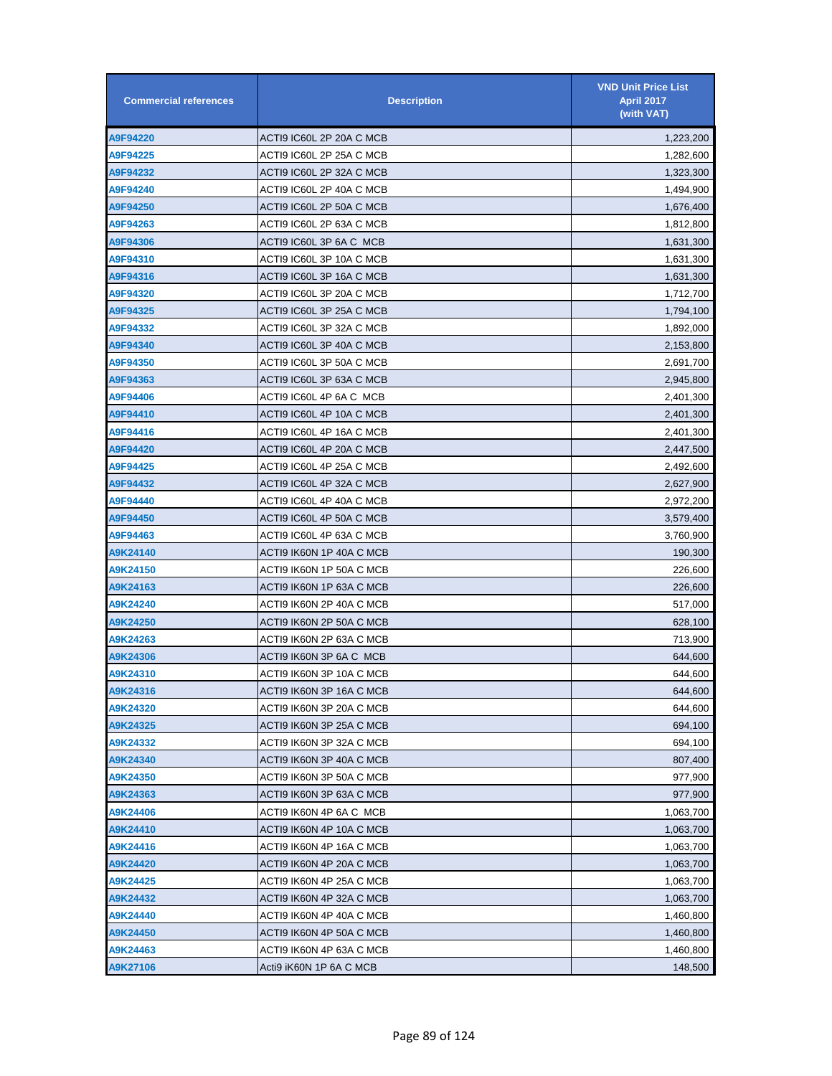| <b>Commercial references</b> | <b>Description</b>       | <b>VND Unit Price List</b><br><b>April 2017</b><br>(with VAT) |
|------------------------------|--------------------------|---------------------------------------------------------------|
| A9F94220                     | ACTI9 IC60L 2P 20A C MCB | 1,223,200                                                     |
| A9F94225                     | ACTI9 IC60L 2P 25A C MCB | 1,282,600                                                     |
| A9F94232                     | ACTI9 IC60L 2P 32A C MCB | 1,323,300                                                     |
| A9F94240                     | ACTI9 IC60L 2P 40A C MCB | 1,494,900                                                     |
| A9F94250                     | ACTI9 IC60L 2P 50A C MCB | 1,676,400                                                     |
| A9F94263                     | ACTI9 IC60L 2P 63A C MCB | 1,812,800                                                     |
| A9F94306                     | ACTI9 IC60L 3P 6A C MCB  | 1,631,300                                                     |
| A9F94310                     | ACTI9 IC60L 3P 10A C MCB | 1,631,300                                                     |
| A9F94316                     | ACTI9 IC60L 3P 16A C MCB | 1,631,300                                                     |
| A9F94320                     | ACTI9 IC60L 3P 20A C MCB | 1,712,700                                                     |
| A9F94325                     | ACTI9 IC60L 3P 25A C MCB | 1,794,100                                                     |
| A9F94332                     | ACTI9 IC60L 3P 32A C MCB | 1,892,000                                                     |
| A9F94340                     | ACTI9 IC60L 3P 40A C MCB | 2,153,800                                                     |
| A9F94350                     | ACTI9 IC60L 3P 50A C MCB | 2,691,700                                                     |
| A9F94363                     | ACTI9 IC60L 3P 63A C MCB | 2,945,800                                                     |
| A9F94406                     | ACTI9 IC60L 4P 6A C_MCB  | 2,401,300                                                     |
| A9F94410                     | ACTI9 IC60L 4P 10A C MCB | 2,401,300                                                     |
| A9F94416                     | ACTI9 IC60L 4P 16A C MCB | 2,401,300                                                     |
| A9F94420                     | ACTI9 IC60L 4P 20A C MCB | 2,447,500                                                     |
| A9F94425                     | ACTI9 IC60L 4P 25A C MCB | 2,492,600                                                     |
| A9F94432                     | ACTI9 IC60L 4P 32A C MCB | 2,627,900                                                     |
| A9F94440                     | ACTI9 IC60L 4P 40A C MCB | 2,972,200                                                     |
| A9F94450                     | ACTI9 IC60L 4P 50A C MCB | 3,579,400                                                     |
| A9F94463                     | ACTI9 IC60L 4P 63A C MCB | 3,760,900                                                     |
| A9K24140                     | ACTI9 IK60N 1P 40A C MCB | 190,300                                                       |
| A9K24150                     | ACTI9 IK60N 1P 50A C MCB | 226,600                                                       |
| A9K24163                     | ACTI9 IK60N 1P 63A C MCB | 226,600                                                       |
| A9K24240                     | ACTI9 IK60N 2P 40A C MCB | 517,000                                                       |
| A9K24250                     | ACTI9 IK60N 2P 50A C MCB | 628,100                                                       |
| A9K24263                     | ACTI9 IK60N 2P 63A C MCB | 713,900                                                       |
| A9K24306                     | ACTI9 IK60N 3P 6A C MCB  | 644,600                                                       |
| A9K24310                     | ACTI9 IK60N 3P 10A C MCB | 644,600                                                       |
| A9K24316                     | ACTI9 IK60N 3P 16A C MCB | 644,600                                                       |
| A9K24320                     | ACTI9 IK60N 3P 20A C MCB | 644,600                                                       |
| A9K24325                     | ACTI9 IK60N 3P 25A C MCB | 694,100                                                       |
| A9K24332                     | ACTI9 IK60N 3P 32A C MCB | 694,100                                                       |
| A9K24340                     | ACTI9 IK60N 3P 40A C MCB | 807,400                                                       |
| A9K24350                     | ACTI9 IK60N 3P 50A C MCB | 977,900                                                       |
| A9K24363                     | ACTI9 IK60N 3P 63A C MCB | 977,900                                                       |
| A9K24406                     | ACTI9 IK60N 4P 6A C MCB  | 1,063,700                                                     |
| A9K24410                     | ACTI9 IK60N 4P 10A C MCB | 1,063,700                                                     |
| A9K24416                     | ACTI9 IK60N 4P 16A C MCB | 1,063,700                                                     |
| A9K24420                     | ACTI9 IK60N 4P 20A C MCB | 1,063,700                                                     |
| A9K24425                     | ACTI9 IK60N 4P 25A C MCB | 1,063,700                                                     |
| A9K24432                     | ACTI9 IK60N 4P 32A C MCB | 1,063,700                                                     |
| A9K24440                     | ACTI9 IK60N 4P 40A C MCB | 1,460,800                                                     |
| A9K24450                     | ACTI9 IK60N 4P 50A C MCB | 1,460,800                                                     |
| A9K24463                     | ACTI9 IK60N 4P 63A C MCB | 1,460,800                                                     |
| A9K27106                     | Acti9 iK60N 1P 6A C MCB  | 148,500                                                       |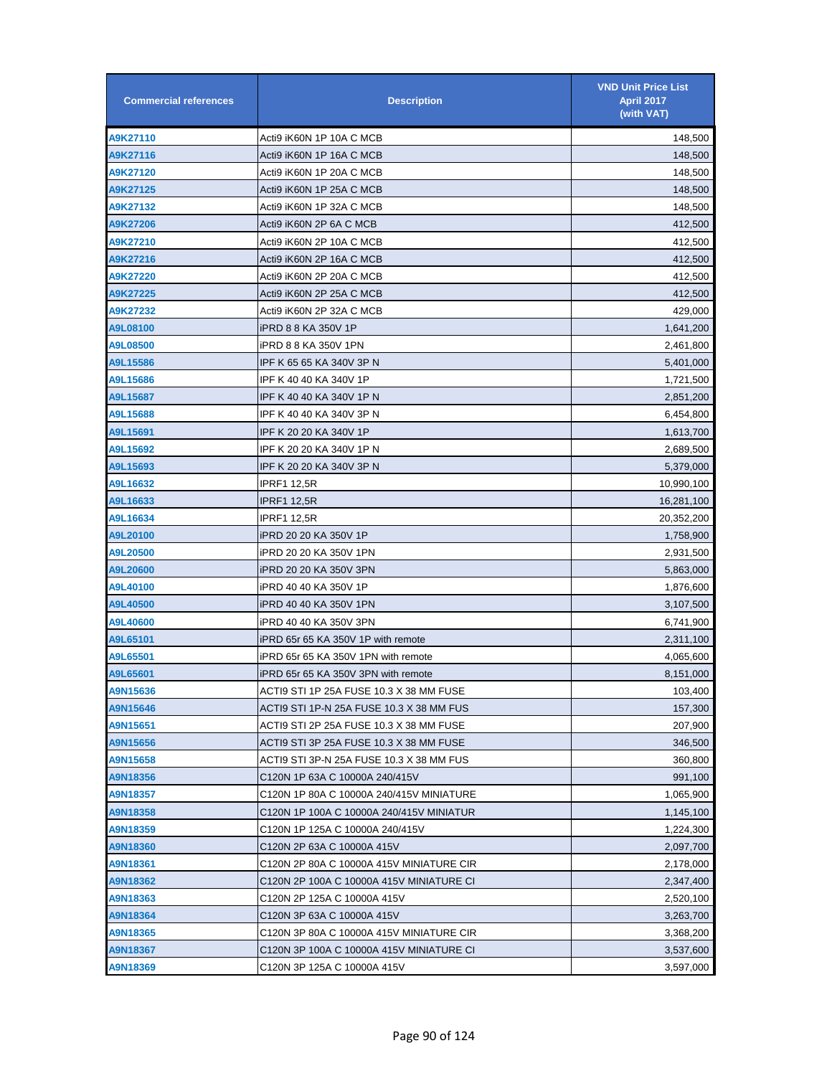| <b>Commercial references</b> | <b>Description</b>                       | <b>VND Unit Price List</b><br><b>April 2017</b><br>(with VAT) |
|------------------------------|------------------------------------------|---------------------------------------------------------------|
| A9K27110                     | Acti9 iK60N 1P 10A C MCB                 | 148,500                                                       |
| A9K27116                     | Acti9 iK60N 1P 16A C MCB                 | 148,500                                                       |
| A9K27120                     | Acti9 iK60N 1P 20A C MCB                 | 148,500                                                       |
| A9K27125                     | Acti9 iK60N 1P 25A C MCB                 | 148,500                                                       |
| A9K27132                     | Acti9 iK60N 1P 32A C MCB                 | 148,500                                                       |
| A9K27206                     | Acti9 iK60N 2P 6A C MCB                  | 412,500                                                       |
| A9K27210                     | Acti9 iK60N 2P 10A C MCB                 | 412,500                                                       |
| A9K27216                     | Acti9 iK60N 2P 16A C MCB                 | 412,500                                                       |
| A9K27220                     | Acti9 iK60N 2P 20A C MCB                 | 412,500                                                       |
| A9K27225                     | Acti9 iK60N 2P 25A C MCB                 | 412,500                                                       |
| A9K27232                     | Acti9 iK60N 2P 32A C MCB                 | 429,000                                                       |
| A9L08100                     | iPRD 8 8 KA 350V 1P                      | 1,641,200                                                     |
| A9L08500                     | iPRD 8 8 KA 350V 1PN                     | 2,461,800                                                     |
| A9L15586                     | IPF K 65 65 KA 340V 3P N                 | 5,401,000                                                     |
| A9L15686                     | IPF K 40 40 KA 340V 1P                   | 1,721,500                                                     |
| A9L15687                     | IPF K 40 40 KA 340V 1P N                 | 2,851,200                                                     |
| A9L15688                     | IPF K 40 40 KA 340V 3P N                 | 6,454,800                                                     |
| A9L15691                     | IPF K 20 20 KA 340V 1P                   | 1,613,700                                                     |
| A9L15692                     | IPF K 20 20 KA 340V 1P N                 | 2,689,500                                                     |
| A9L15693                     | IPF K 20 20 KA 340V 3P N                 | 5,379,000                                                     |
| A9L16632                     | IPRF1 12,5R                              | 10,990,100                                                    |
| A9L16633                     | IPRF1 12,5R                              | 16,281,100                                                    |
| A9L16634                     | <b>IPRF1 12,5R</b>                       | 20,352,200                                                    |
| A9L20100                     | iPRD 20 20 KA 350V 1P                    | 1,758,900                                                     |
| A9L20500                     | iPRD 20 20 KA 350V 1PN                   | 2,931,500                                                     |
| A9L20600                     | iPRD 20 20 KA 350V 3PN                   | 5,863,000                                                     |
| A9L40100                     | iPRD 40 40 KA 350V 1P                    | 1,876,600                                                     |
| A9L40500                     | iPRD 40 40 KA 350V 1PN                   | 3,107,500                                                     |
| A9L40600                     | iPRD 40 40 KA 350V 3PN                   | 6,741,900                                                     |
| A9L65101                     | iPRD 65r 65 KA 350V 1P with remote       | 2,311,100                                                     |
| A9L65501                     | iPRD 65r 65 KA 350V 1PN with remote      | 4,065,600                                                     |
| A9L65601                     | iPRD 65r 65 KA 350V 3PN with remote      | 8,151,000                                                     |
| A9N15636                     | ACTI9 STI 1P 25A FUSE 10.3 X 38 MM FUSE  | 103,400                                                       |
| A9N15646                     | ACTI9 STI 1P-N 25A FUSE 10.3 X 38 MM FUS | 157,300                                                       |
| A9N15651                     | ACTI9 STI 2P 25A FUSE 10.3 X 38 MM FUSE  | 207,900                                                       |
| A9N15656                     | ACTI9 STI 3P 25A FUSE 10.3 X 38 MM FUSE  | 346,500                                                       |
| A9N15658                     | ACTI9 STI 3P-N 25A FUSE 10.3 X 38 MM FUS | 360,800                                                       |
| A9N18356                     | C120N 1P 63A C 10000A 240/415V           | 991,100                                                       |
| A9N18357                     | C120N 1P 80A C 10000A 240/415V MINIATURE | 1,065,900                                                     |
| A9N18358                     | C120N 1P 100A C 10000A 240/415V MINIATUR | 1,145,100                                                     |
| A9N18359                     | C120N 1P 125A C 10000A 240/415V          | 1,224,300                                                     |
| A9N18360                     | C120N 2P 63A C 10000A 415V               | 2,097,700                                                     |
| A9N18361                     | C120N 2P 80A C 10000A 415V MINIATURE CIR | 2,178,000                                                     |
| A9N18362                     | C120N 2P 100A C 10000A 415V MINIATURE CI | 2,347,400                                                     |
| A9N18363                     | C120N 2P 125A C 10000A 415V              | 2,520,100                                                     |
| A9N18364                     | C120N 3P 63A C 10000A 415V               | 3,263,700                                                     |
| A9N18365                     | C120N 3P 80A C 10000A 415V MINIATURE CIR | 3,368,200                                                     |
| A9N18367                     | C120N 3P 100A C 10000A 415V MINIATURE CI | 3,537,600                                                     |
| A9N18369                     | C120N 3P 125A C 10000A 415V              | 3,597,000                                                     |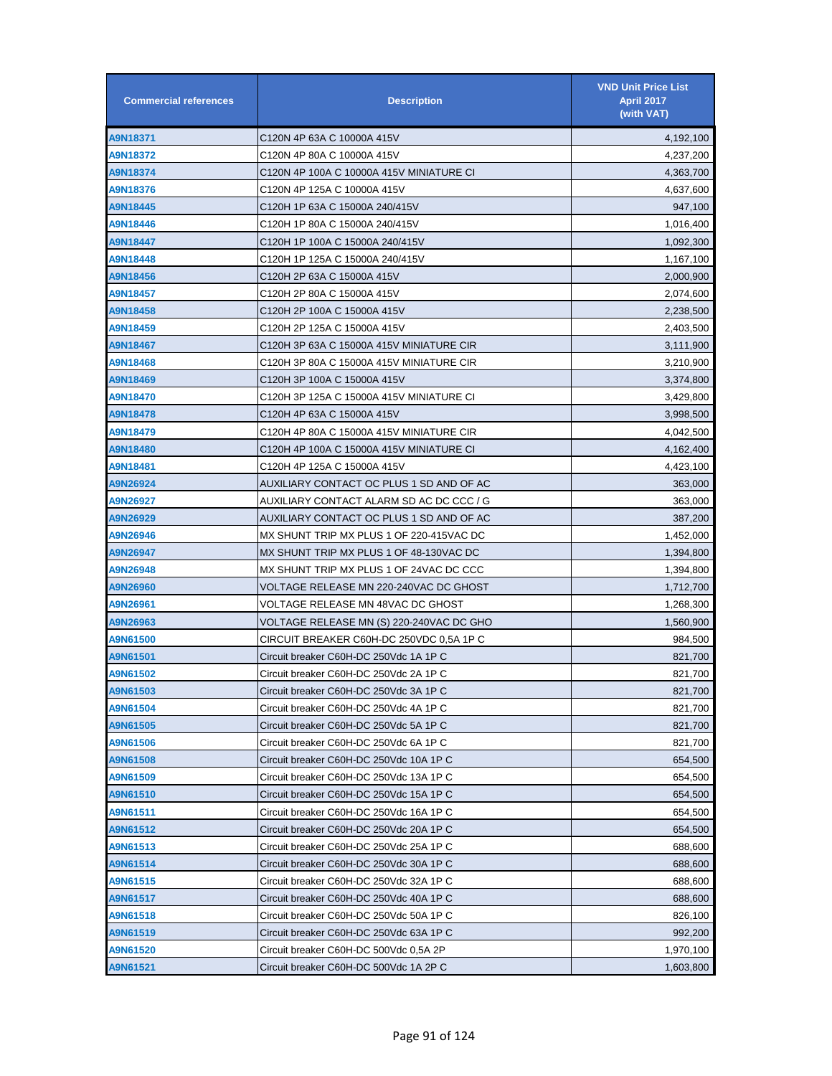| <b>Commercial references</b> | <b>Description</b>                       | <b>VND Unit Price List</b><br>April 2017<br>(with VAT) |
|------------------------------|------------------------------------------|--------------------------------------------------------|
| A9N18371                     | C120N 4P 63A C 10000A 415V               | 4,192,100                                              |
| A9N18372                     | C120N 4P 80A C 10000A 415V               | 4,237,200                                              |
| A9N18374                     | C120N 4P 100A C 10000A 415V MINIATURE CI | 4,363,700                                              |
| A9N18376                     | C120N 4P 125A C 10000A 415V              | 4,637,600                                              |
| A9N18445                     | C120H 1P 63A C 15000A 240/415V           | 947,100                                                |
| A9N18446                     | C120H 1P 80A C 15000A 240/415V           | 1,016,400                                              |
| A9N18447                     | C120H 1P 100A C 15000A 240/415V          | 1,092,300                                              |
| A9N18448                     | C120H 1P 125A C 15000A 240/415V          | 1,167,100                                              |
| A9N18456                     | C120H 2P 63A C 15000A 415V               | 2,000,900                                              |
| A9N18457                     | C120H 2P 80A C 15000A 415V               | 2,074,600                                              |
| A9N18458                     | C120H 2P 100A C 15000A 415V              | 2,238,500                                              |
| A9N18459                     | C120H 2P 125A C 15000A 415V              | 2,403,500                                              |
| A9N18467                     | C120H 3P 63A C 15000A 415V MINIATURE CIR | 3,111,900                                              |
| A9N18468                     | C120H 3P 80A C 15000A 415V MINIATURE CIR | 3,210,900                                              |
| A9N18469                     | C120H 3P 100A C 15000A 415V              | 3,374,800                                              |
| A9N18470                     | C120H 3P 125A C 15000A 415V MINIATURE CI | 3,429,800                                              |
| A9N18478                     | C120H 4P 63A C 15000A 415V               | 3,998,500                                              |
| A9N18479                     | C120H 4P 80A C 15000A 415V MINIATURE CIR | 4,042,500                                              |
| A9N18480                     | C120H 4P 100A C 15000A 415V MINIATURE CI | 4,162,400                                              |
| A9N18481                     | C120H 4P 125A C 15000A 415V              | 4,423,100                                              |
| A9N26924                     | AUXILIARY CONTACT OC PLUS 1 SD AND OF AC | 363,000                                                |
| A9N26927                     | AUXILIARY CONTACT ALARM SD AC DC CCC / G | 363,000                                                |
| A9N26929                     | AUXILIARY CONTACT OC PLUS 1 SD AND OF AC | 387,200                                                |
| A9N26946                     | MX SHUNT TRIP MX PLUS 1 OF 220-415VAC DC | 1,452,000                                              |
| A9N26947                     | MX SHUNT TRIP MX PLUS 1 OF 48-130VAC DC  | 1,394,800                                              |
| A9N26948                     | MX SHUNT TRIP MX PLUS 1 OF 24VAC DC CCC  | 1,394,800                                              |
| A9N26960                     | VOLTAGE RELEASE MN 220-240VAC DC GHOST   | 1,712,700                                              |
| A9N26961                     | VOLTAGE RELEASE MN 48VAC DC GHOST        | 1,268,300                                              |
| A9N26963                     | VOLTAGE RELEASE MN (S) 220-240VAC DC GHO | 1,560,900                                              |
| A9N61500                     | CIRCUIT BREAKER C60H-DC 250VDC 0.5A 1P C | 984,500                                                |
| A9N61501                     | Circuit breaker C60H-DC 250Vdc 1A 1P C   | 821,700                                                |
| A9N61502                     | Circuit breaker C60H-DC 250Vdc 2A 1P C   | 821,700                                                |
| A9N61503                     | Circuit breaker C60H-DC 250Vdc 3A 1P C   | 821,700                                                |
| A9N61504                     | Circuit breaker C60H-DC 250Vdc 4A 1P C   | 821,700                                                |
| A9N61505                     | Circuit breaker C60H-DC 250Vdc 5A 1P C   | 821,700                                                |
| A9N61506                     | Circuit breaker C60H-DC 250Vdc 6A 1P C   | 821,700                                                |
| A9N61508                     | Circuit breaker C60H-DC 250Vdc 10A 1P C  | 654,500                                                |
| A9N61509                     | Circuit breaker C60H-DC 250Vdc 13A 1P C  | 654,500                                                |
| A9N61510                     | Circuit breaker C60H-DC 250Vdc 15A 1P C  | 654,500                                                |
| A9N61511                     | Circuit breaker C60H-DC 250Vdc 16A 1P C  | 654,500                                                |
| A9N61512                     | Circuit breaker C60H-DC 250Vdc 20A 1P C  | 654,500                                                |
| A9N61513                     | Circuit breaker C60H-DC 250Vdc 25A 1P C  | 688,600                                                |
| A9N61514                     | Circuit breaker C60H-DC 250Vdc 30A 1P C  | 688,600                                                |
| A9N61515                     | Circuit breaker C60H-DC 250Vdc 32A 1P C  | 688,600                                                |
| A9N61517                     | Circuit breaker C60H-DC 250Vdc 40A 1P C  | 688,600                                                |
| A9N61518                     | Circuit breaker C60H-DC 250Vdc 50A 1P C  | 826,100                                                |
| A9N61519                     | Circuit breaker C60H-DC 250Vdc 63A 1P C  | 992,200                                                |
| A9N61520                     | Circuit breaker C60H-DC 500Vdc 0,5A 2P   | 1,970,100                                              |
| A9N61521                     | Circuit breaker C60H-DC 500Vdc 1A 2P C   | 1,603,800                                              |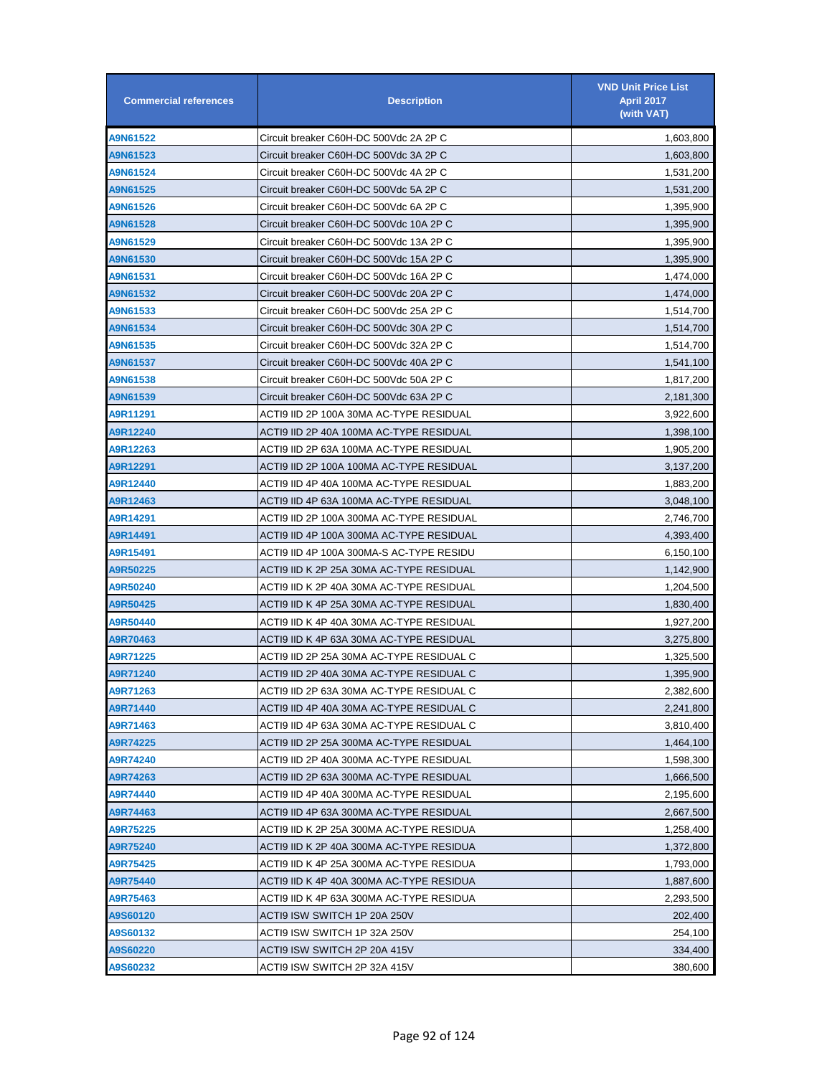| <b>Commercial references</b> | <b>Description</b>                       | <b>VND Unit Price List</b><br><b>April 2017</b><br>(with VAT) |
|------------------------------|------------------------------------------|---------------------------------------------------------------|
| A9N61522                     | Circuit breaker C60H-DC 500Vdc 2A 2P C   | 1,603,800                                                     |
| A9N61523                     | Circuit breaker C60H-DC 500Vdc 3A 2P C   | 1,603,800                                                     |
| A9N61524                     | Circuit breaker C60H-DC 500Vdc 4A 2P C   | 1,531,200                                                     |
| A9N61525                     | Circuit breaker C60H-DC 500Vdc 5A 2P C   | 1,531,200                                                     |
| A9N61526                     | Circuit breaker C60H-DC 500Vdc 6A 2P C   | 1,395,900                                                     |
| A9N61528                     | Circuit breaker C60H-DC 500Vdc 10A 2P C  | 1,395,900                                                     |
| A9N61529                     | Circuit breaker C60H-DC 500Vdc 13A 2P C  | 1,395,900                                                     |
| A9N61530                     | Circuit breaker C60H-DC 500Vdc 15A 2P C  | 1,395,900                                                     |
| A9N61531                     | Circuit breaker C60H-DC 500Vdc 16A 2P C  | 1,474,000                                                     |
| A9N61532                     | Circuit breaker C60H-DC 500Vdc 20A 2P C  | 1,474,000                                                     |
| A9N61533                     | Circuit breaker C60H-DC 500Vdc 25A 2P C  | 1,514,700                                                     |
| A9N61534                     | Circuit breaker C60H-DC 500Vdc 30A 2P C  | 1,514,700                                                     |
| A9N61535                     | Circuit breaker C60H-DC 500Vdc 32A 2P C  | 1,514,700                                                     |
| A9N61537                     | Circuit breaker C60H-DC 500Vdc 40A 2P C  | 1,541,100                                                     |
| A9N61538                     | Circuit breaker C60H-DC 500Vdc 50A 2P C  | 1,817,200                                                     |
| A9N61539                     | Circuit breaker C60H-DC 500Vdc 63A 2P C  | 2,181,300                                                     |
| A9R11291                     | ACTI9 IID 2P 100A 30MA AC-TYPE RESIDUAL  | 3,922,600                                                     |
| A9R12240                     | ACTI9 IID 2P 40A 100MA AC-TYPE RESIDUAL  | 1,398,100                                                     |
| A9R12263                     | ACTI9 IID 2P 63A 100MA AC-TYPE RESIDUAL  | 1,905,200                                                     |
| A9R12291                     | ACTI9 IID 2P 100A 100MA AC-TYPE RESIDUAL | 3,137,200                                                     |
| A9R12440                     | ACTI9 IID 4P 40A 100MA AC-TYPE RESIDUAL  | 1,883,200                                                     |
| A9R12463                     | ACTI9 IID 4P 63A 100MA AC-TYPE RESIDUAL  | 3,048,100                                                     |
| A9R14291                     | ACTI9 IID 2P 100A 300MA AC-TYPE RESIDUAL | 2,746,700                                                     |
| A9R14491                     | ACTI9 IID 4P 100A 300MA AC-TYPE RESIDUAL | 4,393,400                                                     |
| A9R15491                     | ACTI9 IID 4P 100A 300MA-S AC-TYPE RESIDU | 6,150,100                                                     |
| A9R50225                     | ACTI9 IID K 2P 25A 30MA AC-TYPE RESIDUAL | 1,142,900                                                     |
| A9R50240                     | ACTI9 IID K 2P 40A 30MA AC-TYPE RESIDUAL | 1,204,500                                                     |
| A9R50425                     | ACTI9 IID K 4P 25A 30MA AC-TYPE RESIDUAL | 1,830,400                                                     |
| A9R50440                     | ACTI9 IID K 4P 40A 30MA AC-TYPE RESIDUAL | 1,927,200                                                     |
| A9R70463                     | ACTI9 IID K 4P 63A 30MA AC-TYPE RESIDUAL | 3,275,800                                                     |
| A9R71225                     | ACTI9 IID 2P 25A 30MA AC-TYPE RESIDUAL C | 1,325,500                                                     |
| A9R71240                     | ACTI9 IID 2P 40A 30MA AC-TYPE RESIDUAL C | 1,395,900                                                     |
| A9R71263                     | ACTI9 IID 2P 63A 30MA AC-TYPE RESIDUAL C | 2,382,600                                                     |
| A9R71440                     | ACTI9 IID 4P 40A 30MA AC-TYPE RESIDUAL C | 2,241,800                                                     |
| A9R71463                     | ACTI9 IID 4P 63A 30MA AC-TYPE RESIDUAL C | 3,810,400                                                     |
| A9R74225                     | ACTI9 IID 2P 25A 300MA AC-TYPE RESIDUAL  | 1,464,100                                                     |
| A9R74240                     | ACTI9 IID 2P 40A 300MA AC-TYPE RESIDUAL  | 1,598,300                                                     |
| A9R74263                     | ACTI9 IID 2P 63A 300MA AC-TYPE RESIDUAL  | 1,666,500                                                     |
| A9R74440                     | ACTI9 IID 4P 40A 300MA AC-TYPE RESIDUAL  | 2,195,600                                                     |
| A9R74463                     | ACTI9 IID 4P 63A 300MA AC-TYPE RESIDUAL  | 2,667,500                                                     |
| A9R75225                     | ACTI9 IID K 2P 25A 300MA AC-TYPE RESIDUA | 1,258,400                                                     |
| A9R75240                     | ACTI9 IID K 2P 40A 300MA AC-TYPE RESIDUA | 1,372,800                                                     |
| A9R75425                     | ACTI9 IID K 4P 25A 300MA AC-TYPE RESIDUA | 1,793,000                                                     |
| A9R75440                     | ACTI9 IID K 4P 40A 300MA AC-TYPE RESIDUA | 1,887,600                                                     |
| A9R75463                     | ACTI9 IID K 4P 63A 300MA AC-TYPE RESIDUA | 2,293,500                                                     |
| A9S60120                     | ACTI9 ISW SWITCH 1P 20A 250V             | 202,400                                                       |
| A9S60132                     | ACTI9 ISW SWITCH 1P 32A 250V             | 254,100                                                       |
| A9S60220                     | ACTI9 ISW SWITCH 2P 20A 415V             | 334,400                                                       |
| A9S60232                     | ACTI9 ISW SWITCH 2P 32A 415V             | 380,600                                                       |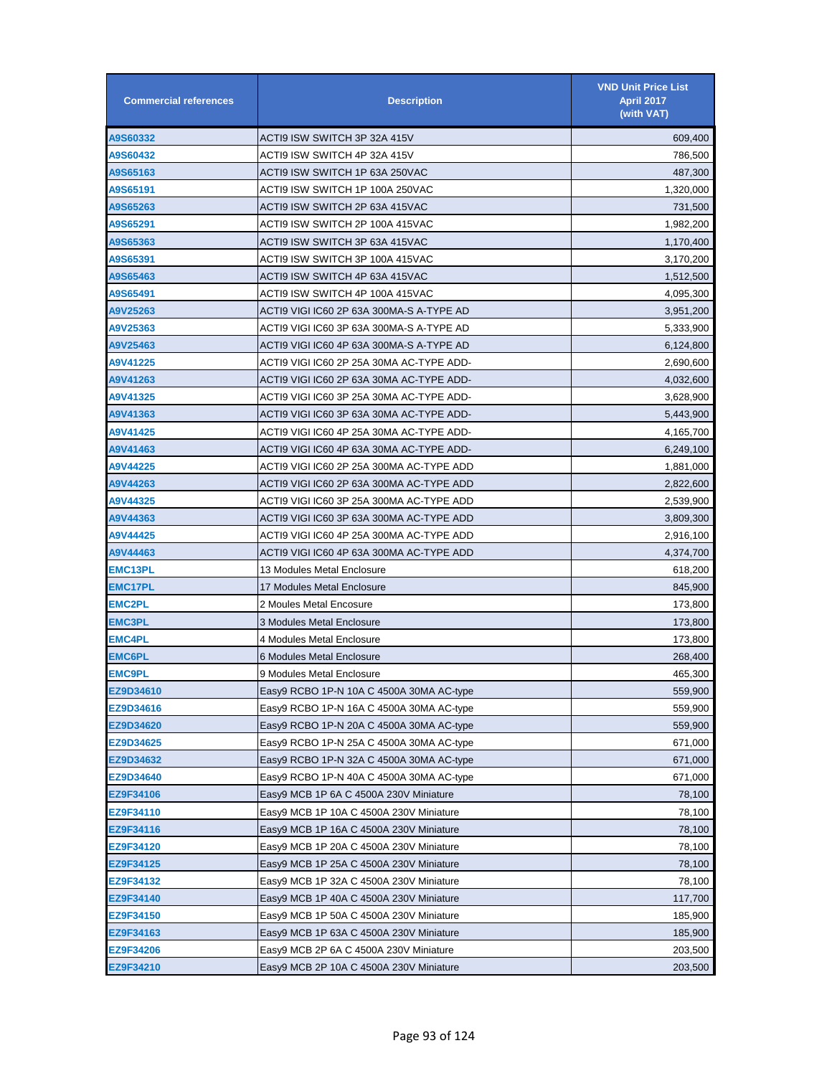| <b>Commercial references</b> | <b>Description</b>                       | <b>VND Unit Price List</b><br>April 2017<br>(with VAT) |
|------------------------------|------------------------------------------|--------------------------------------------------------|
| A9S60332                     | ACTI9 ISW SWITCH 3P 32A 415V             | 609,400                                                |
| A9S60432                     | ACTI9 ISW SWITCH 4P 32A 415V             | 786,500                                                |
| A9S65163                     | ACTI9 ISW SWITCH 1P 63A 250VAC           | 487,300                                                |
| A9S65191                     | ACTI9 ISW SWITCH 1P 100A 250VAC          | 1,320,000                                              |
| A9S65263                     | ACTI9 ISW SWITCH 2P 63A 415VAC           | 731,500                                                |
| A9S65291                     | ACTI9 ISW SWITCH 2P 100A 415VAC          | 1,982,200                                              |
| A9S65363                     | ACTI9 ISW SWITCH 3P 63A 415VAC           | 1,170,400                                              |
| A9S65391                     | ACTI9 ISW SWITCH 3P 100A 415VAC          | 3,170,200                                              |
| A9S65463                     | ACTI9 ISW SWITCH 4P 63A 415VAC           | 1,512,500                                              |
| A9S65491                     | ACTI9 ISW SWITCH 4P 100A 415VAC          | 4,095,300                                              |
| A9V25263                     | ACTI9 VIGI IC60 2P 63A 300MA-S A-TYPE AD | 3,951,200                                              |
| A9V25363                     | ACTI9 VIGI IC60 3P 63A 300MA-S A-TYPE AD | 5,333,900                                              |
| A9V25463                     | ACTI9 VIGI IC60 4P 63A 300MA-S A-TYPE AD | 6,124,800                                              |
| A9V41225                     | ACTI9 VIGI IC60 2P 25A 30MA AC-TYPE ADD- | 2,690,600                                              |
| A9V41263                     | ACTI9 VIGI IC60 2P 63A 30MA AC-TYPE ADD- | 4,032,600                                              |
| A9V41325                     | ACTI9 VIGI IC60 3P 25A 30MA AC-TYPE ADD- | 3,628,900                                              |
| A9V41363                     | ACTI9 VIGI IC60 3P 63A 30MA AC-TYPE ADD- | 5,443,900                                              |
| A9V41425                     | ACTI9 VIGI IC60 4P 25A 30MA AC-TYPE ADD- | 4,165,700                                              |
| A9V41463                     | ACTI9 VIGI IC60 4P 63A 30MA AC-TYPE ADD- | 6,249,100                                              |
| A9V44225                     | ACTI9 VIGI IC60 2P 25A 300MA AC-TYPE ADD | 1,881,000                                              |
| A9V44263                     | ACTI9 VIGI IC60 2P 63A 300MA AC-TYPE ADD | 2,822,600                                              |
| A9V44325                     | ACTI9 VIGI IC60 3P 25A 300MA AC-TYPE ADD | 2,539,900                                              |
| A9V44363                     | ACTI9 VIGI IC60 3P 63A 300MA AC-TYPE ADD | 3,809,300                                              |
| A9V44425                     | ACTI9 VIGI IC60 4P 25A 300MA AC-TYPE ADD | 2,916,100                                              |
| A9V44463                     | ACTI9 VIGI IC60 4P 63A 300MA AC-TYPE ADD | 4,374,700                                              |
| <b>EMC13PL</b>               | 13 Modules Metal Enclosure               | 618,200                                                |
| <b>EMC17PL</b>               | 17 Modules Metal Enclosure               | 845,900                                                |
| <b>EMC2PL</b>                | 2 Moules Metal Encosure                  | 173,800                                                |
| <b>EMC3PL</b>                | 3 Modules Metal Enclosure                | 173,800                                                |
| <b>EMC4PL</b>                | 4 Modules Metal Enclosure                | 173,800                                                |
| <b>EMC6PL</b>                | 6 Modules Metal Enclosure                | 268,400                                                |
| <b>EMC9PL</b>                | 9 Modules Metal Enclosure                | 465,300                                                |
| EZ9D34610                    | Easy9 RCBO 1P-N 10A C 4500A 30MA AC-type | 559,900                                                |
| EZ9D34616                    | Easy9 RCBO 1P-N 16A C 4500A 30MA AC-type | 559,900                                                |
| EZ9D34620                    | Easy9 RCBO 1P-N 20A C 4500A 30MA AC-type | 559,900                                                |
| EZ9D34625                    | Easy9 RCBO 1P-N 25A C 4500A 30MA AC-type | 671,000                                                |
| EZ9D34632                    | Easy9 RCBO 1P-N 32A C 4500A 30MA AC-type | 671,000                                                |
| EZ9D34640                    | Easy9 RCBO 1P-N 40A C 4500A 30MA AC-type | 671,000                                                |
| EZ9F34106                    | Easy9 MCB 1P 6A C 4500A 230V Miniature   | 78,100                                                 |
| EZ9F34110                    | Easy9 MCB 1P 10A C 4500A 230V Miniature  | 78,100                                                 |
| EZ9F34116                    | Easy9 MCB 1P 16A C 4500A 230V Miniature  | 78,100                                                 |
| EZ9F34120                    | Easy9 MCB 1P 20A C 4500A 230V Miniature  | 78,100                                                 |
| EZ9F34125                    | Easy9 MCB 1P 25A C 4500A 230V Miniature  | 78,100                                                 |
| EZ9F34132                    | Easy9 MCB 1P 32A C 4500A 230V Miniature  | 78,100                                                 |
| EZ9F34140                    | Easy9 MCB 1P 40A C 4500A 230V Miniature  | 117,700                                                |
| EZ9F34150                    | Easy9 MCB 1P 50A C 4500A 230V Miniature  | 185,900                                                |
| EZ9F34163                    | Easy9 MCB 1P 63A C 4500A 230V Miniature  | 185,900                                                |
| EZ9F34206                    | Easy9 MCB 2P 6A C 4500A 230V Miniature   | 203,500                                                |
| EZ9F34210                    | Easy9 MCB 2P 10A C 4500A 230V Miniature  | 203,500                                                |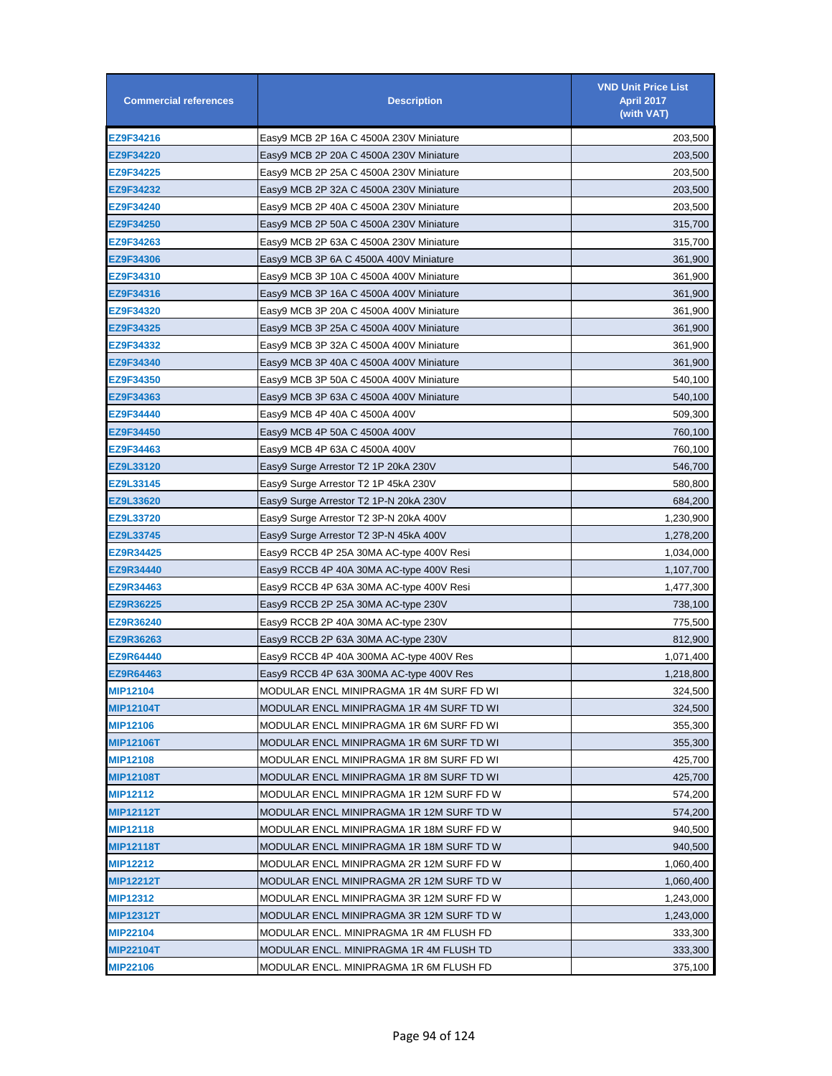| <b>Commercial references</b> | <b>Description</b>                       | <b>VND Unit Price List</b><br><b>April 2017</b><br>(with VAT) |
|------------------------------|------------------------------------------|---------------------------------------------------------------|
| EZ9F34216                    | Easy9 MCB 2P 16A C 4500A 230V Miniature  | 203,500                                                       |
| EZ9F34220                    | Easy9 MCB 2P 20A C 4500A 230V Miniature  | 203,500                                                       |
| EZ9F34225                    | Easy9 MCB 2P 25A C 4500A 230V Miniature  | 203,500                                                       |
| EZ9F34232                    | Easy9 MCB 2P 32A C 4500A 230V Miniature  | 203,500                                                       |
| EZ9F34240                    | Easy9 MCB 2P 40A C 4500A 230V Miniature  | 203,500                                                       |
| EZ9F34250                    | Easy9 MCB 2P 50A C 4500A 230V Miniature  | 315,700                                                       |
| EZ9F34263                    | Easy9 MCB 2P 63A C 4500A 230V Miniature  | 315,700                                                       |
| EZ9F34306                    | Easy9 MCB 3P 6A C 4500A 400V Miniature   | 361,900                                                       |
| EZ9F34310                    | Easy9 MCB 3P 10A C 4500A 400V Miniature  | 361,900                                                       |
| EZ9F34316                    | Easy9 MCB 3P 16A C 4500A 400V Miniature  | 361,900                                                       |
| <b>EZ9F34320</b>             | Easy9 MCB 3P 20A C 4500A 400V Miniature  | 361,900                                                       |
| EZ9F34325                    | Easy9 MCB 3P 25A C 4500A 400V Miniature  | 361,900                                                       |
| EZ9F34332                    | Easy9 MCB 3P 32A C 4500A 400V Miniature  | 361,900                                                       |
| EZ9F34340                    | Easy9 MCB 3P 40A C 4500A 400V Miniature  | 361,900                                                       |
| EZ9F34350                    | Easy9 MCB 3P 50A C 4500A 400V Miniature  | 540,100                                                       |
| EZ9F34363                    | Easy9 MCB 3P 63A C 4500A 400V Miniature  | 540,100                                                       |
| EZ9F34440                    | Easy9 MCB 4P 40A C 4500A 400V            | 509,300                                                       |
| <b>EZ9F34450</b>             | Easy9 MCB 4P 50A C 4500A 400V            | 760,100                                                       |
| EZ9F34463                    | Easy9 MCB 4P 63A C 4500A 400V            | 760,100                                                       |
| EZ9L33120                    | Easy9 Surge Arrestor T2 1P 20kA 230V     | 546,700                                                       |
| EZ9L33145                    | Easy9 Surge Arrestor T2 1P 45kA 230V     | 580,800                                                       |
| EZ9L33620                    | Easy9 Surge Arrestor T2 1P-N 20kA 230V   | 684,200                                                       |
| EZ9L33720                    | Easy9 Surge Arrestor T2 3P-N 20kA 400V   | 1,230,900                                                     |
| EZ9L33745                    | Easy9 Surge Arrestor T2 3P-N 45kA 400V   | 1,278,200                                                     |
| EZ9R34425                    | Easy9 RCCB 4P 25A 30MA AC-type 400V Resi | 1,034,000                                                     |
| <b>EZ9R34440</b>             | Easy9 RCCB 4P 40A 30MA AC-type 400V Resi | 1,107,700                                                     |
| EZ9R34463                    | Easy9 RCCB 4P 63A 30MA AC-type 400V Resi | 1,477,300                                                     |
| EZ9R36225                    | Easy9 RCCB 2P 25A 30MA AC-type 230V      | 738,100                                                       |
| EZ9R36240                    | Easy9 RCCB 2P 40A 30MA AC-type 230V      | 775,500                                                       |
| EZ9R36263                    | Easy9 RCCB 2P 63A 30MA AC-type 230V      | 812,900                                                       |
| EZ9R64440                    | Easy9 RCCB 4P 40A 300MA AC-type 400V Res | 1,071,400                                                     |
| EZ9R64463                    | Easy9 RCCB 4P 63A 300MA AC-type 400V Res | 1,218,800                                                     |
| <b>MIP12104</b>              | MODULAR ENCL MINIPRAGMA 1R 4M SURF FD WI | 324,500                                                       |
| <b>MIP12104T</b>             | MODULAR ENCL MINIPRAGMA 1R 4M SURF TD WI | 324,500                                                       |
| <b>MIP12106</b>              | MODULAR ENCL MINIPRAGMA 1R 6M SURF FD WI | 355,300                                                       |
| <b>MIP12106T</b>             | MODULAR ENCL MINIPRAGMA 1R 6M SURF TD WI | 355,300                                                       |
| <b>MIP12108</b>              | MODULAR ENCL MINIPRAGMA 1R 8M SURF FD WI | 425,700                                                       |
| <b>MIP12108T</b>             | MODULAR ENCL MINIPRAGMA 1R 8M SURF TD WI | 425,700                                                       |
| <b>MIP12112</b>              | MODULAR ENCL MINIPRAGMA 1R 12M SURF FD W | 574,200                                                       |
| <b>MIP12112T</b>             | MODULAR ENCL MINIPRAGMA 1R 12M SURF TD W | 574,200                                                       |
| <b>MIP12118</b>              | MODULAR ENCL MINIPRAGMA 1R 18M SURF FD W | 940,500                                                       |
| <b>MIP12118T</b>             | MODULAR ENCL MINIPRAGMA 1R 18M SURF TD W | 940,500                                                       |
| <b>MIP12212</b>              | MODULAR ENCL MINIPRAGMA 2R 12M SURF FD W | 1,060,400                                                     |
| <b>MIP12212T</b>             | MODULAR ENCL MINIPRAGMA 2R 12M SURF TD W | 1,060,400                                                     |
| <b>MIP12312</b>              | MODULAR ENCL MINIPRAGMA 3R 12M SURF FD W | 1,243,000                                                     |
| <b>MIP12312T</b>             | MODULAR ENCL MINIPRAGMA 3R 12M SURF TD W | 1,243,000                                                     |
| <b>MIP22104</b>              | MODULAR ENCL. MINIPRAGMA 1R 4M FLUSH FD  | 333,300                                                       |
| <b>MIP22104T</b>             | MODULAR ENCL. MINIPRAGMA 1R 4M FLUSH TD  | 333,300                                                       |
| <b>MIP22106</b>              | MODULAR ENCL. MINIPRAGMA 1R 6M FLUSH FD  | 375,100                                                       |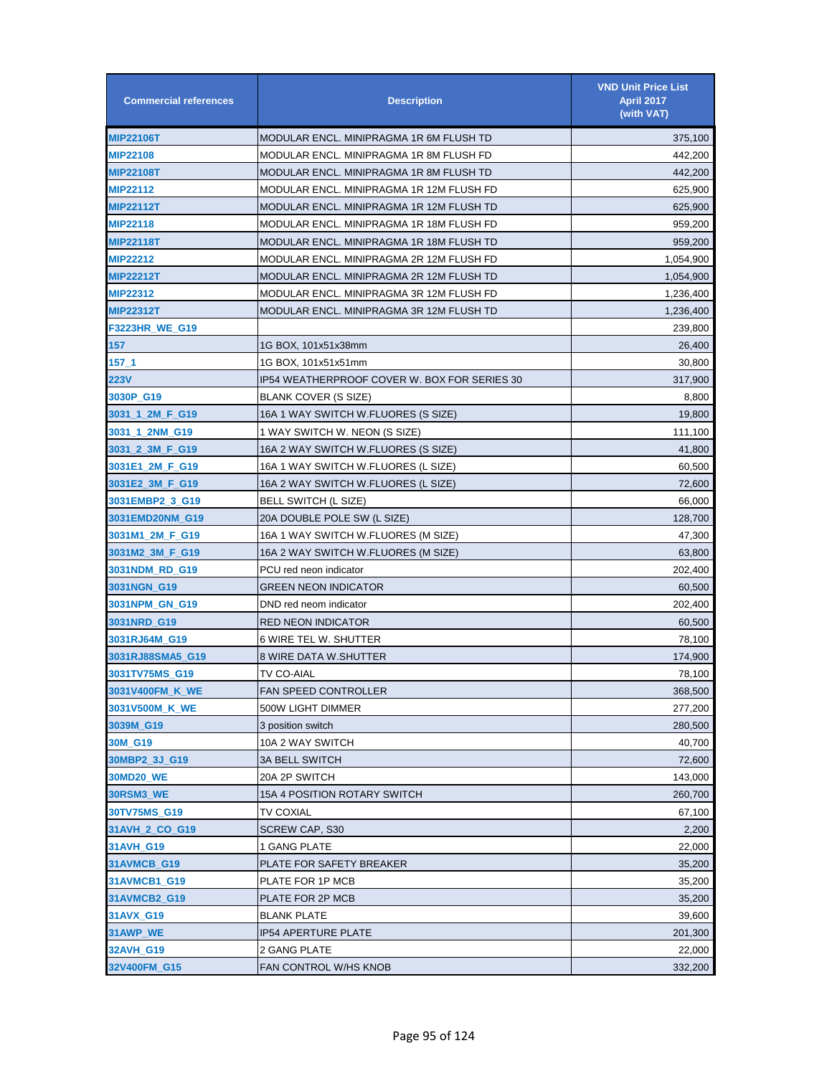| <b>Commercial references</b> | <b>Description</b>                           | <b>VND Unit Price List</b><br><b>April 2017</b><br>(with VAT) |
|------------------------------|----------------------------------------------|---------------------------------------------------------------|
| <b>MIP22106T</b>             | MODULAR ENCL. MINIPRAGMA 1R 6M FLUSH TD      | 375,100                                                       |
| <b>MIP22108</b>              | MODULAR ENCL. MINIPRAGMA 1R 8M FLUSH FD      | 442,200                                                       |
| <b>MIP22108T</b>             | MODULAR ENCL. MINIPRAGMA 1R 8M FLUSH TD      | 442,200                                                       |
| <b>MIP22112</b>              | MODULAR ENCL. MINIPRAGMA 1R 12M FLUSH FD     | 625,900                                                       |
| <b>MIP22112T</b>             | MODULAR ENCL. MINIPRAGMA 1R 12M FLUSH TD     | 625,900                                                       |
| <b>MIP22118</b>              | MODULAR ENCL. MINIPRAGMA 1R 18M FLUSH FD     | 959,200                                                       |
| <b>MIP22118T</b>             | MODULAR ENCL. MINIPRAGMA 1R 18M FLUSH TD     | 959,200                                                       |
| <b>MIP22212</b>              | MODULAR ENCL. MINIPRAGMA 2R 12M FLUSH FD     | 1,054,900                                                     |
| MIP22212T                    | MODULAR ENCL. MINIPRAGMA 2R 12M FLUSH TD     | 1,054,900                                                     |
| <b>MIP22312</b>              | MODULAR ENCL. MINIPRAGMA 3R 12M FLUSH FD     | 1,236,400                                                     |
| <b>MIP22312T</b>             | MODULAR ENCL. MINIPRAGMA 3R 12M FLUSH TD     | 1,236,400                                                     |
| F3223HR_WE_G19               |                                              | 239,800                                                       |
| 157                          | 1G BOX, 101x51x38mm                          | 26,400                                                        |
| $157 - 1$                    | 1G BOX, 101x51x51mm                          | 30,800                                                        |
| 223V                         | IP54 WEATHERPROOF COVER W. BOX FOR SERIES 30 | 317,900                                                       |
| 3030P_G19                    | BLANK COVER (S SIZE)                         | 8,800                                                         |
| 3031_1_2M_F_G19              | 16A 1 WAY SWITCH W.FLUORES (S SIZE)          | 19,800                                                        |
| 3031_1_2NM_G19               | 1 WAY SWITCH W. NEON (S SIZE)                | 111,100                                                       |
| 3031_2_3M_F_G19              | 16A 2 WAY SWITCH W.FLUORES (S SIZE)          | 41,800                                                        |
| 3031E1_2M_F_G19              | 16A 1 WAY SWITCH W.FLUORES (L SIZE)          | 60,500                                                        |
| 3031E2_3M_F_G19              | 16A 2 WAY SWITCH W.FLUORES (L SIZE)          | 72,600                                                        |
| 3031EMBP2_3_G19              | <b>BELL SWITCH (L SIZE)</b>                  | 66,000                                                        |
| 3031EMD20NM_G19              | 20A DOUBLE POLE SW (L SIZE)                  | 128,700                                                       |
| 3031M1_2M_F_G19              | 16A 1 WAY SWITCH W.FLUORES (M SIZE)          | 47,300                                                        |
| 3031M2_3M_F_G19              | 16A 2 WAY SWITCH W.FLUORES (M SIZE)          | 63,800                                                        |
| 3031NDM_RD_G19               | PCU red neon indicator                       | 202,400                                                       |
| 3031NGN_G19                  | GREEN NEON INDICATOR                         | 60,500                                                        |
| 3031NPM_GN_G19               | DND red neom indicator                       | 202,400                                                       |
| 3031NRD_G19                  | <b>RED NEON INDICATOR</b>                    | 60,500                                                        |
| 3031RJ64M_G19                | <b>6 WIRE TEL W. SHUTTER</b>                 | 78,100                                                        |
| 3031RJ88SMA5_G19             | <b>8 WIRE DATA W.SHUTTER</b>                 | 174,900                                                       |
| 3031TV75MS G19               | TV CO-AIAL                                   | 78,100                                                        |
| 3031V400FM_K_WE              | <b>FAN SPEED CONTROLLER</b>                  | 368,500                                                       |
| 3031V500M_K_WE               | 500W LIGHT DIMMER                            | 277,200                                                       |
| 3039M G19                    | 3 position switch                            | 280,500                                                       |
| 30M_G19                      | 10A 2 WAY SWITCH                             | 40,700                                                        |
| 30MBP2_3J_G19                | <b>3A BELL SWITCH</b>                        | 72,600                                                        |
| 30MD20_WE                    | 20A 2P SWITCH                                | 143,000                                                       |
| 30RSM3_WE                    | 15A 4 POSITION ROTARY SWITCH                 | 260,700                                                       |
| 30TV75MS_G19                 | TV COXIAL                                    | 67,100                                                        |
| 31AVH_2_CO_G19               | <b>SCREW CAP, S30</b>                        | 2,200                                                         |
| 31AVH_G19                    | 1 GANG PLATE                                 | 22,000                                                        |
| 31AVMCB_G19                  | PLATE FOR SAFETY BREAKER                     | 35,200                                                        |
| 31AVMCB1_G19                 | PLATE FOR 1P MCB                             | 35,200                                                        |
| 31AVMCB2_G19                 | PLATE FOR 2P MCB                             | 35,200                                                        |
| 31AVX_G19                    | <b>BLANK PLATE</b>                           | 39,600                                                        |
| 31AWP_WE                     | <b>IP54 APERTURE PLATE</b>                   | 201,300                                                       |
| 32AVH_G19                    | 2 GANG PLATE                                 | 22,000                                                        |
| 32V400FM_G15                 | FAN CONTROL W/HS KNOB                        | 332,200                                                       |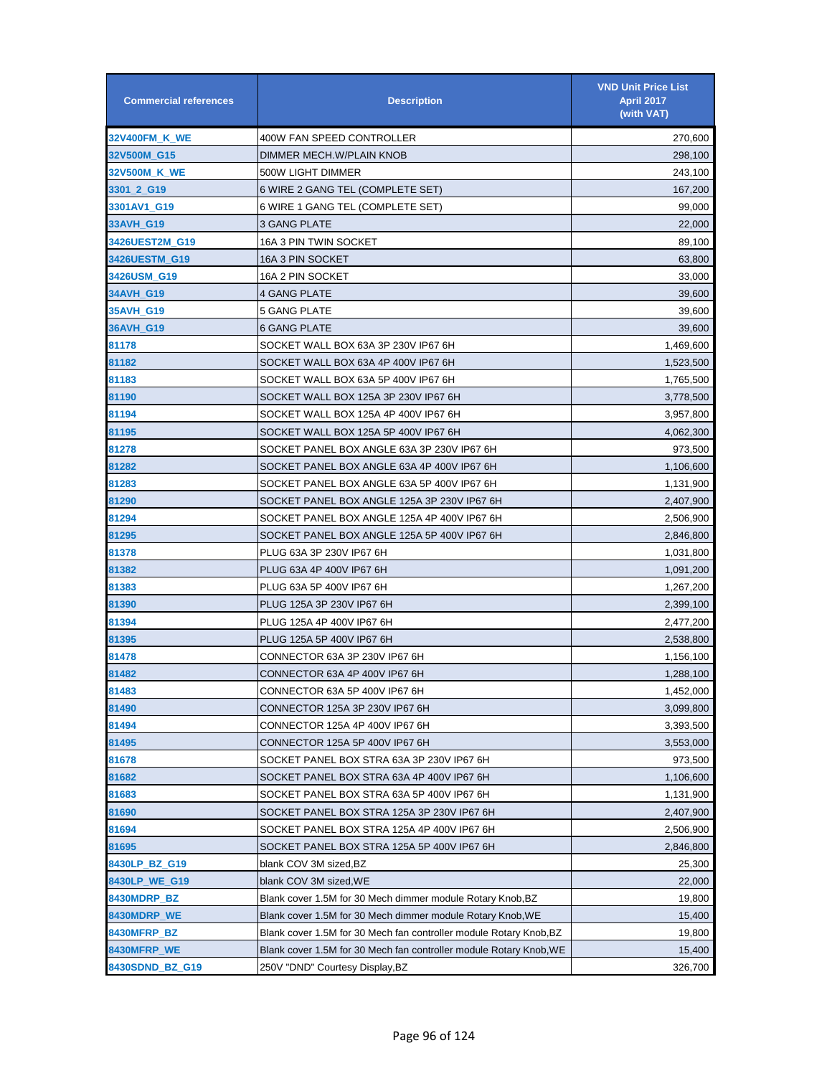| <b>Commercial references</b> | <b>Description</b>                                                 | <b>VND Unit Price List</b><br><b>April 2017</b><br>(with VAT) |
|------------------------------|--------------------------------------------------------------------|---------------------------------------------------------------|
| 32V400FM_K_WE                | 400W FAN SPEED CONTROLLER                                          | 270,600                                                       |
| 32V500M_G15                  | DIMMER MECH.W/PLAIN KNOB                                           | 298,100                                                       |
| 32V500M_K_WE                 | 500W LIGHT DIMMER                                                  | 243,100                                                       |
| 3301_2_G19                   | 6 WIRE 2 GANG TEL (COMPLETE SET)                                   | 167,200                                                       |
| 3301AV1_G19                  | 6 WIRE 1 GANG TEL (COMPLETE SET)                                   | 99,000                                                        |
| 33AVH_G19                    | 3 GANG PLATE                                                       | 22,000                                                        |
| 3426UEST2M G19               | 16A 3 PIN TWIN SOCKET                                              | 89,100                                                        |
| 3426UESTM_G19                | 16A 3 PIN SOCKET                                                   | 63,800                                                        |
| 3426USM_G19                  | 16A 2 PIN SOCKET                                                   | 33,000                                                        |
| 34AVH_G19                    | 4 GANG PLATE                                                       | 39,600                                                        |
| 35AVH_G19                    | 5 GANG PLATE                                                       | 39,600                                                        |
| 36AVH_G19                    | 6 GANG PLATE                                                       | 39,600                                                        |
| 81178                        | SOCKET WALL BOX 63A 3P 230V IP67 6H                                | 1,469,600                                                     |
| 81182                        | SOCKET WALL BOX 63A 4P 400V IP67 6H                                | 1,523,500                                                     |
| 81183                        | SOCKET WALL BOX 63A 5P 400V IP67 6H                                | 1,765,500                                                     |
| 81190                        | SOCKET WALL BOX 125A 3P 230V IP67 6H                               | 3,778,500                                                     |
| 81194                        | SOCKET WALL BOX 125A 4P 400V IP67 6H                               | 3,957,800                                                     |
| 81195                        | SOCKET WALL BOX 125A 5P 400V IP67 6H                               | 4,062,300                                                     |
| 81278                        | SOCKET PANEL BOX ANGLE 63A 3P 230V IP67 6H                         | 973,500                                                       |
| 81282                        | SOCKET PANEL BOX ANGLE 63A 4P 400V IP67 6H                         | 1,106,600                                                     |
| 81283                        | SOCKET PANEL BOX ANGLE 63A 5P 400V IP67 6H                         | 1,131,900                                                     |
| 81290                        | SOCKET PANEL BOX ANGLE 125A 3P 230V IP67 6H                        | 2,407,900                                                     |
| 81294                        | SOCKET PANEL BOX ANGLE 125A 4P 400V IP67 6H                        | 2,506,900                                                     |
| 81295                        | SOCKET PANEL BOX ANGLE 125A 5P 400V IP67 6H                        | 2,846,800                                                     |
| 81378                        | PLUG 63A 3P 230V IP67 6H                                           | 1,031,800                                                     |
| 81382                        | PLUG 63A 4P 400V IP67 6H                                           | 1,091,200                                                     |
| 81383                        | PLUG 63A 5P 400V IP67 6H                                           | 1,267,200                                                     |
| 81390                        | PLUG 125A 3P 230V IP67 6H                                          | 2,399,100                                                     |
| 81394                        | PLUG 125A 4P 400V IP67 6H                                          | 2,477,200                                                     |
| 81395                        | PLUG 125A 5P 400V IP67 6H                                          | 2,538,800                                                     |
| 81478                        | CONNECTOR 63A 3P 230V IP67 6H                                      | 1,156,100                                                     |
| 81482                        | CONNECTOR 63A 4P 400V IP67 6H                                      | 1,288,100                                                     |
| 81483                        | CONNECTOR 63A 5P 400V IP67 6H                                      | 1,452,000                                                     |
| 81490                        | CONNECTOR 125A 3P 230V IP67 6H                                     | 3,099,800                                                     |
| 81494                        | CONNECTOR 125A 4P 400V IP67 6H                                     | 3,393,500                                                     |
| 81495                        | CONNECTOR 125A 5P 400V IP67 6H                                     | 3,553,000                                                     |
| 81678                        | SOCKET PANEL BOX STRA 63A 3P 230V IP67 6H                          | 973,500                                                       |
| 81682                        | SOCKET PANEL BOX STRA 63A 4P 400V IP67 6H                          | 1,106,600                                                     |
| 81683                        | SOCKET PANEL BOX STRA 63A 5P 400V IP67 6H                          | 1,131,900                                                     |
| 81690                        | SOCKET PANEL BOX STRA 125A 3P 230V IP67 6H                         | 2,407,900                                                     |
| 81694                        | SOCKET PANEL BOX STRA 125A 4P 400V IP67 6H                         | 2,506,900                                                     |
| 81695                        | SOCKET PANEL BOX STRA 125A 5P 400V IP67 6H                         | 2,846,800                                                     |
| 8430LP_BZ_G19                | blank COV 3M sized, BZ                                             | 25,300                                                        |
| 8430LP_WE_G19                | blank COV 3M sized, WE                                             | 22,000                                                        |
| 8430MDRP_BZ                  | Blank cover 1.5M for 30 Mech dimmer module Rotary Knob,BZ          | 19,800                                                        |
| 8430MDRP_WE                  | Blank cover 1.5M for 30 Mech dimmer module Rotary Knob, WE         | 15,400                                                        |
| 8430MFRP_BZ                  | Blank cover 1.5M for 30 Mech fan controller module Rotary Knob, BZ | 19,800                                                        |
| 8430MFRP_WE                  | Blank cover 1.5M for 30 Mech fan controller module Rotary Knob, WE | 15,400                                                        |
| 8430SDND_BZ_G19              | 250V "DND" Courtesy Display, BZ                                    | 326,700                                                       |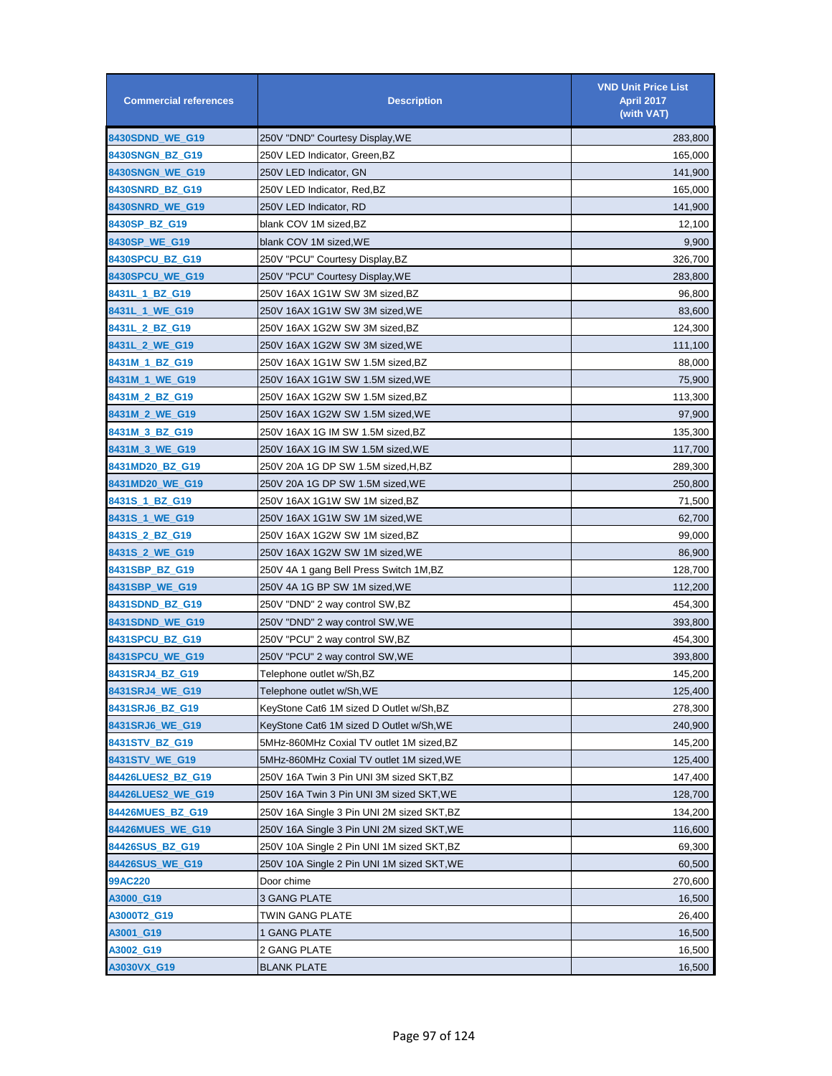| <b>Commercial references</b> | <b>Description</b>                         | <b>VND Unit Price List</b><br><b>April 2017</b><br>(with VAT) |
|------------------------------|--------------------------------------------|---------------------------------------------------------------|
| 8430SDND_WE_G19              | 250V "DND" Courtesy Display, WE            | 283,800                                                       |
| 8430SNGN_BZ_G19              | 250V LED Indicator, Green, BZ              | 165,000                                                       |
| 8430SNGN_WE_G19              | 250V LED Indicator, GN                     | 141,900                                                       |
| 8430SNRD_BZ_G19              | 250V LED Indicator, Red,BZ                 | 165,000                                                       |
| 8430SNRD_WE_G19              | 250V LED Indicator, RD                     | 141,900                                                       |
| 8430SP BZ G19                | blank COV 1M sized, BZ                     | 12,100                                                        |
| 8430SP_WE_G19                | blank COV 1M sized, WE                     | 9,900                                                         |
| 8430SPCU_BZ_G19              | 250V "PCU" Courtesy Display, BZ            | 326,700                                                       |
| 8430SPCU_WE_G19              | 250V "PCU" Courtesy Display, WE            | 283,800                                                       |
| 8431L_1_BZ_G19               | 250V 16AX 1G1W SW 3M sized,BZ              | 96,800                                                        |
| 8431L_1_WE_G19               | 250V 16AX 1G1W SW 3M sized, WE             | 83,600                                                        |
| 8431L_2_BZ_G19               | 250V 16AX 1G2W SW 3M sized,BZ              | 124,300                                                       |
| 8431L_2_WE_G19               | 250V 16AX 1G2W SW 3M sized,WE              | 111,100                                                       |
| 8431M_1_BZ_G19               | 250V 16AX 1G1W SW 1.5M sized,BZ            | 88,000                                                        |
| 8431M_1_WE_G19               | 250V 16AX 1G1W SW 1.5M sized, WE           | 75,900                                                        |
| 8431M_2_BZ_G19               | 250V 16AX 1G2W SW 1.5M sized, BZ           | 113,300                                                       |
| 8431M_2_WE_G19               | 250V 16AX 1G2W SW 1.5M sized,WE            | 97,900                                                        |
| 8431M_3_BZ_G19               | 250V 16AX 1G IM SW 1.5M sized,BZ           | 135,300                                                       |
| 8431M_3_WE_G19               | 250V 16AX 1G IM SW 1.5M sized, WE          | 117,700                                                       |
| 8431MD20_BZ_G19              | 250V 20A 1G DP SW 1.5M sized,H,BZ          | 289,300                                                       |
| 8431MD20_WE_G19              | 250V 20A 1G DP SW 1.5M sized, WE           | 250,800                                                       |
| 8431S_1_BZ_G19               | 250V 16AX 1G1W SW 1M sized,BZ              | 71,500                                                        |
| 8431S_1_WE_G19               | 250V 16AX 1G1W SW 1M sized, WE             | 62,700                                                        |
| 8431S_2_BZ_G19               | 250V 16AX 1G2W SW 1M sized,BZ              | 99,000                                                        |
| 8431S_2_WE_G19               | 250V 16AX 1G2W SW 1M sized, WE             | 86,900                                                        |
| 8431SBP_BZ_G19               | 250V 4A 1 gang Bell Press Switch 1M,BZ     | 128,700                                                       |
| 8431SBP_WE_G19               | 250V 4A 1G BP SW 1M sized,WE               | 112,200                                                       |
| 8431SDND_BZ_G19              | 250V "DND" 2 way control SW,BZ             | 454,300                                                       |
| 8431SDND_WE_G19              | 250V "DND" 2 way control SW, WE            | 393,800                                                       |
| 8431SPCU_BZ_G19              | 250V "PCU" 2 way control SW,BZ             | 454,300                                                       |
| 8431SPCU WE G19              | 250V "PCU" 2 way control SW, WE            | 393,800                                                       |
| 8431SRJ4_BZ_G19              | Telephone outlet w/Sh,BZ                   | 145,200                                                       |
| 8431SRJ4_WE_G19              | Telephone outlet w/Sh, WE                  | 125,400                                                       |
| 8431SRJ6_BZ_G19              | KeyStone Cat6 1M sized D Outlet w/Sh, BZ   | 278,300                                                       |
| 8431SRJ6_WE_G19              | KeyStone Cat6 1M sized D Outlet w/Sh, WE   | 240,900                                                       |
| 8431STV_BZ_G19               | 5MHz-860MHz Coxial TV outlet 1M sized, BZ  | 145,200                                                       |
| 8431STV_WE_G19               | 5MHz-860MHz Coxial TV outlet 1M sized, WE  | 125,400                                                       |
| 84426LUES2_BZ_G19            | 250V 16A Twin 3 Pin UNI 3M sized SKT,BZ    | 147,400                                                       |
| 84426LUES2_WE_G19            | 250V 16A Twin 3 Pin UNI 3M sized SKT, WE   | 128,700                                                       |
| 84426MUES_BZ_G19             | 250V 16A Single 3 Pin UNI 2M sized SKT,BZ  | 134,200                                                       |
| 84426MUES_WE_G19             | 250V 16A Single 3 Pin UNI 2M sized SKT, WE | 116,600                                                       |
| 84426SUS_BZ_G19              | 250V 10A Single 2 Pin UNI 1M sized SKT,BZ  | 69,300                                                        |
| 84426SUS_WE_G19              | 250V 10A Single 2 Pin UNI 1M sized SKT, WE | 60,500                                                        |
| 99AC220                      | Door chime                                 | 270,600                                                       |
| A3000_G19                    | 3 GANG PLATE                               | 16,500                                                        |
| A3000T2_G19                  | TWIN GANG PLATE                            | 26,400                                                        |
| A3001_G19                    | 1 GANG PLATE                               | 16,500                                                        |
| A3002_G19                    | 2 GANG PLATE                               | 16,500                                                        |
| A3030VX_G19                  | <b>BLANK PLATE</b>                         | 16,500                                                        |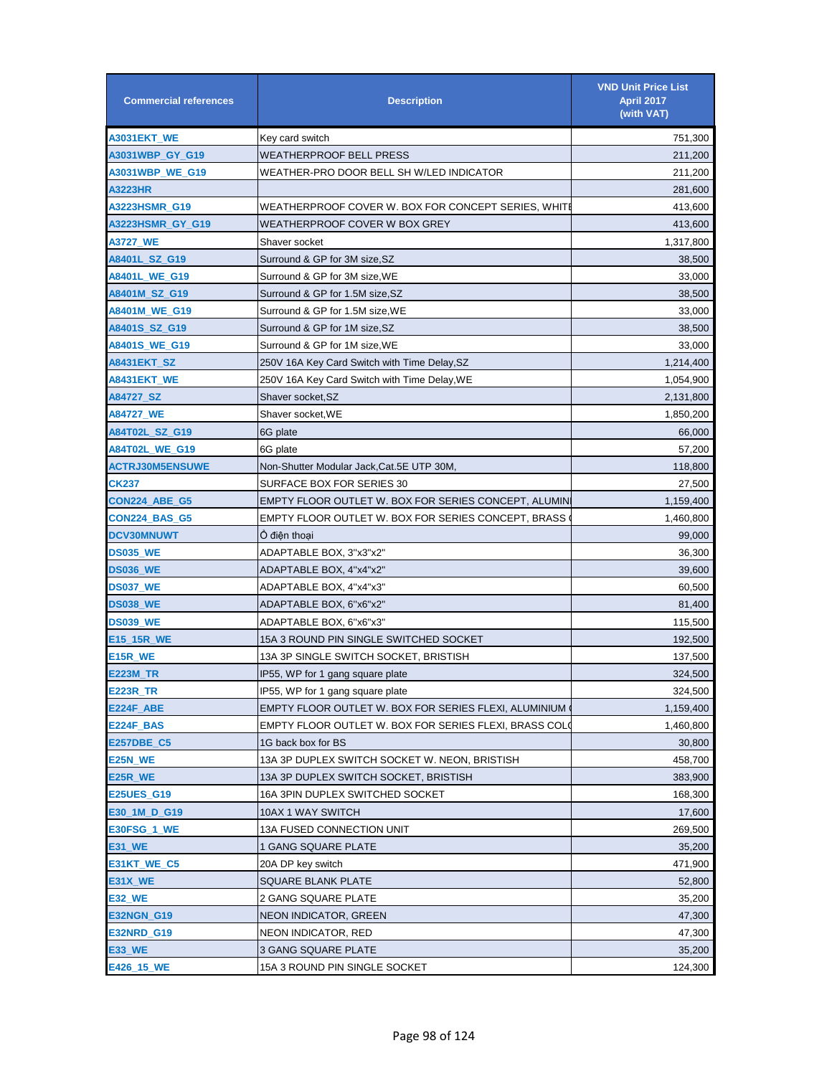| <b>Commercial references</b> | <b>Description</b>                                     | <b>VND Unit Price List</b><br>April 2017<br>(with VAT) |
|------------------------------|--------------------------------------------------------|--------------------------------------------------------|
| A3031EKT_WE                  | Key card switch                                        | 751,300                                                |
| A3031WBP_GY_G19              | WEATHERPROOF BELL PRESS                                | 211,200                                                |
| A3031WBP_WE_G19              | WEATHER-PRO DOOR BELL SH W/LED INDICATOR               | 211,200                                                |
| A3223HR                      |                                                        | 281,600                                                |
| A3223HSMR_G19                | WEATHERPROOF COVER W. BOX FOR CONCEPT SERIES, WHITI    | 413,600                                                |
| A3223HSMR_GY_G19             | WEATHERPROOF COVER W BOX GREY                          | 413,600                                                |
| A3727_WE                     | Shaver socket                                          | 1,317,800                                              |
| A8401L_SZ_G19                | Surround & GP for 3M size, SZ                          | 38,500                                                 |
| A8401L_WE_G19                | Surround & GP for 3M size,WE                           | 33,000                                                 |
| A8401M_SZ_G19                | Surround & GP for 1.5M size,SZ                         | 38,500                                                 |
| A8401M_WE_G19                | Surround & GP for 1.5M size,WE                         | 33,000                                                 |
| A8401S_SZ_G19                | Surround & GP for 1M size,SZ                           | 38,500                                                 |
| <b>A8401S WE G19</b>         | Surround & GP for 1M size.WE                           | 33,000                                                 |
| A8431EKT_SZ                  | 250V 16A Key Card Switch with Time Delay,SZ            | 1,214,400                                              |
| A8431EKT WE                  | 250V 16A Key Card Switch with Time Delay, WE           | 1,054,900                                              |
| A84727_SZ                    | Shaver socket,SZ                                       | 2,131,800                                              |
| A84727_WE                    | Shaver socket,WE                                       | 1,850,200                                              |
| A84T02L_SZ_G19               | 6G plate                                               | 66,000                                                 |
| A84T02L_WE_G19               | 6G plate                                               | 57,200                                                 |
| <b>ACTRJ30M5ENSUWE</b>       | Non-Shutter Modular Jack,Cat.5E UTP 30M,               | 118,800                                                |
| CK237                        | SURFACE BOX FOR SERIES 30                              | 27,500                                                 |
| <b>CON224 ABE G5</b>         | EMPTY FLOOR OUTLET W. BOX FOR SERIES CONCEPT, ALUMIN   | 1,159,400                                              |
| CON224_BAS_G5                | EMPTY FLOOR OUTLET W. BOX FOR SERIES CONCEPT, BRASS    | 1,460,800                                              |
| <b>DCV30MNUWT</b>            | Ô điên thoai                                           | 99,000                                                 |
| <b>DS035_WE</b>              | ADAPTABLE BOX, 3"x3"x2"                                | 36,300                                                 |
| <b>DS036_WE</b>              | ADAPTABLE BOX, 4"x4"x2"                                | 39,600                                                 |
| <b>DS037_WE</b>              | ADAPTABLE BOX, 4"x4"x3"                                | 60,500                                                 |
| <b>DS038_WE</b>              | ADAPTABLE BOX, 6"x6"x2"                                | 81,400                                                 |
| <b>DS039_WE</b>              | ADAPTABLE BOX, 6"x6"x3"                                | 115,500                                                |
| E15_15R_WE                   | 15A 3 ROUND PIN SINGLE SWITCHED SOCKET                 | 192,500                                                |
| E15R_WE                      | 13A 3P SINGLE SWITCH SOCKET, BRISTISH                  | 137,500                                                |
| E223M_TR                     | IP55, WP for 1 gang square plate                       | 324,500                                                |
| <b>E223R_TR</b>              | IP55, WP for 1 gang square plate                       | 324,500                                                |
| E224F_ABE                    | EMPTY FLOOR OUTLET W. BOX FOR SERIES FLEXI, ALUMINIUM  | 1,159,400                                              |
| E224F_BAS                    | EMPTY FLOOR OUTLET W. BOX FOR SERIES FLEXI, BRASS COLO | 1,460,800                                              |
| <b>E257DBE C5</b>            | 1G back box for BS                                     | 30,800                                                 |
| E25N_WE                      | 13A 3P DUPLEX SWITCH SOCKET W. NEON, BRISTISH          | 458,700                                                |
| E25R_WE                      | 13A 3P DUPLEX SWITCH SOCKET, BRISTISH                  | 383,900                                                |
| <b>E25UES_G19</b>            | 16A 3PIN DUPLEX SWITCHED SOCKET                        | 168,300                                                |
| E30_1M_D_G19                 | 10AX 1 WAY SWITCH                                      | 17,600                                                 |
| E30FSG_1_WE                  | <b>13A FUSED CONNECTION UNIT</b>                       | 269,500                                                |
| E31_WE                       | 1 GANG SQUARE PLATE                                    | 35,200                                                 |
| E31KT_WE_C5                  | 20A DP key switch                                      | 471,900                                                |
| E31X_WE                      | SQUARE BLANK PLATE                                     | 52,800                                                 |
| E32_WE                       | 2 GANG SQUARE PLATE                                    | 35,200                                                 |
| <b>E32NGN_G19</b>            | NEON INDICATOR, GREEN                                  | 47,300                                                 |
| <b>E32NRD_G19</b>            | NEON INDICATOR, RED                                    | 47,300                                                 |
| <b>E33_WE</b>                | <b>3 GANG SQUARE PLATE</b>                             | 35,200                                                 |
| E426_15_WE                   | 15A 3 ROUND PIN SINGLE SOCKET                          | 124,300                                                |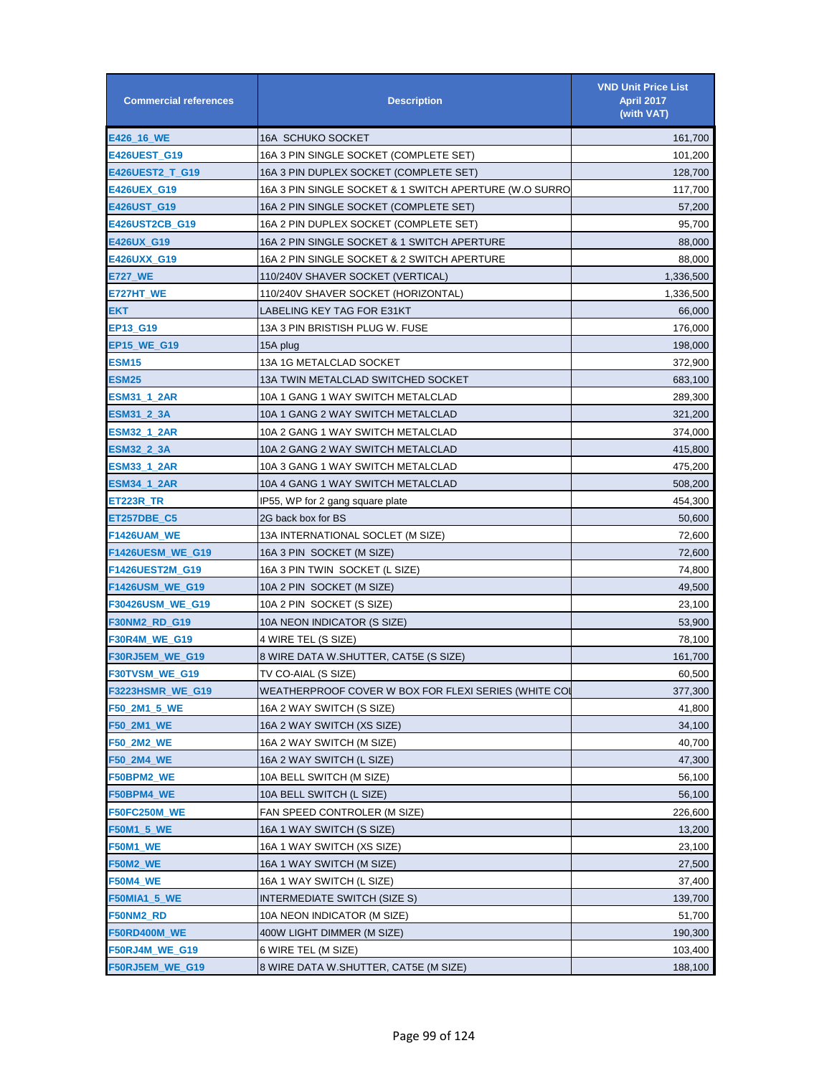| <b>Commercial references</b> | <b>Description</b>                                     | <b>VND Unit Price List</b><br><b>April 2017</b><br>(with VAT) |
|------------------------------|--------------------------------------------------------|---------------------------------------------------------------|
| E426_16_WE                   | <b>16A SCHUKO SOCKET</b>                               | 161,700                                                       |
| <b>E426UEST_G19</b>          | 16A 3 PIN SINGLE SOCKET (COMPLETE SET)                 | 101,200                                                       |
| E426UEST2_T_G19              | 16A 3 PIN DUPLEX SOCKET (COMPLETE SET)                 | 128,700                                                       |
| <b>E426UEX_G19</b>           | 16A 3 PIN SINGLE SOCKET & 1 SWITCH APERTURE (W.O SURRO | 117,700                                                       |
| E426UST_G19                  | 16A 2 PIN SINGLE SOCKET (COMPLETE SET)                 | 57,200                                                        |
| E426UST2CB_G19               | 16A 2 PIN DUPLEX SOCKET (COMPLETE SET)                 | 95,700                                                        |
| E426UX_G19                   | 16A 2 PIN SINGLE SOCKET & 1 SWITCH APERTURE            | 88,000                                                        |
| <b>E426UXX G19</b>           | 16A 2 PIN SINGLE SOCKET & 2 SWITCH APERTURE            | 88,000                                                        |
| E727_WE                      | 110/240V SHAVER SOCKET (VERTICAL)                      | 1,336,500                                                     |
| E727HT_WE                    | 110/240V SHAVER SOCKET (HORIZONTAL)                    | 1,336,500                                                     |
| EKT                          | LABELING KEY TAG FOR E31KT                             | 66,000                                                        |
| EP13_G19                     | 13A 3 PIN BRISTISH PLUG W. FUSE                        | 176,000                                                       |
| <b>EP15_WE_G19</b>           | 15A plug                                               | 198,000                                                       |
| <b>ESM15</b>                 | 13A 1G METALCLAD SOCKET                                | 372,900                                                       |
| <b>ESM25</b>                 | 13A TWIN METALCLAD SWITCHED SOCKET                     | 683,100                                                       |
| ESM31_1_2AR                  | 10A 1 GANG 1 WAY SWITCH METALCLAD                      | 289,300                                                       |
| ESM31_2_3A                   | 10A 1 GANG 2 WAY SWITCH METALCLAD                      | 321,200                                                       |
| ESM32_1_2AR                  | 10A 2 GANG 1 WAY SWITCH METALCLAD                      | 374,000                                                       |
| ESM32_2_3A                   | 10A 2 GANG 2 WAY SWITCH METALCLAD                      | 415,800                                                       |
| ESM33_1_2AR                  | 10A 3 GANG 1 WAY SWITCH METALCLAD                      | 475,200                                                       |
| ESM34_1_2AR                  | 10A 4 GANG 1 WAY SWITCH METALCLAD                      | 508,200                                                       |
| ET223R_TR                    | IP55, WP for 2 gang square plate                       | 454,300                                                       |
| ET257DBE_C5                  | 2G back box for BS                                     | 50,600                                                        |
| F1426UAM_WE                  | 13A INTERNATIONAL SOCLET (M SIZE)                      | 72,600                                                        |
| F1426UESM_WE_G19             | 16A 3 PIN SOCKET (M SIZE)                              | 72,600                                                        |
| F1426UEST2M_G19              | 16A 3 PIN TWIN SOCKET (L SIZE)                         | 74,800                                                        |
| <b>F1426USM_WE_G19</b>       | 10A 2 PIN SOCKET (M SIZE)                              | 49,500                                                        |
| F30426USM_WE_G19             | 10A 2 PIN SOCKET (S SIZE)                              | 23,100                                                        |
| <b>F30NM2_RD_G19</b>         | 10A NEON INDICATOR (S SIZE)                            | 53,900                                                        |
| F30R4M_WE_G19                | 4 WIRE TEL (S SIZE)                                    | 78,100                                                        |
| F30RJ5EM_WE_G19              | 8 WIRE DATA W.SHUTTER, CAT5E (S SIZE)                  | 161,700                                                       |
| <b>F30TVSM WE G19</b>        | TV CO-AIAL (S SIZE)                                    | 60,500                                                        |
| F3223HSMR_WE_G19             | WEATHERPROOF COVER W BOX FOR FLEXI SERIES (WHITE COI   | 377,300                                                       |
| F50_2M1_5_WE                 | 16A 2 WAY SWITCH (S SIZE)                              | 41,800                                                        |
| F50_2M1_WE                   | 16A 2 WAY SWITCH (XS SIZE)                             | 34,100                                                        |
| F50 2M2 WE                   | 16A 2 WAY SWITCH (M SIZE)                              | 40,700                                                        |
| F50_2M4_WE                   | 16A 2 WAY SWITCH (L SIZE)                              | 47,300                                                        |
| F50BPM2_WE                   | 10A BELL SWITCH (M SIZE)                               | 56,100                                                        |
| F50BPM4_WE                   | 10A BELL SWITCH (L SIZE)                               | 56,100                                                        |
| <b>F50FC250M_WE</b>          | FAN SPEED CONTROLER (M SIZE)                           | 226,600                                                       |
| F50M1_5_WE                   | 16A 1 WAY SWITCH (S SIZE)                              | 13,200                                                        |
| <b>F50M1_WE</b>              | 16A 1 WAY SWITCH (XS SIZE)                             | 23,100                                                        |
| <b>F50M2_WE</b>              | 16A 1 WAY SWITCH (M SIZE)                              | 27,500                                                        |
| F50M4_WE                     | 16A 1 WAY SWITCH (L SIZE)                              | 37,400                                                        |
| F50MIA1_5_WE                 | INTERMEDIATE SWITCH (SIZE S)                           | 139,700                                                       |
| F50NM2_RD                    | 10A NEON INDICATOR (M SIZE)                            | 51,700                                                        |
| F50RD400M_WE                 | 400W LIGHT DIMMER (M SIZE)                             | 190,300                                                       |
| F50RJ4M_WE_G19               | 6 WIRE TEL (M SIZE)                                    | 103,400                                                       |
| F50RJ5EM_WE_G19              | 8 WIRE DATA W.SHUTTER, CAT5E (M SIZE)                  | 188,100                                                       |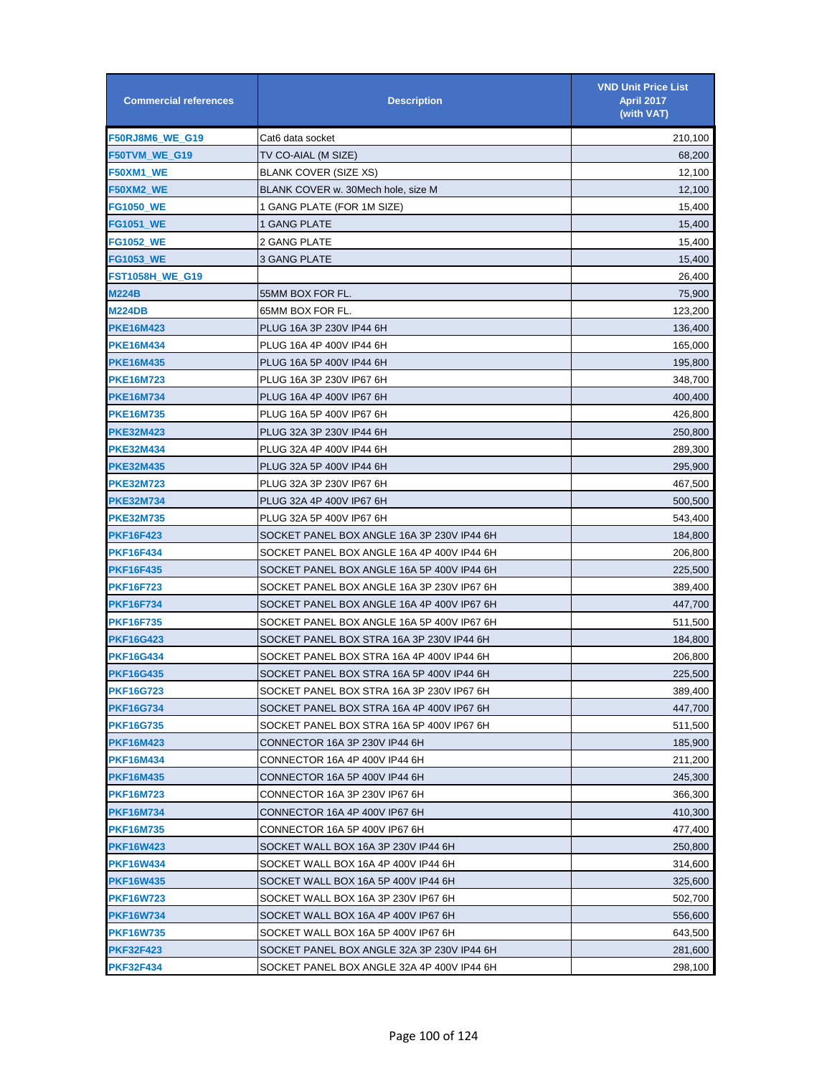| <b>Commercial references</b> | <b>Description</b>                         | <b>VND Unit Price List</b><br>April 2017<br>(with VAT) |
|------------------------------|--------------------------------------------|--------------------------------------------------------|
| F50RJ8M6_WE_G19              | Cat6 data socket                           | 210,100                                                |
| F50TVM_WE_G19                | TV CO-AIAL (M SIZE)                        | 68,200                                                 |
| F50XM1_WE                    | <b>BLANK COVER (SIZE XS)</b>               | 12,100                                                 |
| F50XM2_WE                    | BLANK COVER w. 30Mech hole, size M         | 12,100                                                 |
| <b>FG1050 WE</b>             | 1 GANG PLATE (FOR 1M SIZE)                 | 15,400                                                 |
| <b>FG1051_WE</b>             | 1 GANG PLATE                               | 15,400                                                 |
| <b>FG1052 WE</b>             | 2 GANG PLATE                               | 15,400                                                 |
| <b>FG1053_WE</b>             | 3 GANG PLATE                               | 15,400                                                 |
| FST1058H_WE_G19              |                                            | 26,400                                                 |
| <b>M224B</b>                 | 55MM BOX FOR FL.                           | 75,900                                                 |
| <b>M224DB</b>                | 65MM BOX FOR FL.                           | 123,200                                                |
| <b>PKE16M423</b>             | PLUG 16A 3P 230V IP44 6H                   | 136,400                                                |
| <b>PKE16M434</b>             | PLUG 16A 4P 400V IP44 6H                   | 165,000                                                |
| <b>PKE16M435</b>             | PLUG 16A 5P 400V IP44 6H                   | 195,800                                                |
| <b>PKE16M723</b>             | PLUG 16A 3P 230V IP67 6H                   | 348,700                                                |
| <b>PKE16M734</b>             | PLUG 16A 4P 400V IP67 6H                   | 400,400                                                |
| <b>PKE16M735</b>             | PLUG 16A 5P 400V IP67 6H                   | 426,800                                                |
| <b>PKE32M423</b>             | PLUG 32A 3P 230V IP44 6H                   | 250,800                                                |
| <b>PKE32M434</b>             | PLUG 32A 4P 400V IP44 6H                   | 289,300                                                |
| <b>PKE32M435</b>             | PLUG 32A 5P 400V IP44 6H                   | 295,900                                                |
| <b>PKE32M723</b>             | PLUG 32A 3P 230V IP67 6H                   | 467,500                                                |
| <b>PKE32M734</b>             | PLUG 32A 4P 400V IP67 6H                   | 500,500                                                |
| <b>PKE32M735</b>             | PLUG 32A 5P 400V IP67 6H                   | 543,400                                                |
| <b>PKF16F423</b>             | SOCKET PANEL BOX ANGLE 16A 3P 230V IP44 6H | 184,800                                                |
| <b>PKF16F434</b>             | SOCKET PANEL BOX ANGLE 16A 4P 400V IP44 6H | 206,800                                                |
| <b>PKF16F435</b>             | SOCKET PANEL BOX ANGLE 16A 5P 400V IP44 6H | 225,500                                                |
| PKF16F723                    | SOCKET PANEL BOX ANGLE 16A 3P 230V IP67 6H | 389,400                                                |
| PKF16F734                    | SOCKET PANEL BOX ANGLE 16A 4P 400V IP67 6H | 447,700                                                |
| <b>PKF16F735</b>             | SOCKET PANEL BOX ANGLE 16A 5P 400V IP67 6H | 511,500                                                |
| PKF16G423                    | SOCKET PANEL BOX STRA 16A 3P 230V IP44 6H  | 184,800                                                |
| <b>PKF16G434</b>             | SOCKET PANEL BOX STRA 16A 4P 400V IP44 6H  | 206,800                                                |
| <b>PKF16G435</b>             | SOCKET PANEL BOX STRA 16A 5P 400V IP44 6H  | 225,500                                                |
| <b>PKF16G723</b>             | SOCKET PANEL BOX STRA 16A 3P 230V IP67 6H  | 389,400                                                |
| <b>PKF16G734</b>             | SOCKET PANEL BOX STRA 16A 4P 400V IP67 6H  | 447,700                                                |
| <b>PKF16G735</b>             | SOCKET PANEL BOX STRA 16A 5P 400V IP67 6H  | 511,500                                                |
| <b>PKF16M423</b>             | CONNECTOR 16A 3P 230V IP44 6H              | 185,900                                                |
| <b>PKF16M434</b>             | CONNECTOR 16A 4P 400V IP44 6H              | 211,200                                                |
| <b>PKF16M435</b>             | CONNECTOR 16A 5P 400V IP44 6H              | 245,300                                                |
| <b>PKF16M723</b>             | CONNECTOR 16A 3P 230V IP67 6H              | 366,300                                                |
| <b>PKF16M734</b>             | CONNECTOR 16A 4P 400V IP67 6H              | 410,300                                                |
| <b>PKF16M735</b>             | CONNECTOR 16A 5P 400V IP67 6H              | 477,400                                                |
| <b>PKF16W423</b>             | SOCKET WALL BOX 16A 3P 230V IP44 6H        | 250,800                                                |
| <b>PKF16W434</b>             | SOCKET WALL BOX 16A 4P 400V IP44 6H        | 314,600                                                |
| <b>PKF16W435</b>             | SOCKET WALL BOX 16A 5P 400V IP44 6H        | 325,600                                                |
| <b>PKF16W723</b>             | SOCKET WALL BOX 16A 3P 230V IP67 6H        | 502,700                                                |
| <b>PKF16W734</b>             | SOCKET WALL BOX 16A 4P 400V IP67 6H        | 556,600                                                |
| <b>PKF16W735</b>             | SOCKET WALL BOX 16A 5P 400V IP67 6H        | 643,500                                                |
| <b>PKF32F423</b>             | SOCKET PANEL BOX ANGLE 32A 3P 230V IP44 6H | 281,600                                                |
| <b>PKF32F434</b>             | SOCKET PANEL BOX ANGLE 32A 4P 400V IP44 6H | 298,100                                                |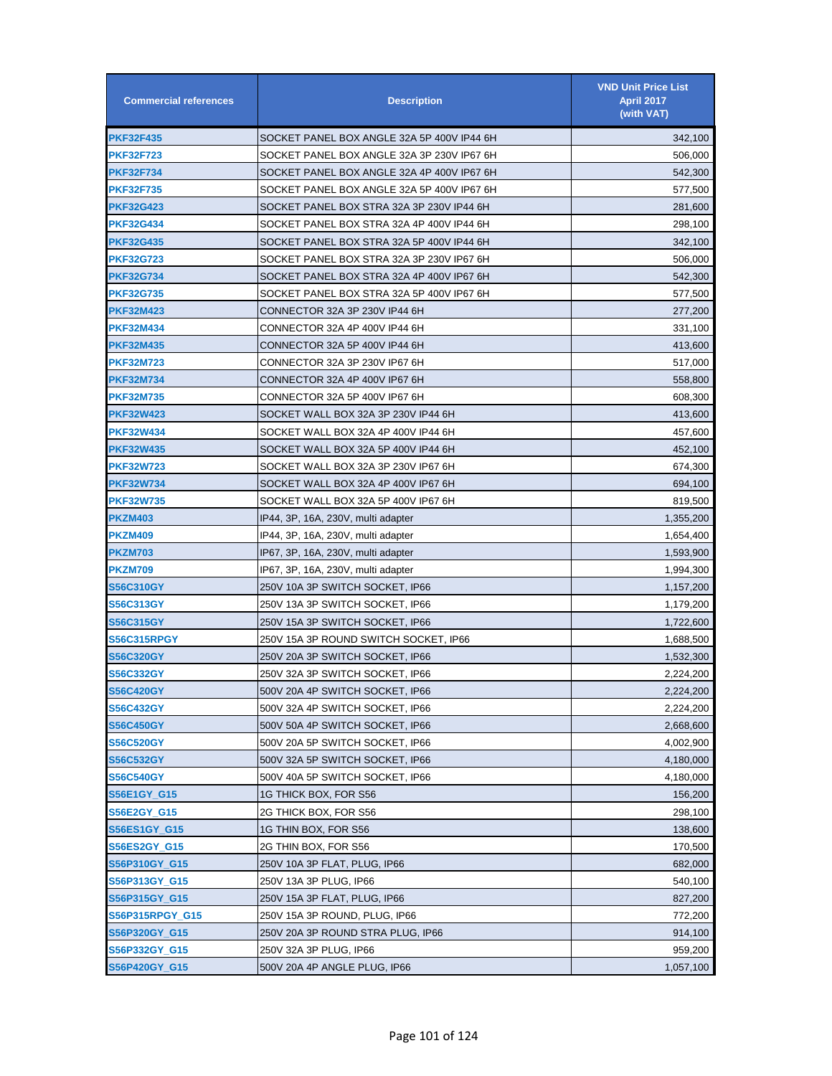| <b>Commercial references</b> | <b>Description</b>                         | <b>VND Unit Price List</b><br><b>April 2017</b><br>(with VAT) |
|------------------------------|--------------------------------------------|---------------------------------------------------------------|
| <b>PKF32F435</b>             | SOCKET PANEL BOX ANGLE 32A 5P 400V IP44 6H | 342,100                                                       |
| <b>PKF32F723</b>             | SOCKET PANEL BOX ANGLE 32A 3P 230V IP67 6H | 506,000                                                       |
| <b>PKF32F734</b>             | SOCKET PANEL BOX ANGLE 32A 4P 400V IP67 6H | 542,300                                                       |
| <b>PKF32F735</b>             | SOCKET PANEL BOX ANGLE 32A 5P 400V IP67 6H | 577,500                                                       |
| <b>PKF32G423</b>             | SOCKET PANEL BOX STRA 32A 3P 230V IP44 6H  | 281,600                                                       |
| <b>PKF32G434</b>             | SOCKET PANEL BOX STRA 32A 4P 400V IP44 6H  | 298,100                                                       |
| <b>PKF32G435</b>             | SOCKET PANEL BOX STRA 32A 5P 400V IP44 6H  | 342,100                                                       |
| <b>PKF32G723</b>             | SOCKET PANEL BOX STRA 32A 3P 230V IP67 6H  | 506,000                                                       |
| PKF32G734                    | SOCKET PANEL BOX STRA 32A 4P 400V IP67 6H  | 542,300                                                       |
| <b>PKF32G735</b>             | SOCKET PANEL BOX STRA 32A 5P 400V IP67 6H  | 577,500                                                       |
| PKF32M423                    | CONNECTOR 32A 3P 230V IP44 6H              | 277,200                                                       |
| <b>PKF32M434</b>             | CONNECTOR 32A 4P 400V IP44 6H              | 331,100                                                       |
| <b>PKF32M435</b>             | CONNECTOR 32A 5P 400V IP44 6H              | 413,600                                                       |
| <b>PKF32M723</b>             | CONNECTOR 32A 3P 230V IP67 6H              | 517,000                                                       |
| <b>PKF32M734</b>             | CONNECTOR 32A 4P 400V IP67 6H              | 558,800                                                       |
| <b>PKF32M735</b>             | CONNECTOR 32A 5P 400V IP67 6H              | 608,300                                                       |
| <b>PKF32W423</b>             | SOCKET WALL BOX 32A 3P 230V IP44 6H        | 413,600                                                       |
| <b>PKF32W434</b>             | SOCKET WALL BOX 32A 4P 400V IP44 6H        | 457,600                                                       |
| <b>PKF32W435</b>             | SOCKET WALL BOX 32A 5P 400V IP44 6H        | 452,100                                                       |
| <b>PKF32W723</b>             | SOCKET WALL BOX 32A 3P 230V IP67 6H        | 674,300                                                       |
| PKF32W734                    | SOCKET WALL BOX 32A 4P 400V IP67 6H        | 694,100                                                       |
| <b>PKF32W735</b>             | SOCKET WALL BOX 32A 5P 400V IP67 6H        | 819,500                                                       |
| PKZM403                      | IP44, 3P, 16A, 230V, multi adapter         | 1,355,200                                                     |
| PKZM409                      | IP44, 3P, 16A, 230V, multi adapter         | 1,654,400                                                     |
| PKZM703                      | IP67, 3P, 16A, 230V, multi adapter         | 1,593,900                                                     |
| <b>PKZM709</b>               | IP67, 3P, 16A, 230V, multi adapter         | 1,994,300                                                     |
| <b>S56C310GY</b>             | 250V 10A 3P SWITCH SOCKET, IP66            | 1,157,200                                                     |
| S56C313GY                    | 250V 13A 3P SWITCH SOCKET, IP66            | 1,179,200                                                     |
| <b>S56C315GY</b>             | 250V 15A 3P SWITCH SOCKET, IP66            | 1,722,600                                                     |
| S56C315RPGY                  | 250V 15A 3P ROUND SWITCH SOCKET, IP66      | 1,688,500                                                     |
| <b>S56C320GY</b>             | 250V 20A 3P SWITCH SOCKET, IP66            | 1,532,300                                                     |
| S56C332GY                    | 250V 32A 3P SWITCH SOCKET, IP66            | 2,224,200                                                     |
| <b>S56C420GY</b>             | 500V 20A 4P SWITCH SOCKET, IP66            | 2,224,200                                                     |
| <b>S56C432GY</b>             | 500V 32A 4P SWITCH SOCKET, IP66            | 2,224,200                                                     |
| <b>S56C450GY</b>             | 500V 50A 4P SWITCH SOCKET, IP66            | 2,668,600                                                     |
| <b>S56C520GY</b>             | 500V 20A 5P SWITCH SOCKET, IP66            | 4,002,900                                                     |
| <b>S56C532GY</b>             | 500V 32A 5P SWITCH SOCKET, IP66            | 4,180,000                                                     |
| <b>S56C540GY</b>             | 500V 40A 5P SWITCH SOCKET, IP66            | 4,180,000                                                     |
| S56E1GY_G15                  | 1G THICK BOX, FOR S56                      | 156,200                                                       |
| S56E2GY_G15                  | 2G THICK BOX, FOR S56                      | 298,100                                                       |
| S56ES1GY_G15                 | 1G THIN BOX, FOR S56                       | 138,600                                                       |
| S56ES2GY_G15                 | 2G THIN BOX, FOR S56                       | 170,500                                                       |
| S56P310GY_G15                | 250V 10A 3P FLAT, PLUG, IP66               | 682,000                                                       |
| S56P313GY_G15                | 250V 13A 3P PLUG, IP66                     | 540,100                                                       |
| S56P315GY_G15                | 250V 15A 3P FLAT, PLUG, IP66               | 827,200                                                       |
| S56P315RPGY_G15              | 250V 15A 3P ROUND, PLUG, IP66              | 772,200                                                       |
| S56P320GY_G15                | 250V 20A 3P ROUND STRA PLUG, IP66          | 914,100                                                       |
| S56P332GY_G15                | 250V 32A 3P PLUG, IP66                     | 959,200                                                       |
| S56P420GY_G15                | 500V 20A 4P ANGLE PLUG, IP66               | 1,057,100                                                     |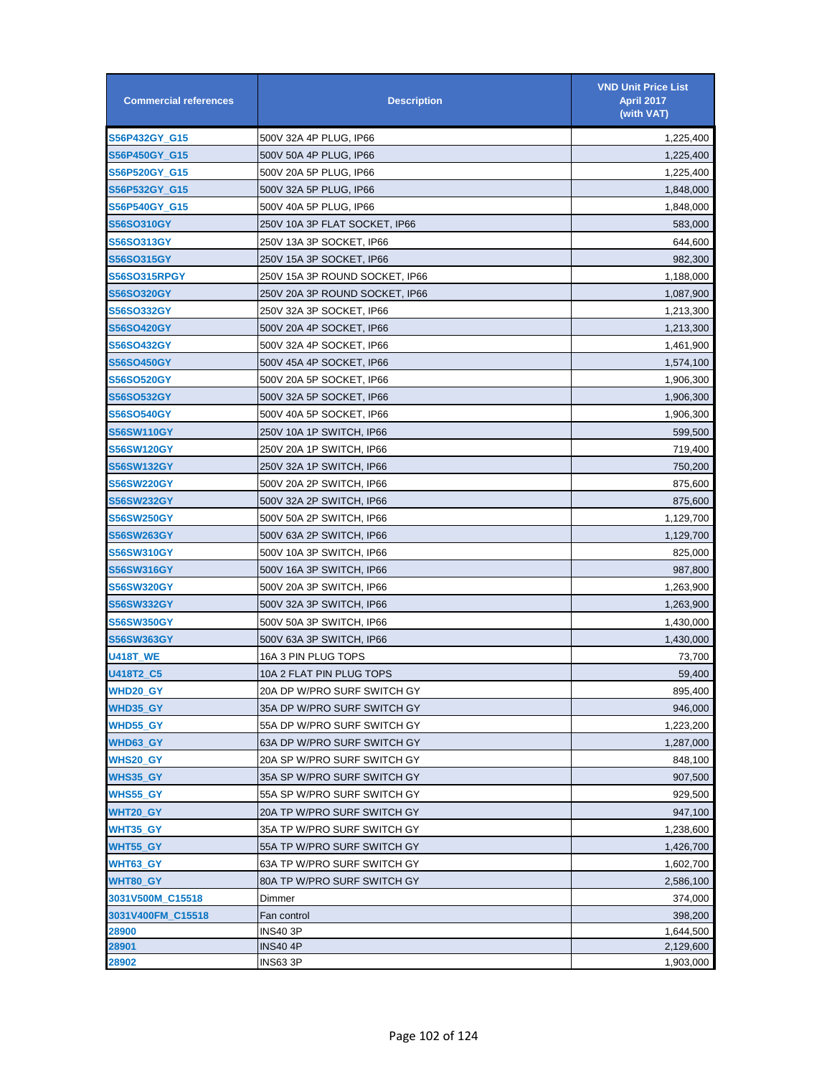| <b>Commercial references</b> | <b>Description</b>             | <b>VND Unit Price List</b><br><b>April 2017</b><br>(with VAT) |
|------------------------------|--------------------------------|---------------------------------------------------------------|
| S56P432GY_G15                | 500V 32A 4P PLUG, IP66         | 1,225,400                                                     |
| S56P450GY_G15                | 500V 50A 4P PLUG, IP66         | 1,225,400                                                     |
| S56P520GY_G15                | 500V 20A 5P PLUG, IP66         | 1,225,400                                                     |
| S56P532GY_G15                | 500V 32A 5P PLUG, IP66         | 1,848,000                                                     |
| S56P540GY_G15                | 500V 40A 5P PLUG, IP66         | 1,848,000                                                     |
| <b>S56SO310GY</b>            | 250V 10A 3P FLAT SOCKET, IP66  | 583,000                                                       |
| S56SO313GY                   | 250V 13A 3P SOCKET, IP66       | 644,600                                                       |
| <b>S56SO315GY</b>            | 250V 15A 3P SOCKET, IP66       | 982,300                                                       |
| <b>S56SO315RPGY</b>          | 250V 15A 3P ROUND SOCKET, IP66 | 1,188,000                                                     |
| <b>S56SO320GY</b>            | 250V 20A 3P ROUND SOCKET, IP66 | 1,087,900                                                     |
| <b>S56SO332GY</b>            | 250V 32A 3P SOCKET, IP66       | 1,213,300                                                     |
| S56SO420GY                   | 500V 20A 4P SOCKET, IP66       | 1,213,300                                                     |
| <b>S56SO432GY</b>            | 500V 32A 4P SOCKET, IP66       | 1,461,900                                                     |
| <b>S56SO450GY</b>            | 500V 45A 4P SOCKET, IP66       | 1,574,100                                                     |
| <b>S56SO520GY</b>            | 500V 20A 5P SOCKET, IP66       | 1,906,300                                                     |
| S56SO532GY                   | 500V 32A 5P SOCKET, IP66       | 1,906,300                                                     |
| <b>S56SO540GY</b>            | 500V 40A 5P SOCKET, IP66       | 1,906,300                                                     |
| S56SW110GY                   | 250V 10A 1P SWITCH, IP66       | 599,500                                                       |
| S56SW120GY                   | 250V 20A 1P SWITCH, IP66       | 719,400                                                       |
| S56SW132GY                   | 250V 32A 1P SWITCH, IP66       | 750,200                                                       |
| <b>S56SW220GY</b>            | 500V 20A 2P SWITCH, IP66       | 875,600                                                       |
| <b>S56SW232GY</b>            | 500V 32A 2P SWITCH, IP66       | 875,600                                                       |
| <b>S56SW250GY</b>            | 500V 50A 2P SWITCH, IP66       | 1,129,700                                                     |
| S56SW263GY                   | 500V 63A 2P SWITCH, IP66       | 1,129,700                                                     |
| S56SW310GY                   | 500V 10A 3P SWITCH, IP66       | 825,000                                                       |
| S56SW316GY                   | 500V 16A 3P SWITCH, IP66       | 987,800                                                       |
| S56SW320GY                   | 500V 20A 3P SWITCH, IP66       | 1,263,900                                                     |
| S56SW332GY                   | 500V 32A 3P SWITCH, IP66       | 1,263,900                                                     |
| <b>S56SW350GY</b>            | 500V 50A 3P SWITCH, IP66       | 1,430,000                                                     |
| S56SW363GY                   | 500V 63A 3P SWITCH, IP66       | 1,430,000                                                     |
| <b>U418T_WE</b>              | 16A 3 PIN PLUG TOPS            | 73,700                                                        |
| <b>U418T2_C5</b>             | 10A 2 FLAT PIN PLUG TOPS       | 59,400                                                        |
| WHD20_GY                     | 20A DP W/PRO SURF SWITCH GY    | 895,400                                                       |
| WHD35_GY                     | 35A DP W/PRO SURF SWITCH GY    | 946,000                                                       |
| WHD55_GY                     | 55A DP W/PRO SURF SWITCH GY    | 1,223,200                                                     |
| WHD63_GY                     | 63A DP W/PRO SURF SWITCH GY    | 1,287,000                                                     |
| <b>WHS20_GY</b>              | 20A SP W/PRO SURF SWITCH GY    | 848,100                                                       |
| <b>WHS35_GY</b>              | 35A SP W/PRO SURF SWITCH GY    | 907,500                                                       |
| WHS55_GY                     | 55A SP W/PRO SURF SWITCH GY    | 929,500                                                       |
| WHT20_GY                     | 20A TP W/PRO SURF SWITCH GY    | 947,100                                                       |
| WHT35_GY                     | 35A TP W/PRO SURF SWITCH GY    | 1,238,600                                                     |
| WHT55_GY                     | 55A TP W/PRO SURF SWITCH GY    | 1,426,700                                                     |
| <b>WHT63_GY</b>              | 63A TP W/PRO SURF SWITCH GY    | 1,602,700                                                     |
| WHT80_GY                     | 80A TP W/PRO SURF SWITCH GY    | 2,586,100                                                     |
| 3031V500M_C15518             | Dimmer                         | 374,000                                                       |
| 3031V400FM_C15518            | Fan control                    | 398,200                                                       |
| 28900                        | INS40 3P                       | 1,644,500                                                     |
| 28901                        | <b>INS40 4P</b>                | 2,129,600                                                     |
| 28902                        | <b>INS63 3P</b>                | 1,903,000                                                     |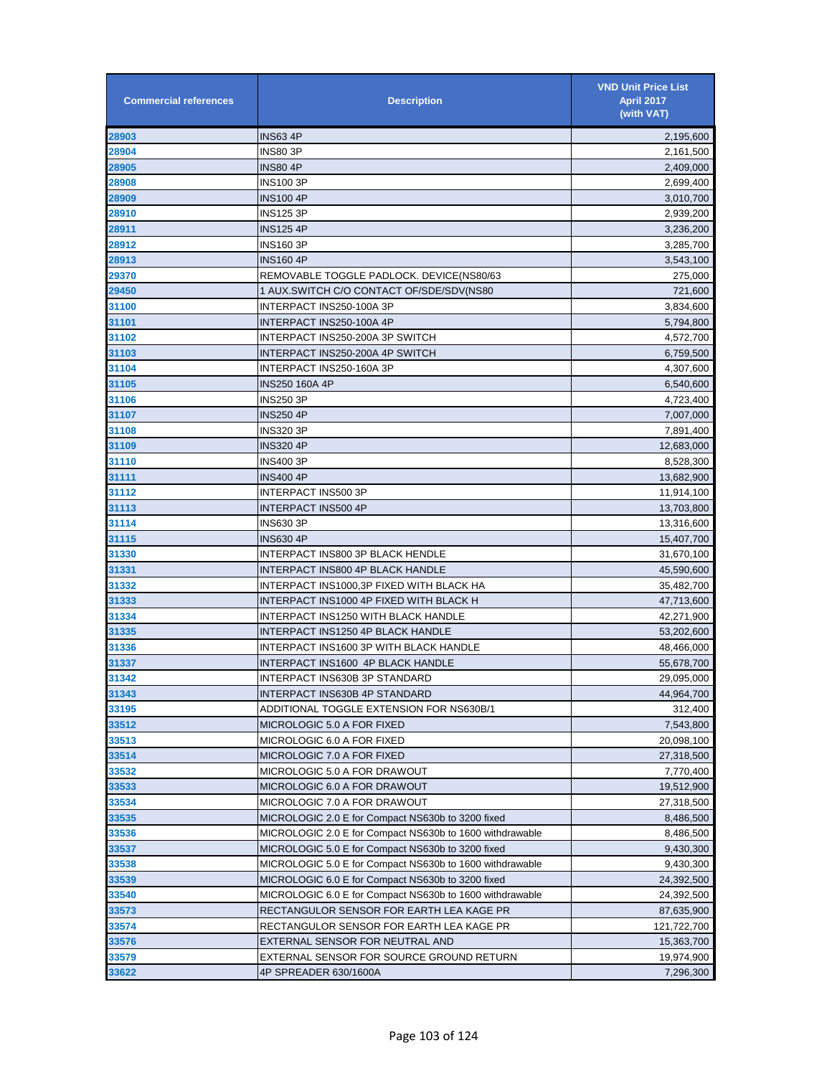| <b>Commercial references</b> | <b>Description</b>                                       | <b>VND Unit Price List</b><br><b>April 2017</b><br>(with VAT) |
|------------------------------|----------------------------------------------------------|---------------------------------------------------------------|
| 28903                        | <b>INS63 4P</b>                                          | 2,195,600                                                     |
| 28904                        | INS80 3P                                                 | 2,161,500                                                     |
| 28905                        | <b>INS80 4P</b>                                          | 2,409,000                                                     |
| 28908                        | INS100 3P                                                | 2,699,400                                                     |
| 28909                        | INS100 4P                                                | 3,010,700                                                     |
| 28910                        | INS125 3P                                                | 2,939,200                                                     |
| 28911                        | INS125 4P                                                | 3,236,200                                                     |
| 28912                        | INS160 3P                                                | 3,285,700                                                     |
| 28913                        | <b>INS160 4P</b>                                         | 3,543,100                                                     |
| 29370                        | REMOVABLE TOGGLE PADLOCK. DEVICE(NS80/63                 | 275,000                                                       |
| 29450                        | 1 AUX.SWITCH C/O CONTACT OF/SDE/SDV(NS80                 | 721,600                                                       |
| 31100                        | INTERPACT INS250-100A 3P                                 | 3,834,600                                                     |
| 31101                        | INTERPACT INS250-100A 4P                                 | 5,794,800                                                     |
| 31102                        | INTERPACT INS250-200A 3P SWITCH                          | 4,572,700                                                     |
| 31103                        | INTERPACT INS250-200A 4P SWITCH                          | 6,759,500                                                     |
| 31104                        | INTERPACT INS250-160A 3P                                 | 4,307,600                                                     |
| 31105                        | INS250 160A 4P                                           | 6,540,600                                                     |
| 31106                        | INS250 3P                                                | 4,723,400                                                     |
| 31107                        | INS250 4P                                                | 7,007,000                                                     |
| 31108                        | INS320 3P                                                | 7,891,400                                                     |
| 31109                        | <b>INS320 4P</b>                                         | 12,683,000                                                    |
| 31110                        | INS400 3P                                                | 8,528,300                                                     |
| 31111                        | <b>INS400 4P</b>                                         | 13,682,900                                                    |
| 31112                        | INTERPACT INS500 3P                                      | 11,914,100                                                    |
| 31113                        | INTERPACT INS500 4P                                      | 13,703,800                                                    |
| 31114                        | INS630 3P                                                | 13,316,600                                                    |
| 31115                        | INS630 4P                                                | 15,407,700                                                    |
| 31330                        | INTERPACT INS800 3P BLACK HENDLE                         | 31,670,100                                                    |
| 31331                        | INTERPACT INS800 4P BLACK HANDLE                         | 45,590,600                                                    |
| 31332                        | INTERPACT INS1000,3P FIXED WITH BLACK HA                 | 35,482,700                                                    |
| 31333                        | INTERPACT INS1000 4P FIXED WITH BLACK H                  | 47,713,600                                                    |
| 31334                        | INTERPACT INS1250 WITH BLACK HANDLE                      | 42,271,900                                                    |
| 31335                        | INTERPACT INS1250 4P BLACK HANDLE                        | 53,202,600                                                    |
| 31336                        | INTERPACT INS1600 3P WITH BLACK HANDLE                   | 48,466,000                                                    |
| 31337                        | INTERPACT INS1600 4P BLACK HANDLE                        | 55,678,700                                                    |
| 31342                        | INTERPACT INS630B 3P STANDARD                            | 29,095,000                                                    |
| 31343                        | <b>INTERPACT INS630B 4P STANDARD</b>                     | 44,964,700                                                    |
| 33195                        | ADDITIONAL TOGGLE EXTENSION FOR NS630B/1                 | 312,400                                                       |
| 33512                        | MICROLOGIC 5.0 A FOR FIXED                               | 7,543,800                                                     |
| 33513                        | MICROLOGIC 6.0 A FOR FIXED                               | 20,098,100                                                    |
| 33514                        | MICROLOGIC 7.0 A FOR FIXED                               | 27,318,500                                                    |
| 33532                        | MICROLOGIC 5.0 A FOR DRAWOUT                             | 7,770,400                                                     |
| 33533                        | MICROLOGIC 6.0 A FOR DRAWOUT                             | 19,512,900                                                    |
| 33534                        | MICROLOGIC 7.0 A FOR DRAWOUT                             | 27,318,500                                                    |
| 33535                        | MICROLOGIC 2.0 E for Compact NS630b to 3200 fixed        | 8,486,500                                                     |
| 33536                        | MICROLOGIC 2.0 E for Compact NS630b to 1600 withdrawable | 8,486,500                                                     |
| 33537                        | MICROLOGIC 5.0 E for Compact NS630b to 3200 fixed        | 9,430,300                                                     |
| 33538                        | MICROLOGIC 5.0 E for Compact NS630b to 1600 withdrawable | 9,430,300                                                     |
| 33539                        | MICROLOGIC 6.0 E for Compact NS630b to 3200 fixed        | 24,392,500                                                    |
| 33540                        | MICROLOGIC 6.0 E for Compact NS630b to 1600 withdrawable | 24,392,500                                                    |
| 33573                        | RECTANGULOR SENSOR FOR EARTH LEA KAGE PR                 | 87,635,900                                                    |
| 33574                        | RECTANGULOR SENSOR FOR EARTH LEA KAGE PR                 | 121,722,700                                                   |
| 33576                        | EXTERNAL SENSOR FOR NEUTRAL AND                          | 15,363,700                                                    |
| 33579                        | EXTERNAL SENSOR FOR SOURCE GROUND RETURN                 | 19,974,900                                                    |
| 33622                        | 4P SPREADER 630/1600A                                    | 7,296,300                                                     |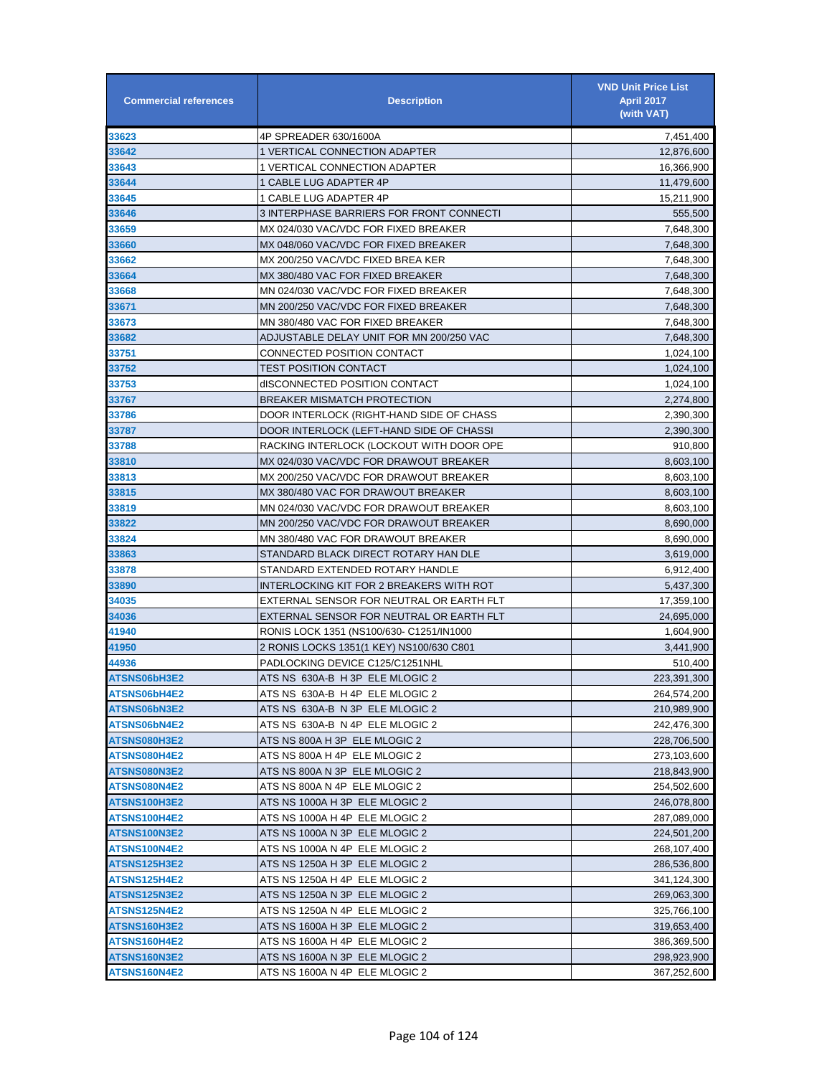| <b>Commercial references</b> | <b>Description</b>                                               | <b>VND Unit Price List</b><br><b>April 2017</b><br>(with VAT) |
|------------------------------|------------------------------------------------------------------|---------------------------------------------------------------|
| 33623                        | 4P SPREADER 630/1600A                                            | 7,451,400                                                     |
| 33642                        | 1 VERTICAL CONNECTION ADAPTER                                    | 12,876,600                                                    |
| 33643                        | 1 VERTICAL CONNECTION ADAPTER                                    | 16,366,900                                                    |
| 33644                        | 1 CABLE LUG ADAPTER 4P                                           | 11,479,600                                                    |
| 33645                        | 1 CABLE LUG ADAPTER 4P                                           | 15,211,900                                                    |
| 33646                        | 3 INTERPHASE BARRIERS FOR FRONT CONNECTI                         | 555,500                                                       |
| 33659                        | MX 024/030 VAC/VDC FOR FIXED BREAKER                             | 7,648,300                                                     |
| 33660                        | MX 048/060 VAC/VDC FOR FIXED BREAKER                             | 7,648,300                                                     |
| 33662                        | MX 200/250 VAC/VDC FIXED BREA KER                                | 7,648,300                                                     |
| 33664                        | MX 380/480 VAC FOR FIXED BREAKER                                 | 7,648,300                                                     |
| 33668                        | MN 024/030 VAC/VDC FOR FIXED BREAKER                             | 7,648,300                                                     |
| 33671                        | MN 200/250 VAC/VDC FOR FIXED BREAKER                             | 7,648,300                                                     |
| 33673                        | MN 380/480 VAC FOR FIXED BREAKER                                 | 7,648,300                                                     |
| 33682                        | ADJUSTABLE DELAY UNIT FOR MN 200/250 VAC                         | 7,648,300                                                     |
| 33751                        | CONNECTED POSITION CONTACT                                       | 1,024,100                                                     |
| 33752                        | TEST POSITION CONTACT                                            | 1,024,100                                                     |
| 33753                        | dISCONNECTED POSITION CONTACT                                    | 1,024,100                                                     |
| 33767                        | <b>BREAKER MISMATCH PROTECTION</b>                               | 2,274,800                                                     |
| 33786                        | DOOR INTERLOCK (RIGHT-HAND SIDE OF CHASS                         | 2,390,300                                                     |
| 33787                        | DOOR INTERLOCK (LEFT-HAND SIDE OF CHASSI                         | 2,390,300                                                     |
| 33788                        | RACKING INTERLOCK (LOCKOUT WITH DOOR OPE                         | 910,800                                                       |
| 33810                        | MX 024/030 VAC/VDC FOR DRAWOUT BREAKER                           | 8,603,100                                                     |
| 33813                        | MX 200/250 VAC/VDC FOR DRAWOUT BREAKER                           | 8,603,100                                                     |
| 33815                        | MX 380/480 VAC FOR DRAWOUT BREAKER                               | 8,603,100                                                     |
| 33819                        | MN 024/030 VAC/VDC FOR DRAWOUT BREAKER                           | 8,603,100                                                     |
| 33822                        | MN 200/250 VAC/VDC FOR DRAWOUT BREAKER                           | 8,690,000                                                     |
| 33824                        | MN 380/480 VAC FOR DRAWOUT BREAKER                               | 8,690,000                                                     |
| 33863                        | STANDARD BLACK DIRECT ROTARY HAN DLE                             | 3,619,000                                                     |
| 33878                        | STANDARD EXTENDED ROTARY HANDLE                                  | 6,912,400                                                     |
| 33890                        | INTERLOCKING KIT FOR 2 BREAKERS WITH ROT                         | 5,437,300                                                     |
| 34035                        | EXTERNAL SENSOR FOR NEUTRAL OR EARTH FLT                         | 17,359,100                                                    |
| 34036                        | EXTERNAL SENSOR FOR NEUTRAL OR EARTH FLT                         | 24,695,000                                                    |
| 41940                        | RONIS LOCK 1351 (NS100/630- C1251/IN1000                         | 1,604,900                                                     |
| 41950                        | 2 RONIS LOCKS 1351(1 KEY) NS100/630 C801                         | 3,441,900                                                     |
| 44936                        | PADLOCKING DEVICE C125/C1251NHL                                  | 510,400                                                       |
| ATSNS06bH3E2                 | ATS NS_630A-B_H 3P_ELE MLOGIC 2                                  | 223,391,300                                                   |
| ATSNS06bH4E2                 | ATS NS  630A-B  H 4P  ELE MLOGIC 2                               | 264,574,200                                                   |
| ATSNS06bN3E2                 | ATS NS_630A-B_N 3P_ELE MLOGIC 2                                  | 210,989,900                                                   |
| ATSNS06bN4E2                 | ATS NS_630A-B_N 4P_ELE MLOGIC 2                                  | 242,476,300                                                   |
| ATSNS080H3E2                 | ATS NS 800A H 3P ELE MLOGIC 2                                    | 228,706,500                                                   |
| ATSNS080H4E2                 | ATS NS 800A H 4P ELE MLOGIC 2                                    | 273,103,600                                                   |
| ATSNS080N3E2                 | ATS NS 800A N 3P ELE MLOGIC 2                                    | 218,843,900                                                   |
| ATSNS080N4E2                 | ATS NS 800A N 4P ELE MLOGIC 2                                    | 254,502,600                                                   |
| ATSNS100H3E2                 | ATS NS 1000A H 3P ELE MLOGIC 2                                   | 246,078,800                                                   |
| ATSNS100H4E2                 | ATS NS 1000A H 4P ELE MLOGIC 2                                   | 287,089,000                                                   |
| ATSNS100N3E2                 | ATS NS 1000A N 3P ELE MLOGIC 2                                   | 224,501,200                                                   |
| ATSNS100N4E2                 |                                                                  |                                                               |
|                              | ATS NS 1000A N 4P_ELE MLOGIC 2<br>ATS NS 1250A H 3P ELE MLOGIC 2 | 268,107,400                                                   |
| ATSNS125H3E2                 |                                                                  | 286,536,800                                                   |
| ATSNS125H4E2                 | ATS NS 1250A H 4P ELE MLOGIC 2                                   | 341,124,300                                                   |
| ATSNS125N3E2                 | ATS NS 1250A N 3P ELE MLOGIC 2                                   | 269,063,300                                                   |
| ATSNS125N4E2                 | ATS NS 1250A N 4P ELE MLOGIC 2                                   | 325,766,100                                                   |
| ATSNS160H3E2                 | ATS NS 1600A H 3P ELE MLOGIC 2                                   | 319,653,400                                                   |
| ATSNS160H4E2                 | ATS NS 1600A H 4P_ELE MLOGIC 2                                   | 386,369,500                                                   |
| ATSNS160N3E2                 | ATS NS 1600A N 3P_ELE MLOGIC 2                                   | 298,923,900                                                   |
| ATSNS160N4E2                 | ATS NS 1600A N 4P_ELE MLOGIC 2                                   | 367,252,600                                                   |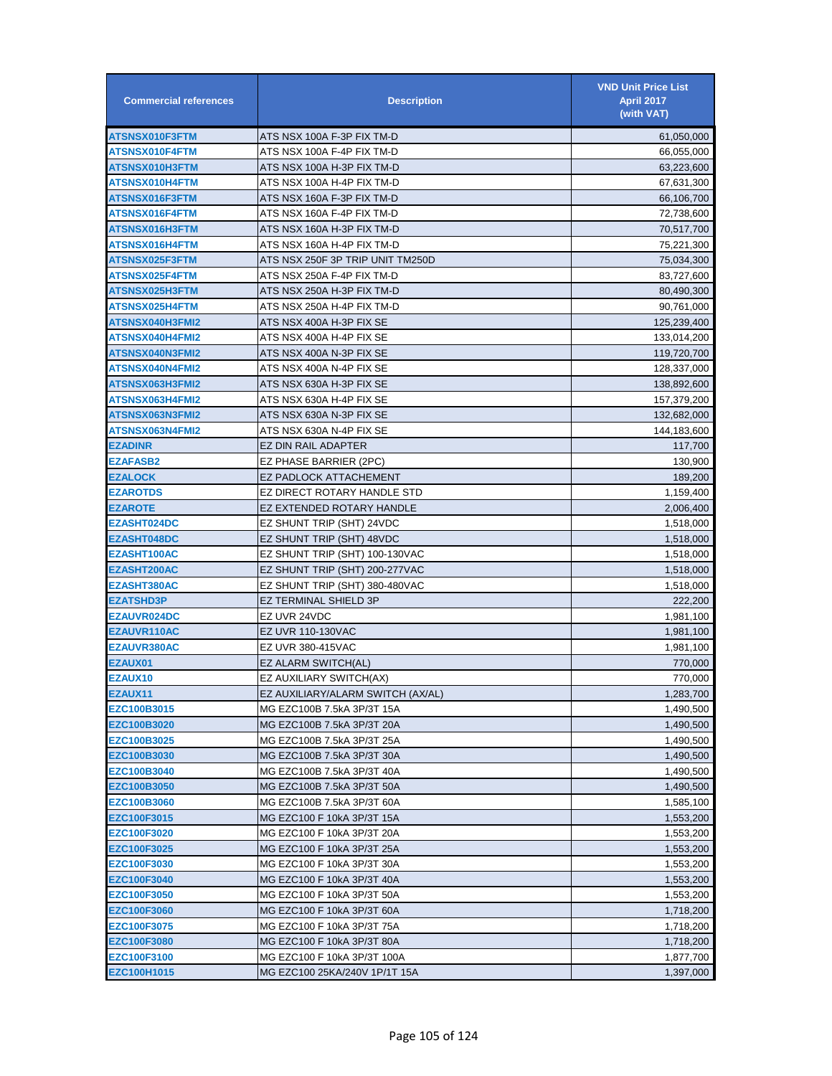| <b>Commercial references</b> | <b>Description</b>                | <b>VND Unit Price List</b><br><b>April 2017</b><br>(with VAT) |
|------------------------------|-----------------------------------|---------------------------------------------------------------|
| ATSNSX010F3FTM               | ATS NSX 100A F-3P FIX TM-D        | 61,050,000                                                    |
| ATSNSX010F4FTM               | ATS NSX 100A F-4P FIX TM-D        | 66,055,000                                                    |
| ATSNSX010H3FTM               | ATS NSX 100A H-3P FIX TM-D        | 63,223,600                                                    |
| ATSNSX010H4FTM               | ATS NSX 100A H-4P FIX TM-D        | 67,631,300                                                    |
| ATSNSX016F3FTM               | ATS NSX 160A F-3P FIX TM-D        | 66,106,700                                                    |
| ATSNSX016F4FTM               | ATS NSX 160A F-4P FIX TM-D        | 72,738,600                                                    |
| ATSNSX016H3FTM               | ATS NSX 160A H-3P FIX TM-D        | 70,517,700                                                    |
| ATSNSX016H4FTM               | ATS NSX 160A H-4P FIX TM-D        | 75,221,300                                                    |
| ATSNSX025F3FTM               | ATS NSX 250F 3P TRIP UNIT TM250D  | 75,034,300                                                    |
| ATSNSX025F4FTM               | ATS NSX 250A F-4P FIX TM-D        | 83,727,600                                                    |
| ATSNSX025H3FTM               | ATS NSX 250A H-3P FIX TM-D        | 80,490,300                                                    |
| ATSNSX025H4FTM               | ATS NSX 250A H-4P FIX TM-D        | 90,761,000                                                    |
| ATSNSX040H3FMI2              | ATS NSX 400A H-3P FIX SE          | 125,239,400                                                   |
| ATSNSX040H4FMI2              | ATS NSX 400A H-4P FIX SE          | 133,014,200                                                   |
| ATSNSX040N3FMI2              | ATS NSX 400A N-3P FIX SE          | 119,720,700                                                   |
| ATSNSX040N4FMI2              | ATS NSX 400A N-4P FIX SE          | 128,337,000                                                   |
| ATSNSX063H3FMI2              | ATS NSX 630A H-3P FIX SE          | 138,892,600                                                   |
| ATSNSX063H4FMI2              | ATS NSX 630A H-4P FIX SE          | 157,379,200                                                   |
| ATSNSX063N3FMI2              | ATS NSX 630A N-3P FIX SE          | 132,682,000                                                   |
| ATSNSX063N4FMI2              | ATS NSX 630A N-4P FIX SE          | 144,183,600                                                   |
| <b>EZADINR</b>               | EZ DIN RAIL ADAPTER               | 117.700                                                       |
| <b>EZAFASB2</b>              | EZ PHASE BARRIER (2PC)            | 130,900                                                       |
| <b>EZALOCK</b>               | EZ PADLOCK ATTACHEMENT            | 189,200                                                       |
| <b>EZAROTDS</b>              | EZ DIRECT ROTARY HANDLE STD       | 1,159,400                                                     |
| <b>EZAROTE</b>               | EZ EXTENDED ROTARY HANDLE         | 2,006,400                                                     |
| <b>EZASHT024DC</b>           | EZ SHUNT TRIP (SHT) 24VDC         | 1,518,000                                                     |
| <b>EZASHT048DC</b>           | EZ SHUNT TRIP (SHT) 48VDC         | 1,518,000                                                     |
| <b>EZASHT100AC</b>           | EZ SHUNT TRIP (SHT) 100-130VAC    | 1,518,000                                                     |
| EZASHT200AC                  | EZ SHUNT TRIP (SHT) 200-277VAC    | 1,518,000                                                     |
| EZASHT380AC                  | EZ SHUNT TRIP (SHT) 380-480VAC    | 1,518,000                                                     |
| <b>EZATSHD3P</b>             | EZ TERMINAL SHIELD 3P             | 222,200                                                       |
| <b>EZAUVR024DC</b>           | EZ UVR 24VDC                      | 1,981,100                                                     |
| EZAUVR110AC                  | EZ UVR 110-130VAC                 | 1,981,100                                                     |
| <b>EZAUVR380AC</b>           | EZ UVR 380-415VAC                 | 1,981,100                                                     |
| EZAUX01                      | EZ ALARM SWITCH(AL)               | 770,000                                                       |
| EZAUX10                      | EZ AUXILIARY SWITCH(AX)           | 770,000                                                       |
| EZAUX11                      | EZ AUXILIARY/ALARM SWITCH (AX/AL) | 1,283,700                                                     |
| EZC100B3015                  | MG EZC100B 7.5kA 3P/3T 15A        | 1,490,500                                                     |
| EZC100B3020                  | MG EZC100B 7.5kA 3P/3T 20A        | 1,490,500                                                     |
| EZC100B3025                  | MG EZC100B 7.5kA 3P/3T 25A        | 1,490,500                                                     |
| EZC100B3030                  | MG EZC100B 7.5kA 3P/3T 30A        | 1,490,500                                                     |
| EZC100B3040                  | MG EZC100B 7.5kA 3P/3T 40A        | 1,490,500                                                     |
| EZC100B3050                  | MG EZC100B 7.5kA 3P/3T 50A        | 1,490,500                                                     |
| EZC100B3060                  | MG EZC100B 7.5kA 3P/3T 60A        | 1,585,100                                                     |
| EZC100F3015                  | MG EZC100 F 10kA 3P/3T 15A        | 1,553,200                                                     |
| EZC100F3020                  | MG EZC100 F 10kA 3P/3T 20A        | 1,553,200                                                     |
| EZC100F3025                  | MG EZC100 F 10kA 3P/3T 25A        | 1,553,200                                                     |
| EZC100F3030                  | MG EZC100 F 10kA 3P/3T 30A        | 1,553,200                                                     |
| EZC100F3040                  | MG EZC100 F 10kA 3P/3T 40A        | 1,553,200                                                     |
| EZC100F3050                  | MG EZC100 F 10kA 3P/3T 50A        | 1,553,200                                                     |
| EZC100F3060                  | MG EZC100 F 10kA 3P/3T 60A        | 1,718,200                                                     |
| EZC100F3075                  | MG EZC100 F 10kA 3P/3T 75A        | 1,718,200                                                     |
| EZC100F3080                  | MG EZC100 F 10kA 3P/3T 80A        | 1,718,200                                                     |
| EZC100F3100                  | MG EZC100 F 10kA 3P/3T 100A       | 1,877,700                                                     |
| EZC100H1015                  | MG EZC100 25KA/240V 1P/1T 15A     | 1,397,000                                                     |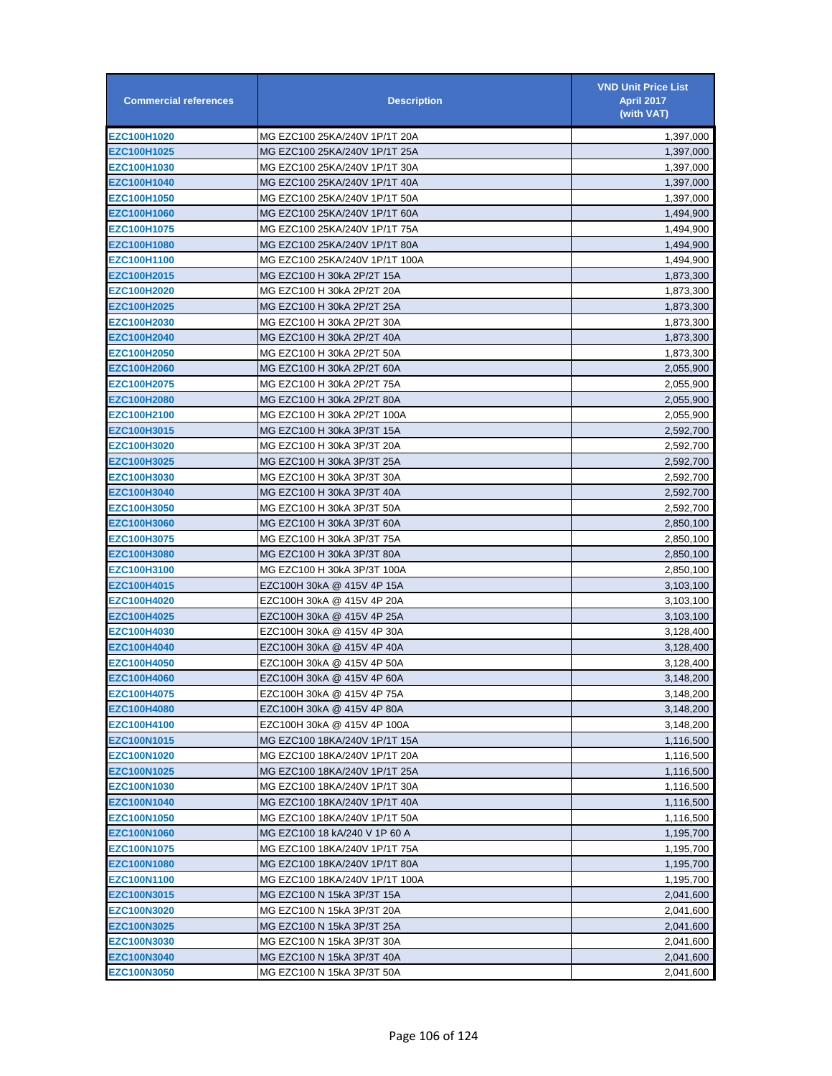| EZC100H1020<br>MG EZC100 25KA/240V 1P/1T 20A<br>1,397,000<br>EZC100H1025<br>MG EZC100 25KA/240V 1P/1T 25A<br>1,397,000<br>MG EZC100 25KA/240V 1P/1T 30A<br>EZC100H1030<br>1,397,000<br>EZC100H1040<br>MG EZC100 25KA/240V 1P/1T 40A<br>1,397,000<br>EZC100H1050<br>MG EZC100 25KA/240V 1P/1T 50A<br>1,397,000<br>MG EZC100 25KA/240V 1P/1T 60A<br><b>EZC100H1060</b><br>1,494,900<br>EZC100H1075<br>MG EZC100 25KA/240V 1P/1T 75A<br>1,494,900<br>MG EZC100 25KA/240V 1P/1T 80A<br><b>EZC100H1080</b><br>1,494,900<br>EZC100H1100<br>MG EZC100 25KA/240V 1P/1T 100A<br>1,494,900<br>EZC100H2015<br>MG EZC100 H 30kA 2P/2T 15A<br>1,873,300<br><b>EZC100H2020</b><br>MG EZC100 H 30kA 2P/2T 20A<br>1,873,300<br>EZC100H2025<br>MG EZC100 H 30kA 2P/2T 25A<br>1,873,300<br>EZC100H2030<br>MG EZC100 H 30kA 2P/2T 30A<br>1,873,300<br>EZC100H2040<br>MG EZC100 H 30kA 2P/2T 40A<br>1,873,300<br>EZC100H2050<br>MG EZC100 H 30kA 2P/2T 50A<br>1,873,300<br>EZC100H2060<br>MG EZC100 H 30kA 2P/2T 60A<br>2,055,900<br>EZC100H2075<br>MG EZC100 H 30kA 2P/2T 75A<br>2,055,900<br>MG EZC100 H 30kA 2P/2T 80A<br><b>EZC100H2080</b><br>2,055,900<br><b>EZC100H2100</b><br>MG EZC100 H 30kA 2P/2T 100A<br>2,055,900<br>EZC100H3015<br>MG EZC100 H 30kA 3P/3T 15A<br>2,592,700<br><b>EZC100H3020</b><br>MG EZC100 H 30kA 3P/3T 20A<br>2,592,700<br>EZC100H3025<br>MG EZC100 H 30kA 3P/3T 25A<br>2,592,700<br>EZC100H3030<br>MG EZC100 H 30kA 3P/3T 30A<br>2,592,700<br>EZC100H3040<br>MG EZC100 H 30kA 3P/3T 40A<br>2,592,700<br>EZC100H3050<br>MG EZC100 H 30kA 3P/3T 50A<br>2,592,700<br>MG EZC100 H 30kA 3P/3T 60A<br><b>EZC100H3060</b><br>2,850,100<br>EZC100H3075<br>MG EZC100 H 30kA 3P/3T 75A<br>2,850,100<br>MG EZC100 H 30kA 3P/3T 80A<br><b>EZC100H3080</b><br>2,850,100<br>EZC100H3100<br>MG EZC100 H 30kA 3P/3T 100A<br>2,850,100<br>EZC100H4015<br>EZC100H 30kA @ 415V 4P 15A<br>3,103,100<br><b>EZC100H4020</b><br>EZC100H 30kA @ 415V 4P 20A<br>3,103,100<br>EZC100H 30kA @ 415V 4P 25A<br>EZC100H4025<br>3,103,100<br>EZC100H4030<br>EZC100H 30kA @ 415V 4P 30A<br>3,128,400<br>EZC100H4040<br>EZC100H 30kA @ 415V 4P 40A<br>3,128,400<br>EZC100H4050<br>EZC100H 30kA @ 415V 4P 50A<br>3,128,400<br>EZC100H4060<br>EZC100H 30kA @ 415V 4P 60A<br>3,148,200<br>EZC100H4075<br>EZC100H 30kA @ 415V 4P 75A<br>3,148,200<br>EZC100H4080<br>EZC100H 30kA @ 415V 4P 80A<br>3,148,200<br>EZC100H4100<br>EZC100H 30kA @ 415V 4P 100A<br>3,148,200<br>EZC100N1015<br>MG EZC100 18KA/240V 1P/1T 15A<br>1,116,500<br>EZC100N1020<br>MG EZC100 18KA/240V 1P/1T 20A<br>1,116,500<br>EZC100N1025<br>MG EZC100 18KA/240V 1P/1T 25A<br>1,116,500<br><b>EZC100N1030</b><br>MG EZC100 18KA/240V 1P/1T 30A<br>1,116,500<br>EZC100N1040<br>MG EZC100 18KA/240V 1P/1T 40A<br>1,116,500<br><b>EZC100N1050</b><br>MG EZC100 18KA/240V 1P/1T 50A<br>1,116,500<br><b>EZC100N1060</b><br>MG EZC100 18 kA/240 V 1P 60 A<br>1,195,700<br><b>EZC100N1075</b><br>MG EZC100 18KA/240V 1P/1T 75A<br>1,195,700<br><b>EZC100N1080</b><br>MG EZC100 18KA/240V 1P/1T 80A<br>1,195,700<br>EZC100N1100<br>MG EZC100 18KA/240V 1P/1T 100A<br>1,195,700<br>EZC100N3015<br>MG EZC100 N 15kA 3P/3T 15A<br>2,041,600<br><b>EZC100N3020</b><br>MG EZC100 N 15kA 3P/3T 20A<br>2,041,600<br>EZC100N3025<br>MG EZC100 N 15kA 3P/3T 25A<br>2,041,600<br><b>EZC100N3030</b><br>MG EZC100 N 15kA 3P/3T 30A<br>2,041,600<br><b>EZC100N3040</b><br>MG EZC100 N 15kA 3P/3T 40A<br>2,041,600<br><b>EZC100N3050</b><br>MG EZC100 N 15kA 3P/3T 50A<br>2,041,600 | <b>Commercial references</b> | <b>Description</b> | <b>VND Unit Price List</b><br><b>April 2017</b><br>(with VAT) |
|----------------------------------------------------------------------------------------------------------------------------------------------------------------------------------------------------------------------------------------------------------------------------------------------------------------------------------------------------------------------------------------------------------------------------------------------------------------------------------------------------------------------------------------------------------------------------------------------------------------------------------------------------------------------------------------------------------------------------------------------------------------------------------------------------------------------------------------------------------------------------------------------------------------------------------------------------------------------------------------------------------------------------------------------------------------------------------------------------------------------------------------------------------------------------------------------------------------------------------------------------------------------------------------------------------------------------------------------------------------------------------------------------------------------------------------------------------------------------------------------------------------------------------------------------------------------------------------------------------------------------------------------------------------------------------------------------------------------------------------------------------------------------------------------------------------------------------------------------------------------------------------------------------------------------------------------------------------------------------------------------------------------------------------------------------------------------------------------------------------------------------------------------------------------------------------------------------------------------------------------------------------------------------------------------------------------------------------------------------------------------------------------------------------------------------------------------------------------------------------------------------------------------------------------------------------------------------------------------------------------------------------------------------------------------------------------------------------------------------------------------------------------------------------------------------------------------------------------------------------------------------------------------------------------------------------------------------------------------------------------------------------------------------------------------------------------------------------------------------------------------------------------------------------------------------------------------------------------------------------------------------------------------------------------------------------------------------------------------------------------------------------------------------------------------------------------------------------------------------------------------------------|------------------------------|--------------------|---------------------------------------------------------------|
|                                                                                                                                                                                                                                                                                                                                                                                                                                                                                                                                                                                                                                                                                                                                                                                                                                                                                                                                                                                                                                                                                                                                                                                                                                                                                                                                                                                                                                                                                                                                                                                                                                                                                                                                                                                                                                                                                                                                                                                                                                                                                                                                                                                                                                                                                                                                                                                                                                                                                                                                                                                                                                                                                                                                                                                                                                                                                                                                                                                                                                                                                                                                                                                                                                                                                                                                                                                                                                                                                                                |                              |                    |                                                               |
|                                                                                                                                                                                                                                                                                                                                                                                                                                                                                                                                                                                                                                                                                                                                                                                                                                                                                                                                                                                                                                                                                                                                                                                                                                                                                                                                                                                                                                                                                                                                                                                                                                                                                                                                                                                                                                                                                                                                                                                                                                                                                                                                                                                                                                                                                                                                                                                                                                                                                                                                                                                                                                                                                                                                                                                                                                                                                                                                                                                                                                                                                                                                                                                                                                                                                                                                                                                                                                                                                                                |                              |                    |                                                               |
|                                                                                                                                                                                                                                                                                                                                                                                                                                                                                                                                                                                                                                                                                                                                                                                                                                                                                                                                                                                                                                                                                                                                                                                                                                                                                                                                                                                                                                                                                                                                                                                                                                                                                                                                                                                                                                                                                                                                                                                                                                                                                                                                                                                                                                                                                                                                                                                                                                                                                                                                                                                                                                                                                                                                                                                                                                                                                                                                                                                                                                                                                                                                                                                                                                                                                                                                                                                                                                                                                                                |                              |                    |                                                               |
|                                                                                                                                                                                                                                                                                                                                                                                                                                                                                                                                                                                                                                                                                                                                                                                                                                                                                                                                                                                                                                                                                                                                                                                                                                                                                                                                                                                                                                                                                                                                                                                                                                                                                                                                                                                                                                                                                                                                                                                                                                                                                                                                                                                                                                                                                                                                                                                                                                                                                                                                                                                                                                                                                                                                                                                                                                                                                                                                                                                                                                                                                                                                                                                                                                                                                                                                                                                                                                                                                                                |                              |                    |                                                               |
|                                                                                                                                                                                                                                                                                                                                                                                                                                                                                                                                                                                                                                                                                                                                                                                                                                                                                                                                                                                                                                                                                                                                                                                                                                                                                                                                                                                                                                                                                                                                                                                                                                                                                                                                                                                                                                                                                                                                                                                                                                                                                                                                                                                                                                                                                                                                                                                                                                                                                                                                                                                                                                                                                                                                                                                                                                                                                                                                                                                                                                                                                                                                                                                                                                                                                                                                                                                                                                                                                                                |                              |                    |                                                               |
|                                                                                                                                                                                                                                                                                                                                                                                                                                                                                                                                                                                                                                                                                                                                                                                                                                                                                                                                                                                                                                                                                                                                                                                                                                                                                                                                                                                                                                                                                                                                                                                                                                                                                                                                                                                                                                                                                                                                                                                                                                                                                                                                                                                                                                                                                                                                                                                                                                                                                                                                                                                                                                                                                                                                                                                                                                                                                                                                                                                                                                                                                                                                                                                                                                                                                                                                                                                                                                                                                                                |                              |                    |                                                               |
|                                                                                                                                                                                                                                                                                                                                                                                                                                                                                                                                                                                                                                                                                                                                                                                                                                                                                                                                                                                                                                                                                                                                                                                                                                                                                                                                                                                                                                                                                                                                                                                                                                                                                                                                                                                                                                                                                                                                                                                                                                                                                                                                                                                                                                                                                                                                                                                                                                                                                                                                                                                                                                                                                                                                                                                                                                                                                                                                                                                                                                                                                                                                                                                                                                                                                                                                                                                                                                                                                                                |                              |                    |                                                               |
|                                                                                                                                                                                                                                                                                                                                                                                                                                                                                                                                                                                                                                                                                                                                                                                                                                                                                                                                                                                                                                                                                                                                                                                                                                                                                                                                                                                                                                                                                                                                                                                                                                                                                                                                                                                                                                                                                                                                                                                                                                                                                                                                                                                                                                                                                                                                                                                                                                                                                                                                                                                                                                                                                                                                                                                                                                                                                                                                                                                                                                                                                                                                                                                                                                                                                                                                                                                                                                                                                                                |                              |                    |                                                               |
|                                                                                                                                                                                                                                                                                                                                                                                                                                                                                                                                                                                                                                                                                                                                                                                                                                                                                                                                                                                                                                                                                                                                                                                                                                                                                                                                                                                                                                                                                                                                                                                                                                                                                                                                                                                                                                                                                                                                                                                                                                                                                                                                                                                                                                                                                                                                                                                                                                                                                                                                                                                                                                                                                                                                                                                                                                                                                                                                                                                                                                                                                                                                                                                                                                                                                                                                                                                                                                                                                                                |                              |                    |                                                               |
|                                                                                                                                                                                                                                                                                                                                                                                                                                                                                                                                                                                                                                                                                                                                                                                                                                                                                                                                                                                                                                                                                                                                                                                                                                                                                                                                                                                                                                                                                                                                                                                                                                                                                                                                                                                                                                                                                                                                                                                                                                                                                                                                                                                                                                                                                                                                                                                                                                                                                                                                                                                                                                                                                                                                                                                                                                                                                                                                                                                                                                                                                                                                                                                                                                                                                                                                                                                                                                                                                                                |                              |                    |                                                               |
|                                                                                                                                                                                                                                                                                                                                                                                                                                                                                                                                                                                                                                                                                                                                                                                                                                                                                                                                                                                                                                                                                                                                                                                                                                                                                                                                                                                                                                                                                                                                                                                                                                                                                                                                                                                                                                                                                                                                                                                                                                                                                                                                                                                                                                                                                                                                                                                                                                                                                                                                                                                                                                                                                                                                                                                                                                                                                                                                                                                                                                                                                                                                                                                                                                                                                                                                                                                                                                                                                                                |                              |                    |                                                               |
|                                                                                                                                                                                                                                                                                                                                                                                                                                                                                                                                                                                                                                                                                                                                                                                                                                                                                                                                                                                                                                                                                                                                                                                                                                                                                                                                                                                                                                                                                                                                                                                                                                                                                                                                                                                                                                                                                                                                                                                                                                                                                                                                                                                                                                                                                                                                                                                                                                                                                                                                                                                                                                                                                                                                                                                                                                                                                                                                                                                                                                                                                                                                                                                                                                                                                                                                                                                                                                                                                                                |                              |                    |                                                               |
|                                                                                                                                                                                                                                                                                                                                                                                                                                                                                                                                                                                                                                                                                                                                                                                                                                                                                                                                                                                                                                                                                                                                                                                                                                                                                                                                                                                                                                                                                                                                                                                                                                                                                                                                                                                                                                                                                                                                                                                                                                                                                                                                                                                                                                                                                                                                                                                                                                                                                                                                                                                                                                                                                                                                                                                                                                                                                                                                                                                                                                                                                                                                                                                                                                                                                                                                                                                                                                                                                                                |                              |                    |                                                               |
|                                                                                                                                                                                                                                                                                                                                                                                                                                                                                                                                                                                                                                                                                                                                                                                                                                                                                                                                                                                                                                                                                                                                                                                                                                                                                                                                                                                                                                                                                                                                                                                                                                                                                                                                                                                                                                                                                                                                                                                                                                                                                                                                                                                                                                                                                                                                                                                                                                                                                                                                                                                                                                                                                                                                                                                                                                                                                                                                                                                                                                                                                                                                                                                                                                                                                                                                                                                                                                                                                                                |                              |                    |                                                               |
|                                                                                                                                                                                                                                                                                                                                                                                                                                                                                                                                                                                                                                                                                                                                                                                                                                                                                                                                                                                                                                                                                                                                                                                                                                                                                                                                                                                                                                                                                                                                                                                                                                                                                                                                                                                                                                                                                                                                                                                                                                                                                                                                                                                                                                                                                                                                                                                                                                                                                                                                                                                                                                                                                                                                                                                                                                                                                                                                                                                                                                                                                                                                                                                                                                                                                                                                                                                                                                                                                                                |                              |                    |                                                               |
|                                                                                                                                                                                                                                                                                                                                                                                                                                                                                                                                                                                                                                                                                                                                                                                                                                                                                                                                                                                                                                                                                                                                                                                                                                                                                                                                                                                                                                                                                                                                                                                                                                                                                                                                                                                                                                                                                                                                                                                                                                                                                                                                                                                                                                                                                                                                                                                                                                                                                                                                                                                                                                                                                                                                                                                                                                                                                                                                                                                                                                                                                                                                                                                                                                                                                                                                                                                                                                                                                                                |                              |                    |                                                               |
|                                                                                                                                                                                                                                                                                                                                                                                                                                                                                                                                                                                                                                                                                                                                                                                                                                                                                                                                                                                                                                                                                                                                                                                                                                                                                                                                                                                                                                                                                                                                                                                                                                                                                                                                                                                                                                                                                                                                                                                                                                                                                                                                                                                                                                                                                                                                                                                                                                                                                                                                                                                                                                                                                                                                                                                                                                                                                                                                                                                                                                                                                                                                                                                                                                                                                                                                                                                                                                                                                                                |                              |                    |                                                               |
|                                                                                                                                                                                                                                                                                                                                                                                                                                                                                                                                                                                                                                                                                                                                                                                                                                                                                                                                                                                                                                                                                                                                                                                                                                                                                                                                                                                                                                                                                                                                                                                                                                                                                                                                                                                                                                                                                                                                                                                                                                                                                                                                                                                                                                                                                                                                                                                                                                                                                                                                                                                                                                                                                                                                                                                                                                                                                                                                                                                                                                                                                                                                                                                                                                                                                                                                                                                                                                                                                                                |                              |                    |                                                               |
|                                                                                                                                                                                                                                                                                                                                                                                                                                                                                                                                                                                                                                                                                                                                                                                                                                                                                                                                                                                                                                                                                                                                                                                                                                                                                                                                                                                                                                                                                                                                                                                                                                                                                                                                                                                                                                                                                                                                                                                                                                                                                                                                                                                                                                                                                                                                                                                                                                                                                                                                                                                                                                                                                                                                                                                                                                                                                                                                                                                                                                                                                                                                                                                                                                                                                                                                                                                                                                                                                                                |                              |                    |                                                               |
|                                                                                                                                                                                                                                                                                                                                                                                                                                                                                                                                                                                                                                                                                                                                                                                                                                                                                                                                                                                                                                                                                                                                                                                                                                                                                                                                                                                                                                                                                                                                                                                                                                                                                                                                                                                                                                                                                                                                                                                                                                                                                                                                                                                                                                                                                                                                                                                                                                                                                                                                                                                                                                                                                                                                                                                                                                                                                                                                                                                                                                                                                                                                                                                                                                                                                                                                                                                                                                                                                                                |                              |                    |                                                               |
|                                                                                                                                                                                                                                                                                                                                                                                                                                                                                                                                                                                                                                                                                                                                                                                                                                                                                                                                                                                                                                                                                                                                                                                                                                                                                                                                                                                                                                                                                                                                                                                                                                                                                                                                                                                                                                                                                                                                                                                                                                                                                                                                                                                                                                                                                                                                                                                                                                                                                                                                                                                                                                                                                                                                                                                                                                                                                                                                                                                                                                                                                                                                                                                                                                                                                                                                                                                                                                                                                                                |                              |                    |                                                               |
|                                                                                                                                                                                                                                                                                                                                                                                                                                                                                                                                                                                                                                                                                                                                                                                                                                                                                                                                                                                                                                                                                                                                                                                                                                                                                                                                                                                                                                                                                                                                                                                                                                                                                                                                                                                                                                                                                                                                                                                                                                                                                                                                                                                                                                                                                                                                                                                                                                                                                                                                                                                                                                                                                                                                                                                                                                                                                                                                                                                                                                                                                                                                                                                                                                                                                                                                                                                                                                                                                                                |                              |                    |                                                               |
|                                                                                                                                                                                                                                                                                                                                                                                                                                                                                                                                                                                                                                                                                                                                                                                                                                                                                                                                                                                                                                                                                                                                                                                                                                                                                                                                                                                                                                                                                                                                                                                                                                                                                                                                                                                                                                                                                                                                                                                                                                                                                                                                                                                                                                                                                                                                                                                                                                                                                                                                                                                                                                                                                                                                                                                                                                                                                                                                                                                                                                                                                                                                                                                                                                                                                                                                                                                                                                                                                                                |                              |                    |                                                               |
|                                                                                                                                                                                                                                                                                                                                                                                                                                                                                                                                                                                                                                                                                                                                                                                                                                                                                                                                                                                                                                                                                                                                                                                                                                                                                                                                                                                                                                                                                                                                                                                                                                                                                                                                                                                                                                                                                                                                                                                                                                                                                                                                                                                                                                                                                                                                                                                                                                                                                                                                                                                                                                                                                                                                                                                                                                                                                                                                                                                                                                                                                                                                                                                                                                                                                                                                                                                                                                                                                                                |                              |                    |                                                               |
|                                                                                                                                                                                                                                                                                                                                                                                                                                                                                                                                                                                                                                                                                                                                                                                                                                                                                                                                                                                                                                                                                                                                                                                                                                                                                                                                                                                                                                                                                                                                                                                                                                                                                                                                                                                                                                                                                                                                                                                                                                                                                                                                                                                                                                                                                                                                                                                                                                                                                                                                                                                                                                                                                                                                                                                                                                                                                                                                                                                                                                                                                                                                                                                                                                                                                                                                                                                                                                                                                                                |                              |                    |                                                               |
|                                                                                                                                                                                                                                                                                                                                                                                                                                                                                                                                                                                                                                                                                                                                                                                                                                                                                                                                                                                                                                                                                                                                                                                                                                                                                                                                                                                                                                                                                                                                                                                                                                                                                                                                                                                                                                                                                                                                                                                                                                                                                                                                                                                                                                                                                                                                                                                                                                                                                                                                                                                                                                                                                                                                                                                                                                                                                                                                                                                                                                                                                                                                                                                                                                                                                                                                                                                                                                                                                                                |                              |                    |                                                               |
|                                                                                                                                                                                                                                                                                                                                                                                                                                                                                                                                                                                                                                                                                                                                                                                                                                                                                                                                                                                                                                                                                                                                                                                                                                                                                                                                                                                                                                                                                                                                                                                                                                                                                                                                                                                                                                                                                                                                                                                                                                                                                                                                                                                                                                                                                                                                                                                                                                                                                                                                                                                                                                                                                                                                                                                                                                                                                                                                                                                                                                                                                                                                                                                                                                                                                                                                                                                                                                                                                                                |                              |                    |                                                               |
|                                                                                                                                                                                                                                                                                                                                                                                                                                                                                                                                                                                                                                                                                                                                                                                                                                                                                                                                                                                                                                                                                                                                                                                                                                                                                                                                                                                                                                                                                                                                                                                                                                                                                                                                                                                                                                                                                                                                                                                                                                                                                                                                                                                                                                                                                                                                                                                                                                                                                                                                                                                                                                                                                                                                                                                                                                                                                                                                                                                                                                                                                                                                                                                                                                                                                                                                                                                                                                                                                                                |                              |                    |                                                               |
|                                                                                                                                                                                                                                                                                                                                                                                                                                                                                                                                                                                                                                                                                                                                                                                                                                                                                                                                                                                                                                                                                                                                                                                                                                                                                                                                                                                                                                                                                                                                                                                                                                                                                                                                                                                                                                                                                                                                                                                                                                                                                                                                                                                                                                                                                                                                                                                                                                                                                                                                                                                                                                                                                                                                                                                                                                                                                                                                                                                                                                                                                                                                                                                                                                                                                                                                                                                                                                                                                                                |                              |                    |                                                               |
|                                                                                                                                                                                                                                                                                                                                                                                                                                                                                                                                                                                                                                                                                                                                                                                                                                                                                                                                                                                                                                                                                                                                                                                                                                                                                                                                                                                                                                                                                                                                                                                                                                                                                                                                                                                                                                                                                                                                                                                                                                                                                                                                                                                                                                                                                                                                                                                                                                                                                                                                                                                                                                                                                                                                                                                                                                                                                                                                                                                                                                                                                                                                                                                                                                                                                                                                                                                                                                                                                                                |                              |                    |                                                               |
|                                                                                                                                                                                                                                                                                                                                                                                                                                                                                                                                                                                                                                                                                                                                                                                                                                                                                                                                                                                                                                                                                                                                                                                                                                                                                                                                                                                                                                                                                                                                                                                                                                                                                                                                                                                                                                                                                                                                                                                                                                                                                                                                                                                                                                                                                                                                                                                                                                                                                                                                                                                                                                                                                                                                                                                                                                                                                                                                                                                                                                                                                                                                                                                                                                                                                                                                                                                                                                                                                                                |                              |                    |                                                               |
|                                                                                                                                                                                                                                                                                                                                                                                                                                                                                                                                                                                                                                                                                                                                                                                                                                                                                                                                                                                                                                                                                                                                                                                                                                                                                                                                                                                                                                                                                                                                                                                                                                                                                                                                                                                                                                                                                                                                                                                                                                                                                                                                                                                                                                                                                                                                                                                                                                                                                                                                                                                                                                                                                                                                                                                                                                                                                                                                                                                                                                                                                                                                                                                                                                                                                                                                                                                                                                                                                                                |                              |                    |                                                               |
|                                                                                                                                                                                                                                                                                                                                                                                                                                                                                                                                                                                                                                                                                                                                                                                                                                                                                                                                                                                                                                                                                                                                                                                                                                                                                                                                                                                                                                                                                                                                                                                                                                                                                                                                                                                                                                                                                                                                                                                                                                                                                                                                                                                                                                                                                                                                                                                                                                                                                                                                                                                                                                                                                                                                                                                                                                                                                                                                                                                                                                                                                                                                                                                                                                                                                                                                                                                                                                                                                                                |                              |                    |                                                               |
|                                                                                                                                                                                                                                                                                                                                                                                                                                                                                                                                                                                                                                                                                                                                                                                                                                                                                                                                                                                                                                                                                                                                                                                                                                                                                                                                                                                                                                                                                                                                                                                                                                                                                                                                                                                                                                                                                                                                                                                                                                                                                                                                                                                                                                                                                                                                                                                                                                                                                                                                                                                                                                                                                                                                                                                                                                                                                                                                                                                                                                                                                                                                                                                                                                                                                                                                                                                                                                                                                                                |                              |                    |                                                               |
|                                                                                                                                                                                                                                                                                                                                                                                                                                                                                                                                                                                                                                                                                                                                                                                                                                                                                                                                                                                                                                                                                                                                                                                                                                                                                                                                                                                                                                                                                                                                                                                                                                                                                                                                                                                                                                                                                                                                                                                                                                                                                                                                                                                                                                                                                                                                                                                                                                                                                                                                                                                                                                                                                                                                                                                                                                                                                                                                                                                                                                                                                                                                                                                                                                                                                                                                                                                                                                                                                                                |                              |                    |                                                               |
|                                                                                                                                                                                                                                                                                                                                                                                                                                                                                                                                                                                                                                                                                                                                                                                                                                                                                                                                                                                                                                                                                                                                                                                                                                                                                                                                                                                                                                                                                                                                                                                                                                                                                                                                                                                                                                                                                                                                                                                                                                                                                                                                                                                                                                                                                                                                                                                                                                                                                                                                                                                                                                                                                                                                                                                                                                                                                                                                                                                                                                                                                                                                                                                                                                                                                                                                                                                                                                                                                                                |                              |                    |                                                               |
|                                                                                                                                                                                                                                                                                                                                                                                                                                                                                                                                                                                                                                                                                                                                                                                                                                                                                                                                                                                                                                                                                                                                                                                                                                                                                                                                                                                                                                                                                                                                                                                                                                                                                                                                                                                                                                                                                                                                                                                                                                                                                                                                                                                                                                                                                                                                                                                                                                                                                                                                                                                                                                                                                                                                                                                                                                                                                                                                                                                                                                                                                                                                                                                                                                                                                                                                                                                                                                                                                                                |                              |                    |                                                               |
|                                                                                                                                                                                                                                                                                                                                                                                                                                                                                                                                                                                                                                                                                                                                                                                                                                                                                                                                                                                                                                                                                                                                                                                                                                                                                                                                                                                                                                                                                                                                                                                                                                                                                                                                                                                                                                                                                                                                                                                                                                                                                                                                                                                                                                                                                                                                                                                                                                                                                                                                                                                                                                                                                                                                                                                                                                                                                                                                                                                                                                                                                                                                                                                                                                                                                                                                                                                                                                                                                                                |                              |                    |                                                               |
|                                                                                                                                                                                                                                                                                                                                                                                                                                                                                                                                                                                                                                                                                                                                                                                                                                                                                                                                                                                                                                                                                                                                                                                                                                                                                                                                                                                                                                                                                                                                                                                                                                                                                                                                                                                                                                                                                                                                                                                                                                                                                                                                                                                                                                                                                                                                                                                                                                                                                                                                                                                                                                                                                                                                                                                                                                                                                                                                                                                                                                                                                                                                                                                                                                                                                                                                                                                                                                                                                                                |                              |                    |                                                               |
|                                                                                                                                                                                                                                                                                                                                                                                                                                                                                                                                                                                                                                                                                                                                                                                                                                                                                                                                                                                                                                                                                                                                                                                                                                                                                                                                                                                                                                                                                                                                                                                                                                                                                                                                                                                                                                                                                                                                                                                                                                                                                                                                                                                                                                                                                                                                                                                                                                                                                                                                                                                                                                                                                                                                                                                                                                                                                                                                                                                                                                                                                                                                                                                                                                                                                                                                                                                                                                                                                                                |                              |                    |                                                               |
|                                                                                                                                                                                                                                                                                                                                                                                                                                                                                                                                                                                                                                                                                                                                                                                                                                                                                                                                                                                                                                                                                                                                                                                                                                                                                                                                                                                                                                                                                                                                                                                                                                                                                                                                                                                                                                                                                                                                                                                                                                                                                                                                                                                                                                                                                                                                                                                                                                                                                                                                                                                                                                                                                                                                                                                                                                                                                                                                                                                                                                                                                                                                                                                                                                                                                                                                                                                                                                                                                                                |                              |                    |                                                               |
|                                                                                                                                                                                                                                                                                                                                                                                                                                                                                                                                                                                                                                                                                                                                                                                                                                                                                                                                                                                                                                                                                                                                                                                                                                                                                                                                                                                                                                                                                                                                                                                                                                                                                                                                                                                                                                                                                                                                                                                                                                                                                                                                                                                                                                                                                                                                                                                                                                                                                                                                                                                                                                                                                                                                                                                                                                                                                                                                                                                                                                                                                                                                                                                                                                                                                                                                                                                                                                                                                                                |                              |                    |                                                               |
|                                                                                                                                                                                                                                                                                                                                                                                                                                                                                                                                                                                                                                                                                                                                                                                                                                                                                                                                                                                                                                                                                                                                                                                                                                                                                                                                                                                                                                                                                                                                                                                                                                                                                                                                                                                                                                                                                                                                                                                                                                                                                                                                                                                                                                                                                                                                                                                                                                                                                                                                                                                                                                                                                                                                                                                                                                                                                                                                                                                                                                                                                                                                                                                                                                                                                                                                                                                                                                                                                                                |                              |                    |                                                               |
|                                                                                                                                                                                                                                                                                                                                                                                                                                                                                                                                                                                                                                                                                                                                                                                                                                                                                                                                                                                                                                                                                                                                                                                                                                                                                                                                                                                                                                                                                                                                                                                                                                                                                                                                                                                                                                                                                                                                                                                                                                                                                                                                                                                                                                                                                                                                                                                                                                                                                                                                                                                                                                                                                                                                                                                                                                                                                                                                                                                                                                                                                                                                                                                                                                                                                                                                                                                                                                                                                                                |                              |                    |                                                               |
|                                                                                                                                                                                                                                                                                                                                                                                                                                                                                                                                                                                                                                                                                                                                                                                                                                                                                                                                                                                                                                                                                                                                                                                                                                                                                                                                                                                                                                                                                                                                                                                                                                                                                                                                                                                                                                                                                                                                                                                                                                                                                                                                                                                                                                                                                                                                                                                                                                                                                                                                                                                                                                                                                                                                                                                                                                                                                                                                                                                                                                                                                                                                                                                                                                                                                                                                                                                                                                                                                                                |                              |                    |                                                               |
|                                                                                                                                                                                                                                                                                                                                                                                                                                                                                                                                                                                                                                                                                                                                                                                                                                                                                                                                                                                                                                                                                                                                                                                                                                                                                                                                                                                                                                                                                                                                                                                                                                                                                                                                                                                                                                                                                                                                                                                                                                                                                                                                                                                                                                                                                                                                                                                                                                                                                                                                                                                                                                                                                                                                                                                                                                                                                                                                                                                                                                                                                                                                                                                                                                                                                                                                                                                                                                                                                                                |                              |                    |                                                               |
|                                                                                                                                                                                                                                                                                                                                                                                                                                                                                                                                                                                                                                                                                                                                                                                                                                                                                                                                                                                                                                                                                                                                                                                                                                                                                                                                                                                                                                                                                                                                                                                                                                                                                                                                                                                                                                                                                                                                                                                                                                                                                                                                                                                                                                                                                                                                                                                                                                                                                                                                                                                                                                                                                                                                                                                                                                                                                                                                                                                                                                                                                                                                                                                                                                                                                                                                                                                                                                                                                                                |                              |                    |                                                               |
|                                                                                                                                                                                                                                                                                                                                                                                                                                                                                                                                                                                                                                                                                                                                                                                                                                                                                                                                                                                                                                                                                                                                                                                                                                                                                                                                                                                                                                                                                                                                                                                                                                                                                                                                                                                                                                                                                                                                                                                                                                                                                                                                                                                                                                                                                                                                                                                                                                                                                                                                                                                                                                                                                                                                                                                                                                                                                                                                                                                                                                                                                                                                                                                                                                                                                                                                                                                                                                                                                                                |                              |                    |                                                               |
|                                                                                                                                                                                                                                                                                                                                                                                                                                                                                                                                                                                                                                                                                                                                                                                                                                                                                                                                                                                                                                                                                                                                                                                                                                                                                                                                                                                                                                                                                                                                                                                                                                                                                                                                                                                                                                                                                                                                                                                                                                                                                                                                                                                                                                                                                                                                                                                                                                                                                                                                                                                                                                                                                                                                                                                                                                                                                                                                                                                                                                                                                                                                                                                                                                                                                                                                                                                                                                                                                                                |                              |                    |                                                               |
|                                                                                                                                                                                                                                                                                                                                                                                                                                                                                                                                                                                                                                                                                                                                                                                                                                                                                                                                                                                                                                                                                                                                                                                                                                                                                                                                                                                                                                                                                                                                                                                                                                                                                                                                                                                                                                                                                                                                                                                                                                                                                                                                                                                                                                                                                                                                                                                                                                                                                                                                                                                                                                                                                                                                                                                                                                                                                                                                                                                                                                                                                                                                                                                                                                                                                                                                                                                                                                                                                                                |                              |                    |                                                               |
|                                                                                                                                                                                                                                                                                                                                                                                                                                                                                                                                                                                                                                                                                                                                                                                                                                                                                                                                                                                                                                                                                                                                                                                                                                                                                                                                                                                                                                                                                                                                                                                                                                                                                                                                                                                                                                                                                                                                                                                                                                                                                                                                                                                                                                                                                                                                                                                                                                                                                                                                                                                                                                                                                                                                                                                                                                                                                                                                                                                                                                                                                                                                                                                                                                                                                                                                                                                                                                                                                                                |                              |                    |                                                               |
|                                                                                                                                                                                                                                                                                                                                                                                                                                                                                                                                                                                                                                                                                                                                                                                                                                                                                                                                                                                                                                                                                                                                                                                                                                                                                                                                                                                                                                                                                                                                                                                                                                                                                                                                                                                                                                                                                                                                                                                                                                                                                                                                                                                                                                                                                                                                                                                                                                                                                                                                                                                                                                                                                                                                                                                                                                                                                                                                                                                                                                                                                                                                                                                                                                                                                                                                                                                                                                                                                                                |                              |                    |                                                               |
|                                                                                                                                                                                                                                                                                                                                                                                                                                                                                                                                                                                                                                                                                                                                                                                                                                                                                                                                                                                                                                                                                                                                                                                                                                                                                                                                                                                                                                                                                                                                                                                                                                                                                                                                                                                                                                                                                                                                                                                                                                                                                                                                                                                                                                                                                                                                                                                                                                                                                                                                                                                                                                                                                                                                                                                                                                                                                                                                                                                                                                                                                                                                                                                                                                                                                                                                                                                                                                                                                                                |                              |                    |                                                               |
|                                                                                                                                                                                                                                                                                                                                                                                                                                                                                                                                                                                                                                                                                                                                                                                                                                                                                                                                                                                                                                                                                                                                                                                                                                                                                                                                                                                                                                                                                                                                                                                                                                                                                                                                                                                                                                                                                                                                                                                                                                                                                                                                                                                                                                                                                                                                                                                                                                                                                                                                                                                                                                                                                                                                                                                                                                                                                                                                                                                                                                                                                                                                                                                                                                                                                                                                                                                                                                                                                                                |                              |                    |                                                               |
|                                                                                                                                                                                                                                                                                                                                                                                                                                                                                                                                                                                                                                                                                                                                                                                                                                                                                                                                                                                                                                                                                                                                                                                                                                                                                                                                                                                                                                                                                                                                                                                                                                                                                                                                                                                                                                                                                                                                                                                                                                                                                                                                                                                                                                                                                                                                                                                                                                                                                                                                                                                                                                                                                                                                                                                                                                                                                                                                                                                                                                                                                                                                                                                                                                                                                                                                                                                                                                                                                                                |                              |                    |                                                               |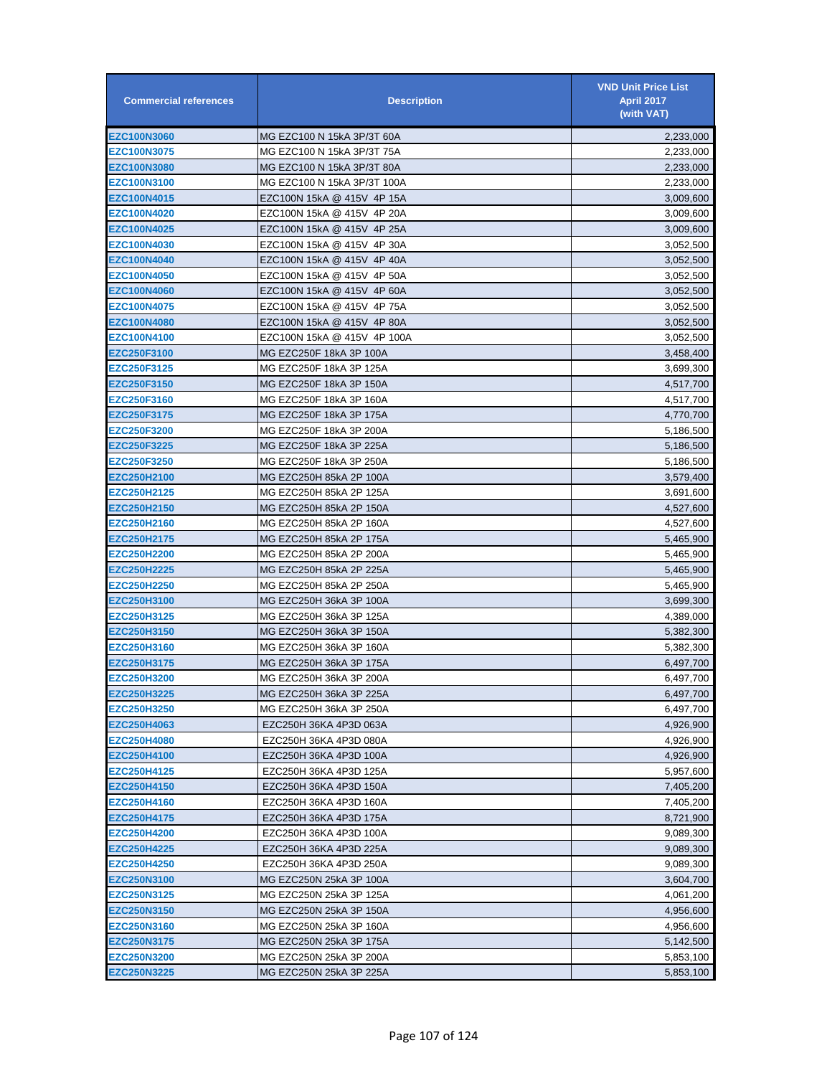| <b>Commercial references</b> | <b>Description</b>           | <b>VND Unit Price List</b><br><b>April 2017</b><br>(with VAT) |
|------------------------------|------------------------------|---------------------------------------------------------------|
| <b>EZC100N3060</b>           | MG EZC100 N 15kA 3P/3T 60A   | 2,233,000                                                     |
| EZC100N3075                  | MG EZC100 N 15kA 3P/3T 75A   | 2,233,000                                                     |
| <b>EZC100N3080</b>           | MG EZC100 N 15kA 3P/3T 80A   | 2,233,000                                                     |
| <b>EZC100N3100</b>           | MG EZC100 N 15kA 3P/3T 100A  | 2,233,000                                                     |
| EZC100N4015                  | EZC100N 15kA @ 415V  4P 15A  | 3,009,600                                                     |
| EZC100N4020                  | EZC100N 15kA @ 415V 4P 20A   | 3,009,600                                                     |
| EZC100N4025                  | EZC100N 15kA @ 415V 4P 25A   | 3,009,600                                                     |
| <b>EZC100N4030</b>           | EZC100N 15kA @ 415V 4P 30A   | 3,052,500                                                     |
| <b>EZC100N4040</b>           | EZC100N 15kA @ 415V 4P 40A   | 3,052,500                                                     |
| <b>EZC100N4050</b>           | EZC100N 15kA @ 415V 4P 50A   | 3,052,500                                                     |
| <b>EZC100N4060</b>           | EZC100N 15kA @ 415V 4P 60A   | 3,052,500                                                     |
| EZC100N4075                  | EZC100N 15kA @ 415V 4P 75A   | 3,052,500                                                     |
| EZC100N4080                  | EZC100N 15kA @ 415V 4P 80A   | 3,052,500                                                     |
| <b>EZC100N4100</b>           | EZC100N 15kA @ 415V  4P 100A | 3,052,500                                                     |
| EZC250F3100                  | MG EZC250F 18kA 3P 100A      | 3,458,400                                                     |
| <b>EZC250F3125</b>           | MG EZC250F 18kA 3P 125A      | 3,699,300                                                     |
| <b>EZC250F3150</b>           | MG EZC250F 18kA 3P 150A      | 4,517,700                                                     |
| <b>EZC250F3160</b>           | MG EZC250F 18kA 3P 160A      | 4,517,700                                                     |
| <b>EZC250F3175</b>           | MG EZC250F 18kA 3P 175A      | 4,770,700                                                     |
| <b>EZC250F3200</b>           | MG EZC250F 18kA 3P 200A      | 5,186,500                                                     |
| EZC250F3225                  | MG EZC250F 18kA 3P 225A      | 5,186,500                                                     |
| EZC250F3250                  | MG EZC250F 18kA 3P 250A      | 5,186,500                                                     |
| EZC250H2100                  | MG EZC250H 85kA 2P 100A      | 3,579,400                                                     |
| EZC250H2125                  | MG EZC250H 85kA 2P 125A      | 3,691,600                                                     |
| <b>EZC250H2150</b>           | MG EZC250H 85kA 2P 150A      | 4,527,600                                                     |
| <b>EZC250H2160</b>           | MG EZC250H 85kA 2P 160A      | 4,527,600                                                     |
| EZC250H2175                  | MG EZC250H 85kA 2P 175A      | 5,465,900                                                     |
| EZC250H2200                  | MG EZC250H 85kA 2P 200A      | 5,465,900                                                     |
| <b>EZC250H2225</b>           | MG EZC250H 85kA 2P 225A      | 5,465,900                                                     |
| <b>EZC250H2250</b>           | MG EZC250H 85kA 2P 250A      | 5,465,900                                                     |
| EZC250H3100                  | MG EZC250H 36kA 3P 100A      | 3,699,300                                                     |
| EZC250H3125                  | MG EZC250H 36kA 3P 125A      | 4,389,000                                                     |
| EZC250H3150                  | MG EZC250H 36kA 3P 150A      | 5,382,300                                                     |
| EZC250H3160                  | MG EZC250H 36kA 3P 160A      | 5,382,300                                                     |
| EZC250H3175                  | MG EZC250H 36kA 3P 175A      | 6,497,700                                                     |
| <b>EZC250H3200</b>           | MG EZC250H 36kA 3P 200A      | 6,497,700                                                     |
| EZC250H3225                  | MG EZC250H 36kA 3P 225A      | 6,497,700                                                     |
| EZC250H3250                  | MG EZC250H 36kA 3P 250A      | 6,497,700                                                     |
| <b>EZC250H4063</b>           | EZC250H 36KA 4P3D 063A       | 4,926,900                                                     |
| EZC250H4080                  | EZC250H 36KA 4P3D 080A       | 4,926,900                                                     |
| EZC250H4100                  | EZC250H 36KA 4P3D 100A       | 4,926,900                                                     |
| EZC250H4125                  | EZC250H 36KA 4P3D 125A       | 5,957,600                                                     |
| EZC250H4150                  | EZC250H 36KA 4P3D 150A       | 7,405,200                                                     |
| EZC250H4160                  | EZC250H 36KA 4P3D 160A       | 7,405,200                                                     |
| <b>EZC250H4175</b>           | EZC250H 36KA 4P3D 175A       | 8,721,900                                                     |
| <b>EZC250H4200</b>           | EZC250H 36KA 4P3D 100A       | 9,089,300                                                     |
| <b>EZC250H4225</b>           | EZC250H 36KA 4P3D 225A       | 9,089,300                                                     |
| <b>EZC250H4250</b>           | EZC250H 36KA 4P3D 250A       | 9,089,300                                                     |
| <b>EZC250N3100</b>           | MG EZC250N 25kA 3P 100A      | 3,604,700                                                     |
| <b>EZC250N3125</b>           | MG EZC250N 25kA 3P 125A      | 4,061,200                                                     |
| <b>EZC250N3150</b>           | MG EZC250N 25kA 3P 150A      | 4,956,600                                                     |
| EZC250N3160                  | MG EZC250N 25kA 3P 160A      |                                                               |
|                              |                              | 4,956,600                                                     |
| <b>EZC250N3175</b>           | MG EZC250N 25kA 3P 175A      | 5,142,500                                                     |
| <b>EZC250N3200</b>           | MG EZC250N 25kA 3P 200A      | 5,853,100                                                     |
| <b>EZC250N3225</b>           | MG EZC250N 25kA 3P 225A      | 5,853,100                                                     |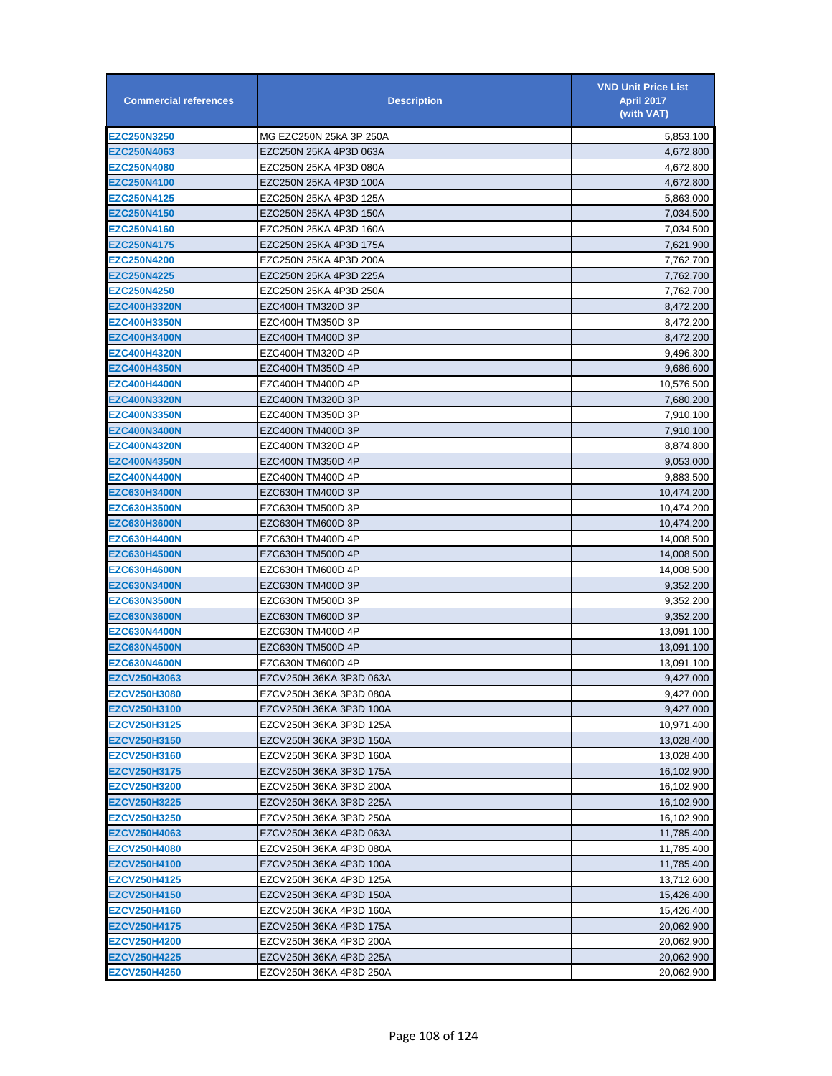| <b>Commercial references</b> | <b>Description</b>      | <b>VND Unit Price List</b><br><b>April 2017</b><br>(with VAT) |
|------------------------------|-------------------------|---------------------------------------------------------------|
| <b>EZC250N3250</b>           | MG EZC250N 25kA 3P 250A | 5,853,100                                                     |
| EZC250N4063                  | EZC250N 25KA 4P3D 063A  | 4,672,800                                                     |
| <b>EZC250N4080</b>           | EZC250N 25KA 4P3D 080A  | 4,672,800                                                     |
| <b>EZC250N4100</b>           | EZC250N 25KA 4P3D 100A  | 4,672,800                                                     |
| <b>EZC250N4125</b>           | EZC250N 25KA 4P3D 125A  | 5,863,000                                                     |
| <b>EZC250N4150</b>           | EZC250N 25KA 4P3D 150A  | 7,034,500                                                     |
| <b>EZC250N4160</b>           | EZC250N 25KA 4P3D 160A  | 7,034,500                                                     |
| <b>EZC250N4175</b>           | EZC250N 25KA 4P3D 175A  | 7,621,900                                                     |
| <b>EZC250N4200</b>           | EZC250N 25KA 4P3D 200A  | 7,762,700                                                     |
| <b>EZC250N4225</b>           | EZC250N 25KA 4P3D 225A  | 7,762,700                                                     |
| <b>EZC250N4250</b>           | EZC250N 25KA 4P3D 250A  | 7,762,700                                                     |
| <b>EZC400H3320N</b>          | EZC400H TM320D 3P       | 8,472,200                                                     |
| <b>EZC400H3350N</b>          | EZC400H TM350D 3P       | 8,472,200                                                     |
| <b>EZC400H3400N</b>          | EZC400H TM400D 3P       | 8,472,200                                                     |
| <b>EZC400H4320N</b>          | EZC400H TM320D 4P       | 9,496,300                                                     |
| <b>EZC400H4350N</b>          | EZC400H TM350D 4P       | 9,686,600                                                     |
| <b>EZC400H4400N</b>          | EZC400H TM400D 4P       | 10,576,500                                                    |
| EZC400N3320N                 | EZC400N TM320D 3P       | 7,680,200                                                     |
| EZC400N3350N                 | EZC400N TM350D 3P       | 7,910,100                                                     |
| <b>EZC400N3400N</b>          | EZC400N TM400D 3P       | 7,910,100                                                     |
| <b>EZC400N4320N</b>          | EZC400N TM320D 4P       | 8,874,800                                                     |
| <b>EZC400N4350N</b>          | EZC400N TM350D 4P       | 9,053,000                                                     |
| <b>EZC400N4400N</b>          | EZC400N TM400D 4P       | 9,883,500                                                     |
| <b>EZC630H3400N</b>          | EZC630H TM400D 3P       | 10,474,200                                                    |
| <b>EZC630H3500N</b>          | EZC630H TM500D 3P       | 10,474,200                                                    |
| <b>EZC630H3600N</b>          | EZC630H TM600D 3P       | 10,474,200                                                    |
| <b>EZC630H4400N</b>          | EZC630H TM400D 4P       | 14,008,500                                                    |
| EZC630H4500N                 | EZC630H TM500D 4P       | 14,008,500                                                    |
| EZC630H4600N                 | EZC630H TM600D 4P       | 14,008,500                                                    |
| <b>EZC630N3400N</b>          | EZC630N TM400D 3P       | 9,352,200                                                     |
| <b>EZC630N3500N</b>          | EZC630N TM500D 3P       | 9,352,200                                                     |
| <b>EZC630N3600N</b>          | EZC630N TM600D 3P       | 9,352,200                                                     |
| <b>EZC630N4400N</b>          | EZC630N TM400D 4P       | 13,091,100                                                    |
| <b>EZC630N4500N</b>          | EZC630N TM500D 4P       | 13,091,100                                                    |
| <b>EZC630N4600N</b>          | EZC630N TM600D 4P       | 13,091,100                                                    |
| <b>EZCV250H3063</b>          | EZCV250H 36KA 3P3D 063A | 9,427,000                                                     |
| EZCV250H3080                 | EZCV250H 36KA 3P3D 080A | 9,427,000                                                     |
| EZCV250H3100                 | EZCV250H 36KA 3P3D 100A | 9,427,000                                                     |
| EZCV250H3125                 | EZCV250H 36KA 3P3D 125A | 10,971,400                                                    |
| EZCV250H3150                 | EZCV250H 36KA 3P3D 150A | 13,028,400                                                    |
| EZCV250H3160                 | EZCV250H 36KA 3P3D 160A | 13,028,400                                                    |
| EZCV250H3175                 | EZCV250H 36KA 3P3D 175A | 16,102,900                                                    |
| EZCV250H3200                 | EZCV250H 36KA 3P3D 200A | 16,102,900                                                    |
| <b>EZCV250H3225</b>          | EZCV250H 36KA 3P3D 225A | 16,102,900                                                    |
| <b>EZCV250H3250</b>          | EZCV250H 36KA 3P3D 250A | 16,102,900                                                    |
| EZCV250H4063                 | EZCV250H 36KA 4P3D 063A | 11,785,400                                                    |
| EZCV250H4080                 | EZCV250H 36KA 4P3D 080A | 11,785,400                                                    |
| <b>EZCV250H4100</b>          | EZCV250H 36KA 4P3D 100A | 11,785,400                                                    |
| <b>EZCV250H4125</b>          | EZCV250H 36KA 4P3D 125A | 13,712,600                                                    |
| EZCV250H4150                 | EZCV250H 36KA 4P3D 150A | 15,426,400                                                    |
| <b>EZCV250H4160</b>          | EZCV250H 36KA 4P3D 160A | 15,426,400                                                    |
| <b>EZCV250H4175</b>          | EZCV250H 36KA 4P3D 175A | 20,062,900                                                    |
| <b>EZCV250H4200</b>          | EZCV250H 36KA 4P3D 200A | 20,062,900                                                    |
| <b>EZCV250H4225</b>          | EZCV250H 36KA 4P3D 225A | 20,062,900                                                    |
| <b>EZCV250H4250</b>          | EZCV250H 36KA 4P3D 250A | 20,062,900                                                    |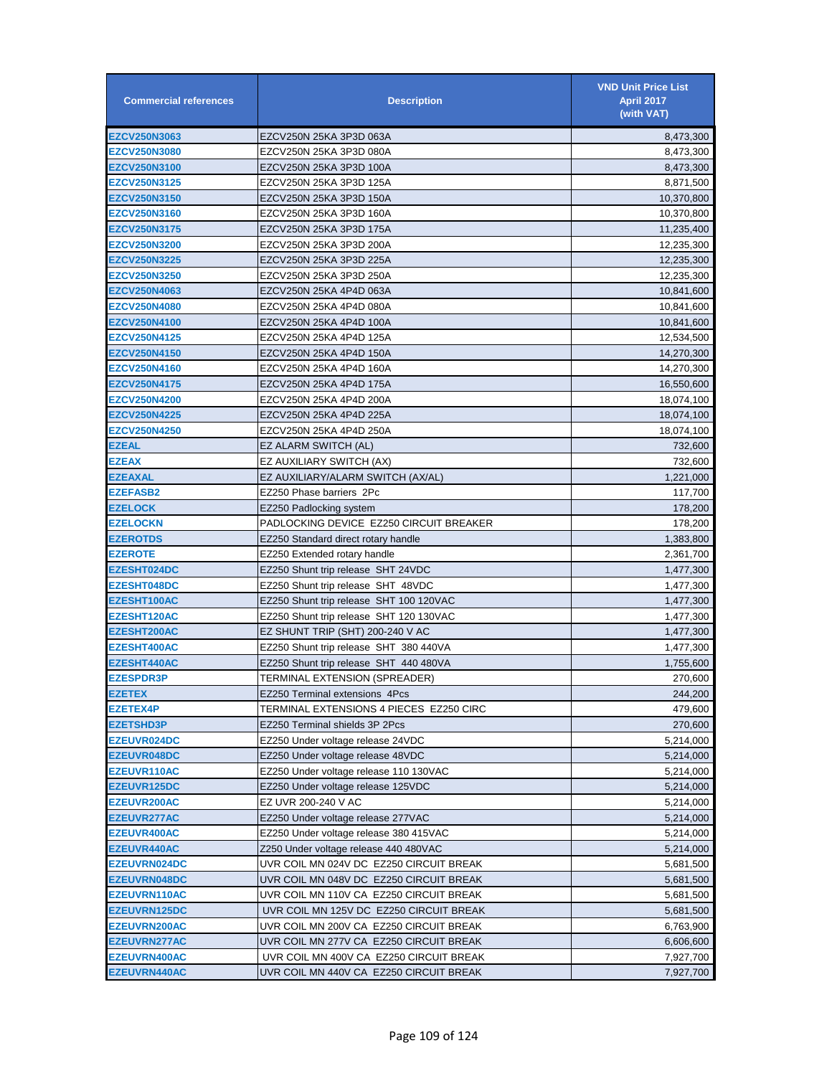| <b>Commercial references</b>               | <b>Description</b>                                                                 | <b>VND Unit Price List</b><br><b>April 2017</b><br>(with VAT) |
|--------------------------------------------|------------------------------------------------------------------------------------|---------------------------------------------------------------|
| <b>EZCV250N3063</b>                        | EZCV250N 25KA 3P3D 063A                                                            | 8,473,300                                                     |
| <b>EZCV250N3080</b>                        | EZCV250N 25KA 3P3D 080A                                                            | 8,473,300                                                     |
| <b>EZCV250N3100</b>                        | EZCV250N 25KA 3P3D 100A                                                            | 8,473,300                                                     |
| <b>EZCV250N3125</b>                        | EZCV250N 25KA 3P3D 125A                                                            | 8,871,500                                                     |
| <b>EZCV250N3150</b>                        | EZCV250N 25KA 3P3D 150A                                                            | 10,370,800                                                    |
| <b>EZCV250N3160</b>                        | EZCV250N 25KA 3P3D 160A                                                            | 10,370,800                                                    |
| <b>EZCV250N3175</b>                        | EZCV250N 25KA 3P3D 175A                                                            | 11,235,400                                                    |
| <b>EZCV250N3200</b>                        | EZCV250N 25KA 3P3D 200A                                                            | 12,235,300                                                    |
| <b>EZCV250N3225</b>                        | EZCV250N 25KA 3P3D 225A                                                            | 12,235,300                                                    |
| <b>EZCV250N3250</b>                        | EZCV250N 25KA 3P3D 250A                                                            | 12,235,300                                                    |
| <b>EZCV250N4063</b>                        | EZCV250N 25KA 4P4D 063A                                                            | 10,841,600                                                    |
| <b>EZCV250N4080</b>                        | EZCV250N 25KA 4P4D 080A                                                            | 10,841,600                                                    |
| <b>EZCV250N4100</b>                        | EZCV250N 25KA 4P4D 100A                                                            | 10,841,600                                                    |
| <b>EZCV250N4125</b>                        | EZCV250N 25KA 4P4D 125A                                                            | 12,534,500                                                    |
| <b>EZCV250N4150</b>                        | EZCV250N 25KA 4P4D 150A                                                            | 14,270,300                                                    |
| <b>EZCV250N4160</b>                        | EZCV250N 25KA 4P4D 160A                                                            | 14,270,300                                                    |
| <b>EZCV250N4175</b>                        | EZCV250N 25KA 4P4D 175A                                                            | 16,550,600                                                    |
| <b>EZCV250N4200</b>                        | EZCV250N 25KA 4P4D 200A                                                            | 18,074,100                                                    |
| <b>EZCV250N4225</b>                        | EZCV250N 25KA 4P4D 225A                                                            | 18,074,100                                                    |
| <b>EZCV250N4250</b>                        | EZCV250N 25KA 4P4D 250A                                                            | 18,074,100                                                    |
| <b>EZEAL</b>                               | EZ ALARM SWITCH (AL)                                                               | 732,600                                                       |
| <b>EZEAX</b>                               | EZ AUXILIARY SWITCH (AX)                                                           | 732,600                                                       |
| <b>EZEAXAL</b>                             | EZ AUXILIARY/ALARM SWITCH (AX/AL)                                                  | 1,221,000                                                     |
| <b>EZEFASB2</b>                            | EZ250 Phase barriers 2Pc                                                           | 117,700                                                       |
| <b>EZELOCK</b>                             | EZ250 Padlocking system                                                            | 178,200                                                       |
| <b>EZELOCKN</b>                            | PADLOCKING DEVICE EZ250 CIRCUIT BREAKER                                            | 178,200                                                       |
| <b>EZEROTDS</b>                            | EZ250 Standard direct rotary handle                                                | 1,383,800                                                     |
| <b>EZEROTE</b>                             | EZ250 Extended rotary handle                                                       | 2,361,700                                                     |
| <b>EZESHT024DC</b>                         | EZ250 Shunt trip release SHT 24VDC                                                 | 1,477,300                                                     |
| <b>EZESHT048DC</b>                         | EZ250 Shunt trip release SHT 48VDC                                                 | 1,477,300                                                     |
| EZESHT100AC                                | EZ250 Shunt trip release SHT 100 120VAC                                            | 1,477,300                                                     |
| EZESHT120AC                                | EZ250 Shunt trip release SHT 120 130VAC                                            | 1,477,300                                                     |
| <b>EZESHT200AC</b>                         | EZ SHUNT TRIP (SHT) 200-240 V AC                                                   | 1,477,300                                                     |
| <b>EZESHT400AC</b>                         | EZ250 Shunt trip release SHT 380 440VA                                             | 1,477,300                                                     |
| <b>EZESHT440AC</b>                         | EZ250 Shunt trip release SHT 440 480VA                                             | 1,755,600                                                     |
| <b>EZESPDR3P</b>                           | TERMINAL EXTENSION (SPREADER)                                                      | 270,600                                                       |
| <b>EZETEX</b>                              | EZ250 Terminal extensions 4Pcs                                                     | 244,200                                                       |
| <b>EZETEX4P</b>                            | TERMINAL EXTENSIONS 4 PIECES EZ250 CIRC                                            | 479,600                                                       |
| <b>EZETSHD3P</b>                           | EZ250 Terminal shields 3P 2Pcs                                                     | 270,600                                                       |
| <b>EZEUVR024DC</b>                         | EZ250 Under voltage release 24VDC                                                  | 5,214,000                                                     |
| <b>EZEUVR048DC</b>                         | EZ250 Under voltage release 48VDC                                                  | 5,214,000                                                     |
| EZEUVR110AC                                | EZ250 Under voltage release 110 130VAC                                             | 5,214,000                                                     |
| <b>EZEUVR125DC</b>                         | EZ250 Under voltage release 125VDC                                                 | 5,214,000                                                     |
| <b>EZEUVR200AC</b>                         | EZ UVR 200-240 V AC                                                                | 5,214,000                                                     |
| <b>EZEUVR277AC</b>                         | EZ250 Under voltage release 277VAC                                                 | 5,214,000                                                     |
| <b>EZEUVR400AC</b>                         | EZ250 Under voltage release 380 415VAC                                             |                                                               |
|                                            | Z250 Under voltage release 440 480VAC                                              | 5,214,000<br>5,214,000                                        |
| <b>EZEUVR440AC</b><br><b>EZEUVRN024DC</b>  | UVR COIL MN 024V DC EZ250 CIRCUIT BREAK                                            | 5,681,500                                                     |
| <b>EZEUVRN048DC</b>                        | UVR COIL MN 048V DC EZ250 CIRCUIT BREAK                                            | 5,681,500                                                     |
| <b>EZEUVRN110AC</b>                        | UVR COIL MN 110V CA EZ250 CIRCUIT BREAK                                            | 5,681,500                                                     |
|                                            |                                                                                    |                                                               |
| <b>EZEUVRN125DC</b>                        | UVR COIL MN 125V DC EZ250 CIRCUIT BREAK                                            | 5,681,500                                                     |
| EZEUVRN200AC                               | UVR COIL MN 200V CA EZ250 CIRCUIT BREAK                                            | 6,763,900                                                     |
| <b>EZEUVRN277AC</b>                        | UVR COIL MN 277V CA EZ250 CIRCUIT BREAK<br>UVR COIL MN 400V CA EZ250 CIRCUIT BREAK | 6,606,600                                                     |
| <b>EZEUVRN400AC</b><br><b>EZEUVRN440AC</b> | UVR COIL MN 440V CA EZ250 CIRCUIT BREAK                                            | 7,927,700<br>7,927,700                                        |
|                                            |                                                                                    |                                                               |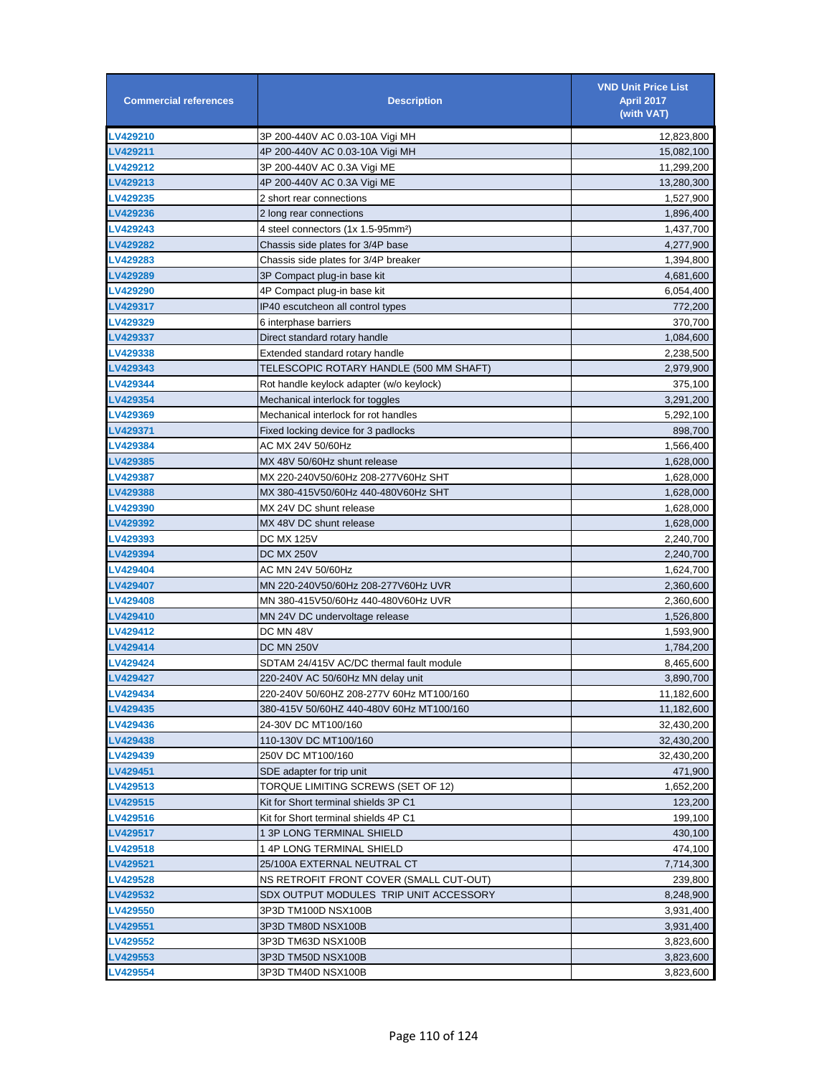| <b>Commercial references</b> | <b>Description</b>                             | <b>VND Unit Price List</b><br><b>April 2017</b><br>(with VAT) |
|------------------------------|------------------------------------------------|---------------------------------------------------------------|
| LV429210                     | 3P 200-440V AC 0.03-10A Vigi MH                | 12,823,800                                                    |
| LV429211                     | 4P 200-440V AC 0.03-10A Vigi MH                | 15,082,100                                                    |
| LV429212                     | 3P 200-440V AC 0.3A Vigi ME                    | 11,299,200                                                    |
| LV429213                     | 4P 200-440V AC 0.3A Vigi ME                    | 13,280,300                                                    |
| LV429235                     | 2 short rear connections                       | 1,527,900                                                     |
| LV429236                     | 2 long rear connections                        | 1,896,400                                                     |
| LV429243                     | 4 steel connectors (1x 1.5-95mm <sup>2</sup> ) | 1,437,700                                                     |
| LV429282                     | Chassis side plates for 3/4P base              | 4,277,900                                                     |
| LV429283                     | Chassis side plates for 3/4P breaker           | 1,394,800                                                     |
| LV429289                     | 3P Compact plug-in base kit                    | 4,681,600                                                     |
| LV429290                     | 4P Compact plug-in base kit                    | 6,054,400                                                     |
| LV429317                     | IP40 escutcheon all control types              | 772,200                                                       |
| LV429329                     | 6 interphase barriers                          | 370,700                                                       |
| LV429337                     | Direct standard rotary handle                  | 1,084,600                                                     |
| LV429338                     | Extended standard rotary handle                | 2,238,500                                                     |
| LV429343                     | TELESCOPIC ROTARY HANDLE (500 MM SHAFT)        | 2,979,900                                                     |
| <b>LV429344</b>              | Rot handle keylock adapter (w/o keylock)       | 375,100                                                       |
| LV429354                     | Mechanical interlock for toggles               | 3,291,200                                                     |
| LV429369                     | Mechanical interlock for rot handles           | 5,292,100                                                     |
| LV429371                     | Fixed locking device for 3 padlocks            | 898,700                                                       |
| LV429384                     | AC MX 24V 50/60Hz                              | 1,566,400                                                     |
| LV429385                     | MX 48V 50/60Hz shunt release                   | 1,628,000                                                     |
| LV429387                     | MX 220-240V50/60Hz 208-277V60Hz SHT            | 1,628,000                                                     |
| LV429388                     | MX 380-415V50/60Hz 440-480V60Hz SHT            | 1,628,000                                                     |
| <b>LV429390</b>              | MX 24V DC shunt release                        | 1,628,000                                                     |
| <b>LV429392</b>              | MX 48V DC shunt release                        | 1,628,000                                                     |
| LV429393                     | DC MX 125V                                     | 2,240,700                                                     |
| LV429394                     | <b>DC MX 250V</b>                              | 2,240,700                                                     |
| LV429404                     | AC MN 24V 50/60Hz                              | 1,624,700                                                     |
| LV429407                     | MN 220-240V50/60Hz 208-277V60Hz UVR            | 2,360,600                                                     |
| LV429408                     | MN 380-415V50/60Hz 440-480V60Hz UVR            | 2,360,600                                                     |
| LV429410                     | MN 24V DC undervoltage release                 | 1,526,800                                                     |
| LV429412                     | DC MN 48V                                      | 1,593,900                                                     |
| LV429414                     | <b>DC MN 250V</b>                              | 1,784,200                                                     |
| LV429424                     | SDTAM 24/415V AC/DC thermal fault module       | 8,465,600                                                     |
| <b>LV429427</b>              | 220-240V AC 50/60Hz MN delay unit              | 3.890.700                                                     |
| LV429434                     | 220-240V 50/60HZ 208-277V 60Hz MT100/160       | 11,182,600                                                    |
| LV429435                     | 380-415V 50/60HZ 440-480V 60Hz MT100/160       | 11,182,600                                                    |
| LV429436                     | 24-30V DC MT100/160                            | 32,430,200                                                    |
| LV429438                     | 110-130V DC MT100/160                          | 32,430,200                                                    |
| LV429439                     | 250V DC MT100/160                              | 32,430,200                                                    |
| LV429451                     | SDE adapter for trip unit                      | 471,900                                                       |
| LV429513                     | TORQUE LIMITING SCREWS (SET OF 12)             | 1,652,200                                                     |
| LV429515                     | Kit for Short terminal shields 3P C1           | 123,200                                                       |
| LV429516                     | Kit for Short terminal shields 4P C1           | 199,100                                                       |
| <b>LV429517</b>              | 1 3P LONG TERMINAL SHIELD                      | 430,100                                                       |
| <b>LV429518</b>              | 1 4P LONG TERMINAL SHIELD                      | 474,100                                                       |
| LV429521                     | 25/100A EXTERNAL NEUTRAL CT                    | 7,714,300                                                     |
| <b>LV429528</b>              | NS RETROFIT FRONT COVER (SMALL CUT-OUT)        | 239,800                                                       |
| LV429532                     | SDX OUTPUT MODULES TRIP UNIT ACCESSORY         | 8,248,900                                                     |
| LV429550                     | 3P3D TM100D NSX100B                            | 3,931,400                                                     |
| LV429551                     | 3P3D TM80D NSX100B                             | 3,931,400                                                     |
| LV429552                     | 3P3D TM63D NSX100B                             | 3,823,600                                                     |
| LV429553                     | 3P3D TM50D NSX100B                             | 3,823,600                                                     |
| <b>LV429554</b>              | 3P3D TM40D NSX100B                             | 3,823,600                                                     |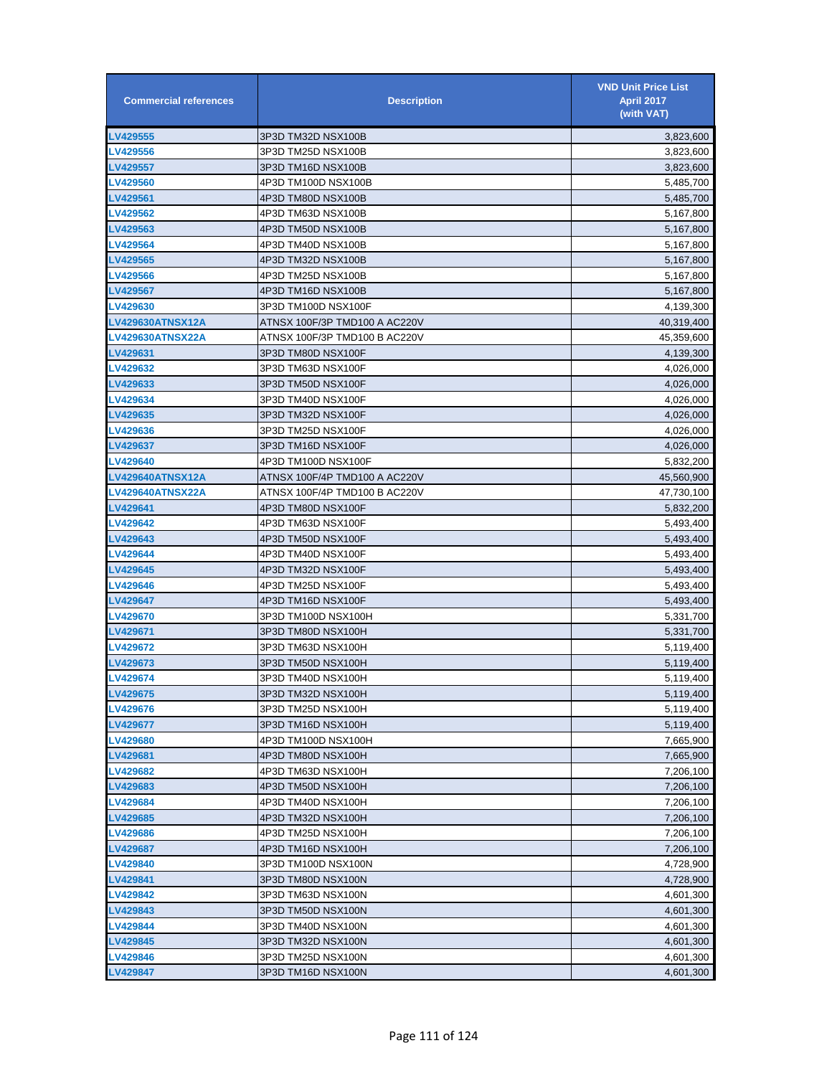| <b>Commercial references</b> | <b>Description</b>            | <b>VND Unit Price List</b><br><b>April 2017</b><br>(with VAT) |
|------------------------------|-------------------------------|---------------------------------------------------------------|
| LV429555                     | 3P3D TM32D NSX100B            | 3,823,600                                                     |
| LV429556                     | 3P3D TM25D NSX100B            | 3,823,600                                                     |
| <b>LV429557</b>              | 3P3D TM16D NSX100B            | 3,823,600                                                     |
| LV429560                     | 4P3D TM100D NSX100B           | 5,485,700                                                     |
| LV429561                     | 4P3D TM80D NSX100B            | 5,485,700                                                     |
| LV429562                     | 4P3D TM63D NSX100B            | 5,167,800                                                     |
| LV429563                     | 4P3D TM50D NSX100B            | 5,167,800                                                     |
| LV429564                     | 4P3D TM40D NSX100B            | 5,167,800                                                     |
| LV429565                     | 4P3D TM32D NSX100B            | 5,167,800                                                     |
| LV429566                     | 4P3D TM25D NSX100B            | 5,167,800                                                     |
| LV429567                     | 4P3D TM16D NSX100B            | 5,167,800                                                     |
| LV429630                     | 3P3D TM100D NSX100F           | 4,139,300                                                     |
| <b>LV429630ATNSX12A</b>      | ATNSX 100F/3P TMD100 A AC220V | 40,319,400                                                    |
| <b>LV429630ATNSX22A</b>      | ATNSX 100F/3P TMD100 B AC220V | 45,359,600                                                    |
| LV429631                     | 3P3D TM80D NSX100F            | 4,139,300                                                     |
| LV429632                     | 3P3D TM63D NSX100F            | 4,026,000                                                     |
| LV429633                     | 3P3D TM50D NSX100F            | 4,026,000                                                     |
| LV429634                     | 3P3D TM40D NSX100F            | 4,026,000                                                     |
| LV429635                     | 3P3D TM32D NSX100F            | 4,026,000                                                     |
| LV429636                     | 3P3D TM25D NSX100F            | 4,026,000                                                     |
| LV429637                     | 3P3D TM16D NSX100F            | 4,026,000                                                     |
| <b>LV429640</b>              | 4P3D TM100D NSX100F           | 5,832,200                                                     |
| <b>LV429640ATNSX12A</b>      | ATNSX 100F/4P TMD100 A AC220V | 45,560,900                                                    |
| <b>LV429640ATNSX22A</b>      | ATNSX 100F/4P TMD100 B AC220V | 47,730,100                                                    |
| LV429641                     | 4P3D TM80D NSX100F            | 5,832,200                                                     |
| LV429642                     | 4P3D TM63D NSX100F            | 5,493,400                                                     |
| LV429643                     | 4P3D TM50D NSX100F            | 5,493,400                                                     |
| LV429644                     | 4P3D TM40D NSX100F            | 5,493,400                                                     |
| LV429645                     | 4P3D TM32D NSX100F            | 5,493,400                                                     |
| LV429646                     | 4P3D TM25D NSX100F            | 5,493,400                                                     |
| <b>LV429647</b>              | 4P3D TM16D NSX100F            | 5,493,400                                                     |
| <b>LV429670</b>              | 3P3D TM100D NSX100H           | 5,331,700                                                     |
| LV429671                     | 3P3D TM80D NSX100H            | 5,331,700                                                     |
| LV429672                     | 3P3D TM63D NSX100H            | 5,119,400                                                     |
| LV429673                     | 3P3D TM50D NSX100H            | 5,119,400                                                     |
| <b>LV429674</b>              | 3P3D TM40D NSX100H            | 5,119,400                                                     |
| LV429675                     | 3P3D TM32D NSX100H            | 5,119,400                                                     |
| LV429676                     | 3P3D TM25D NSX100H            | 5,119,400                                                     |
| <b>LV429677</b>              | 3P3D TM16D NSX100H            | 5,119,400                                                     |
| LV429680                     | 4P3D TM100D NSX100H           | 7,665,900                                                     |
| <b>LV429681</b>              | 4P3D TM80D NSX100H            | 7,665,900                                                     |
| <b>LV429682</b>              | 4P3D TM63D NSX100H            | 7,206,100                                                     |
| LV429683                     | 4P3D TM50D NSX100H            | 7,206,100                                                     |
| LV429684                     | 4P3D TM40D NSX100H            | 7,206,100                                                     |
| LV429685                     | 4P3D TM32D NSX100H            | 7,206,100                                                     |
| LV429686                     | 4P3D TM25D NSX100H            | 7,206,100                                                     |
| <b>LV429687</b>              | 4P3D TM16D NSX100H            | 7,206,100                                                     |
| LV429840                     | 3P3D TM100D NSX100N           | 4,728,900                                                     |
| LV429841                     | 3P3D TM80D NSX100N            | 4,728,900                                                     |
| LV429842                     | 3P3D TM63D NSX100N            | 4,601,300                                                     |
| LV429843                     | 3P3D TM50D NSX100N            | 4,601,300                                                     |
| LV429844                     | 3P3D TM40D NSX100N            | 4,601,300                                                     |
| LV429845                     | 3P3D TM32D NSX100N            | 4,601,300                                                     |
| LV429846                     | 3P3D TM25D NSX100N            | 4,601,300                                                     |
| LV429847                     | 3P3D TM16D NSX100N            | 4,601,300                                                     |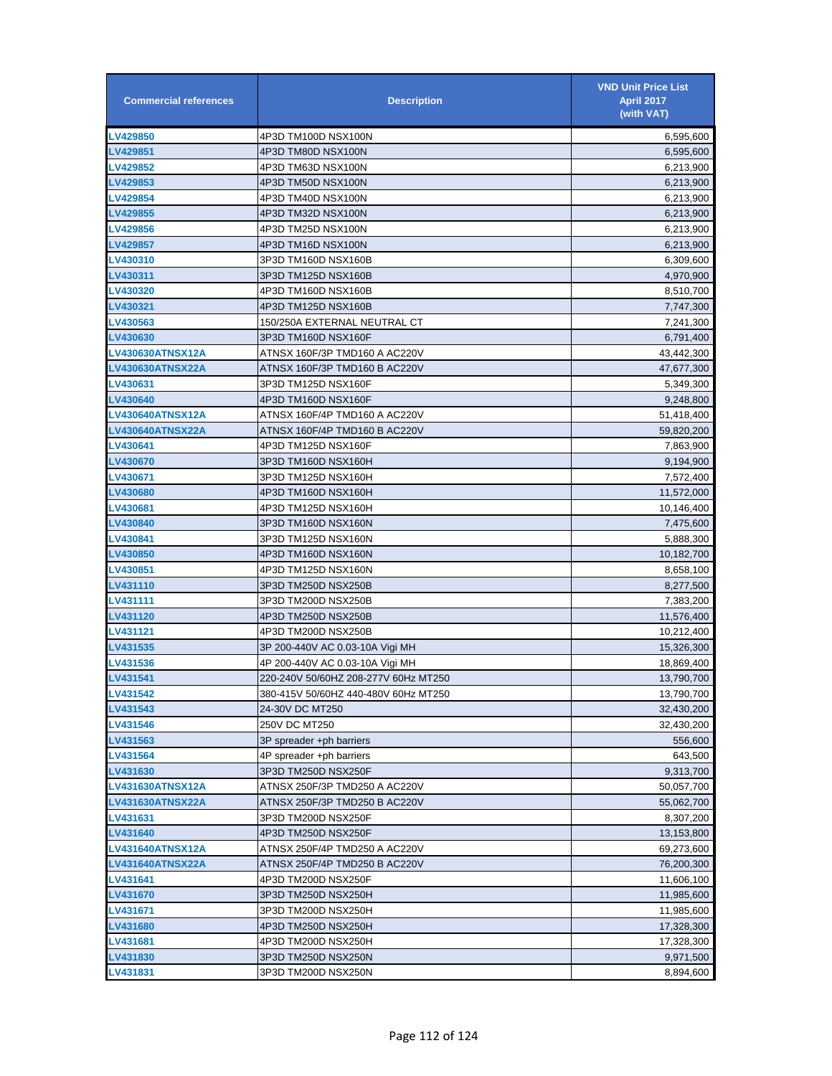| <b>Commercial references</b> | <b>Description</b>                   | <b>VND Unit Price List</b><br><b>April 2017</b><br>(with VAT) |
|------------------------------|--------------------------------------|---------------------------------------------------------------|
| <b>LV429850</b>              | 4P3D TM100D NSX100N                  | 6,595,600                                                     |
| LV429851                     | 4P3D TM80D NSX100N                   | 6,595,600                                                     |
| LV429852                     | 4P3D TM63D NSX100N                   | 6,213,900                                                     |
| LV429853                     | 4P3D TM50D NSX100N                   | 6,213,900                                                     |
| <b>LV429854</b>              | 4P3D TM40D NSX100N                   | 6,213,900                                                     |
| LV429855                     | 4P3D TM32D NSX100N                   | 6,213,900                                                     |
| <b>LV429856</b>              | 4P3D TM25D NSX100N                   | 6,213,900                                                     |
| <b>LV429857</b>              | 4P3D TM16D NSX100N                   | 6,213,900                                                     |
| LV430310                     | 3P3D TM160D NSX160B                  | 6,309,600                                                     |
| LV430311                     | 3P3D TM125D NSX160B                  | 4,970,900                                                     |
| LV430320                     | 4P3D TM160D NSX160B                  | 8,510,700                                                     |
| LV430321                     | 4P3D TM125D NSX160B                  | 7,747,300                                                     |
| LV430563                     | 150/250A EXTERNAL NEUTRAL CT         | 7,241,300                                                     |
| LV430630                     | 3P3D TM160D NSX160F                  | 6,791,400                                                     |
| LV430630ATNSX12A             | ATNSX 160F/3P TMD160 A AC220V        | 43,442,300                                                    |
| LV430630ATNSX22A             | ATNSX 160F/3P TMD160 B AC220V        | 47,677,300                                                    |
| LV430631                     | 3P3D TM125D NSX160F                  | 5,349,300                                                     |
| <b>LV430640</b>              | 4P3D TM160D NSX160F                  | 9,248,800                                                     |
| LV430640ATNSX12A             | ATNSX 160F/4P TMD160 A AC220V        | 51,418,400                                                    |
| LV430640ATNSX22A             | ATNSX 160F/4P TMD160 B AC220V        | 59,820,200                                                    |
| LV430641                     | 4P3D TM125D NSX160F                  | 7,863,900                                                     |
| LV430670                     | 3P3D TM160D NSX160H                  | 9,194,900                                                     |
| LV430671                     | 3P3D TM125D NSX160H                  | 7,572,400                                                     |
| LV430680                     | 4P3D TM160D NSX160H                  | 11,572,000                                                    |
| <b>LV430681</b>              | 4P3D TM125D NSX160H                  | 10,146,400                                                    |
| <b>LV430840</b>              | 3P3D TM160D NSX160N                  | 7,475,600                                                     |
| LV430841                     | 3P3D TM125D NSX160N                  | 5,888,300                                                     |
| <b>LV430850</b>              | 4P3D TM160D NSX160N                  | 10,182,700                                                    |
| LV430851                     | 4P3D TM125D NSX160N                  | 8,658,100                                                     |
| <b>LV431110</b>              | 3P3D TM250D NSX250B                  | 8,277,500                                                     |
| LV431111                     | 3P3D TM200D NSX250B                  | 7,383,200                                                     |
| LV431120                     | 4P3D TM250D NSX250B                  | 11,576,400                                                    |
| LV431121                     | 4P3D TM200D NSX250B                  | 10,212,400                                                    |
| LV431535                     | 3P 200-440V AC 0.03-10A Viai MH      | 15,326,300                                                    |
| <b>LV431536</b>              | 4P 200-440V AC 0.03-10A Vigi MH      | 18,869,400                                                    |
| LV431541                     | 220-240V 50/60HZ 208-277V 60Hz MT250 | 13,790,700                                                    |
| LV431542                     | 380-415V 50/60HZ 440-480V 60Hz MT250 | 13,790,700                                                    |
| LV431543                     | 24-30V DC MT250                      | 32,430,200                                                    |
| <b>LV431546</b>              | 250V DC MT250                        | 32,430,200                                                    |
| LV431563                     | 3P spreader +ph barriers             | 556,600                                                       |
| LV431564                     | 4P spreader +ph barriers             | 643,500                                                       |
| LV431630                     | 3P3D TM250D NSX250F                  | 9,313,700                                                     |
| LV431630ATNSX12A             | ATNSX 250F/3P TMD250 A AC220V        | 50,057,700                                                    |
| LV431630ATNSX22A             | ATNSX 250F/3P TMD250 B AC220V        | 55,062,700                                                    |
| LV431631                     | 3P3D TM200D NSX250F                  | 8,307,200                                                     |
| LV431640                     | 4P3D TM250D NSX250F                  | 13,153,800                                                    |
| LV431640ATNSX12A             | ATNSX 250F/4P TMD250 A AC220V        | 69,273,600                                                    |
| LV431640ATNSX22A             | ATNSX 250F/4P TMD250 B AC220V        | 76,200,300                                                    |
| LV431641                     | 4P3D TM200D NSX250F                  | 11,606,100                                                    |
| LV431670                     | 3P3D TM250D NSX250H                  | 11,985,600                                                    |
| LV431671                     | 3P3D TM200D NSX250H                  | 11,985,600                                                    |
| LV431680                     | 4P3D TM250D NSX250H                  | 17,328,300                                                    |
| LV431681                     | 4P3D TM200D NSX250H                  | 17,328,300                                                    |
| LV431830                     | 3P3D TM250D NSX250N                  | 9,971,500                                                     |
| LV431831                     | 3P3D TM200D NSX250N                  | 8,894,600                                                     |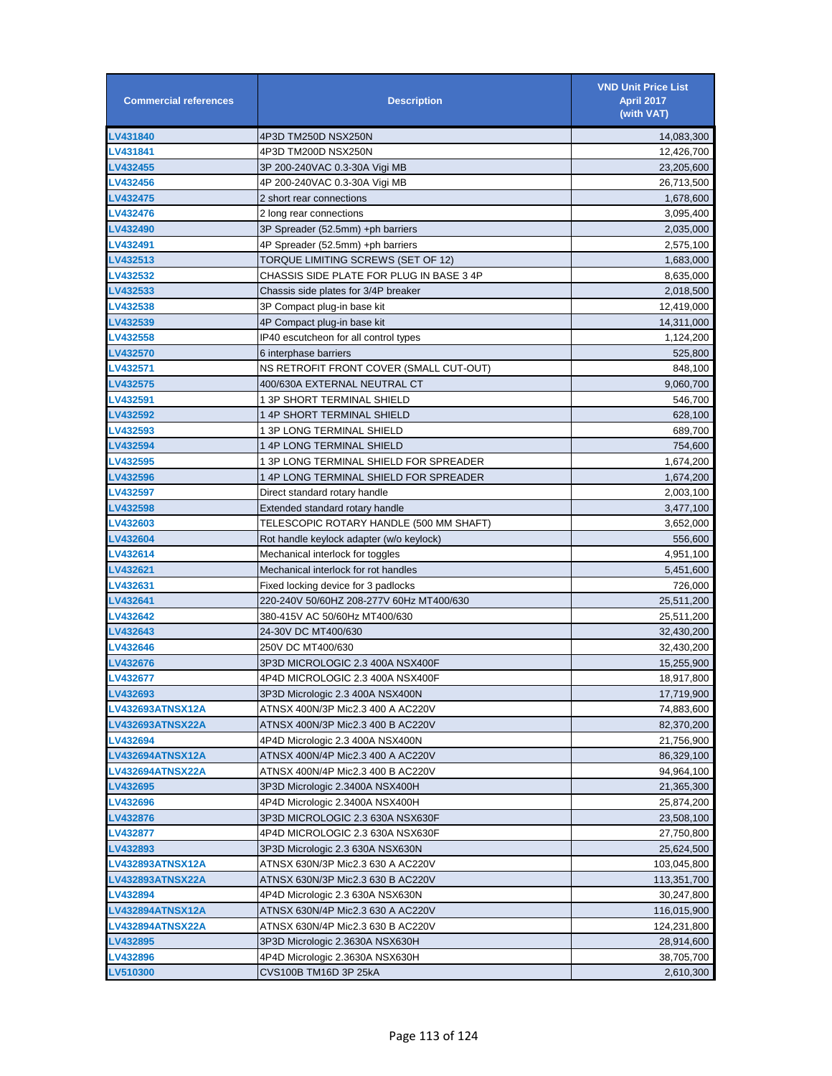| <b>Commercial references</b> | <b>Description</b>                                                 | <b>VND Unit Price List</b><br><b>April 2017</b><br>(with VAT) |
|------------------------------|--------------------------------------------------------------------|---------------------------------------------------------------|
| LV431840                     | 4P3D TM250D NSX250N                                                | 14,083,300                                                    |
| LV431841                     | 4P3D TM200D NSX250N                                                | 12,426,700                                                    |
| LV432455                     | 3P 200-240VAC 0.3-30A Vigi MB                                      | 23,205,600                                                    |
| LV432456                     | 4P 200-240VAC 0.3-30A Vigi MB                                      | 26,713,500                                                    |
| <b>LV432475</b>              | 2 short rear connections                                           | 1,678,600                                                     |
| <b>LV432476</b>              | 2 long rear connections                                            | 3,095,400                                                     |
| <b>LV432490</b>              | 3P Spreader (52.5mm) +ph barriers                                  | 2,035,000                                                     |
| LV432491                     | 4P Spreader (52.5mm) +ph barriers                                  | 2,575,100                                                     |
| LV432513                     | TORQUE LIMITING SCREWS (SET OF 12)                                 | 1,683,000                                                     |
| <b>LV432532</b>              | CHASSIS SIDE PLATE FOR PLUG IN BASE 3 4P                           | 8,635,000                                                     |
| LV432533                     | Chassis side plates for 3/4P breaker                               | 2,018,500                                                     |
| LV432538                     | 3P Compact plug-in base kit                                        | 12,419,000                                                    |
| LV432539                     | 4P Compact plug-in base kit                                        | 14,311,000                                                    |
| LV432558                     | IP40 escutcheon for all control types                              | 1,124,200                                                     |
| <b>LV432570</b>              | 6 interphase barriers                                              | 525,800                                                       |
| <b>LV432571</b>              | NS RETROFIT FRONT COVER (SMALL CUT-OUT)                            | 848,100                                                       |
| LV432575                     | 400/630A EXTERNAL NEUTRAL CT                                       | 9,060,700                                                     |
| LV432591                     | 1 3P SHORT TERMINAL SHIELD                                         | 546,700                                                       |
| LV432592                     | 1 4P SHORT TERMINAL SHIELD                                         | 628,100                                                       |
| LV432593                     | 1 3P LONG TERMINAL SHIELD                                          | 689,700                                                       |
| LV432594                     | 1 4P LONG TERMINAL SHIELD                                          | 754,600                                                       |
| LV432595                     | 1 3P LONG TERMINAL SHIELD FOR SPREADER                             | 1,674,200                                                     |
| LV432596                     | 1 4P LONG TERMINAL SHIELD FOR SPREADER                             | 1,674,200                                                     |
| LV432597                     | Direct standard rotary handle                                      | 2,003,100                                                     |
| <b>LV432598</b>              | Extended standard rotary handle                                    | 3,477,100                                                     |
| <b>LV432603</b>              | TELESCOPIC ROTARY HANDLE (500 MM SHAFT)                            | 3,652,000                                                     |
| <b>LV432604</b>              | Rot handle keylock adapter (w/o keylock)                           | 556,600                                                       |
| LV432614                     | Mechanical interlock for toggles                                   | 4,951,100                                                     |
| LV432621                     | Mechanical interlock for rot handles                               | 5,451,600                                                     |
| LV432631                     | Fixed locking device for 3 padlocks                                | 726,000                                                       |
| LV432641                     | 220-240V 50/60HZ 208-277V 60Hz MT400/630                           | 25,511,200                                                    |
| LV432642                     | 380-415V AC 50/60Hz MT400/630                                      | 25,511,200                                                    |
| LV432643                     | 24-30V DC MT400/630                                                | 32,430,200                                                    |
| LV432646                     | 250V DC MT400/630                                                  | 32,430,200                                                    |
| <b>LV432676</b>              | 3P3D MICROLOGIC 2.3 400A NSX400F                                   | 15,255,900                                                    |
| <b>LV432677</b>              | 4P4D MICROLOGIC 2.3 400A NSX400F                                   | 18,917,800                                                    |
| LV432693                     | 3P3D Micrologic 2.3 400A NSX400N                                   | 17,719,900                                                    |
| <b>LV432693ATNSX12A</b>      | ATNSX 400N/3P Mic2.3 400 A AC220V                                  | 74,883,600                                                    |
| LV432693ATNSX22A             | ATNSX 400N/3P Mic2.3 400 B AC220V                                  | 82,370,200                                                    |
| LV432694                     | 4P4D Micrologic 2.3 400A NSX400N                                   | 21,756,900                                                    |
| <b>LV432694ATNSX12A</b>      | ATNSX 400N/4P Mic2.3 400 A AC220V                                  | 86,329,100                                                    |
| LV432694ATNSX22A             | ATNSX 400N/4P Mic2.3 400 B AC220V                                  | 94,964,100                                                    |
| <b>LV432695</b>              | 3P3D Micrologic 2.3400A NSX400H                                    | 21,365,300                                                    |
| LV432696                     | 4P4D Micrologic 2.3400A NSX400H                                    | 25,874,200                                                    |
| LV432876                     | 3P3D MICROLOGIC 2.3 630A NSX630F                                   | 23,508,100                                                    |
| LV432877                     | 4P4D MICROLOGIC 2.3 630A NSX630F                                   | 27,750,800                                                    |
| LV432893                     | 3P3D Micrologic 2.3 630A NSX630N                                   | 25,624,500                                                    |
| LV432893ATNSX12A             | ATNSX 630N/3P Mic2.3 630 A AC220V                                  | 103,045,800                                                   |
| LV432893ATNSX22A             | ATNSX 630N/3P Mic2.3 630 B AC220V                                  | 113,351,700                                                   |
| LV432894                     | 4P4D Micrologic 2.3 630A NSX630N                                   | 30,247,800                                                    |
| LV432894ATNSX12A             | ATNSX 630N/4P Mic2.3 630 A AC220V                                  | 116,015,900                                                   |
| LV432894ATNSX22A             | ATNSX 630N/4P Mic2.3 630 B AC220V                                  |                                                               |
| <b>LV432895</b>              |                                                                    | 124,231,800                                                   |
| <b>LV432896</b>              | 3P3D Micrologic 2.3630A NSX630H<br>4P4D Micrologic 2.3630A NSX630H | 28,914,600<br>38,705,700                                      |
| <b>LV510300</b>              | CVS100B TM16D 3P 25kA                                              | 2,610,300                                                     |
|                              |                                                                    |                                                               |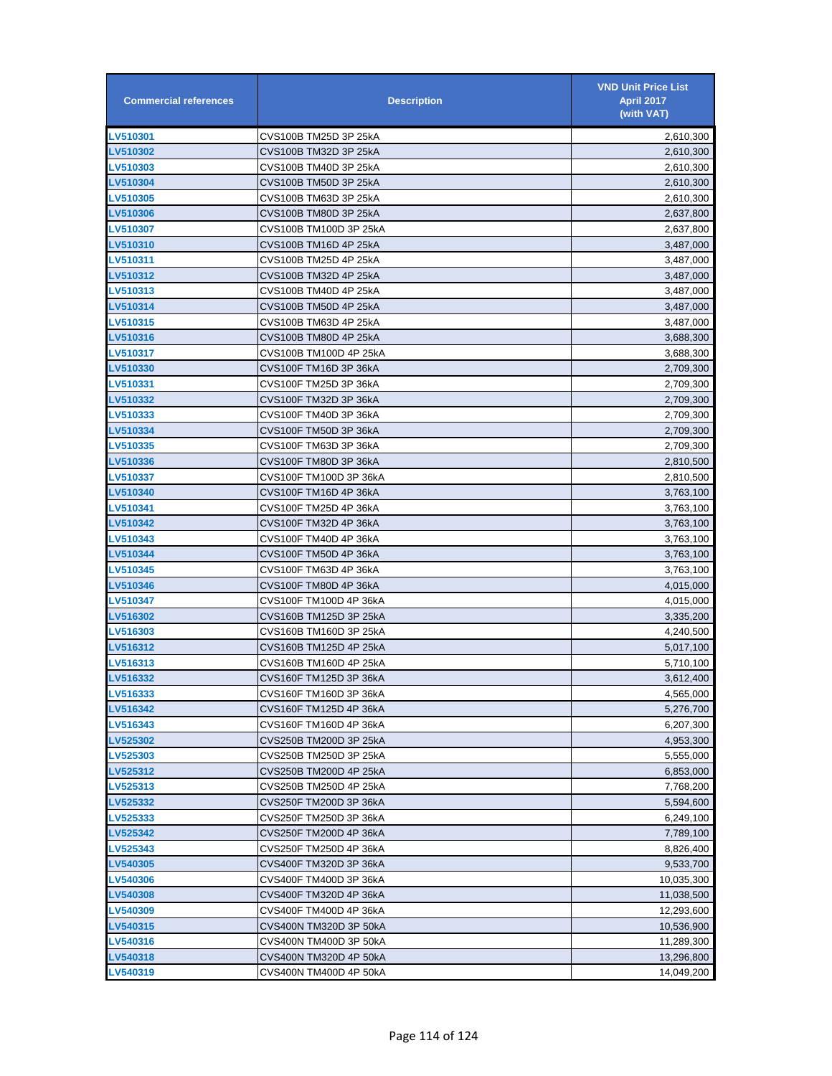| <b>Commercial references</b> | <b>Description</b>     | <b>VND Unit Price List</b><br><b>April 2017</b><br>(with VAT) |
|------------------------------|------------------------|---------------------------------------------------------------|
| LV510301                     | CVS100B TM25D 3P 25kA  | 2,610,300                                                     |
| LV510302                     | CVS100B TM32D 3P 25kA  | 2,610,300                                                     |
| LV510303                     | CVS100B TM40D 3P 25kA  | 2,610,300                                                     |
| LV510304                     | CVS100B TM50D 3P 25kA  | 2,610,300                                                     |
| <b>LV510305</b>              | CVS100B TM63D 3P 25kA  | 2,610,300                                                     |
| LV510306                     | CVS100B TM80D 3P 25kA  | 2,637,800                                                     |
| <b>LV510307</b>              | CVS100B TM100D 3P 25kA | 2,637,800                                                     |
| <b>LV510310</b>              | CVS100B TM16D 4P 25kA  | 3,487,000                                                     |
| LV510311                     | CVS100B TM25D 4P 25kA  | 3,487,000                                                     |
| <b>LV510312</b>              | CVS100B TM32D 4P 25kA  | 3,487,000                                                     |
| LV510313                     | CVS100B TM40D 4P 25kA  | 3,487,000                                                     |
| LV510314                     | CVS100B TM50D 4P 25kA  | 3,487,000                                                     |
| LV510315                     | CVS100B TM63D 4P 25kA  | 3,487,000                                                     |
| LV510316                     | CVS100B TM80D 4P 25kA  | 3,688,300                                                     |
| <b>LV510317</b>              | CVS100B TM100D 4P 25kA | 3,688,300                                                     |
| LV510330                     | CVS100F TM16D 3P 36kA  | 2,709,300                                                     |
| LV510331                     | CVS100F TM25D 3P 36kA  | 2,709,300                                                     |
| <b>LV510332</b>              | CVS100F TM32D 3P 36kA  | 2,709,300                                                     |
| LV510333                     | CVS100F TM40D 3P 36kA  | 2,709,300                                                     |
| LV510334                     | CVS100F TM50D 3P 36kA  | 2,709,300                                                     |
| LV510335                     | CVS100F TM63D 3P 36kA  | 2,709,300                                                     |
| LV510336                     | CVS100F TM80D 3P 36kA  | 2,810,500                                                     |
| LV510337                     | CVS100F TM100D 3P 36kA | 2,810,500                                                     |
| LV510340                     | CVS100F TM16D 4P 36kA  | 3,763,100                                                     |
| <b>LV510341</b>              | CVS100F TM25D 4P 36kA  | 3,763,100                                                     |
| LV510342                     | CVS100F TM32D 4P 36kA  | 3,763,100                                                     |
| <b>LV510343</b>              | CVS100F TM40D 4P 36kA  | 3,763,100                                                     |
| <b>LV510344</b>              | CVS100F TM50D 4P 36kA  | 3,763,100                                                     |
| <b>LV510345</b>              | CVS100F TM63D 4P 36kA  | 3,763,100                                                     |
| LV510346                     | CVS100F TM80D 4P 36kA  | 4,015,000                                                     |
| LV510347                     | CVS100F TM100D 4P 36kA | 4,015,000                                                     |
| LV516302                     | CVS160B TM125D 3P 25kA | 3,335,200                                                     |
| LV516303                     | CVS160B TM160D 3P 25kA | 4,240,500                                                     |
| LV516312                     | CVS160B TM125D 4P 25kA | 5,017,100                                                     |
| LV516313                     | CVS160B TM160D 4P 25kA | 5,710,100                                                     |
| LV516332                     | CVS160F TM125D 3P 36kA | 3,612,400                                                     |
| LV516333                     | CVS160F TM160D 3P 36kA | 4,565,000                                                     |
| LV516342                     | CVS160F TM125D 4P 36kA | 5,276,700                                                     |
| LV516343                     | CVS160F TM160D 4P 36kA | 6,207,300                                                     |
| LV525302                     | CVS250B TM200D 3P 25kA | 4,953,300                                                     |
| LV525303                     | CVS250B TM250D 3P 25kA | 5,555,000                                                     |
| LV525312                     | CVS250B TM200D 4P 25kA | 6,853,000                                                     |
| LV525313                     | CVS250B TM250D 4P 25kA | 7,768,200                                                     |
| <b>LV525332</b>              | CVS250F TM200D 3P 36kA | 5,594,600                                                     |
| <b>LV525333</b>              | CVS250F TM250D 3P 36kA | 6,249,100                                                     |
| LV525342                     | CVS250F TM200D 4P 36kA | 7,789,100                                                     |
| <b>LV525343</b>              | CVS250F TM250D 4P 36kA | 8,826,400                                                     |
| LV540305                     | CVS400F TM320D 3P 36kA | 9,533,700                                                     |
| <b>LV540306</b>              | CVS400F TM400D 3P 36kA | 10,035,300                                                    |
| LV540308                     | CVS400F TM320D 4P 36kA | 11,038,500                                                    |
| LV540309                     | CVS400F TM400D 4P 36kA | 12,293,600                                                    |
| LV540315                     | CVS400N TM320D 3P 50kA | 10,536,900                                                    |
| LV540316                     | CVS400N TM400D 3P 50kA | 11,289,300                                                    |
| LV540318                     | CVS400N TM320D 4P 50kA | 13,296,800                                                    |
| LV540319                     | CVS400N TM400D 4P 50kA | 14,049,200                                                    |
|                              |                        |                                                               |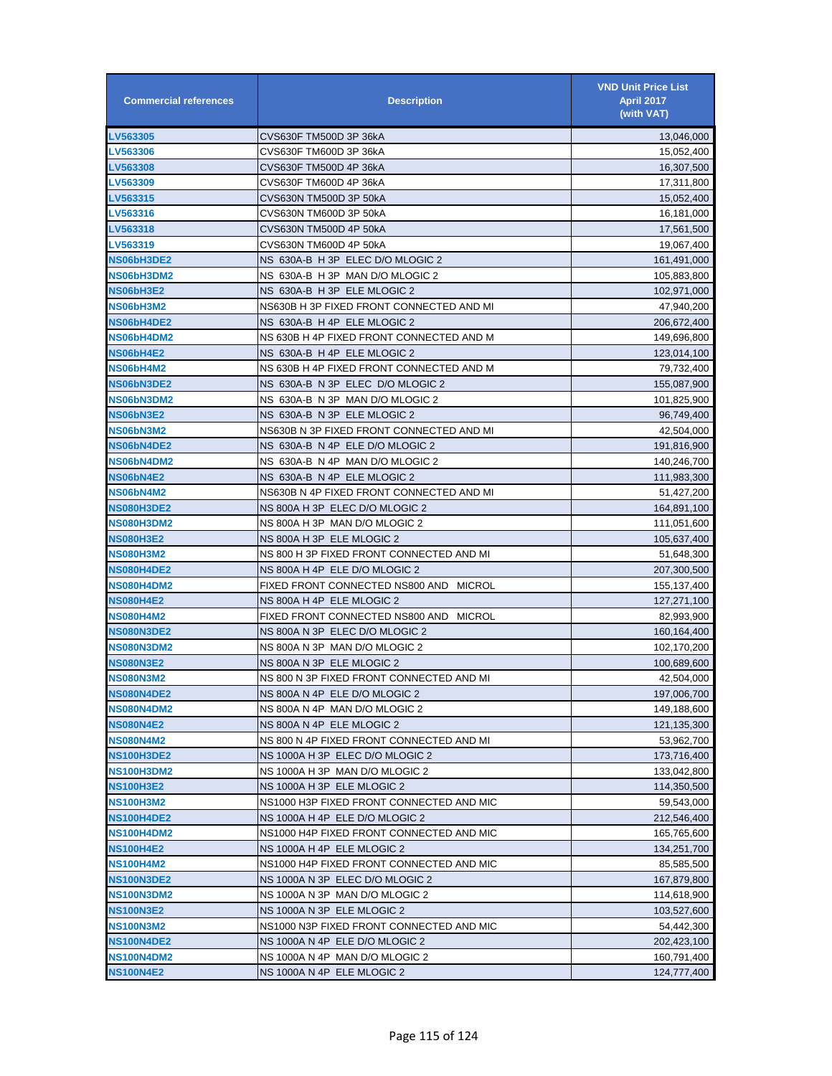| <b>Commercial references</b> | <b>Description</b>                       | <b>VND Unit Price List</b><br>April 2017<br>(with VAT) |
|------------------------------|------------------------------------------|--------------------------------------------------------|
| LV563305                     | CVS630F TM500D 3P 36kA                   | 13,046,000                                             |
| LV563306                     | CVS630F TM600D 3P 36kA                   | 15,052,400                                             |
| LV563308                     | CVS630F TM500D 4P 36kA                   | 16,307,500                                             |
| LV563309                     | CVS630F TM600D 4P 36kA                   | 17,311,800                                             |
| LV563315                     | CVS630N TM500D 3P 50kA                   | 15,052,400                                             |
| LV563316                     | CVS630N TM600D 3P 50kA                   | 16,181,000                                             |
| LV563318                     | CVS630N TM500D 4P 50kA                   | 17,561,500                                             |
| LV563319                     | CVS630N TM600D 4P 50kA                   | 19,067,400                                             |
| NS06bH3DE2                   | NS 630A-B H 3P ELEC D/O MLOGIC 2         | 161,491,000                                            |
| NS06bH3DM2                   | NS 630A-B H 3P MAN D/O MLOGIC 2          | 105,883,800                                            |
| <b>NS06bH3E2</b>             | NS 630A-B H 3P ELE MLOGIC 2              | 102,971,000                                            |
| <b>NS06bH3M2</b>             | NS630B H 3P FIXED FRONT CONNECTED AND MI | 47,940,200                                             |
| NS06bH4DE2                   | NS 630A-B H 4P ELE MLOGIC 2              | 206,672,400                                            |
| NS06bH4DM2                   | NS 630B H 4P FIXED FRONT CONNECTED AND M | 149,696,800                                            |
| NS06bH4E2                    | NS 630A-B H 4P ELE MLOGIC 2              | 123,014,100                                            |
| <b>NS06bH4M2</b>             | NS 630B H 4P FIXED FRONT CONNECTED AND M | 79,732,400                                             |
| NS06bN3DE2                   | NS 630A-B N 3P ELEC D/O MLOGIC 2         | 155,087,900                                            |
| NS06bN3DM2                   | NS 630A-B N 3P MAN D/O MLOGIC 2          | 101,825,900                                            |
| NS06bN3E2                    | NS 630A-B N 3P ELE MLOGIC 2              | 96,749,400                                             |
| NS06bN3M2                    | NS630B N 3P FIXED FRONT CONNECTED AND MI | 42,504,000                                             |
| NS06bN4DE2                   | NS 630A-B N 4P ELE D/O MLOGIC 2          | 191,816,900                                            |
| NS06bN4DM2                   | NS 630A-B N 4P MAN D/O MLOGIC 2          | 140,246,700                                            |
| <b>NS06bN4E2</b>             | NS 630A-B N 4P ELE MLOGIC 2              | 111,983,300                                            |
| NS06bN4M2                    | NS630B N 4P FIXED FRONT CONNECTED AND MI | 51,427,200                                             |
| <b>NS080H3DE2</b>            | NS 800A H 3P ELEC D/O MLOGIC 2           | 164,891,100                                            |
| <b>NS080H3DM2</b>            | NS 800A H 3P MAN D/O MLOGIC 2            | 111,051,600                                            |
| <b>NS080H3E2</b>             | NS 800A H 3P ELE MLOGIC 2                | 105,637,400                                            |
| <b>NS080H3M2</b>             | NS 800 H 3P FIXED FRONT CONNECTED AND MI | 51,648,300                                             |
| <b>NS080H4DE2</b>            | NS 800A H 4P ELE D/O MLOGIC 2            | 207,300,500                                            |
| <b>NS080H4DM2</b>            | FIXED FRONT CONNECTED NS800 AND MICROL   | 155,137,400                                            |
| <b>NS080H4E2</b>             | NS 800A H 4P ELE MLOGIC 2                |                                                        |
| <b>NS080H4M2</b>             | FIXED FRONT CONNECTED NS800 AND MICROL   | 127,271,100<br>82,993,900                              |
| <b>NS080N3DE2</b>            | NS 800A N 3P ELEC D/O MLOGIC 2           |                                                        |
|                              |                                          | 160,164,400                                            |
| <b>NS080N3DM2</b>            | NS 800A N 3P MAN D/O MLOGIC 2            | 102,170,200                                            |
| <b>NS080N3E2</b>             | NS 800A N 3P ELE MLOGIC 2                | 100,689,600                                            |
| <b>NS080N3M2</b>             | NS 800 N 3P FIXED FRONT CONNECTED AND MI | 42,504,000                                             |
| <b>NS080N4DE2</b>            | NS 800A N 4P ELE D/O MLOGIC 2            | 197,006,700                                            |
| <b>NS080N4DM2</b>            | NS 800A N 4P MAN D/O MLOGIC 2            | 149,188,600                                            |
| <b>NS080N4E2</b>             | NS 800A N 4P ELE MLOGIC 2                | 121,135,300                                            |
| <b>NS080N4M2</b>             | NS 800 N 4P FIXED FRONT CONNECTED AND MI | 53,962,700                                             |
| <b>NS100H3DE2</b>            | NS 1000A H 3P ELEC D/O MLOGIC 2          | 173,716,400                                            |
| <b>NS100H3DM2</b>            | NS 1000A H 3P MAN D/O MLOGIC 2           | 133,042,800                                            |
| <b>NS100H3E2</b>             | NS 1000A H 3P ELE MLOGIC 2               | 114,350,500                                            |
| <b>NS100H3M2</b>             | NS1000 H3P FIXED FRONT CONNECTED AND MIC | 59,543,000                                             |
| <b>NS100H4DE2</b>            | NS 1000A H 4P ELE D/O MLOGIC 2           | 212,546,400                                            |
| <b>NS100H4DM2</b>            | NS1000 H4P FIXED FRONT CONNECTED AND MIC | 165,765,600                                            |
| <b>NS100H4E2</b>             | NS 1000A H 4P ELE MLOGIC 2               | 134,251,700                                            |
| <b>NS100H4M2</b>             | NS1000 H4P FIXED FRONT CONNECTED AND MIC | 85,585,500                                             |
| <b>NS100N3DE2</b>            | NS 1000A N 3P ELEC D/O MLOGIC 2          | 167,879,800                                            |
| NS100N3DM2                   | NS 1000A N 3P MAN D/O MLOGIC 2           | 114,618,900                                            |
| <b>NS100N3E2</b>             | NS 1000A N 3P ELE MLOGIC 2               | 103,527,600                                            |
| <b>NS100N3M2</b>             | NS1000 N3P FIXED FRONT CONNECTED AND MIC | 54,442,300                                             |
| <b>NS100N4DE2</b>            | NS 1000A N 4P ELE D/O MLOGIC 2           | 202,423,100                                            |
| <b>NS100N4DM2</b>            | NS 1000A N 4P MAN D/O MLOGIC 2           | 160,791,400                                            |
| <b>NS100N4E2</b>             | NS 1000A N 4P ELE MLOGIC 2               | 124,777,400                                            |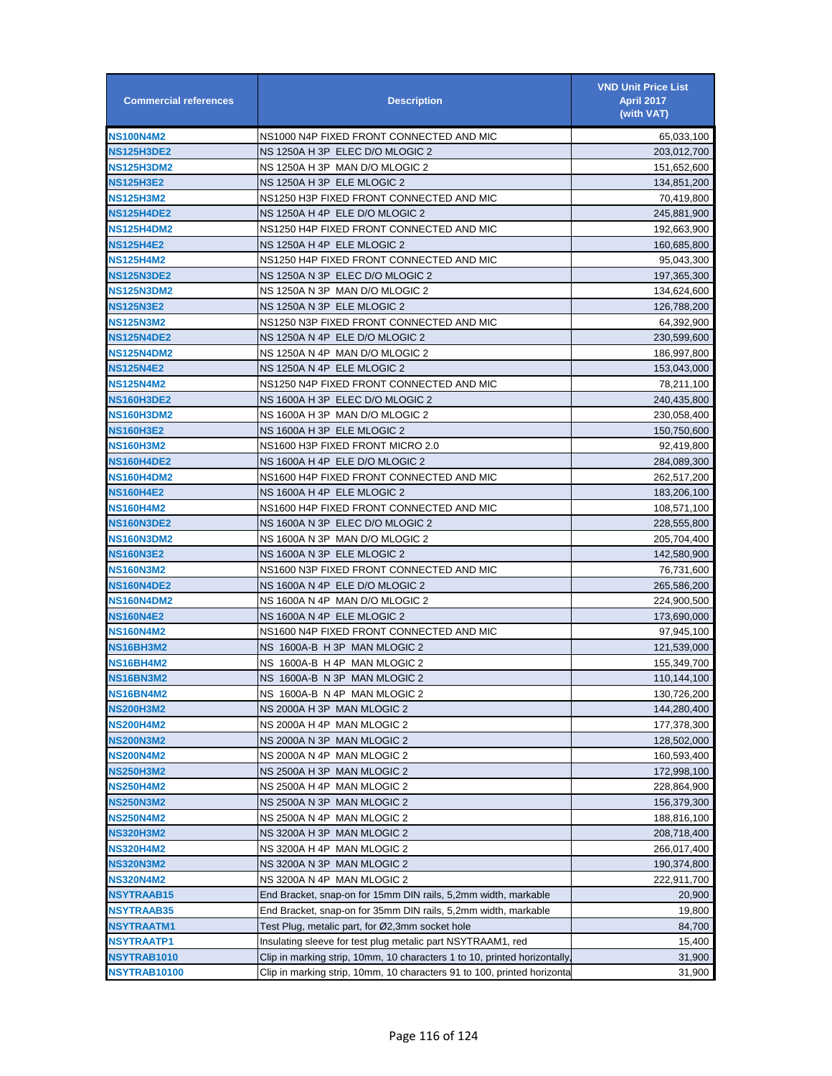| <b>Commercial references</b> | <b>Description</b>                                                       | <b>VND Unit Price List</b><br><b>April 2017</b><br>(with VAT) |
|------------------------------|--------------------------------------------------------------------------|---------------------------------------------------------------|
| <b>NS100N4M2</b>             | NS1000 N4P FIXED FRONT CONNECTED AND MIC                                 | 65,033,100                                                    |
| <b>NS125H3DE2</b>            | NS 1250A H 3P ELEC D/O MLOGIC 2                                          | 203,012,700                                                   |
| <b>NS125H3DM2</b>            | NS 1250A H 3P MAN D/O MLOGIC 2                                           | 151,652,600                                                   |
| <b>NS125H3E2</b>             | NS 1250A H 3P ELE MLOGIC 2                                               | 134,851,200                                                   |
| <b>NS125H3M2</b>             | NS1250 H3P FIXED FRONT CONNECTED AND MIC                                 | 70,419,800                                                    |
| <b>NS125H4DE2</b>            | NS 1250A H 4P ELE D/O MLOGIC 2                                           | 245,881,900                                                   |
| <b>NS125H4DM2</b>            | NS1250 H4P FIXED FRONT CONNECTED AND MIC                                 | 192,663,900                                                   |
| <b>NS125H4E2</b>             | NS 1250A H 4P ELE MLOGIC 2                                               | 160,685,800                                                   |
| <b>NS125H4M2</b>             | NS1250 H4P FIXED FRONT CONNECTED AND MIC                                 | 95,043,300                                                    |
| <b>NS125N3DE2</b>            | NS 1250A N 3P ELEC D/O MLOGIC 2                                          | 197,365,300                                                   |
| <b>NS125N3DM2</b>            | NS 1250A N 3P MAN D/O MLOGIC 2                                           | 134,624,600                                                   |
| <b>NS125N3E2</b>             | NS 1250A N 3P ELE MLOGIC 2                                               | 126,788,200                                                   |
| <b>NS125N3M2</b>             | NS1250 N3P FIXED FRONT CONNECTED AND MIC                                 | 64,392,900                                                    |
| <b>NS125N4DE2</b>            | NS 1250A N 4P ELE D/O MLOGIC 2                                           | 230,599,600                                                   |
| <b>NS125N4DM2</b>            | NS 1250A N 4P MAN D/O MLOGIC 2                                           | 186,997,800                                                   |
| <b>NS125N4E2</b>             | NS 1250A N 4P ELE MLOGIC 2                                               | 153,043,000                                                   |
| <b>NS125N4M2</b>             | NS1250 N4P FIXED FRONT CONNECTED AND MIC                                 | 78,211,100                                                    |
| <b>NS160H3DE2</b>            | NS 1600A H 3P ELEC D/O MLOGIC 2                                          | 240,435,800                                                   |
| <b>NS160H3DM2</b>            | NS 1600A H 3P MAN D/O MLOGIC 2                                           | 230,058,400                                                   |
| <b>NS160H3E2</b>             | NS 1600A H 3P ELE MLOGIC 2                                               | 150,750,600                                                   |
| <b>NS160H3M2</b>             | NS1600 H3P FIXED FRONT MICRO 2.0                                         | 92,419,800                                                    |
| <b>NS160H4DE2</b>            | NS 1600A H 4P ELE D/O MLOGIC 2                                           | 284,089,300                                                   |
| <b>NS160H4DM2</b>            | NS1600 H4P FIXED FRONT CONNECTED AND MIC                                 | 262,517,200                                                   |
| <b>NS160H4E2</b>             | NS 1600A H 4P ELE MLOGIC 2                                               | 183,206,100                                                   |
| <b>NS160H4M2</b>             | NS1600 H4P FIXED FRONT CONNECTED AND MIC                                 | 108,571,100                                                   |
| <b>NS160N3DE2</b>            | NS 1600A N 3P ELEC D/O MLOGIC 2                                          | 228,555,800                                                   |
| <b>NS160N3DM2</b>            | NS 1600A N 3P MAN D/O MLOGIC 2                                           | 205,704,400                                                   |
| <b>NS160N3E2</b>             | NS 1600A N 3P ELE MLOGIC 2                                               | 142,580,900                                                   |
| <b>NS160N3M2</b>             | NS1600 N3P FIXED FRONT CONNECTED AND MIC                                 | 76,731,600                                                    |
| <b>NS160N4DE2</b>            | NS 1600A N 4P ELE D/O MLOGIC 2                                           | 265,586,200                                                   |
| <b>NS160N4DM2</b>            | NS 1600A N 4P MAN D/O MLOGIC 2                                           | 224,900,500                                                   |
| <b>NS160N4E2</b>             | NS 1600A N 4P ELE MLOGIC 2                                               | 173,690,000                                                   |
| <b>NS160N4M2</b>             | NS1600 N4P FIXED FRONT CONNECTED AND MIC                                 | 97,945,100                                                    |
| <b>NS16BH3M2</b>             | NS 1600A-B H 3P MAN MLOGIC 2                                             | 121,539,000                                                   |
| NS16BH4M2                    | NS 1600A-B H 4P MAN MLOGIC 2                                             | 155,349,700                                                   |
| <b>NS16BN3M2</b>             | NS 1600A-B N 3P MAN MLOGIC 2                                             | 110,144,100                                                   |
| <b>NS16BN4M2</b>             | NS 1600A-B N 4P MAN MLOGIC 2                                             | 130,726,200                                                   |
| <b>NS200H3M2</b>             | NS 2000A H 3P MAN MLOGIC 2                                               | 144,280,400                                                   |
| <b>NS200H4M2</b>             | NS 2000A H 4P MAN MLOGIC 2                                               | 177,378,300                                                   |
| <b>NS200N3M2</b>             | NS 2000A N 3P MAN MLOGIC 2                                               | 128,502,000                                                   |
| <b>NS200N4M2</b>             | NS 2000A N 4P MAN MLOGIC 2                                               | 160,593,400                                                   |
| <b>NS250H3M2</b>             | NS 2500A H 3P MAN MLOGIC 2                                               | 172,998,100                                                   |
| <b>NS250H4M2</b>             | NS 2500A H 4P MAN MLOGIC 2                                               | 228,864,900                                                   |
| <b>NS250N3M2</b>             | NS 2500A N 3P MAN MLOGIC 2                                               | 156,379,300                                                   |
| <b>NS250N4M2</b>             | NS 2500A N 4P MAN MLOGIC 2                                               | 188,816,100                                                   |
| <b>NS320H3M2</b>             | NS 3200A H 3P MAN MLOGIC 2                                               | 208,718,400                                                   |
| <b>NS320H4M2</b>             | NS 3200A H 4P MAN MLOGIC 2                                               | 266,017,400                                                   |
| <b>NS320N3M2</b>             | NS 3200A N 3P MAN MLOGIC 2                                               | 190,374,800                                                   |
| <b>NS320N4M2</b>             | NS 3200A N 4P MAN MLOGIC 2                                               | 222,911,700                                                   |
| <b>NSYTRAAB15</b>            | End Bracket, snap-on for 15mm DIN rails, 5,2mm width, markable           | 20,900                                                        |
| <b>NSYTRAAB35</b>            | End Bracket, snap-on for 35mm DIN rails, 5,2mm width, markable           | 19,800                                                        |
| <b>NSYTRAATM1</b>            | Test Plug, metalic part, for Ø2,3mm socket hole                          | 84,700                                                        |
| NSYTRAATP1                   | Insulating sleeve for test plug metalic part NSYTRAAM1, red              | 15,400                                                        |
| NSYTRAB1010                  | Clip in marking strip, 10mm, 10 characters 1 to 10, printed horizontally | 31,900                                                        |
| NSYTRAB10100                 | Clip in marking strip, 10mm, 10 characters 91 to 100, printed horizonta  | 31,900                                                        |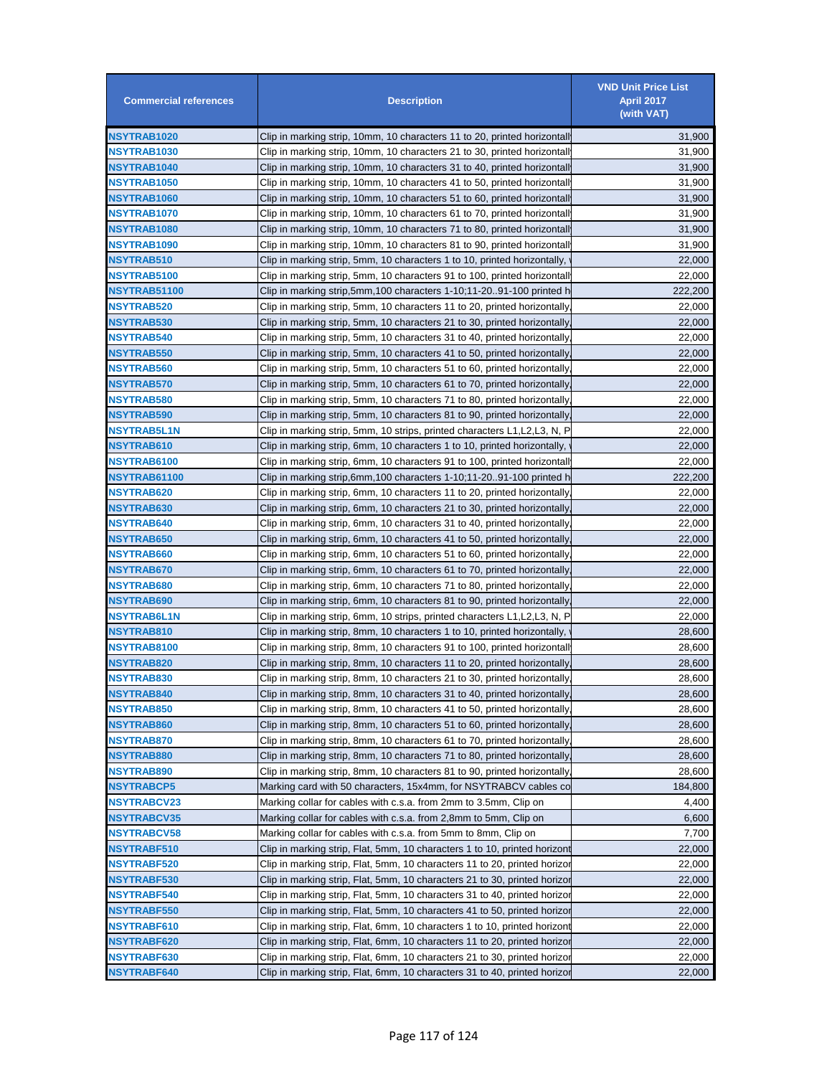| <b>Commercial references</b> | <b>Description</b>                                                         | <b>VND Unit Price List</b><br><b>April 2017</b><br>(with VAT) |
|------------------------------|----------------------------------------------------------------------------|---------------------------------------------------------------|
| NSYTRAB1020                  | Clip in marking strip, 10mm, 10 characters 11 to 20, printed horizontall   | 31,900                                                        |
| <b>NSYTRAB1030</b>           | Clip in marking strip, 10mm, 10 characters 21 to 30, printed horizontall   | 31,900                                                        |
| NSYTRAB1040                  | Clip in marking strip, 10mm, 10 characters 31 to 40, printed horizontall   | 31,900                                                        |
| NSYTRAB1050                  | Clip in marking strip, 10mm, 10 characters 41 to 50, printed horizontall   | 31,900                                                        |
| NSYTRAB1060                  | Clip in marking strip, 10mm, 10 characters 51 to 60, printed horizontall   | 31,900                                                        |
| <b>NSYTRAB1070</b>           | Clip in marking strip, 10mm, 10 characters 61 to 70, printed horizontall   | 31,900                                                        |
| NSYTRAB1080                  | Clip in marking strip, 10mm, 10 characters 71 to 80, printed horizontall   | 31,900                                                        |
| NSYTRAB1090                  | Clip in marking strip, 10mm, 10 characters 81 to 90, printed horizontall   | 31,900                                                        |
| <b>NSYTRAB510</b>            | Clip in marking strip, 5mm, 10 characters 1 to 10, printed horizontally,   | 22,000                                                        |
| <b>NSYTRAB5100</b>           | Clip in marking strip, 5mm, 10 characters 91 to 100, printed horizontall   | 22,000                                                        |
| NSYTRAB51100                 | Clip in marking strip,5mm,100 characters 1-10;11-2091-100 printed h        | 222,200                                                       |
| <b>NSYTRAB520</b>            | Clip in marking strip, 5mm, 10 characters 11 to 20, printed horizontally   | 22,000                                                        |
| <b>NSYTRAB530</b>            | Clip in marking strip, 5mm, 10 characters 21 to 30, printed horizontally   | 22,000                                                        |
| NSYTRAB540                   | Clip in marking strip, 5mm, 10 characters 31 to 40, printed horizontally   | 22,000                                                        |
| NSYTRAB550                   | Clip in marking strip, 5mm, 10 characters 41 to 50, printed horizontally   | 22,000                                                        |
| NSYTRAB560                   | Clip in marking strip, 5mm, 10 characters 51 to 60, printed horizontally   | 22,000                                                        |
| NSYTRAB570                   | Clip in marking strip, 5mm, 10 characters 61 to 70, printed horizontally   | 22,000                                                        |
| NSYTRAB580                   | Clip in marking strip, 5mm, 10 characters 71 to 80, printed horizontally   | 22,000                                                        |
| NSYTRAB590                   | Clip in marking strip, 5mm, 10 characters 81 to 90, printed horizontally   | 22,000                                                        |
| <b>NSYTRAB5L1N</b>           | Clip in marking strip, 5mm, 10 strips, printed characters L1,L2,L3, N, P   | 22,000                                                        |
| NSYTRAB610                   | Clip in marking strip, 6mm, 10 characters 1 to 10, printed horizontally,   | 22,000                                                        |
| NSYTRAB6100                  |                                                                            | 22,000                                                        |
| NSYTRAB61100                 | Clip in marking strip, 6mm, 10 characters 91 to 100, printed horizontall   |                                                               |
|                              | Clip in marking strip,6mm,100 characters 1-10;11-2091-100 printed h        | 222,200                                                       |
| <b>NSYTRAB620</b>            | Clip in marking strip, 6mm, 10 characters 11 to 20, printed horizontally   | 22,000                                                        |
| <b>NSYTRAB630</b>            | Clip in marking strip, 6mm, 10 characters 21 to 30, printed horizontally   | 22,000                                                        |
| <b>NSYTRAB640</b>            | Clip in marking strip, 6mm, 10 characters 31 to 40, printed horizontally   | 22,000                                                        |
| NSYTRAB650                   | Clip in marking strip, 6mm, 10 characters 41 to 50, printed horizontally   | 22,000                                                        |
| NSYTRAB660                   | Clip in marking strip, 6mm, 10 characters 51 to 60, printed horizontally   | 22,000                                                        |
| NSYTRAB670                   | Clip in marking strip, 6mm, 10 characters 61 to 70, printed horizontally   | 22,000                                                        |
| <b>NSYTRAB680</b>            | Clip in marking strip, 6mm, 10 characters 71 to 80, printed horizontally   | 22,000                                                        |
| <b>NSYTRAB690</b>            | Clip in marking strip, 6mm, 10 characters 81 to 90, printed horizontally   | 22,000                                                        |
| NSYTRAB6L1N                  | Clip in marking strip, 6mm, 10 strips, printed characters L1, L2, L3, N, P | 22,000                                                        |
| NSYTRAB810                   | Clip in marking strip, 8mm, 10 characters 1 to 10, printed horizontally,   | 28,600                                                        |
| NSYTRAB8100                  | Clip in marking strip, 8mm, 10 characters 91 to 100, printed horizontall   | 28,600                                                        |
| NSYTRAB820                   | Clip in marking strip, 8mm, 10 characters 11 to 20, printed horizontally   | 28,600                                                        |
| <b>NSYTRAB830</b>            | Clip in marking strip, 8mm, 10 characters 21 to 30, printed horizontally,  | 28,600                                                        |
| <b>NSYTRAB840</b>            | Clip in marking strip, 8mm, 10 characters 31 to 40, printed horizontally   | 28,600                                                        |
| NSYTRAB850                   | Clip in marking strip, 8mm, 10 characters 41 to 50, printed horizontally   | 28,600                                                        |
| <b>NSYTRAB860</b>            | Clip in marking strip, 8mm, 10 characters 51 to 60, printed horizontally   | 28,600                                                        |
| <b>NSYTRAB870</b>            | Clip in marking strip, 8mm, 10 characters 61 to 70, printed horizontally   | 28,600                                                        |
| NSYTRAB880                   | Clip in marking strip, 8mm, 10 characters 71 to 80, printed horizontally   | 28,600                                                        |
| NSYTRAB890                   | Clip in marking strip, 8mm, 10 characters 81 to 90, printed horizontally   | 28,600                                                        |
| <b>NSYTRABCP5</b>            | Marking card with 50 characters, 15x4mm, for NSYTRABCV cables co           | 184,800                                                       |
| <b>NSYTRABCV23</b>           | Marking collar for cables with c.s.a. from 2mm to 3.5mm, Clip on           | 4,400                                                         |
| <b>NSYTRABCV35</b>           | Marking collar for cables with c.s.a. from 2,8mm to 5mm, Clip on           | 6,600                                                         |
| <b>NSYTRABCV58</b>           | Marking collar for cables with c.s.a. from 5mm to 8mm, Clip on             | 7,700                                                         |
| NSYTRABF510                  | Clip in marking strip, Flat, 5mm, 10 characters 1 to 10, printed horizont  | 22,000                                                        |
| <b>NSYTRABF520</b>           | Clip in marking strip, Flat, 5mm, 10 characters 11 to 20, printed horizoı  | 22,000                                                        |
| <b>NSYTRABF530</b>           | Clip in marking strip, Flat, 5mm, 10 characters 21 to 30, printed horizoı  | 22,000                                                        |
| <b>NSYTRABF540</b>           | Clip in marking strip, Flat, 5mm, 10 characters 31 to 40, printed horizor  | 22,000                                                        |
| <b>NSYTRABF550</b>           | Clip in marking strip, Flat, 5mm, 10 characters 41 to 50, printed horizor  | 22,000                                                        |
| <b>NSYTRABF610</b>           | Clip in marking strip, Flat, 6mm, 10 characters 1 to 10, printed horizont  | 22,000                                                        |
| NSYTRABF620                  | Clip in marking strip, Flat, 6mm, 10 characters 11 to 20, printed horizoı  | 22,000                                                        |
| <b>NSYTRABF630</b>           | Clip in marking strip, Flat, 6mm, 10 characters 21 to 30, printed horizor  | 22,000                                                        |
| NSYTRABF640                  | Clip in marking strip, Flat, 6mm, 10 characters 31 to 40, printed horizor  | 22,000                                                        |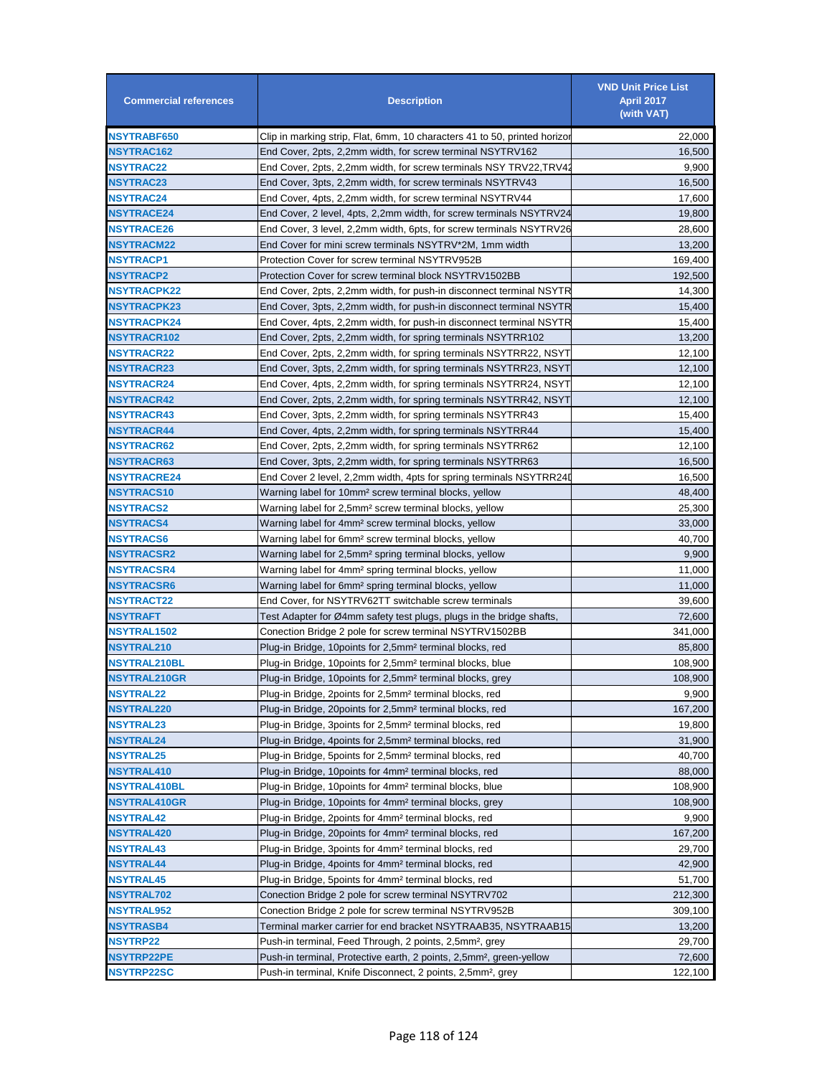| <b>Commercial references</b> | <b>Description</b>                                                              | <b>VND Unit Price List</b><br><b>April 2017</b><br>(with VAT) |
|------------------------------|---------------------------------------------------------------------------------|---------------------------------------------------------------|
| <b>NSYTRABF650</b>           | Clip in marking strip, Flat, 6mm, 10 characters 41 to 50, printed horizor       | 22,000                                                        |
| <b>NSYTRAC162</b>            | End Cover, 2pts, 2,2mm width, for screw terminal NSYTRV162                      | 16,500                                                        |
| <b>NSYTRAC22</b>             | End Cover, 2pts, 2,2mm width, for screw terminals NSY TRV22, TRV42              | 9,900                                                         |
| NSYTRAC23                    | End Cover, 3pts, 2,2mm width, for screw terminals NSYTRV43                      | 16,500                                                        |
| NSYTRAC24                    | End Cover, 4pts, 2,2mm width, for screw terminal NSYTRV44                       | 17,600                                                        |
| <b>NSYTRACE24</b>            | End Cover, 2 level, 4pts, 2,2mm width, for screw terminals NSYTRV24             | 19,800                                                        |
| <b>NSYTRACE26</b>            | End Cover, 3 level, 2,2mm width, 6pts, for screw terminals NSYTRV26             | 28,600                                                        |
| NSYTRACM22                   | End Cover for mini screw terminals NSYTRV*2M, 1mm width                         | 13,200                                                        |
| <b>NSYTRACP1</b>             | Protection Cover for screw terminal NSYTRV952B                                  | 169,400                                                       |
| NSYTRACP2                    | Protection Cover for screw terminal block NSYTRV1502BB                          | 192,500                                                       |
| <b>NSYTRACPK22</b>           | End Cover, 2pts, 2,2mm width, for push-in disconnect terminal NSYTR             | 14,300                                                        |
| <b>NSYTRACPK23</b>           | End Cover, 3pts, 2,2mm width, for push-in disconnect terminal NSYTR             | 15,400                                                        |
| <b>NSYTRACPK24</b>           | End Cover, 4pts, 2,2mm width, for push-in disconnect terminal NSYTR             | 15,400                                                        |
| <b>NSYTRACR102</b>           | End Cover, 2pts, 2,2mm width, for spring terminals NSYTRR102                    | 13,200                                                        |
| <b>NSYTRACR22</b>            | End Cover, 2pts, 2,2mm width, for spring terminals NSYTRR22, NSYT               | 12,100                                                        |
| <b>NSYTRACR23</b>            | End Cover, 3pts, 2,2mm width, for spring terminals NSYTRR23, NSYT               | 12,100                                                        |
| <b>NSYTRACR24</b>            | End Cover, 4pts, 2,2mm width, for spring terminals NSYTRR24, NSYT               | 12,100                                                        |
| <b>NSYTRACR42</b>            | End Cover, 2pts, 2,2mm width, for spring terminals NSYTRR42, NSYT               | 12,100                                                        |
| NSYTRACR43                   | End Cover, 3pts, 2,2mm width, for spring terminals NSYTRR43                     | 15,400                                                        |
| <b>NSYTRACR44</b>            | End Cover, 4pts, 2,2mm width, for spring terminals NSYTRR44                     | 15,400                                                        |
| <b>NSYTRACR62</b>            | End Cover, 2pts, 2,2mm width, for spring terminals NSYTRR62                     | 12,100                                                        |
| <b>NSYTRACR63</b>            | End Cover, 3pts, 2,2mm width, for spring terminals NSYTRR63                     | 16,500                                                        |
| <b>NSYTRACRE24</b>           | End Cover 2 level, 2,2mm width, 4pts for spring terminals NSYTRR24D             | 16,500                                                        |
| <b>NSYTRACS10</b>            | Warning label for 10mm <sup>2</sup> screw terminal blocks, yellow               | 48,400                                                        |
| <b>NSYTRACS2</b>             | Warning label for 2,5mm <sup>2</sup> screw terminal blocks, yellow              | 25,300                                                        |
| <b>NSYTRACS4</b>             | Warning label for 4mm <sup>2</sup> screw terminal blocks, yellow                | 33,000                                                        |
| <b>NSYTRACS6</b>             | Warning label for 6mm <del>?</del> screw terminal blocks, yellow                | 40,700                                                        |
| NSYTRACSR2                   | Warning label for 2,5mm <sup>2</sup> spring terminal blocks, yellow             | 9,900                                                         |
| NSYTRACSR4                   | Warning label for 4mm <sup>2</sup> spring terminal blocks, yellow               | 11,000                                                        |
| <b>NSYTRACSR6</b>            | Warning label for 6mm <sup>2</sup> spring terminal blocks, yellow               | 11,000                                                        |
| <b>NSYTRACT22</b>            | End Cover, for NSYTRV62TT switchable screw terminals                            | 39,600                                                        |
| <b>NSYTRAFT</b>              | Test Adapter for Ø4mm safety test plugs, plugs in the bridge shafts,            | 72,600                                                        |
| NSYTRAL1502                  | Conection Bridge 2 pole for screw terminal NSYTRV1502BB                         | 341,000                                                       |
| <b>NSYTRAL210</b>            | Plug-in Bridge, 10 points for 2,5mm <sup>2</sup> terminal blocks, red           | 85,800                                                        |
| <b>NSYTRAL210BL</b>          | Plug-in Bridge, 10 points for 2,5mm <sup>2</sup> terminal blocks, blue          | 108,900                                                       |
| <b>NSYTRAL210GR</b>          | Plug-in Bridge, 10 points for 2,5mm <sup>2</sup> terminal blocks, grey          | 108,900                                                       |
| <b>NSYTRAL22</b>             | Plug-in Bridge, 2points for 2,5mm <sup>2</sup> terminal blocks, red             | 9,900                                                         |
| NSYTRAL220                   | Plug-in Bridge, 20 points for 2,5mm <sup>2</sup> terminal blocks, red           | 167,200                                                       |
| <b>NSYTRAL23</b>             | Plug-in Bridge, 3points for 2,5mm <sup>2</sup> terminal blocks, red             | 19,800                                                        |
| <b>NSYTRAL24</b>             | Plug-in Bridge, 4points for 2,5mm <sup>2</sup> terminal blocks, red             | 31,900                                                        |
| <b>NSYTRAL25</b>             | Plug-in Bridge, 5points for 2,5mm <sup>2</sup> terminal blocks, red             | 40,700                                                        |
| <b>NSYTRAL410</b>            | Plug-in Bridge, 10 points for 4mm <sup>2</sup> terminal blocks, red             | 88,000                                                        |
| <b>NSYTRAL410BL</b>          | Plug-in Bridge, 10 points for 4mm <sup>2</sup> terminal blocks, blue            | 108,900                                                       |
| <b>NSYTRAL410GR</b>          | Plug-in Bridge, 10 points for 4mm <sup>2</sup> terminal blocks, grey            | 108,900                                                       |
| <b>NSYTRAL42</b>             | Plug-in Bridge, 2points for 4mm <sup>2</sup> terminal blocks, red               | 9,900                                                         |
| <b>NSYTRAL420</b>            | Plug-in Bridge, 20 points for 4mm <sup>2</sup> terminal blocks, red             | 167,200                                                       |
| <b>NSYTRAL43</b>             | Plug-in Bridge, 3points for 4mm <sup>2</sup> terminal blocks, red               | 29,700                                                        |
| <b>NSYTRAL44</b>             | Plug-in Bridge, 4points for 4mm <sup>2</sup> terminal blocks, red               | 42,900                                                        |
| <b>NSYTRAL45</b>             | Plug-in Bridge, 5points for 4mm <sup>2</sup> terminal blocks, red               | 51,700                                                        |
| <b>NSYTRAL702</b>            | Conection Bridge 2 pole for screw terminal NSYTRV702                            | 212,300                                                       |
| <b>NSYTRAL952</b>            | Conection Bridge 2 pole for screw terminal NSYTRV952B                           | 309,100                                                       |
| NSYTRASB4                    | Terminal marker carrier for end bracket NSYTRAAB35, NSYTRAAB15                  | 13,200                                                        |
| <b>NSYTRP22</b>              | Push-in terminal, Feed Through, 2 points, 2,5mm <sup>2</sup> , grey             | 29,700                                                        |
| <b>NSYTRP22PE</b>            | Push-in terminal, Protective earth, 2 points, 2,5mm <sup>2</sup> , green-yellow | 72,600                                                        |
| <b>NSYTRP22SC</b>            | Push-in terminal, Knife Disconnect, 2 points, 2,5mm <sup>2</sup> , grey         | 122,100                                                       |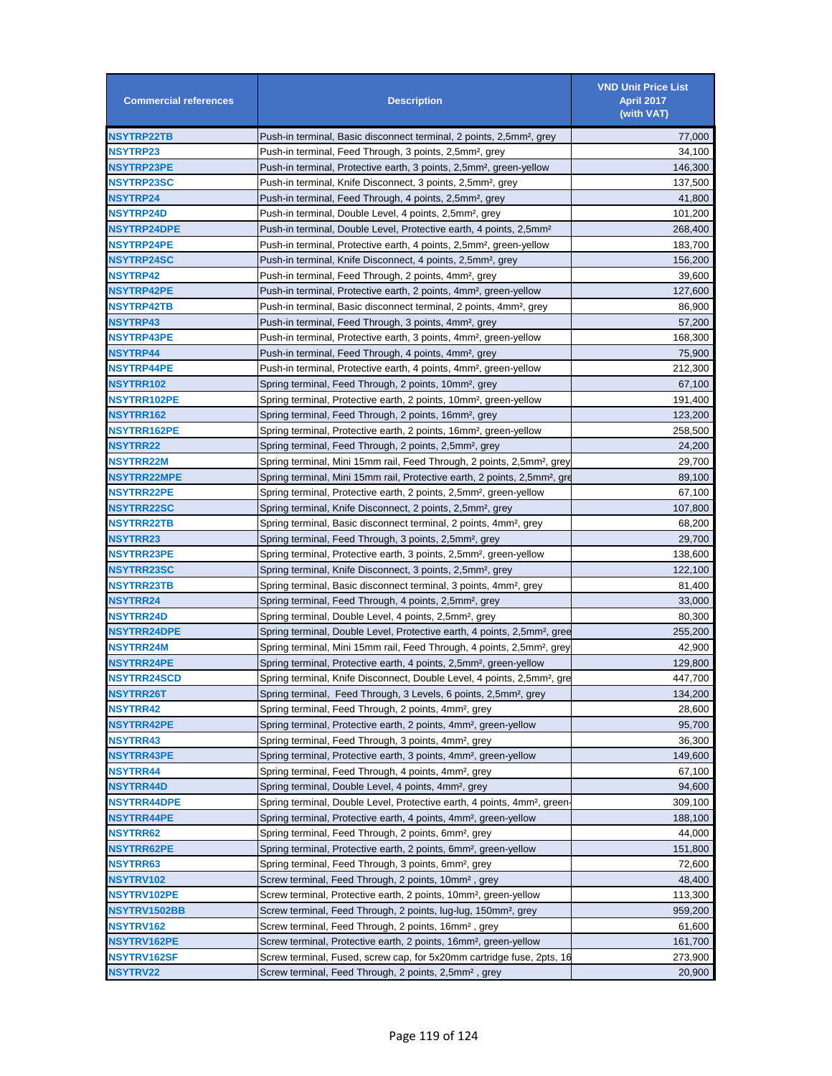| <b>Commercial references</b> | <b>Description</b>                                                                    | <b>VND Unit Price List</b><br><b>April 2017</b><br>(with VAT) |
|------------------------------|---------------------------------------------------------------------------------------|---------------------------------------------------------------|
| <b>NSYTRP22TB</b>            | Push-in terminal, Basic disconnect terminal, 2 points, 2,5mm <sup>2</sup> , grey      | 77,000                                                        |
| <b>NSYTRP23</b>              | Push-in terminal, Feed Through, 3 points, 2,5mm <sup>2</sup> , grey                   | 34,100                                                        |
| <b>NSYTRP23PE</b>            | Push-in terminal, Protective earth, 3 points, 2,5mm <sup>2</sup> , green-yellow       | 146,300                                                       |
| <b>NSYTRP23SC</b>            | Push-in terminal, Knife Disconnect, 3 points, 2,5mm <sup>2</sup> , grey               | 137,500                                                       |
| <b>NSYTRP24</b>              | Push-in terminal, Feed Through, 4 points, 2,5mm <sup>2</sup> , grey                   | 41,800                                                        |
| <b>NSYTRP24D</b>             | Push-in terminal, Double Level, 4 points, 2,5mm <sup>2</sup> , grey                   | 101,200                                                       |
| <b>NSYTRP24DPE</b>           | Push-in terminal, Double Level, Protective earth, 4 points, 2,5mm <sup>2</sup>        | 268,400                                                       |
| <b>NSYTRP24PE</b>            | Push-in terminal, Protective earth, 4 points, 2,5mm <sup>2</sup> , green-yellow       | 183,700                                                       |
| <b>NSYTRP24SC</b>            | Push-in terminal, Knife Disconnect, 4 points, 2,5mm <sup>2</sup> , grey               | 156,200                                                       |
| NSYTRP42                     | Push-in terminal, Feed Through, 2 points, 4mm <sup>2</sup> , grey                     | 39,600                                                        |
| <b>NSYTRP42PE</b>            | Push-in terminal, Protective earth, 2 points, 4mm <sup>2</sup> , green-yellow         | 127,600                                                       |
| NSYTRP42TB                   | Push-in terminal, Basic disconnect terminal, 2 points, 4mm <sup>2</sup> , grey        | 86,900                                                        |
| <b>NSYTRP43</b>              | Push-in terminal, Feed Through, 3 points, 4mm <sup>2</sup> , grey                     | 57,200                                                        |
| <b>NSYTRP43PE</b>            | Push-in terminal, Protective earth, 3 points, 4mm <sup>2</sup> , green-yellow         | 168,300                                                       |
| <b>NSYTRP44</b>              | Push-in terminal, Feed Through, 4 points, 4mm <sup>2</sup> , grey                     | 75,900                                                        |
| <b>NSYTRP44PE</b>            | Push-in terminal, Protective earth, 4 points, 4mm <sup>2</sup> , green-yellow         | 212,300                                                       |
| NSYTRR102                    | Spring terminal, Feed Through, 2 points, 10mm², grey                                  | 67,100                                                        |
| <b>NSYTRR102PE</b>           | Spring terminal, Protective earth, 2 points, 10mm <sup>2</sup> , green-yellow         | 191,400                                                       |
| NSYTRR162                    | Spring terminal, Feed Through, 2 points, 16mm <sup>2</sup> , grey                     | 123,200                                                       |
| NSYTRR162PE                  | Spring terminal, Protective earth, 2 points, 16mm <sup>2</sup> , green-yellow         | 258,500                                                       |
| <b>NSYTRR22</b>              | Spring terminal, Feed Through, 2 points, 2,5mm <sup>2</sup> , grey                    | 24,200                                                        |
| NSYTRR22M                    | Spring terminal, Mini 15mm rail, Feed Through, 2 points, 2,5mm <sup>2</sup> , grey    | 29,700                                                        |
| <b>NSYTRR22MPE</b>           | Spring terminal, Mini 15mm rail, Protective earth, 2 points, 2,5mm <sup>2</sup> , gre | 89,100                                                        |
| <b>NSYTRR22PE</b>            | Spring terminal, Protective earth, 2 points, 2,5mm <sup>2</sup> , green-yellow        | 67,100                                                        |
| <b>NSYTRR22SC</b>            | Spring terminal, Knife Disconnect, 2 points, 2,5mm <sup>2</sup> , grey                | 107,800                                                       |
| <b>NSYTRR22TB</b>            | Spring terminal, Basic disconnect terminal, 2 points, 4mm <sup>2</sup> , grey         | 68,200                                                        |
| <b>NSYTRR23</b>              | Spring terminal, Feed Through, 3 points, 2,5mm <sup>2</sup> , grey                    | 29,700                                                        |
| <b>NSYTRR23PE</b>            | Spring terminal, Protective earth, 3 points, 2,5mm <sup>2</sup> , green-yellow        | 138,600                                                       |
| NSYTRR23SC                   | Spring terminal, Knife Disconnect, 3 points, 2,5mm <sup>2</sup> , grey                | 122,100                                                       |
| <b>NSYTRR23TB</b>            | Spring terminal, Basic disconnect terminal, 3 points, 4mm <sup>2</sup> , grey         | 81,400                                                        |
| <b>NSYTRR24</b>              | Spring terminal, Feed Through, 4 points, 2,5mm <sup>2</sup> , grey                    | 33,000                                                        |
| <b>NSYTRR24D</b>             | Spring terminal, Double Level, 4 points, 2,5mm <sup>2</sup> , grey                    | 80,300                                                        |
| <b>NSYTRR24DPE</b>           | Spring terminal, Double Level, Protective earth, 4 points, 2,5mm <sup>2</sup> , gree  | 255,200                                                       |
| <b>NSYTRR24M</b>             | Spring terminal, Mini 15mm rail, Feed Through, 4 points, 2,5mm <sup>2</sup> , grey    | 42.900                                                        |
| <b>NSYTRR24PE</b>            | Spring terminal, Protective earth, 4 points, 2,5mm <sup>2</sup> , green-yellow        | 129,800                                                       |
| <b>NSYTRR24SCD</b>           | Spring terminal, Knife Disconnect, Double Level, 4 points, 2,5mm <sup>2</sup> , gre   | 447,700                                                       |
| <b>NSYTRR26T</b>             | Spring terminal, Feed Through, 3 Levels, 6 points, 2,5mm <sup>2</sup> , grey          | 134,200                                                       |
| NSYTRR42                     | Spring terminal, Feed Through, 2 points, 4mm <sup>2</sup> , grey                      | 28,600                                                        |
| <b>NSYTRR42PE</b>            | Spring terminal, Protective earth, 2 points, 4mm <sup>2</sup> , green-yellow          | 95,700                                                        |
| NSYTRR43                     | Spring terminal, Feed Through, 3 points, 4mm <sup>2</sup> , grey                      | 36,300                                                        |
| <b>NSYTRR43PE</b>            | Spring terminal, Protective earth, 3 points, 4mm <sup>2</sup> , green-yellow          | 149,600                                                       |
| <b>NSYTRR44</b>              | Spring terminal, Feed Through, 4 points, 4mm <sup>2</sup> , grey                      | 67,100                                                        |
| <b>NSYTRR44D</b>             | Spring terminal, Double Level, 4 points, 4mm <sup>2</sup> , grey                      | 94,600                                                        |
| <b>NSYTRR44DPE</b>           | Spring terminal, Double Level, Protective earth, 4 points, 4mm <sup>2</sup> , green   | 309,100                                                       |
| NSYTRR44PE                   | Spring terminal, Protective earth, 4 points, 4mm <sup>2</sup> , green-yellow          | 188,100                                                       |
| <b>NSYTRR62</b>              | Spring terminal, Feed Through, 2 points, 6mm <sup>2</sup> , grey                      | 44,000                                                        |
| <b>NSYTRR62PE</b>            | Spring terminal, Protective earth, 2 points, 6mm <sup>2</sup> , green-yellow          | 151,800                                                       |
| <b>NSYTRR63</b>              | Spring terminal, Feed Through, 3 points, 6mm <sup>2</sup> , grey                      | 72,600                                                        |
| NSYTRV102                    | Screw terminal, Feed Through, 2 points, 10mm <sup>2</sup> , grey                      | 48,400                                                        |
| NSYTRV102PE                  | Screw terminal, Protective earth, 2 points, 10mm <sup>2</sup> , green-yellow          | 113,300                                                       |
| NSYTRV1502BB                 | Screw terminal, Feed Through, 2 points, lug-lug, 150mm <sup>2</sup> , grey            | 959,200                                                       |
| NSYTRV162                    | Screw terminal, Feed Through, 2 points, 16mm <sup>2</sup> , grey                      | 61,600                                                        |
| NSYTRV162PE                  | Screw terminal, Protective earth, 2 points, 16mm <sup>2</sup> , green-yellow          | 161,700                                                       |
| NSYTRV162SF                  | Screw terminal, Fused, screw cap, for 5x20mm cartridge fuse, 2pts, 16                 | 273,900                                                       |
| <b>NSYTRV22</b>              | Screw terminal, Feed Through, 2 points, 2,5mm <sup>2</sup> , grey                     | 20,900                                                        |
|                              |                                                                                       |                                                               |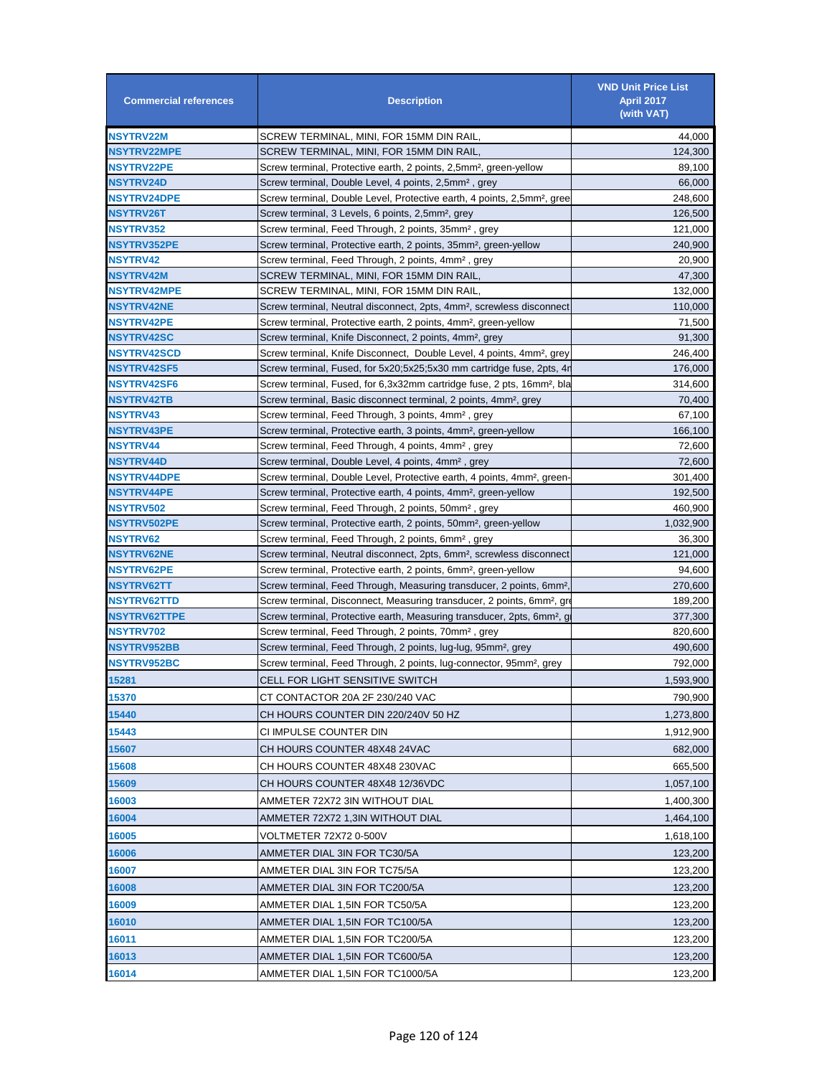| <b>Commercial references</b>            | <b>Description</b>                                                                                                                             | <b>VND Unit Price List</b><br><b>April 2017</b><br>(with VAT) |
|-----------------------------------------|------------------------------------------------------------------------------------------------------------------------------------------------|---------------------------------------------------------------|
| <b>NSYTRV22M</b>                        | SCREW TERMINAL, MINI, FOR 15MM DIN RAIL,                                                                                                       | 44,000                                                        |
| <b>NSYTRV22MPE</b>                      | SCREW TERMINAL, MINI, FOR 15MM DIN RAIL,                                                                                                       | 124,300                                                       |
| <b>NSYTRV22PE</b>                       | Screw terminal, Protective earth, 2 points, 2,5mm <sup>2</sup> , green-yellow                                                                  | 89,100                                                        |
| <b>NSYTRV24D</b>                        | Screw terminal, Double Level, 4 points, 2,5mm <sup>2</sup> , grey                                                                              | 66,000                                                        |
| <b>NSYTRV24DPE</b>                      | Screw terminal, Double Level, Protective earth, 4 points, 2,5mm <sup>2</sup> , gree                                                            | 248,600                                                       |
| <b>NSYTRV26T</b>                        | Screw terminal, 3 Levels, 6 points, 2,5mm <sup>2</sup> , grey                                                                                  | 126,500                                                       |
| <b>NSYTRV352</b>                        | Screw terminal, Feed Through, 2 points, 35mm <sup>2</sup> , grey                                                                               | 121,000                                                       |
| <b>NSYTRV352PE</b>                      | Screw terminal, Protective earth, 2 points, 35mm <sup>2</sup> , green-yellow                                                                   | 240,900                                                       |
| NSYTRV42                                | Screw terminal, Feed Through, 2 points, 4mm <sup>2</sup> , grey                                                                                | 20,900                                                        |
| NSYTRV42M                               | SCREW TERMINAL, MINI, FOR 15MM DIN RAIL,                                                                                                       | 47,300                                                        |
| <b>NSYTRV42MPE</b>                      | SCREW TERMINAL, MINI, FOR 15MM DIN RAIL,                                                                                                       | 132,000                                                       |
| <b>NSYTRV42NE</b>                       | Screw terminal, Neutral disconnect, 2pts, 4mm <sup>2</sup> , screwless disconnect                                                              | 110,000                                                       |
| <b>NSYTRV42PE</b>                       | Screw terminal, Protective earth, 2 points, 4mm <sup>2</sup> , green-yellow                                                                    | 71,500                                                        |
| <b>NSYTRV42SC</b>                       | Screw terminal, Knife Disconnect, 2 points, 4mm <sup>2</sup> , grey                                                                            | 91.300                                                        |
| <b>NSYTRV42SCD</b>                      | Screw terminal, Knife Disconnect, Double Level, 4 points, 4mm <sup>2</sup> , grey                                                              | 246,400                                                       |
| <b>NSYTRV42SF5</b>                      | Screw terminal, Fused, for 5x20;5x25;5x30 mm cartridge fuse, 2pts, 4r                                                                          | 176,000                                                       |
| <b>NSYTRV42SF6</b><br><b>NSYTRV42TB</b> | Screw terminal, Fused, for 6,3x32mm cartridge fuse, 2 pts, 16mm <sup>2</sup> , bla                                                             | 314,600                                                       |
|                                         | Screw terminal, Basic disconnect terminal, 2 points, 4mm <sup>2</sup> , grey                                                                   | 70,400                                                        |
| NSYTRV43<br><b>NSYTRV43PE</b>           | Screw terminal, Feed Through, 3 points, 4mm <sup>2</sup> , grey<br>Screw terminal, Protective earth, 3 points, 4mm <sup>2</sup> , green-yellow | 67,100<br>166,100                                             |
| <b>NSYTRV44</b>                         | Screw terminal, Feed Through, 4 points, 4mm <sup>2</sup> , grey                                                                                | 72,600                                                        |
| <b>NSYTRV44D</b>                        | Screw terminal, Double Level, 4 points, 4mm <sup>2</sup> , grey                                                                                | 72,600                                                        |
| <b>NSYTRV44DPE</b>                      | Screw terminal, Double Level, Protective earth, 4 points, 4mm <sup>2</sup> , green-                                                            | 301,400                                                       |
| <b>NSYTRV44PE</b>                       | Screw terminal, Protective earth, 4 points, 4mm <sup>2</sup> , green-yellow                                                                    | 192,500                                                       |
| <b>NSYTRV502</b>                        | Screw terminal, Feed Through, 2 points, 50mm <sup>2</sup> , grey                                                                               | 460,900                                                       |
| <b>NSYTRV502PE</b>                      | Screw terminal, Protective earth, 2 points, 50mm <sup>2</sup> , green-yellow                                                                   | 1,032,900                                                     |
| <b>NSYTRV62</b>                         | Screw terminal, Feed Through, 2 points, 6mm <sup>2</sup> , grey                                                                                | 36,300                                                        |
| <b>NSYTRV62NE</b>                       | Screw terminal, Neutral disconnect, 2pts, 6mm <sup>2</sup> , screwless disconnect                                                              | 121,000                                                       |
| <b>NSYTRV62PE</b>                       | Screw terminal, Protective earth, 2 points, 6mm <sup>2</sup> , green-yellow                                                                    | 94,600                                                        |
| <b>NSYTRV62TT</b>                       | Screw terminal, Feed Through, Measuring transducer, 2 points, 6mm <sup>2</sup> ,                                                               | 270,600                                                       |
| <b>NSYTRV62TTD</b>                      | Screw terminal, Disconnect, Measuring transducer, 2 points, 6mm <sup>2</sup> , grow                                                            | 189,200                                                       |
| <b>NSYTRV62TTPE</b>                     | Screw terminal, Protective earth, Measuring transducer, 2pts, 6mm <sup>2</sup> , g                                                             | 377,300                                                       |
| NSYTRV702                               | Screw terminal, Feed Through, 2 points, 70mm <sup>2</sup> , grey                                                                               | 820,600                                                       |
| <b>NSYTRV952BB</b>                      | Screw terminal, Feed Through, 2 points, lug-lug, 95mm <sup>2</sup> , grey                                                                      | 490,600                                                       |
| NSYTRV952BC                             | Screw terminal, Feed Through, 2 points, lug-connector, 95mm <sup>2</sup> , grey                                                                | 792,000                                                       |
| 15281                                   | <b>CELL FOR LIGHT SENSITIVE SWITCH</b>                                                                                                         | 1,593,900                                                     |
| 15370                                   | CT CONTACTOR 20A 2F 230/240 VAC                                                                                                                | 790,900                                                       |
| 15440                                   | CH HOURS COUNTER DIN 220/240V 50 HZ                                                                                                            | 1,273,800                                                     |
| 15443                                   | CI IMPULSE COUNTER DIN                                                                                                                         | 1,912,900                                                     |
| 15607                                   | CH HOURS COUNTER 48X48 24VAC                                                                                                                   | 682,000                                                       |
| 15608                                   | CH HOURS COUNTER 48X48 230VAC                                                                                                                  | 665,500                                                       |
| 15609                                   | CH HOURS COUNTER 48X48 12/36VDC                                                                                                                | 1,057,100                                                     |
| 16003                                   | AMMETER 72X72 3IN WITHOUT DIAL                                                                                                                 | 1,400,300                                                     |
| 16004                                   | AMMETER 72X72 1,3IN WITHOUT DIAL                                                                                                               |                                                               |
|                                         |                                                                                                                                                | 1,464,100                                                     |
| 16005                                   | VOLTMETER 72X72 0-500V                                                                                                                         | 1,618,100                                                     |
| 16006                                   | AMMETER DIAL 3IN FOR TC30/5A                                                                                                                   | 123,200                                                       |
| 16007                                   | AMMETER DIAL 3IN FOR TC75/5A                                                                                                                   | 123,200                                                       |
| 16008                                   | AMMETER DIAL 3IN FOR TC200/5A                                                                                                                  | 123,200                                                       |
| 16009                                   | AMMETER DIAL 1,5IN FOR TC50/5A                                                                                                                 | 123,200                                                       |
| 16010                                   | AMMETER DIAL 1,5IN FOR TC100/5A                                                                                                                | 123,200                                                       |
| 16011                                   | AMMETER DIAL 1,5IN FOR TC200/5A                                                                                                                | 123,200                                                       |
| 16013                                   | AMMETER DIAL 1,5IN FOR TC600/5A                                                                                                                | 123,200                                                       |
| 16014                                   | AMMETER DIAL 1,5IN FOR TC1000/5A                                                                                                               | 123,200                                                       |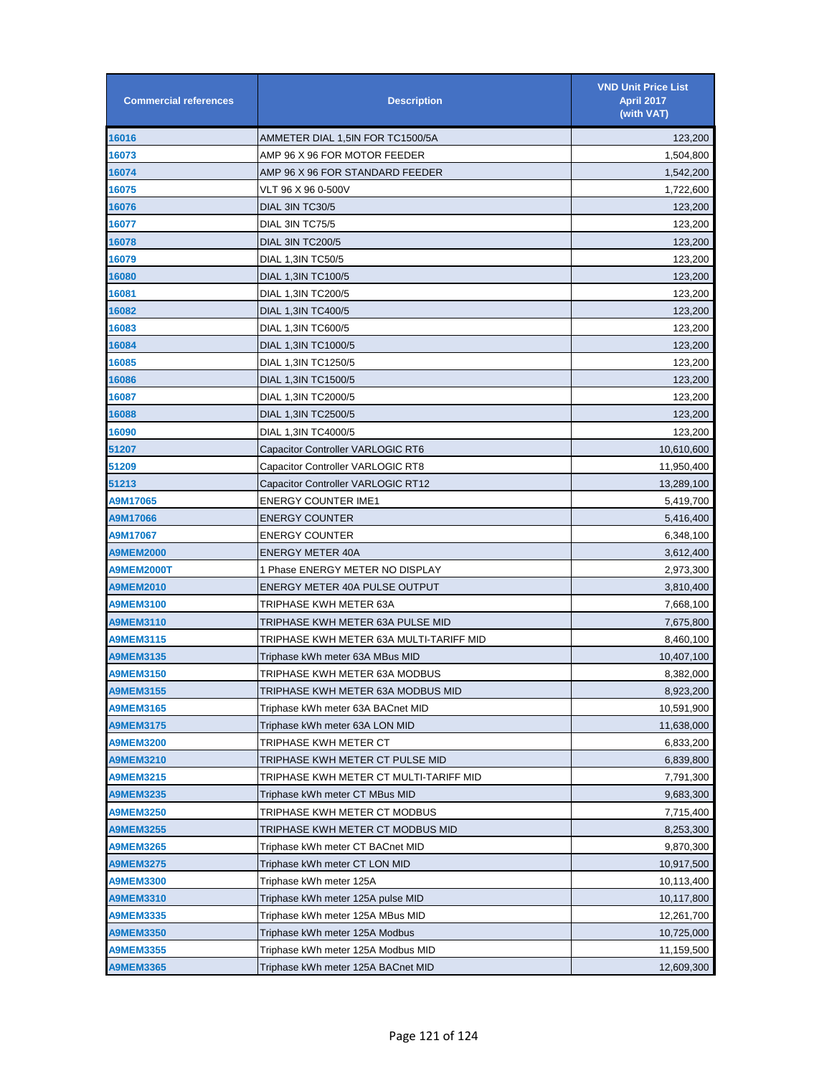| <b>Commercial references</b> | <b>Description</b>                      | <b>VND Unit Price List</b><br><b>April 2017</b><br>(with VAT) |
|------------------------------|-----------------------------------------|---------------------------------------------------------------|
| 16016                        | AMMETER DIAL 1,5IN FOR TC1500/5A        | 123,200                                                       |
| 16073                        | AMP 96 X 96 FOR MOTOR FEEDER            | 1,504,800                                                     |
| 16074                        | AMP 96 X 96 FOR STANDARD FEEDER         | 1,542,200                                                     |
| 16075                        | VLT 96 X 96 0-500V                      | 1,722,600                                                     |
| 16076                        | DIAL 3IN TC30/5                         | 123,200                                                       |
| 16077                        | DIAL 3IN TC75/5                         | 123,200                                                       |
| 16078                        | DIAL 3IN TC200/5                        | 123,200                                                       |
| 16079                        | DIAL 1,3IN TC50/5                       | 123,200                                                       |
| 16080                        | DIAL 1,3IN TC100/5                      | 123,200                                                       |
| 16081                        | DIAL 1,3IN TC200/5                      | 123,200                                                       |
| 16082                        | DIAL 1,3IN TC400/5                      | 123,200                                                       |
| 16083                        | DIAL 1,3IN TC600/5                      | 123,200                                                       |
| 16084                        | DIAL 1,3IN TC1000/5                     | 123,200                                                       |
| 16085                        | DIAL 1,3IN TC1250/5                     | 123,200                                                       |
| 16086                        | DIAL 1,3IN TC1500/5                     | 123,200                                                       |
| 16087                        | DIAL 1,3IN TC2000/5                     | 123,200                                                       |
| 16088                        | DIAL 1,3IN TC2500/5                     | 123,200                                                       |
| 16090                        | DIAL 1,3IN TC4000/5                     | 123,200                                                       |
| 51207                        | Capacitor Controller VARLOGIC RT6       | 10,610,600                                                    |
| 51209                        | Capacitor Controller VARLOGIC RT8       | 11,950,400                                                    |
| 51213                        | Capacitor Controller VARLOGIC RT12      | 13,289,100                                                    |
| A9M17065                     | <b>ENERGY COUNTER IME1</b>              | 5,419,700                                                     |
| A9M17066                     | <b>ENERGY COUNTER</b>                   | 5,416,400                                                     |
| A9M17067                     | <b>ENERGY COUNTER</b>                   | 6,348,100                                                     |
| <b>A9MEM2000</b>             | <b>ENERGY METER 40A</b>                 | 3,612,400                                                     |
| A9MEM2000T                   | 1 Phase ENERGY METER NO DISPLAY         | 2,973,300                                                     |
| <b>A9MEM2010</b>             | ENERGY METER 40A PULSE OUTPUT           | 3,810,400                                                     |
| <b>A9MEM3100</b>             | TRIPHASE KWH METER 63A                  | 7,668,100                                                     |
| <b>A9MEM3110</b>             | TRIPHASE KWH METER 63A PULSE MID        | 7,675,800                                                     |
| <b>A9MEM3115</b>             | TRIPHASE KWH METER 63A MULTI-TARIFF MID | 8,460,100                                                     |
| <b>A9MEM3135</b>             | Triphase kWh meter 63A MBus MID         | 10,407,100                                                    |
| <b>A9MEM3150</b>             | TRIPHASE KWH METER 63A MODBUS           | 8,382,000                                                     |
| <b>A9MEM3155</b>             | TRIPHASE KWH METER 63A MODBUS MID       | 8,923,200                                                     |
| <b>A9MEM3165</b>             | Triphase kWh meter 63A BACnet MID       | 10,591,900                                                    |
| <b>A9MEM3175</b>             | Triphase kWh meter 63A LON MID          | 11,638,000                                                    |
| <b>A9MEM3200</b>             | TRIPHASE KWH METER CT                   | 6,833,200                                                     |
| <b>A9MEM3210</b>             | TRIPHASE KWH METER CT PULSE MID         | 6,839,800                                                     |
| <b>A9MEM3215</b>             | TRIPHASE KWH METER CT MULTI-TARIFF MID  | 7,791,300                                                     |
| <b>A9MEM3235</b>             | Triphase kWh meter CT MBus MID          | 9,683,300                                                     |
| <b>A9MEM3250</b>             | TRIPHASE KWH METER CT MODBUS            | 7,715,400                                                     |
| <b>A9MEM3255</b>             | TRIPHASE KWH METER CT MODBUS MID        | 8,253,300                                                     |
| <b>A9MEM3265</b>             | Triphase kWh meter CT BACnet MID        | 9,870,300                                                     |
| <b>A9MEM3275</b>             | Triphase kWh meter CT LON MID           | 10,917,500                                                    |
| <b>A9MEM3300</b>             | Triphase kWh meter 125A                 | 10,113,400                                                    |
| <b>A9MEM3310</b>             | Triphase kWh meter 125A pulse MID       | 10,117,800                                                    |
| <b>A9MEM3335</b>             | Triphase kWh meter 125A MBus MID        | 12,261,700                                                    |
| <b>A9MEM3350</b>             | Triphase kWh meter 125A Modbus          | 10,725,000                                                    |
| <b>A9MEM3355</b>             | Triphase kWh meter 125A Modbus MID      | 11,159,500                                                    |
| <b>A9MEM3365</b>             | Triphase kWh meter 125A BACnet MID      | 12,609,300                                                    |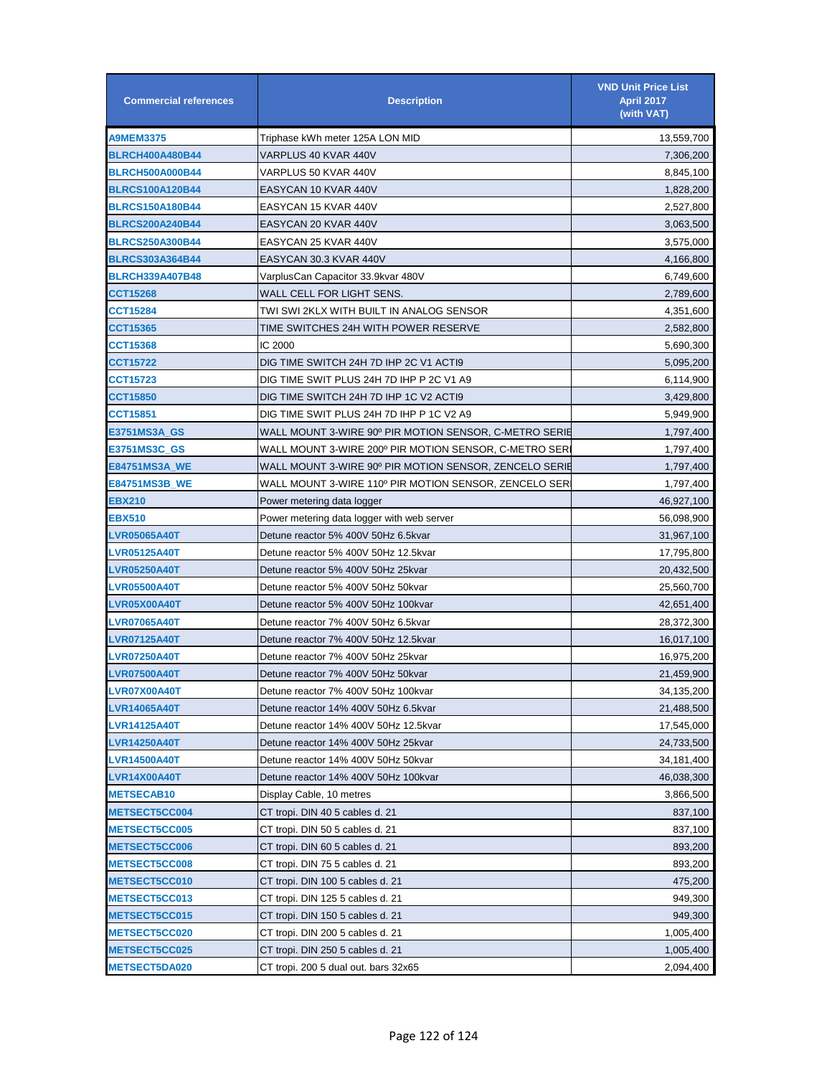| <b>Commercial references</b> | <b>Description</b>                                     | <b>VND Unit Price List</b><br><b>April 2017</b><br>(with VAT) |
|------------------------------|--------------------------------------------------------|---------------------------------------------------------------|
| <b>A9MEM3375</b>             | Triphase kWh meter 125A LON MID                        | 13,559,700                                                    |
| <b>BLRCH400A480B44</b>       | VARPLUS 40 KVAR 440V                                   | 7,306,200                                                     |
| <b>BLRCH500A000B44</b>       | VARPLUS 50 KVAR 440V                                   | 8,845,100                                                     |
| <b>BLRCS100A120B44</b>       | EASYCAN 10 KVAR 440V                                   | 1,828,200                                                     |
| <b>BLRCS150A180B44</b>       | EASYCAN 15 KVAR 440V                                   | 2,527,800                                                     |
| <b>BLRCS200A240B44</b>       | EASYCAN 20 KVAR 440V                                   | 3,063,500                                                     |
| <b>BLRCS250A300B44</b>       | EASYCAN 25 KVAR 440V                                   | 3,575,000                                                     |
| <b>BLRCS303A364B44</b>       | EASYCAN 30.3 KVAR 440V                                 | 4,166,800                                                     |
| <b>BLRCH339A407B48</b>       | VarplusCan Capacitor 33.9kvar 480V                     | 6,749,600                                                     |
| CCT15268                     | WALL CELL FOR LIGHT SENS.                              | 2,789,600                                                     |
| CCT15284                     | TWI SWI 2KLX WITH BUILT IN ANALOG SENSOR               | 4,351,600                                                     |
| CCT15365                     | TIME SWITCHES 24H WITH POWER RESERVE                   | 2,582,800                                                     |
| CCT15368                     | IC 2000                                                | 5,690,300                                                     |
| <b>CCT15722</b>              | DIG TIME SWITCH 24H 7D IHP 2C V1 ACTI9                 | 5,095,200                                                     |
| CCT15723                     | DIG TIME SWIT PLUS 24H 7D IHP P 2C V1 A9               | 6,114,900                                                     |
| <b>CCT15850</b>              | DIG TIME SWITCH 24H 7D IHP 1C V2 ACTI9                 | 3,429,800                                                     |
| CCT15851                     | DIG TIME SWIT PLUS 24H 7D IHP P 1C V2 A9               | 5,949,900                                                     |
| E3751MS3A_GS                 | WALL MOUNT 3-WIRE 90º PIR MOTION SENSOR, C-METRO SERIE | 1,797,400                                                     |
| E3751MS3C_GS                 | WALL MOUNT 3-WIRE 200º PIR MOTION SENSOR, C-METRO SER  | 1,797,400                                                     |
| E84751MS3A_WE                | WALL MOUNT 3-WIRE 90º PIR MOTION SENSOR, ZENCELO SERIE | 1,797,400                                                     |
| <b>E84751MS3B_WE</b>         | WALL MOUNT 3-WIRE 110º PIR MOTION SENSOR, ZENCELO SER  | 1,797,400                                                     |
| <b>EBX210</b>                | Power metering data logger                             | 46,927,100                                                    |
| <b>EBX510</b>                | Power metering data logger with web server             | 56,098,900                                                    |
| <b>LVR05065A40T</b>          | Detune reactor 5% 400V 50Hz 6.5kvar                    | 31,967,100                                                    |
| <b>LVR05125A40T</b>          | Detune reactor 5% 400V 50Hz 12.5kvar                   | 17,795,800                                                    |
| <b>LVR05250A40T</b>          | Detune reactor 5% 400V 50Hz 25kvar                     | 20,432,500                                                    |
| <b>LVR05500A40T</b>          | Detune reactor 5% 400V 50Hz 50kvar                     | 25,560,700                                                    |
| LVR05X00A40T                 | Detune reactor 5% 400V 50Hz 100kvar                    | 42,651,400                                                    |
| <b>LVR07065A40T</b>          | Detune reactor 7% 400V 50Hz 6.5kvar                    | 28,372,300                                                    |
| <b>LVR07125A40T</b>          | Detune reactor 7% 400V 50Hz 12.5kvar                   | 16,017,100                                                    |
| <b>LVR07250A40T</b>          | Detune reactor 7% 400V 50Hz 25kvar                     | 16,975,200                                                    |
| <b>LVR07500A40T</b>          | Detune reactor 7% 400V 50Hz 50kvar                     | 21,459,900                                                    |
| LVR07X00A40T                 | Detune reactor 7% 400V 50Hz 100kvar                    | 34,135,200                                                    |
| <b>LVR14065A40T</b>          | Detune reactor 14% 400V 50Hz 6.5kvar                   | 21,488,500                                                    |
| <b>LVR14125A40T</b>          | Detune reactor 14% 400V 50Hz 12.5kvar                  | 17,545,000                                                    |
| <b>LVR14250A40T</b>          | Detune reactor 14% 400V 50Hz 25kvar                    | 24,733,500                                                    |
| <b>LVR14500A40T</b>          | Detune reactor 14% 400V 50Hz 50kvar                    | 34,181,400                                                    |
| LVR14X00A40T                 | Detune reactor 14% 400V 50Hz 100kvar                   | 46,038,300                                                    |
| <b>METSECAB10</b>            | Display Cable, 10 metres                               | 3,866,500                                                     |
| <b>METSECT5CC004</b>         | CT tropi. DIN 40 5 cables d. 21                        | 837,100                                                       |
| <b>METSECT5CC005</b>         | CT tropi. DIN 50 5 cables d. 21                        | 837,100                                                       |
| <b>METSECT5CC006</b>         | CT tropi. DIN 60 5 cables d. 21                        | 893,200                                                       |
| <b>METSECT5CC008</b>         | CT tropi. DIN 75 5 cables d. 21                        | 893,200                                                       |
| <b>METSECT5CC010</b>         | CT tropi. DIN 100 5 cables d. 21                       | 475,200                                                       |
| <b>METSECT5CC013</b>         | CT tropi. DIN 125 5 cables d. 21                       | 949,300                                                       |
| <b>METSECT5CC015</b>         | CT tropi. DIN 150 5 cables d. 21                       | 949,300                                                       |
| <b>METSECT5CC020</b>         | CT tropi. DIN 200 5 cables d. 21                       | 1,005,400                                                     |
| METSECT5CC025                | CT tropi. DIN 250 5 cables d. 21                       | 1,005,400                                                     |
| <b>METSECT5DA020</b>         | CT tropi. 200 5 dual out. bars 32x65                   | 2,094,400                                                     |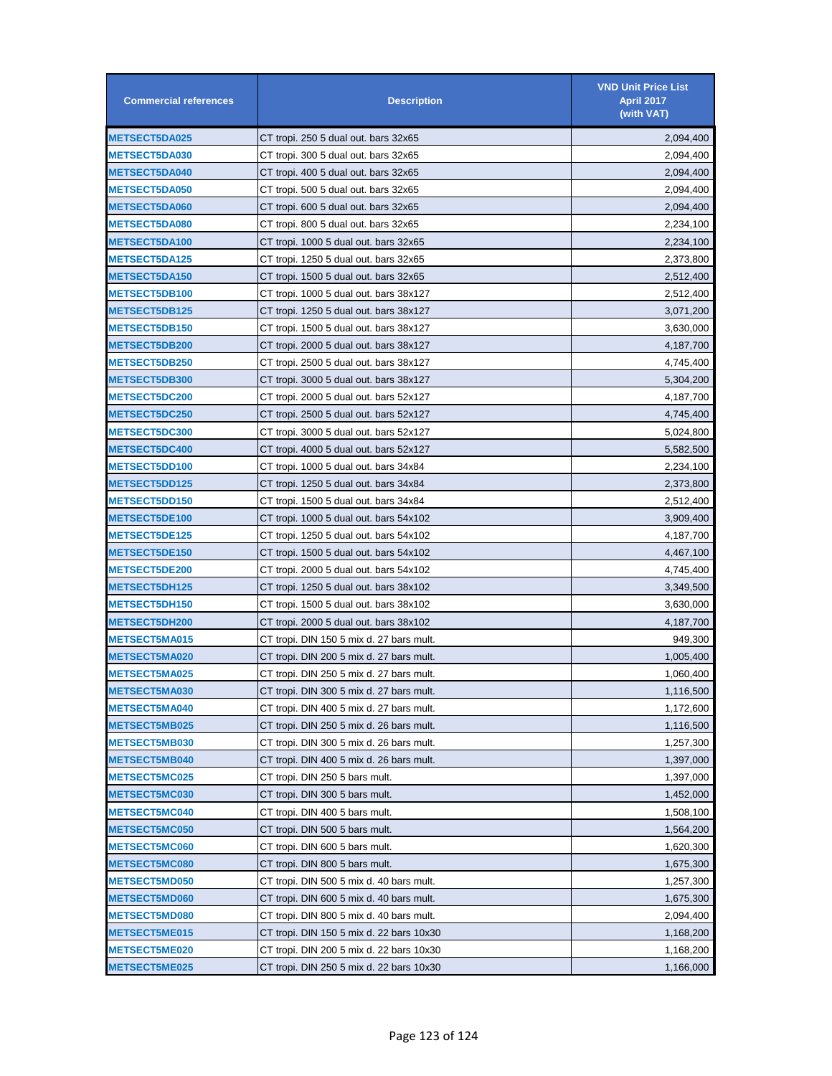| <b>Commercial references</b> | <b>Description</b>                       | <b>VND Unit Price List</b><br>April 2017<br>(with VAT) |
|------------------------------|------------------------------------------|--------------------------------------------------------|
| <b>METSECT5DA025</b>         | CT tropi. 250 5 dual out. bars 32x65     | 2,094,400                                              |
| <b>METSECT5DA030</b>         | CT tropi. 300 5 dual out. bars 32x65     | 2,094,400                                              |
| <b>METSECT5DA040</b>         | CT tropi. 400 5 dual out. bars 32x65     | 2,094,400                                              |
| METSECT5DA050                | CT tropi. 500 5 dual out. bars 32x65     | 2,094,400                                              |
| <b>METSECT5DA060</b>         | CT tropi. 600 5 dual out. bars 32x65     | 2,094,400                                              |
| <b>METSECT5DA080</b>         | CT tropi. 800 5 dual out. bars 32x65     | 2,234,100                                              |
| <b>METSECT5DA100</b>         | CT tropi. 1000 5 dual out. bars 32x65    | 2,234,100                                              |
| <b>METSECT5DA125</b>         | CT tropi. 1250 5 dual out. bars 32x65    | 2,373,800                                              |
| <b>METSECT5DA150</b>         | CT tropi. 1500 5 dual out. bars 32x65    | 2,512,400                                              |
| METSECT5DB100                | CT tropi. 1000 5 dual out. bars 38x127   | 2,512,400                                              |
| <b>METSECT5DB125</b>         | CT tropi. 1250 5 dual out. bars 38x127   | 3,071,200                                              |
| METSECT5DB150                | CT tropi. 1500 5 dual out. bars 38x127   | 3,630,000                                              |
| <b>METSECT5DB200</b>         | CT tropi. 2000 5 dual out. bars 38x127   | 4,187,700                                              |
| METSECT5DB250                | CT tropi. 2500 5 dual out. bars 38x127   | 4,745,400                                              |
| <b>METSECT5DB300</b>         | CT tropi. 3000 5 dual out. bars 38x127   | 5,304,200                                              |
| <b>METSECT5DC200</b>         | CT tropi. 2000 5 dual out. bars 52x127   | 4,187,700                                              |
| <b>METSECT5DC250</b>         | CT tropi. 2500 5 dual out. bars 52x127   | 4,745,400                                              |
| METSECT5DC300                | CT tropi. 3000 5 dual out. bars 52x127   | 5,024,800                                              |
| METSECT5DC400                | CT tropi. 4000 5 dual out. bars 52x127   | 5,582,500                                              |
| METSECT5DD100                | CT tropi. 1000 5 dual out. bars 34x84    | 2,234,100                                              |
| <b>METSECT5DD125</b>         | CT tropi. 1250 5 dual out. bars 34x84    | 2,373,800                                              |
| <b>METSECT5DD150</b>         | CT tropi. 1500 5 dual out. bars 34x84    | 2,512,400                                              |
| METSECT5DE100                | CT tropi. 1000 5 dual out. bars 54x102   | 3,909,400                                              |
| <b>METSECT5DE125</b>         | CT tropi. 1250 5 dual out. bars 54x102   | 4,187,700                                              |
| <b>METSECT5DE150</b>         | CT tropi. 1500 5 dual out. bars 54x102   | 4,467,100                                              |
| METSECT5DE200                | CT tropi. 2000 5 dual out. bars 54x102   | 4,745,400                                              |
| METSECT5DH125                | CT tropi. 1250 5 dual out. bars 38x102   | 3,349,500                                              |
| METSECT5DH150                | CT tropi. 1500 5 dual out. bars 38x102   | 3,630,000                                              |
| METSECT5DH200                | CT tropi. 2000 5 dual out. bars 38x102   | 4,187,700                                              |
| <b>METSECT5MA015</b>         | CT tropi. DIN 150 5 mix d. 27 bars mult. | 949,300                                                |
| <b>METSECT5MA020</b>         | CT tropi. DIN 200 5 mix d. 27 bars mult. | 1,005,400                                              |
| <b>METSECT5MA025</b>         | CT tropi. DIN 250 5 mix d. 27 bars mult. | 1,060,400                                              |
| <b>METSECT5MA030</b>         | CT tropi. DIN 300 5 mix d. 27 bars mult. | 1,116,500                                              |
| <b>METSECT5MA040</b>         | CT tropi. DIN 400 5 mix d. 27 bars mult. | 1,172,600                                              |
| <b>METSECT5MB025</b>         | CT tropi. DIN 250 5 mix d. 26 bars mult. | 1,116,500                                              |
| METSECT5MB030                | CT tropi. DIN 300 5 mix d. 26 bars mult. | 1,257,300                                              |
| METSECT5MB040                | CT tropi. DIN 400 5 mix d. 26 bars mult. | 1,397,000                                              |
| METSECT5MC025                | CT tropi. DIN 250 5 bars mult.           | 1,397,000                                              |
| <b>METSECT5MC030</b>         | CT tropi. DIN 300 5 bars mult.           | 1,452,000                                              |
| METSECT5MC040                | CT tropi. DIN 400 5 bars mult.           | 1,508,100                                              |
| METSECT5MC050                | CT tropi. DIN 500 5 bars mult.           | 1,564,200                                              |
| METSECT5MC060                | CT tropi. DIN 600 5 bars mult.           | 1,620,300                                              |
| METSECT5MC080                | CT tropi. DIN 800 5 bars mult.           | 1,675,300                                              |
| <b>METSECT5MD050</b>         | CT tropi. DIN 500 5 mix d. 40 bars mult. | 1,257,300                                              |
| <b>METSECT5MD060</b>         | CT tropi. DIN 600 5 mix d. 40 bars mult. | 1,675,300                                              |
| <b>METSECT5MD080</b>         | CT tropi. DIN 800 5 mix d. 40 bars mult. | 2,094,400                                              |
| <b>METSECT5ME015</b>         | CT tropi. DIN 150 5 mix d. 22 bars 10x30 | 1,168,200                                              |
| METSECT5ME020                | CT tropi. DIN 200 5 mix d. 22 bars 10x30 | 1,168,200                                              |
| <b>METSECT5ME025</b>         | CT tropi. DIN 250 5 mix d. 22 bars 10x30 | 1,166,000                                              |